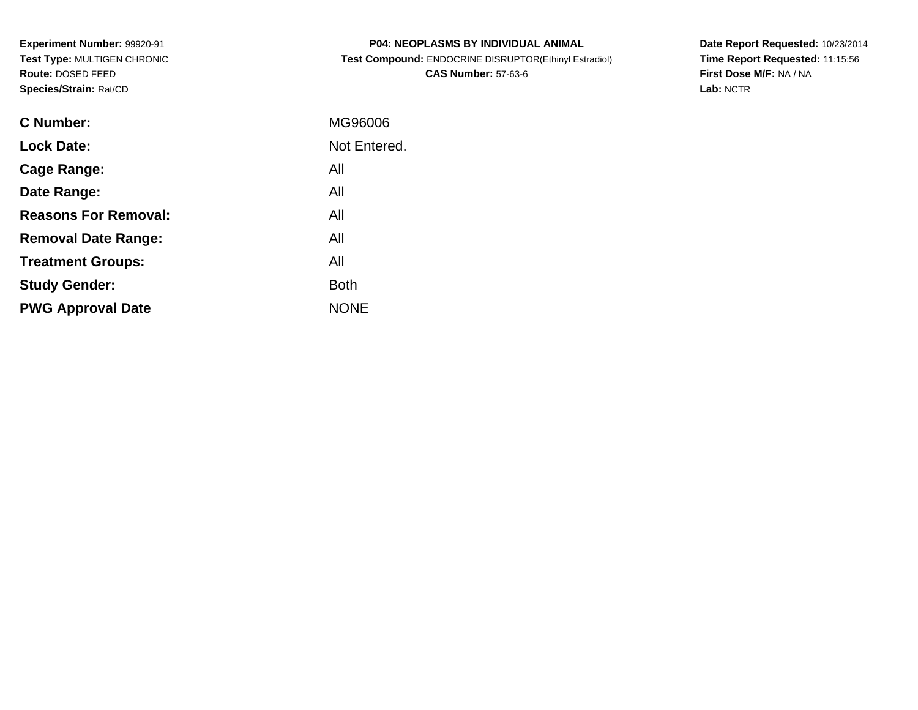**Experiment Number:** 99920-91 **Test Type:** MULTIGEN CHRONIC**Route:** DOSED FEED**Species/Strain:** Rat/CD

| <b>P04: NEOPLASMS BY INDIVIDUAL ANIMAL</b>            |
|-------------------------------------------------------|
| Test Compound: ENDOCRINE DISRUPTOR(Ethinyl Estradiol) |
| <b>CAS Number: 57-63-6</b>                            |

**Date Report Requested:** 10/23/2014 **Time Report Requested:** 11:15:56**First Dose M/F:** NA / NA**Lab:** NCTR

| C Number:                   | MG96006      |
|-----------------------------|--------------|
| <b>Lock Date:</b>           | Not Entered. |
| Cage Range:                 | All          |
| Date Range:                 | All          |
| <b>Reasons For Removal:</b> | All          |
| <b>Removal Date Range:</b>  | All          |
| <b>Treatment Groups:</b>    | All          |
| <b>Study Gender:</b>        | <b>Both</b>  |
| <b>PWG Approval Date</b>    | <b>NONE</b>  |
|                             |              |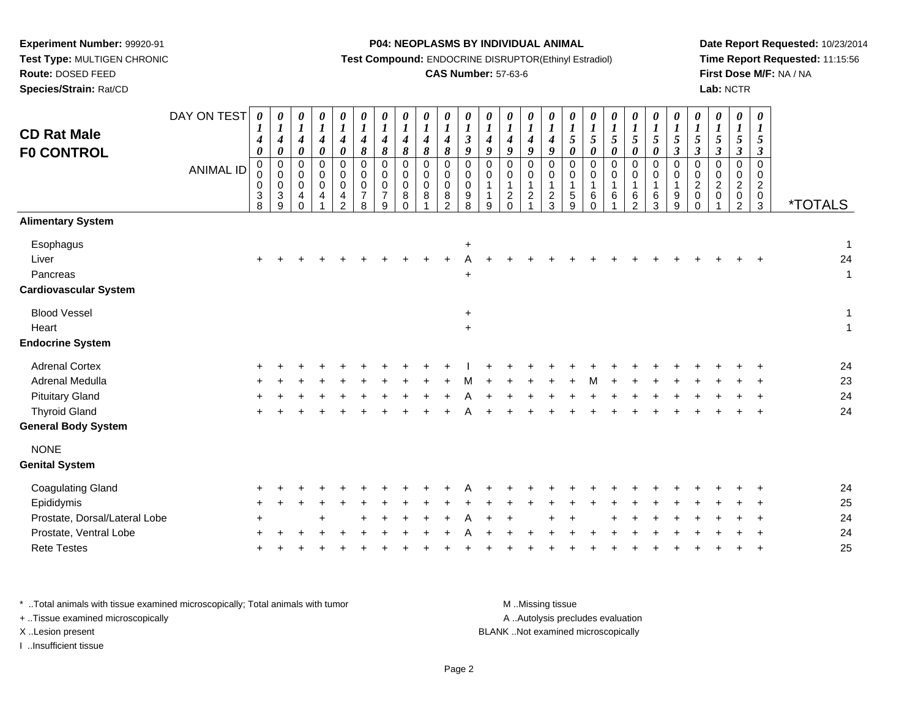# **Route:** DOSED FEED

**Species/Strain:** Rat/CD

#### **P04: NEOPLASMS BY INDIVIDUAL ANIMAL**

**Test Compound:** ENDOCRINE DISRUPTOR(Ethinyl Estradiol)

## **CAS Number:** 57-63-6

**Date Report Requested:** 10/23/2014**Time Report Requested:** 11:15:56**First Dose M/F:** NA / NA**Lab:** NCTR

| <b>CD Rat Male</b><br><b>F0 CONTROL</b>                        | DAY ON TEST<br><b>ANIMAL ID</b> | 0<br>$\boldsymbol{l}$<br>4<br>$\boldsymbol{\theta}$<br>$\mathbf 0$<br>0<br>$\,0\,$<br>3<br>8 | 0<br>$\boldsymbol{l}$<br>$\boldsymbol{4}$<br>$\pmb{\theta}$<br>$\pmb{0}$<br>0<br>$\pmb{0}$<br>$\sqrt{3}$<br>9 | $\boldsymbol{\theta}$<br>$\boldsymbol{l}$<br>$\boldsymbol{4}$<br>$\pmb{\theta}$<br>$\pmb{0}$<br>$\mathbf 0$<br>$\pmb{0}$<br>$\overline{4}$<br>$\Omega$ | 0<br>$\boldsymbol{l}$<br>$\boldsymbol{4}$<br>$\pmb{\theta}$<br>0<br>0<br>$\pmb{0}$<br>4 | $\boldsymbol{\theta}$<br>$\boldsymbol{l}$<br>$\boldsymbol{4}$<br>$\boldsymbol{\theta}$<br>0<br>$\mathbf 0$<br>$\pmb{0}$<br>$\overline{4}$<br>$\overline{2}$ | 0<br>$\boldsymbol{l}$<br>$\boldsymbol{4}$<br>8<br>$\pmb{0}$<br>$\mathbf 0$<br>$\pmb{0}$<br>$\overline{7}$<br>8 | $\boldsymbol{\theta}$<br>$\boldsymbol{l}$<br>$\boldsymbol{4}$<br>$\pmb{8}$<br>$\pmb{0}$<br>$\mathbf 0$<br>$\pmb{0}$<br>$\overline{7}$<br>9 | 0<br>$\boldsymbol{l}$<br>$\boldsymbol{4}$<br>8<br>$\pmb{0}$<br>$\mathbf 0$<br>$\pmb{0}$<br>8<br>$\Omega$ | $\boldsymbol{\theta}$<br>$\boldsymbol{l}$<br>$\boldsymbol{4}$<br>$\pmb{8}$<br>$\pmb{0}$<br>$\mathbf 0$<br>$\pmb{0}$<br>8 | $\boldsymbol{\theta}$<br>$\boldsymbol{l}$<br>$\boldsymbol{4}$<br>$\pmb{8}$<br>$\mathbf 0$<br>$\mathbf 0$<br>$\pmb{0}$<br>$\bf 8$<br>$\mathcal{P}$ | $\begin{matrix} 0 \\ 1 \end{matrix}$<br>$\mathfrak{z}$<br>$\boldsymbol{g}$<br>$\mathsf 0$<br>$\mathsf 0$<br>$\mathbf 0$<br>$\boldsymbol{9}$<br>8 | $\frac{\theta}{I}$<br>$\boldsymbol{4}$<br>9<br>0<br>0<br>$\mathbf{1}$<br>$\mathbf{1}$<br>9 | 0<br>$\boldsymbol{l}$<br>$\boldsymbol{4}$<br>9<br>0<br>0<br>$\mathbf{1}$<br>$\overline{c}$<br>$\Omega$ | $\boldsymbol{\theta}$<br>$\boldsymbol{l}$<br>$\boldsymbol{4}$<br>9<br>$\mathbf 0$<br>0<br>$\mathbf{1}$<br>$\sqrt{2}$<br>$\overline{1}$ | 0<br>$\boldsymbol{l}$<br>$\boldsymbol{4}$<br>9<br>$\mathsf 0$<br>0<br>$\mathbf{1}$<br>$\frac{2}{3}$ | 0<br>$\boldsymbol{l}$<br>$\mathfrak{s}$<br>$\boldsymbol{\theta}$<br>$\mathbf 0$<br>0<br>$\overline{1}$<br>$\sqrt{5}$<br>9 | 0<br>$\boldsymbol{l}$<br>$\sqrt{5}$<br>$\boldsymbol{\theta}$<br>$\mathbf 0$<br>$\Omega$<br>1<br>6<br>$\Omega$ | 0<br>$\boldsymbol{l}$<br>$\mathfrak{s}$<br>$\pmb{\theta}$<br>$\pmb{0}$<br>$\mathbf 0$<br>$\mathbf{1}$<br>$\,6$ | 0<br>$\boldsymbol{l}$<br>$\sqrt{5}$<br>$\boldsymbol{\theta}$<br>0<br>$\mathbf 0$<br>1<br>$\,6\,$<br>$\mathcal{P}$ | 0<br>$\boldsymbol{l}$<br>$\sqrt{5}$<br>$\pmb{\theta}$<br>0<br>0<br>$\mathbf{1}$<br>6<br>3 | $\pmb{\theta}$<br>$\boldsymbol{l}$<br>$\sqrt{5}$<br>$\mathfrak{z}$<br>$\pmb{0}$<br>$\mathbf 0$<br>$\mathbf{1}$<br>$\boldsymbol{9}$<br>9 | $\frac{\theta}{I}$<br>$\sqrt{5}$<br>$\mathfrak{z}$<br>$\pmb{0}$<br>$\,0\,$<br>$\overline{c}$<br>$\pmb{0}$<br>$\Omega$ | $\boldsymbol{\theta}$<br>$\boldsymbol{l}$<br>$\sqrt{5}$<br>$\boldsymbol{\beta}$<br>$\mathbf 0$<br>0<br>$\overline{2}$<br>$\pmb{0}$ | 0<br>$\boldsymbol{l}$<br>$\sqrt{5}$<br>$\boldsymbol{\beta}$<br>$\mathbf 0$<br>0<br>$\overline{c}$<br>$\pmb{0}$<br>$\overline{2}$ | $\pmb{\theta}$<br>$\boldsymbol{l}$<br>5<br>$\boldsymbol{\beta}$<br>$\mathbf 0$<br>$\mathbf 0$<br>$\overline{c}$<br>$\mathbf 0$<br>$\mathbf{3}$ | <i><b>*TOTALS</b></i>              |
|----------------------------------------------------------------|---------------------------------|----------------------------------------------------------------------------------------------|---------------------------------------------------------------------------------------------------------------|--------------------------------------------------------------------------------------------------------------------------------------------------------|-----------------------------------------------------------------------------------------|-------------------------------------------------------------------------------------------------------------------------------------------------------------|----------------------------------------------------------------------------------------------------------------|--------------------------------------------------------------------------------------------------------------------------------------------|----------------------------------------------------------------------------------------------------------|--------------------------------------------------------------------------------------------------------------------------|---------------------------------------------------------------------------------------------------------------------------------------------------|--------------------------------------------------------------------------------------------------------------------------------------------------|--------------------------------------------------------------------------------------------|--------------------------------------------------------------------------------------------------------|----------------------------------------------------------------------------------------------------------------------------------------|-----------------------------------------------------------------------------------------------------|---------------------------------------------------------------------------------------------------------------------------|---------------------------------------------------------------------------------------------------------------|----------------------------------------------------------------------------------------------------------------|-------------------------------------------------------------------------------------------------------------------|-------------------------------------------------------------------------------------------|-----------------------------------------------------------------------------------------------------------------------------------------|-----------------------------------------------------------------------------------------------------------------------|------------------------------------------------------------------------------------------------------------------------------------|----------------------------------------------------------------------------------------------------------------------------------|------------------------------------------------------------------------------------------------------------------------------------------------|------------------------------------|
| <b>Alimentary System</b>                                       |                                 |                                                                                              |                                                                                                               |                                                                                                                                                        |                                                                                         |                                                                                                                                                             |                                                                                                                |                                                                                                                                            |                                                                                                          |                                                                                                                          |                                                                                                                                                   |                                                                                                                                                  |                                                                                            |                                                                                                        |                                                                                                                                        |                                                                                                     |                                                                                                                           |                                                                                                               |                                                                                                                |                                                                                                                   |                                                                                           |                                                                                                                                         |                                                                                                                       |                                                                                                                                    |                                                                                                                                  |                                                                                                                                                |                                    |
| Esophagus<br>Liver<br>Pancreas<br><b>Cardiovascular System</b> |                                 |                                                                                              |                                                                                                               |                                                                                                                                                        |                                                                                         |                                                                                                                                                             |                                                                                                                |                                                                                                                                            |                                                                                                          |                                                                                                                          |                                                                                                                                                   | $\ddot{}$<br>$\ddot{}$                                                                                                                           |                                                                                            |                                                                                                        |                                                                                                                                        |                                                                                                     |                                                                                                                           |                                                                                                               |                                                                                                                |                                                                                                                   |                                                                                           |                                                                                                                                         |                                                                                                                       |                                                                                                                                    |                                                                                                                                  |                                                                                                                                                | $\mathbf{1}$<br>24<br>$\mathbf{1}$ |
| <b>Blood Vessel</b>                                            |                                 |                                                                                              |                                                                                                               |                                                                                                                                                        |                                                                                         |                                                                                                                                                             |                                                                                                                |                                                                                                                                            |                                                                                                          |                                                                                                                          |                                                                                                                                                   | $\ddot{}$                                                                                                                                        |                                                                                            |                                                                                                        |                                                                                                                                        |                                                                                                     |                                                                                                                           |                                                                                                               |                                                                                                                |                                                                                                                   |                                                                                           |                                                                                                                                         |                                                                                                                       |                                                                                                                                    |                                                                                                                                  |                                                                                                                                                | $\mathbf{1}$                       |
| Heart                                                          |                                 |                                                                                              |                                                                                                               |                                                                                                                                                        |                                                                                         |                                                                                                                                                             |                                                                                                                |                                                                                                                                            |                                                                                                          |                                                                                                                          |                                                                                                                                                   | $\ddot{}$                                                                                                                                        |                                                                                            |                                                                                                        |                                                                                                                                        |                                                                                                     |                                                                                                                           |                                                                                                               |                                                                                                                |                                                                                                                   |                                                                                           |                                                                                                                                         |                                                                                                                       |                                                                                                                                    |                                                                                                                                  |                                                                                                                                                | $\mathbf{1}$                       |
| <b>Endocrine System</b>                                        |                                 |                                                                                              |                                                                                                               |                                                                                                                                                        |                                                                                         |                                                                                                                                                             |                                                                                                                |                                                                                                                                            |                                                                                                          |                                                                                                                          |                                                                                                                                                   |                                                                                                                                                  |                                                                                            |                                                                                                        |                                                                                                                                        |                                                                                                     |                                                                                                                           |                                                                                                               |                                                                                                                |                                                                                                                   |                                                                                           |                                                                                                                                         |                                                                                                                       |                                                                                                                                    |                                                                                                                                  |                                                                                                                                                |                                    |
| <b>Adrenal Cortex</b>                                          |                                 |                                                                                              |                                                                                                               |                                                                                                                                                        |                                                                                         |                                                                                                                                                             |                                                                                                                |                                                                                                                                            |                                                                                                          |                                                                                                                          |                                                                                                                                                   |                                                                                                                                                  |                                                                                            |                                                                                                        |                                                                                                                                        |                                                                                                     |                                                                                                                           |                                                                                                               |                                                                                                                |                                                                                                                   |                                                                                           |                                                                                                                                         |                                                                                                                       |                                                                                                                                    |                                                                                                                                  |                                                                                                                                                | 24                                 |
| Adrenal Medulla                                                |                                 |                                                                                              |                                                                                                               |                                                                                                                                                        |                                                                                         |                                                                                                                                                             |                                                                                                                |                                                                                                                                            |                                                                                                          |                                                                                                                          |                                                                                                                                                   |                                                                                                                                                  |                                                                                            |                                                                                                        |                                                                                                                                        |                                                                                                     |                                                                                                                           |                                                                                                               |                                                                                                                |                                                                                                                   |                                                                                           |                                                                                                                                         |                                                                                                                       |                                                                                                                                    |                                                                                                                                  |                                                                                                                                                | 23                                 |
| <b>Pituitary Gland</b>                                         |                                 |                                                                                              |                                                                                                               |                                                                                                                                                        |                                                                                         |                                                                                                                                                             |                                                                                                                |                                                                                                                                            |                                                                                                          |                                                                                                                          |                                                                                                                                                   |                                                                                                                                                  |                                                                                            |                                                                                                        |                                                                                                                                        |                                                                                                     |                                                                                                                           |                                                                                                               |                                                                                                                |                                                                                                                   |                                                                                           |                                                                                                                                         |                                                                                                                       |                                                                                                                                    |                                                                                                                                  |                                                                                                                                                | 24                                 |
| <b>Thyroid Gland</b>                                           |                                 |                                                                                              |                                                                                                               |                                                                                                                                                        |                                                                                         |                                                                                                                                                             |                                                                                                                |                                                                                                                                            |                                                                                                          |                                                                                                                          |                                                                                                                                                   |                                                                                                                                                  |                                                                                            |                                                                                                        |                                                                                                                                        |                                                                                                     |                                                                                                                           |                                                                                                               |                                                                                                                |                                                                                                                   |                                                                                           |                                                                                                                                         |                                                                                                                       |                                                                                                                                    |                                                                                                                                  |                                                                                                                                                | 24                                 |
| <b>General Body System</b>                                     |                                 |                                                                                              |                                                                                                               |                                                                                                                                                        |                                                                                         |                                                                                                                                                             |                                                                                                                |                                                                                                                                            |                                                                                                          |                                                                                                                          |                                                                                                                                                   |                                                                                                                                                  |                                                                                            |                                                                                                        |                                                                                                                                        |                                                                                                     |                                                                                                                           |                                                                                                               |                                                                                                                |                                                                                                                   |                                                                                           |                                                                                                                                         |                                                                                                                       |                                                                                                                                    |                                                                                                                                  |                                                                                                                                                |                                    |
| <b>NONE</b>                                                    |                                 |                                                                                              |                                                                                                               |                                                                                                                                                        |                                                                                         |                                                                                                                                                             |                                                                                                                |                                                                                                                                            |                                                                                                          |                                                                                                                          |                                                                                                                                                   |                                                                                                                                                  |                                                                                            |                                                                                                        |                                                                                                                                        |                                                                                                     |                                                                                                                           |                                                                                                               |                                                                                                                |                                                                                                                   |                                                                                           |                                                                                                                                         |                                                                                                                       |                                                                                                                                    |                                                                                                                                  |                                                                                                                                                |                                    |
| <b>Genital System</b>                                          |                                 |                                                                                              |                                                                                                               |                                                                                                                                                        |                                                                                         |                                                                                                                                                             |                                                                                                                |                                                                                                                                            |                                                                                                          |                                                                                                                          |                                                                                                                                                   |                                                                                                                                                  |                                                                                            |                                                                                                        |                                                                                                                                        |                                                                                                     |                                                                                                                           |                                                                                                               |                                                                                                                |                                                                                                                   |                                                                                           |                                                                                                                                         |                                                                                                                       |                                                                                                                                    |                                                                                                                                  |                                                                                                                                                |                                    |
| <b>Coagulating Gland</b>                                       |                                 |                                                                                              |                                                                                                               |                                                                                                                                                        |                                                                                         |                                                                                                                                                             |                                                                                                                |                                                                                                                                            |                                                                                                          |                                                                                                                          |                                                                                                                                                   |                                                                                                                                                  |                                                                                            |                                                                                                        |                                                                                                                                        |                                                                                                     |                                                                                                                           |                                                                                                               |                                                                                                                |                                                                                                                   |                                                                                           |                                                                                                                                         |                                                                                                                       |                                                                                                                                    |                                                                                                                                  |                                                                                                                                                | 24                                 |
| Epididymis                                                     |                                 |                                                                                              |                                                                                                               |                                                                                                                                                        |                                                                                         |                                                                                                                                                             |                                                                                                                |                                                                                                                                            |                                                                                                          |                                                                                                                          |                                                                                                                                                   |                                                                                                                                                  |                                                                                            |                                                                                                        |                                                                                                                                        |                                                                                                     |                                                                                                                           |                                                                                                               |                                                                                                                |                                                                                                                   |                                                                                           |                                                                                                                                         |                                                                                                                       |                                                                                                                                    |                                                                                                                                  |                                                                                                                                                | 25                                 |
| Prostate, Dorsal/Lateral Lobe                                  |                                 |                                                                                              |                                                                                                               |                                                                                                                                                        |                                                                                         |                                                                                                                                                             |                                                                                                                |                                                                                                                                            |                                                                                                          |                                                                                                                          |                                                                                                                                                   |                                                                                                                                                  |                                                                                            |                                                                                                        |                                                                                                                                        |                                                                                                     |                                                                                                                           |                                                                                                               |                                                                                                                |                                                                                                                   |                                                                                           |                                                                                                                                         |                                                                                                                       |                                                                                                                                    |                                                                                                                                  |                                                                                                                                                | 24                                 |
| Prostate, Ventral Lobe                                         |                                 |                                                                                              |                                                                                                               |                                                                                                                                                        |                                                                                         |                                                                                                                                                             |                                                                                                                |                                                                                                                                            |                                                                                                          |                                                                                                                          |                                                                                                                                                   |                                                                                                                                                  |                                                                                            |                                                                                                        |                                                                                                                                        |                                                                                                     |                                                                                                                           |                                                                                                               |                                                                                                                |                                                                                                                   |                                                                                           |                                                                                                                                         |                                                                                                                       |                                                                                                                                    |                                                                                                                                  |                                                                                                                                                | 24                                 |
| <b>Rete Testes</b>                                             |                                 |                                                                                              |                                                                                                               |                                                                                                                                                        |                                                                                         |                                                                                                                                                             |                                                                                                                |                                                                                                                                            |                                                                                                          |                                                                                                                          |                                                                                                                                                   |                                                                                                                                                  |                                                                                            |                                                                                                        |                                                                                                                                        |                                                                                                     |                                                                                                                           |                                                                                                               |                                                                                                                |                                                                                                                   |                                                                                           |                                                                                                                                         |                                                                                                                       |                                                                                                                                    |                                                                                                                                  |                                                                                                                                                | 25                                 |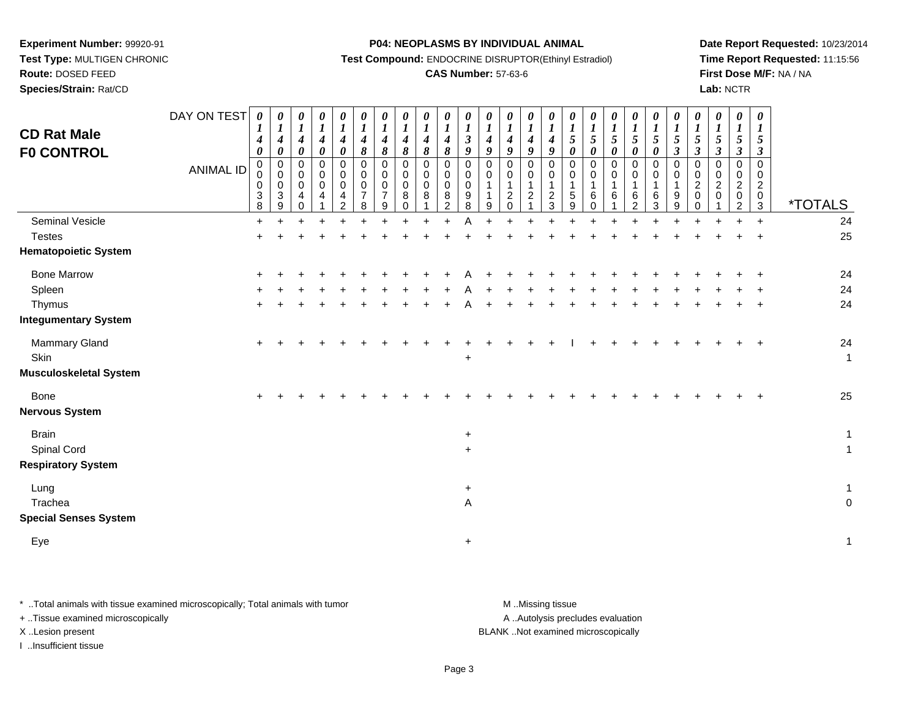**Route:** DOSED FEED**Species/Strain:** Rat/CD **P04: NEOPLASMS BY INDIVIDUAL ANIMAL**

**Test Compound:** ENDOCRINE DISRUPTOR(Ethinyl Estradiol)

### **CAS Number:** 57-63-6

**Date Report Requested:** 10/23/2014**Time Report Requested:** 11:15:56**First Dose M/F:** NA / NA**Lab:** NCTR

| <b>CD Rat Male</b><br><b>FO CONTROL</b>                               | DAY ON TEST<br><b>ANIMAL ID</b> | $\boldsymbol{\theta}$<br>$\bm{l}$<br>4<br>0<br>$\mathbf 0$<br>0<br>0<br>$\ensuremath{\mathsf{3}}$<br>8 | 0<br>$\boldsymbol{l}$<br>$\boldsymbol{4}$<br>$\pmb{\theta}$<br>$\pmb{0}$<br>$\pmb{0}$<br>$\pmb{0}$<br>$\mathbf{3}$<br>9 | 0<br>$\boldsymbol{l}$<br>$\boldsymbol{4}$<br>0<br>$\mathbf 0$<br>$\mathbf 0$<br>0<br>4<br>$\Omega$ | 0<br>$\boldsymbol{l}$<br>$\boldsymbol{4}$<br>$\boldsymbol{\theta}$<br>0<br>$\pmb{0}$<br>$\pmb{0}$<br>$\overline{4}$ | $\boldsymbol{\theta}$<br>$\boldsymbol{l}$<br>$\boldsymbol{4}$<br>$\pmb{\theta}$<br>$\pmb{0}$<br>$\pmb{0}$<br>$\pmb{0}$<br>4<br>2 | 0<br>$\boldsymbol{l}$<br>$\boldsymbol{4}$<br>$\pmb{8}$<br>$\pmb{0}$<br>$\pmb{0}$<br>$\pmb{0}$<br>$\overline{7}$<br>8 | $\boldsymbol{\theta}$<br>$\boldsymbol{l}$<br>$\boldsymbol{4}$<br>$\pmb{8}$<br>$\mathbf 0$<br>0<br>0<br>$\overline{7}$<br>9 | 0<br>$\boldsymbol{l}$<br>4<br>8<br>0<br>$\mathbf 0$<br>$\mathbf 0$<br>8<br>0 | $\boldsymbol{\theta}$<br>$\boldsymbol{l}$<br>4<br>8<br>$\mathbf 0$<br>0<br>$\Omega$<br>8 | 0<br>$\boldsymbol{l}$<br>$\boldsymbol{4}$<br>$\pmb{8}$<br>0<br>0<br>$\mathbf 0$<br>8<br>$\mathcal{P}$ | $\boldsymbol{\theta}$<br>$\boldsymbol{l}$<br>$\boldsymbol{\beta}$<br>$\boldsymbol{g}$<br>0<br>0<br>$\mathbf 0$<br>9<br>8 | 0<br>$\boldsymbol{l}$<br>$\boldsymbol{4}$<br>$\boldsymbol{9}$<br>0<br>0<br>$\mathbf{1}$<br>$\mathbf{1}$<br>9 | 0<br>$\boldsymbol{I}$<br>$\boldsymbol{4}$<br>9<br>$\mathbf 0$<br>0<br>$\mathbf 1$<br>$\overline{2}$<br>$\Omega$ | 0<br>$\boldsymbol{l}$<br>$\boldsymbol{4}$<br>9<br>$\mathbf 0$<br>0<br>1<br>$\overline{a}$ | 0<br>$\boldsymbol{l}$<br>$\boldsymbol{4}$<br>$\boldsymbol{9}$<br>$\mathbf 0$<br>0<br>$\overline{\mathbf{1}}$<br>$\overline{2}$<br>3 | 0<br>$\boldsymbol{l}$<br>$\sqrt{5}$<br>0<br>$\pmb{0}$<br>0<br>1<br>5<br>9 | 0<br>$\boldsymbol{l}$<br>$\sqrt{5}$<br>$\pmb{\theta}$<br>$\mathbf 0$<br>0<br>6<br>$\Omega$ | 0<br>$\boldsymbol{l}$<br>5<br>$\pmb{\theta}$<br>0<br>0<br>$\overline{A}$<br>6 | 0<br>$\boldsymbol{l}$<br>5<br>$\pmb{\theta}$<br>0<br>0<br>6<br>2 | 0<br>$\boldsymbol{l}$<br>5<br>$\pmb{\theta}$<br>$\pmb{0}$<br>0<br>$\mathbf{1}$<br>6<br>3 | 0<br>$\boldsymbol{l}$<br>$\sqrt{5}$<br>$\boldsymbol{\beta}$<br>$\pmb{0}$<br>0<br>1<br>9<br>9 | 0<br>$\boldsymbol{l}$<br>5<br>$\boldsymbol{\beta}$<br>0<br>0<br>$\overline{c}$<br>0<br>$\Omega$ | $\boldsymbol{\theta}$<br>$\boldsymbol{l}$<br>$\mathfrak{s}$<br>3<br>0<br>0<br>$\overline{c}$<br>$\mathbf 0$ | 0<br>$\boldsymbol{l}$<br>5<br>3<br>0<br>0<br>$\boldsymbol{2}$<br>$\mathbf 0$<br>$\mathfrak{p}$ | 0<br>$\boldsymbol{l}$<br>5<br>3<br>$\mathbf 0$<br>$\mathbf 0$<br>$\boldsymbol{2}$<br>$\mathbf 0$<br>$\mathbf{3}$ | <i><b>*TOTALS</b></i>         |
|-----------------------------------------------------------------------|---------------------------------|--------------------------------------------------------------------------------------------------------|-------------------------------------------------------------------------------------------------------------------------|----------------------------------------------------------------------------------------------------|---------------------------------------------------------------------------------------------------------------------|----------------------------------------------------------------------------------------------------------------------------------|----------------------------------------------------------------------------------------------------------------------|----------------------------------------------------------------------------------------------------------------------------|------------------------------------------------------------------------------|------------------------------------------------------------------------------------------|-------------------------------------------------------------------------------------------------------|--------------------------------------------------------------------------------------------------------------------------|--------------------------------------------------------------------------------------------------------------|-----------------------------------------------------------------------------------------------------------------|-------------------------------------------------------------------------------------------|-------------------------------------------------------------------------------------------------------------------------------------|---------------------------------------------------------------------------|--------------------------------------------------------------------------------------------|-------------------------------------------------------------------------------|------------------------------------------------------------------|------------------------------------------------------------------------------------------|----------------------------------------------------------------------------------------------|-------------------------------------------------------------------------------------------------|-------------------------------------------------------------------------------------------------------------|------------------------------------------------------------------------------------------------|------------------------------------------------------------------------------------------------------------------|-------------------------------|
| <b>Seminal Vesicle</b><br><b>Testes</b>                               |                                 | +<br>$\pm$                                                                                             |                                                                                                                         |                                                                                                    |                                                                                                                     |                                                                                                                                  |                                                                                                                      |                                                                                                                            |                                                                              |                                                                                          |                                                                                                       |                                                                                                                          |                                                                                                              |                                                                                                                 |                                                                                           |                                                                                                                                     |                                                                           |                                                                                            |                                                                               |                                                                  |                                                                                          |                                                                                              |                                                                                                 |                                                                                                             |                                                                                                | $\ddot{}$                                                                                                        | 24<br>25                      |
| <b>Hematopoietic System</b>                                           |                                 |                                                                                                        |                                                                                                                         |                                                                                                    |                                                                                                                     |                                                                                                                                  |                                                                                                                      |                                                                                                                            |                                                                              |                                                                                          |                                                                                                       |                                                                                                                          |                                                                                                              |                                                                                                                 |                                                                                           |                                                                                                                                     |                                                                           |                                                                                            |                                                                               |                                                                  |                                                                                          |                                                                                              |                                                                                                 |                                                                                                             |                                                                                                |                                                                                                                  |                               |
| <b>Bone Marrow</b><br>Spleen<br>Thymus<br><b>Integumentary System</b> |                                 |                                                                                                        |                                                                                                                         |                                                                                                    |                                                                                                                     |                                                                                                                                  |                                                                                                                      |                                                                                                                            |                                                                              |                                                                                          |                                                                                                       |                                                                                                                          |                                                                                                              |                                                                                                                 |                                                                                           |                                                                                                                                     |                                                                           |                                                                                            |                                                                               |                                                                  |                                                                                          |                                                                                              |                                                                                                 |                                                                                                             |                                                                                                |                                                                                                                  | 24<br>$24\,$<br>24            |
| Mammary Gland<br>Skin<br><b>Musculoskeletal System</b>                |                                 | +                                                                                                      |                                                                                                                         |                                                                                                    |                                                                                                                     |                                                                                                                                  |                                                                                                                      |                                                                                                                            |                                                                              |                                                                                          |                                                                                                       | $\ddot{}$                                                                                                                |                                                                                                              |                                                                                                                 |                                                                                           |                                                                                                                                     |                                                                           |                                                                                            |                                                                               |                                                                  |                                                                                          |                                                                                              |                                                                                                 |                                                                                                             |                                                                                                |                                                                                                                  | $24\,$<br>$\mathbf{1}$        |
| <b>Bone</b><br>Nervous System                                         |                                 |                                                                                                        |                                                                                                                         |                                                                                                    |                                                                                                                     |                                                                                                                                  |                                                                                                                      |                                                                                                                            |                                                                              |                                                                                          |                                                                                                       |                                                                                                                          |                                                                                                              |                                                                                                                 |                                                                                           |                                                                                                                                     |                                                                           |                                                                                            |                                                                               |                                                                  |                                                                                          |                                                                                              |                                                                                                 |                                                                                                             |                                                                                                |                                                                                                                  | 25                            |
| <b>Brain</b><br>Spinal Cord<br><b>Respiratory System</b>              |                                 |                                                                                                        |                                                                                                                         |                                                                                                    |                                                                                                                     |                                                                                                                                  |                                                                                                                      |                                                                                                                            |                                                                              |                                                                                          |                                                                                                       | $\ddot{}$<br>$\ddot{}$                                                                                                   |                                                                                                              |                                                                                                                 |                                                                                           |                                                                                                                                     |                                                                           |                                                                                            |                                                                               |                                                                  |                                                                                          |                                                                                              |                                                                                                 |                                                                                                             |                                                                                                |                                                                                                                  | $\mathbf 1$<br>$\overline{1}$ |
| Lung<br>Trachea<br><b>Special Senses System</b>                       |                                 |                                                                                                        |                                                                                                                         |                                                                                                    |                                                                                                                     |                                                                                                                                  |                                                                                                                      |                                                                                                                            |                                                                              |                                                                                          |                                                                                                       | $\ddot{}$<br>Α                                                                                                           |                                                                                                              |                                                                                                                 |                                                                                           |                                                                                                                                     |                                                                           |                                                                                            |                                                                               |                                                                  |                                                                                          |                                                                                              |                                                                                                 |                                                                                                             |                                                                                                |                                                                                                                  | $\mathbf{1}$<br>$\pmb{0}$     |
| Eye                                                                   |                                 |                                                                                                        |                                                                                                                         |                                                                                                    |                                                                                                                     |                                                                                                                                  |                                                                                                                      |                                                                                                                            |                                                                              |                                                                                          |                                                                                                       | $\ddot{}$                                                                                                                |                                                                                                              |                                                                                                                 |                                                                                           |                                                                                                                                     |                                                                           |                                                                                            |                                                                               |                                                                  |                                                                                          |                                                                                              |                                                                                                 |                                                                                                             |                                                                                                |                                                                                                                  | $\mathbf{1}$                  |
|                                                                       |                                 |                                                                                                        |                                                                                                                         |                                                                                                    |                                                                                                                     |                                                                                                                                  |                                                                                                                      |                                                                                                                            |                                                                              |                                                                                          |                                                                                                       |                                                                                                                          |                                                                                                              |                                                                                                                 |                                                                                           |                                                                                                                                     |                                                                           |                                                                                            |                                                                               |                                                                  |                                                                                          |                                                                                              |                                                                                                 |                                                                                                             |                                                                                                |                                                                                                                  |                               |

\* ..Total animals with tissue examined microscopically; Total animals with tumor **M** . Missing tissue M ..Missing tissue

+ ..Tissue examined microscopically

I ..Insufficient tissue

A ..Autolysis precludes evaluation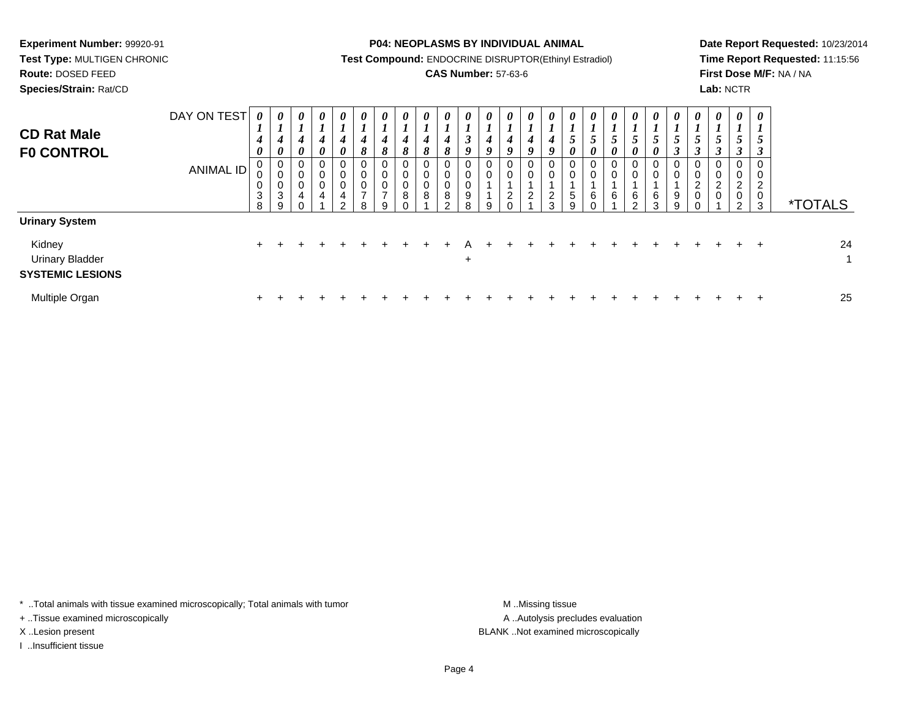**Species/Strain:** Rat/CD

#### **P04: NEOPLASMS BY INDIVIDUAL ANIMAL**

**Test Compound:** ENDOCRINE DISRUPTOR(Ethinyl Estradiol)

### **CAS Number:** 57-63-6

**Date Report Requested:** 10/23/2014**Time Report Requested:** 11:15:56**First Dose M/F:** NA / NA**Lab:** NCTR

| <b>CD Rat Male</b><br><b>FO CONTROL</b>                                              | DAY ON TEST<br><b>ANIMAL ID</b> | 0<br>L<br>$\boldsymbol{4}$<br>0<br>0<br>0<br>0<br>3<br>8 | $\boldsymbol{\theta}$<br>$\boldsymbol{l}$<br>$\boldsymbol{4}$<br>$\boldsymbol{\theta}$<br>$\mathbf 0$<br>0<br>$\mathbf 0$<br>3<br>9 | 0<br>4<br>0<br>0<br>0<br>0<br>4<br>⌒ | $\boldsymbol{\theta}$<br>4<br>$\boldsymbol{\theta}$<br>$\mathbf 0$<br>0<br>0<br>4 | $\boldsymbol{\theta}$<br>-1<br>$\overline{ }$<br>4<br>0<br>0<br>0<br>0<br>$\overline{\mathbf{4}}$<br>$\Omega$ | $\boldsymbol{\theta}$<br>┸<br>4<br>8<br>0<br>$\pmb{0}$<br>$\pmb{0}$<br>$\overline{\phantom{0}}$<br><sub>R</sub> | $\theta$<br>4<br>$\mathbf o$<br>0<br>0<br>0<br>$\overline{ }$<br>9 | $\boldsymbol{\theta}$<br>4<br>8<br>0<br>0<br>0<br>8<br>$\sim$ | $\theta$<br>$\boldsymbol{4}$<br>8<br>0<br>8 | $\boldsymbol{\theta}$<br>4<br>8<br>0<br>0<br>0<br>8<br>C | $\boldsymbol{\theta}$<br>$\rightarrow$<br>$\mathbf{J}$<br>O<br>$\mathbf 0$<br>0<br>0<br>9<br>8 | $\theta$<br>4<br>9<br>0<br>0<br>9 | $\boldsymbol{\theta}$<br>4<br>Q<br>0<br>$\mathbf 0$<br>$\overline{c}$<br>$\sim$ | $\boldsymbol{\theta}$<br>$\boldsymbol{4}$<br>O<br>0<br>0<br>$\overline{2}$ | $\boldsymbol{\theta}$<br>$\overline{ }$<br>4<br>9<br>0<br>0<br>$\overline{2}$<br>3 | $\boldsymbol{\theta}$<br>$\overline{ }$<br>Ć<br>0<br>0<br>0<br>$\mathbf 5$<br>$\Omega$ | $\boldsymbol{\theta}$<br>C<br>0<br>0<br>0<br>6 | $\boldsymbol{\theta}$<br>5<br>0<br>$\overline{0}$<br>0<br>6 | $\boldsymbol{\theta}$<br>$\overline{ }$<br>5<br>0<br>0<br>0<br>6<br>$\Omega$ | $\boldsymbol{\theta}$<br>$\overline{ }$<br>$\mathfrak{I}$<br>0<br>0<br>U<br>$\,6$<br>$\mathbf{r}$ | $\boldsymbol{\theta}$<br>5<br>$\rightarrow$<br>0<br>$\pmb{0}$<br>$^9_9$ | $\boldsymbol{\theta}$<br>L<br>5<br>J<br>$\pmb{0}$<br>$\mathbf 0$<br>$\boldsymbol{2}$<br>$\,0\,$<br>$\Omega$ | $\boldsymbol{\theta}$<br>J<br>0<br>0<br>$\overline{2}$<br>0 | $\boldsymbol{\theta}$<br>J<br>0<br>0<br>$\overline{2}$<br>0<br>ົ | $\boldsymbol{\theta}$<br>$\overline{ }$<br>J<br>J<br>0<br>C<br>0<br>3 | <i><b>*TOTALS</b></i> |
|--------------------------------------------------------------------------------------|---------------------------------|----------------------------------------------------------|-------------------------------------------------------------------------------------------------------------------------------------|--------------------------------------|-----------------------------------------------------------------------------------|---------------------------------------------------------------------------------------------------------------|-----------------------------------------------------------------------------------------------------------------|--------------------------------------------------------------------|---------------------------------------------------------------|---------------------------------------------|----------------------------------------------------------|------------------------------------------------------------------------------------------------|-----------------------------------|---------------------------------------------------------------------------------|----------------------------------------------------------------------------|------------------------------------------------------------------------------------|----------------------------------------------------------------------------------------|------------------------------------------------|-------------------------------------------------------------|------------------------------------------------------------------------------|---------------------------------------------------------------------------------------------------|-------------------------------------------------------------------------|-------------------------------------------------------------------------------------------------------------|-------------------------------------------------------------|------------------------------------------------------------------|-----------------------------------------------------------------------|-----------------------|
| <b>Urinary System</b><br>Kidney<br><b>Urinary Bladder</b><br><b>SYSTEMIC LESIONS</b> |                                 | $+$                                                      | $\div$                                                                                                                              |                                      |                                                                                   |                                                                                                               |                                                                                                                 |                                                                    |                                                               |                                             |                                                          | $\ddot{}$                                                                                      |                                   |                                                                                 |                                                                            |                                                                                    |                                                                                        |                                                |                                                             |                                                                              |                                                                                                   |                                                                         |                                                                                                             |                                                             |                                                                  | $\ddot{}$                                                             | 24<br>1               |
| Multiple Organ                                                                       |                                 |                                                          |                                                                                                                                     |                                      |                                                                                   |                                                                                                               |                                                                                                                 |                                                                    |                                                               |                                             |                                                          |                                                                                                |                                   |                                                                                 |                                                                            |                                                                                    |                                                                                        |                                                |                                                             |                                                                              |                                                                                                   |                                                                         |                                                                                                             |                                                             |                                                                  |                                                                       | 25                    |

\* ..Total animals with tissue examined microscopically; Total animals with tumor **M** . Missing tissue M ..Missing tissue

+ ..Tissue examined microscopically

I ..Insufficient tissue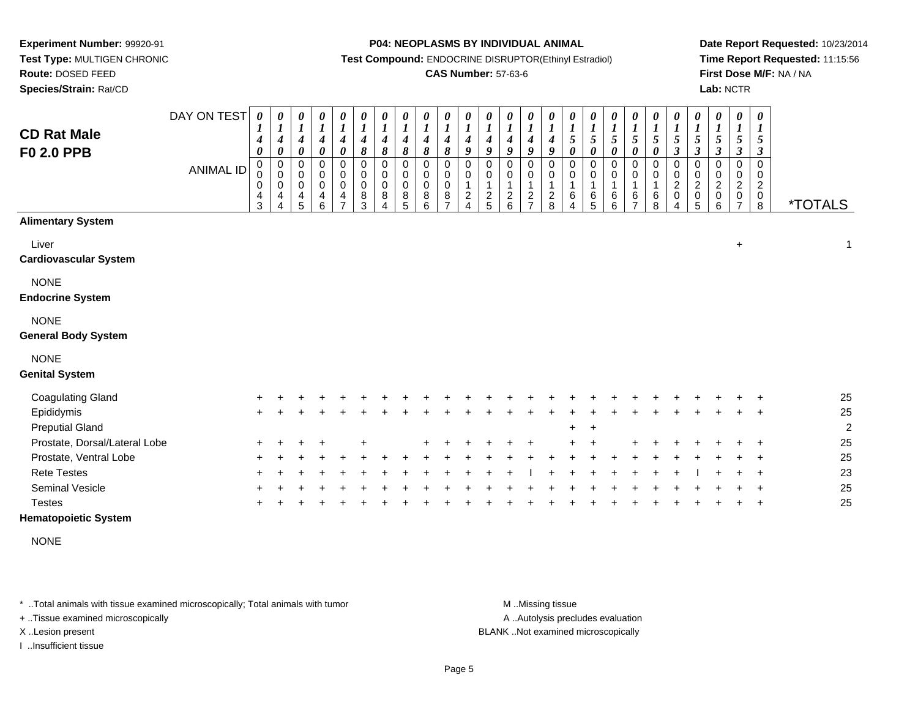**Species/Strain:** Rat/CD

#### **P04: NEOPLASMS BY INDIVIDUAL ANIMAL**

**Test Compound:** ENDOCRINE DISRUPTOR(Ethinyl Estradiol)

### **CAS Number:** 57-63-6

**Date Report Requested:** 10/23/2014**Time Report Requested:** 11:15:56**First Dose M/F:** NA / NA**Lab:** NCTR

| <b>CD Rat Male</b><br><b>F0 2.0 PPB</b>   | DAY ON TEST<br><b>ANIMAL ID</b> | $\pmb{\theta}$<br>$\boldsymbol{4}$<br>0<br>$\pmb{0}$<br>0<br>$\,0\,$<br>$\overline{\mathbf{4}}$<br>3 | $\boldsymbol{\theta}$<br>$\boldsymbol{l}$<br>$\boldsymbol{4}$<br>$\boldsymbol{\theta}$<br>$\mathbf 0$<br>0<br>$\pmb{0}$<br>4<br>4 | 0<br>$\boldsymbol{l}$<br>$\boldsymbol{4}$<br>0<br>0<br>0<br>0<br>4<br>5 | $\pmb{\theta}$<br>$\boldsymbol{l}$<br>$\boldsymbol{4}$<br>$\boldsymbol{\theta}$<br>$\pmb{0}$<br>0<br>$\pmb{0}$<br>4<br>6 | 0<br>$\boldsymbol{l}$<br>4<br>0<br>0<br>$\pmb{0}$<br>$\pmb{0}$<br>4<br>$\overline{7}$ | $\pmb{\theta}$<br>$\boldsymbol{l}$<br>$\boldsymbol{4}$<br>$\pmb{8}$<br>0<br>0<br>$\pmb{0}$<br>$\bf 8$<br>3 | $\pmb{\theta}$<br>$\boldsymbol{l}$<br>$\boldsymbol{4}$<br>8<br>$\mathbf 0$<br>$\pmb{0}$<br>$\pmb{0}$<br>8<br>4 | 0<br>$\boldsymbol{l}$<br>$\boldsymbol{4}$<br>8<br>$\pmb{0}$<br>$\pmb{0}$<br>$\pmb{0}$<br>$\bf 8$<br>5 | 0<br>$\boldsymbol{l}$<br>$\boldsymbol{4}$<br>8<br>$\pmb{0}$<br>0<br>$\pmb{0}$<br>8<br>6 | 0<br>$\boldsymbol{l}$<br>$\boldsymbol{4}$<br>8<br>$\Omega$<br>0<br>0<br>$\,8\,$ | $\pmb{\theta}$<br>$\boldsymbol{l}$<br>4<br>9<br>$\mathbf 0$<br>0<br>$\overline{c}$<br>4 | 0<br>$\boldsymbol{l}$<br>4<br>9<br>0<br>0<br>1<br>$rac{2}{5}$ | 0<br>$\boldsymbol{l}$<br>$\boldsymbol{4}$<br>9<br>0<br>0<br>$\mathbf{1}$<br>$\frac{2}{6}$ | $\pmb{\theta}$<br>$\boldsymbol{l}$<br>$\boldsymbol{4}$<br>9<br>$\mathbf 0$<br>$\mathbf 0$<br>$\mathbf{1}$<br>$\frac{2}{7}$ | $\pmb{\theta}$<br>$\boldsymbol{l}$<br>$\boldsymbol{4}$<br>9<br>$\pmb{0}$<br>0<br>$\mathbf 1$<br>$^2_8$ | $\boldsymbol{\theta}$<br>$\boldsymbol{l}$<br>$\mathfrak{z}$<br>$\boldsymbol{\theta}$<br>0<br>0<br>$\mathbf{1}$<br>$\,6\,$<br>4 | 0<br>$\boldsymbol{l}$<br>5<br>0<br>$\mathbf 0$<br>0<br>$\mathbf{1}$<br>$\,6$<br>5 | $\pmb{\theta}$<br>$\boldsymbol{l}$<br>5<br>0<br>$\pmb{0}$<br>0<br>$\mathbf 1$<br>6<br>6 | 0<br>$\boldsymbol{l}$<br>5<br>0<br>0<br>0<br>$\mathbf{1}$<br>6<br>$\overline{7}$ | 0<br>$\boldsymbol{l}$<br>$\mathfrak{s}$<br>0<br>0<br>$\pmb{0}$<br>$\mathbf 1$<br>6<br>8 | $\pmb{\theta}$<br>$\boldsymbol{l}$<br>5<br>$\mathfrak{z}$<br>$\pmb{0}$<br>$\pmb{0}$<br>$\overline{c}$<br>$\pmb{0}$<br>4 | $\pmb{\theta}$<br>$\boldsymbol{l}$<br>5<br>$\boldsymbol{\beta}$<br>$\pmb{0}$<br>0<br>$\overline{c}$<br>$\mathsf 0$<br>5 | $\boldsymbol{\theta}$<br>$\boldsymbol{l}$<br>5<br>$\boldsymbol{\beta}$<br>0<br>0<br>$\overline{c}$<br>$\pmb{0}$<br>6 | 0<br>$\boldsymbol{l}$<br>$\mathfrak{s}$<br>$\boldsymbol{\beta}$<br>$\Omega$<br>0<br>$\overline{c}$<br>$\pmb{0}$<br>$\overline{7}$ | $\boldsymbol{\theta}$<br>$\boldsymbol{l}$<br>5<br>3<br>$\Omega$<br>0<br>$\boldsymbol{2}$<br>$\pmb{0}$<br>$\bf8$ | <i><b>*TOTALS</b></i> |
|-------------------------------------------|---------------------------------|------------------------------------------------------------------------------------------------------|-----------------------------------------------------------------------------------------------------------------------------------|-------------------------------------------------------------------------|--------------------------------------------------------------------------------------------------------------------------|---------------------------------------------------------------------------------------|------------------------------------------------------------------------------------------------------------|----------------------------------------------------------------------------------------------------------------|-------------------------------------------------------------------------------------------------------|-----------------------------------------------------------------------------------------|---------------------------------------------------------------------------------|-----------------------------------------------------------------------------------------|---------------------------------------------------------------|-------------------------------------------------------------------------------------------|----------------------------------------------------------------------------------------------------------------------------|--------------------------------------------------------------------------------------------------------|--------------------------------------------------------------------------------------------------------------------------------|-----------------------------------------------------------------------------------|-----------------------------------------------------------------------------------------|----------------------------------------------------------------------------------|-----------------------------------------------------------------------------------------|-------------------------------------------------------------------------------------------------------------------------|-------------------------------------------------------------------------------------------------------------------------|----------------------------------------------------------------------------------------------------------------------|-----------------------------------------------------------------------------------------------------------------------------------|-----------------------------------------------------------------------------------------------------------------|-----------------------|
| <b>Alimentary System</b>                  |                                 |                                                                                                      |                                                                                                                                   |                                                                         |                                                                                                                          |                                                                                       |                                                                                                            |                                                                                                                |                                                                                                       |                                                                                         |                                                                                 |                                                                                         |                                                               |                                                                                           |                                                                                                                            |                                                                                                        |                                                                                                                                |                                                                                   |                                                                                         |                                                                                  |                                                                                         |                                                                                                                         |                                                                                                                         |                                                                                                                      |                                                                                                                                   |                                                                                                                 |                       |
| Liver<br><b>Cardiovascular System</b>     |                                 |                                                                                                      |                                                                                                                                   |                                                                         |                                                                                                                          |                                                                                       |                                                                                                            |                                                                                                                |                                                                                                       |                                                                                         |                                                                                 |                                                                                         |                                                               |                                                                                           |                                                                                                                            |                                                                                                        |                                                                                                                                |                                                                                   |                                                                                         |                                                                                  |                                                                                         |                                                                                                                         |                                                                                                                         |                                                                                                                      | $\ddot{}$                                                                                                                         |                                                                                                                 | 1                     |
| <b>NONE</b><br><b>Endocrine System</b>    |                                 |                                                                                                      |                                                                                                                                   |                                                                         |                                                                                                                          |                                                                                       |                                                                                                            |                                                                                                                |                                                                                                       |                                                                                         |                                                                                 |                                                                                         |                                                               |                                                                                           |                                                                                                                            |                                                                                                        |                                                                                                                                |                                                                                   |                                                                                         |                                                                                  |                                                                                         |                                                                                                                         |                                                                                                                         |                                                                                                                      |                                                                                                                                   |                                                                                                                 |                       |
| <b>NONE</b><br><b>General Body System</b> |                                 |                                                                                                      |                                                                                                                                   |                                                                         |                                                                                                                          |                                                                                       |                                                                                                            |                                                                                                                |                                                                                                       |                                                                                         |                                                                                 |                                                                                         |                                                               |                                                                                           |                                                                                                                            |                                                                                                        |                                                                                                                                |                                                                                   |                                                                                         |                                                                                  |                                                                                         |                                                                                                                         |                                                                                                                         |                                                                                                                      |                                                                                                                                   |                                                                                                                 |                       |
| <b>NONE</b><br><b>Genital System</b>      |                                 |                                                                                                      |                                                                                                                                   |                                                                         |                                                                                                                          |                                                                                       |                                                                                                            |                                                                                                                |                                                                                                       |                                                                                         |                                                                                 |                                                                                         |                                                               |                                                                                           |                                                                                                                            |                                                                                                        |                                                                                                                                |                                                                                   |                                                                                         |                                                                                  |                                                                                         |                                                                                                                         |                                                                                                                         |                                                                                                                      |                                                                                                                                   |                                                                                                                 |                       |
| <b>Coagulating Gland</b>                  |                                 |                                                                                                      |                                                                                                                                   |                                                                         |                                                                                                                          |                                                                                       |                                                                                                            |                                                                                                                |                                                                                                       |                                                                                         |                                                                                 |                                                                                         |                                                               |                                                                                           |                                                                                                                            |                                                                                                        |                                                                                                                                |                                                                                   |                                                                                         |                                                                                  |                                                                                         |                                                                                                                         |                                                                                                                         |                                                                                                                      |                                                                                                                                   |                                                                                                                 | 25                    |
| Epididymis                                |                                 | $\pm$                                                                                                |                                                                                                                                   |                                                                         |                                                                                                                          |                                                                                       |                                                                                                            |                                                                                                                |                                                                                                       |                                                                                         |                                                                                 |                                                                                         |                                                               |                                                                                           |                                                                                                                            |                                                                                                        |                                                                                                                                |                                                                                   |                                                                                         |                                                                                  |                                                                                         |                                                                                                                         |                                                                                                                         |                                                                                                                      |                                                                                                                                   |                                                                                                                 | 25                    |
| <b>Preputial Gland</b>                    |                                 |                                                                                                      |                                                                                                                                   |                                                                         |                                                                                                                          |                                                                                       |                                                                                                            |                                                                                                                |                                                                                                       |                                                                                         |                                                                                 |                                                                                         |                                                               |                                                                                           |                                                                                                                            |                                                                                                        |                                                                                                                                |                                                                                   |                                                                                         |                                                                                  |                                                                                         |                                                                                                                         |                                                                                                                         |                                                                                                                      |                                                                                                                                   |                                                                                                                 | $\overline{2}$        |
| Prostate, Dorsal/Lateral Lobe             |                                 |                                                                                                      |                                                                                                                                   |                                                                         |                                                                                                                          |                                                                                       |                                                                                                            |                                                                                                                |                                                                                                       |                                                                                         |                                                                                 |                                                                                         |                                                               |                                                                                           |                                                                                                                            |                                                                                                        |                                                                                                                                |                                                                                   |                                                                                         |                                                                                  |                                                                                         |                                                                                                                         |                                                                                                                         |                                                                                                                      |                                                                                                                                   |                                                                                                                 | 25                    |
| Prostate, Ventral Lobe                    |                                 |                                                                                                      |                                                                                                                                   |                                                                         |                                                                                                                          |                                                                                       |                                                                                                            |                                                                                                                |                                                                                                       |                                                                                         |                                                                                 |                                                                                         |                                                               |                                                                                           |                                                                                                                            |                                                                                                        |                                                                                                                                |                                                                                   |                                                                                         |                                                                                  |                                                                                         |                                                                                                                         |                                                                                                                         |                                                                                                                      |                                                                                                                                   |                                                                                                                 | 25                    |
| <b>Rete Testes</b>                        |                                 |                                                                                                      |                                                                                                                                   |                                                                         |                                                                                                                          |                                                                                       |                                                                                                            |                                                                                                                |                                                                                                       |                                                                                         |                                                                                 |                                                                                         |                                                               |                                                                                           |                                                                                                                            |                                                                                                        |                                                                                                                                |                                                                                   |                                                                                         |                                                                                  |                                                                                         |                                                                                                                         |                                                                                                                         |                                                                                                                      |                                                                                                                                   |                                                                                                                 | 23                    |
| Seminal Vesicle                           |                                 |                                                                                                      |                                                                                                                                   |                                                                         |                                                                                                                          |                                                                                       |                                                                                                            |                                                                                                                |                                                                                                       |                                                                                         |                                                                                 |                                                                                         |                                                               |                                                                                           |                                                                                                                            |                                                                                                        |                                                                                                                                |                                                                                   |                                                                                         |                                                                                  |                                                                                         |                                                                                                                         |                                                                                                                         |                                                                                                                      |                                                                                                                                   |                                                                                                                 | 25                    |
| <b>Testes</b>                             |                                 |                                                                                                      |                                                                                                                                   |                                                                         |                                                                                                                          |                                                                                       |                                                                                                            |                                                                                                                |                                                                                                       |                                                                                         |                                                                                 |                                                                                         |                                                               |                                                                                           |                                                                                                                            |                                                                                                        |                                                                                                                                |                                                                                   |                                                                                         |                                                                                  |                                                                                         |                                                                                                                         |                                                                                                                         |                                                                                                                      |                                                                                                                                   |                                                                                                                 | 25                    |

**Hematopoietic System**

NONE

\* ..Total animals with tissue examined microscopically; Total animals with tumor **M** . Missing tissue M ..Missing tissue

+ ..Tissue examined microscopically

I ..Insufficient tissue

A ..Autolysis precludes evaluation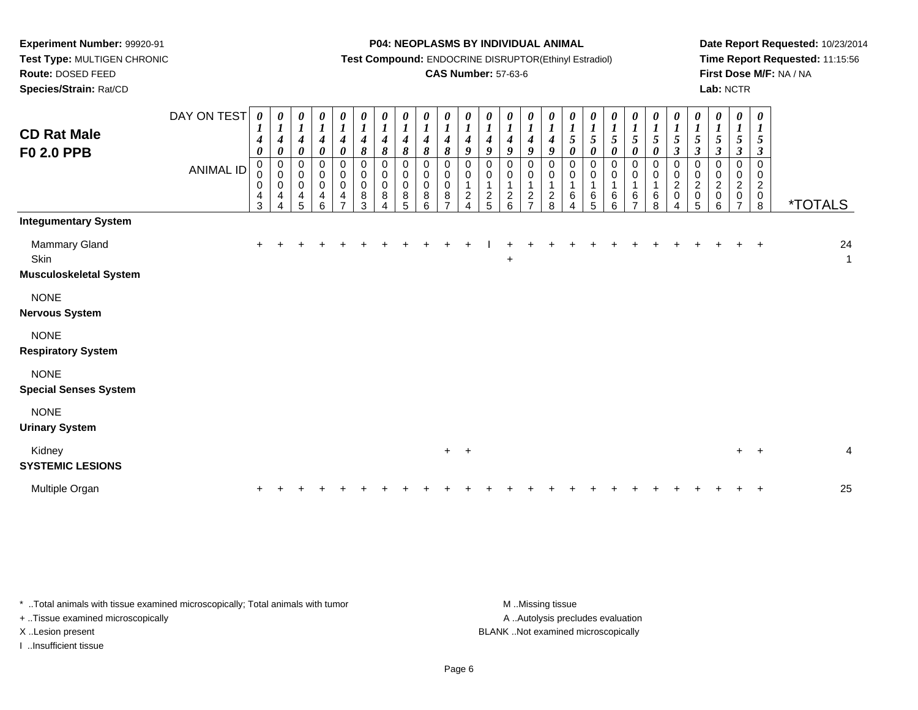**Route:** DOSED FEED**Species/Strain:** Rat/CD

#### **P04: NEOPLASMS BY INDIVIDUAL ANIMAL**

**Test Compound:** ENDOCRINE DISRUPTOR(Ethinyl Estradiol)

### **CAS Number:** 57-63-6

**Date Report Requested:** 10/23/2014**Time Report Requested:** 11:15:56**First Dose M/F:** NA / NA**Lab:** NCTR

| <b>CD Rat Male</b><br><b>F0 2.0 PPB</b>                | DAY ON TEST<br><b>ANIMAL ID</b> | 0<br>$\boldsymbol{I}$<br>$\boldsymbol{4}$<br>$\boldsymbol{\theta}$<br>$\mathbf 0$<br>0<br>0<br>$\overline{\mathbf{4}}$<br>3 | 0<br>$\boldsymbol{l}$<br>$\boldsymbol{4}$<br>$\boldsymbol{\theta}$<br>$\mathbf 0$<br>$\mathbf 0$<br>0<br>$\overline{4}$<br>4 | $\boldsymbol{\theta}$<br>$\boldsymbol{l}$<br>$\boldsymbol{4}$<br>$\boldsymbol{\theta}$<br>$\pmb{0}$<br>$\mathbf 0$<br>$\pmb{0}$<br>4<br>5 | $\begin{matrix} 0 \\ 1 \end{matrix}$<br>$\boldsymbol{4}$<br>$\pmb{\theta}$<br>$\pmb{0}$<br>$_{\rm 0}^{\rm 0}$<br>$\overline{4}$<br>$6\phantom{1}$ | $\boldsymbol{\theta}$<br>$\boldsymbol{l}$<br>$\boldsymbol{4}$<br>$\boldsymbol{\theta}$<br>0<br>0<br>$\pmb{0}$<br>$\overline{4}$<br>$\overline{z}$ | 0<br>$\boldsymbol{l}$<br>$\boldsymbol{4}$<br>8<br>0<br>0<br>$\pmb{0}$<br>$\bf 8$<br>3 | 0<br>$\boldsymbol{l}$<br>$\boldsymbol{4}$<br>$\pmb{8}$<br>0<br>$\boldsymbol{0}$<br>$\pmb{0}$<br>8<br>Δ | 0<br>$\boldsymbol{l}$<br>4<br>8<br>$\mathbf 0$<br>0<br>$\mathbf 0$<br>8<br>5 | 0<br>$\boldsymbol{l}$<br>$\boldsymbol{4}$<br>8<br>$\mathbf 0$<br>0<br>0<br>8<br>6 | 0<br>$\boldsymbol{l}$<br>$\boldsymbol{4}$<br>8<br>$\Omega$<br>0<br>$\mathbf 0$<br>8<br>$\overline{ }$ | 0<br>$\boldsymbol{l}$<br>$\boldsymbol{4}$<br>9<br>0<br>0<br>$\overline{c}$<br>4 | 0<br>$\boldsymbol{l}$<br>$\boldsymbol{4}$<br>9<br>$\Omega$<br>0<br>$\overline{a}$<br>5 | 0<br>$\boldsymbol{l}$<br>$\boldsymbol{4}$<br>9<br>0<br>0<br>$\mathbf{1}$<br>$\overline{c}$<br>$6\phantom{a}$ | 0<br>$\boldsymbol{l}$<br>$\boldsymbol{4}$<br>9<br>$\mathbf 0$<br>0<br>$\mathbf 1$<br>$\overline{c}$<br>$\overline{z}$ | 0<br>$\boldsymbol{l}$<br>$\boldsymbol{4}$<br>9<br>0<br>0<br>1<br>$\frac{2}{8}$ | 0<br>$\boldsymbol{l}$<br>$\mathfrak{s}$<br>$\boldsymbol{\theta}$<br>$\mathbf 0$<br>0<br>-1<br>6 | 0<br>$\boldsymbol{l}$<br>5<br>0<br>$\Omega$<br>0<br>$\mathbf 1$<br>6<br>5 | 0<br>$\boldsymbol{l}$<br>$\sqrt{5}$<br>$\boldsymbol{\theta}$<br>$\pmb{0}$<br>0<br>6<br>6 | 0<br>$\boldsymbol{l}$<br>$\mathfrak{s}$<br>$\boldsymbol{\theta}$<br>0<br>0<br>$\mathbf{1}$<br>6<br>$\overline{ }$ | $\boldsymbol{\theta}$<br>$\boldsymbol{l}$<br>$\mathfrak{s}$<br>$\boldsymbol{\theta}$<br>0<br>0<br>$\mathbf 1$<br>6<br>8 | 0<br>$\boldsymbol{l}$<br>5<br>$\mathfrak{z}$<br>$\mathbf 0$<br>0<br>$\overline{c}$<br>$\pmb{0}$ | 0<br>$\boldsymbol{l}$<br>5<br>$\mathfrak{z}$<br>$\pmb{0}$<br>0<br>$\overline{c}$<br>$\pmb{0}$<br>5 | $\boldsymbol{\theta}$<br>$\boldsymbol{l}$<br>$\mathfrak{s}$<br>$\mathfrak{z}$<br>0<br>0<br>$\overline{c}$<br>$\pmb{0}$<br>6 | 0<br>$\boldsymbol{l}$<br>$\sqrt{5}$<br>$\mathfrak{z}$<br>$\Omega$<br>0<br>$\overline{c}$<br>0<br>$\overline{7}$ | $\boldsymbol{\theta}$<br>$\boldsymbol{l}$<br>5<br>$\boldsymbol{\beta}$<br>$\mathbf 0$<br>0<br>$\overline{c}$<br>$\mathbf 0$<br>8 | <i><b>*TOTALS</b></i> |
|--------------------------------------------------------|---------------------------------|-----------------------------------------------------------------------------------------------------------------------------|------------------------------------------------------------------------------------------------------------------------------|-------------------------------------------------------------------------------------------------------------------------------------------|---------------------------------------------------------------------------------------------------------------------------------------------------|---------------------------------------------------------------------------------------------------------------------------------------------------|---------------------------------------------------------------------------------------|--------------------------------------------------------------------------------------------------------|------------------------------------------------------------------------------|-----------------------------------------------------------------------------------|-------------------------------------------------------------------------------------------------------|---------------------------------------------------------------------------------|----------------------------------------------------------------------------------------|--------------------------------------------------------------------------------------------------------------|-----------------------------------------------------------------------------------------------------------------------|--------------------------------------------------------------------------------|-------------------------------------------------------------------------------------------------|---------------------------------------------------------------------------|------------------------------------------------------------------------------------------|-------------------------------------------------------------------------------------------------------------------|-------------------------------------------------------------------------------------------------------------------------|-------------------------------------------------------------------------------------------------|----------------------------------------------------------------------------------------------------|-----------------------------------------------------------------------------------------------------------------------------|-----------------------------------------------------------------------------------------------------------------|----------------------------------------------------------------------------------------------------------------------------------|-----------------------|
| <b>Integumentary System</b>                            |                                 |                                                                                                                             |                                                                                                                              |                                                                                                                                           |                                                                                                                                                   |                                                                                                                                                   |                                                                                       |                                                                                                        |                                                                              |                                                                                   |                                                                                                       |                                                                                 |                                                                                        |                                                                                                              |                                                                                                                       |                                                                                |                                                                                                 |                                                                           |                                                                                          |                                                                                                                   |                                                                                                                         |                                                                                                 |                                                                                                    |                                                                                                                             |                                                                                                                 |                                                                                                                                  |                       |
| Mammary Gland<br>Skin<br><b>Musculoskeletal System</b> |                                 | $\ddot{}$                                                                                                                   |                                                                                                                              |                                                                                                                                           |                                                                                                                                                   |                                                                                                                                                   |                                                                                       |                                                                                                        |                                                                              |                                                                                   |                                                                                                       |                                                                                 |                                                                                        | +                                                                                                            |                                                                                                                       |                                                                                |                                                                                                 |                                                                           |                                                                                          |                                                                                                                   |                                                                                                                         |                                                                                                 |                                                                                                    |                                                                                                                             |                                                                                                                 | $+$                                                                                                                              | 24<br>$\mathbf{1}$    |
| <b>NONE</b><br><b>Nervous System</b>                   |                                 |                                                                                                                             |                                                                                                                              |                                                                                                                                           |                                                                                                                                                   |                                                                                                                                                   |                                                                                       |                                                                                                        |                                                                              |                                                                                   |                                                                                                       |                                                                                 |                                                                                        |                                                                                                              |                                                                                                                       |                                                                                |                                                                                                 |                                                                           |                                                                                          |                                                                                                                   |                                                                                                                         |                                                                                                 |                                                                                                    |                                                                                                                             |                                                                                                                 |                                                                                                                                  |                       |
| <b>NONE</b><br><b>Respiratory System</b>               |                                 |                                                                                                                             |                                                                                                                              |                                                                                                                                           |                                                                                                                                                   |                                                                                                                                                   |                                                                                       |                                                                                                        |                                                                              |                                                                                   |                                                                                                       |                                                                                 |                                                                                        |                                                                                                              |                                                                                                                       |                                                                                |                                                                                                 |                                                                           |                                                                                          |                                                                                                                   |                                                                                                                         |                                                                                                 |                                                                                                    |                                                                                                                             |                                                                                                                 |                                                                                                                                  |                       |
| <b>NONE</b><br><b>Special Senses System</b>            |                                 |                                                                                                                             |                                                                                                                              |                                                                                                                                           |                                                                                                                                                   |                                                                                                                                                   |                                                                                       |                                                                                                        |                                                                              |                                                                                   |                                                                                                       |                                                                                 |                                                                                        |                                                                                                              |                                                                                                                       |                                                                                |                                                                                                 |                                                                           |                                                                                          |                                                                                                                   |                                                                                                                         |                                                                                                 |                                                                                                    |                                                                                                                             |                                                                                                                 |                                                                                                                                  |                       |
| <b>NONE</b><br><b>Urinary System</b>                   |                                 |                                                                                                                             |                                                                                                                              |                                                                                                                                           |                                                                                                                                                   |                                                                                                                                                   |                                                                                       |                                                                                                        |                                                                              |                                                                                   |                                                                                                       |                                                                                 |                                                                                        |                                                                                                              |                                                                                                                       |                                                                                |                                                                                                 |                                                                           |                                                                                          |                                                                                                                   |                                                                                                                         |                                                                                                 |                                                                                                    |                                                                                                                             |                                                                                                                 |                                                                                                                                  |                       |
| Kidney<br><b>SYSTEMIC LESIONS</b>                      |                                 |                                                                                                                             |                                                                                                                              |                                                                                                                                           |                                                                                                                                                   |                                                                                                                                                   |                                                                                       |                                                                                                        |                                                                              |                                                                                   | $+$ $+$                                                                                               |                                                                                 |                                                                                        |                                                                                                              |                                                                                                                       |                                                                                |                                                                                                 |                                                                           |                                                                                          |                                                                                                                   |                                                                                                                         |                                                                                                 |                                                                                                    |                                                                                                                             |                                                                                                                 | $+$ $+$                                                                                                                          | $\overline{4}$        |
| Multiple Organ                                         |                                 |                                                                                                                             |                                                                                                                              |                                                                                                                                           |                                                                                                                                                   |                                                                                                                                                   |                                                                                       |                                                                                                        |                                                                              |                                                                                   |                                                                                                       |                                                                                 |                                                                                        |                                                                                                              |                                                                                                                       |                                                                                |                                                                                                 |                                                                           |                                                                                          |                                                                                                                   |                                                                                                                         |                                                                                                 |                                                                                                    |                                                                                                                             |                                                                                                                 |                                                                                                                                  | 25                    |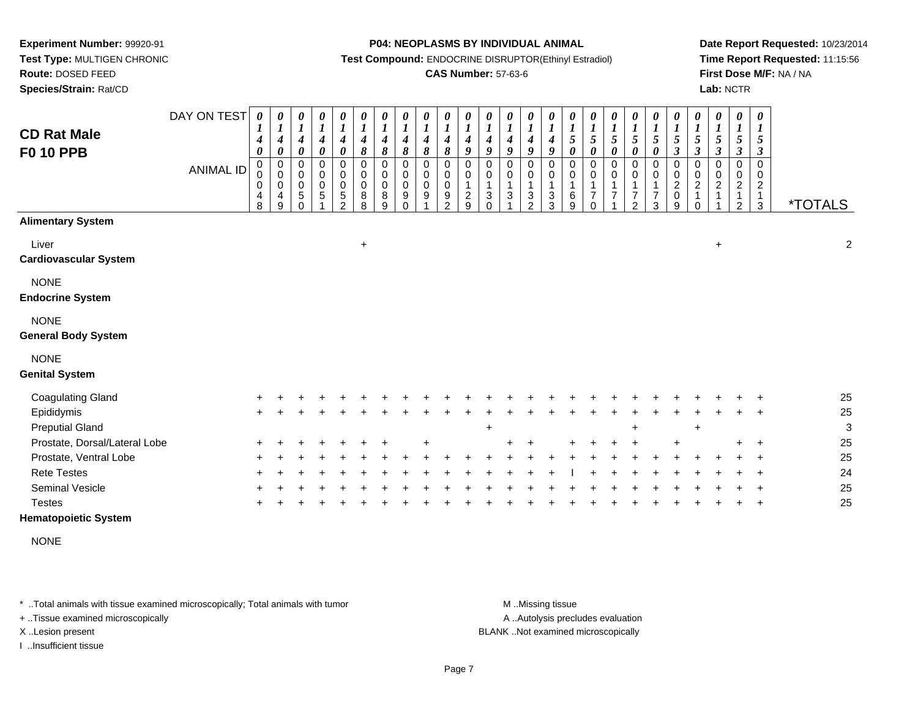**Route:** DOSED FEED

**Species/Strain:** Rat/CD

#### **P04: NEOPLASMS BY INDIVIDUAL ANIMAL**

**Test Compound:** ENDOCRINE DISRUPTOR(Ethinyl Estradiol)

### **CAS Number:** 57-63-6

**Date Report Requested:** 10/23/2014**Time Report Requested:** 11:15:56**First Dose M/F:** NA / NA**Lab:** NCTR

| <b>CD Rat Male</b><br><b>F0 10 PPB</b>    | DAY ON TEST<br><b>ANIMAL ID</b> | 0<br>1<br>$\boldsymbol{4}$<br>0<br>$\pmb{0}$<br>0<br>$\overline{4}$<br>8 | $\boldsymbol{\theta}$<br>$\boldsymbol{l}$<br>$\boldsymbol{4}$<br>$\boldsymbol{\theta}$<br>$\pmb{0}$<br>$\mathbf 0$<br>$\mathbf 0$<br>4<br>9 | 0<br>$\boldsymbol{l}$<br>$\boldsymbol{4}$<br>$\pmb{\theta}$<br>0<br>0<br>0<br>5<br>$\Omega$ | $\boldsymbol{\theta}$<br>$\boldsymbol{l}$<br>$\boldsymbol{4}$<br>$\pmb{\theta}$<br>0<br>$\pmb{0}$<br>$\pmb{0}$<br>$\,$ 5 $\,$ | 0<br>$\boldsymbol{l}$<br>$\boldsymbol{4}$<br>$\pmb{\theta}$<br>0<br>0<br>$\mathsf 0$<br>5<br>$\mathcal{P}$ | 0<br>$\boldsymbol{l}$<br>$\boldsymbol{4}$<br>$\pmb{8}$<br>$\mathbf 0$<br>0<br>$\mathbf 0$<br>8<br>8 | 0<br>$\boldsymbol{l}$<br>$\boldsymbol{4}$<br>$\pmb{8}$<br>0<br>0<br>$\mathsf{O}\xspace$<br>$\bf8$<br>9 | $\boldsymbol{\theta}$<br>$\boldsymbol{l}$<br>$\boldsymbol{4}$<br>8<br>$\mathbf 0$<br>0<br>$\pmb{0}$<br>9<br>$\Omega$ | 0<br>$\boldsymbol{l}$<br>$\boldsymbol{4}$<br>8<br>$\mathbf 0$<br>0<br>$\pmb{0}$<br>9 | $\pmb{\theta}$<br>$\boldsymbol{l}$<br>$\boldsymbol{4}$<br>$\pmb{8}$<br>$\mathbf 0$<br>0<br>$\pmb{0}$<br>9<br>$\mathfrak{p}$ | 0<br>$\boldsymbol{l}$<br>4<br>9<br>$\mathbf 0$<br>0<br>1<br>$\overline{\mathbf{c}}$<br>9 | 0<br>$\boldsymbol{l}$<br>$\boldsymbol{4}$<br>9<br>0<br>0<br>3<br>$\Omega$ | $\pmb{\theta}$<br>$\boldsymbol{l}$<br>4<br>9<br>0<br>$\mathbf 0$<br>$\mathbf{1}$<br>3 | 0<br>$\boldsymbol{l}$<br>$\boldsymbol{4}$<br>9<br>0<br>$\pmb{0}$<br>1<br>$\ensuremath{\mathsf{3}}$<br>$\overline{2}$ | 0<br>$\boldsymbol{l}$<br>$\boldsymbol{4}$<br>9<br>0<br>0<br>$\mathbf{1}$<br>3<br>3 | $\boldsymbol{\theta}$<br>$\boldsymbol{l}$<br>$\mathfrak{s}$<br>$\pmb{\theta}$<br>0<br>0<br>$\mathbf{1}$<br>6<br>9 | $\boldsymbol{\theta}$<br>$\boldsymbol{l}$<br>$\mathfrak{s}$<br>$\boldsymbol{\theta}$<br>$\boldsymbol{0}$<br>$\mathbf 0$<br>$\mathbf 1$<br>$\overline{7}$<br>$\Omega$ | $\pmb{\theta}$<br>$\boldsymbol{l}$<br>$\mathfrak{s}$<br>$\boldsymbol{\theta}$<br>$\pmb{0}$<br>$\mathbf 0$<br>$\overline{7}$ | 0<br>$\boldsymbol{l}$<br>5<br>0<br>0<br>0<br>7<br>$\mathfrak{p}$ | $\boldsymbol{\theta}$<br>$\boldsymbol{l}$<br>$\sqrt{5}$<br>$\boldsymbol{\theta}$<br>0<br>0<br>$\overline{\mathbf{7}}$<br>3 | $\pmb{\theta}$<br>$\boldsymbol{l}$<br>5<br>$\boldsymbol{\beta}$<br>$\mathbf 0$<br>$\pmb{0}$<br>$\overline{c}$<br>$\pmb{0}$<br>9 | 0<br>$\boldsymbol{l}$<br>5<br>$\boldsymbol{\beta}$<br>$\mathbf 0$<br>$\mathbf 0$<br>$\boldsymbol{2}$<br>$\Omega$ | 0<br>$\boldsymbol{l}$<br>$\mathfrak{z}$<br>$\boldsymbol{\beta}$<br>0<br>0<br>$\overline{c}$ | $\pmb{\theta}$<br>$\boldsymbol{l}$<br>5<br>$\boldsymbol{\beta}$<br>$\mathbf 0$<br>0<br>$\boldsymbol{2}$<br>2 | $\boldsymbol{\theta}$<br>$\boldsymbol{l}$<br>5<br>$\boldsymbol{\beta}$<br>$\mathbf 0$<br>$\mathbf 0$<br>$\boldsymbol{2}$<br>$\mathbf{1}$<br>$\mathbf{3}$ | <i><b>*TOTALS</b></i> |
|-------------------------------------------|---------------------------------|--------------------------------------------------------------------------|---------------------------------------------------------------------------------------------------------------------------------------------|---------------------------------------------------------------------------------------------|-------------------------------------------------------------------------------------------------------------------------------|------------------------------------------------------------------------------------------------------------|-----------------------------------------------------------------------------------------------------|--------------------------------------------------------------------------------------------------------|----------------------------------------------------------------------------------------------------------------------|--------------------------------------------------------------------------------------|-----------------------------------------------------------------------------------------------------------------------------|------------------------------------------------------------------------------------------|---------------------------------------------------------------------------|---------------------------------------------------------------------------------------|----------------------------------------------------------------------------------------------------------------------|------------------------------------------------------------------------------------|-------------------------------------------------------------------------------------------------------------------|----------------------------------------------------------------------------------------------------------------------------------------------------------------------|-----------------------------------------------------------------------------------------------------------------------------|------------------------------------------------------------------|----------------------------------------------------------------------------------------------------------------------------|---------------------------------------------------------------------------------------------------------------------------------|------------------------------------------------------------------------------------------------------------------|---------------------------------------------------------------------------------------------|--------------------------------------------------------------------------------------------------------------|----------------------------------------------------------------------------------------------------------------------------------------------------------|-----------------------|
| <b>Alimentary System</b>                  |                                 |                                                                          |                                                                                                                                             |                                                                                             |                                                                                                                               |                                                                                                            |                                                                                                     |                                                                                                        |                                                                                                                      |                                                                                      |                                                                                                                             |                                                                                          |                                                                           |                                                                                       |                                                                                                                      |                                                                                    |                                                                                                                   |                                                                                                                                                                      |                                                                                                                             |                                                                  |                                                                                                                            |                                                                                                                                 |                                                                                                                  |                                                                                             |                                                                                                              |                                                                                                                                                          |                       |
| Liver<br><b>Cardiovascular System</b>     |                                 |                                                                          |                                                                                                                                             |                                                                                             |                                                                                                                               |                                                                                                            | $\ddot{}$                                                                                           |                                                                                                        |                                                                                                                      |                                                                                      |                                                                                                                             |                                                                                          |                                                                           |                                                                                       |                                                                                                                      |                                                                                    |                                                                                                                   |                                                                                                                                                                      |                                                                                                                             |                                                                  |                                                                                                                            |                                                                                                                                 |                                                                                                                  | $\ddot{}$                                                                                   |                                                                                                              |                                                                                                                                                          | $\sqrt{2}$            |
| <b>NONE</b><br><b>Endocrine System</b>    |                                 |                                                                          |                                                                                                                                             |                                                                                             |                                                                                                                               |                                                                                                            |                                                                                                     |                                                                                                        |                                                                                                                      |                                                                                      |                                                                                                                             |                                                                                          |                                                                           |                                                                                       |                                                                                                                      |                                                                                    |                                                                                                                   |                                                                                                                                                                      |                                                                                                                             |                                                                  |                                                                                                                            |                                                                                                                                 |                                                                                                                  |                                                                                             |                                                                                                              |                                                                                                                                                          |                       |
| <b>NONE</b><br><b>General Body System</b> |                                 |                                                                          |                                                                                                                                             |                                                                                             |                                                                                                                               |                                                                                                            |                                                                                                     |                                                                                                        |                                                                                                                      |                                                                                      |                                                                                                                             |                                                                                          |                                                                           |                                                                                       |                                                                                                                      |                                                                                    |                                                                                                                   |                                                                                                                                                                      |                                                                                                                             |                                                                  |                                                                                                                            |                                                                                                                                 |                                                                                                                  |                                                                                             |                                                                                                              |                                                                                                                                                          |                       |
| <b>NONE</b><br><b>Genital System</b>      |                                 |                                                                          |                                                                                                                                             |                                                                                             |                                                                                                                               |                                                                                                            |                                                                                                     |                                                                                                        |                                                                                                                      |                                                                                      |                                                                                                                             |                                                                                          |                                                                           |                                                                                       |                                                                                                                      |                                                                                    |                                                                                                                   |                                                                                                                                                                      |                                                                                                                             |                                                                  |                                                                                                                            |                                                                                                                                 |                                                                                                                  |                                                                                             |                                                                                                              |                                                                                                                                                          |                       |
| <b>Coagulating Gland</b>                  |                                 |                                                                          |                                                                                                                                             |                                                                                             |                                                                                                                               |                                                                                                            |                                                                                                     |                                                                                                        |                                                                                                                      |                                                                                      |                                                                                                                             |                                                                                          |                                                                           |                                                                                       |                                                                                                                      |                                                                                    |                                                                                                                   |                                                                                                                                                                      |                                                                                                                             |                                                                  |                                                                                                                            |                                                                                                                                 |                                                                                                                  |                                                                                             |                                                                                                              |                                                                                                                                                          | 25                    |
| Epididymis                                |                                 | ÷                                                                        |                                                                                                                                             |                                                                                             |                                                                                                                               |                                                                                                            |                                                                                                     |                                                                                                        |                                                                                                                      |                                                                                      |                                                                                                                             |                                                                                          |                                                                           |                                                                                       |                                                                                                                      |                                                                                    |                                                                                                                   |                                                                                                                                                                      |                                                                                                                             |                                                                  |                                                                                                                            |                                                                                                                                 |                                                                                                                  |                                                                                             |                                                                                                              |                                                                                                                                                          | 25                    |
| <b>Preputial Gland</b>                    |                                 |                                                                          |                                                                                                                                             |                                                                                             |                                                                                                                               |                                                                                                            |                                                                                                     |                                                                                                        |                                                                                                                      |                                                                                      |                                                                                                                             |                                                                                          | $\ddot{}$                                                                 |                                                                                       |                                                                                                                      |                                                                                    |                                                                                                                   |                                                                                                                                                                      |                                                                                                                             | ÷                                                                |                                                                                                                            |                                                                                                                                 | $\ddot{}$                                                                                                        |                                                                                             |                                                                                                              |                                                                                                                                                          | $\mathbf{3}$          |
| Prostate, Dorsal/Lateral Lobe             |                                 |                                                                          |                                                                                                                                             |                                                                                             |                                                                                                                               |                                                                                                            |                                                                                                     |                                                                                                        |                                                                                                                      |                                                                                      |                                                                                                                             |                                                                                          |                                                                           |                                                                                       |                                                                                                                      |                                                                                    |                                                                                                                   |                                                                                                                                                                      |                                                                                                                             |                                                                  |                                                                                                                            |                                                                                                                                 |                                                                                                                  |                                                                                             |                                                                                                              |                                                                                                                                                          | 25                    |
| Prostate, Ventral Lobe                    |                                 |                                                                          |                                                                                                                                             |                                                                                             |                                                                                                                               |                                                                                                            |                                                                                                     |                                                                                                        |                                                                                                                      |                                                                                      |                                                                                                                             |                                                                                          |                                                                           |                                                                                       |                                                                                                                      |                                                                                    |                                                                                                                   |                                                                                                                                                                      |                                                                                                                             |                                                                  |                                                                                                                            |                                                                                                                                 |                                                                                                                  |                                                                                             |                                                                                                              |                                                                                                                                                          | 25                    |
| <b>Rete Testes</b>                        |                                 |                                                                          |                                                                                                                                             |                                                                                             |                                                                                                                               |                                                                                                            |                                                                                                     |                                                                                                        |                                                                                                                      |                                                                                      |                                                                                                                             |                                                                                          |                                                                           |                                                                                       |                                                                                                                      |                                                                                    |                                                                                                                   |                                                                                                                                                                      |                                                                                                                             |                                                                  |                                                                                                                            |                                                                                                                                 |                                                                                                                  |                                                                                             |                                                                                                              |                                                                                                                                                          | 24                    |
| Seminal Vesicle                           |                                 |                                                                          |                                                                                                                                             |                                                                                             |                                                                                                                               |                                                                                                            |                                                                                                     |                                                                                                        |                                                                                                                      |                                                                                      |                                                                                                                             |                                                                                          |                                                                           |                                                                                       |                                                                                                                      |                                                                                    |                                                                                                                   |                                                                                                                                                                      |                                                                                                                             |                                                                  |                                                                                                                            |                                                                                                                                 |                                                                                                                  |                                                                                             |                                                                                                              |                                                                                                                                                          | 25                    |
| <b>Testes</b>                             |                                 |                                                                          |                                                                                                                                             |                                                                                             |                                                                                                                               |                                                                                                            |                                                                                                     |                                                                                                        |                                                                                                                      |                                                                                      |                                                                                                                             |                                                                                          |                                                                           |                                                                                       |                                                                                                                      |                                                                                    |                                                                                                                   |                                                                                                                                                                      |                                                                                                                             |                                                                  |                                                                                                                            |                                                                                                                                 |                                                                                                                  |                                                                                             |                                                                                                              |                                                                                                                                                          | 25                    |

### **Hematopoietic System**

NONE

\* ..Total animals with tissue examined microscopically; Total animals with tumor **M** . Missing tissue M ..Missing tissue

+ ..Tissue examined microscopically

I ..Insufficient tissue

A ..Autolysis precludes evaluation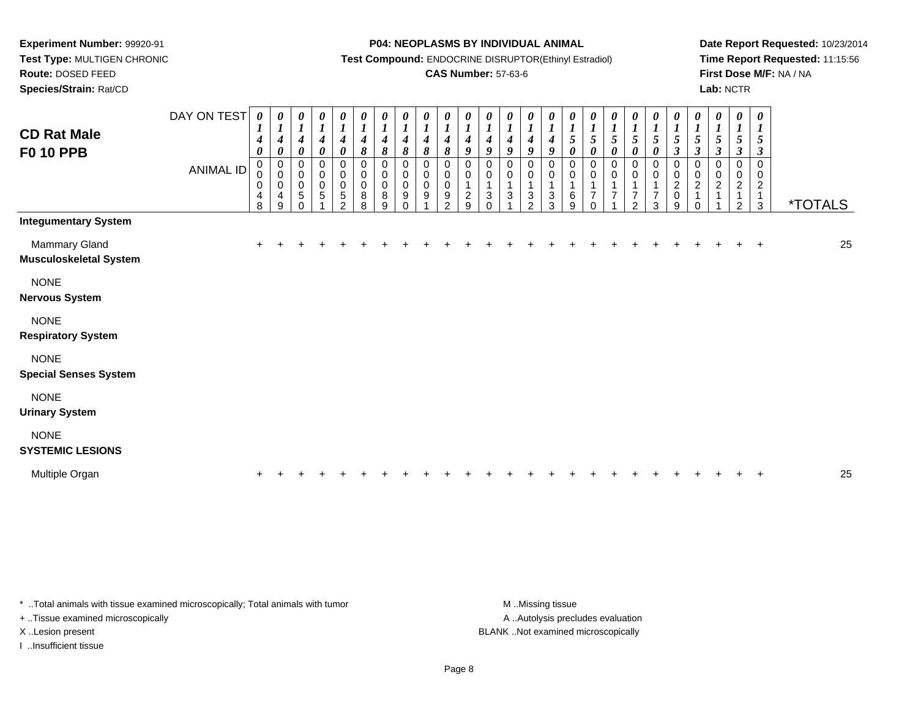**Route:** DOSED FEED

**Species/Strain:** Rat/CD

#### **P04: NEOPLASMS BY INDIVIDUAL ANIMAL**

**Test Compound:** ENDOCRINE DISRUPTOR(Ethinyl Estradiol)

### **CAS Number:** 57-63-6

**Date Report Requested:** 10/23/2014**Time Report Requested:** 11:15:56**First Dose M/F:** NA / NA**Lab:** NCTR

| <b>CD Rat Male</b><br><b>F0 10 PPB</b>         | DAY ON TEST<br><b>ANIMAL ID</b> | 0<br>1<br>$\boldsymbol{4}$<br>0<br>0<br>0<br>0<br>4<br>8 | 0<br>$\boldsymbol{l}$<br>$\boldsymbol{4}$<br>0<br>$\pmb{0}$<br>$\pmb{0}$<br>$\pmb{0}$<br>4<br>9 | 0<br>$\boldsymbol{l}$<br>$\boldsymbol{4}$<br>$\pmb{\theta}$<br>$\pmb{0}$<br>$\pmb{0}$<br>$\pmb{0}$<br>5<br>0 | $\boldsymbol{l}$<br>4<br>$\pmb{\theta}$<br>$\mathbf 0$<br>$\,0\,$<br>$\pmb{0}$<br>5 | $\boldsymbol{\theta}$<br>$\boldsymbol{l}$<br>4<br>$\pmb{\theta}$<br>$\mathbf 0$<br>$\pmb{0}$<br>$\pmb{0}$<br>$\sqrt{5}$<br>$\Omega$ | $\frac{\theta}{I}$<br>$\boldsymbol{4}$<br>8<br>0<br>$\mathbf 0$<br>0<br>$\bf 8$<br>8 | 0<br>$\boldsymbol{l}$<br>$\boldsymbol{4}$<br>$\pmb{8}$<br>0<br>$\pmb{0}$<br>$\pmb{0}$<br>$\bf 8$<br>9 | 0<br>$\boldsymbol{l}$<br>$\boldsymbol{4}$<br>$\pmb{8}$<br>$\mathbf 0$<br>$\pmb{0}$<br>$\pmb{0}$<br>9<br>$\Omega$ | $\frac{\theta}{I}$<br>$\boldsymbol{4}$<br>8<br>$\pmb{0}$<br>$\pmb{0}$<br>$\mathbf 0$<br>9 | $\frac{\boldsymbol{\theta}}{\boldsymbol{I}}$<br>$\boldsymbol{4}$<br>8<br>0<br>$\mathbf 0$<br>$\pmb{0}$<br>9<br>$\overline{2}$ | $\begin{matrix} 0 \\ 1 \end{matrix}$<br>$\boldsymbol{4}$<br>9<br>0<br>0<br>$\overline{c}$<br>9 | $\frac{\theta}{I}$<br>4<br>9<br>$\mathbf 0$<br>0<br>$\mathbf{1}$<br>$\sqrt{3}$ | $\boldsymbol{\theta}$<br>$\boldsymbol{l}$<br>$\boldsymbol{4}$<br>9<br>0<br>0<br>$\ensuremath{\mathsf{3}}$ | 0<br>$\boldsymbol{l}$<br>$\boldsymbol{4}$<br>$\boldsymbol{g}$<br>0<br>0<br>$\mathbf{1}$<br>$\mathbf{3}$<br>$\overline{2}$ | 0<br>$\boldsymbol{l}$<br>$\boldsymbol{4}$<br>9<br>0<br>0<br>1<br>$\ensuremath{\mathsf{3}}$<br>3 | 0<br>$\boldsymbol{l}$<br>$\sqrt{5}$<br>$\boldsymbol{\theta}$<br>0<br>$\pmb{0}$<br>1<br>$\,6$<br>9 | 0<br>$\boldsymbol{l}$<br>5<br>$\boldsymbol{\theta}$<br>0<br>$\boldsymbol{0}$<br>$\mathbf{1}$<br>$\overline{7}$<br>$\Omega$ | 0<br>$\boldsymbol{l}$<br>$\sqrt{5}$<br>$\pmb{\theta}$<br>0<br>0<br>7 | 5<br>$\boldsymbol{\theta}$<br>$\mathbf 0$<br>0<br>1<br>$\overline{7}$<br>C | $\boldsymbol{\theta}$<br>$\boldsymbol{l}$<br>5<br>$\boldsymbol{\theta}$<br>0<br>0<br>$\overline{7}$<br>3 | 0<br>$\boldsymbol{l}$<br>5<br>$\mathfrak{z}$<br>0<br>$\pmb{0}$<br>$\overline{\mathbf{c}}$<br>$\mathbf 0$<br>9 | 0<br>$\boldsymbol{l}$<br>$\sqrt{5}$<br>$\mathfrak{z}$<br>0<br>$\pmb{0}$<br>$\boldsymbol{2}$ | 0<br>$\boldsymbol{l}$<br>$\mathfrak{s}$<br>$\mathfrak{z}$<br>0<br>$\pmb{0}$<br>$\boldsymbol{2}$ | 0<br>$\boldsymbol{l}$<br>$\sqrt{5}$<br>$\boldsymbol{\beta}$<br>$\,0\,$<br>$\pmb{0}$<br>$\boldsymbol{2}$<br>$\mathbf 1$<br>$\overline{2}$ | 0<br>$\boldsymbol{l}$<br>5<br>$\boldsymbol{\beta}$<br>0<br>0<br>$\overline{2}$<br>1<br>$\mathbf{3}$ | <i><b>*TOTALS</b></i> |
|------------------------------------------------|---------------------------------|----------------------------------------------------------|-------------------------------------------------------------------------------------------------|--------------------------------------------------------------------------------------------------------------|-------------------------------------------------------------------------------------|-------------------------------------------------------------------------------------------------------------------------------------|--------------------------------------------------------------------------------------|-------------------------------------------------------------------------------------------------------|------------------------------------------------------------------------------------------------------------------|-------------------------------------------------------------------------------------------|-------------------------------------------------------------------------------------------------------------------------------|------------------------------------------------------------------------------------------------|--------------------------------------------------------------------------------|-----------------------------------------------------------------------------------------------------------|---------------------------------------------------------------------------------------------------------------------------|-------------------------------------------------------------------------------------------------|---------------------------------------------------------------------------------------------------|----------------------------------------------------------------------------------------------------------------------------|----------------------------------------------------------------------|----------------------------------------------------------------------------|----------------------------------------------------------------------------------------------------------|---------------------------------------------------------------------------------------------------------------|---------------------------------------------------------------------------------------------|-------------------------------------------------------------------------------------------------|------------------------------------------------------------------------------------------------------------------------------------------|-----------------------------------------------------------------------------------------------------|-----------------------|
| <b>Integumentary System</b>                    |                                 |                                                          |                                                                                                 |                                                                                                              |                                                                                     |                                                                                                                                     |                                                                                      |                                                                                                       |                                                                                                                  |                                                                                           |                                                                                                                               |                                                                                                |                                                                                |                                                                                                           |                                                                                                                           |                                                                                                 |                                                                                                   |                                                                                                                            |                                                                      |                                                                            |                                                                                                          |                                                                                                               |                                                                                             |                                                                                                 |                                                                                                                                          |                                                                                                     |                       |
| Mammary Gland<br><b>Musculoskeletal System</b> |                                 |                                                          |                                                                                                 |                                                                                                              |                                                                                     |                                                                                                                                     |                                                                                      |                                                                                                       |                                                                                                                  |                                                                                           |                                                                                                                               |                                                                                                |                                                                                |                                                                                                           |                                                                                                                           |                                                                                                 |                                                                                                   |                                                                                                                            |                                                                      |                                                                            |                                                                                                          |                                                                                                               |                                                                                             |                                                                                                 |                                                                                                                                          | $\overline{+}$                                                                                      | 25                    |
| <b>NONE</b><br><b>Nervous System</b>           |                                 |                                                          |                                                                                                 |                                                                                                              |                                                                                     |                                                                                                                                     |                                                                                      |                                                                                                       |                                                                                                                  |                                                                                           |                                                                                                                               |                                                                                                |                                                                                |                                                                                                           |                                                                                                                           |                                                                                                 |                                                                                                   |                                                                                                                            |                                                                      |                                                                            |                                                                                                          |                                                                                                               |                                                                                             |                                                                                                 |                                                                                                                                          |                                                                                                     |                       |
| <b>NONE</b><br><b>Respiratory System</b>       |                                 |                                                          |                                                                                                 |                                                                                                              |                                                                                     |                                                                                                                                     |                                                                                      |                                                                                                       |                                                                                                                  |                                                                                           |                                                                                                                               |                                                                                                |                                                                                |                                                                                                           |                                                                                                                           |                                                                                                 |                                                                                                   |                                                                                                                            |                                                                      |                                                                            |                                                                                                          |                                                                                                               |                                                                                             |                                                                                                 |                                                                                                                                          |                                                                                                     |                       |
| <b>NONE</b><br><b>Special Senses System</b>    |                                 |                                                          |                                                                                                 |                                                                                                              |                                                                                     |                                                                                                                                     |                                                                                      |                                                                                                       |                                                                                                                  |                                                                                           |                                                                                                                               |                                                                                                |                                                                                |                                                                                                           |                                                                                                                           |                                                                                                 |                                                                                                   |                                                                                                                            |                                                                      |                                                                            |                                                                                                          |                                                                                                               |                                                                                             |                                                                                                 |                                                                                                                                          |                                                                                                     |                       |
| <b>NONE</b><br><b>Urinary System</b>           |                                 |                                                          |                                                                                                 |                                                                                                              |                                                                                     |                                                                                                                                     |                                                                                      |                                                                                                       |                                                                                                                  |                                                                                           |                                                                                                                               |                                                                                                |                                                                                |                                                                                                           |                                                                                                                           |                                                                                                 |                                                                                                   |                                                                                                                            |                                                                      |                                                                            |                                                                                                          |                                                                                                               |                                                                                             |                                                                                                 |                                                                                                                                          |                                                                                                     |                       |
| <b>NONE</b><br><b>SYSTEMIC LESIONS</b>         |                                 |                                                          |                                                                                                 |                                                                                                              |                                                                                     |                                                                                                                                     |                                                                                      |                                                                                                       |                                                                                                                  |                                                                                           |                                                                                                                               |                                                                                                |                                                                                |                                                                                                           |                                                                                                                           |                                                                                                 |                                                                                                   |                                                                                                                            |                                                                      |                                                                            |                                                                                                          |                                                                                                               |                                                                                             |                                                                                                 |                                                                                                                                          |                                                                                                     |                       |
| Multiple Organ                                 |                                 |                                                          |                                                                                                 |                                                                                                              |                                                                                     |                                                                                                                                     |                                                                                      |                                                                                                       |                                                                                                                  |                                                                                           |                                                                                                                               |                                                                                                |                                                                                |                                                                                                           |                                                                                                                           |                                                                                                 |                                                                                                   |                                                                                                                            |                                                                      |                                                                            |                                                                                                          |                                                                                                               |                                                                                             |                                                                                                 |                                                                                                                                          |                                                                                                     | 25                    |
|                                                |                                 |                                                          |                                                                                                 |                                                                                                              |                                                                                     |                                                                                                                                     |                                                                                      |                                                                                                       |                                                                                                                  |                                                                                           |                                                                                                                               |                                                                                                |                                                                                |                                                                                                           |                                                                                                                           |                                                                                                 |                                                                                                   |                                                                                                                            |                                                                      |                                                                            |                                                                                                          |                                                                                                               |                                                                                             |                                                                                                 |                                                                                                                                          |                                                                                                     |                       |

\* ..Total animals with tissue examined microscopically; Total animals with tumor **M** . Missing tissue M ..Missing tissue

+ ..Tissue examined microscopically

I ..Insufficient tissue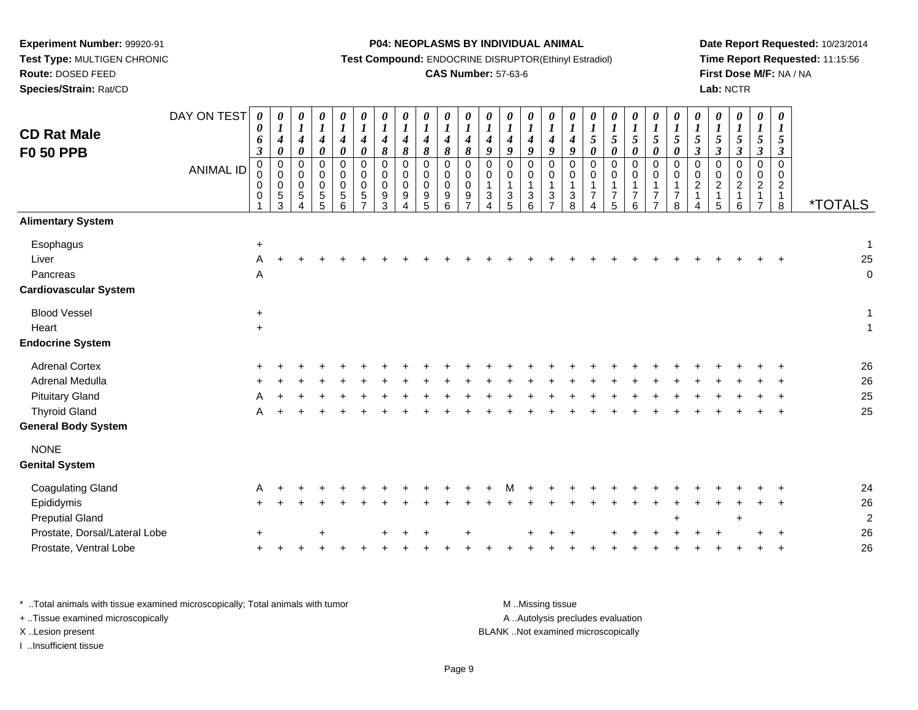**Test Type:** MULTIGEN CHRONIC**Route:** DOSED FEED

**Species/Strain:** Rat/CD

#### **P04: NEOPLASMS BY INDIVIDUAL ANIMAL**

**Test Compound:** ENDOCRINE DISRUPTOR(Ethinyl Estradiol)

## **CAS Number:** 57-63-6

**Date Report Requested:** 10/23/2014**Time Report Requested:** 11:15:56**First Dose M/F:** NA / NA**Lab:** NCTR

| <b>CD Rat Male</b><br><b>F0 50 PPB</b>                         | DAY ON TEST<br><b>ANIMAL ID</b> | 0<br>$\boldsymbol{\theta}$<br>6<br>$\boldsymbol{\beta}$<br>0<br>$\mathbf 0$<br>$\mathbf 0$<br>0 | 0<br>$\boldsymbol{I}$<br>$\boldsymbol{4}$<br>0<br>0<br>0<br>0<br>5<br>3 | $\boldsymbol{\theta}$<br>$\boldsymbol{l}$<br>$\boldsymbol{4}$<br>$\pmb{\theta}$<br>$\pmb{0}$<br>$\mathbf 0$<br>$\mathbf 0$<br>5<br>Δ | $\boldsymbol{\theta}$<br>$\boldsymbol{I}$<br>$\boldsymbol{4}$<br>$\pmb{\theta}$<br>$\mathbf 0$<br>$\mathbf 0$<br>$\Omega$<br>5<br>5 | $\boldsymbol{\theta}$<br>$\boldsymbol{l}$<br>$\boldsymbol{4}$<br>$\pmb{\theta}$<br>0<br>$\mathbf 0$<br>$\mathbf 0$<br>$\sqrt{5}$<br>6 | $\boldsymbol{\theta}$<br>$\boldsymbol{l}$<br>4<br>$\boldsymbol{\theta}$<br>$\mathbf 0$<br>$\mathbf 0$<br>$\Omega$<br>5 | 0<br>$\boldsymbol{l}$<br>4<br>8<br>0<br>$\mathbf 0$<br>$\Omega$<br>9<br>3 | 0<br>$\boldsymbol{l}$<br>$\boldsymbol{4}$<br>$\pmb{8}$<br>0<br>0<br>$\mathbf 0$<br>$9\,$ | 0<br>$\boldsymbol{l}$<br>$\boldsymbol{4}$<br>$\pmb{8}$<br>$\pmb{0}$<br>$\pmb{0}$<br>$\mathbf 0$<br>$\boldsymbol{9}$<br>5 | $\boldsymbol{\theta}$<br>$\boldsymbol{l}$<br>$\boldsymbol{4}$<br>$\pmb{8}$<br>$\mathbf 0$<br>$\mathbf 0$<br>$\mathbf 0$<br>9<br>6 | 0<br>$\boldsymbol{l}$<br>4<br>8<br>$\mathbf 0$<br>$\pmb{0}$<br>$\Omega$<br>9 | $\boldsymbol{\theta}$<br>$\boldsymbol{l}$<br>$\boldsymbol{4}$<br>9<br>$\pmb{0}$<br>$\pmb{0}$<br>3 | 0<br>$\boldsymbol{l}$<br>$\boldsymbol{4}$<br>$\boldsymbol{g}$<br>$\pmb{0}$<br>$\mathbf 0$<br>$\mathbf{1}$<br>$\sqrt{3}$<br>5 | 0<br>$\boldsymbol{l}$<br>$\boldsymbol{4}$<br>9<br>$\mathbf 0$<br>0<br>$\mathbf{1}$<br>3<br>6 | $\boldsymbol{\theta}$<br>$\boldsymbol{l}$<br>$\boldsymbol{4}$<br>9<br>$\pmb{0}$<br>$\mathbf 0$<br>1<br>3 | $\boldsymbol{\theta}$<br>$\boldsymbol{l}$<br>$\boldsymbol{4}$<br>9<br>$\pmb{0}$<br>$\mathbf 0$<br>$\mathbf{1}$<br>3<br>8 | $\boldsymbol{l}$<br>$\sqrt{5}$<br>$\boldsymbol{\theta}$<br>$\Omega$<br>$\Omega$<br>$\overline{7}$ | 0<br>$\boldsymbol{l}$<br>5<br>$\pmb{\theta}$<br>$\mathbf 0$<br>$\mathbf 0$<br>$\overline{7}$<br>5 | $\boldsymbol{\theta}$<br>$\boldsymbol{l}$<br>$\sqrt{5}$<br>$\boldsymbol{\theta}$<br>$\mathbf 0$<br>$\mathbf 0$<br>$\mathbf{1}$<br>$\overline{7}$<br>6 | 0<br>$\boldsymbol{l}$<br>$\mathfrak{s}$<br>$\boldsymbol{\theta}$<br>$\mathbf 0$<br>$\mathbf 0$<br>$\mathbf{1}$<br>$\overline{7}$<br>7 | 0<br>$\boldsymbol{l}$<br>$\sqrt{5}$<br>$\pmb{\theta}$<br>$\mathbf 0$<br>$\pmb{0}$<br>$\mathbf{1}$<br>$\overline{7}$<br>8 | $\boldsymbol{\theta}$<br>$\boldsymbol{l}$<br>$\sqrt{5}$<br>$\boldsymbol{\beta}$<br>$\pmb{0}$<br>$\mathbf 0$<br>$\overline{2}$<br>$\overline{\mathbf{1}}$ | $\boldsymbol{\theta}$<br>$\boldsymbol{l}$<br>$\sqrt{5}$<br>$\boldsymbol{\mathfrak{z}}$<br>$\mathbf 0$<br>$\mathbf 0$<br>$\overline{c}$<br>1<br>5 | 0<br>$\boldsymbol{l}$<br>$\mathfrak{s}$<br>$\boldsymbol{\mathfrak{z}}$<br>$\mathbf 0$<br>0<br>$\boldsymbol{2}$<br>1<br>6 | 0<br>$\boldsymbol{l}$<br>$\mathfrak{H}$<br>$\mathfrak{z}$<br>$\pmb{0}$<br>$\mathbf 0$<br>$\overline{c}$<br>-1 | $\boldsymbol{\theta}$<br>$\boldsymbol{I}$<br>5<br>$\boldsymbol{\beta}$<br>$\pmb{0}$<br>$\mathbf 0$<br>$\overline{a}$<br>$\mathbf{1}$<br>8 | <i><b>*TOTALS</b></i>            |
|----------------------------------------------------------------|---------------------------------|-------------------------------------------------------------------------------------------------|-------------------------------------------------------------------------|--------------------------------------------------------------------------------------------------------------------------------------|-------------------------------------------------------------------------------------------------------------------------------------|---------------------------------------------------------------------------------------------------------------------------------------|------------------------------------------------------------------------------------------------------------------------|---------------------------------------------------------------------------|------------------------------------------------------------------------------------------|--------------------------------------------------------------------------------------------------------------------------|-----------------------------------------------------------------------------------------------------------------------------------|------------------------------------------------------------------------------|---------------------------------------------------------------------------------------------------|------------------------------------------------------------------------------------------------------------------------------|----------------------------------------------------------------------------------------------|----------------------------------------------------------------------------------------------------------|--------------------------------------------------------------------------------------------------------------------------|---------------------------------------------------------------------------------------------------|---------------------------------------------------------------------------------------------------|-------------------------------------------------------------------------------------------------------------------------------------------------------|---------------------------------------------------------------------------------------------------------------------------------------|--------------------------------------------------------------------------------------------------------------------------|----------------------------------------------------------------------------------------------------------------------------------------------------------|--------------------------------------------------------------------------------------------------------------------------------------------------|--------------------------------------------------------------------------------------------------------------------------|---------------------------------------------------------------------------------------------------------------|-------------------------------------------------------------------------------------------------------------------------------------------|----------------------------------|
| <b>Alimentary System</b>                                       |                                 |                                                                                                 |                                                                         |                                                                                                                                      |                                                                                                                                     |                                                                                                                                       |                                                                                                                        |                                                                           |                                                                                          |                                                                                                                          |                                                                                                                                   |                                                                              |                                                                                                   |                                                                                                                              |                                                                                              |                                                                                                          |                                                                                                                          |                                                                                                   |                                                                                                   |                                                                                                                                                       |                                                                                                                                       |                                                                                                                          |                                                                                                                                                          |                                                                                                                                                  |                                                                                                                          |                                                                                                               |                                                                                                                                           |                                  |
| Esophagus<br>Liver<br>Pancreas<br><b>Cardiovascular System</b> |                                 | $\ddot{}$<br>A<br>Α                                                                             |                                                                         |                                                                                                                                      |                                                                                                                                     |                                                                                                                                       |                                                                                                                        |                                                                           |                                                                                          |                                                                                                                          |                                                                                                                                   |                                                                              |                                                                                                   |                                                                                                                              |                                                                                              |                                                                                                          |                                                                                                                          |                                                                                                   |                                                                                                   |                                                                                                                                                       |                                                                                                                                       |                                                                                                                          |                                                                                                                                                          |                                                                                                                                                  |                                                                                                                          |                                                                                                               |                                                                                                                                           | $\mathbf 1$<br>25<br>$\mathbf 0$ |
| <b>Blood Vessel</b>                                            |                                 | $\ddot{}$                                                                                       |                                                                         |                                                                                                                                      |                                                                                                                                     |                                                                                                                                       |                                                                                                                        |                                                                           |                                                                                          |                                                                                                                          |                                                                                                                                   |                                                                              |                                                                                                   |                                                                                                                              |                                                                                              |                                                                                                          |                                                                                                                          |                                                                                                   |                                                                                                   |                                                                                                                                                       |                                                                                                                                       |                                                                                                                          |                                                                                                                                                          |                                                                                                                                                  |                                                                                                                          |                                                                                                               |                                                                                                                                           | 1                                |
| Heart                                                          |                                 | $\ddot{}$                                                                                       |                                                                         |                                                                                                                                      |                                                                                                                                     |                                                                                                                                       |                                                                                                                        |                                                                           |                                                                                          |                                                                                                                          |                                                                                                                                   |                                                                              |                                                                                                   |                                                                                                                              |                                                                                              |                                                                                                          |                                                                                                                          |                                                                                                   |                                                                                                   |                                                                                                                                                       |                                                                                                                                       |                                                                                                                          |                                                                                                                                                          |                                                                                                                                                  |                                                                                                                          |                                                                                                               |                                                                                                                                           | $\overline{1}$                   |
| <b>Endocrine System</b>                                        |                                 |                                                                                                 |                                                                         |                                                                                                                                      |                                                                                                                                     |                                                                                                                                       |                                                                                                                        |                                                                           |                                                                                          |                                                                                                                          |                                                                                                                                   |                                                                              |                                                                                                   |                                                                                                                              |                                                                                              |                                                                                                          |                                                                                                                          |                                                                                                   |                                                                                                   |                                                                                                                                                       |                                                                                                                                       |                                                                                                                          |                                                                                                                                                          |                                                                                                                                                  |                                                                                                                          |                                                                                                               |                                                                                                                                           |                                  |
| <b>Adrenal Cortex</b>                                          |                                 |                                                                                                 |                                                                         |                                                                                                                                      |                                                                                                                                     |                                                                                                                                       |                                                                                                                        |                                                                           |                                                                                          |                                                                                                                          |                                                                                                                                   |                                                                              |                                                                                                   |                                                                                                                              |                                                                                              |                                                                                                          |                                                                                                                          |                                                                                                   |                                                                                                   |                                                                                                                                                       |                                                                                                                                       |                                                                                                                          |                                                                                                                                                          |                                                                                                                                                  |                                                                                                                          |                                                                                                               |                                                                                                                                           | 26                               |
| Adrenal Medulla                                                |                                 |                                                                                                 |                                                                         |                                                                                                                                      |                                                                                                                                     |                                                                                                                                       |                                                                                                                        |                                                                           |                                                                                          |                                                                                                                          |                                                                                                                                   |                                                                              |                                                                                                   |                                                                                                                              |                                                                                              |                                                                                                          |                                                                                                                          |                                                                                                   |                                                                                                   |                                                                                                                                                       |                                                                                                                                       |                                                                                                                          |                                                                                                                                                          |                                                                                                                                                  |                                                                                                                          |                                                                                                               |                                                                                                                                           | 26                               |
| <b>Pituitary Gland</b>                                         |                                 | A                                                                                               |                                                                         |                                                                                                                                      |                                                                                                                                     |                                                                                                                                       |                                                                                                                        |                                                                           |                                                                                          |                                                                                                                          |                                                                                                                                   |                                                                              |                                                                                                   |                                                                                                                              |                                                                                              |                                                                                                          |                                                                                                                          |                                                                                                   |                                                                                                   |                                                                                                                                                       |                                                                                                                                       |                                                                                                                          |                                                                                                                                                          |                                                                                                                                                  |                                                                                                                          |                                                                                                               |                                                                                                                                           | 25                               |
| <b>Thyroid Gland</b>                                           |                                 |                                                                                                 |                                                                         |                                                                                                                                      |                                                                                                                                     |                                                                                                                                       |                                                                                                                        |                                                                           |                                                                                          |                                                                                                                          |                                                                                                                                   |                                                                              |                                                                                                   |                                                                                                                              |                                                                                              |                                                                                                          |                                                                                                                          |                                                                                                   |                                                                                                   |                                                                                                                                                       |                                                                                                                                       |                                                                                                                          |                                                                                                                                                          |                                                                                                                                                  |                                                                                                                          |                                                                                                               |                                                                                                                                           | 25                               |
| <b>General Body System</b>                                     |                                 |                                                                                                 |                                                                         |                                                                                                                                      |                                                                                                                                     |                                                                                                                                       |                                                                                                                        |                                                                           |                                                                                          |                                                                                                                          |                                                                                                                                   |                                                                              |                                                                                                   |                                                                                                                              |                                                                                              |                                                                                                          |                                                                                                                          |                                                                                                   |                                                                                                   |                                                                                                                                                       |                                                                                                                                       |                                                                                                                          |                                                                                                                                                          |                                                                                                                                                  |                                                                                                                          |                                                                                                               |                                                                                                                                           |                                  |
| <b>NONE</b>                                                    |                                 |                                                                                                 |                                                                         |                                                                                                                                      |                                                                                                                                     |                                                                                                                                       |                                                                                                                        |                                                                           |                                                                                          |                                                                                                                          |                                                                                                                                   |                                                                              |                                                                                                   |                                                                                                                              |                                                                                              |                                                                                                          |                                                                                                                          |                                                                                                   |                                                                                                   |                                                                                                                                                       |                                                                                                                                       |                                                                                                                          |                                                                                                                                                          |                                                                                                                                                  |                                                                                                                          |                                                                                                               |                                                                                                                                           |                                  |
| <b>Genital System</b>                                          |                                 |                                                                                                 |                                                                         |                                                                                                                                      |                                                                                                                                     |                                                                                                                                       |                                                                                                                        |                                                                           |                                                                                          |                                                                                                                          |                                                                                                                                   |                                                                              |                                                                                                   |                                                                                                                              |                                                                                              |                                                                                                          |                                                                                                                          |                                                                                                   |                                                                                                   |                                                                                                                                                       |                                                                                                                                       |                                                                                                                          |                                                                                                                                                          |                                                                                                                                                  |                                                                                                                          |                                                                                                               |                                                                                                                                           |                                  |
| <b>Coagulating Gland</b>                                       |                                 | Α                                                                                               |                                                                         |                                                                                                                                      |                                                                                                                                     |                                                                                                                                       |                                                                                                                        |                                                                           |                                                                                          |                                                                                                                          |                                                                                                                                   |                                                                              |                                                                                                   |                                                                                                                              |                                                                                              |                                                                                                          |                                                                                                                          |                                                                                                   |                                                                                                   |                                                                                                                                                       |                                                                                                                                       |                                                                                                                          |                                                                                                                                                          |                                                                                                                                                  |                                                                                                                          |                                                                                                               |                                                                                                                                           | 24                               |
| Epididymis                                                     |                                 |                                                                                                 |                                                                         |                                                                                                                                      |                                                                                                                                     |                                                                                                                                       |                                                                                                                        |                                                                           |                                                                                          |                                                                                                                          |                                                                                                                                   |                                                                              |                                                                                                   |                                                                                                                              |                                                                                              |                                                                                                          |                                                                                                                          |                                                                                                   |                                                                                                   |                                                                                                                                                       |                                                                                                                                       |                                                                                                                          |                                                                                                                                                          |                                                                                                                                                  |                                                                                                                          |                                                                                                               |                                                                                                                                           | 26                               |
| <b>Preputial Gland</b>                                         |                                 |                                                                                                 |                                                                         |                                                                                                                                      |                                                                                                                                     |                                                                                                                                       |                                                                                                                        |                                                                           |                                                                                          |                                                                                                                          |                                                                                                                                   |                                                                              |                                                                                                   |                                                                                                                              |                                                                                              |                                                                                                          |                                                                                                                          |                                                                                                   |                                                                                                   |                                                                                                                                                       |                                                                                                                                       | $\ddot{}$                                                                                                                |                                                                                                                                                          |                                                                                                                                                  | $\ddot{}$                                                                                                                |                                                                                                               |                                                                                                                                           | $\overline{\mathbf{c}}$          |
| Prostate, Dorsal/Lateral Lobe                                  |                                 |                                                                                                 |                                                                         |                                                                                                                                      |                                                                                                                                     |                                                                                                                                       |                                                                                                                        |                                                                           |                                                                                          |                                                                                                                          |                                                                                                                                   |                                                                              |                                                                                                   |                                                                                                                              |                                                                                              |                                                                                                          |                                                                                                                          |                                                                                                   |                                                                                                   |                                                                                                                                                       |                                                                                                                                       |                                                                                                                          |                                                                                                                                                          |                                                                                                                                                  |                                                                                                                          |                                                                                                               |                                                                                                                                           | 26                               |
| Prostate, Ventral Lobe                                         |                                 |                                                                                                 |                                                                         |                                                                                                                                      |                                                                                                                                     |                                                                                                                                       |                                                                                                                        |                                                                           |                                                                                          |                                                                                                                          |                                                                                                                                   |                                                                              |                                                                                                   |                                                                                                                              |                                                                                              |                                                                                                          |                                                                                                                          |                                                                                                   |                                                                                                   |                                                                                                                                                       |                                                                                                                                       |                                                                                                                          |                                                                                                                                                          |                                                                                                                                                  |                                                                                                                          |                                                                                                               |                                                                                                                                           | 26                               |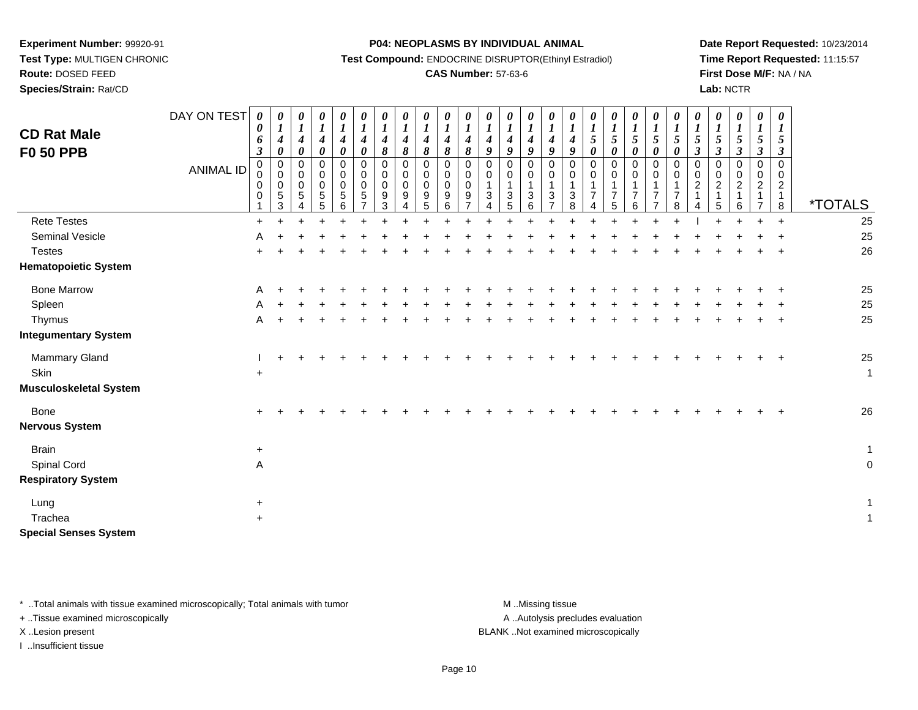**Route:** DOSED FEED

**Species/Strain:** Rat/CD

#### **P04: NEOPLASMS BY INDIVIDUAL ANIMAL**

**Test Compound:** ENDOCRINE DISRUPTOR(Ethinyl Estradiol)

## **CAS Number:** 57-63-6

**Date Report Requested:** 10/23/2014**Time Report Requested:** 11:15:57**First Dose M/F:** NA / NA**Lab:** NCTR

| <b>CD Rat Male</b><br><b>F0 50 PPB</b> | DAY ON TEST<br><b>ANIMAL ID</b> | 0<br>0<br>6<br>$\boldsymbol{\beta}$<br>0<br>0<br>0<br>$\mathbf 0$ | $\boldsymbol{\theta}$<br>$\boldsymbol{l}$<br>$\boldsymbol{4}$<br>$\boldsymbol{\theta}$<br>$\pmb{0}$<br>$\mathbf 0$<br>$\mathbf 0$<br>$\sqrt{5}$<br>3 | $\boldsymbol{\theta}$<br>$\boldsymbol{l}$<br>$\boldsymbol{4}$<br>$\pmb{\theta}$<br>0<br>$\mathbf 0$<br>0<br>5 | 0<br>$\boldsymbol{I}$<br>$\boldsymbol{4}$<br>$\boldsymbol{\theta}$<br>0<br>$\mathbf 0$<br>0<br>5<br>5 | 0<br>$\boldsymbol{l}$<br>4<br>$\boldsymbol{\theta}$<br>0<br>$\mathbf 0$<br>0<br>5<br>6 | 0<br>$\boldsymbol{l}$<br>4<br>0<br>0<br>0<br>0<br>5<br>$\overline{ }$ | 0<br>$\boldsymbol{l}$<br>$\boldsymbol{4}$<br>8<br>0<br>$\mathbf 0$<br>$\pmb{0}$<br>9<br>3 | 0<br>$\boldsymbol{l}$<br>4<br>8<br>0<br>$\pmb{0}$<br>$\mathbf 0$<br>9<br>4 | $\boldsymbol{\theta}$<br>$\boldsymbol{I}$<br>$\boldsymbol{4}$<br>$\pmb{8}$<br>0<br>0<br>0<br>9<br>5 | 0<br>$\boldsymbol{l}$<br>$\boldsymbol{4}$<br>$\pmb{8}$<br>0<br>$\mathbf 0$<br>0<br>9<br>6 | 0<br>$\boldsymbol{l}$<br>$\boldsymbol{4}$<br>8<br>$\pmb{0}$<br>$\pmb{0}$<br>0<br>9 | 0<br>$\boldsymbol{l}$<br>$\boldsymbol{4}$<br>9<br>$\pmb{0}$<br>$\pmb{0}$<br>1<br>$\sqrt{3}$<br>4 | 0<br>$\boldsymbol{l}$<br>$\boldsymbol{4}$<br>9<br>0<br>$\pmb{0}$<br>$\mathbf{1}$<br>$\mathbf{3}$<br>5 | 0<br>$\boldsymbol{l}$<br>$\boldsymbol{4}$<br>$\boldsymbol{q}$<br>$\Omega$<br>$\mathbf 0$<br>1<br>3<br>6 | 0<br>$\boldsymbol{l}$<br>$\boldsymbol{4}$<br>9<br>$\mathbf 0$<br>$\mathbf 0$<br>3<br>$\overline{ }$ | 0<br>$\boldsymbol{l}$<br>$\boldsymbol{4}$<br>$\boldsymbol{q}$<br>$\mathbf 0$<br>$\mathbf 0$<br>$\mathbf{1}$<br>3<br>8 | 0<br>$\boldsymbol{l}$<br>5<br>$\boldsymbol{\theta}$<br>0<br>0<br>$\overline{7}$<br>Δ | 0<br>$\boldsymbol{l}$<br>5<br>$\boldsymbol{\theta}$<br>0<br>0<br>$\mathbf 1$<br>$\overline{7}$<br>5 | $\boldsymbol{\theta}$<br>$\boldsymbol{l}$<br>$\mathfrak{s}$<br>$\boldsymbol{\theta}$<br>0<br>$\mathbf 0$<br>1<br>$\overline{7}$<br>6 | 0<br>$\boldsymbol{l}$<br>$\mathfrak{H}$<br>$\boldsymbol{\theta}$<br>0<br>0<br>1<br>$\overline{7}$<br>$\overline{7}$ | 0<br>$\boldsymbol{l}$<br>5<br>0<br>0<br>$\Omega$<br>$\overline{7}$<br>8 | 0<br>$\boldsymbol{l}$<br>$\sqrt{5}$<br>$\boldsymbol{\beta}$<br>$\mathbf 0$<br>$\pmb{0}$<br>$\sqrt{2}$ | 0<br>$\boldsymbol{l}$<br>$\sqrt{5}$<br>$\boldsymbol{\beta}$<br>0<br>$\mathsf 0$<br>$\frac{2}{1}$<br>5 | 0<br>$\boldsymbol{l}$<br>5<br>$\boldsymbol{\beta}$<br>0<br>$\mathbf 0$<br>$\overline{c}$<br>$\mathbf{1}$<br>6 | $\pmb{\theta}$<br>$\boldsymbol{l}$<br>$\mathfrak{s}$<br>$\mathfrak{z}$<br>$\mathbf 0$<br>0<br>$\overline{c}$<br>$\mathbf{1}$<br>$\overline{7}$ | 0<br>$\boldsymbol{l}$<br>$\mathfrak{s}$<br>$\boldsymbol{\beta}$<br>$\mathbf 0$<br>$\Omega$<br>$\overline{2}$<br>$\mathbf{1}$<br>8 | <i><b>*TOTALS</b></i> |
|----------------------------------------|---------------------------------|-------------------------------------------------------------------|------------------------------------------------------------------------------------------------------------------------------------------------------|---------------------------------------------------------------------------------------------------------------|-------------------------------------------------------------------------------------------------------|----------------------------------------------------------------------------------------|-----------------------------------------------------------------------|-------------------------------------------------------------------------------------------|----------------------------------------------------------------------------|-----------------------------------------------------------------------------------------------------|-------------------------------------------------------------------------------------------|------------------------------------------------------------------------------------|--------------------------------------------------------------------------------------------------|-------------------------------------------------------------------------------------------------------|---------------------------------------------------------------------------------------------------------|-----------------------------------------------------------------------------------------------------|-----------------------------------------------------------------------------------------------------------------------|--------------------------------------------------------------------------------------|-----------------------------------------------------------------------------------------------------|--------------------------------------------------------------------------------------------------------------------------------------|---------------------------------------------------------------------------------------------------------------------|-------------------------------------------------------------------------|-------------------------------------------------------------------------------------------------------|-------------------------------------------------------------------------------------------------------|---------------------------------------------------------------------------------------------------------------|------------------------------------------------------------------------------------------------------------------------------------------------|-----------------------------------------------------------------------------------------------------------------------------------|-----------------------|
| <b>Rete Testes</b>                     |                                 | $+$                                                               |                                                                                                                                                      |                                                                                                               |                                                                                                       |                                                                                        |                                                                       |                                                                                           |                                                                            |                                                                                                     |                                                                                           |                                                                                    |                                                                                                  |                                                                                                       |                                                                                                         |                                                                                                     |                                                                                                                       |                                                                                      |                                                                                                     |                                                                                                                                      |                                                                                                                     |                                                                         |                                                                                                       |                                                                                                       |                                                                                                               | $\ddot{}$                                                                                                                                      | $\ddot{}$                                                                                                                         | 25                    |
| Seminal Vesicle                        |                                 | A                                                                 |                                                                                                                                                      |                                                                                                               |                                                                                                       |                                                                                        |                                                                       |                                                                                           |                                                                            |                                                                                                     |                                                                                           |                                                                                    |                                                                                                  |                                                                                                       |                                                                                                         |                                                                                                     |                                                                                                                       |                                                                                      |                                                                                                     |                                                                                                                                      |                                                                                                                     |                                                                         |                                                                                                       |                                                                                                       |                                                                                                               |                                                                                                                                                |                                                                                                                                   | 25                    |
| <b>Testes</b>                          |                                 |                                                                   |                                                                                                                                                      |                                                                                                               |                                                                                                       |                                                                                        |                                                                       |                                                                                           |                                                                            |                                                                                                     |                                                                                           |                                                                                    |                                                                                                  |                                                                                                       |                                                                                                         |                                                                                                     |                                                                                                                       |                                                                                      |                                                                                                     |                                                                                                                                      |                                                                                                                     |                                                                         |                                                                                                       |                                                                                                       |                                                                                                               |                                                                                                                                                |                                                                                                                                   | 26                    |
| <b>Hematopoietic System</b>            |                                 |                                                                   |                                                                                                                                                      |                                                                                                               |                                                                                                       |                                                                                        |                                                                       |                                                                                           |                                                                            |                                                                                                     |                                                                                           |                                                                                    |                                                                                                  |                                                                                                       |                                                                                                         |                                                                                                     |                                                                                                                       |                                                                                      |                                                                                                     |                                                                                                                                      |                                                                                                                     |                                                                         |                                                                                                       |                                                                                                       |                                                                                                               |                                                                                                                                                |                                                                                                                                   |                       |
| <b>Bone Marrow</b>                     |                                 | A                                                                 |                                                                                                                                                      |                                                                                                               |                                                                                                       |                                                                                        |                                                                       |                                                                                           |                                                                            |                                                                                                     |                                                                                           |                                                                                    |                                                                                                  |                                                                                                       |                                                                                                         |                                                                                                     |                                                                                                                       |                                                                                      |                                                                                                     |                                                                                                                                      |                                                                                                                     |                                                                         |                                                                                                       |                                                                                                       |                                                                                                               |                                                                                                                                                |                                                                                                                                   | 25                    |
| Spleen                                 |                                 |                                                                   |                                                                                                                                                      |                                                                                                               |                                                                                                       |                                                                                        |                                                                       |                                                                                           |                                                                            |                                                                                                     |                                                                                           |                                                                                    |                                                                                                  |                                                                                                       |                                                                                                         |                                                                                                     |                                                                                                                       |                                                                                      |                                                                                                     |                                                                                                                                      |                                                                                                                     |                                                                         |                                                                                                       |                                                                                                       |                                                                                                               |                                                                                                                                                |                                                                                                                                   | 25                    |
| Thymus                                 |                                 | A                                                                 |                                                                                                                                                      |                                                                                                               |                                                                                                       |                                                                                        |                                                                       |                                                                                           |                                                                            |                                                                                                     |                                                                                           |                                                                                    |                                                                                                  |                                                                                                       |                                                                                                         |                                                                                                     |                                                                                                                       |                                                                                      |                                                                                                     |                                                                                                                                      |                                                                                                                     |                                                                         |                                                                                                       |                                                                                                       |                                                                                                               |                                                                                                                                                |                                                                                                                                   | 25                    |
| <b>Integumentary System</b>            |                                 |                                                                   |                                                                                                                                                      |                                                                                                               |                                                                                                       |                                                                                        |                                                                       |                                                                                           |                                                                            |                                                                                                     |                                                                                           |                                                                                    |                                                                                                  |                                                                                                       |                                                                                                         |                                                                                                     |                                                                                                                       |                                                                                      |                                                                                                     |                                                                                                                                      |                                                                                                                     |                                                                         |                                                                                                       |                                                                                                       |                                                                                                               |                                                                                                                                                |                                                                                                                                   |                       |
| Mammary Gland                          |                                 |                                                                   |                                                                                                                                                      |                                                                                                               |                                                                                                       |                                                                                        |                                                                       |                                                                                           |                                                                            |                                                                                                     |                                                                                           |                                                                                    |                                                                                                  |                                                                                                       |                                                                                                         |                                                                                                     |                                                                                                                       |                                                                                      |                                                                                                     |                                                                                                                                      |                                                                                                                     |                                                                         |                                                                                                       |                                                                                                       |                                                                                                               |                                                                                                                                                |                                                                                                                                   | $25\,$                |
| Skin                                   |                                 | $\ddot{}$                                                         |                                                                                                                                                      |                                                                                                               |                                                                                                       |                                                                                        |                                                                       |                                                                                           |                                                                            |                                                                                                     |                                                                                           |                                                                                    |                                                                                                  |                                                                                                       |                                                                                                         |                                                                                                     |                                                                                                                       |                                                                                      |                                                                                                     |                                                                                                                                      |                                                                                                                     |                                                                         |                                                                                                       |                                                                                                       |                                                                                                               |                                                                                                                                                |                                                                                                                                   | $\mathbf{1}$          |
| <b>Musculoskeletal System</b>          |                                 |                                                                   |                                                                                                                                                      |                                                                                                               |                                                                                                       |                                                                                        |                                                                       |                                                                                           |                                                                            |                                                                                                     |                                                                                           |                                                                                    |                                                                                                  |                                                                                                       |                                                                                                         |                                                                                                     |                                                                                                                       |                                                                                      |                                                                                                     |                                                                                                                                      |                                                                                                                     |                                                                         |                                                                                                       |                                                                                                       |                                                                                                               |                                                                                                                                                |                                                                                                                                   |                       |
| Bone<br><b>Nervous System</b>          |                                 |                                                                   |                                                                                                                                                      |                                                                                                               |                                                                                                       |                                                                                        |                                                                       |                                                                                           |                                                                            |                                                                                                     |                                                                                           |                                                                                    |                                                                                                  |                                                                                                       |                                                                                                         |                                                                                                     |                                                                                                                       |                                                                                      |                                                                                                     |                                                                                                                                      |                                                                                                                     |                                                                         |                                                                                                       |                                                                                                       |                                                                                                               |                                                                                                                                                |                                                                                                                                   | 26                    |
| <b>Brain</b>                           |                                 | $+$                                                               |                                                                                                                                                      |                                                                                                               |                                                                                                       |                                                                                        |                                                                       |                                                                                           |                                                                            |                                                                                                     |                                                                                           |                                                                                    |                                                                                                  |                                                                                                       |                                                                                                         |                                                                                                     |                                                                                                                       |                                                                                      |                                                                                                     |                                                                                                                                      |                                                                                                                     |                                                                         |                                                                                                       |                                                                                                       |                                                                                                               |                                                                                                                                                |                                                                                                                                   | $\mathbf{1}$          |
| Spinal Cord                            |                                 | Α                                                                 |                                                                                                                                                      |                                                                                                               |                                                                                                       |                                                                                        |                                                                       |                                                                                           |                                                                            |                                                                                                     |                                                                                           |                                                                                    |                                                                                                  |                                                                                                       |                                                                                                         |                                                                                                     |                                                                                                                       |                                                                                      |                                                                                                     |                                                                                                                                      |                                                                                                                     |                                                                         |                                                                                                       |                                                                                                       |                                                                                                               |                                                                                                                                                |                                                                                                                                   | $\mathbf 0$           |
| <b>Respiratory System</b>              |                                 |                                                                   |                                                                                                                                                      |                                                                                                               |                                                                                                       |                                                                                        |                                                                       |                                                                                           |                                                                            |                                                                                                     |                                                                                           |                                                                                    |                                                                                                  |                                                                                                       |                                                                                                         |                                                                                                     |                                                                                                                       |                                                                                      |                                                                                                     |                                                                                                                                      |                                                                                                                     |                                                                         |                                                                                                       |                                                                                                       |                                                                                                               |                                                                                                                                                |                                                                                                                                   |                       |
| Lung                                   |                                 | $+$                                                               |                                                                                                                                                      |                                                                                                               |                                                                                                       |                                                                                        |                                                                       |                                                                                           |                                                                            |                                                                                                     |                                                                                           |                                                                                    |                                                                                                  |                                                                                                       |                                                                                                         |                                                                                                     |                                                                                                                       |                                                                                      |                                                                                                     |                                                                                                                                      |                                                                                                                     |                                                                         |                                                                                                       |                                                                                                       |                                                                                                               |                                                                                                                                                |                                                                                                                                   | $\mathbf{1}$          |
| Trachea                                |                                 | $+$                                                               |                                                                                                                                                      |                                                                                                               |                                                                                                       |                                                                                        |                                                                       |                                                                                           |                                                                            |                                                                                                     |                                                                                           |                                                                                    |                                                                                                  |                                                                                                       |                                                                                                         |                                                                                                     |                                                                                                                       |                                                                                      |                                                                                                     |                                                                                                                                      |                                                                                                                     |                                                                         |                                                                                                       |                                                                                                       |                                                                                                               |                                                                                                                                                |                                                                                                                                   | $\mathbf{1}$          |
| <b>Special Senses System</b>           |                                 |                                                                   |                                                                                                                                                      |                                                                                                               |                                                                                                       |                                                                                        |                                                                       |                                                                                           |                                                                            |                                                                                                     |                                                                                           |                                                                                    |                                                                                                  |                                                                                                       |                                                                                                         |                                                                                                     |                                                                                                                       |                                                                                      |                                                                                                     |                                                                                                                                      |                                                                                                                     |                                                                         |                                                                                                       |                                                                                                       |                                                                                                               |                                                                                                                                                |                                                                                                                                   |                       |

\* ..Total animals with tissue examined microscopically; Total animals with tumor **M** . Missing tissue M ..Missing tissue

+ ..Tissue examined microscopically

I ..Insufficient tissue

A ..Autolysis precludes evaluation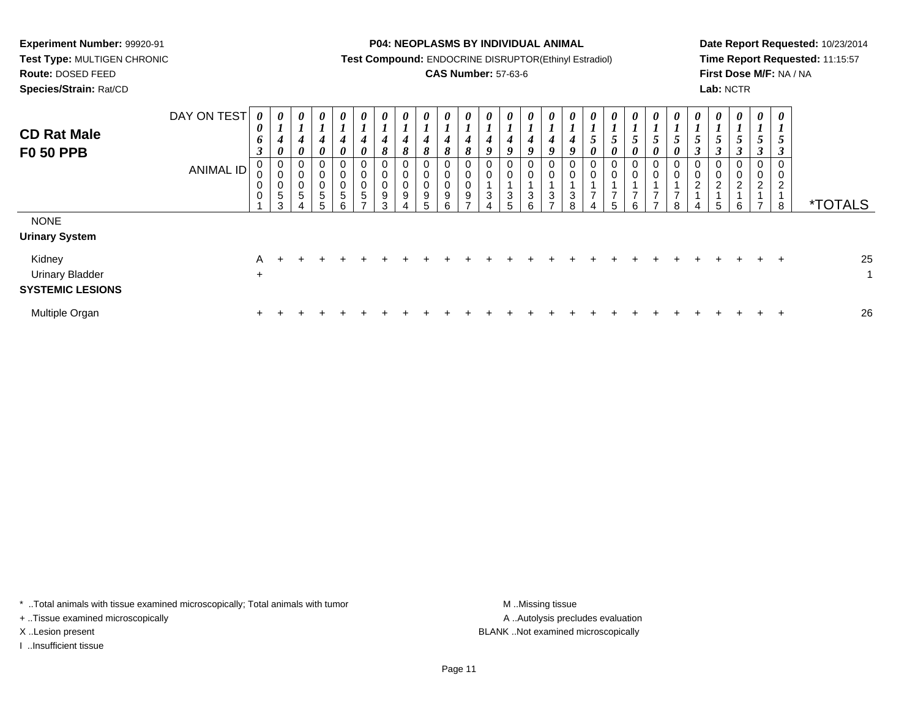**Route:** DOSED FEED

**Species/Strain:** Rat/CD

#### **P04: NEOPLASMS BY INDIVIDUAL ANIMAL**

**Test Compound:** ENDOCRINE DISRUPTOR(Ethinyl Estradiol)

## **CAS Number:** 57-63-6

**Date Report Requested:** 10/23/2014**Time Report Requested:** 11:15:57**First Dose M/F:** NA / NA**Lab:** NCTR

| <b>CD Rat Male</b><br><b>F0 50 PPB</b>                                   | DAY ON TEST<br>ANIMAL ID | 0<br>0<br>6<br>$\boldsymbol{\beta}$<br>0<br>0<br>$\mathbf 0$<br>$\mathbf 0$ | 0<br>$\mathbf{I}$<br>$\boldsymbol{4}$<br>$\boldsymbol{\theta}$<br>0<br>0<br>0<br>$\sqrt{5}$<br>3 | $\boldsymbol{\theta}$<br>$\mathbf{I}$<br>$\boldsymbol{4}$<br>$\boldsymbol{\theta}$<br>0<br>0<br>$\mathbf 0$<br>5 | 0<br>$\mathbf{I}$<br>4<br>0<br>0<br>0<br>0<br>5<br>5 | 0<br>L<br>4<br>$\boldsymbol{\theta}$<br>0<br>0<br>$\mathbf 0$<br>5<br>6 | $\boldsymbol{\theta}$<br>$\mathbf{I}$<br>4<br>$\boldsymbol{\theta}$<br>$\overline{0}$<br>$\pmb{0}$<br>$\pmb{0}$<br>$\overline{5}$ | 0<br>L<br>4<br>8<br>$\mathbf 0$<br>0<br>0<br>9<br>3 | 0<br>$\mathbf{I}$<br>$\boldsymbol{4}$<br>8<br>0<br>$\mathbf 0$<br>0<br>9 | 0<br>4<br>8<br>0<br>0<br>0<br>$\boldsymbol{9}$<br>5 | $\boldsymbol{\theta}$<br>$\overline{ }$<br>4<br>8<br>0<br>0<br>$\pmb{0}$<br>$\boldsymbol{9}$<br>6 | $\boldsymbol{\theta}$<br>$\boldsymbol{l}$<br>4<br>8<br>$\mathbf 0$<br>$\pmb{0}$<br>$\boldsymbol{0}$<br>9<br>- | $\boldsymbol{\theta}$<br>4<br>9<br>0<br>0<br>3 | $\boldsymbol{\theta}$<br>L<br>4<br>9<br>$\mathbf 0$<br>$\mathbf 0$<br>3<br>5 | $\boldsymbol{\theta}$<br>4<br>9<br>0<br>0<br>$\mathbf{3}$<br>6 | $\boldsymbol{\theta}$<br>4<br>9<br>0<br>0<br>$\sqrt{3}$<br>- | U<br>4<br>3 | $\boldsymbol{\theta}$<br>C<br>0<br>0<br>0<br>- | $\boldsymbol{\theta}$<br>5<br>$\boldsymbol{\theta}$<br>0<br>0<br>5 | 0<br>$\mathcal{L}$<br>$\boldsymbol{\theta}$<br>0<br>$\pmb{0}$<br>$\overline{ }$<br>6 | $\boldsymbol{\theta}$<br>J<br>0<br>0<br>0<br>⇁ | 5<br>0<br>0<br>$\mathbf 0$<br>⇁<br>8 | $\theta$<br>C<br>3<br>0<br>0<br>2<br>4 | 0<br>$\overline{ }$<br>5<br>$\boldsymbol{\beta}$<br>0<br>0<br>$\overline{\mathbf{c}}$<br>5 | 0<br>$\overline{I}$<br>$5\overline{)}$<br>$\mathfrak{z}$<br>0<br>$\mathbf 0$<br>$\overline{2}$<br>6 | 0<br>$\overline{ }$<br>5<br>$\mathbf{3}$<br>0<br>$\boldsymbol{0}$<br>$\overline{2}$<br>$\overline{ }$ | 0<br>L<br>5<br>3<br>0<br>0<br>$\overline{2}$<br>8 | <i><b>*TOTALS</b></i> |
|--------------------------------------------------------------------------|--------------------------|-----------------------------------------------------------------------------|--------------------------------------------------------------------------------------------------|------------------------------------------------------------------------------------------------------------------|------------------------------------------------------|-------------------------------------------------------------------------|-----------------------------------------------------------------------------------------------------------------------------------|-----------------------------------------------------|--------------------------------------------------------------------------|-----------------------------------------------------|---------------------------------------------------------------------------------------------------|---------------------------------------------------------------------------------------------------------------|------------------------------------------------|------------------------------------------------------------------------------|----------------------------------------------------------------|--------------------------------------------------------------|-------------|------------------------------------------------|--------------------------------------------------------------------|--------------------------------------------------------------------------------------|------------------------------------------------|--------------------------------------|----------------------------------------|--------------------------------------------------------------------------------------------|-----------------------------------------------------------------------------------------------------|-------------------------------------------------------------------------------------------------------|---------------------------------------------------|-----------------------|
| <b>NONE</b><br><b>Urinary System</b><br>Kidney<br><b>Urinary Bladder</b> |                          | A<br>$\ddot{}$                                                              |                                                                                                  |                                                                                                                  |                                                      |                                                                         |                                                                                                                                   |                                                     |                                                                          |                                                     |                                                                                                   |                                                                                                               |                                                |                                                                              |                                                                |                                                              |             |                                                |                                                                    |                                                                                      |                                                |                                      |                                        |                                                                                            |                                                                                                     |                                                                                                       | $\pm$                                             | 25<br>1               |
| <b>SYSTEMIC LESIONS</b><br>Multiple Organ                                |                          | $+$                                                                         |                                                                                                  |                                                                                                                  |                                                      |                                                                         |                                                                                                                                   |                                                     |                                                                          |                                                     |                                                                                                   |                                                                                                               |                                                |                                                                              |                                                                |                                                              |             |                                                |                                                                    |                                                                                      |                                                |                                      |                                        |                                                                                            |                                                                                                     |                                                                                                       | $\div$                                            | 26                    |

\* ..Total animals with tissue examined microscopically; Total animals with tumor **M** . Missing tissue M ..Missing tissue

+ ..Tissue examined microscopically

I ..Insufficient tissue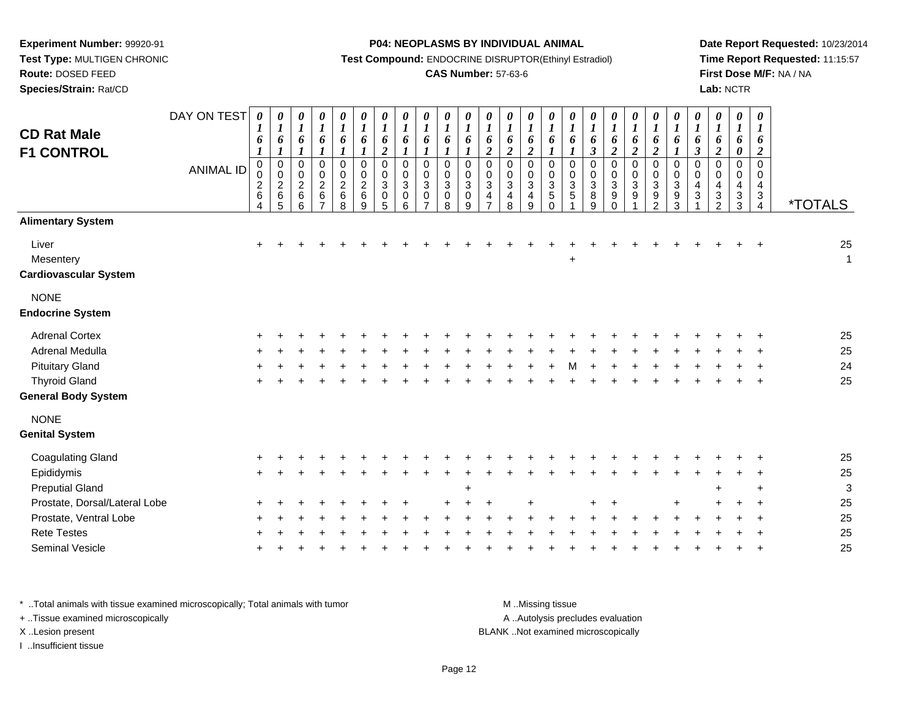**Species/Strain:** Rat/CD

#### **P04: NEOPLASMS BY INDIVIDUAL ANIMAL**

**Test Compound:** ENDOCRINE DISRUPTOR(Ethinyl Estradiol)

### **CAS Number:** 57-63-6

**Date Report Requested:** 10/23/2014**Time Report Requested:** 11:15:57**First Dose M/F:** NA / NA**Lab:** NCTR

| <b>CD Rat Male</b><br><b>F1 CONTROL</b>            | DAY ON TEST<br><b>ANIMAL ID</b> | 0<br>1<br>6<br>$\boldsymbol{l}$<br>$\mathbf 0$<br>0<br>$\frac{2}{6}$<br>4 | $\boldsymbol{\theta}$<br>$\boldsymbol{l}$<br>6<br>$\boldsymbol{l}$<br>$\pmb{0}$<br>$\boldsymbol{0}$<br>$\frac{2}{6}$<br>5 | $\pmb{\theta}$<br>$\boldsymbol{l}$<br>6<br>1<br>$\mathsf 0$<br>$\pmb{0}$<br>$\boldsymbol{2}$<br>$\,6$<br>6 | 0<br>$\boldsymbol{l}$<br>6<br>1<br>$\mathsf 0$<br>$\mathbf 0$<br>$\frac{2}{6}$<br>7 | 0<br>$\boldsymbol{l}$<br>6<br>$\boldsymbol{l}$<br>$\pmb{0}$<br>$\pmb{0}$<br>$\overline{c}$<br>6<br>8 | 0<br>$\boldsymbol{l}$<br>6<br>$\boldsymbol{l}$<br>$\mathbf 0$<br>$\pmb{0}$<br>$\overline{c}$<br>$\,6\,$<br>9 | $\frac{\theta}{I}$<br>6<br>$\overline{2}$<br>$\mathbf 0$<br>$\pmb{0}$<br>$\sqrt{3}$<br>$\pmb{0}$<br>5 | $\boldsymbol{\theta}$<br>$\boldsymbol{l}$<br>6<br>$\boldsymbol{l}$<br>$\mathbf 0$<br>$\mathbf 0$<br>$\mathbf{3}$<br>$\pmb{0}$<br>6 | $\pmb{\theta}$<br>$\boldsymbol{l}$<br>6<br>$\boldsymbol{l}$<br>$\mathbf 0$<br>0<br>$\sqrt{3}$<br>0<br>$\overline{7}$ | $\boldsymbol{\theta}$<br>$\boldsymbol{l}$<br>6<br>1<br>$\mathbf 0$<br>$\mathbf 0$<br>$\sqrt{3}$<br>$\mathbf 0$<br>8 | 0<br>$\boldsymbol{l}$<br>6<br>0<br>0<br>$\mathbf{3}$<br>$\mathsf 0$<br>9 | 0<br>$\boldsymbol{l}$<br>6<br>$\overline{\mathbf{c}}$<br>0<br>0<br>$\ensuremath{\mathsf{3}}$<br>4<br>$\overline{7}$ | 0<br>$\boldsymbol{l}$<br>6<br>$\overline{2}$<br>$\mathbf 0$<br>$\mathbf 0$<br>$\sqrt{3}$<br>$\overline{\mathbf{4}}$<br>8 | $\pmb{\theta}$<br>$\boldsymbol{l}$<br>6<br>$\overline{2}$<br>$\mathbf 0$<br>$\pmb{0}$<br>$\sqrt{3}$<br>$\overline{\mathbf{4}}$<br>9 | 0<br>$\boldsymbol{l}$<br>6<br>$\mathbf 0$<br>$\mathbf 0$<br>3<br>5<br>$\Omega$ | $\pmb{\theta}$<br>$\boldsymbol{l}$<br>6<br>$\boldsymbol{l}$<br>$\mathsf 0$<br>$\pmb{0}$<br>$\ensuremath{\mathsf{3}}$<br>$\mathbf 5$ | $\pmb{\theta}$<br>$\boldsymbol{l}$<br>6<br>$\boldsymbol{\beta}$<br>$\mathbf 0$<br>$\mathbf 0$<br>$\sqrt{3}$<br>8<br>9 | $\frac{\theta}{I}$<br>6<br>$\overline{2}$<br>$\mathbf 0$<br>$\ddot{\mathbf{0}}$<br>$\ensuremath{\mathsf{3}}$<br>$\boldsymbol{9}$<br>$\Omega$ | $\frac{\theta}{I}$<br>6<br>$\overline{2}$<br>0<br>$\mathsf{O}\xspace$<br>$\ensuremath{\mathsf{3}}$<br>$\boldsymbol{9}$ | 0<br>$\boldsymbol{l}$<br>6<br>$\overline{2}$<br>$\pmb{0}$<br>$\pmb{0}$<br>$\mathbf{3}$<br>$\boldsymbol{9}$<br>2 | $\boldsymbol{\theta}$<br>$\boldsymbol{l}$<br>6<br>$\boldsymbol{l}$<br>$\pmb{0}$<br>$\pmb{0}$<br>$\mathbf{3}$<br>$\boldsymbol{9}$<br>3 | 0<br>$\boldsymbol{l}$<br>6<br>$\boldsymbol{\beta}$<br>$\mathbf 0$<br>$\mathbf 0$<br>4<br>3 | $\boldsymbol{\theta}$<br>$\boldsymbol{l}$<br>6<br>$\overline{2}$<br>$\mathbf 0$<br>0<br>$\overline{4}$<br>$\sqrt{3}$<br>2 | 0<br>$\boldsymbol{l}$<br>6<br>0<br>$\mathbf 0$<br>0<br>4<br>$\ensuremath{\mathsf{3}}$<br>3 | $\boldsymbol{\theta}$<br>$\boldsymbol{l}$<br>6<br>$\boldsymbol{2}$<br>$\mathbf 0$<br>0<br>4<br>$\sqrt{3}$<br>$\overline{4}$ | <i><b>*TOTALS</b></i> |
|----------------------------------------------------|---------------------------------|---------------------------------------------------------------------------|---------------------------------------------------------------------------------------------------------------------------|------------------------------------------------------------------------------------------------------------|-------------------------------------------------------------------------------------|------------------------------------------------------------------------------------------------------|--------------------------------------------------------------------------------------------------------------|-------------------------------------------------------------------------------------------------------|------------------------------------------------------------------------------------------------------------------------------------|----------------------------------------------------------------------------------------------------------------------|---------------------------------------------------------------------------------------------------------------------|--------------------------------------------------------------------------|---------------------------------------------------------------------------------------------------------------------|--------------------------------------------------------------------------------------------------------------------------|-------------------------------------------------------------------------------------------------------------------------------------|--------------------------------------------------------------------------------|-------------------------------------------------------------------------------------------------------------------------------------|-----------------------------------------------------------------------------------------------------------------------|----------------------------------------------------------------------------------------------------------------------------------------------|------------------------------------------------------------------------------------------------------------------------|-----------------------------------------------------------------------------------------------------------------|---------------------------------------------------------------------------------------------------------------------------------------|--------------------------------------------------------------------------------------------|---------------------------------------------------------------------------------------------------------------------------|--------------------------------------------------------------------------------------------|-----------------------------------------------------------------------------------------------------------------------------|-----------------------|
| <b>Alimentary System</b>                           |                                 |                                                                           |                                                                                                                           |                                                                                                            |                                                                                     |                                                                                                      |                                                                                                              |                                                                                                       |                                                                                                                                    |                                                                                                                      |                                                                                                                     |                                                                          |                                                                                                                     |                                                                                                                          |                                                                                                                                     |                                                                                |                                                                                                                                     |                                                                                                                       |                                                                                                                                              |                                                                                                                        |                                                                                                                 |                                                                                                                                       |                                                                                            |                                                                                                                           |                                                                                            |                                                                                                                             |                       |
| Liver<br>Mesentery<br><b>Cardiovascular System</b> |                                 | $\ddot{}$                                                                 |                                                                                                                           |                                                                                                            |                                                                                     |                                                                                                      |                                                                                                              |                                                                                                       |                                                                                                                                    |                                                                                                                      |                                                                                                                     |                                                                          |                                                                                                                     |                                                                                                                          |                                                                                                                                     |                                                                                | +                                                                                                                                   |                                                                                                                       |                                                                                                                                              |                                                                                                                        |                                                                                                                 |                                                                                                                                       |                                                                                            |                                                                                                                           |                                                                                            |                                                                                                                             | 25<br>$\mathbf{1}$    |
| <b>NONE</b>                                        |                                 |                                                                           |                                                                                                                           |                                                                                                            |                                                                                     |                                                                                                      |                                                                                                              |                                                                                                       |                                                                                                                                    |                                                                                                                      |                                                                                                                     |                                                                          |                                                                                                                     |                                                                                                                          |                                                                                                                                     |                                                                                |                                                                                                                                     |                                                                                                                       |                                                                                                                                              |                                                                                                                        |                                                                                                                 |                                                                                                                                       |                                                                                            |                                                                                                                           |                                                                                            |                                                                                                                             |                       |
| <b>Endocrine System</b>                            |                                 |                                                                           |                                                                                                                           |                                                                                                            |                                                                                     |                                                                                                      |                                                                                                              |                                                                                                       |                                                                                                                                    |                                                                                                                      |                                                                                                                     |                                                                          |                                                                                                                     |                                                                                                                          |                                                                                                                                     |                                                                                |                                                                                                                                     |                                                                                                                       |                                                                                                                                              |                                                                                                                        |                                                                                                                 |                                                                                                                                       |                                                                                            |                                                                                                                           |                                                                                            |                                                                                                                             |                       |
| <b>Adrenal Cortex</b>                              |                                 |                                                                           |                                                                                                                           |                                                                                                            |                                                                                     |                                                                                                      |                                                                                                              |                                                                                                       |                                                                                                                                    |                                                                                                                      |                                                                                                                     |                                                                          |                                                                                                                     |                                                                                                                          |                                                                                                                                     |                                                                                |                                                                                                                                     |                                                                                                                       |                                                                                                                                              |                                                                                                                        |                                                                                                                 |                                                                                                                                       |                                                                                            |                                                                                                                           |                                                                                            |                                                                                                                             | 25                    |
| Adrenal Medulla                                    |                                 |                                                                           |                                                                                                                           |                                                                                                            |                                                                                     |                                                                                                      |                                                                                                              |                                                                                                       |                                                                                                                                    |                                                                                                                      |                                                                                                                     |                                                                          |                                                                                                                     |                                                                                                                          |                                                                                                                                     |                                                                                |                                                                                                                                     |                                                                                                                       |                                                                                                                                              |                                                                                                                        |                                                                                                                 |                                                                                                                                       |                                                                                            |                                                                                                                           |                                                                                            |                                                                                                                             | 25                    |
| <b>Pituitary Gland</b>                             |                                 |                                                                           |                                                                                                                           |                                                                                                            |                                                                                     |                                                                                                      |                                                                                                              |                                                                                                       |                                                                                                                                    |                                                                                                                      |                                                                                                                     |                                                                          |                                                                                                                     |                                                                                                                          |                                                                                                                                     |                                                                                |                                                                                                                                     |                                                                                                                       |                                                                                                                                              |                                                                                                                        |                                                                                                                 |                                                                                                                                       |                                                                                            |                                                                                                                           |                                                                                            |                                                                                                                             | 24                    |
| <b>Thyroid Gland</b>                               |                                 |                                                                           |                                                                                                                           |                                                                                                            |                                                                                     |                                                                                                      |                                                                                                              |                                                                                                       |                                                                                                                                    |                                                                                                                      |                                                                                                                     |                                                                          |                                                                                                                     |                                                                                                                          |                                                                                                                                     |                                                                                |                                                                                                                                     |                                                                                                                       |                                                                                                                                              |                                                                                                                        |                                                                                                                 |                                                                                                                                       |                                                                                            |                                                                                                                           |                                                                                            |                                                                                                                             | 25                    |
| <b>General Body System</b>                         |                                 |                                                                           |                                                                                                                           |                                                                                                            |                                                                                     |                                                                                                      |                                                                                                              |                                                                                                       |                                                                                                                                    |                                                                                                                      |                                                                                                                     |                                                                          |                                                                                                                     |                                                                                                                          |                                                                                                                                     |                                                                                |                                                                                                                                     |                                                                                                                       |                                                                                                                                              |                                                                                                                        |                                                                                                                 |                                                                                                                                       |                                                                                            |                                                                                                                           |                                                                                            |                                                                                                                             |                       |
| <b>NONE</b>                                        |                                 |                                                                           |                                                                                                                           |                                                                                                            |                                                                                     |                                                                                                      |                                                                                                              |                                                                                                       |                                                                                                                                    |                                                                                                                      |                                                                                                                     |                                                                          |                                                                                                                     |                                                                                                                          |                                                                                                                                     |                                                                                |                                                                                                                                     |                                                                                                                       |                                                                                                                                              |                                                                                                                        |                                                                                                                 |                                                                                                                                       |                                                                                            |                                                                                                                           |                                                                                            |                                                                                                                             |                       |
| <b>Genital System</b>                              |                                 |                                                                           |                                                                                                                           |                                                                                                            |                                                                                     |                                                                                                      |                                                                                                              |                                                                                                       |                                                                                                                                    |                                                                                                                      |                                                                                                                     |                                                                          |                                                                                                                     |                                                                                                                          |                                                                                                                                     |                                                                                |                                                                                                                                     |                                                                                                                       |                                                                                                                                              |                                                                                                                        |                                                                                                                 |                                                                                                                                       |                                                                                            |                                                                                                                           |                                                                                            |                                                                                                                             |                       |
| <b>Coagulating Gland</b>                           |                                 |                                                                           |                                                                                                                           |                                                                                                            |                                                                                     |                                                                                                      |                                                                                                              |                                                                                                       |                                                                                                                                    |                                                                                                                      |                                                                                                                     |                                                                          |                                                                                                                     |                                                                                                                          |                                                                                                                                     |                                                                                |                                                                                                                                     |                                                                                                                       |                                                                                                                                              |                                                                                                                        |                                                                                                                 |                                                                                                                                       |                                                                                            |                                                                                                                           |                                                                                            |                                                                                                                             | 25                    |
| Epididymis                                         |                                 |                                                                           |                                                                                                                           |                                                                                                            |                                                                                     |                                                                                                      |                                                                                                              |                                                                                                       |                                                                                                                                    |                                                                                                                      |                                                                                                                     |                                                                          |                                                                                                                     |                                                                                                                          |                                                                                                                                     |                                                                                |                                                                                                                                     |                                                                                                                       |                                                                                                                                              |                                                                                                                        |                                                                                                                 |                                                                                                                                       |                                                                                            |                                                                                                                           |                                                                                            |                                                                                                                             | 25                    |
| <b>Preputial Gland</b>                             |                                 |                                                                           |                                                                                                                           |                                                                                                            |                                                                                     |                                                                                                      |                                                                                                              |                                                                                                       |                                                                                                                                    |                                                                                                                      |                                                                                                                     | $\ddot{}$                                                                |                                                                                                                     |                                                                                                                          |                                                                                                                                     |                                                                                |                                                                                                                                     |                                                                                                                       |                                                                                                                                              |                                                                                                                        |                                                                                                                 |                                                                                                                                       |                                                                                            |                                                                                                                           |                                                                                            |                                                                                                                             | 3                     |
| Prostate, Dorsal/Lateral Lobe                      |                                 |                                                                           |                                                                                                                           |                                                                                                            |                                                                                     |                                                                                                      |                                                                                                              |                                                                                                       |                                                                                                                                    |                                                                                                                      |                                                                                                                     |                                                                          |                                                                                                                     |                                                                                                                          |                                                                                                                                     |                                                                                |                                                                                                                                     |                                                                                                                       |                                                                                                                                              |                                                                                                                        |                                                                                                                 |                                                                                                                                       |                                                                                            |                                                                                                                           |                                                                                            |                                                                                                                             | 25                    |
| Prostate, Ventral Lobe                             |                                 |                                                                           |                                                                                                                           |                                                                                                            |                                                                                     |                                                                                                      |                                                                                                              |                                                                                                       |                                                                                                                                    |                                                                                                                      |                                                                                                                     |                                                                          |                                                                                                                     |                                                                                                                          |                                                                                                                                     |                                                                                |                                                                                                                                     |                                                                                                                       |                                                                                                                                              |                                                                                                                        |                                                                                                                 |                                                                                                                                       |                                                                                            |                                                                                                                           |                                                                                            |                                                                                                                             | 25                    |
| <b>Rete Testes</b>                                 |                                 |                                                                           |                                                                                                                           |                                                                                                            |                                                                                     |                                                                                                      |                                                                                                              |                                                                                                       |                                                                                                                                    |                                                                                                                      |                                                                                                                     |                                                                          |                                                                                                                     |                                                                                                                          |                                                                                                                                     |                                                                                |                                                                                                                                     |                                                                                                                       |                                                                                                                                              |                                                                                                                        |                                                                                                                 |                                                                                                                                       |                                                                                            |                                                                                                                           |                                                                                            |                                                                                                                             | 25                    |
| Seminal Vesicle                                    |                                 |                                                                           |                                                                                                                           |                                                                                                            |                                                                                     |                                                                                                      |                                                                                                              |                                                                                                       |                                                                                                                                    |                                                                                                                      |                                                                                                                     |                                                                          |                                                                                                                     |                                                                                                                          |                                                                                                                                     |                                                                                |                                                                                                                                     |                                                                                                                       |                                                                                                                                              |                                                                                                                        |                                                                                                                 |                                                                                                                                       |                                                                                            |                                                                                                                           |                                                                                            |                                                                                                                             | 25                    |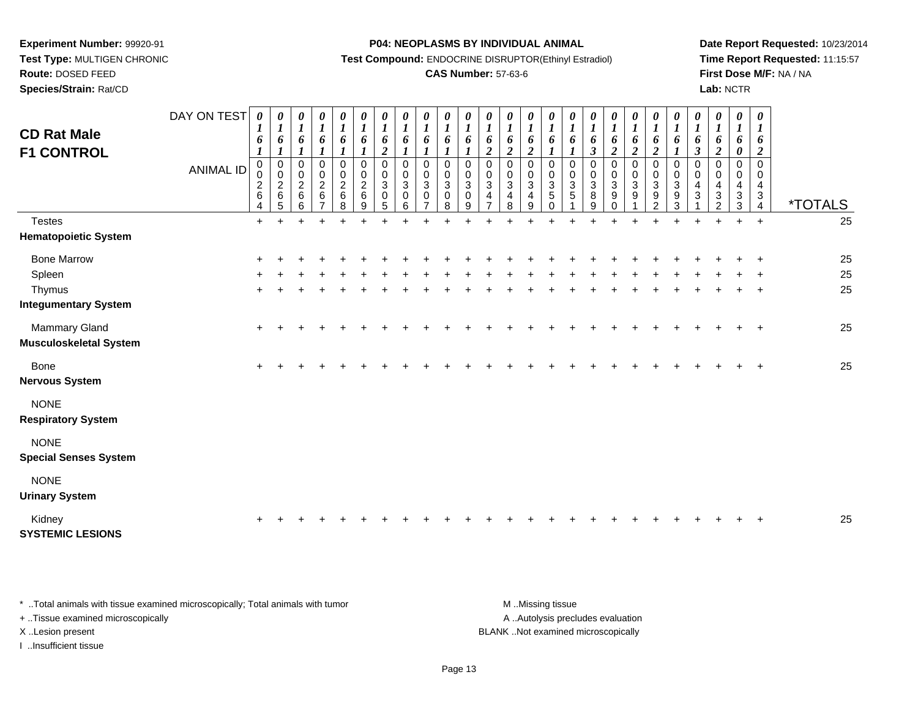**Species/Strain:** Rat/CD

#### **P04: NEOPLASMS BY INDIVIDUAL ANIMAL**

**Test Compound:** ENDOCRINE DISRUPTOR(Ethinyl Estradiol)

### **CAS Number:** 57-63-6

**Date Report Requested:** 10/23/2014**Time Report Requested:** 11:15:57**First Dose M/F:** NA / NA**Lab:** NCTR

| <b>CD Rat Male</b>                             | DAY ON TEST      | 0<br>$\boldsymbol{l}$<br>6                                                | 0<br>$\boldsymbol{l}$<br>6                                       | 0<br>$\boldsymbol{l}$<br>6                                 | 0<br>$\boldsymbol{l}$<br>6                                              | 0<br>$\boldsymbol{l}$<br>6                                    | 0<br>$\boldsymbol{l}$<br>6                                                   | $\boldsymbol{\theta}$<br>$\boldsymbol{l}$<br>6    | 0<br>$\boldsymbol{l}$<br>6                                               | $\boldsymbol{\theta}$<br>$\boldsymbol{l}$<br>6             | 0<br>$\boldsymbol{l}$<br>6                               | 0<br>$\boldsymbol{l}$<br>6                         | 0<br>$\boldsymbol{l}$<br>6                                                              | 0<br>$\boldsymbol{l}$<br>6                                                            | $\boldsymbol{\theta}$<br>$\boldsymbol{l}$<br>6               | 0<br>$\boldsymbol{l}$<br>6                                | $\boldsymbol{\theta}$<br>$\boldsymbol{l}$<br>6 | $\boldsymbol{\theta}$<br>$\boldsymbol{l}$<br>6                                  | 0<br>$\boldsymbol{l}$<br>6                                                                | 0<br>$\boldsymbol{l}$<br>6                                                   | 0<br>$\boldsymbol{I}$<br>6                                                        | 0<br>$\boldsymbol{l}$<br>6                                     | 0<br>$\boldsymbol{I}$<br>6                                             | 0<br>$\boldsymbol{l}$<br>6                                                | 0<br>$\boldsymbol{l}$<br>6                         | 0<br>$\boldsymbol{l}$<br>6                                                               |                       |
|------------------------------------------------|------------------|---------------------------------------------------------------------------|------------------------------------------------------------------|------------------------------------------------------------|-------------------------------------------------------------------------|---------------------------------------------------------------|------------------------------------------------------------------------------|---------------------------------------------------|--------------------------------------------------------------------------|------------------------------------------------------------|----------------------------------------------------------|----------------------------------------------------|-----------------------------------------------------------------------------------------|---------------------------------------------------------------------------------------|--------------------------------------------------------------|-----------------------------------------------------------|------------------------------------------------|---------------------------------------------------------------------------------|-------------------------------------------------------------------------------------------|------------------------------------------------------------------------------|-----------------------------------------------------------------------------------|----------------------------------------------------------------|------------------------------------------------------------------------|---------------------------------------------------------------------------|----------------------------------------------------|------------------------------------------------------------------------------------------|-----------------------|
| <b>F1 CONTROL</b>                              | <b>ANIMAL ID</b> | $\boldsymbol{l}$<br>$\mathbf 0$<br>$\boldsymbol{0}$<br>$\frac{2}{6}$<br>4 | $\boldsymbol{l}$<br>$\pmb{0}$<br>$\pmb{0}$<br>$\frac{2}{6}$<br>5 | $\pmb{0}$<br>$\mathbf 0$<br>$\overline{2}$<br>$\,6\,$<br>6 | $\mathbf 0$<br>$\pmb{0}$<br>$\overline{c}$<br>$\,6\,$<br>$\overline{7}$ | $\boldsymbol{0}$<br>$\pmb{0}$<br>$\overline{c}$<br>$\,6$<br>8 | $\boldsymbol{l}$<br>$\pmb{0}$<br>$\pmb{0}$<br>$\boldsymbol{2}$<br>$\,6$<br>9 | $\overline{c}$<br>$\mathbf 0$<br>0<br>3<br>0<br>5 | $\boldsymbol{l}$<br>$\mathbf 0$<br>$\mathbf 0$<br>$\mathbf{3}$<br>0<br>6 | 1<br>$\pmb{0}$<br>0<br>$\mathbf{3}$<br>0<br>$\overline{7}$ | $\pmb{0}$<br>$\pmb{0}$<br>$\mathbf{3}$<br>$\pmb{0}$<br>8 | 0<br>$\mathsf 0$<br>$\mathbf{3}$<br>$\pmb{0}$<br>9 | $\boldsymbol{2}$<br>$\pmb{0}$<br>$\pmb{0}$<br>$\overline{3}$<br>$\overline{\mathbf{4}}$ | $\boldsymbol{2}$<br>$\mathbf 0$<br>$\mathbf 0$<br>$\mathbf{3}$<br>$\overline{4}$<br>8 | $\boldsymbol{2}$<br>$\mathbf 0$<br>0<br>$\sqrt{3}$<br>4<br>9 | $\mathbf 0$<br>0<br>$\sqrt{3}$<br>$\,$ 5 $\,$<br>$\Omega$ | 1<br>0<br>0<br>$\,$ 3 $\,$<br>5                | $\mathfrak{z}$<br>$\mathbf 0$<br>0<br>$\ensuremath{\mathsf{3}}$<br>$\bf 8$<br>g | $\boldsymbol{2}$<br>0<br>$\boldsymbol{0}$<br>$\mathbf{3}$<br>$\boldsymbol{9}$<br>$\Omega$ | $\boldsymbol{2}$<br>$\pmb{0}$<br>$\pmb{0}$<br>$\ensuremath{\mathsf{3}}$<br>9 | $\boldsymbol{2}$<br>$\pmb{0}$<br>$\pmb{0}$<br>$\mathbf{3}$<br>9<br>$\overline{2}$ | 1<br>$\pmb{0}$<br>$\pmb{0}$<br>$\sqrt{3}$<br>9<br>$\mathbf{3}$ | $\boldsymbol{\beta}$<br>$\Omega$<br>$\mathbf 0$<br>$\overline{4}$<br>3 | $\boldsymbol{2}$<br>$\mathbf 0$<br>0<br>4<br>$\sqrt{3}$<br>$\overline{2}$ | 0<br>0<br>0<br>4<br>$\ensuremath{\mathsf{3}}$<br>3 | $\boldsymbol{2}$<br>$\mathbf 0$<br>0<br>4<br>$\ensuremath{\mathsf{3}}$<br>$\overline{4}$ | <i><b>*TOTALS</b></i> |
| <b>Testes</b>                                  |                  | $+$                                                                       |                                                                  |                                                            |                                                                         |                                                               |                                                                              |                                                   |                                                                          |                                                            |                                                          |                                                    |                                                                                         |                                                                                       |                                                              |                                                           |                                                |                                                                                 |                                                                                           |                                                                              |                                                                                   |                                                                |                                                                        |                                                                           |                                                    | $\ddot{}$                                                                                | 25                    |
| <b>Hematopoietic System</b>                    |                  |                                                                           |                                                                  |                                                            |                                                                         |                                                               |                                                                              |                                                   |                                                                          |                                                            |                                                          |                                                    |                                                                                         |                                                                                       |                                                              |                                                           |                                                |                                                                                 |                                                                                           |                                                                              |                                                                                   |                                                                |                                                                        |                                                                           |                                                    |                                                                                          |                       |
| <b>Bone Marrow</b>                             |                  |                                                                           |                                                                  |                                                            |                                                                         |                                                               |                                                                              |                                                   |                                                                          |                                                            |                                                          |                                                    |                                                                                         |                                                                                       |                                                              |                                                           |                                                |                                                                                 |                                                                                           |                                                                              |                                                                                   |                                                                |                                                                        |                                                                           |                                                    |                                                                                          | 25                    |
| Spleen                                         |                  |                                                                           |                                                                  |                                                            |                                                                         |                                                               |                                                                              |                                                   |                                                                          |                                                            |                                                          |                                                    |                                                                                         |                                                                                       |                                                              |                                                           |                                                |                                                                                 |                                                                                           |                                                                              |                                                                                   |                                                                |                                                                        |                                                                           |                                                    |                                                                                          | 25                    |
| Thymus                                         |                  | ÷                                                                         |                                                                  |                                                            |                                                                         |                                                               |                                                                              |                                                   |                                                                          |                                                            |                                                          |                                                    |                                                                                         |                                                                                       |                                                              |                                                           |                                                |                                                                                 |                                                                                           |                                                                              |                                                                                   |                                                                |                                                                        |                                                                           |                                                    | $\overline{+}$                                                                           | 25                    |
| <b>Integumentary System</b>                    |                  |                                                                           |                                                                  |                                                            |                                                                         |                                                               |                                                                              |                                                   |                                                                          |                                                            |                                                          |                                                    |                                                                                         |                                                                                       |                                                              |                                                           |                                                |                                                                                 |                                                                                           |                                                                              |                                                                                   |                                                                |                                                                        |                                                                           |                                                    |                                                                                          |                       |
| Mammary Gland<br><b>Musculoskeletal System</b> |                  | $\pm$                                                                     |                                                                  |                                                            |                                                                         |                                                               |                                                                              |                                                   |                                                                          |                                                            |                                                          |                                                    |                                                                                         |                                                                                       |                                                              |                                                           |                                                |                                                                                 |                                                                                           |                                                                              |                                                                                   |                                                                |                                                                        |                                                                           |                                                    | $\overline{+}$                                                                           | 25                    |
| Bone<br><b>Nervous System</b>                  |                  |                                                                           |                                                                  |                                                            |                                                                         |                                                               |                                                                              |                                                   |                                                                          |                                                            |                                                          |                                                    |                                                                                         |                                                                                       |                                                              |                                                           |                                                |                                                                                 |                                                                                           |                                                                              |                                                                                   |                                                                |                                                                        |                                                                           |                                                    |                                                                                          | 25                    |
| <b>NONE</b><br><b>Respiratory System</b>       |                  |                                                                           |                                                                  |                                                            |                                                                         |                                                               |                                                                              |                                                   |                                                                          |                                                            |                                                          |                                                    |                                                                                         |                                                                                       |                                                              |                                                           |                                                |                                                                                 |                                                                                           |                                                                              |                                                                                   |                                                                |                                                                        |                                                                           |                                                    |                                                                                          |                       |
| <b>NONE</b><br><b>Special Senses System</b>    |                  |                                                                           |                                                                  |                                                            |                                                                         |                                                               |                                                                              |                                                   |                                                                          |                                                            |                                                          |                                                    |                                                                                         |                                                                                       |                                                              |                                                           |                                                |                                                                                 |                                                                                           |                                                                              |                                                                                   |                                                                |                                                                        |                                                                           |                                                    |                                                                                          |                       |
| <b>NONE</b><br><b>Urinary System</b>           |                  |                                                                           |                                                                  |                                                            |                                                                         |                                                               |                                                                              |                                                   |                                                                          |                                                            |                                                          |                                                    |                                                                                         |                                                                                       |                                                              |                                                           |                                                |                                                                                 |                                                                                           |                                                                              |                                                                                   |                                                                |                                                                        |                                                                           |                                                    |                                                                                          |                       |
| Kidney<br><b>SYSTEMIC LESIONS</b>              |                  |                                                                           |                                                                  |                                                            |                                                                         |                                                               |                                                                              |                                                   |                                                                          |                                                            |                                                          |                                                    |                                                                                         |                                                                                       |                                                              |                                                           |                                                |                                                                                 |                                                                                           |                                                                              |                                                                                   |                                                                |                                                                        |                                                                           |                                                    |                                                                                          | 25                    |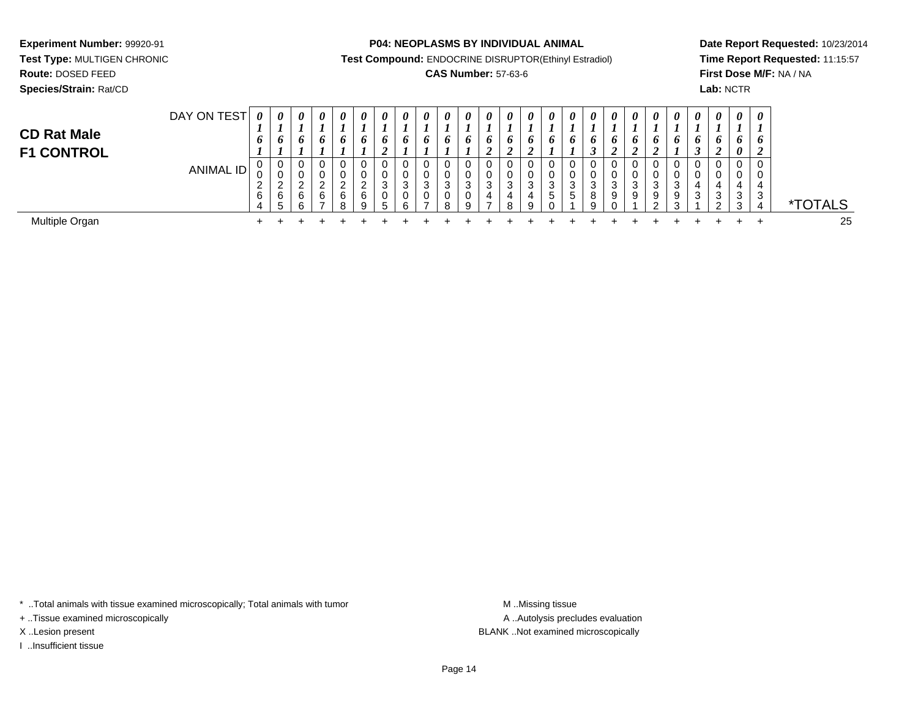**Route:** DOSED FEED

**Species/Strain:** Rat/CD

#### **P04: NEOPLASMS BY INDIVIDUAL ANIMAL**

**Test Compound:** ENDOCRINE DISRUPTOR(Ethinyl Estradiol)

## **CAS Number:** 57-63-6

**Date Report Requested:** 10/23/2014**Time Report Requested:** 11:15:57**First Dose M/F:** NA / NA**Lab:** NCTR

| <b>CD Rat Male</b><br><b>F1 CONTROL</b> | DAY ON TEST | $\boldsymbol{\theta}$<br>$\overline{\phantom{a}}$<br>$\bm{o}$ | 0                 | 0<br>6                  | 0<br>6                                 | 0<br>6                       | $\boldsymbol{\theta}$<br>$\bm{o}$ | 0<br>0 | $\boldsymbol{\theta}$<br>6 | 0<br>o                  | $\boldsymbol{\theta}$<br>o | 0<br>$\bm{o}$ | $\boldsymbol{\theta}$<br>$\bm{o}$ | 0<br>o<br>ി<br>$\epsilon$ | 0<br>6<br>◢           | $\theta$<br>o | $\theta$<br>o               | $\theta$<br>o              | 0<br>O | $\theta$<br>O | $\boldsymbol{\theta}$<br>o | $\theta$<br>o | $\boldsymbol{\theta}$<br>J | $\boldsymbol{\theta}$<br>O. | $\boldsymbol{\theta}$<br>o<br>$\boldsymbol{\theta}$ | $\theta$<br>O     |              |
|-----------------------------------------|-------------|---------------------------------------------------------------|-------------------|-------------------------|----------------------------------------|------------------------------|-----------------------------------|--------|----------------------------|-------------------------|----------------------------|---------------|-----------------------------------|---------------------------|-----------------------|---------------|-----------------------------|----------------------------|--------|---------------|----------------------------|---------------|----------------------------|-----------------------------|-----------------------------------------------------|-------------------|--------------|
|                                         | ANIMAL ID   | v<br>v<br><u>_</u><br>6<br>4                                  | v<br>ັບ<br>_<br>6 | 0<br><u>_</u><br>6<br>6 | v<br>$\sim$<br>_<br>6<br>$\rightarrow$ | U<br>U<br><u>_</u><br>6<br>8 | U<br>v<br>ົ<br>6<br>9             |        | U<br>U<br>3<br>0<br>6      | ◡<br>U.<br>ົ<br>J.<br>v | 0<br>0<br>3<br>0<br>8      | ົ<br>◡<br>a   | 3<br>4                            | 0<br>0<br>3<br>4<br>8     | 0<br>0<br>3<br>4<br>9 | G             | 0<br>0<br>3<br><sub>5</sub> | U<br>υ<br>ົ<br>ັ<br>8<br>g | 3<br>9 | 3<br>9        | ົ<br>9                     | ົ<br>9<br>⌒   | 0<br>0<br>3                | $\sim$<br>دت<br>$\sim$      | $\cap$<br>U<br>v<br>4<br>2<br>◡<br>3                | 0<br>U.<br>3<br>4 | <b>OTALS</b> |
| Multiple Organ                          |             | ÷                                                             |                   |                         |                                        |                              |                                   |        |                            |                         |                            |               |                                   |                           |                       |               |                             |                            |        |               |                            |               |                            |                             |                                                     |                   | 25           |

\* ..Total animals with tissue examined microscopically; Total animals with tumor **M** . Missing tissue M ..Missing tissue

+ ..Tissue examined microscopically

I ..Insufficient tissue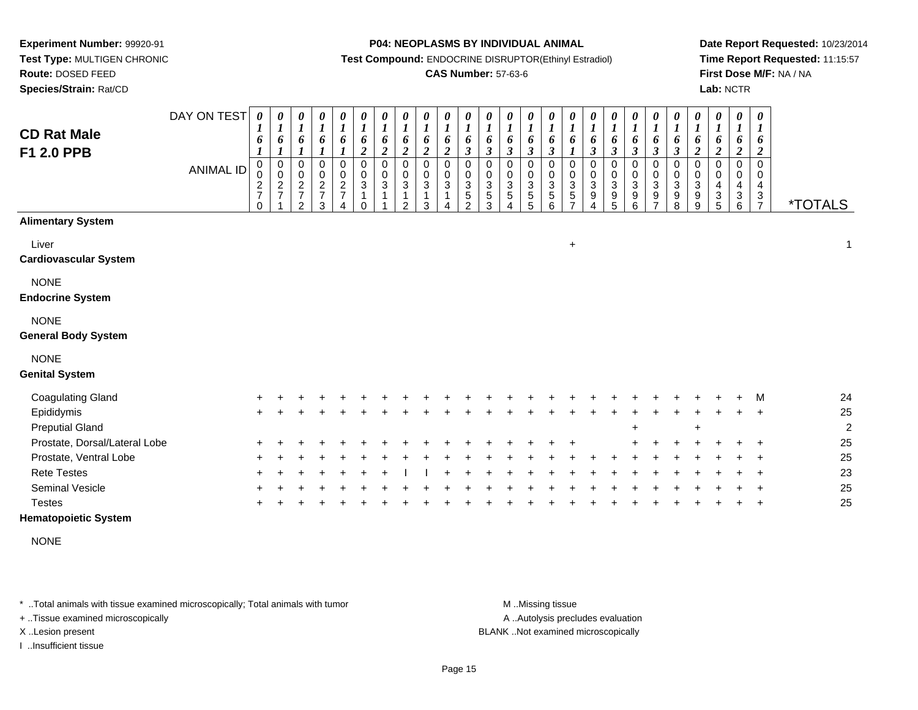**Species/Strain:** Rat/CD

#### **P04: NEOPLASMS BY INDIVIDUAL ANIMAL**

**Test Compound:** ENDOCRINE DISRUPTOR(Ethinyl Estradiol)

### **CAS Number:** 57-63-6

**Date Report Requested:** 10/23/2014**Time Report Requested:** 11:15:57**First Dose M/F:** NA / NA**Lab:** NCTR

| <b>CD Rat Male</b><br>F1 2.0 PPB          | DAY ON TEST<br><b>ANIMAL ID</b> | 0<br>6<br>0<br>$\mathsf 0$<br>$\frac{2}{7}$<br>$\Omega$ | $\boldsymbol{\theta}$<br>$\boldsymbol{I}$<br>6<br>0<br>$\pmb{0}$<br>$\frac{2}{7}$ | 0<br>$\boldsymbol{l}$<br>6<br>0<br>$\pmb{0}$<br>$\boldsymbol{2}$<br>$\overline{7}$<br>$\mathfrak{p}$ | $\pmb{\theta}$<br>$\boldsymbol{l}$<br>6<br>0<br>$\frac{0}{2}$<br>3 | 0<br>$\boldsymbol{l}$<br>6<br>0<br>$\frac{0}{2}$ | $\pmb{\theta}$<br>$\boldsymbol{l}$<br>6<br>$\boldsymbol{2}$<br>0<br>$\pmb{0}$<br>$\sqrt{3}$<br>$\mathbf 1$ | $\boldsymbol{\theta}$<br>$\boldsymbol{l}$<br>6<br>$\boldsymbol{2}$<br>$\mathbf 0$<br>$\mathbf 0$<br>$\mathbf{3}$<br>1 | 0<br>$\boldsymbol{l}$<br>6<br>$\overline{2}$<br>$\pmb{0}$<br>0<br>3<br>$\mathfrak{p}$ | $\pmb{\theta}$<br>$\boldsymbol{l}$<br>6<br>$\boldsymbol{2}$<br>0<br>0<br>3<br>3 | $\boldsymbol{\theta}$<br>$\boldsymbol{l}$<br>6<br>$\overline{2}$<br>$\Omega$<br>$\mathbf 0$<br>3 | $\pmb{\theta}$<br>$\boldsymbol{l}$<br>6<br>$\mathfrak{z}$<br>$\pmb{0}$<br>$_{3}^{\rm 0}$<br>$\mathbf 5$<br>$\mathfrak{p}$ | $\pmb{\theta}$<br>$\boldsymbol{l}$<br>6<br>$\boldsymbol{\mathfrak{z}}$<br>0<br>0<br>$\mathbf{3}$<br>$\sqrt{5}$<br>3 | $\pmb{\theta}$<br>$\boldsymbol{l}$<br>6<br>$\mathfrak{z}$<br>0<br>0<br>$\ensuremath{\mathsf{3}}$<br>5<br>4 | $\pmb{\theta}$<br>$\boldsymbol{l}$<br>6<br>$\boldsymbol{\beta}$<br>$\pmb{0}$<br>$\pmb{0}$<br>$\mathbf{3}$<br>$\mathbf 5$<br>5 | $\pmb{\theta}$<br>$\boldsymbol{l}$<br>6<br>$\overline{\mathbf{3}}$<br>$\pmb{0}$<br>0<br>3<br>5<br>6 | $\pmb{\theta}$<br>$\boldsymbol{l}$<br>6<br>$\mathbf{I}$<br>0<br>0<br>$\ensuremath{\mathsf{3}}$<br>$\mathbf 5$ | $\pmb{\theta}$<br>$\boldsymbol{l}$<br>6<br>$\boldsymbol{\beta}$<br>$\mathbf 0$<br>$\pmb{0}$<br>$\ensuremath{\mathsf{3}}$<br>9 | $\pmb{\theta}$<br>$\boldsymbol{l}$<br>6<br>$\boldsymbol{\beta}$<br>$\mathbf 0$<br>$\begin{smallmatrix}0\3\9\end{smallmatrix}$<br>$\overline{5}$ | $\boldsymbol{\theta}$<br>$\boldsymbol{l}$<br>$\pmb{6}$<br>$\boldsymbol{\mathfrak{z}}$<br>0<br>$\pmb{0}$<br>$\overline{3}$<br>$\boldsymbol{9}$<br>$\,6$ | 0<br>$\boldsymbol{l}$<br>6<br>$\boldsymbol{\beta}$<br>0<br>$\boldsymbol{0}$<br>3<br>9<br>$\overline{7}$ | $\pmb{\theta}$<br>$\boldsymbol{l}$<br>6<br>$\boldsymbol{\beta}$<br>$\pmb{0}$<br>$\pmb{0}$<br>$\sqrt{3}$<br>9<br>8 | $\pmb{\theta}$<br>$\boldsymbol{l}$<br>6<br>$\overline{c}$<br>$\mathbf 0$<br>0<br>3<br>9<br>9 | $\pmb{\theta}$<br>$\boldsymbol{l}$<br>6<br>$\boldsymbol{2}$<br>$\Omega$<br>0<br>4<br>3<br>5 | $\boldsymbol{\theta}$<br>$\boldsymbol{l}$<br>6<br>$\boldsymbol{2}$<br>$\mathbf 0$<br>0<br>4<br>$\sqrt{3}$<br>$6\phantom{1}6$ | $\boldsymbol{\theta}$<br>$\boldsymbol{l}$<br>6<br>$\boldsymbol{2}$<br>0<br>0<br>4<br>$\frac{3}{7}$ | <i><b>*TOTALS</b></i> |
|-------------------------------------------|---------------------------------|---------------------------------------------------------|-----------------------------------------------------------------------------------|------------------------------------------------------------------------------------------------------|--------------------------------------------------------------------|--------------------------------------------------|------------------------------------------------------------------------------------------------------------|-----------------------------------------------------------------------------------------------------------------------|---------------------------------------------------------------------------------------|---------------------------------------------------------------------------------|--------------------------------------------------------------------------------------------------|---------------------------------------------------------------------------------------------------------------------------|---------------------------------------------------------------------------------------------------------------------|------------------------------------------------------------------------------------------------------------|-------------------------------------------------------------------------------------------------------------------------------|-----------------------------------------------------------------------------------------------------|---------------------------------------------------------------------------------------------------------------|-------------------------------------------------------------------------------------------------------------------------------|-------------------------------------------------------------------------------------------------------------------------------------------------|--------------------------------------------------------------------------------------------------------------------------------------------------------|---------------------------------------------------------------------------------------------------------|-------------------------------------------------------------------------------------------------------------------|----------------------------------------------------------------------------------------------|---------------------------------------------------------------------------------------------|------------------------------------------------------------------------------------------------------------------------------|----------------------------------------------------------------------------------------------------|-----------------------|
| <b>Alimentary System</b>                  |                                 |                                                         |                                                                                   |                                                                                                      |                                                                    |                                                  |                                                                                                            |                                                                                                                       |                                                                                       |                                                                                 |                                                                                                  |                                                                                                                           |                                                                                                                     |                                                                                                            |                                                                                                                               |                                                                                                     |                                                                                                               |                                                                                                                               |                                                                                                                                                 |                                                                                                                                                        |                                                                                                         |                                                                                                                   |                                                                                              |                                                                                             |                                                                                                                              |                                                                                                    |                       |
| Liver<br><b>Cardiovascular System</b>     |                                 |                                                         |                                                                                   |                                                                                                      |                                                                    |                                                  |                                                                                                            |                                                                                                                       |                                                                                       |                                                                                 |                                                                                                  |                                                                                                                           |                                                                                                                     |                                                                                                            |                                                                                                                               |                                                                                                     | $\ddot{}$                                                                                                     |                                                                                                                               |                                                                                                                                                 |                                                                                                                                                        |                                                                                                         |                                                                                                                   |                                                                                              |                                                                                             |                                                                                                                              |                                                                                                    | 1                     |
| <b>NONE</b><br><b>Endocrine System</b>    |                                 |                                                         |                                                                                   |                                                                                                      |                                                                    |                                                  |                                                                                                            |                                                                                                                       |                                                                                       |                                                                                 |                                                                                                  |                                                                                                                           |                                                                                                                     |                                                                                                            |                                                                                                                               |                                                                                                     |                                                                                                               |                                                                                                                               |                                                                                                                                                 |                                                                                                                                                        |                                                                                                         |                                                                                                                   |                                                                                              |                                                                                             |                                                                                                                              |                                                                                                    |                       |
| <b>NONE</b><br><b>General Body System</b> |                                 |                                                         |                                                                                   |                                                                                                      |                                                                    |                                                  |                                                                                                            |                                                                                                                       |                                                                                       |                                                                                 |                                                                                                  |                                                                                                                           |                                                                                                                     |                                                                                                            |                                                                                                                               |                                                                                                     |                                                                                                               |                                                                                                                               |                                                                                                                                                 |                                                                                                                                                        |                                                                                                         |                                                                                                                   |                                                                                              |                                                                                             |                                                                                                                              |                                                                                                    |                       |
| <b>NONE</b><br><b>Genital System</b>      |                                 |                                                         |                                                                                   |                                                                                                      |                                                                    |                                                  |                                                                                                            |                                                                                                                       |                                                                                       |                                                                                 |                                                                                                  |                                                                                                                           |                                                                                                                     |                                                                                                            |                                                                                                                               |                                                                                                     |                                                                                                               |                                                                                                                               |                                                                                                                                                 |                                                                                                                                                        |                                                                                                         |                                                                                                                   |                                                                                              |                                                                                             |                                                                                                                              |                                                                                                    |                       |
| <b>Coagulating Gland</b>                  |                                 |                                                         |                                                                                   |                                                                                                      |                                                                    |                                                  |                                                                                                            |                                                                                                                       |                                                                                       |                                                                                 |                                                                                                  |                                                                                                                           |                                                                                                                     |                                                                                                            |                                                                                                                               |                                                                                                     |                                                                                                               |                                                                                                                               |                                                                                                                                                 |                                                                                                                                                        |                                                                                                         |                                                                                                                   |                                                                                              |                                                                                             |                                                                                                                              | M                                                                                                  | 24                    |
| Epididymis                                |                                 | $\pm$                                                   |                                                                                   |                                                                                                      |                                                                    |                                                  |                                                                                                            |                                                                                                                       |                                                                                       |                                                                                 |                                                                                                  |                                                                                                                           |                                                                                                                     |                                                                                                            |                                                                                                                               |                                                                                                     |                                                                                                               |                                                                                                                               |                                                                                                                                                 |                                                                                                                                                        |                                                                                                         |                                                                                                                   |                                                                                              |                                                                                             |                                                                                                                              | $\ddot{}$                                                                                          | 25                    |
| <b>Preputial Gland</b>                    |                                 |                                                         |                                                                                   |                                                                                                      |                                                                    |                                                  |                                                                                                            |                                                                                                                       |                                                                                       |                                                                                 |                                                                                                  |                                                                                                                           |                                                                                                                     |                                                                                                            |                                                                                                                               |                                                                                                     |                                                                                                               |                                                                                                                               |                                                                                                                                                 |                                                                                                                                                        |                                                                                                         |                                                                                                                   | $\ddot{}$                                                                                    |                                                                                             |                                                                                                                              |                                                                                                    | $\overline{c}$        |
| Prostate, Dorsal/Lateral Lobe             |                                 |                                                         |                                                                                   |                                                                                                      |                                                                    |                                                  |                                                                                                            |                                                                                                                       |                                                                                       |                                                                                 |                                                                                                  |                                                                                                                           |                                                                                                                     |                                                                                                            |                                                                                                                               |                                                                                                     |                                                                                                               |                                                                                                                               |                                                                                                                                                 |                                                                                                                                                        |                                                                                                         |                                                                                                                   |                                                                                              |                                                                                             |                                                                                                                              |                                                                                                    | 25                    |
| Prostate, Ventral Lobe                    |                                 |                                                         |                                                                                   |                                                                                                      |                                                                    |                                                  |                                                                                                            |                                                                                                                       |                                                                                       |                                                                                 |                                                                                                  |                                                                                                                           |                                                                                                                     |                                                                                                            |                                                                                                                               |                                                                                                     |                                                                                                               |                                                                                                                               |                                                                                                                                                 |                                                                                                                                                        |                                                                                                         |                                                                                                                   |                                                                                              |                                                                                             |                                                                                                                              |                                                                                                    | 25                    |
| <b>Rete Testes</b>                        |                                 |                                                         |                                                                                   |                                                                                                      |                                                                    |                                                  |                                                                                                            |                                                                                                                       |                                                                                       |                                                                                 |                                                                                                  |                                                                                                                           |                                                                                                                     |                                                                                                            |                                                                                                                               |                                                                                                     |                                                                                                               |                                                                                                                               |                                                                                                                                                 |                                                                                                                                                        |                                                                                                         |                                                                                                                   |                                                                                              |                                                                                             |                                                                                                                              | $\ddot{}$                                                                                          | 23                    |
| Seminal Vesicle                           |                                 |                                                         |                                                                                   |                                                                                                      |                                                                    |                                                  |                                                                                                            |                                                                                                                       |                                                                                       |                                                                                 |                                                                                                  |                                                                                                                           |                                                                                                                     |                                                                                                            |                                                                                                                               |                                                                                                     |                                                                                                               |                                                                                                                               |                                                                                                                                                 |                                                                                                                                                        |                                                                                                         |                                                                                                                   |                                                                                              |                                                                                             |                                                                                                                              |                                                                                                    | 25                    |
| <b>Testes</b>                             |                                 |                                                         |                                                                                   |                                                                                                      |                                                                    |                                                  |                                                                                                            |                                                                                                                       |                                                                                       |                                                                                 |                                                                                                  |                                                                                                                           |                                                                                                                     |                                                                                                            |                                                                                                                               |                                                                                                     |                                                                                                               |                                                                                                                               |                                                                                                                                                 |                                                                                                                                                        |                                                                                                         |                                                                                                                   |                                                                                              |                                                                                             |                                                                                                                              | $\ddot{}$                                                                                          | 25                    |

### **Hematopoietic System**

NONE

\* ..Total animals with tissue examined microscopically; Total animals with tumor **M** . Missing tissue M ..Missing tissue

+ ..Tissue examined microscopically

I ..Insufficient tissue

A ..Autolysis precludes evaluation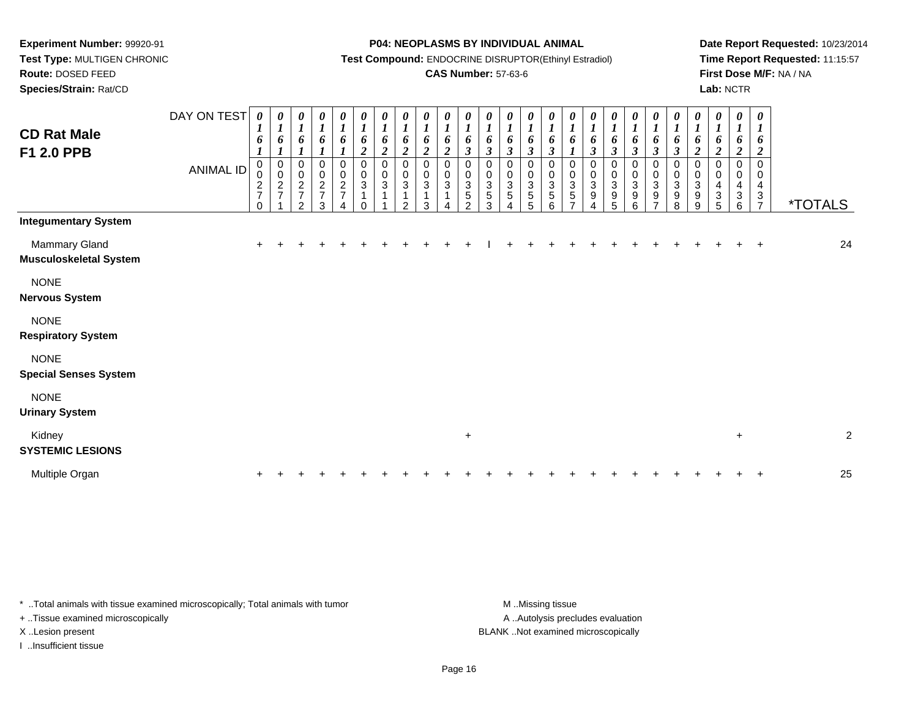### **Species/Strain:** Rat/CD

#### **P04: NEOPLASMS BY INDIVIDUAL ANIMAL**

**Test Compound:** ENDOCRINE DISRUPTOR(Ethinyl Estradiol)

### **CAS Number:** 57-63-6

**Date Report Requested:** 10/23/2014**Time Report Requested:** 11:15:57**First Dose M/F:** NA / NA**Lab:** NCTR

| <b>CD Rat Male</b><br>F1 2.0 PPB               | DAY ON TEST<br><b>ANIMAL ID</b> | 0<br>1<br>6<br>0<br>0<br>$\frac{2}{7}$<br>$\Omega$ | 0<br>$\boldsymbol{l}$<br>6<br>$\pmb{0}$<br>$\pmb{0}$<br>$\boldsymbol{2}$<br>$\overline{7}$ | 0<br>$\boldsymbol{l}$<br>6<br>0<br>$\overline{0}$<br>$\overline{c}$<br>$\overline{7}$<br>$\overline{2}$ | 0<br>$\boldsymbol{l}$<br>6<br>0<br>$\pmb{0}$<br>$\frac{2}{7}$<br>3 | 0<br>$\boldsymbol{l}$<br>6<br>$\boldsymbol{l}$<br>$\,0\,$<br>$\pmb{0}$<br>$\overline{2}$<br>$\boldsymbol{7}$ | $\begin{matrix} 0 \\ 1 \end{matrix}$<br>6<br>$\boldsymbol{2}$<br>$\mathbf 0$<br>$\frac{0}{3}$<br>1 | $\frac{\theta}{I}$<br>6<br>$\boldsymbol{2}$<br>0<br>$\mathbf 0$<br>$\sqrt{3}$<br>$\mathbf{1}$ | 0<br>$\boldsymbol{l}$<br>6<br>$\boldsymbol{2}$<br>0<br>$\pmb{0}$<br>$\sqrt{3}$<br>$\mathbf{1}$<br>2 | 0<br>$\boldsymbol{l}$<br>6<br>$\overline{c}$<br>$\pmb{0}$<br>$\pmb{0}$<br>$\mathbf{3}$<br>1<br>3 | 0<br>$\boldsymbol{l}$<br>6<br>$\boldsymbol{2}$<br>0<br>0<br>3 | 0<br>$\boldsymbol{l}$<br>6<br>$\boldsymbol{\beta}$<br>$\pmb{0}$<br>0<br>$\sqrt{3}$<br>$\sqrt{5}$<br>$\overline{2}$ | $\boldsymbol{\theta}$<br>$\boldsymbol{l}$<br>6<br>$\boldsymbol{\beta}$<br>$\mathbf 0$<br>0<br>$\mathbf 3$<br>5<br>3 | $\frac{\boldsymbol{\theta}}{\boldsymbol{I}}$<br>6<br>$\mathfrak{z}$<br>$\pmb{0}$<br>$_{3}^{\rm 0}$<br>$\sqrt{5}$ | $\frac{\boldsymbol{\theta}}{\boldsymbol{I}}$<br>6<br>$\boldsymbol{\beta}$<br>0<br>$\boldsymbol{0}$<br>$\mathbf{3}$<br>$\sqrt{5}$<br>5 | $\frac{\theta}{I}$<br>6<br>$\boldsymbol{\beta}$<br>0<br>0<br>$\sqrt{3}$<br>$\sqrt{5}$<br>6 | $\boldsymbol{\theta}$<br>$\boldsymbol{l}$<br>6<br>0<br>0<br>$\sqrt{3}$<br>5 | 0<br>$\boldsymbol{l}$<br>6<br>$\boldsymbol{\beta}$<br>$\pmb{0}$<br>$\boldsymbol{0}$<br>3<br>9 | 0<br>$\boldsymbol{l}$<br>6<br>$\boldsymbol{\beta}$<br>$\pmb{0}$<br>$\pmb{0}$<br>$\sqrt{3}$<br>9<br>5 | 0<br>$\boldsymbol{l}$<br>6<br>$\boldsymbol{\beta}$<br>$\mathbf 0$<br>$\pmb{0}$<br>$\ensuremath{\mathsf{3}}$<br>$\boldsymbol{9}$<br>6 | 0<br>$\boldsymbol{l}$<br>6<br>$\boldsymbol{\beta}$<br>$\pmb{0}$<br>$_{3}^{\rm 0}$<br>$\boldsymbol{9}$ | $\frac{\boldsymbol{\theta}}{\boldsymbol{I}}$<br>6<br>$\boldsymbol{\beta}$<br>0<br>0<br>3<br>9<br>8 | $\frac{\boldsymbol{\theta}}{\boldsymbol{I}}$<br>6<br>$\boldsymbol{2}$<br>0<br>$\boldsymbol{0}$<br>$\sqrt{3}$<br>$\boldsymbol{9}$<br>9 | $\boldsymbol{\theta}$<br>$\boldsymbol{l}$<br>6<br>$\boldsymbol{2}$<br>$\mathbf 0$<br>0<br>$\overline{4}$<br>$\ensuremath{\mathsf{3}}$<br>5 | 0<br>$\boldsymbol{l}$<br>6<br>$\overline{c}$<br>0<br>0<br>$\overline{\mathbf{4}}$<br>$\sqrt{3}$<br>6 | 0<br>1<br>6<br>$\boldsymbol{2}$<br>$\Omega$<br>$\Omega$<br>4<br>$\sqrt{3}$<br>$\overline{7}$ | <i><b>*TOTALS</b></i> |
|------------------------------------------------|---------------------------------|----------------------------------------------------|--------------------------------------------------------------------------------------------|---------------------------------------------------------------------------------------------------------|--------------------------------------------------------------------|--------------------------------------------------------------------------------------------------------------|----------------------------------------------------------------------------------------------------|-----------------------------------------------------------------------------------------------|-----------------------------------------------------------------------------------------------------|--------------------------------------------------------------------------------------------------|---------------------------------------------------------------|--------------------------------------------------------------------------------------------------------------------|---------------------------------------------------------------------------------------------------------------------|------------------------------------------------------------------------------------------------------------------|---------------------------------------------------------------------------------------------------------------------------------------|--------------------------------------------------------------------------------------------|-----------------------------------------------------------------------------|-----------------------------------------------------------------------------------------------|------------------------------------------------------------------------------------------------------|--------------------------------------------------------------------------------------------------------------------------------------|-------------------------------------------------------------------------------------------------------|----------------------------------------------------------------------------------------------------|---------------------------------------------------------------------------------------------------------------------------------------|--------------------------------------------------------------------------------------------------------------------------------------------|------------------------------------------------------------------------------------------------------|----------------------------------------------------------------------------------------------|-----------------------|
| <b>Integumentary System</b>                    |                                 |                                                    |                                                                                            |                                                                                                         |                                                                    |                                                                                                              |                                                                                                    |                                                                                               |                                                                                                     |                                                                                                  |                                                               |                                                                                                                    |                                                                                                                     |                                                                                                                  |                                                                                                                                       |                                                                                            |                                                                             |                                                                                               |                                                                                                      |                                                                                                                                      |                                                                                                       |                                                                                                    |                                                                                                                                       |                                                                                                                                            |                                                                                                      |                                                                                              |                       |
| Mammary Gland<br><b>Musculoskeletal System</b> |                                 |                                                    |                                                                                            |                                                                                                         |                                                                    |                                                                                                              |                                                                                                    |                                                                                               |                                                                                                     |                                                                                                  |                                                               |                                                                                                                    |                                                                                                                     |                                                                                                                  |                                                                                                                                       |                                                                                            |                                                                             |                                                                                               |                                                                                                      |                                                                                                                                      |                                                                                                       |                                                                                                    |                                                                                                                                       |                                                                                                                                            |                                                                                                      | $\ddot{}$                                                                                    | 24                    |
| <b>NONE</b><br><b>Nervous System</b>           |                                 |                                                    |                                                                                            |                                                                                                         |                                                                    |                                                                                                              |                                                                                                    |                                                                                               |                                                                                                     |                                                                                                  |                                                               |                                                                                                                    |                                                                                                                     |                                                                                                                  |                                                                                                                                       |                                                                                            |                                                                             |                                                                                               |                                                                                                      |                                                                                                                                      |                                                                                                       |                                                                                                    |                                                                                                                                       |                                                                                                                                            |                                                                                                      |                                                                                              |                       |
| <b>NONE</b><br><b>Respiratory System</b>       |                                 |                                                    |                                                                                            |                                                                                                         |                                                                    |                                                                                                              |                                                                                                    |                                                                                               |                                                                                                     |                                                                                                  |                                                               |                                                                                                                    |                                                                                                                     |                                                                                                                  |                                                                                                                                       |                                                                                            |                                                                             |                                                                                               |                                                                                                      |                                                                                                                                      |                                                                                                       |                                                                                                    |                                                                                                                                       |                                                                                                                                            |                                                                                                      |                                                                                              |                       |
| <b>NONE</b><br><b>Special Senses System</b>    |                                 |                                                    |                                                                                            |                                                                                                         |                                                                    |                                                                                                              |                                                                                                    |                                                                                               |                                                                                                     |                                                                                                  |                                                               |                                                                                                                    |                                                                                                                     |                                                                                                                  |                                                                                                                                       |                                                                                            |                                                                             |                                                                                               |                                                                                                      |                                                                                                                                      |                                                                                                       |                                                                                                    |                                                                                                                                       |                                                                                                                                            |                                                                                                      |                                                                                              |                       |
| <b>NONE</b><br><b>Urinary System</b>           |                                 |                                                    |                                                                                            |                                                                                                         |                                                                    |                                                                                                              |                                                                                                    |                                                                                               |                                                                                                     |                                                                                                  |                                                               |                                                                                                                    |                                                                                                                     |                                                                                                                  |                                                                                                                                       |                                                                                            |                                                                             |                                                                                               |                                                                                                      |                                                                                                                                      |                                                                                                       |                                                                                                    |                                                                                                                                       |                                                                                                                                            |                                                                                                      |                                                                                              |                       |
| Kidney<br><b>SYSTEMIC LESIONS</b>              |                                 |                                                    |                                                                                            |                                                                                                         |                                                                    |                                                                                                              |                                                                                                    |                                                                                               |                                                                                                     |                                                                                                  |                                                               | $\ddot{}$                                                                                                          |                                                                                                                     |                                                                                                                  |                                                                                                                                       |                                                                                            |                                                                             |                                                                                               |                                                                                                      |                                                                                                                                      |                                                                                                       |                                                                                                    |                                                                                                                                       |                                                                                                                                            | $\ddot{}$                                                                                            |                                                                                              | $\overline{c}$        |
| Multiple Organ                                 |                                 |                                                    |                                                                                            |                                                                                                         |                                                                    |                                                                                                              |                                                                                                    |                                                                                               |                                                                                                     |                                                                                                  |                                                               |                                                                                                                    |                                                                                                                     |                                                                                                                  |                                                                                                                                       |                                                                                            |                                                                             |                                                                                               |                                                                                                      |                                                                                                                                      |                                                                                                       |                                                                                                    |                                                                                                                                       |                                                                                                                                            |                                                                                                      |                                                                                              | 25                    |

\* ..Total animals with tissue examined microscopically; Total animals with tumor **M** . Missing tissue M ..Missing tissue

+ ..Tissue examined microscopically

I ..Insufficient tissue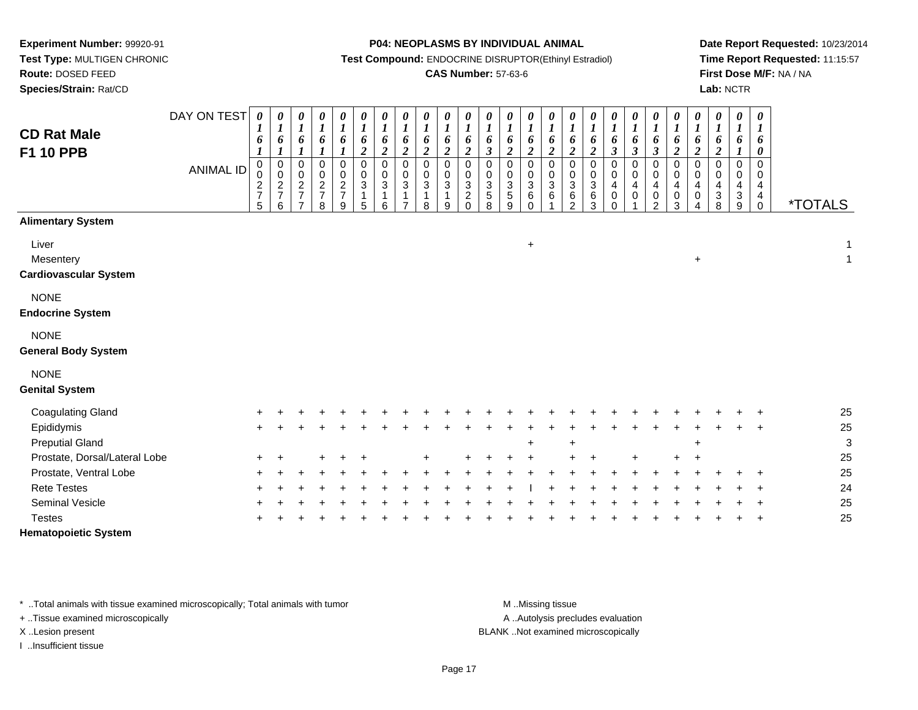**Species/Strain:** Rat/CD

**P04: NEOPLASMS BY INDIVIDUAL ANIMAL**

**Test Compound:** ENDOCRINE DISRUPTOR(Ethinyl Estradiol)

### **CAS Number:** 57-63-6

**Date Report Requested:** 10/23/2014**Time Report Requested:** 11:15:57**First Dose M/F:** NA / NA**Lab:** NCTR

| <b>CD Rat Male</b><br><b>F1 10 PPB</b>             | DAY ON TEST<br><b>ANIMAL ID</b> | 0<br>1<br>6<br>1<br>$\pmb{0}$<br>0<br>$\frac{2}{7}$ | 0<br>$\boldsymbol{l}$<br>6<br>$\boldsymbol{l}$<br>$\mathbf 0$<br>$\pmb{0}$<br>$\frac{2}{7}$ | $\boldsymbol{\theta}$<br>$\boldsymbol{l}$<br>6<br>$\boldsymbol{l}$<br>$\mathbf 0$<br>$\mathbf 0$<br>$\frac{2}{7}$<br>$\overline{7}$ | 0<br>$\boldsymbol{l}$<br>6<br>$\mathbf 0$<br>0<br>$\frac{2}{7}$ | $\boldsymbol{\theta}$<br>$\boldsymbol{l}$<br>6<br>$\pmb{0}$<br>$\mathbf 0$<br>$\frac{2}{7}$ | 0<br>$\boldsymbol{l}$<br>6<br>$\boldsymbol{2}$<br>$\pmb{0}$<br>0<br>3<br>1 | 0<br>$\boldsymbol{l}$<br>6<br>$\boldsymbol{2}$<br>$\mathsf 0$<br>$\mathbf 0$<br>$\ensuremath{\mathsf{3}}$<br>1 | 0<br>$\boldsymbol{l}$<br>6<br>$\overline{2}$<br>$\mathbf 0$<br>0<br>3<br>1<br>$\overline{\phantom{a}}$ | $\boldsymbol{\theta}$<br>$\boldsymbol{l}$<br>6<br>$\overline{2}$<br>$\mathbf 0$<br>0<br>$\sqrt{3}$<br>$\mathbf 1$ | $\boldsymbol{\theta}$<br>$\boldsymbol{l}$<br>6<br>$\boldsymbol{2}$<br>$\overline{0}$<br>$\mathbf 0$<br>$\mathbf{3}$<br>1 | $\boldsymbol{\theta}$<br>$\boldsymbol{l}$<br>6<br>$\boldsymbol{2}$<br>$\mathsf 0$<br>$_{3}^{\rm 0}$<br>$\boldsymbol{2}$ | 0<br>$\boldsymbol{l}$<br>6<br>$\mathfrak{z}$<br>$\Omega$<br>0<br>3<br>5 | 0<br>$\boldsymbol{l}$<br>6<br>$\boldsymbol{2}$<br>$\mathbf 0$<br>0<br>$\ensuremath{\mathsf{3}}$<br>$\sqrt{5}$ | 0<br>$\boldsymbol{l}$<br>6<br>$\boldsymbol{2}$<br>0<br>$\mathbf 0$<br>$\sqrt{3}$<br>$\,6\,$ | 0<br>$\boldsymbol{l}$<br>6<br>$\overline{2}$<br>$\boldsymbol{0}$<br>$\begin{smallmatrix}0\0\3\end{smallmatrix}$<br>6 | 0<br>$\boldsymbol{l}$<br>6<br>$\boldsymbol{2}$<br>$\mathbf 0$<br>0<br>$\sqrt{3}$<br>6 | 0<br>$\boldsymbol{l}$<br>6<br>$\boldsymbol{2}$<br>$\mathbf 0$<br>0<br>3<br>$\,6\,$ | $\boldsymbol{\theta}$<br>$\boldsymbol{l}$<br>6<br>$\boldsymbol{\beta}$<br>$\mathbf 0$<br>0<br>$\overline{4}$<br>$\mathbf 0$ | 0<br>$\boldsymbol{l}$<br>6<br>$\mathfrak{z}$<br>$\mathbf 0$<br>0<br>4<br>$\mathsf 0$ | 0<br>$\boldsymbol{l}$<br>6<br>$\boldsymbol{\beta}$<br>0<br>0<br>4<br>$\mathsf 0$ | 0<br>$\boldsymbol{l}$<br>6<br>$\boldsymbol{2}$<br>$\mathbf 0$<br>$\pmb{0}$<br>4<br>$\pmb{0}$ | 0<br>$\boldsymbol{l}$<br>6<br>$\boldsymbol{2}$<br>$\pmb{0}$<br>0<br>$\overline{4}$<br>0 | 0<br>$\boldsymbol{l}$<br>6<br>$\overline{2}$<br>$\mathbf 0$<br>0<br>4<br>3 | $\pmb{\theta}$<br>$\boldsymbol{l}$<br>6<br>$\mathbf 0$<br>0<br>$\overline{4}$<br>$\sqrt{3}$ | $\boldsymbol{\theta}$<br>$\boldsymbol{l}$<br>6<br>0<br>$\overline{0}$<br>0<br>4<br>$\overline{4}$ | <i><b>*TOTALS</b></i> |                             |
|----------------------------------------------------|---------------------------------|-----------------------------------------------------|---------------------------------------------------------------------------------------------|-------------------------------------------------------------------------------------------------------------------------------------|-----------------------------------------------------------------|---------------------------------------------------------------------------------------------|----------------------------------------------------------------------------|----------------------------------------------------------------------------------------------------------------|--------------------------------------------------------------------------------------------------------|-------------------------------------------------------------------------------------------------------------------|--------------------------------------------------------------------------------------------------------------------------|-------------------------------------------------------------------------------------------------------------------------|-------------------------------------------------------------------------|---------------------------------------------------------------------------------------------------------------|---------------------------------------------------------------------------------------------|----------------------------------------------------------------------------------------------------------------------|---------------------------------------------------------------------------------------|------------------------------------------------------------------------------------|-----------------------------------------------------------------------------------------------------------------------------|--------------------------------------------------------------------------------------|----------------------------------------------------------------------------------|----------------------------------------------------------------------------------------------|-----------------------------------------------------------------------------------------|----------------------------------------------------------------------------|---------------------------------------------------------------------------------------------|---------------------------------------------------------------------------------------------------|-----------------------|-----------------------------|
| <b>Alimentary System</b>                           |                                 | 5                                                   | 6                                                                                           |                                                                                                                                     | 8                                                               | 9                                                                                           | 5                                                                          | 6                                                                                                              |                                                                                                        | 8                                                                                                                 | 9                                                                                                                        | $\Omega$                                                                                                                | 8                                                                       | 9                                                                                                             | $\Omega$                                                                                    |                                                                                                                      | $\overline{2}$                                                                        | 3                                                                                  | $\Omega$                                                                                                                    |                                                                                      | $\overline{c}$                                                                   | 3                                                                                            | 4                                                                                       | 8                                                                          | $\boldsymbol{9}$                                                                            | $\mathbf 0$                                                                                       |                       |                             |
| Liver<br>Mesentery<br><b>Cardiovascular System</b> |                                 |                                                     |                                                                                             |                                                                                                                                     |                                                                 |                                                                                             |                                                                            |                                                                                                                |                                                                                                        |                                                                                                                   |                                                                                                                          |                                                                                                                         |                                                                         |                                                                                                               | $\ddot{}$                                                                                   |                                                                                                                      |                                                                                       |                                                                                    |                                                                                                                             |                                                                                      |                                                                                  |                                                                                              | $\ddot{}$                                                                               |                                                                            |                                                                                             |                                                                                                   |                       | $\mathbf 1$<br>$\mathbf{1}$ |
| <b>NONE</b><br><b>Endocrine System</b>             |                                 |                                                     |                                                                                             |                                                                                                                                     |                                                                 |                                                                                             |                                                                            |                                                                                                                |                                                                                                        |                                                                                                                   |                                                                                                                          |                                                                                                                         |                                                                         |                                                                                                               |                                                                                             |                                                                                                                      |                                                                                       |                                                                                    |                                                                                                                             |                                                                                      |                                                                                  |                                                                                              |                                                                                         |                                                                            |                                                                                             |                                                                                                   |                       |                             |
| <b>NONE</b><br><b>General Body System</b>          |                                 |                                                     |                                                                                             |                                                                                                                                     |                                                                 |                                                                                             |                                                                            |                                                                                                                |                                                                                                        |                                                                                                                   |                                                                                                                          |                                                                                                                         |                                                                         |                                                                                                               |                                                                                             |                                                                                                                      |                                                                                       |                                                                                    |                                                                                                                             |                                                                                      |                                                                                  |                                                                                              |                                                                                         |                                                                            |                                                                                             |                                                                                                   |                       |                             |
| <b>NONE</b><br><b>Genital System</b>               |                                 |                                                     |                                                                                             |                                                                                                                                     |                                                                 |                                                                                             |                                                                            |                                                                                                                |                                                                                                        |                                                                                                                   |                                                                                                                          |                                                                                                                         |                                                                         |                                                                                                               |                                                                                             |                                                                                                                      |                                                                                       |                                                                                    |                                                                                                                             |                                                                                      |                                                                                  |                                                                                              |                                                                                         |                                                                            |                                                                                             |                                                                                                   |                       |                             |
| <b>Coagulating Gland</b>                           |                                 |                                                     |                                                                                             |                                                                                                                                     |                                                                 |                                                                                             |                                                                            |                                                                                                                |                                                                                                        |                                                                                                                   |                                                                                                                          |                                                                                                                         |                                                                         |                                                                                                               |                                                                                             |                                                                                                                      |                                                                                       |                                                                                    |                                                                                                                             |                                                                                      |                                                                                  |                                                                                              |                                                                                         |                                                                            |                                                                                             |                                                                                                   |                       | 25                          |
| Epididymis                                         |                                 |                                                     |                                                                                             |                                                                                                                                     |                                                                 |                                                                                             |                                                                            |                                                                                                                |                                                                                                        |                                                                                                                   |                                                                                                                          |                                                                                                                         |                                                                         |                                                                                                               |                                                                                             |                                                                                                                      |                                                                                       |                                                                                    |                                                                                                                             |                                                                                      |                                                                                  |                                                                                              |                                                                                         |                                                                            |                                                                                             |                                                                                                   |                       | 25                          |
| <b>Preputial Gland</b>                             |                                 |                                                     |                                                                                             |                                                                                                                                     |                                                                 |                                                                                             |                                                                            |                                                                                                                |                                                                                                        |                                                                                                                   |                                                                                                                          |                                                                                                                         |                                                                         |                                                                                                               | $\div$                                                                                      |                                                                                                                      | ÷                                                                                     |                                                                                    |                                                                                                                             |                                                                                      |                                                                                  |                                                                                              | $\overline{ }$                                                                          |                                                                            |                                                                                             |                                                                                                   |                       | $\ensuremath{\mathsf{3}}$   |
| Prostate, Dorsal/Lateral Lobe                      |                                 |                                                     |                                                                                             |                                                                                                                                     |                                                                 |                                                                                             |                                                                            |                                                                                                                |                                                                                                        |                                                                                                                   |                                                                                                                          |                                                                                                                         |                                                                         |                                                                                                               |                                                                                             |                                                                                                                      |                                                                                       |                                                                                    |                                                                                                                             |                                                                                      |                                                                                  |                                                                                              |                                                                                         |                                                                            |                                                                                             |                                                                                                   |                       | 25                          |
| Prostate, Ventral Lobe                             |                                 |                                                     |                                                                                             |                                                                                                                                     |                                                                 |                                                                                             |                                                                            |                                                                                                                |                                                                                                        |                                                                                                                   |                                                                                                                          |                                                                                                                         |                                                                         |                                                                                                               |                                                                                             |                                                                                                                      |                                                                                       |                                                                                    |                                                                                                                             |                                                                                      |                                                                                  |                                                                                              |                                                                                         |                                                                            |                                                                                             |                                                                                                   |                       | 25                          |
| <b>Rete Testes</b>                                 |                                 |                                                     |                                                                                             |                                                                                                                                     |                                                                 |                                                                                             |                                                                            |                                                                                                                |                                                                                                        |                                                                                                                   |                                                                                                                          |                                                                                                                         |                                                                         |                                                                                                               |                                                                                             |                                                                                                                      |                                                                                       |                                                                                    |                                                                                                                             |                                                                                      |                                                                                  |                                                                                              |                                                                                         |                                                                            |                                                                                             |                                                                                                   |                       | 24                          |
| Seminal Vesicle                                    |                                 |                                                     |                                                                                             |                                                                                                                                     |                                                                 |                                                                                             |                                                                            |                                                                                                                |                                                                                                        |                                                                                                                   |                                                                                                                          |                                                                                                                         |                                                                         |                                                                                                               |                                                                                             |                                                                                                                      |                                                                                       |                                                                                    |                                                                                                                             |                                                                                      |                                                                                  |                                                                                              |                                                                                         |                                                                            |                                                                                             |                                                                                                   |                       | 25                          |
| <b>Testes</b>                                      |                                 |                                                     |                                                                                             |                                                                                                                                     |                                                                 |                                                                                             |                                                                            |                                                                                                                |                                                                                                        |                                                                                                                   |                                                                                                                          |                                                                                                                         |                                                                         |                                                                                                               |                                                                                             |                                                                                                                      |                                                                                       |                                                                                    |                                                                                                                             |                                                                                      |                                                                                  |                                                                                              |                                                                                         |                                                                            |                                                                                             |                                                                                                   |                       | 25                          |
| <b>Hematopoietic System</b>                        |                                 |                                                     |                                                                                             |                                                                                                                                     |                                                                 |                                                                                             |                                                                            |                                                                                                                |                                                                                                        |                                                                                                                   |                                                                                                                          |                                                                                                                         |                                                                         |                                                                                                               |                                                                                             |                                                                                                                      |                                                                                       |                                                                                    |                                                                                                                             |                                                                                      |                                                                                  |                                                                                              |                                                                                         |                                                                            |                                                                                             |                                                                                                   |                       |                             |

\* ..Total animals with tissue examined microscopically; Total animals with tumor **M** . Missing tissue M ..Missing tissue

+ ..Tissue examined microscopically

I ..Insufficient tissue

A ..Autolysis precludes evaluation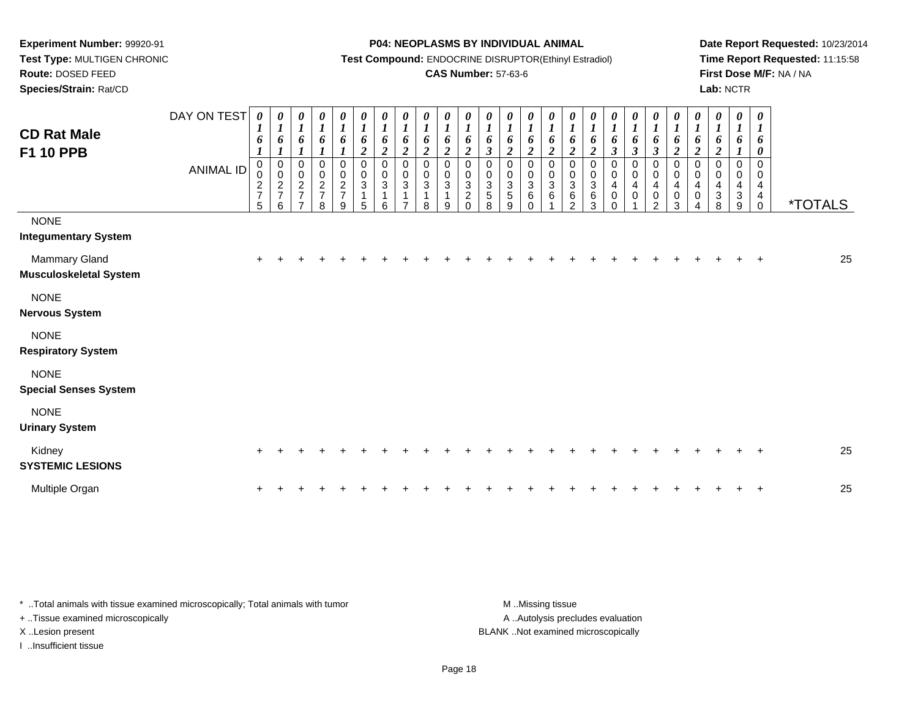**Species/Strain:** Rat/CD

#### **P04: NEOPLASMS BY INDIVIDUAL ANIMAL**

**Test Compound:** ENDOCRINE DISRUPTOR(Ethinyl Estradiol)

### **CAS Number:** 57-63-6

**Date Report Requested:** 10/23/2014**Time Report Requested:** 11:15:58**First Dose M/F:** NA / NA**Lab:** NCTR

| <b>CD Rat Male</b><br><b>F1 10 PPB</b>         | DAY ON TEST<br><b>ANIMAL ID</b> | 0<br>6<br>0<br>0<br>$\frac{2}{7}$<br>$\sqrt{5}$ | 0<br>$\boldsymbol{l}$<br>6<br>$\mathbf 0$<br>$\pmb{0}$<br>$\frac{2}{7}$<br>6 | 0<br>$\boldsymbol{l}$<br>6<br>$\boldsymbol{l}$<br>0<br>$\pmb{0}$<br>$\frac{2}{7}$<br>$\overline{ }$ | $\boldsymbol{\theta}$<br>$\frac{1}{6}$<br>0<br>$\begin{array}{c} 0 \\ 2 \\ 7 \end{array}$<br>8 | $\boldsymbol{\theta}$<br>$\boldsymbol{l}$<br>6<br>$\pmb{0}$<br>$\frac{0}{2}$<br>9 | $\frac{\boldsymbol{0}}{\boldsymbol{1}}$<br>6<br>$\overline{2}$<br>0<br>$\pmb{0}$<br>3<br>5 | $\frac{\boldsymbol{0}}{\boldsymbol{1}}$<br>6<br>$\boldsymbol{2}$<br>0<br>$\pmb{0}$<br>$\mathbf{3}$<br>$\mathbf 1$<br>6 | $\frac{\theta}{I}$<br>6<br>$\overline{\mathbf{c}}$<br>$\mathbf 0$<br>$\pmb{0}$<br>$\sqrt{3}$<br>$\mathbf{1}$<br>$\overline{ }$ | $\begin{matrix} 0 \\ 1 \end{matrix}$<br>6<br>$\boldsymbol{2}$<br>0<br>0<br>3<br>$\mathbf{1}$<br>8 | $\boldsymbol{\theta}$<br>$\boldsymbol{l}$<br>6<br>$\overline{2}$<br>$\mathbf 0$<br>0<br>$\mathbf{3}$<br>9 | $\boldsymbol{l}$<br>6<br>$\boldsymbol{2}$<br>0<br>$\mathbf 0$<br>$\mathbf{3}$<br>$\overline{c}$<br>$\Omega$ | 0<br>$\boldsymbol{l}$<br>6<br>$\boldsymbol{\beta}$<br>0<br>0<br>$\mathbf{3}$<br>5<br>8 | 0<br>$\boldsymbol{l}$<br>6<br>$\overline{\mathbf{c}}$<br>0<br>$\mathbf 0$<br>$\mathbf{3}$<br>5<br>9 | 0<br>$\boldsymbol{l}$<br>6<br>$\boldsymbol{2}$<br>0<br>$\pmb{0}$<br>$\sqrt{3}$<br>6<br>$\Omega$ | 0<br>$\boldsymbol{l}$<br>6<br>$\boldsymbol{2}$<br>$\mathbf 0$<br>$\mathbf 0$<br>$\mathbf{3}$<br>6 | 0<br>$\boldsymbol{l}$<br>6<br>$\overline{c}$<br>0<br>$\pmb{0}$<br>$\sqrt{3}$<br>6<br>2 | $\frac{\boldsymbol{0}}{\boldsymbol{1}}$<br>6<br>$\boldsymbol{2}$<br>0<br>$\mathbf 0$<br>3<br>6<br>3 | 0<br>$\boldsymbol{l}$<br>6<br>$\boldsymbol{\beta}$<br>0<br>0<br>$\overline{4}$<br>0<br>$\Omega$ | $\frac{\theta}{I}$<br>6<br>$\boldsymbol{\beta}$<br>0<br>$\pmb{0}$<br>$\overline{\mathbf{4}}$<br>$\mathbf 0$ | $\frac{\theta}{I}$<br>6<br>$\boldsymbol{\beta}$<br>0<br>$\pmb{0}$<br>$\overline{\mathbf{4}}$<br>$\pmb{0}$<br>$\mathfrak{p}$ | 0<br>$\boldsymbol{l}$<br>6<br>$\boldsymbol{2}$<br>0<br>$\mathbf 0$<br>$\overline{4}$<br>$\pmb{0}$<br>3 | 0<br>$\boldsymbol{l}$<br>6<br>$\boldsymbol{2}$<br>0<br>$\mathbf 0$<br>4<br>0<br>Δ | 0<br>$\boldsymbol{l}$<br>6<br>$\boldsymbol{2}$<br>0<br>$\mathbf 0$<br>$\overline{4}$<br>$\mathbf{3}$<br>8 | 0<br>$\boldsymbol{l}$<br>6<br>0<br>0<br>4<br>3<br>9 | 0<br>$\boldsymbol{l}$<br>6<br>0<br>$\Omega$<br>0<br>4<br>4<br>$\mathbf 0$ | <i><b>*TOTALS</b></i> |
|------------------------------------------------|---------------------------------|-------------------------------------------------|------------------------------------------------------------------------------|-----------------------------------------------------------------------------------------------------|------------------------------------------------------------------------------------------------|-----------------------------------------------------------------------------------|--------------------------------------------------------------------------------------------|------------------------------------------------------------------------------------------------------------------------|--------------------------------------------------------------------------------------------------------------------------------|---------------------------------------------------------------------------------------------------|-----------------------------------------------------------------------------------------------------------|-------------------------------------------------------------------------------------------------------------|----------------------------------------------------------------------------------------|-----------------------------------------------------------------------------------------------------|-------------------------------------------------------------------------------------------------|---------------------------------------------------------------------------------------------------|----------------------------------------------------------------------------------------|-----------------------------------------------------------------------------------------------------|-------------------------------------------------------------------------------------------------|-------------------------------------------------------------------------------------------------------------|-----------------------------------------------------------------------------------------------------------------------------|--------------------------------------------------------------------------------------------------------|-----------------------------------------------------------------------------------|-----------------------------------------------------------------------------------------------------------|-----------------------------------------------------|---------------------------------------------------------------------------|-----------------------|
| <b>NONE</b><br><b>Integumentary System</b>     |                                 |                                                 |                                                                              |                                                                                                     |                                                                                                |                                                                                   |                                                                                            |                                                                                                                        |                                                                                                                                |                                                                                                   |                                                                                                           |                                                                                                             |                                                                                        |                                                                                                     |                                                                                                 |                                                                                                   |                                                                                        |                                                                                                     |                                                                                                 |                                                                                                             |                                                                                                                             |                                                                                                        |                                                                                   |                                                                                                           |                                                     |                                                                           |                       |
| Mammary Gland<br><b>Musculoskeletal System</b> |                                 |                                                 |                                                                              |                                                                                                     |                                                                                                |                                                                                   |                                                                                            |                                                                                                                        |                                                                                                                                |                                                                                                   |                                                                                                           |                                                                                                             |                                                                                        |                                                                                                     |                                                                                                 |                                                                                                   |                                                                                        |                                                                                                     |                                                                                                 |                                                                                                             |                                                                                                                             |                                                                                                        |                                                                                   |                                                                                                           |                                                     |                                                                           | 25                    |
| <b>NONE</b><br><b>Nervous System</b>           |                                 |                                                 |                                                                              |                                                                                                     |                                                                                                |                                                                                   |                                                                                            |                                                                                                                        |                                                                                                                                |                                                                                                   |                                                                                                           |                                                                                                             |                                                                                        |                                                                                                     |                                                                                                 |                                                                                                   |                                                                                        |                                                                                                     |                                                                                                 |                                                                                                             |                                                                                                                             |                                                                                                        |                                                                                   |                                                                                                           |                                                     |                                                                           |                       |
| <b>NONE</b><br><b>Respiratory System</b>       |                                 |                                                 |                                                                              |                                                                                                     |                                                                                                |                                                                                   |                                                                                            |                                                                                                                        |                                                                                                                                |                                                                                                   |                                                                                                           |                                                                                                             |                                                                                        |                                                                                                     |                                                                                                 |                                                                                                   |                                                                                        |                                                                                                     |                                                                                                 |                                                                                                             |                                                                                                                             |                                                                                                        |                                                                                   |                                                                                                           |                                                     |                                                                           |                       |
| <b>NONE</b><br><b>Special Senses System</b>    |                                 |                                                 |                                                                              |                                                                                                     |                                                                                                |                                                                                   |                                                                                            |                                                                                                                        |                                                                                                                                |                                                                                                   |                                                                                                           |                                                                                                             |                                                                                        |                                                                                                     |                                                                                                 |                                                                                                   |                                                                                        |                                                                                                     |                                                                                                 |                                                                                                             |                                                                                                                             |                                                                                                        |                                                                                   |                                                                                                           |                                                     |                                                                           |                       |
| <b>NONE</b><br><b>Urinary System</b>           |                                 |                                                 |                                                                              |                                                                                                     |                                                                                                |                                                                                   |                                                                                            |                                                                                                                        |                                                                                                                                |                                                                                                   |                                                                                                           |                                                                                                             |                                                                                        |                                                                                                     |                                                                                                 |                                                                                                   |                                                                                        |                                                                                                     |                                                                                                 |                                                                                                             |                                                                                                                             |                                                                                                        |                                                                                   |                                                                                                           |                                                     |                                                                           |                       |
| Kidney<br><b>SYSTEMIC LESIONS</b>              |                                 |                                                 |                                                                              |                                                                                                     |                                                                                                |                                                                                   |                                                                                            |                                                                                                                        |                                                                                                                                |                                                                                                   |                                                                                                           |                                                                                                             |                                                                                        |                                                                                                     |                                                                                                 |                                                                                                   |                                                                                        |                                                                                                     |                                                                                                 |                                                                                                             |                                                                                                                             |                                                                                                        |                                                                                   |                                                                                                           |                                                     |                                                                           | 25                    |
| Multiple Organ                                 |                                 |                                                 |                                                                              |                                                                                                     |                                                                                                |                                                                                   |                                                                                            |                                                                                                                        |                                                                                                                                |                                                                                                   |                                                                                                           |                                                                                                             |                                                                                        |                                                                                                     |                                                                                                 |                                                                                                   |                                                                                        |                                                                                                     |                                                                                                 |                                                                                                             |                                                                                                                             |                                                                                                        |                                                                                   |                                                                                                           |                                                     |                                                                           | 25                    |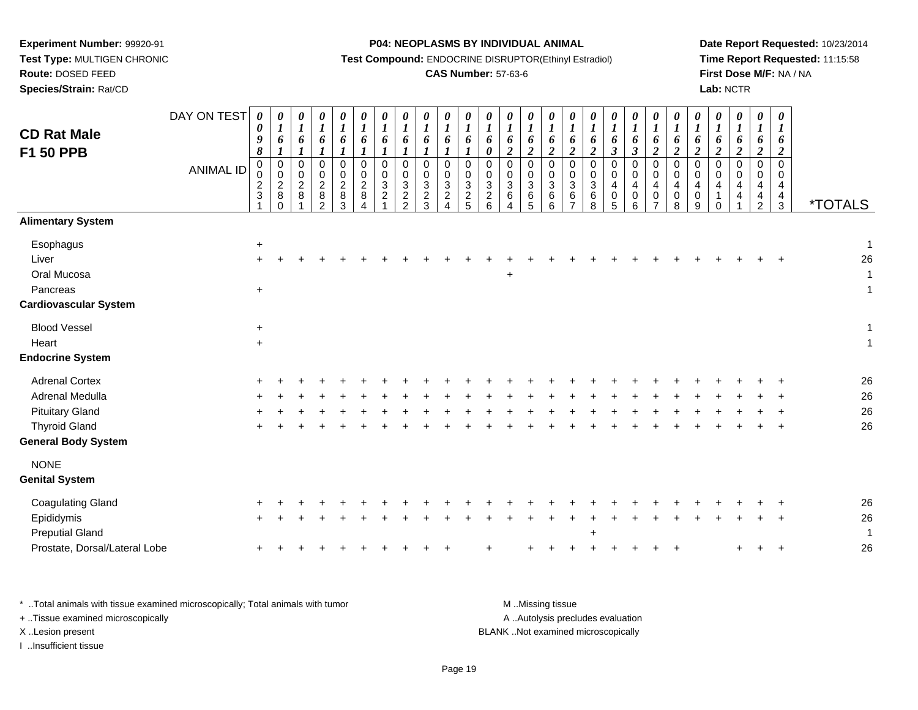**Test Type:** MULTIGEN CHRONIC**Route:** DOSED FEED

**Species/Strain:** Rat/CD

#### **P04: NEOPLASMS BY INDIVIDUAL ANIMAL**

**Test Compound:** ENDOCRINE DISRUPTOR(Ethinyl Estradiol)

### **CAS Number:** 57-63-6

**Date Report Requested:** 10/23/2014**Time Report Requested:** 11:15:58**First Dose M/F:** NA / NA**Lab:** NCTR

| <b>CD Rat Male</b><br>F1 50 PPB                                               | DAY ON TEST<br><b>ANIMAL ID</b> | 0<br>0<br>9<br>$\pmb{8}$<br>$\mathsf{O}\xspace$<br>$\frac{0}{2}$ | 0<br>$\boldsymbol{I}$<br>6<br>$\boldsymbol{l}$<br>$\pmb{0}$<br>$\begin{array}{c} 0 \\ 2 \\ 8 \end{array}$<br>$\Omega$ | 0<br>$\boldsymbol{I}$<br>6<br>$\boldsymbol{l}$<br>0<br>0<br>$\boldsymbol{2}$<br>8 | 0<br>$\boldsymbol{l}$<br>6<br>$\boldsymbol{l}$<br>$\pmb{0}$<br>$\begin{smallmatrix} 0\\2 \end{smallmatrix}$<br>8<br>2 | 0<br>$\boldsymbol{l}$<br>6<br>$\boldsymbol{l}$<br>$\pmb{0}$<br>$\mathbf 0$<br>$\overline{2}$<br>$\, 8$<br>3 | $\boldsymbol{\theta}$<br>$\boldsymbol{l}$<br>6<br>$\boldsymbol{l}$<br>$\mathbf 0$<br>$\mathbf 0$<br>$\overline{2}$<br>$\, 8$<br>Δ | 0<br>$\boldsymbol{l}$<br>6<br>$\mathbf 0$<br>0<br>3<br>$\overline{a}$ | 0<br>$\boldsymbol{l}$<br>6<br>$\boldsymbol{l}$<br>$\mathbf 0$<br>0<br>$\mathbf{3}$<br>$\overline{c}$<br>$\overline{2}$ | $\boldsymbol{\theta}$<br>$\boldsymbol{l}$<br>6<br>$\boldsymbol{l}$<br>$\pmb{0}$<br>$\mathbf 0$<br>$\overline{3}$<br>$\overline{2}$<br>$\mathbf{3}$ | 0<br>$\boldsymbol{l}$<br>6<br>$\boldsymbol{l}$<br>$\mathbf 0$<br>0<br>$\mathbf{3}$<br>$\overline{c}$<br>4 | $\boldsymbol{l}$<br>6<br>$\boldsymbol{l}$<br>$\mathbf 0$<br>0<br>$\sqrt{3}$<br>$\sqrt{2}$<br>5 | 0<br>$\boldsymbol{l}$<br>6<br>$\pmb{\theta}$<br>$\pmb{0}$<br>$\mathbf 0$<br>$\overline{3}$<br>$\boldsymbol{2}$<br>6 | $\boldsymbol{\theta}$<br>$\boldsymbol{l}$<br>6<br>$\boldsymbol{2}$<br>$\pmb{0}$<br>$\mathbf 0$<br>$\mathbf{3}$<br>$\,6\,$<br>$\boldsymbol{\Lambda}$ | 0<br>$\boldsymbol{I}$<br>6<br>$\boldsymbol{2}$<br>$\mathsf 0$<br>$_{3}^{\rm 0}$<br>$\,6\,$<br>5 | 0<br>$\boldsymbol{l}$<br>6<br>$\boldsymbol{2}$<br>$\pmb{0}$<br>$_{3}^{\rm 0}$<br>$\,6$<br>6 | $\boldsymbol{\theta}$<br>$\boldsymbol{l}$<br>6<br>$\boldsymbol{2}$<br>$\mathbf 0$<br>0<br>$\mathbf{3}$<br>6<br>$\overline{7}$ | $\boldsymbol{l}$<br>6<br>$\boldsymbol{2}$<br>$\mathbf 0$<br>$\mathbf 0$<br>3<br>6<br>8 | $\boldsymbol{\theta}$<br>$\boldsymbol{l}$<br>6<br>$\boldsymbol{\beta}$<br>$\mathbf 0$<br>0<br>4<br>$\pmb{0}$<br>5 | 0<br>$\boldsymbol{l}$<br>6<br>$\boldsymbol{\beta}$<br>$\mathbf 0$<br>$\mathbf 0$<br>4<br>$\mathbf 0$<br>6 | 0<br>$\boldsymbol{l}$<br>6<br>$\boldsymbol{2}$<br>$\mathbf 0$<br>$\mathbf 0$<br>4<br>$\pmb{0}$<br>$\overline{7}$ | 0<br>$\boldsymbol{l}$<br>6<br>$\boldsymbol{2}$<br>$\mathsf 0$<br>0<br>4<br>0<br>8 | $\boldsymbol{\theta}$<br>$\boldsymbol{l}$<br>6<br>$\boldsymbol{2}$<br>$\pmb{0}$<br>0<br>$\overline{4}$<br>$\mathbf 0$<br>9 | $\boldsymbol{\theta}$<br>$\boldsymbol{l}$<br>6<br>$\boldsymbol{2}$<br>$\mathbf 0$<br>$\mathbf 0$<br>$\overline{4}$<br>$\mathbf{1}$<br>0 | 0<br>$\boldsymbol{l}$<br>6<br>$\boldsymbol{2}$<br>0<br>0<br>4<br>4 | 0<br>$\boldsymbol{l}$<br>6<br>$\boldsymbol{2}$<br>$\pmb{0}$<br>0<br>4<br>4<br>$\overline{2}$ | 0<br>$\boldsymbol{l}$<br>6<br>$\boldsymbol{2}$<br>$\mathbf 0$<br>$\mathbf 0$<br>$\overline{4}$<br>$\overline{a}$<br>3 | <i><b>*TOTALS</b></i>  |
|-------------------------------------------------------------------------------|---------------------------------|------------------------------------------------------------------|-----------------------------------------------------------------------------------------------------------------------|-----------------------------------------------------------------------------------|-----------------------------------------------------------------------------------------------------------------------|-------------------------------------------------------------------------------------------------------------|-----------------------------------------------------------------------------------------------------------------------------------|-----------------------------------------------------------------------|------------------------------------------------------------------------------------------------------------------------|----------------------------------------------------------------------------------------------------------------------------------------------------|-----------------------------------------------------------------------------------------------------------|------------------------------------------------------------------------------------------------|---------------------------------------------------------------------------------------------------------------------|-----------------------------------------------------------------------------------------------------------------------------------------------------|-------------------------------------------------------------------------------------------------|---------------------------------------------------------------------------------------------|-------------------------------------------------------------------------------------------------------------------------------|----------------------------------------------------------------------------------------|-------------------------------------------------------------------------------------------------------------------|-----------------------------------------------------------------------------------------------------------|------------------------------------------------------------------------------------------------------------------|-----------------------------------------------------------------------------------|----------------------------------------------------------------------------------------------------------------------------|-----------------------------------------------------------------------------------------------------------------------------------------|--------------------------------------------------------------------|----------------------------------------------------------------------------------------------|-----------------------------------------------------------------------------------------------------------------------|------------------------|
| <b>Alimentary System</b>                                                      |                                 |                                                                  |                                                                                                                       |                                                                                   |                                                                                                                       |                                                                                                             |                                                                                                                                   |                                                                       |                                                                                                                        |                                                                                                                                                    |                                                                                                           |                                                                                                |                                                                                                                     |                                                                                                                                                     |                                                                                                 |                                                                                             |                                                                                                                               |                                                                                        |                                                                                                                   |                                                                                                           |                                                                                                                  |                                                                                   |                                                                                                                            |                                                                                                                                         |                                                                    |                                                                                              |                                                                                                                       |                        |
| Esophagus<br>Liver<br>Oral Mucosa<br>Pancreas<br><b>Cardiovascular System</b> |                                 | $\ddot{}$<br>$+$<br>$\ddot{}$                                    |                                                                                                                       |                                                                                   |                                                                                                                       |                                                                                                             |                                                                                                                                   |                                                                       |                                                                                                                        |                                                                                                                                                    |                                                                                                           |                                                                                                |                                                                                                                     | $\ddot{}$                                                                                                                                           |                                                                                                 |                                                                                             |                                                                                                                               |                                                                                        |                                                                                                                   |                                                                                                           |                                                                                                                  |                                                                                   |                                                                                                                            |                                                                                                                                         |                                                                    |                                                                                              |                                                                                                                       | $\mathbf 1$<br>26<br>1 |
|                                                                               |                                 |                                                                  |                                                                                                                       |                                                                                   |                                                                                                                       |                                                                                                             |                                                                                                                                   |                                                                       |                                                                                                                        |                                                                                                                                                    |                                                                                                           |                                                                                                |                                                                                                                     |                                                                                                                                                     |                                                                                                 |                                                                                             |                                                                                                                               |                                                                                        |                                                                                                                   |                                                                                                           |                                                                                                                  |                                                                                   |                                                                                                                            |                                                                                                                                         |                                                                    |                                                                                              |                                                                                                                       |                        |
| <b>Blood Vessel</b>                                                           |                                 | $\ddot{}$                                                        |                                                                                                                       |                                                                                   |                                                                                                                       |                                                                                                             |                                                                                                                                   |                                                                       |                                                                                                                        |                                                                                                                                                    |                                                                                                           |                                                                                                |                                                                                                                     |                                                                                                                                                     |                                                                                                 |                                                                                             |                                                                                                                               |                                                                                        |                                                                                                                   |                                                                                                           |                                                                                                                  |                                                                                   |                                                                                                                            |                                                                                                                                         |                                                                    |                                                                                              |                                                                                                                       | 1                      |
| Heart<br><b>Endocrine System</b>                                              |                                 | $+$                                                              |                                                                                                                       |                                                                                   |                                                                                                                       |                                                                                                             |                                                                                                                                   |                                                                       |                                                                                                                        |                                                                                                                                                    |                                                                                                           |                                                                                                |                                                                                                                     |                                                                                                                                                     |                                                                                                 |                                                                                             |                                                                                                                               |                                                                                        |                                                                                                                   |                                                                                                           |                                                                                                                  |                                                                                   |                                                                                                                            |                                                                                                                                         |                                                                    |                                                                                              |                                                                                                                       | $\mathbf 1$            |
| <b>Adrenal Cortex</b>                                                         |                                 |                                                                  |                                                                                                                       |                                                                                   |                                                                                                                       |                                                                                                             |                                                                                                                                   |                                                                       |                                                                                                                        |                                                                                                                                                    |                                                                                                           |                                                                                                |                                                                                                                     |                                                                                                                                                     |                                                                                                 |                                                                                             |                                                                                                                               |                                                                                        |                                                                                                                   |                                                                                                           |                                                                                                                  |                                                                                   |                                                                                                                            |                                                                                                                                         |                                                                    |                                                                                              |                                                                                                                       | 26                     |
| Adrenal Medulla                                                               |                                 |                                                                  |                                                                                                                       |                                                                                   |                                                                                                                       |                                                                                                             |                                                                                                                                   |                                                                       |                                                                                                                        |                                                                                                                                                    |                                                                                                           |                                                                                                |                                                                                                                     |                                                                                                                                                     |                                                                                                 |                                                                                             |                                                                                                                               |                                                                                        |                                                                                                                   |                                                                                                           |                                                                                                                  |                                                                                   |                                                                                                                            |                                                                                                                                         |                                                                    |                                                                                              |                                                                                                                       | 26                     |
| <b>Pituitary Gland</b>                                                        |                                 |                                                                  |                                                                                                                       |                                                                                   |                                                                                                                       |                                                                                                             |                                                                                                                                   |                                                                       |                                                                                                                        |                                                                                                                                                    |                                                                                                           |                                                                                                |                                                                                                                     |                                                                                                                                                     |                                                                                                 |                                                                                             |                                                                                                                               |                                                                                        |                                                                                                                   |                                                                                                           |                                                                                                                  |                                                                                   |                                                                                                                            |                                                                                                                                         |                                                                    |                                                                                              |                                                                                                                       | 26                     |
| <b>Thyroid Gland</b><br><b>General Body System</b>                            |                                 |                                                                  |                                                                                                                       |                                                                                   |                                                                                                                       |                                                                                                             |                                                                                                                                   |                                                                       |                                                                                                                        |                                                                                                                                                    |                                                                                                           |                                                                                                |                                                                                                                     |                                                                                                                                                     |                                                                                                 |                                                                                             |                                                                                                                               |                                                                                        |                                                                                                                   |                                                                                                           |                                                                                                                  |                                                                                   |                                                                                                                            |                                                                                                                                         |                                                                    |                                                                                              |                                                                                                                       | 26                     |
| <b>NONE</b><br><b>Genital System</b>                                          |                                 |                                                                  |                                                                                                                       |                                                                                   |                                                                                                                       |                                                                                                             |                                                                                                                                   |                                                                       |                                                                                                                        |                                                                                                                                                    |                                                                                                           |                                                                                                |                                                                                                                     |                                                                                                                                                     |                                                                                                 |                                                                                             |                                                                                                                               |                                                                                        |                                                                                                                   |                                                                                                           |                                                                                                                  |                                                                                   |                                                                                                                            |                                                                                                                                         |                                                                    |                                                                                              |                                                                                                                       |                        |
| <b>Coagulating Gland</b>                                                      |                                 |                                                                  |                                                                                                                       |                                                                                   |                                                                                                                       |                                                                                                             |                                                                                                                                   |                                                                       |                                                                                                                        |                                                                                                                                                    |                                                                                                           |                                                                                                |                                                                                                                     |                                                                                                                                                     |                                                                                                 |                                                                                             |                                                                                                                               |                                                                                        |                                                                                                                   |                                                                                                           |                                                                                                                  |                                                                                   |                                                                                                                            |                                                                                                                                         |                                                                    |                                                                                              |                                                                                                                       | 26                     |
| Epididymis<br><b>Preputial Gland</b>                                          |                                 | $\pm$                                                            |                                                                                                                       |                                                                                   |                                                                                                                       |                                                                                                             |                                                                                                                                   |                                                                       |                                                                                                                        |                                                                                                                                                    |                                                                                                           |                                                                                                |                                                                                                                     |                                                                                                                                                     |                                                                                                 |                                                                                             |                                                                                                                               |                                                                                        |                                                                                                                   |                                                                                                           |                                                                                                                  |                                                                                   |                                                                                                                            |                                                                                                                                         |                                                                    |                                                                                              |                                                                                                                       | 26<br>$\mathbf 1$      |
| Prostate, Dorsal/Lateral Lobe                                                 |                                 |                                                                  |                                                                                                                       |                                                                                   |                                                                                                                       |                                                                                                             |                                                                                                                                   |                                                                       |                                                                                                                        |                                                                                                                                                    |                                                                                                           |                                                                                                |                                                                                                                     |                                                                                                                                                     |                                                                                                 |                                                                                             |                                                                                                                               |                                                                                        |                                                                                                                   |                                                                                                           |                                                                                                                  |                                                                                   |                                                                                                                            |                                                                                                                                         |                                                                    | $^+$                                                                                         | $+$                                                                                                                   | 26                     |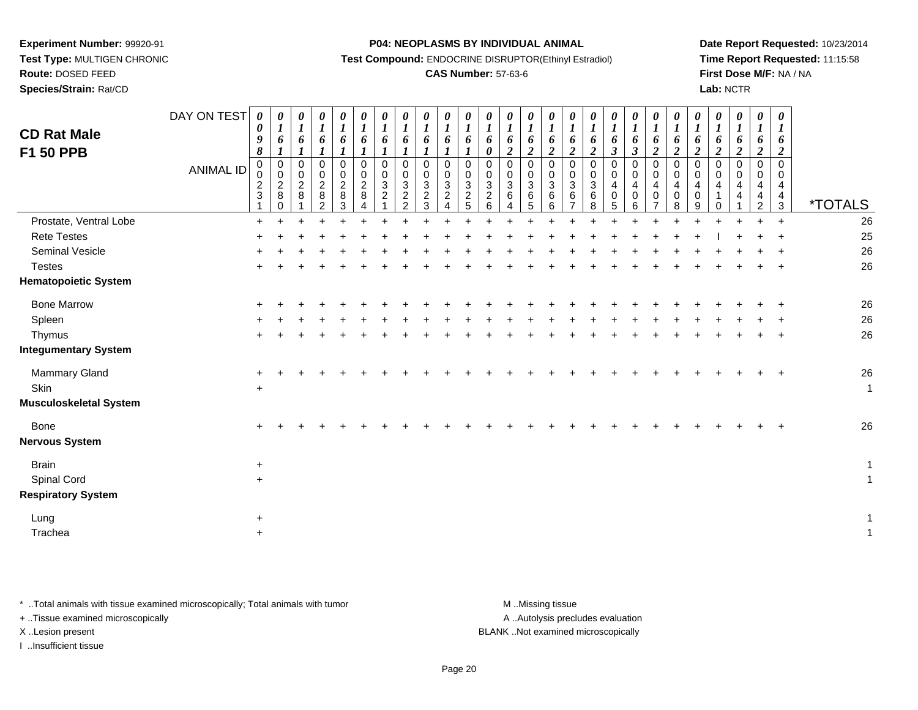# **Route:** DOSED FEED

**Species/Strain:** Rat/CD

#### **P04: NEOPLASMS BY INDIVIDUAL ANIMAL**

**Test Compound:** ENDOCRINE DISRUPTOR(Ethinyl Estradiol)

## **CAS Number:** 57-63-6

**Date Report Requested:** 10/23/2014**Time Report Requested:** 11:15:58**First Dose M/F:** NA / NA**Lab:** NCTR

| <b>CD Rat Male</b><br><b>F1 50 PPB</b> | DAY ON TEST<br><b>ANIMAL ID</b> | $\boldsymbol{\theta}$<br>$\boldsymbol{\theta}$<br>9<br>$\pmb{8}$<br>$\mathbf 0$<br>$\mathsf{O}\xspace$<br>$\frac{2}{3}$ | $\boldsymbol{\theta}$<br>$\boldsymbol{l}$<br>6<br>$\boldsymbol{l}$<br>$\boldsymbol{0}$<br>$\mathbf 0$<br>$\overline{2}$<br>$\,8\,$<br>$\Omega$ | 0<br>$\boldsymbol{l}$<br>6<br>$\mathbf{I}$<br>$\mathsf{O}\xspace$<br>$\mathsf{O}\xspace$<br>$\overline{a}$<br>8 | 0<br>$\boldsymbol{l}$<br>6<br>$\boldsymbol{l}$<br>$\mathbf 0$<br>$\mathbf 0$<br>$\overline{2}$<br>$\bf 8$<br>$\overline{2}$ | $\boldsymbol{\theta}$<br>$\boldsymbol{l}$<br>6<br>1<br>$\mathsf 0$<br>$\mathbf 0$<br>$\overline{c}$<br>$\bf 8$<br>3 | 0<br>6<br>$\Omega$<br>$\mathbf 0$<br>$\overline{c}$<br>8 | 0<br>$\boldsymbol{l}$<br>6<br>$\mathbf{I}$<br>$\mathbf 0$<br>$\mathbf 0$<br>$\sqrt{3}$<br>$\boldsymbol{2}$ | 0<br>$\boldsymbol{l}$<br>6<br>$\mathbf{I}$<br>$\mathbf 0$<br>$\pmb{0}$<br>$\mathbf{3}$<br>$\sqrt{2}$<br>$\overline{2}$ | 0<br>$\boldsymbol{l}$<br>6<br>$\boldsymbol{l}$<br>$\mathbf 0$<br>$\mathbf 0$<br>$\sqrt{3}$<br>$\overline{c}$<br>3 | 0<br>$\boldsymbol{l}$<br>6<br>$\boldsymbol{l}$<br>$\pmb{0}$<br>$\pmb{0}$<br>$\mathbf{3}$<br>$\boldsymbol{2}$ | 0<br>$\boldsymbol{l}$<br>6<br>$\pmb{0}$<br>$\pmb{0}$<br>$\ensuremath{\mathsf{3}}$<br>$\overline{c}$<br>5 | $\boldsymbol{\theta}$<br>$\boldsymbol{l}$<br>6<br>$\boldsymbol{\theta}$<br>$\mathsf{O}\xspace$<br>$\mathsf{O}\xspace$<br>$\sqrt{3}$<br>$\frac{2}{6}$ | 0<br>$\boldsymbol{l}$<br>6<br>$\boldsymbol{2}$<br>$\pmb{0}$<br>$\mathbf 0$<br>$\sqrt{3}$<br>$\,6\,$<br>4 | $\frac{\boldsymbol{\theta}}{\boldsymbol{I}}$<br>6<br>$\boldsymbol{2}$<br>$\boldsymbol{0}$<br>0<br>3<br>6<br>5 | 0<br>$\boldsymbol{l}$<br>6<br>$\overline{2}$<br>0<br>$\mathbf 0$<br>$\mathbf{3}$<br>6<br>6 | $\boldsymbol{\theta}$<br>$\boldsymbol{l}$<br>6<br>$\boldsymbol{2}$<br>$\mathsf 0$<br>$\mathbf 0$<br>$\mathbf 3$<br>$\,6\,$<br>$\overline{ }$ | 0<br>6<br>$\overline{\mathbf{c}}$<br>$\mathbf 0$<br>$\mathbf 0$<br>3<br>6<br>8 | 0<br>$\boldsymbol{l}$<br>6<br>$\mathfrak{z}$<br>$\pmb{0}$<br>$\pmb{0}$<br>$\overline{\mathbf{4}}$<br>$\pmb{0}$<br>5 | 0<br>$\boldsymbol{l}$<br>6<br>$\mathfrak{z}$<br>$\mathbf 0$<br>$\mathbf 0$<br>$\overline{\mathbf{4}}$<br>$\mathbf 0$<br>6 | 0<br>$\boldsymbol{l}$<br>6<br>$\boldsymbol{2}$<br>$\pmb{0}$<br>$\mathbf 0$<br>4<br>$\pmb{0}$<br>7 | 0<br>$\boldsymbol{l}$<br>6<br>$\overline{2}$<br>$\pmb{0}$<br>$\mathbf 0$<br>4<br>0<br>8 | 0<br>$\boldsymbol{l}$<br>6<br>$\boldsymbol{2}$<br>$\pmb{0}$<br>$\mathbf 0$<br>4<br>$\mathbf 0$<br>9 | 0<br>$\boldsymbol{l}$<br>6<br>$\boldsymbol{2}$<br>$\mathsf{O}\xspace$<br>$\mathbf 0$<br>$\overline{4}$<br>$\overline{1}$<br>0 | $\boldsymbol{\theta}$<br>$\boldsymbol{l}$<br>6<br>$\overline{c}$<br>$\pmb{0}$<br>$\mathsf{O}\xspace$<br>4<br>4 | 0<br>$\boldsymbol{l}$<br>6<br>$\boldsymbol{2}$<br>0<br>0<br>4<br>4<br>$\overline{2}$ | 0<br>1<br>6<br>$\boldsymbol{2}$<br>$\Omega$<br>$\Omega$<br>4<br>$\overline{\mathbf{4}}$<br>$\mathbf{3}$ | <i><b>*TOTALS</b></i> |
|----------------------------------------|---------------------------------|-------------------------------------------------------------------------------------------------------------------------|------------------------------------------------------------------------------------------------------------------------------------------------|-----------------------------------------------------------------------------------------------------------------|-----------------------------------------------------------------------------------------------------------------------------|---------------------------------------------------------------------------------------------------------------------|----------------------------------------------------------|------------------------------------------------------------------------------------------------------------|------------------------------------------------------------------------------------------------------------------------|-------------------------------------------------------------------------------------------------------------------|--------------------------------------------------------------------------------------------------------------|----------------------------------------------------------------------------------------------------------|------------------------------------------------------------------------------------------------------------------------------------------------------|----------------------------------------------------------------------------------------------------------|---------------------------------------------------------------------------------------------------------------|--------------------------------------------------------------------------------------------|----------------------------------------------------------------------------------------------------------------------------------------------|--------------------------------------------------------------------------------|---------------------------------------------------------------------------------------------------------------------|---------------------------------------------------------------------------------------------------------------------------|---------------------------------------------------------------------------------------------------|-----------------------------------------------------------------------------------------|-----------------------------------------------------------------------------------------------------|-------------------------------------------------------------------------------------------------------------------------------|----------------------------------------------------------------------------------------------------------------|--------------------------------------------------------------------------------------|---------------------------------------------------------------------------------------------------------|-----------------------|
| Prostate, Ventral Lobe                 |                                 | $+$                                                                                                                     |                                                                                                                                                |                                                                                                                 |                                                                                                                             |                                                                                                                     |                                                          |                                                                                                            |                                                                                                                        |                                                                                                                   |                                                                                                              |                                                                                                          |                                                                                                                                                      |                                                                                                          |                                                                                                               |                                                                                            |                                                                                                                                              |                                                                                |                                                                                                                     |                                                                                                                           |                                                                                                   |                                                                                         |                                                                                                     |                                                                                                                               |                                                                                                                | ÷.                                                                                   | $\ddot{+}$                                                                                              | 26                    |
| <b>Rete Testes</b>                     |                                 |                                                                                                                         |                                                                                                                                                |                                                                                                                 |                                                                                                                             |                                                                                                                     |                                                          |                                                                                                            |                                                                                                                        |                                                                                                                   |                                                                                                              |                                                                                                          |                                                                                                                                                      |                                                                                                          |                                                                                                               |                                                                                            |                                                                                                                                              |                                                                                |                                                                                                                     |                                                                                                                           |                                                                                                   |                                                                                         |                                                                                                     |                                                                                                                               |                                                                                                                |                                                                                      |                                                                                                         | 25                    |
| Seminal Vesicle                        |                                 |                                                                                                                         |                                                                                                                                                |                                                                                                                 |                                                                                                                             |                                                                                                                     |                                                          |                                                                                                            |                                                                                                                        |                                                                                                                   |                                                                                                              |                                                                                                          |                                                                                                                                                      |                                                                                                          |                                                                                                               |                                                                                            |                                                                                                                                              |                                                                                |                                                                                                                     |                                                                                                                           |                                                                                                   |                                                                                         |                                                                                                     |                                                                                                                               |                                                                                                                |                                                                                      |                                                                                                         | 26                    |
| <b>Testes</b>                          |                                 |                                                                                                                         |                                                                                                                                                |                                                                                                                 |                                                                                                                             |                                                                                                                     |                                                          |                                                                                                            |                                                                                                                        |                                                                                                                   |                                                                                                              |                                                                                                          |                                                                                                                                                      |                                                                                                          |                                                                                                               |                                                                                            |                                                                                                                                              |                                                                                |                                                                                                                     |                                                                                                                           |                                                                                                   |                                                                                         |                                                                                                     |                                                                                                                               |                                                                                                                |                                                                                      |                                                                                                         | 26                    |
| <b>Hematopoietic System</b>            |                                 |                                                                                                                         |                                                                                                                                                |                                                                                                                 |                                                                                                                             |                                                                                                                     |                                                          |                                                                                                            |                                                                                                                        |                                                                                                                   |                                                                                                              |                                                                                                          |                                                                                                                                                      |                                                                                                          |                                                                                                               |                                                                                            |                                                                                                                                              |                                                                                |                                                                                                                     |                                                                                                                           |                                                                                                   |                                                                                         |                                                                                                     |                                                                                                                               |                                                                                                                |                                                                                      |                                                                                                         |                       |
| <b>Bone Marrow</b>                     |                                 |                                                                                                                         |                                                                                                                                                |                                                                                                                 |                                                                                                                             |                                                                                                                     |                                                          |                                                                                                            |                                                                                                                        |                                                                                                                   |                                                                                                              |                                                                                                          |                                                                                                                                                      |                                                                                                          |                                                                                                               |                                                                                            |                                                                                                                                              |                                                                                |                                                                                                                     |                                                                                                                           |                                                                                                   |                                                                                         |                                                                                                     |                                                                                                                               |                                                                                                                |                                                                                      |                                                                                                         | 26                    |
| Spleen                                 |                                 |                                                                                                                         |                                                                                                                                                |                                                                                                                 |                                                                                                                             |                                                                                                                     |                                                          |                                                                                                            |                                                                                                                        |                                                                                                                   |                                                                                                              |                                                                                                          |                                                                                                                                                      |                                                                                                          |                                                                                                               |                                                                                            |                                                                                                                                              |                                                                                |                                                                                                                     |                                                                                                                           |                                                                                                   |                                                                                         |                                                                                                     |                                                                                                                               |                                                                                                                |                                                                                      |                                                                                                         | $26\,$                |
| Thymus                                 |                                 |                                                                                                                         |                                                                                                                                                |                                                                                                                 |                                                                                                                             |                                                                                                                     |                                                          |                                                                                                            |                                                                                                                        |                                                                                                                   |                                                                                                              |                                                                                                          |                                                                                                                                                      |                                                                                                          |                                                                                                               |                                                                                            |                                                                                                                                              |                                                                                |                                                                                                                     |                                                                                                                           |                                                                                                   |                                                                                         |                                                                                                     |                                                                                                                               |                                                                                                                |                                                                                      |                                                                                                         | 26                    |
| <b>Integumentary System</b>            |                                 |                                                                                                                         |                                                                                                                                                |                                                                                                                 |                                                                                                                             |                                                                                                                     |                                                          |                                                                                                            |                                                                                                                        |                                                                                                                   |                                                                                                              |                                                                                                          |                                                                                                                                                      |                                                                                                          |                                                                                                               |                                                                                            |                                                                                                                                              |                                                                                |                                                                                                                     |                                                                                                                           |                                                                                                   |                                                                                         |                                                                                                     |                                                                                                                               |                                                                                                                |                                                                                      |                                                                                                         |                       |
| Mammary Gland                          |                                 |                                                                                                                         |                                                                                                                                                |                                                                                                                 |                                                                                                                             |                                                                                                                     |                                                          |                                                                                                            |                                                                                                                        |                                                                                                                   |                                                                                                              |                                                                                                          |                                                                                                                                                      |                                                                                                          |                                                                                                               |                                                                                            |                                                                                                                                              |                                                                                |                                                                                                                     |                                                                                                                           |                                                                                                   |                                                                                         |                                                                                                     |                                                                                                                               |                                                                                                                |                                                                                      |                                                                                                         | 26                    |
| Skin                                   |                                 | $\ddot{}$                                                                                                               |                                                                                                                                                |                                                                                                                 |                                                                                                                             |                                                                                                                     |                                                          |                                                                                                            |                                                                                                                        |                                                                                                                   |                                                                                                              |                                                                                                          |                                                                                                                                                      |                                                                                                          |                                                                                                               |                                                                                            |                                                                                                                                              |                                                                                |                                                                                                                     |                                                                                                                           |                                                                                                   |                                                                                         |                                                                                                     |                                                                                                                               |                                                                                                                |                                                                                      |                                                                                                         | $\mathbf{1}$          |
| <b>Musculoskeletal System</b>          |                                 |                                                                                                                         |                                                                                                                                                |                                                                                                                 |                                                                                                                             |                                                                                                                     |                                                          |                                                                                                            |                                                                                                                        |                                                                                                                   |                                                                                                              |                                                                                                          |                                                                                                                                                      |                                                                                                          |                                                                                                               |                                                                                            |                                                                                                                                              |                                                                                |                                                                                                                     |                                                                                                                           |                                                                                                   |                                                                                         |                                                                                                     |                                                                                                                               |                                                                                                                |                                                                                      |                                                                                                         |                       |
| Bone                                   |                                 |                                                                                                                         |                                                                                                                                                |                                                                                                                 |                                                                                                                             |                                                                                                                     |                                                          |                                                                                                            |                                                                                                                        |                                                                                                                   |                                                                                                              |                                                                                                          |                                                                                                                                                      |                                                                                                          |                                                                                                               |                                                                                            |                                                                                                                                              |                                                                                |                                                                                                                     |                                                                                                                           |                                                                                                   |                                                                                         |                                                                                                     |                                                                                                                               |                                                                                                                |                                                                                      |                                                                                                         | 26                    |
| <b>Nervous System</b>                  |                                 |                                                                                                                         |                                                                                                                                                |                                                                                                                 |                                                                                                                             |                                                                                                                     |                                                          |                                                                                                            |                                                                                                                        |                                                                                                                   |                                                                                                              |                                                                                                          |                                                                                                                                                      |                                                                                                          |                                                                                                               |                                                                                            |                                                                                                                                              |                                                                                |                                                                                                                     |                                                                                                                           |                                                                                                   |                                                                                         |                                                                                                     |                                                                                                                               |                                                                                                                |                                                                                      |                                                                                                         |                       |
| <b>Brain</b>                           |                                 | $\ddot{}$                                                                                                               |                                                                                                                                                |                                                                                                                 |                                                                                                                             |                                                                                                                     |                                                          |                                                                                                            |                                                                                                                        |                                                                                                                   |                                                                                                              |                                                                                                          |                                                                                                                                                      |                                                                                                          |                                                                                                               |                                                                                            |                                                                                                                                              |                                                                                |                                                                                                                     |                                                                                                                           |                                                                                                   |                                                                                         |                                                                                                     |                                                                                                                               |                                                                                                                |                                                                                      |                                                                                                         | $\mathbf{1}$          |
| Spinal Cord                            |                                 | $\ddot{}$                                                                                                               |                                                                                                                                                |                                                                                                                 |                                                                                                                             |                                                                                                                     |                                                          |                                                                                                            |                                                                                                                        |                                                                                                                   |                                                                                                              |                                                                                                          |                                                                                                                                                      |                                                                                                          |                                                                                                               |                                                                                            |                                                                                                                                              |                                                                                |                                                                                                                     |                                                                                                                           |                                                                                                   |                                                                                         |                                                                                                     |                                                                                                                               |                                                                                                                |                                                                                      |                                                                                                         | $\mathbf{1}$          |
| <b>Respiratory System</b>              |                                 |                                                                                                                         |                                                                                                                                                |                                                                                                                 |                                                                                                                             |                                                                                                                     |                                                          |                                                                                                            |                                                                                                                        |                                                                                                                   |                                                                                                              |                                                                                                          |                                                                                                                                                      |                                                                                                          |                                                                                                               |                                                                                            |                                                                                                                                              |                                                                                |                                                                                                                     |                                                                                                                           |                                                                                                   |                                                                                         |                                                                                                     |                                                                                                                               |                                                                                                                |                                                                                      |                                                                                                         |                       |
| Lung                                   |                                 | $\ddot{}$                                                                                                               |                                                                                                                                                |                                                                                                                 |                                                                                                                             |                                                                                                                     |                                                          |                                                                                                            |                                                                                                                        |                                                                                                                   |                                                                                                              |                                                                                                          |                                                                                                                                                      |                                                                                                          |                                                                                                               |                                                                                            |                                                                                                                                              |                                                                                |                                                                                                                     |                                                                                                                           |                                                                                                   |                                                                                         |                                                                                                     |                                                                                                                               |                                                                                                                |                                                                                      |                                                                                                         | $\mathbf{1}$          |
| Trachea                                |                                 | $+$                                                                                                                     |                                                                                                                                                |                                                                                                                 |                                                                                                                             |                                                                                                                     |                                                          |                                                                                                            |                                                                                                                        |                                                                                                                   |                                                                                                              |                                                                                                          |                                                                                                                                                      |                                                                                                          |                                                                                                               |                                                                                            |                                                                                                                                              |                                                                                |                                                                                                                     |                                                                                                                           |                                                                                                   |                                                                                         |                                                                                                     |                                                                                                                               |                                                                                                                |                                                                                      |                                                                                                         | $\mathbf{1}$          |

\* ..Total animals with tissue examined microscopically; Total animals with tumor **M** . Missing tissue M ..Missing tissue + ..Tissue examined microscopically

I ..Insufficient tissue

A ..Autolysis precludes evaluation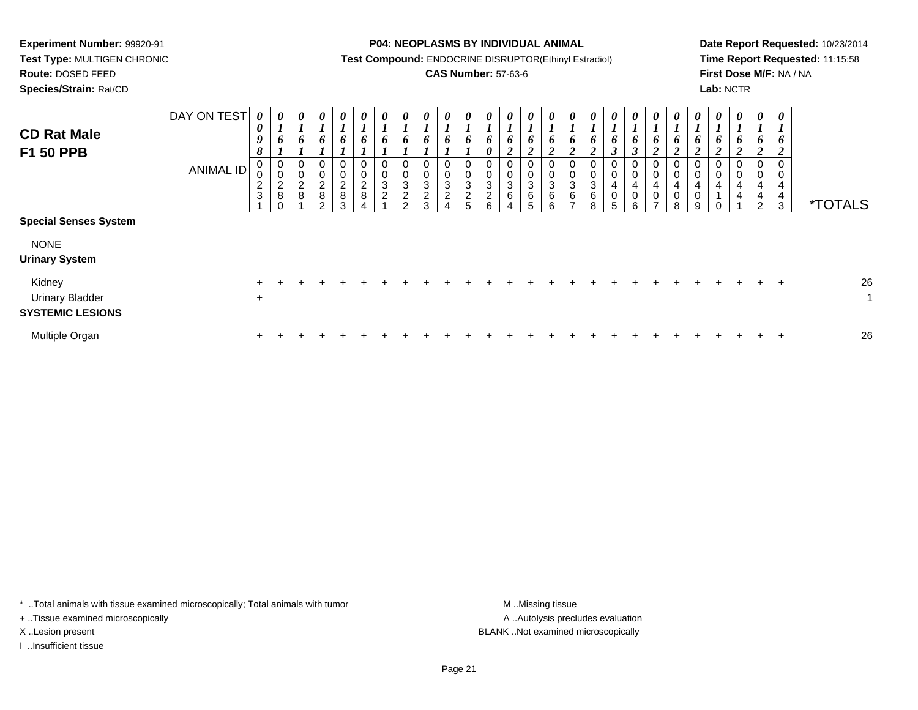**Test Type:** MULTIGEN CHRONIC**Route:** DOSED FEED

**Species/Strain:** Rat/CD

#### **P04: NEOPLASMS BY INDIVIDUAL ANIMAL**

**Test Compound:** ENDOCRINE DISRUPTOR(Ethinyl Estradiol)

## **CAS Number:** 57-63-6

**Date Report Requested:** 10/23/2014**Time Report Requested:** 11:15:58**First Dose M/F:** NA / NA**Lab:** NCTR

| <b>CD Rat Male</b><br>F1 50 PPB                             | DAY ON TEST<br>ANIMAL ID | 0<br>$\boldsymbol{\theta}$<br>$\boldsymbol{g}$<br>8<br>0<br>0<br>$\frac{2}{3}$ | 0<br>$\mathbf{I}$<br>6<br>$\overline{ }$<br>0<br>0<br>$\frac{2}{8}$<br>$\Omega$ | 0<br>$\boldsymbol{l}$<br>6<br>0<br>0<br>$\boldsymbol{2}$<br>8 | 0<br>$\mathbf{r}$<br>6<br>$\pmb{0}$<br>$\begin{smallmatrix} 0\\2 \end{smallmatrix}$<br>$\bf 8$<br>$\Omega$ | $\boldsymbol{\theta}$<br>Ł<br>6<br>$\pmb{0}$<br>$\pmb{0}$<br>$\frac{2}{8}$<br>3 | U<br>L<br>6<br>0<br>$\pmb{0}$<br>$\boldsymbol{2}$<br>8 | 0<br>6<br>$\Omega$<br>3<br>2 | 0<br>6<br>0<br>$\pmb{0}$<br>$\ensuremath{\mathsf{3}}$<br>$\boldsymbol{2}$<br>$\sim$ | 0<br>6<br>0<br>$\pmb{0}$<br>$\ensuremath{\mathsf{3}}$<br>$\overline{c}$<br>$\mathbf{3}$ | U<br>Ł<br>6<br>0<br>0<br>3<br>$\boldsymbol{2}$ | U<br>$\mathbf I$<br>6<br>$\boldsymbol{0}$<br>3<br>$\overline{c}$ | 0<br>6<br>$\boldsymbol{\theta}$<br>0<br>$\begin{smallmatrix}0\0\3\end{smallmatrix}$<br>$\overline{a}$<br>6 | $\boldsymbol{\theta}$<br>6<br><sup>1</sup><br>∠<br>0<br>0<br>$\mathbf{3}$<br>6 | 6<br>$\boldsymbol{2}$<br>$\mathbf 0$<br>$\pmb{0}$<br>$\ensuremath{\mathsf{3}}$<br>$\,6\,$<br>5 | $\boldsymbol{\theta}$<br>6<br>$\rightarrow$<br>$\pmb{0}$<br>3<br>6<br>ĥ | 6<br>$\rightarrow$<br>◢<br>$\mathbf 0$<br>3<br>6<br>- | U<br>$\bm{o}$<br><sup>1</sup><br>0<br>0<br>$\ensuremath{\mathsf{3}}$<br>6<br>8 | $\boldsymbol{\theta}$<br>6<br>$\mathbf{3}$<br>0<br>0<br>4<br>0<br>5 | 0<br>6<br>$\mathfrak{z}$<br>$\mathbf 0$<br>0<br>4<br>$\pmb{0}$<br>ĥ | $\boldsymbol{\theta}$<br>$\bm{o}$<br>$\mathbf{\Omega}$<br>◢<br>0<br>$\boldsymbol{0}$<br>$\overline{\mathbf{4}}$<br>$\pmb{0}$<br>$\overline{ }$ | $\boldsymbol{\theta}$<br>$\bm{o}$<br>$\mathbf{\Omega}$<br>◢<br>0<br>$\pmb{0}$<br>4<br>$\pmb{0}$<br>8 | U<br>1<br>$\bm{o}$<br>$\boldsymbol{2}$<br>$\mathbf 0$<br>$\pmb{0}$<br>$\overline{4}$<br>$\mathbf 0$<br>9 | $\boldsymbol{\theta}$<br>6<br>$\mathbf{\Omega}$<br>0<br>4 | $\boldsymbol{\theta}$<br>L<br>6<br>$\mathbf{\Omega}$<br>∠<br>0<br>$\,0\,$<br>$\overline{\mathbf{4}}$<br>4 | 0<br>6<br><u>ำ</u><br>$\epsilon$<br>0<br>0<br>4<br>4<br>$\Omega$ | 0<br>$\mathbf{I}$<br>o<br>◢<br>0<br>0<br>4<br>4<br>3 | <i><b>*TOTALS</b></i> |
|-------------------------------------------------------------|--------------------------|--------------------------------------------------------------------------------|---------------------------------------------------------------------------------|---------------------------------------------------------------|------------------------------------------------------------------------------------------------------------|---------------------------------------------------------------------------------|--------------------------------------------------------|------------------------------|-------------------------------------------------------------------------------------|-----------------------------------------------------------------------------------------|------------------------------------------------|------------------------------------------------------------------|------------------------------------------------------------------------------------------------------------|--------------------------------------------------------------------------------|------------------------------------------------------------------------------------------------|-------------------------------------------------------------------------|-------------------------------------------------------|--------------------------------------------------------------------------------|---------------------------------------------------------------------|---------------------------------------------------------------------|------------------------------------------------------------------------------------------------------------------------------------------------|------------------------------------------------------------------------------------------------------|----------------------------------------------------------------------------------------------------------|-----------------------------------------------------------|-----------------------------------------------------------------------------------------------------------|------------------------------------------------------------------|------------------------------------------------------|-----------------------|
| <b>Special Senses System</b>                                |                          |                                                                                |                                                                                 |                                                               |                                                                                                            |                                                                                 |                                                        |                              |                                                                                     |                                                                                         |                                                |                                                                  |                                                                                                            |                                                                                |                                                                                                |                                                                         |                                                       |                                                                                |                                                                     |                                                                     |                                                                                                                                                |                                                                                                      |                                                                                                          |                                                           |                                                                                                           |                                                                  |                                                      |                       |
| <b>NONE</b><br><b>Urinary System</b>                        |                          |                                                                                |                                                                                 |                                                               |                                                                                                            |                                                                                 |                                                        |                              |                                                                                     |                                                                                         |                                                |                                                                  |                                                                                                            |                                                                                |                                                                                                |                                                                         |                                                       |                                                                                |                                                                     |                                                                     |                                                                                                                                                |                                                                                                      |                                                                                                          |                                                           |                                                                                                           |                                                                  |                                                      |                       |
| Kidney<br><b>Urinary Bladder</b><br><b>SYSTEMIC LESIONS</b> |                          | $\ddot{}$                                                                      |                                                                                 |                                                               |                                                                                                            |                                                                                 |                                                        |                              |                                                                                     |                                                                                         |                                                |                                                                  |                                                                                                            |                                                                                |                                                                                                |                                                                         |                                                       |                                                                                |                                                                     |                                                                     |                                                                                                                                                |                                                                                                      |                                                                                                          |                                                           |                                                                                                           |                                                                  | $+$                                                  | 26<br>$\mathbf{1}$    |
| Multiple Organ                                              |                          | $+$                                                                            |                                                                                 |                                                               |                                                                                                            |                                                                                 |                                                        |                              |                                                                                     |                                                                                         |                                                |                                                                  |                                                                                                            |                                                                                |                                                                                                |                                                                         |                                                       |                                                                                |                                                                     |                                                                     |                                                                                                                                                |                                                                                                      |                                                                                                          |                                                           |                                                                                                           |                                                                  |                                                      | 26                    |

\* ..Total animals with tissue examined microscopically; Total animals with tumor **M** . Missing tissue M ..Missing tissue

+ ..Tissue examined microscopically

I ..Insufficient tissue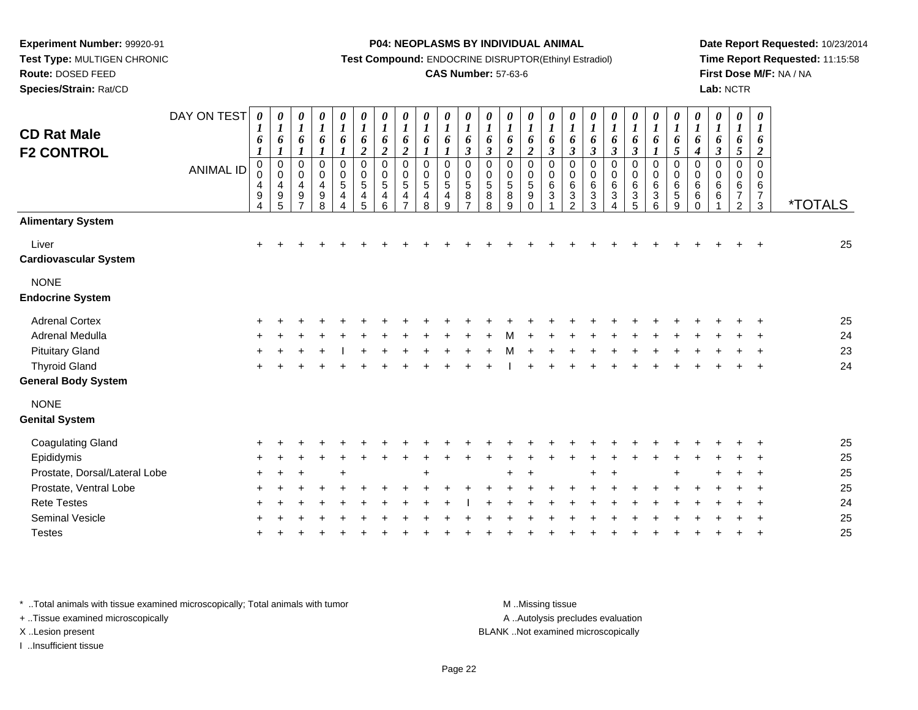**Route:** DOSED FEED

**Species/Strain:** Rat/CD

#### **P04: NEOPLASMS BY INDIVIDUAL ANIMAL**

**Test Compound:** ENDOCRINE DISRUPTOR(Ethinyl Estradiol)

### **CAS Number:** 57-63-6

**Date Report Requested:** 10/23/2014**Time Report Requested:** 11:15:58**First Dose M/F:** NA / NA**Lab:** NCTR

| <b>CD Rat Male</b><br><b>F2 CONTROL</b> | DAY ON TEST<br><b>ANIMAL ID</b> | 0<br>1<br>6<br>$\boldsymbol{l}$<br>$\mathbf 0$<br>0<br>4<br>9<br>$\overline{4}$ | 0<br>$\boldsymbol{l}$<br>6<br>$\boldsymbol{l}$<br>$\pmb{0}$<br>$\pmb{0}$<br>4<br>$\boldsymbol{9}$<br>5 | 0<br>$\boldsymbol{l}$<br>6<br>$\boldsymbol{l}$<br>0<br>$\boldsymbol{0}$<br>$\overline{\mathbf{4}}$<br>$\boldsymbol{9}$<br>$\overline{7}$ | 0<br>$\boldsymbol{l}$<br>6<br>$\boldsymbol{l}$<br>0<br>$\boldsymbol{0}$<br>4<br>$_{\rm 8}^{\rm 9}$ | 0<br>$\boldsymbol{l}$<br>6<br>$\boldsymbol{l}$<br>$\mathbf 0$<br>$\boldsymbol{0}$<br>5<br>4<br>$\overline{4}$ | 0<br>$\boldsymbol{l}$<br>$\pmb{6}$<br>$\overline{2}$<br>$\mathbf 0$<br>$\pmb{0}$<br>$\sqrt{5}$<br>$\overline{\mathbf{r}}$<br>$\overline{5}$ | 0<br>$\boldsymbol{l}$<br>6<br>$\overline{2}$<br>$\mathbf 0$<br>0<br>5<br>4<br>6 | 0<br>$\boldsymbol{l}$<br>6<br>$\boldsymbol{2}$<br>$\mathbf 0$<br>$\mathbf 0$<br>5<br>4<br>$\overline{ }$ | 0<br>$\boldsymbol{l}$<br>6<br>$\boldsymbol{l}$<br>$\mathbf 0$<br>$\mathbf 0$<br>5<br>4<br>8 | 0<br>$\boldsymbol{l}$<br>6<br>$\boldsymbol{l}$<br>$\mathbf 0$<br>0<br>$\sqrt{5}$<br>$\overline{\mathbf{4}}$<br>9 | 0<br>$\boldsymbol{l}$<br>6<br>$\mathfrak{z}$<br>$\mathbf 0$<br>$\pmb{0}$<br>$\,$ 5 $\,$<br>8<br>$\overline{7}$ | 0<br>$\boldsymbol{l}$<br>6<br>$\mathfrak{z}$<br>$\mathbf 0$<br>$\pmb{0}$<br>$\sqrt{5}$<br>$_{8}^8$ | 0<br>$\boldsymbol{l}$<br>6<br>$\overline{2}$<br>$\mathbf 0$<br>$\pmb{0}$<br>$\sqrt{5}$<br>$\, 8$<br>9 | 0<br>$\boldsymbol{l}$<br>6<br>$\overline{c}$<br>$\mathbf 0$<br>$\pmb{0}$<br>$\sqrt{5}$<br>$\boldsymbol{9}$<br>$\Omega$ | 0<br>$\boldsymbol{l}$<br>6<br>$\mathfrak{z}$<br>0<br>$\pmb{0}$<br>6<br>3 | 0<br>$\boldsymbol{l}$<br>$\pmb{6}$<br>$\boldsymbol{\beta}$<br>$\mathbf 0$<br>$\pmb{0}$<br>$\,6$<br>$\frac{3}{2}$ | 0<br>$\boldsymbol{l}$<br>6<br>$\boldsymbol{\beta}$<br>$\mathbf 0$<br>$\overline{0}$<br>$\,6$<br>$\mathbf{3}$<br>3 | 0<br>$\boldsymbol{l}$<br>$\pmb{6}$<br>$\boldsymbol{\beta}$<br>0<br>$\pmb{0}$<br>$\,6$<br>$\ensuremath{\mathsf{3}}$<br>$\overline{\mathbf{A}}$ | 0<br>$\boldsymbol{l}$<br>6<br>$\overline{\mathbf{3}}$<br>$\mathsf{O}$<br>$\mathbf 0$<br>$\,6$<br>$\frac{3}{5}$ | $\boldsymbol{\theta}$<br>$\boldsymbol{l}$<br>6<br>$\boldsymbol{l}$<br>0<br>$\pmb{0}$<br>$\,6$<br>$^3$ 6 | 0<br>$\boldsymbol{l}$<br>6<br>5<br>$\overline{0}$<br>$\pmb{0}$<br>$\,6$<br>$\sqrt{5}$<br>$\boldsymbol{9}$ | 0<br>$\boldsymbol{l}$<br>6<br>$\boldsymbol{4}$<br>$\mathbf 0$<br>$\pmb{0}$<br>$\,6$<br>$\,6\,$<br>$\Omega$ | 0<br>$\boldsymbol{l}$<br>6<br>$\mathfrak{z}$<br>$\mathbf 0$<br>$\mathbf 0$<br>6<br>$\,6$ | $\boldsymbol{\theta}$<br>$\boldsymbol{l}$<br>6<br>$\sqrt{5}$<br>$\mathbf 0$<br>$\mathbf 0$<br>6<br>$\overline{7}$<br>$\overline{c}$ | $\boldsymbol{\theta}$<br>$\boldsymbol{l}$<br>6<br>$\overline{2}$<br>$\mathbf 0$<br>$\mathbf 0$<br>6<br>$\overline{\mathcal{I}}$<br>$\mathbf{3}$ | <i><b>*TOTALS</b></i> |
|-----------------------------------------|---------------------------------|---------------------------------------------------------------------------------|--------------------------------------------------------------------------------------------------------|------------------------------------------------------------------------------------------------------------------------------------------|----------------------------------------------------------------------------------------------------|---------------------------------------------------------------------------------------------------------------|---------------------------------------------------------------------------------------------------------------------------------------------|---------------------------------------------------------------------------------|----------------------------------------------------------------------------------------------------------|---------------------------------------------------------------------------------------------|------------------------------------------------------------------------------------------------------------------|----------------------------------------------------------------------------------------------------------------|----------------------------------------------------------------------------------------------------|-------------------------------------------------------------------------------------------------------|------------------------------------------------------------------------------------------------------------------------|--------------------------------------------------------------------------|------------------------------------------------------------------------------------------------------------------|-------------------------------------------------------------------------------------------------------------------|-----------------------------------------------------------------------------------------------------------------------------------------------|----------------------------------------------------------------------------------------------------------------|---------------------------------------------------------------------------------------------------------|-----------------------------------------------------------------------------------------------------------|------------------------------------------------------------------------------------------------------------|------------------------------------------------------------------------------------------|-------------------------------------------------------------------------------------------------------------------------------------|-------------------------------------------------------------------------------------------------------------------------------------------------|-----------------------|
| <b>Alimentary System</b>                |                                 |                                                                                 |                                                                                                        |                                                                                                                                          |                                                                                                    |                                                                                                               |                                                                                                                                             |                                                                                 |                                                                                                          |                                                                                             |                                                                                                                  |                                                                                                                |                                                                                                    |                                                                                                       |                                                                                                                        |                                                                          |                                                                                                                  |                                                                                                                   |                                                                                                                                               |                                                                                                                |                                                                                                         |                                                                                                           |                                                                                                            |                                                                                          |                                                                                                                                     |                                                                                                                                                 |                       |
| Liver<br><b>Cardiovascular System</b>   |                                 | $\ddot{}$                                                                       |                                                                                                        |                                                                                                                                          |                                                                                                    |                                                                                                               |                                                                                                                                             |                                                                                 |                                                                                                          |                                                                                             |                                                                                                                  |                                                                                                                |                                                                                                    |                                                                                                       |                                                                                                                        |                                                                          |                                                                                                                  |                                                                                                                   |                                                                                                                                               |                                                                                                                |                                                                                                         |                                                                                                           |                                                                                                            |                                                                                          |                                                                                                                                     |                                                                                                                                                 | 25                    |
| <b>NONE</b><br><b>Endocrine System</b>  |                                 |                                                                                 |                                                                                                        |                                                                                                                                          |                                                                                                    |                                                                                                               |                                                                                                                                             |                                                                                 |                                                                                                          |                                                                                             |                                                                                                                  |                                                                                                                |                                                                                                    |                                                                                                       |                                                                                                                        |                                                                          |                                                                                                                  |                                                                                                                   |                                                                                                                                               |                                                                                                                |                                                                                                         |                                                                                                           |                                                                                                            |                                                                                          |                                                                                                                                     |                                                                                                                                                 |                       |
| <b>Adrenal Cortex</b>                   |                                 |                                                                                 |                                                                                                        |                                                                                                                                          |                                                                                                    |                                                                                                               |                                                                                                                                             |                                                                                 |                                                                                                          |                                                                                             |                                                                                                                  |                                                                                                                |                                                                                                    |                                                                                                       |                                                                                                                        |                                                                          |                                                                                                                  |                                                                                                                   |                                                                                                                                               |                                                                                                                |                                                                                                         |                                                                                                           |                                                                                                            |                                                                                          |                                                                                                                                     |                                                                                                                                                 | 25                    |
| Adrenal Medulla                         |                                 |                                                                                 |                                                                                                        |                                                                                                                                          |                                                                                                    |                                                                                                               |                                                                                                                                             |                                                                                 |                                                                                                          |                                                                                             |                                                                                                                  |                                                                                                                |                                                                                                    |                                                                                                       |                                                                                                                        |                                                                          |                                                                                                                  |                                                                                                                   |                                                                                                                                               |                                                                                                                |                                                                                                         |                                                                                                           |                                                                                                            |                                                                                          |                                                                                                                                     |                                                                                                                                                 | 24                    |
| <b>Pituitary Gland</b>                  |                                 |                                                                                 |                                                                                                        |                                                                                                                                          |                                                                                                    |                                                                                                               |                                                                                                                                             |                                                                                 |                                                                                                          |                                                                                             |                                                                                                                  |                                                                                                                |                                                                                                    |                                                                                                       |                                                                                                                        |                                                                          |                                                                                                                  |                                                                                                                   |                                                                                                                                               |                                                                                                                |                                                                                                         |                                                                                                           |                                                                                                            |                                                                                          |                                                                                                                                     |                                                                                                                                                 | 23                    |
| <b>Thyroid Gland</b>                    |                                 |                                                                                 |                                                                                                        |                                                                                                                                          |                                                                                                    |                                                                                                               |                                                                                                                                             |                                                                                 |                                                                                                          |                                                                                             |                                                                                                                  |                                                                                                                |                                                                                                    |                                                                                                       |                                                                                                                        |                                                                          |                                                                                                                  |                                                                                                                   |                                                                                                                                               |                                                                                                                |                                                                                                         |                                                                                                           |                                                                                                            |                                                                                          |                                                                                                                                     |                                                                                                                                                 | 24                    |
| <b>General Body System</b>              |                                 |                                                                                 |                                                                                                        |                                                                                                                                          |                                                                                                    |                                                                                                               |                                                                                                                                             |                                                                                 |                                                                                                          |                                                                                             |                                                                                                                  |                                                                                                                |                                                                                                    |                                                                                                       |                                                                                                                        |                                                                          |                                                                                                                  |                                                                                                                   |                                                                                                                                               |                                                                                                                |                                                                                                         |                                                                                                           |                                                                                                            |                                                                                          |                                                                                                                                     |                                                                                                                                                 |                       |
| <b>NONE</b><br><b>Genital System</b>    |                                 |                                                                                 |                                                                                                        |                                                                                                                                          |                                                                                                    |                                                                                                               |                                                                                                                                             |                                                                                 |                                                                                                          |                                                                                             |                                                                                                                  |                                                                                                                |                                                                                                    |                                                                                                       |                                                                                                                        |                                                                          |                                                                                                                  |                                                                                                                   |                                                                                                                                               |                                                                                                                |                                                                                                         |                                                                                                           |                                                                                                            |                                                                                          |                                                                                                                                     |                                                                                                                                                 |                       |
| <b>Coagulating Gland</b>                |                                 |                                                                                 |                                                                                                        |                                                                                                                                          |                                                                                                    |                                                                                                               |                                                                                                                                             |                                                                                 |                                                                                                          |                                                                                             |                                                                                                                  |                                                                                                                |                                                                                                    |                                                                                                       |                                                                                                                        |                                                                          |                                                                                                                  |                                                                                                                   |                                                                                                                                               |                                                                                                                |                                                                                                         |                                                                                                           |                                                                                                            |                                                                                          |                                                                                                                                     |                                                                                                                                                 | 25                    |
| Epididymis                              |                                 |                                                                                 |                                                                                                        |                                                                                                                                          |                                                                                                    |                                                                                                               |                                                                                                                                             |                                                                                 |                                                                                                          |                                                                                             |                                                                                                                  |                                                                                                                |                                                                                                    |                                                                                                       |                                                                                                                        |                                                                          |                                                                                                                  |                                                                                                                   |                                                                                                                                               |                                                                                                                |                                                                                                         |                                                                                                           |                                                                                                            |                                                                                          |                                                                                                                                     |                                                                                                                                                 | 25                    |
| Prostate, Dorsal/Lateral Lobe           |                                 |                                                                                 |                                                                                                        |                                                                                                                                          |                                                                                                    |                                                                                                               |                                                                                                                                             |                                                                                 |                                                                                                          |                                                                                             |                                                                                                                  |                                                                                                                |                                                                                                    |                                                                                                       |                                                                                                                        |                                                                          |                                                                                                                  |                                                                                                                   |                                                                                                                                               |                                                                                                                |                                                                                                         |                                                                                                           |                                                                                                            |                                                                                          |                                                                                                                                     |                                                                                                                                                 | 25                    |
| Prostate, Ventral Lobe                  |                                 |                                                                                 |                                                                                                        |                                                                                                                                          |                                                                                                    |                                                                                                               |                                                                                                                                             |                                                                                 |                                                                                                          |                                                                                             |                                                                                                                  |                                                                                                                |                                                                                                    |                                                                                                       |                                                                                                                        |                                                                          |                                                                                                                  |                                                                                                                   |                                                                                                                                               |                                                                                                                |                                                                                                         |                                                                                                           |                                                                                                            |                                                                                          |                                                                                                                                     |                                                                                                                                                 | 25                    |
| <b>Rete Testes</b>                      |                                 |                                                                                 |                                                                                                        |                                                                                                                                          |                                                                                                    |                                                                                                               |                                                                                                                                             |                                                                                 |                                                                                                          |                                                                                             |                                                                                                                  |                                                                                                                |                                                                                                    |                                                                                                       |                                                                                                                        |                                                                          |                                                                                                                  |                                                                                                                   |                                                                                                                                               |                                                                                                                |                                                                                                         |                                                                                                           |                                                                                                            |                                                                                          |                                                                                                                                     |                                                                                                                                                 | 24                    |
| Seminal Vesicle                         |                                 |                                                                                 |                                                                                                        |                                                                                                                                          |                                                                                                    |                                                                                                               |                                                                                                                                             |                                                                                 |                                                                                                          |                                                                                             |                                                                                                                  |                                                                                                                |                                                                                                    |                                                                                                       |                                                                                                                        |                                                                          |                                                                                                                  |                                                                                                                   |                                                                                                                                               |                                                                                                                |                                                                                                         |                                                                                                           |                                                                                                            |                                                                                          |                                                                                                                                     |                                                                                                                                                 | 25                    |
| <b>Testes</b>                           |                                 |                                                                                 |                                                                                                        |                                                                                                                                          |                                                                                                    |                                                                                                               |                                                                                                                                             |                                                                                 |                                                                                                          |                                                                                             |                                                                                                                  |                                                                                                                |                                                                                                    |                                                                                                       |                                                                                                                        |                                                                          |                                                                                                                  |                                                                                                                   |                                                                                                                                               |                                                                                                                |                                                                                                         |                                                                                                           |                                                                                                            |                                                                                          |                                                                                                                                     |                                                                                                                                                 | 25                    |
|                                         |                                 |                                                                                 |                                                                                                        |                                                                                                                                          |                                                                                                    |                                                                                                               |                                                                                                                                             |                                                                                 |                                                                                                          |                                                                                             |                                                                                                                  |                                                                                                                |                                                                                                    |                                                                                                       |                                                                                                                        |                                                                          |                                                                                                                  |                                                                                                                   |                                                                                                                                               |                                                                                                                |                                                                                                         |                                                                                                           |                                                                                                            |                                                                                          |                                                                                                                                     |                                                                                                                                                 |                       |

\* ..Total animals with tissue examined microscopically; Total animals with tumor **M** . Missing tissue M ..Missing tissue

+ ..Tissue examined microscopically

I ..Insufficient tissue

A ..Autolysis precludes evaluation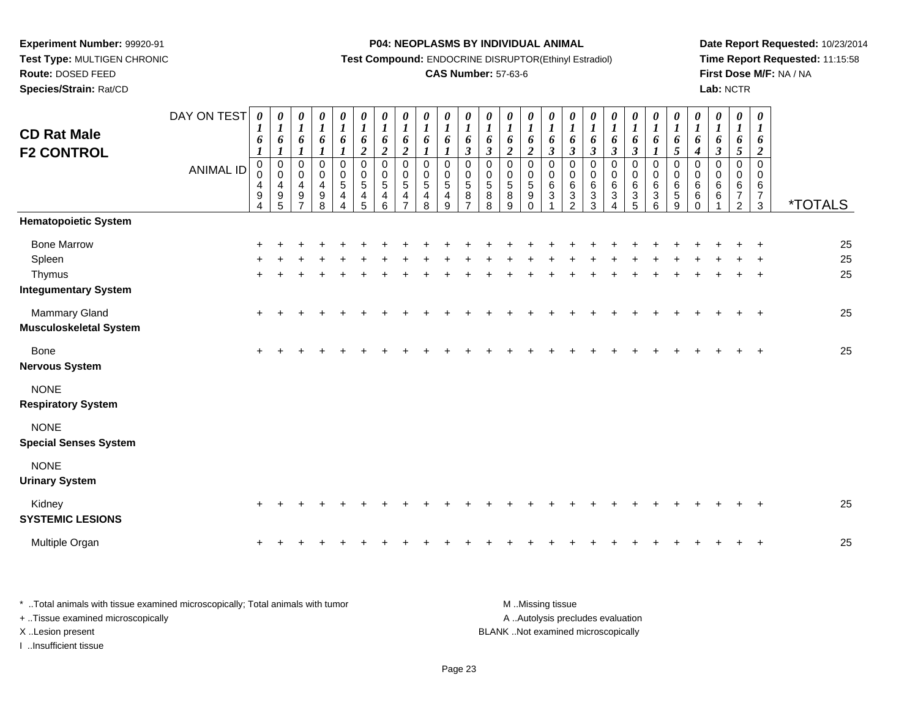**Species/Strain:** Rat/CD

#### **P04: NEOPLASMS BY INDIVIDUAL ANIMAL**

**Test Compound:** ENDOCRINE DISRUPTOR(Ethinyl Estradiol)

# **CAS Number:** 57-63-6

**Date Report Requested:** 10/23/2014**Time Report Requested:** 11:15:58**First Dose M/F:** NA / NA**Lab:** NCTR

| <b>CD Rat Male</b><br><b>F2 CONTROL</b>                               | DAY ON TEST<br><b>ANIMAL ID</b> | 0<br>$\boldsymbol{l}$<br>6<br>$\boldsymbol{\mathit{1}}$<br>$\boldsymbol{0}$<br>0<br>$\overline{4}$<br>$\boldsymbol{9}$<br>4 | 0<br>$\boldsymbol{l}$<br>6<br>$\boldsymbol{l}$<br>$\mathbf 0$<br>$\mathbf 0$<br>$\overline{\mathbf{4}}$<br>$\boldsymbol{9}$<br>$\overline{5}$ | $\frac{\theta}{I}$<br>6<br>$\boldsymbol{l}$<br>$\pmb{0}$<br>$\mathbf 0$<br>$\overline{4}$<br>9<br>$\overline{7}$ | $\begin{matrix} 0 \\ 1 \end{matrix}$<br>6<br>$\boldsymbol{l}$<br>$\pmb{0}$<br>$\pmb{0}$<br>$\overline{\mathbf{4}}$<br>$\frac{9}{8}$ | $\boldsymbol{\theta}$<br>$\boldsymbol{l}$<br>6<br>1<br>$\mathbf 0$<br>$\mathbf 0$<br>$\overline{5}$<br>$\overline{4}$<br>$\overline{\mathbf{A}}$ | 0<br>$\boldsymbol{l}$<br>6<br>$\overline{\mathbf{c}}$<br>$\pmb{0}$<br>0<br>5<br>4<br>5 | 0<br>$\boldsymbol{l}$<br>6<br>$\boldsymbol{2}$<br>$\mathbf 0$<br>0<br>$\sqrt{5}$<br>$\overline{\mathbf{4}}$<br>6 | $\frac{\theta}{I}$<br>6<br>$\overline{2}$<br>$\mathbf 0$<br>$\mathbf 0$<br>5<br>4<br>$\overline{7}$ | $\frac{\theta}{I}$<br>6<br>$\boldsymbol{l}$<br>$\mathbf 0$<br>$\mathbf 0$<br>$\sqrt{5}$<br>$\overline{\mathbf{4}}$<br>8 | $\frac{\theta}{I}$<br>6<br>$\boldsymbol{l}$<br>$\mathbf 0$<br>$\Omega$<br>5<br>4<br>9 | $\frac{\boldsymbol{\theta}}{\boldsymbol{I}}$<br>6<br>$\boldsymbol{\beta}$<br>$\mathbf 0$<br>$\begin{smallmatrix}0\0\5\end{smallmatrix}$<br>$\bf 8$<br>$\overline{z}$ | $\frac{\theta}{I}$<br>6<br>$\mathbf{3}$<br>$\mathbf 0$<br>0<br>$\sqrt{5}$<br>$\, 8$<br>$\overline{8}$ | 0<br>$\boldsymbol{l}$<br>6<br>$\overline{2}$<br>$\mathbf 0$<br>0<br>$\frac{5}{8}$<br>$\overline{9}$ | 0<br>$\boldsymbol{l}$<br>6<br>$\boldsymbol{2}$<br>$\mathbf 0$<br>$\mathbf 0$<br>$\sqrt{5}$<br>9<br>$\mathbf 0$ | 0<br>$\boldsymbol{l}$<br>6<br>$\mathfrak{z}$<br>$\mathbf 0$<br>$\mathbf 0$<br>6<br>3 | $\boldsymbol{\theta}$<br>$\boldsymbol{l}$<br>6<br>$\mathfrak{z}$<br>$\mathbf 0$<br>0<br>6<br>$\frac{3}{2}$ | 0<br>$\boldsymbol{l}$<br>6<br>$\mathfrak{z}$<br>$\mathbf 0$<br>$\mathbf 0$<br>6<br>$\sqrt{3}$<br>$\overline{3}$ | $\boldsymbol{\theta}$<br>$\boldsymbol{l}$<br>6<br>$\mathfrak{z}$<br>$\mathbf 0$<br>$\mathbf 0$<br>$\,6$<br>$\sqrt{3}$<br>$\overline{4}$ | $\frac{\boldsymbol{\theta}}{\boldsymbol{I}}$<br>6<br>$\mathfrak{z}$<br>0<br>0<br>$\,6$<br>3<br>$\overline{5}$ | $\frac{\boldsymbol{0}}{\boldsymbol{1}}$<br>6<br>$\boldsymbol{l}$<br>$\mathbf 0$<br>$\pmb{0}$<br>6<br>$\sqrt{3}$<br>$6\overline{6}$ | 0<br>$\boldsymbol{l}$<br>6<br>5<br>$\mathbf 0$<br>$\mathbf 0$<br>$6\phantom{1}6$<br>$\overline{5}$<br>$\boldsymbol{9}$ | 0<br>$\boldsymbol{l}$<br>6<br>$\boldsymbol{4}$<br>$\mathbf 0$<br>0<br>$\,6$<br>$\,6\,$<br>$\Omega$ | 0<br>$\boldsymbol{l}$<br>6<br>$\mathfrak{z}$<br>$\mathbf 0$<br>0<br>6<br>6 | 0<br>$\boldsymbol{l}$<br>6<br>5<br>0<br>0<br>6<br>$\overline{7}$<br>$\overline{2}$ | $\boldsymbol{\theta}$<br>$\bm{l}$<br>6<br>$\boldsymbol{2}$<br>$\mathbf 0$<br>0<br>6<br>$\overline{7}$<br>$\mathbf{3}$ | <i><b>*TOTALS</b></i> |
|-----------------------------------------------------------------------|---------------------------------|-----------------------------------------------------------------------------------------------------------------------------|-----------------------------------------------------------------------------------------------------------------------------------------------|------------------------------------------------------------------------------------------------------------------|-------------------------------------------------------------------------------------------------------------------------------------|--------------------------------------------------------------------------------------------------------------------------------------------------|----------------------------------------------------------------------------------------|------------------------------------------------------------------------------------------------------------------|-----------------------------------------------------------------------------------------------------|-------------------------------------------------------------------------------------------------------------------------|---------------------------------------------------------------------------------------|----------------------------------------------------------------------------------------------------------------------------------------------------------------------|-------------------------------------------------------------------------------------------------------|-----------------------------------------------------------------------------------------------------|----------------------------------------------------------------------------------------------------------------|--------------------------------------------------------------------------------------|------------------------------------------------------------------------------------------------------------|-----------------------------------------------------------------------------------------------------------------|-----------------------------------------------------------------------------------------------------------------------------------------|---------------------------------------------------------------------------------------------------------------|------------------------------------------------------------------------------------------------------------------------------------|------------------------------------------------------------------------------------------------------------------------|----------------------------------------------------------------------------------------------------|----------------------------------------------------------------------------|------------------------------------------------------------------------------------|-----------------------------------------------------------------------------------------------------------------------|-----------------------|
| <b>Hematopoietic System</b>                                           |                                 |                                                                                                                             |                                                                                                                                               |                                                                                                                  |                                                                                                                                     |                                                                                                                                                  |                                                                                        |                                                                                                                  |                                                                                                     |                                                                                                                         |                                                                                       |                                                                                                                                                                      |                                                                                                       |                                                                                                     |                                                                                                                |                                                                                      |                                                                                                            |                                                                                                                 |                                                                                                                                         |                                                                                                               |                                                                                                                                    |                                                                                                                        |                                                                                                    |                                                                            |                                                                                    |                                                                                                                       |                       |
| <b>Bone Marrow</b><br>Spleen<br>Thymus<br><b>Integumentary System</b> |                                 | ٠                                                                                                                           |                                                                                                                                               |                                                                                                                  |                                                                                                                                     |                                                                                                                                                  |                                                                                        |                                                                                                                  |                                                                                                     |                                                                                                                         |                                                                                       |                                                                                                                                                                      |                                                                                                       |                                                                                                     |                                                                                                                |                                                                                      |                                                                                                            |                                                                                                                 |                                                                                                                                         |                                                                                                               |                                                                                                                                    |                                                                                                                        |                                                                                                    |                                                                            |                                                                                    |                                                                                                                       | 25<br>25<br>25        |
| Mammary Gland<br><b>Musculoskeletal System</b>                        |                                 | $\ddot{}$                                                                                                                   |                                                                                                                                               |                                                                                                                  |                                                                                                                                     |                                                                                                                                                  |                                                                                        |                                                                                                                  |                                                                                                     |                                                                                                                         |                                                                                       |                                                                                                                                                                      |                                                                                                       |                                                                                                     |                                                                                                                |                                                                                      |                                                                                                            |                                                                                                                 |                                                                                                                                         |                                                                                                               |                                                                                                                                    |                                                                                                                        |                                                                                                    |                                                                            |                                                                                    | $\overline{1}$                                                                                                        | 25                    |
| Bone<br><b>Nervous System</b>                                         |                                 | $\ddot{}$                                                                                                                   |                                                                                                                                               |                                                                                                                  |                                                                                                                                     |                                                                                                                                                  |                                                                                        |                                                                                                                  |                                                                                                     |                                                                                                                         |                                                                                       |                                                                                                                                                                      |                                                                                                       |                                                                                                     |                                                                                                                |                                                                                      |                                                                                                            |                                                                                                                 |                                                                                                                                         |                                                                                                               |                                                                                                                                    |                                                                                                                        |                                                                                                    |                                                                            |                                                                                    | $\overline{ }$                                                                                                        | 25                    |
| <b>NONE</b><br><b>Respiratory System</b>                              |                                 |                                                                                                                             |                                                                                                                                               |                                                                                                                  |                                                                                                                                     |                                                                                                                                                  |                                                                                        |                                                                                                                  |                                                                                                     |                                                                                                                         |                                                                                       |                                                                                                                                                                      |                                                                                                       |                                                                                                     |                                                                                                                |                                                                                      |                                                                                                            |                                                                                                                 |                                                                                                                                         |                                                                                                               |                                                                                                                                    |                                                                                                                        |                                                                                                    |                                                                            |                                                                                    |                                                                                                                       |                       |
| <b>NONE</b><br><b>Special Senses System</b>                           |                                 |                                                                                                                             |                                                                                                                                               |                                                                                                                  |                                                                                                                                     |                                                                                                                                                  |                                                                                        |                                                                                                                  |                                                                                                     |                                                                                                                         |                                                                                       |                                                                                                                                                                      |                                                                                                       |                                                                                                     |                                                                                                                |                                                                                      |                                                                                                            |                                                                                                                 |                                                                                                                                         |                                                                                                               |                                                                                                                                    |                                                                                                                        |                                                                                                    |                                                                            |                                                                                    |                                                                                                                       |                       |
| <b>NONE</b><br><b>Urinary System</b>                                  |                                 |                                                                                                                             |                                                                                                                                               |                                                                                                                  |                                                                                                                                     |                                                                                                                                                  |                                                                                        |                                                                                                                  |                                                                                                     |                                                                                                                         |                                                                                       |                                                                                                                                                                      |                                                                                                       |                                                                                                     |                                                                                                                |                                                                                      |                                                                                                            |                                                                                                                 |                                                                                                                                         |                                                                                                               |                                                                                                                                    |                                                                                                                        |                                                                                                    |                                                                            |                                                                                    |                                                                                                                       |                       |
| Kidney<br><b>SYSTEMIC LESIONS</b>                                     |                                 | $\ddot{}$                                                                                                                   |                                                                                                                                               |                                                                                                                  |                                                                                                                                     |                                                                                                                                                  |                                                                                        |                                                                                                                  |                                                                                                     |                                                                                                                         |                                                                                       |                                                                                                                                                                      |                                                                                                       |                                                                                                     |                                                                                                                |                                                                                      |                                                                                                            |                                                                                                                 |                                                                                                                                         |                                                                                                               |                                                                                                                                    |                                                                                                                        |                                                                                                    |                                                                            |                                                                                    |                                                                                                                       | 25                    |
| Multiple Organ                                                        |                                 |                                                                                                                             |                                                                                                                                               |                                                                                                                  |                                                                                                                                     |                                                                                                                                                  |                                                                                        |                                                                                                                  |                                                                                                     |                                                                                                                         |                                                                                       |                                                                                                                                                                      |                                                                                                       |                                                                                                     |                                                                                                                |                                                                                      |                                                                                                            |                                                                                                                 |                                                                                                                                         |                                                                                                               |                                                                                                                                    |                                                                                                                        |                                                                                                    |                                                                            |                                                                                    |                                                                                                                       | 25                    |

| * Total animals with tissue examined microscopically; Total animals with tumor | M Missing tissue                   |
|--------------------------------------------------------------------------------|------------------------------------|
| + Tissue examined microscopically                                              | A Autolysis precludes evaluation   |
| X Lesion present                                                               | BLANK Not examined microscopically |
| …Insufficient tissue                                                           |                                    |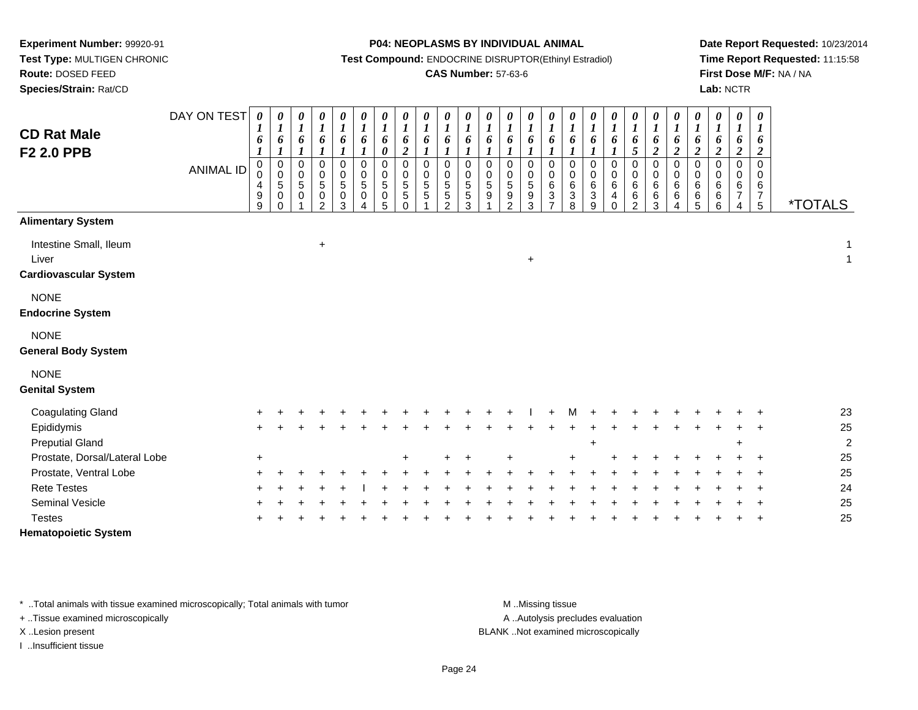# **Species/Strain:** Rat/CD

#### **P04: NEOPLASMS BY INDIVIDUAL ANIMAL**

**Test Compound:** ENDOCRINE DISRUPTOR(Ethinyl Estradiol)

## **CAS Number:** 57-63-6

**Date Report Requested:** 10/23/2014**Time Report Requested:** 11:15:58**First Dose M/F:** NA / NA**Lab:** NCTR

| <b>CD Rat Male</b><br>F <sub>2</sub> 2.0 PPB                    | DAY ON TEST<br><b>ANIMAL ID</b> | 0<br>$\boldsymbol{l}$<br>6<br>$\pmb{0}$<br>$\mathsf 0$<br>4<br>$\boldsymbol{9}$<br>9 | $\pmb{\theta}$<br>$\boldsymbol{l}$<br>6<br>$\pmb{0}$<br>$\mathbf 0$<br>$\sqrt{5}$<br>$\pmb{0}$<br>$\Omega$ | $\boldsymbol{\theta}$<br>$\boldsymbol{l}$<br>6<br>$\boldsymbol{l}$<br>$\mathbf 0$<br>$\mathbf 0$<br>$\overline{5}$<br>$\mathbf 0$ | 0<br>$\boldsymbol{l}$<br>6<br>1<br>$\mathbf 0$<br>0<br>$\sqrt{5}$<br>$\pmb{0}$<br>$\mathfrak{p}$ | $\boldsymbol{\theta}$<br>$\boldsymbol{l}$<br>6<br>$\pmb{0}$<br>$\pmb{0}$<br>$\,$ 5 $\,$<br>$\pmb{0}$<br>3 | $\frac{\boldsymbol{\theta}}{\boldsymbol{I}}$<br>6<br>$\mathbf 0$<br>$\mathbf 0$<br>5<br>$\mathbf 0$ | $\boldsymbol{\theta}$<br>$\boldsymbol{l}$<br>6<br>0<br>0<br>$\begin{array}{c} 0 \\ 5 \end{array}$<br>$\pmb{0}$<br>5 | 0<br>$\boldsymbol{l}$<br>6<br>$\overline{\mathbf{c}}$<br>$\pmb{0}$<br>$\pmb{0}$<br>$\sqrt{5}$<br>5<br>$\Omega$ | $\begin{matrix} 0 \\ 1 \end{matrix}$<br>6<br>$\,0\,$<br>$\mathbf 0$<br>$\sqrt{5}$<br>$\overline{5}$ | $\boldsymbol{\theta}$<br>$\boldsymbol{l}$<br>6<br>$\boldsymbol{l}$<br>$\mathbf 0$<br>0<br>$\sqrt{5}$<br>$\sqrt{5}$<br>$\mathcal{P}$ | 0<br>$\boldsymbol{l}$<br>6<br>$\mathbf{I}$<br>$\mathbf 0$<br>0<br>$\sqrt{5}$<br>$5\,$<br>3 | 0<br>$\boldsymbol{l}$<br>6<br>$\Omega$<br>$\Omega$<br>$\sqrt{5}$<br>9 | 0<br>$\boldsymbol{l}$<br>6<br>0<br>$\pmb{0}$<br>5<br>$\boldsymbol{9}$<br>$\mathfrak{p}$ | 0<br>$\boldsymbol{l}$<br>6<br>0<br>$\pmb{0}$<br>$\sqrt{5}$<br>$\boldsymbol{9}$<br>3 | $\boldsymbol{\theta}$<br>$\boldsymbol{l}$<br>6<br>$\mathbf{I}$<br>$\pmb{0}$<br>$\mathbf 0$<br>$\,6\,$<br>$\mathbf{3}$<br>7 | 0<br>$\boldsymbol{l}$<br>6<br>$\pmb{0}$<br>$\pmb{0}$<br>6<br>$\sqrt{3}$<br>8 | $\boldsymbol{\theta}$<br>$\boldsymbol{l}$<br>6<br>$\boldsymbol{l}$<br>0<br>$\mathbf 0$<br>$\,6$<br>$\mathbf{3}$<br>9 | 0<br>$\boldsymbol{l}$<br>6<br>1<br>$\mathbf 0$<br>0<br>$\,6\,$<br>$\overline{4}$<br>$\Omega$ | 0<br>$\boldsymbol{l}$<br>6<br>5<br>$\mathsf 0$<br>$\mathbf 0$<br>$\,6$<br>$\,6$<br>$\mathfrak{p}$ | 0<br>$\boldsymbol{l}$<br>6<br>$\boldsymbol{2}$<br>0<br>$\mathsf 0$<br>6<br>$\,6\,$<br>3 | 0<br>$\boldsymbol{l}$<br>6<br>$\boldsymbol{2}$<br>0<br>$\pmb{0}$<br>$\,6\,$<br>$\,6\,$<br>4 | 0<br>$\boldsymbol{l}$<br>6<br>$\boldsymbol{2}$<br>$\boldsymbol{0}$<br>$\mathbf 0$<br>$\,6\,$<br>6<br>5 | 0<br>$\boldsymbol{l}$<br>6<br>$\boldsymbol{2}$<br>$\pmb{0}$<br>$\mathbf 0$<br>$\,6$<br>$\,6$<br>6 | 0<br>$\boldsymbol{l}$<br>6<br>$\boldsymbol{2}$<br>$\pmb{0}$<br>0<br>$\,6\,$<br>$\boldsymbol{7}$<br>4 | $\boldsymbol{\theta}$<br>$\boldsymbol{l}$<br>6<br>$\boldsymbol{2}$<br>$\Omega$<br>0<br>6<br>$\overline{7}$<br>$\overline{5}$ | <i><b>*TOTALS</b></i> |
|-----------------------------------------------------------------|---------------------------------|--------------------------------------------------------------------------------------|------------------------------------------------------------------------------------------------------------|-----------------------------------------------------------------------------------------------------------------------------------|--------------------------------------------------------------------------------------------------|-----------------------------------------------------------------------------------------------------------|-----------------------------------------------------------------------------------------------------|---------------------------------------------------------------------------------------------------------------------|----------------------------------------------------------------------------------------------------------------|-----------------------------------------------------------------------------------------------------|-------------------------------------------------------------------------------------------------------------------------------------|--------------------------------------------------------------------------------------------|-----------------------------------------------------------------------|-----------------------------------------------------------------------------------------|-------------------------------------------------------------------------------------|----------------------------------------------------------------------------------------------------------------------------|------------------------------------------------------------------------------|----------------------------------------------------------------------------------------------------------------------|----------------------------------------------------------------------------------------------|---------------------------------------------------------------------------------------------------|-----------------------------------------------------------------------------------------|---------------------------------------------------------------------------------------------|--------------------------------------------------------------------------------------------------------|---------------------------------------------------------------------------------------------------|------------------------------------------------------------------------------------------------------|------------------------------------------------------------------------------------------------------------------------------|-----------------------|
| <b>Alimentary System</b>                                        |                                 |                                                                                      |                                                                                                            |                                                                                                                                   |                                                                                                  |                                                                                                           |                                                                                                     |                                                                                                                     |                                                                                                                |                                                                                                     |                                                                                                                                     |                                                                                            |                                                                       |                                                                                         |                                                                                     |                                                                                                                            |                                                                              |                                                                                                                      |                                                                                              |                                                                                                   |                                                                                         |                                                                                             |                                                                                                        |                                                                                                   |                                                                                                      |                                                                                                                              |                       |
| Intestine Small, Ileum<br>Liver<br><b>Cardiovascular System</b> |                                 |                                                                                      |                                                                                                            |                                                                                                                                   | $\ddot{}$                                                                                        |                                                                                                           |                                                                                                     |                                                                                                                     |                                                                                                                |                                                                                                     |                                                                                                                                     |                                                                                            |                                                                       |                                                                                         | $\ddot{}$                                                                           |                                                                                                                            |                                                                              |                                                                                                                      |                                                                                              |                                                                                                   |                                                                                         |                                                                                             |                                                                                                        |                                                                                                   |                                                                                                      |                                                                                                                              | 1<br>$\mathbf{1}$     |
| <b>NONE</b><br><b>Endocrine System</b>                          |                                 |                                                                                      |                                                                                                            |                                                                                                                                   |                                                                                                  |                                                                                                           |                                                                                                     |                                                                                                                     |                                                                                                                |                                                                                                     |                                                                                                                                     |                                                                                            |                                                                       |                                                                                         |                                                                                     |                                                                                                                            |                                                                              |                                                                                                                      |                                                                                              |                                                                                                   |                                                                                         |                                                                                             |                                                                                                        |                                                                                                   |                                                                                                      |                                                                                                                              |                       |
| <b>NONE</b><br><b>General Body System</b>                       |                                 |                                                                                      |                                                                                                            |                                                                                                                                   |                                                                                                  |                                                                                                           |                                                                                                     |                                                                                                                     |                                                                                                                |                                                                                                     |                                                                                                                                     |                                                                                            |                                                                       |                                                                                         |                                                                                     |                                                                                                                            |                                                                              |                                                                                                                      |                                                                                              |                                                                                                   |                                                                                         |                                                                                             |                                                                                                        |                                                                                                   |                                                                                                      |                                                                                                                              |                       |
| <b>NONE</b><br><b>Genital System</b>                            |                                 |                                                                                      |                                                                                                            |                                                                                                                                   |                                                                                                  |                                                                                                           |                                                                                                     |                                                                                                                     |                                                                                                                |                                                                                                     |                                                                                                                                     |                                                                                            |                                                                       |                                                                                         |                                                                                     |                                                                                                                            |                                                                              |                                                                                                                      |                                                                                              |                                                                                                   |                                                                                         |                                                                                             |                                                                                                        |                                                                                                   |                                                                                                      |                                                                                                                              |                       |
| <b>Coagulating Gland</b>                                        |                                 |                                                                                      |                                                                                                            |                                                                                                                                   |                                                                                                  |                                                                                                           |                                                                                                     |                                                                                                                     |                                                                                                                |                                                                                                     |                                                                                                                                     |                                                                                            |                                                                       |                                                                                         |                                                                                     |                                                                                                                            |                                                                              |                                                                                                                      |                                                                                              |                                                                                                   |                                                                                         |                                                                                             |                                                                                                        |                                                                                                   |                                                                                                      |                                                                                                                              | 23                    |
| Epididymis                                                      |                                 |                                                                                      |                                                                                                            |                                                                                                                                   |                                                                                                  |                                                                                                           |                                                                                                     |                                                                                                                     |                                                                                                                |                                                                                                     |                                                                                                                                     |                                                                                            |                                                                       |                                                                                         |                                                                                     |                                                                                                                            |                                                                              |                                                                                                                      |                                                                                              |                                                                                                   |                                                                                         |                                                                                             |                                                                                                        |                                                                                                   |                                                                                                      |                                                                                                                              | 25                    |
| <b>Preputial Gland</b>                                          |                                 |                                                                                      |                                                                                                            |                                                                                                                                   |                                                                                                  |                                                                                                           |                                                                                                     |                                                                                                                     |                                                                                                                |                                                                                                     |                                                                                                                                     |                                                                                            |                                                                       |                                                                                         |                                                                                     |                                                                                                                            |                                                                              | $\ddot{}$                                                                                                            |                                                                                              |                                                                                                   |                                                                                         |                                                                                             |                                                                                                        |                                                                                                   |                                                                                                      |                                                                                                                              | $\overline{c}$        |
| Prostate, Dorsal/Lateral Lobe                                   |                                 | $\ddot{}$                                                                            |                                                                                                            |                                                                                                                                   |                                                                                                  |                                                                                                           |                                                                                                     |                                                                                                                     |                                                                                                                |                                                                                                     |                                                                                                                                     |                                                                                            |                                                                       |                                                                                         |                                                                                     |                                                                                                                            |                                                                              |                                                                                                                      |                                                                                              |                                                                                                   |                                                                                         |                                                                                             |                                                                                                        |                                                                                                   |                                                                                                      |                                                                                                                              | 25                    |
| Prostate, Ventral Lobe                                          |                                 |                                                                                      |                                                                                                            |                                                                                                                                   |                                                                                                  |                                                                                                           |                                                                                                     |                                                                                                                     |                                                                                                                |                                                                                                     |                                                                                                                                     |                                                                                            |                                                                       |                                                                                         |                                                                                     |                                                                                                                            |                                                                              |                                                                                                                      |                                                                                              |                                                                                                   |                                                                                         |                                                                                             |                                                                                                        |                                                                                                   |                                                                                                      |                                                                                                                              | 25                    |
| <b>Rete Testes</b>                                              |                                 |                                                                                      |                                                                                                            |                                                                                                                                   |                                                                                                  |                                                                                                           |                                                                                                     |                                                                                                                     |                                                                                                                |                                                                                                     |                                                                                                                                     |                                                                                            |                                                                       |                                                                                         |                                                                                     |                                                                                                                            |                                                                              |                                                                                                                      |                                                                                              |                                                                                                   |                                                                                         |                                                                                             |                                                                                                        |                                                                                                   |                                                                                                      |                                                                                                                              | 24                    |
| <b>Seminal Vesicle</b>                                          |                                 |                                                                                      |                                                                                                            |                                                                                                                                   |                                                                                                  |                                                                                                           |                                                                                                     |                                                                                                                     |                                                                                                                |                                                                                                     |                                                                                                                                     |                                                                                            |                                                                       |                                                                                         |                                                                                     |                                                                                                                            |                                                                              |                                                                                                                      |                                                                                              |                                                                                                   |                                                                                         |                                                                                             |                                                                                                        |                                                                                                   |                                                                                                      |                                                                                                                              | 25                    |
| <b>Testes</b>                                                   |                                 |                                                                                      |                                                                                                            |                                                                                                                                   |                                                                                                  |                                                                                                           |                                                                                                     |                                                                                                                     |                                                                                                                |                                                                                                     |                                                                                                                                     |                                                                                            |                                                                       |                                                                                         |                                                                                     |                                                                                                                            |                                                                              |                                                                                                                      |                                                                                              |                                                                                                   |                                                                                         |                                                                                             |                                                                                                        |                                                                                                   |                                                                                                      |                                                                                                                              | 25                    |
| <b>Hematopoietic System</b>                                     |                                 |                                                                                      |                                                                                                            |                                                                                                                                   |                                                                                                  |                                                                                                           |                                                                                                     |                                                                                                                     |                                                                                                                |                                                                                                     |                                                                                                                                     |                                                                                            |                                                                       |                                                                                         |                                                                                     |                                                                                                                            |                                                                              |                                                                                                                      |                                                                                              |                                                                                                   |                                                                                         |                                                                                             |                                                                                                        |                                                                                                   |                                                                                                      |                                                                                                                              |                       |

\* ..Total animals with tissue examined microscopically; Total animals with tumor **M** . Missing tissue M ..Missing tissue

+ ..Tissue examined microscopically

I ..Insufficient tissue

A ..Autolysis precludes evaluation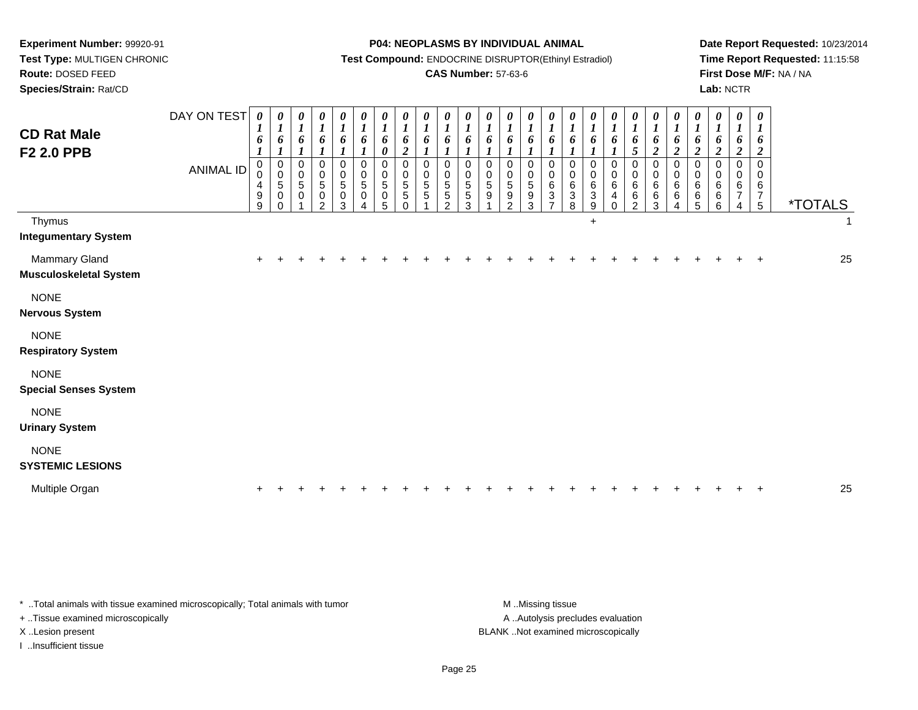**Species/Strain:** Rat/CD

#### **P04: NEOPLASMS BY INDIVIDUAL ANIMAL**

**Test Compound:** ENDOCRINE DISRUPTOR(Ethinyl Estradiol)

### **CAS Number:** 57-63-6

**Date Report Requested:** 10/23/2014**Time Report Requested:** 11:15:58**First Dose M/F:** NA / NA**Lab:** NCTR

| <b>CD Rat Male</b><br>F <sub>2</sub> 2.0 PPB   | DAY ON TEST<br>ANIMAL ID | 0<br>1<br>6<br>$\pmb{0}$<br>$\ddot{\mathbf{0}}$<br>4<br>$\boldsymbol{9}$<br>9 | $\boldsymbol{\theta}$<br>$\boldsymbol{l}$<br>6<br>$\boldsymbol{\mathit{1}}$<br>$\mathbf 0$<br>$\mathbf 0$<br>$\sqrt{5}$<br>$\mathbf 0$<br>$\Omega$ | $\boldsymbol{l}$<br>6<br>$\boldsymbol{l}$<br>$\mathbf 0$<br>0<br>$\mathbf 5$<br>$\pmb{0}$ | $\boldsymbol{\theta}$<br>$\boldsymbol{l}$<br>6<br>$\pmb{0}$<br>$\pmb{0}$<br>$\sqrt{5}$<br>$\pmb{0}$<br>$\mathcal{P}$ | 0<br>$\boldsymbol{l}$<br>6<br>0<br>$\mathbf 0$<br>5<br>$\mathsf{O}\xspace$<br>3 | 0<br>$\boldsymbol{l}$<br>6<br>$\mathbf 0$<br>$\pmb{0}$<br>$\sqrt{5}$<br>$\pmb{0}$<br>4 | 0<br>$\boldsymbol{I}$<br>6<br>$\boldsymbol{\theta}$<br>$\pmb{0}$<br>$\pmb{0}$<br>5<br>$\pmb{0}$<br>5 | 0<br>$\boldsymbol{l}$<br>6<br>$\overline{2}$<br>$\Omega$<br>0<br>$\sqrt{5}$<br>5<br>$\Omega$ | 0<br>$\boldsymbol{l}$<br>6<br>$\boldsymbol{l}$<br>$\Omega$<br>$\mathbf 0$<br>5<br>5 | $\boldsymbol{l}$<br>6<br>$\boldsymbol{l}$<br>$\Omega$<br>0<br>5<br>5<br>$\mathcal{D}$ | $\boldsymbol{\theta}$<br>$\boldsymbol{l}$<br>6<br>$\mathbf 0$<br>$\mathbf 0$<br>$\sqrt{5}$<br>$\sqrt{5}$<br>3 | 0<br>$\boldsymbol{l}$<br>6<br>0<br>$\mathbf 0$<br>5<br>$\boldsymbol{9}$ | 0<br>$\boldsymbol{l}$<br>6<br>$\mathbf 0$<br>$\pmb{0}$<br>$\,$ 5 $\,$<br>9<br>2 | 0<br>$\boldsymbol{l}$<br>6<br>$\mathbf 0$<br>$\pmb{0}$<br>5<br>$\boldsymbol{9}$<br>3 | 0<br>$\boldsymbol{l}$<br>6<br>$\Omega$<br>0<br>$\,6\,$<br>$\sqrt{3}$<br>7 | 0<br>$\boldsymbol{l}$<br>6<br>$\boldsymbol{l}$<br>$\mathbf 0$<br>0<br>6<br>$\ensuremath{\mathsf{3}}$<br>8 | $\boldsymbol{l}$<br>6<br>$\boldsymbol{l}$<br>0<br>0<br>$\,6$<br>3<br>9 | $\boldsymbol{\theta}$<br>$\boldsymbol{l}$<br>6<br>$\mathbf 0$<br>$\pmb{0}$<br>$\,6\,$<br>4<br>$\Omega$ | $\begin{matrix} 0 \ 1 \end{matrix}$<br>6<br>$\overline{5}$<br>0<br>$\pmb{0}$<br>$\,6\,$<br>$\,6\,$<br>2 | 0<br>$\boldsymbol{l}$<br>6<br>$\overline{2}$<br>$\pmb{0}$<br>$\pmb{0}$<br>6<br>6<br>3 | $\boldsymbol{\theta}$<br>$\boldsymbol{l}$<br>6<br>$\overline{2}$<br>$\mathbf 0$<br>$\mathbf 0$<br>$6\phantom{1}6$<br>$\,6$<br>Δ | 0<br>$\boldsymbol{l}$<br>6<br>$\boldsymbol{2}$<br>$\Omega$<br>0<br>$\,6\,$<br>$\,6$<br>5 | 0<br>$\boldsymbol{l}$<br>6<br>$\boldsymbol{2}$<br>$\Omega$<br>0<br>6<br>6<br>6 | 0<br>$\boldsymbol{l}$<br>6<br>$\overline{2}$<br>$\Omega$<br>0<br>6 | $\pmb{\theta}$<br>$\boldsymbol{l}$<br>6<br>$\overline{2}$<br>$\pmb{0}$<br>0<br>$\,6\,$<br>$\overline{7}$<br>$\overline{5}$ | <i><b>*TOTALS</b></i> |              |
|------------------------------------------------|--------------------------|-------------------------------------------------------------------------------|----------------------------------------------------------------------------------------------------------------------------------------------------|-------------------------------------------------------------------------------------------|----------------------------------------------------------------------------------------------------------------------|---------------------------------------------------------------------------------|----------------------------------------------------------------------------------------|------------------------------------------------------------------------------------------------------|----------------------------------------------------------------------------------------------|-------------------------------------------------------------------------------------|---------------------------------------------------------------------------------------|---------------------------------------------------------------------------------------------------------------|-------------------------------------------------------------------------|---------------------------------------------------------------------------------|--------------------------------------------------------------------------------------|---------------------------------------------------------------------------|-----------------------------------------------------------------------------------------------------------|------------------------------------------------------------------------|--------------------------------------------------------------------------------------------------------|---------------------------------------------------------------------------------------------------------|---------------------------------------------------------------------------------------|---------------------------------------------------------------------------------------------------------------------------------|------------------------------------------------------------------------------------------|--------------------------------------------------------------------------------|--------------------------------------------------------------------|----------------------------------------------------------------------------------------------------------------------------|-----------------------|--------------|
| Thymus<br><b>Integumentary System</b>          |                          |                                                                               |                                                                                                                                                    |                                                                                           |                                                                                                                      |                                                                                 |                                                                                        |                                                                                                      |                                                                                              |                                                                                     |                                                                                       |                                                                                                               |                                                                         |                                                                                 |                                                                                      |                                                                           |                                                                                                           | $\ddot{}$                                                              |                                                                                                        |                                                                                                         |                                                                                       |                                                                                                                                 |                                                                                          |                                                                                |                                                                    |                                                                                                                            |                       | $\mathbf{1}$ |
| Mammary Gland<br><b>Musculoskeletal System</b> |                          | $\pm$                                                                         |                                                                                                                                                    |                                                                                           |                                                                                                                      |                                                                                 |                                                                                        |                                                                                                      |                                                                                              |                                                                                     |                                                                                       |                                                                                                               |                                                                         |                                                                                 |                                                                                      |                                                                           |                                                                                                           |                                                                        |                                                                                                        |                                                                                                         |                                                                                       |                                                                                                                                 |                                                                                          |                                                                                |                                                                    |                                                                                                                            |                       | 25           |
| <b>NONE</b><br><b>Nervous System</b>           |                          |                                                                               |                                                                                                                                                    |                                                                                           |                                                                                                                      |                                                                                 |                                                                                        |                                                                                                      |                                                                                              |                                                                                     |                                                                                       |                                                                                                               |                                                                         |                                                                                 |                                                                                      |                                                                           |                                                                                                           |                                                                        |                                                                                                        |                                                                                                         |                                                                                       |                                                                                                                                 |                                                                                          |                                                                                |                                                                    |                                                                                                                            |                       |              |
| <b>NONE</b><br><b>Respiratory System</b>       |                          |                                                                               |                                                                                                                                                    |                                                                                           |                                                                                                                      |                                                                                 |                                                                                        |                                                                                                      |                                                                                              |                                                                                     |                                                                                       |                                                                                                               |                                                                         |                                                                                 |                                                                                      |                                                                           |                                                                                                           |                                                                        |                                                                                                        |                                                                                                         |                                                                                       |                                                                                                                                 |                                                                                          |                                                                                |                                                                    |                                                                                                                            |                       |              |
| <b>NONE</b><br><b>Special Senses System</b>    |                          |                                                                               |                                                                                                                                                    |                                                                                           |                                                                                                                      |                                                                                 |                                                                                        |                                                                                                      |                                                                                              |                                                                                     |                                                                                       |                                                                                                               |                                                                         |                                                                                 |                                                                                      |                                                                           |                                                                                                           |                                                                        |                                                                                                        |                                                                                                         |                                                                                       |                                                                                                                                 |                                                                                          |                                                                                |                                                                    |                                                                                                                            |                       |              |
| <b>NONE</b><br><b>Urinary System</b>           |                          |                                                                               |                                                                                                                                                    |                                                                                           |                                                                                                                      |                                                                                 |                                                                                        |                                                                                                      |                                                                                              |                                                                                     |                                                                                       |                                                                                                               |                                                                         |                                                                                 |                                                                                      |                                                                           |                                                                                                           |                                                                        |                                                                                                        |                                                                                                         |                                                                                       |                                                                                                                                 |                                                                                          |                                                                                |                                                                    |                                                                                                                            |                       |              |
| <b>NONE</b><br><b>SYSTEMIC LESIONS</b>         |                          |                                                                               |                                                                                                                                                    |                                                                                           |                                                                                                                      |                                                                                 |                                                                                        |                                                                                                      |                                                                                              |                                                                                     |                                                                                       |                                                                                                               |                                                                         |                                                                                 |                                                                                      |                                                                           |                                                                                                           |                                                                        |                                                                                                        |                                                                                                         |                                                                                       |                                                                                                                                 |                                                                                          |                                                                                |                                                                    |                                                                                                                            |                       |              |
| Multiple Organ                                 |                          |                                                                               |                                                                                                                                                    |                                                                                           |                                                                                                                      |                                                                                 |                                                                                        |                                                                                                      |                                                                                              |                                                                                     |                                                                                       |                                                                                                               |                                                                         |                                                                                 |                                                                                      |                                                                           |                                                                                                           |                                                                        |                                                                                                        |                                                                                                         |                                                                                       |                                                                                                                                 |                                                                                          |                                                                                |                                                                    |                                                                                                                            |                       | 25           |

\* ..Total animals with tissue examined microscopically; Total animals with tumor **M** . Missing tissue M ..Missing tissue + ..Tissue examined microscopically

I ..Insufficient tissue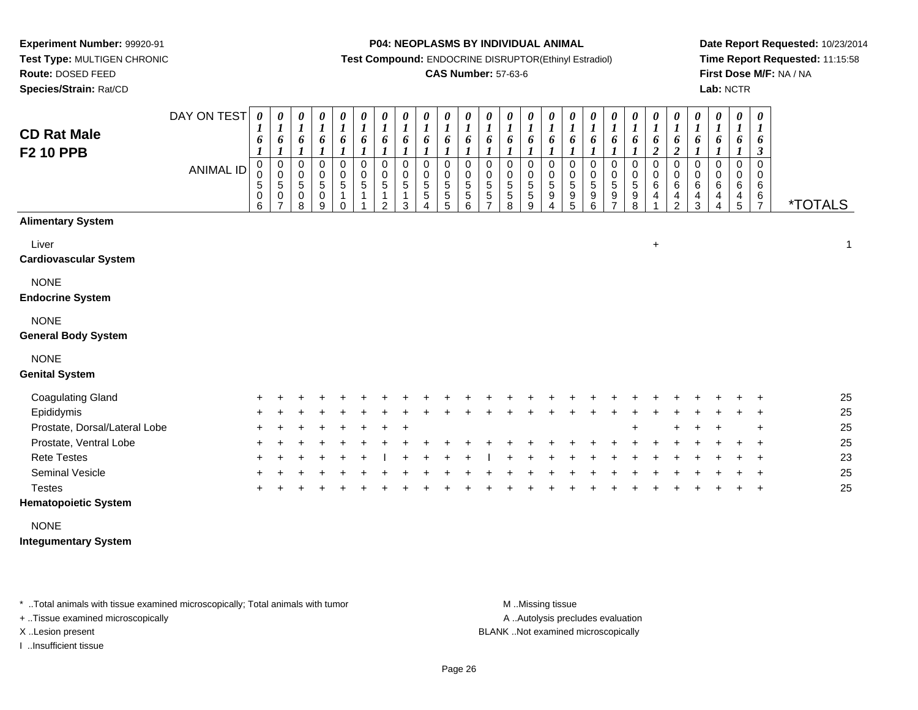**Species/Strain:** Rat/CD

#### **P04: NEOPLASMS BY INDIVIDUAL ANIMAL**

**Test Compound:** ENDOCRINE DISRUPTOR(Ethinyl Estradiol)

### **CAS Number:** 57-63-6

**Date Report Requested:** 10/23/2014**Time Report Requested:** 11:15:58**First Dose M/F:** NA / NA**Lab:** NCTR

| <b>CD Rat Male</b><br><b>F2 10 PPB</b>    | DAY ON TEST<br><b>ANIMAL ID</b> | $\theta$<br>6<br>$\boldsymbol{l}$<br>0<br>0<br>5<br>0<br>6 | 0<br>$\boldsymbol{l}$<br>6<br>$\boldsymbol{l}$<br>0<br>$\pmb{0}$<br>$\mathbf 5$<br>$\mathbf 0$<br>$\overline{7}$ | 0<br>1<br>6<br>$\boldsymbol{l}$<br>$\pmb{0}$<br>$\pmb{0}$<br>$\,$ 5 $\,$<br>$\pmb{0}$<br>8 | 0<br>$\boldsymbol{l}$<br>6<br>$\pmb{0}$<br>$\pmb{0}$<br>5<br>0<br>9 | 0<br>$\boldsymbol{l}$<br>6<br>$\pmb{0}$<br>$\pmb{0}$<br>$\overline{5}$<br>$\mathbf{1}$<br>$\Omega$ | $\boldsymbol{\theta}$<br>$\boldsymbol{l}$<br>6<br>$\mathbf 0$<br>$\pmb{0}$<br>$\overline{5}$<br>1 | 0<br>$\boldsymbol{l}$<br>6<br>0<br>0<br>5<br>1<br>$\mathfrak{p}$ | 0<br>$\boldsymbol{l}$<br>6<br>0<br>$\mathbf 0$<br>$\sqrt{5}$<br>1<br>3 | 0<br>$\boldsymbol{l}$<br>6<br>1<br>0<br>0<br>5<br>5 | $\boldsymbol{\theta}$<br>6<br>0<br>$\pmb{0}$<br>$\overline{5}$<br>$\,$ 5 $\,$<br>5 | 0<br>$\boldsymbol{l}$<br>6<br>0<br>$\pmb{0}$<br>5<br>5<br>6 | 0<br>$\boldsymbol{l}$<br>6<br>0<br>$\pmb{0}$<br>$\mathbf 5$<br>$\mathbf 5$<br>$\overline{7}$ | 0<br>$\boldsymbol{l}$<br>6<br>0<br>$\pmb{0}$<br>$\sqrt{5}$<br>$\mathbf 5$<br>8 | 0<br>$\boldsymbol{l}$<br>6<br>0<br>$\,0\,$<br>$\overline{5}$<br>$\frac{5}{9}$ | 0<br>$\boldsymbol{l}$<br>6<br>0<br>$\pmb{0}$<br>$\,$ 5 $\,$<br>$\boldsymbol{9}$<br>$\boldsymbol{\Lambda}$ | $\boldsymbol{l}$<br>6<br>$\boldsymbol{l}$<br>$\mathbf 0$<br>0<br>5<br>9<br>5 | 0<br>6<br>$\boldsymbol{l}$<br>0<br>$\pmb{0}$<br>$\sqrt{5}$<br>9<br>6 | 0<br>$\boldsymbol{l}$<br>6<br>$\boldsymbol{l}$<br>0<br>$\mathbf 0$<br>$\overline{5}$<br>$\mathsf g$<br>$\overline{ }$ | $\boldsymbol{\theta}$<br>$\boldsymbol{l}$<br>6<br>$\boldsymbol{l}$<br>0<br>$\pmb{0}$<br>$\overline{5}$<br>$_{8}^{\rm 9}$ | 0<br>$\boldsymbol{l}$<br>6<br>$\boldsymbol{2}$<br>$\pmb{0}$<br>$\pmb{0}$<br>6<br>4 | 0<br>$\boldsymbol{l}$<br>6<br>$\boldsymbol{2}$<br>$\,0\,$<br>$\,0\,$<br>6<br>$\frac{4}{2}$ | $\boldsymbol{\theta}$<br>$\boldsymbol{l}$<br>6<br>0<br>0<br>$\,6\,$<br>$\frac{4}{3}$ | 0<br>$\boldsymbol{l}$<br>6<br>0<br>0<br>6<br>4<br>$\Delta$ | 0<br>1<br>6<br>0<br>0<br>6<br>4<br>5 | 0<br>$\boldsymbol{l}$<br>6<br>$\boldsymbol{\beta}$<br>$\mathbf 0$<br>0<br>6<br>$\frac{6}{7}$ | <i><b>*TOTALS</b></i> |
|-------------------------------------------|---------------------------------|------------------------------------------------------------|------------------------------------------------------------------------------------------------------------------|--------------------------------------------------------------------------------------------|---------------------------------------------------------------------|----------------------------------------------------------------------------------------------------|---------------------------------------------------------------------------------------------------|------------------------------------------------------------------|------------------------------------------------------------------------|-----------------------------------------------------|------------------------------------------------------------------------------------|-------------------------------------------------------------|----------------------------------------------------------------------------------------------|--------------------------------------------------------------------------------|-------------------------------------------------------------------------------|-----------------------------------------------------------------------------------------------------------|------------------------------------------------------------------------------|----------------------------------------------------------------------|-----------------------------------------------------------------------------------------------------------------------|--------------------------------------------------------------------------------------------------------------------------|------------------------------------------------------------------------------------|--------------------------------------------------------------------------------------------|--------------------------------------------------------------------------------------|------------------------------------------------------------|--------------------------------------|----------------------------------------------------------------------------------------------|-----------------------|
| <b>Alimentary System</b>                  |                                 |                                                            |                                                                                                                  |                                                                                            |                                                                     |                                                                                                    |                                                                                                   |                                                                  |                                                                        |                                                     |                                                                                    |                                                             |                                                                                              |                                                                                |                                                                               |                                                                                                           |                                                                              |                                                                      |                                                                                                                       |                                                                                                                          |                                                                                    |                                                                                            |                                                                                      |                                                            |                                      |                                                                                              |                       |
| Liver<br><b>Cardiovascular System</b>     |                                 |                                                            |                                                                                                                  |                                                                                            |                                                                     |                                                                                                    |                                                                                                   |                                                                  |                                                                        |                                                     |                                                                                    |                                                             |                                                                                              |                                                                                |                                                                               |                                                                                                           |                                                                              |                                                                      |                                                                                                                       |                                                                                                                          | $\ddot{}$                                                                          |                                                                                            |                                                                                      |                                                            |                                      |                                                                                              | $\mathbf{1}$          |
| <b>NONE</b><br><b>Endocrine System</b>    |                                 |                                                            |                                                                                                                  |                                                                                            |                                                                     |                                                                                                    |                                                                                                   |                                                                  |                                                                        |                                                     |                                                                                    |                                                             |                                                                                              |                                                                                |                                                                               |                                                                                                           |                                                                              |                                                                      |                                                                                                                       |                                                                                                                          |                                                                                    |                                                                                            |                                                                                      |                                                            |                                      |                                                                                              |                       |
| <b>NONE</b><br><b>General Body System</b> |                                 |                                                            |                                                                                                                  |                                                                                            |                                                                     |                                                                                                    |                                                                                                   |                                                                  |                                                                        |                                                     |                                                                                    |                                                             |                                                                                              |                                                                                |                                                                               |                                                                                                           |                                                                              |                                                                      |                                                                                                                       |                                                                                                                          |                                                                                    |                                                                                            |                                                                                      |                                                            |                                      |                                                                                              |                       |
| <b>NONE</b><br><b>Genital System</b>      |                                 |                                                            |                                                                                                                  |                                                                                            |                                                                     |                                                                                                    |                                                                                                   |                                                                  |                                                                        |                                                     |                                                                                    |                                                             |                                                                                              |                                                                                |                                                                               |                                                                                                           |                                                                              |                                                                      |                                                                                                                       |                                                                                                                          |                                                                                    |                                                                                            |                                                                                      |                                                            |                                      |                                                                                              |                       |
| <b>Coagulating Gland</b>                  |                                 |                                                            |                                                                                                                  |                                                                                            |                                                                     |                                                                                                    |                                                                                                   |                                                                  |                                                                        |                                                     |                                                                                    |                                                             |                                                                                              |                                                                                |                                                                               |                                                                                                           |                                                                              |                                                                      |                                                                                                                       |                                                                                                                          |                                                                                    |                                                                                            |                                                                                      |                                                            |                                      |                                                                                              | 25                    |
| Epididymis                                |                                 |                                                            |                                                                                                                  |                                                                                            |                                                                     |                                                                                                    |                                                                                                   |                                                                  |                                                                        |                                                     |                                                                                    |                                                             |                                                                                              |                                                                                |                                                                               |                                                                                                           |                                                                              |                                                                      |                                                                                                                       |                                                                                                                          |                                                                                    |                                                                                            |                                                                                      |                                                            |                                      |                                                                                              | 25                    |
| Prostate, Dorsal/Lateral Lobe             |                                 |                                                            |                                                                                                                  |                                                                                            |                                                                     |                                                                                                    |                                                                                                   |                                                                  |                                                                        |                                                     |                                                                                    |                                                             |                                                                                              |                                                                                |                                                                               |                                                                                                           |                                                                              |                                                                      |                                                                                                                       |                                                                                                                          |                                                                                    |                                                                                            |                                                                                      |                                                            |                                      | $\ddot{}$                                                                                    | 25                    |
| Prostate, Ventral Lobe                    |                                 |                                                            |                                                                                                                  |                                                                                            |                                                                     |                                                                                                    |                                                                                                   |                                                                  |                                                                        |                                                     |                                                                                    |                                                             |                                                                                              |                                                                                |                                                                               |                                                                                                           |                                                                              |                                                                      |                                                                                                                       |                                                                                                                          |                                                                                    |                                                                                            |                                                                                      |                                                            |                                      |                                                                                              | 25                    |
| <b>Rete Testes</b>                        |                                 |                                                            |                                                                                                                  |                                                                                            |                                                                     |                                                                                                    |                                                                                                   |                                                                  |                                                                        |                                                     |                                                                                    |                                                             |                                                                                              |                                                                                |                                                                               |                                                                                                           |                                                                              |                                                                      |                                                                                                                       |                                                                                                                          |                                                                                    |                                                                                            |                                                                                      |                                                            |                                      |                                                                                              | 23                    |
| <b>Seminal Vesicle</b>                    |                                 |                                                            |                                                                                                                  |                                                                                            |                                                                     |                                                                                                    |                                                                                                   |                                                                  |                                                                        |                                                     |                                                                                    |                                                             |                                                                                              |                                                                                |                                                                               |                                                                                                           |                                                                              |                                                                      |                                                                                                                       |                                                                                                                          |                                                                                    |                                                                                            |                                                                                      |                                                            |                                      |                                                                                              | 25                    |
| <b>Testes</b>                             |                                 |                                                            |                                                                                                                  |                                                                                            |                                                                     |                                                                                                    |                                                                                                   |                                                                  |                                                                        |                                                     |                                                                                    |                                                             |                                                                                              |                                                                                |                                                                               |                                                                                                           |                                                                              |                                                                      |                                                                                                                       |                                                                                                                          |                                                                                    |                                                                                            |                                                                                      |                                                            |                                      | $\mathbf +$                                                                                  | 25                    |
| <b>Hematopoietic System</b>               |                                 |                                                            |                                                                                                                  |                                                                                            |                                                                     |                                                                                                    |                                                                                                   |                                                                  |                                                                        |                                                     |                                                                                    |                                                             |                                                                                              |                                                                                |                                                                               |                                                                                                           |                                                                              |                                                                      |                                                                                                                       |                                                                                                                          |                                                                                    |                                                                                            |                                                                                      |                                                            |                                      |                                                                                              |                       |

# NONE

**Integumentary System**

\* ..Total animals with tissue examined microscopically; Total animals with tumor **M** . Missing tissue M ..Missing tissue

+ ..Tissue examined microscopically

I ..Insufficient tissue

A ..Autolysis precludes evaluation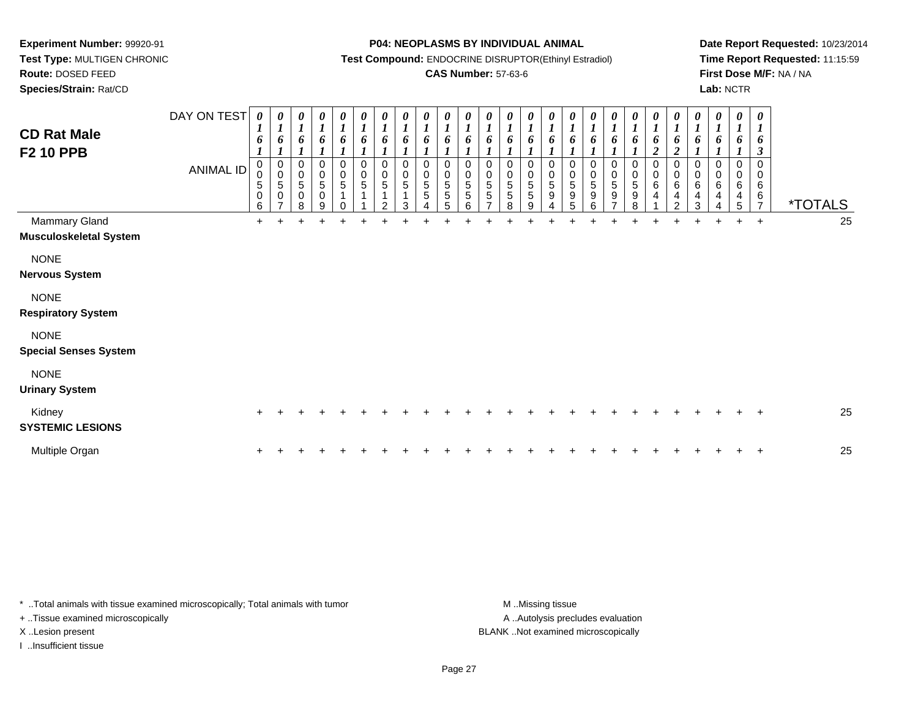**Species/Strain:** Rat/CD

#### **P04: NEOPLASMS BY INDIVIDUAL ANIMAL**

**Test Compound:** ENDOCRINE DISRUPTOR(Ethinyl Estradiol)

## **CAS Number:** 57-63-6

**Date Report Requested:** 10/23/2014**Time Report Requested:** 11:15:59**First Dose M/F:** NA / NA**Lab:** NCTR

| <b>CD Rat Male</b><br><b>F2 10 PPB</b>         | DAY ON TEST<br><b>ANIMAL ID</b> | 0<br>$\overline{I}$<br>6<br>0<br>0<br>$\mathbf 5$<br>$\pmb{0}$<br>6 | 1<br>6<br>0<br>$\pmb{0}$<br>5<br>0 | 0<br>1<br>6<br>0<br>$\pmb{0}$<br>$\sqrt{5}$<br>0<br>8 | 0<br>$\boldsymbol{l}$<br>6<br>0<br>$\pmb{0}$<br>$\sqrt{5}$<br>$\pmb{0}$<br>9 | 0<br>$\boldsymbol{l}$<br>6<br>0<br>$\ddot{\mathbf{0}}$<br>$\sqrt{5}$<br>1 | 0<br>$\boldsymbol{l}$<br>6<br>$\boldsymbol{0}$<br>$\overline{0}$<br>$\,$ 5 $\,$<br>1 | 0<br>$\boldsymbol{l}$<br>6<br>$\pmb{0}$<br>$\overline{0}$<br>$\,$ 5 $\,$<br>$\mathfrak{p}$ | 0<br>6<br>0<br>0<br>5<br>3 | $\frac{\theta}{I}$<br>6<br>0<br>$\pmb{0}$<br>$\sqrt{5}$<br>$\sqrt{5}$ | $\frac{\theta}{I}$<br>6<br>0<br>$\pmb{0}$<br>$\overline{5}$<br>$\sqrt{5}$<br>5 | $\begin{matrix} 0 \\ 1 \end{matrix}$<br>6<br>0<br>0<br>5<br>5<br>6 | $\frac{\theta}{I}$<br>6<br>0<br>$\frac{0}{5}$<br>$\mathbf 5$<br>$\rightarrow$ | 0<br>$\boldsymbol{l}$<br>6<br>0<br>$\begin{array}{c} 0 \\ 5 \\ 5 \end{array}$<br>8 | $\boldsymbol{\theta}$<br>6<br>0<br>$\pmb{0}$<br>5<br>5<br>g | 0<br>6<br>0<br>$\pmb{0}$<br>5<br>9 | 0<br>$\boldsymbol{l}$<br>6<br>0<br>$\pmb{0}$<br>$\mathbf 5$<br>$\boldsymbol{9}$<br>5 | 0<br>1<br>6<br>0<br>$\pmb{0}$<br>5<br>$\boldsymbol{9}$<br>6 | 0<br>6<br>0<br>$\pmb{0}$<br>$\sqrt{5}$<br>$\boldsymbol{9}$<br>⇁ | 0<br>6<br>0<br>$\pmb{0}$<br>5<br>$\boldsymbol{9}$<br>8 | 0<br>1<br>6<br>$\overline{c}$<br>0<br>$\pmb{0}$<br>$\,6\,$<br>4 | $\boldsymbol{\theta}$<br>$\boldsymbol{l}$<br>6<br>$\boldsymbol{2}$<br>0<br>$\pmb{0}$<br>$\,6$<br>4<br>$\mathfrak{p}$ | 0<br>$\boldsymbol{l}$<br>6<br>0<br>$\pmb{0}$<br>$\,6\,$<br>$\overline{4}$<br>3 | 0<br>6<br>0<br>$\mathbf 0$<br>6<br>4 | $\pmb{\theta}$<br>$\boldsymbol{l}$<br>6<br>0<br>0<br>$\,6$<br>$\overline{4}$<br>5 | $\boldsymbol{\theta}$<br>$\boldsymbol{l}$<br>6<br>$\boldsymbol{\beta}$<br>$\mathbf 0$<br>$\mathbf 0$<br>6<br>6<br>$\overline{7}$ | <i><b>*TOTALS</b></i> |
|------------------------------------------------|---------------------------------|---------------------------------------------------------------------|------------------------------------|-------------------------------------------------------|------------------------------------------------------------------------------|---------------------------------------------------------------------------|--------------------------------------------------------------------------------------|--------------------------------------------------------------------------------------------|----------------------------|-----------------------------------------------------------------------|--------------------------------------------------------------------------------|--------------------------------------------------------------------|-------------------------------------------------------------------------------|------------------------------------------------------------------------------------|-------------------------------------------------------------|------------------------------------|--------------------------------------------------------------------------------------|-------------------------------------------------------------|-----------------------------------------------------------------|--------------------------------------------------------|-----------------------------------------------------------------|----------------------------------------------------------------------------------------------------------------------|--------------------------------------------------------------------------------|--------------------------------------|-----------------------------------------------------------------------------------|----------------------------------------------------------------------------------------------------------------------------------|-----------------------|
| Mammary Gland<br><b>Musculoskeletal System</b> |                                 | $\ddot{}$                                                           |                                    |                                                       |                                                                              |                                                                           |                                                                                      |                                                                                            |                            |                                                                       |                                                                                |                                                                    |                                                                               |                                                                                    |                                                             |                                    |                                                                                      |                                                             |                                                                 |                                                        |                                                                 |                                                                                                                      |                                                                                |                                      | $+$                                                                               | $+$                                                                                                                              | 25                    |
| <b>NONE</b><br><b>Nervous System</b>           |                                 |                                                                     |                                    |                                                       |                                                                              |                                                                           |                                                                                      |                                                                                            |                            |                                                                       |                                                                                |                                                                    |                                                                               |                                                                                    |                                                             |                                    |                                                                                      |                                                             |                                                                 |                                                        |                                                                 |                                                                                                                      |                                                                                |                                      |                                                                                   |                                                                                                                                  |                       |
| <b>NONE</b><br><b>Respiratory System</b>       |                                 |                                                                     |                                    |                                                       |                                                                              |                                                                           |                                                                                      |                                                                                            |                            |                                                                       |                                                                                |                                                                    |                                                                               |                                                                                    |                                                             |                                    |                                                                                      |                                                             |                                                                 |                                                        |                                                                 |                                                                                                                      |                                                                                |                                      |                                                                                   |                                                                                                                                  |                       |
| <b>NONE</b><br><b>Special Senses System</b>    |                                 |                                                                     |                                    |                                                       |                                                                              |                                                                           |                                                                                      |                                                                                            |                            |                                                                       |                                                                                |                                                                    |                                                                               |                                                                                    |                                                             |                                    |                                                                                      |                                                             |                                                                 |                                                        |                                                                 |                                                                                                                      |                                                                                |                                      |                                                                                   |                                                                                                                                  |                       |
| <b>NONE</b><br><b>Urinary System</b>           |                                 |                                                                     |                                    |                                                       |                                                                              |                                                                           |                                                                                      |                                                                                            |                            |                                                                       |                                                                                |                                                                    |                                                                               |                                                                                    |                                                             |                                    |                                                                                      |                                                             |                                                                 |                                                        |                                                                 |                                                                                                                      |                                                                                |                                      |                                                                                   |                                                                                                                                  |                       |
| Kidney<br><b>SYSTEMIC LESIONS</b>              |                                 | $\pm$                                                               |                                    |                                                       |                                                                              |                                                                           |                                                                                      |                                                                                            |                            |                                                                       |                                                                                |                                                                    |                                                                               |                                                                                    |                                                             |                                    |                                                                                      |                                                             |                                                                 |                                                        |                                                                 |                                                                                                                      |                                                                                |                                      |                                                                                   |                                                                                                                                  | 25                    |
| Multiple Organ                                 |                                 | $\ddot{}$                                                           |                                    |                                                       |                                                                              |                                                                           |                                                                                      |                                                                                            |                            |                                                                       |                                                                                |                                                                    |                                                                               |                                                                                    |                                                             |                                    |                                                                                      |                                                             |                                                                 |                                                        |                                                                 |                                                                                                                      |                                                                                |                                      |                                                                                   |                                                                                                                                  | 25                    |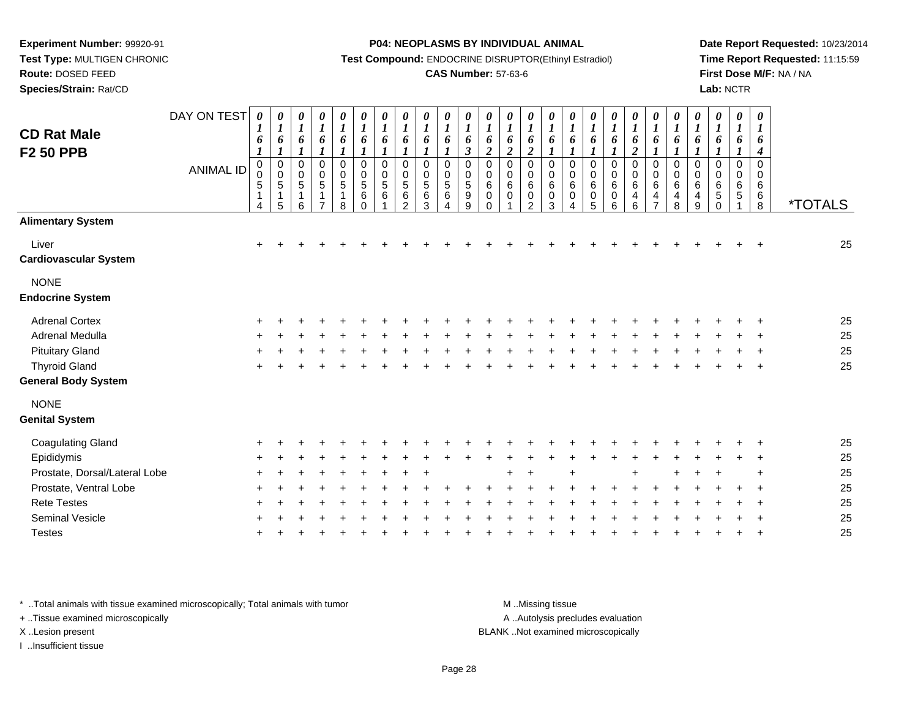**Test Type:** MULTIGEN CHRONIC**Route:** DOSED FEED

**Species/Strain:** Rat/CD

#### **P04: NEOPLASMS BY INDIVIDUAL ANIMAL**

**Test Compound:** ENDOCRINE DISRUPTOR(Ethinyl Estradiol)

## **CAS Number:** 57-63-6

**Date Report Requested:** 10/23/2014**Time Report Requested:** 11:15:59**First Dose M/F:** NA / NA**Lab:** NCTR

| <b>Alimentary System</b><br>Liver<br>$\ddot{}$<br><b>Cardiovascular System</b><br><b>NONE</b><br><b>Endocrine System</b><br><b>Adrenal Cortex</b><br>$\pm$<br><b>Adrenal Medulla</b><br><b>Pituitary Gland</b><br><b>Thyroid Gland</b><br><b>General Body System</b><br><b>NONE</b><br><b>Genital System</b><br><b>Coagulating Gland</b><br>Epididymis<br>Prostate, Dorsal/Lateral Lobe<br>Prostate, Ventral Lobe<br><b>Rete Testes</b><br><b>Seminal Vesicle</b> | 0<br>$\pmb{\theta}$<br>$\pmb{\theta}$<br>$\boldsymbol{\theta}$<br>$\pmb{\theta}$<br>0<br>0<br>0<br>$\boldsymbol{l}$<br>$\boldsymbol{l}$<br>1<br>$\boldsymbol{l}$<br>$\boldsymbol{l}$<br>$\boldsymbol{l}$<br>$\boldsymbol{l}$<br>$\boldsymbol{l}$<br>1<br>6<br>6<br>6<br>6<br>6<br>6<br>6<br>6<br>6<br>$\boldsymbol{2}$<br>1<br>$\boldsymbol{l}$<br>$\boldsymbol{I}$<br>1<br>1<br>1<br>$\boldsymbol{l}$<br>$\boldsymbol{4}$<br>$\pmb{0}$<br>$\mathbf 0$<br>$\mathbf 0$<br>0<br>0<br>$\mathbf 0$<br>$\mathbf 0$<br>0<br>0<br>$\mathbf 0$<br>$\pmb{0}$<br>0<br>0<br>0<br>0<br>0<br>$\Omega$<br>0<br>$\,6\,$<br>6<br>$\,6$<br>6<br>6<br>6<br>6<br>6<br>6<br>5<br>$\mathbf 0$<br>5<br>6<br>0<br>4<br>4<br>4<br>4<br><i><b>*TOTALS</b></i><br>$\overline{7}$<br>5<br>8<br>9<br>6<br>6<br>$\Omega$<br>8 | 0<br>0<br>1<br>$\boldsymbol{l}$<br>6<br>6<br>$\mathbf 0$<br>0<br>0<br>0<br>$\,6\,$<br>$\,6\,$<br>$\pmb{0}$<br>$\mathbf 0$<br>3<br>4 | 0<br>$\boldsymbol{l}$<br>6<br>$\boldsymbol{2}$<br>$\mathbf 0$<br>0<br>$\,6$<br>$\mathbf 0$<br>$\overline{2}$ | 0<br>$\boldsymbol{l}$<br>6<br>$\boldsymbol{2}$<br>0<br>0<br>$\,6\,$<br>0 | $\boldsymbol{\theta}$<br>$\boldsymbol{l}$<br>6<br>$\overline{2}$<br>$\mathsf{O}$<br>0<br>6<br>$\pmb{0}$<br>$\Omega$ | 0<br>$\boldsymbol{l}$<br>6<br>$\boldsymbol{\beta}$<br>$\pmb{0}$<br>$\begin{array}{c} 0 \\ 5 \\ 9 \end{array}$<br>9 | $\boldsymbol{\theta}$<br>$\boldsymbol{l}$<br>6<br>0<br>0<br>$\overline{5}$<br>$\,6$<br>Δ | $\pmb{\theta}$<br>$\boldsymbol{l}$<br>6<br>0<br>0<br>$\sqrt{5}$<br>6<br>3 | $\boldsymbol{\theta}$<br>$\boldsymbol{l}$<br>6<br>0<br>0<br>5<br>$\,6$<br>2 | $\pmb{\theta}$<br>$\boldsymbol{l}$<br>6<br>$\mathbf{I}$<br>$\,0\,$<br>$\frac{0}{5}$<br>$\,6\,$ | $\pmb{\theta}$<br>$\boldsymbol{l}$<br>6<br>$\boldsymbol{l}$<br>$\pmb{0}$<br>$\pmb{0}$<br>$\sqrt{5}$<br>$\,6\,$<br>$\mathbf 0$ | $\pmb{\theta}$<br>$\boldsymbol{l}$<br>6<br>$\boldsymbol{l}$<br>$\pmb{0}$<br>$\frac{0}{5}$<br>1<br>8 | $\boldsymbol{\theta}$<br>$\boldsymbol{l}$<br>6<br>$\boldsymbol{l}$<br>$\boldsymbol{0}$<br>$\pmb{0}$<br>$\overline{5}$<br>$\mathbf{1}$<br>$\overline{7}$ | $\pmb{\theta}$<br>$\boldsymbol{l}$<br>6<br>$\boldsymbol{l}$<br>$\begin{smallmatrix}0\0\0\5\end{smallmatrix}$<br>$\mathbf{1}$<br>6 | 0<br>$\boldsymbol{l}$<br>6<br>$\boldsymbol{l}$<br>$\pmb{0}$<br>$\overline{0}$<br>5<br>$\mathbf{1}$<br>5 | $\pmb{\theta}$<br>6<br>$\boldsymbol{l}$<br>0<br>0<br>$\overline{5}$<br>4 | DAY ON TEST<br><b>ANIMAL ID</b> | <b>CD Rat Male</b><br><b>F2 50 PPB</b> |
|-------------------------------------------------------------------------------------------------------------------------------------------------------------------------------------------------------------------------------------------------------------------------------------------------------------------------------------------------------------------------------------------------------------------------------------------------------------------|--------------------------------------------------------------------------------------------------------------------------------------------------------------------------------------------------------------------------------------------------------------------------------------------------------------------------------------------------------------------------------------------------------------------------------------------------------------------------------------------------------------------------------------------------------------------------------------------------------------------------------------------------------------------------------------------------------------------------------------------------------------------------------------------------|-------------------------------------------------------------------------------------------------------------------------------------|--------------------------------------------------------------------------------------------------------------|--------------------------------------------------------------------------|---------------------------------------------------------------------------------------------------------------------|--------------------------------------------------------------------------------------------------------------------|------------------------------------------------------------------------------------------|---------------------------------------------------------------------------|-----------------------------------------------------------------------------|------------------------------------------------------------------------------------------------|-------------------------------------------------------------------------------------------------------------------------------|-----------------------------------------------------------------------------------------------------|---------------------------------------------------------------------------------------------------------------------------------------------------------|-----------------------------------------------------------------------------------------------------------------------------------|---------------------------------------------------------------------------------------------------------|--------------------------------------------------------------------------|---------------------------------|----------------------------------------|
|                                                                                                                                                                                                                                                                                                                                                                                                                                                                   |                                                                                                                                                                                                                                                                                                                                                                                                                                                                                                                                                                                                                                                                                                                                                                                                  |                                                                                                                                     |                                                                                                              |                                                                          |                                                                                                                     |                                                                                                                    |                                                                                          |                                                                           |                                                                             |                                                                                                |                                                                                                                               |                                                                                                     |                                                                                                                                                         |                                                                                                                                   |                                                                                                         |                                                                          |                                 |                                        |
|                                                                                                                                                                                                                                                                                                                                                                                                                                                                   | 25                                                                                                                                                                                                                                                                                                                                                                                                                                                                                                                                                                                                                                                                                                                                                                                               |                                                                                                                                     |                                                                                                              |                                                                          |                                                                                                                     |                                                                                                                    |                                                                                          |                                                                           |                                                                             |                                                                                                |                                                                                                                               |                                                                                                     |                                                                                                                                                         |                                                                                                                                   |                                                                                                         |                                                                          |                                 |                                        |
|                                                                                                                                                                                                                                                                                                                                                                                                                                                                   |                                                                                                                                                                                                                                                                                                                                                                                                                                                                                                                                                                                                                                                                                                                                                                                                  |                                                                                                                                     |                                                                                                              |                                                                          |                                                                                                                     |                                                                                                                    |                                                                                          |                                                                           |                                                                             |                                                                                                |                                                                                                                               |                                                                                                     |                                                                                                                                                         |                                                                                                                                   |                                                                                                         |                                                                          |                                 |                                        |
|                                                                                                                                                                                                                                                                                                                                                                                                                                                                   |                                                                                                                                                                                                                                                                                                                                                                                                                                                                                                                                                                                                                                                                                                                                                                                                  |                                                                                                                                     |                                                                                                              |                                                                          |                                                                                                                     |                                                                                                                    |                                                                                          |                                                                           |                                                                             |                                                                                                |                                                                                                                               |                                                                                                     |                                                                                                                                                         |                                                                                                                                   |                                                                                                         |                                                                          |                                 |                                        |
|                                                                                                                                                                                                                                                                                                                                                                                                                                                                   | 25                                                                                                                                                                                                                                                                                                                                                                                                                                                                                                                                                                                                                                                                                                                                                                                               |                                                                                                                                     |                                                                                                              |                                                                          |                                                                                                                     |                                                                                                                    |                                                                                          |                                                                           |                                                                             |                                                                                                |                                                                                                                               |                                                                                                     |                                                                                                                                                         |                                                                                                                                   |                                                                                                         |                                                                          |                                 |                                        |
|                                                                                                                                                                                                                                                                                                                                                                                                                                                                   | 25<br>25                                                                                                                                                                                                                                                                                                                                                                                                                                                                                                                                                                                                                                                                                                                                                                                         |                                                                                                                                     |                                                                                                              |                                                                          |                                                                                                                     |                                                                                                                    |                                                                                          |                                                                           |                                                                             |                                                                                                |                                                                                                                               |                                                                                                     |                                                                                                                                                         |                                                                                                                                   |                                                                                                         |                                                                          |                                 |                                        |
|                                                                                                                                                                                                                                                                                                                                                                                                                                                                   | 25                                                                                                                                                                                                                                                                                                                                                                                                                                                                                                                                                                                                                                                                                                                                                                                               |                                                                                                                                     |                                                                                                              |                                                                          |                                                                                                                     |                                                                                                                    |                                                                                          |                                                                           |                                                                             |                                                                                                |                                                                                                                               |                                                                                                     |                                                                                                                                                         |                                                                                                                                   |                                                                                                         |                                                                          |                                 |                                        |
|                                                                                                                                                                                                                                                                                                                                                                                                                                                                   |                                                                                                                                                                                                                                                                                                                                                                                                                                                                                                                                                                                                                                                                                                                                                                                                  |                                                                                                                                     |                                                                                                              |                                                                          |                                                                                                                     |                                                                                                                    |                                                                                          |                                                                           |                                                                             |                                                                                                |                                                                                                                               |                                                                                                     |                                                                                                                                                         |                                                                                                                                   |                                                                                                         |                                                                          |                                 |                                        |
|                                                                                                                                                                                                                                                                                                                                                                                                                                                                   |                                                                                                                                                                                                                                                                                                                                                                                                                                                                                                                                                                                                                                                                                                                                                                                                  |                                                                                                                                     |                                                                                                              |                                                                          |                                                                                                                     |                                                                                                                    |                                                                                          |                                                                           |                                                                             |                                                                                                |                                                                                                                               |                                                                                                     |                                                                                                                                                         |                                                                                                                                   |                                                                                                         |                                                                          |                                 |                                        |
|                                                                                                                                                                                                                                                                                                                                                                                                                                                                   | 25                                                                                                                                                                                                                                                                                                                                                                                                                                                                                                                                                                                                                                                                                                                                                                                               |                                                                                                                                     |                                                                                                              |                                                                          |                                                                                                                     |                                                                                                                    |                                                                                          |                                                                           |                                                                             |                                                                                                |                                                                                                                               |                                                                                                     |                                                                                                                                                         |                                                                                                                                   |                                                                                                         |                                                                          |                                 |                                        |
|                                                                                                                                                                                                                                                                                                                                                                                                                                                                   | 25                                                                                                                                                                                                                                                                                                                                                                                                                                                                                                                                                                                                                                                                                                                                                                                               |                                                                                                                                     |                                                                                                              |                                                                          |                                                                                                                     |                                                                                                                    |                                                                                          |                                                                           |                                                                             |                                                                                                |                                                                                                                               |                                                                                                     |                                                                                                                                                         |                                                                                                                                   |                                                                                                         |                                                                          |                                 |                                        |
|                                                                                                                                                                                                                                                                                                                                                                                                                                                                   | 25                                                                                                                                                                                                                                                                                                                                                                                                                                                                                                                                                                                                                                                                                                                                                                                               |                                                                                                                                     |                                                                                                              |                                                                          |                                                                                                                     |                                                                                                                    |                                                                                          |                                                                           |                                                                             |                                                                                                |                                                                                                                               |                                                                                                     |                                                                                                                                                         |                                                                                                                                   |                                                                                                         |                                                                          |                                 |                                        |
|                                                                                                                                                                                                                                                                                                                                                                                                                                                                   | 25                                                                                                                                                                                                                                                                                                                                                                                                                                                                                                                                                                                                                                                                                                                                                                                               |                                                                                                                                     |                                                                                                              |                                                                          |                                                                                                                     |                                                                                                                    |                                                                                          |                                                                           |                                                                             |                                                                                                |                                                                                                                               |                                                                                                     |                                                                                                                                                         |                                                                                                                                   |                                                                                                         |                                                                          |                                 |                                        |
|                                                                                                                                                                                                                                                                                                                                                                                                                                                                   | 25                                                                                                                                                                                                                                                                                                                                                                                                                                                                                                                                                                                                                                                                                                                                                                                               |                                                                                                                                     |                                                                                                              |                                                                          |                                                                                                                     |                                                                                                                    |                                                                                          |                                                                           |                                                                             |                                                                                                |                                                                                                                               |                                                                                                     |                                                                                                                                                         |                                                                                                                                   |                                                                                                         |                                                                          |                                 |                                        |
|                                                                                                                                                                                                                                                                                                                                                                                                                                                                   | 25                                                                                                                                                                                                                                                                                                                                                                                                                                                                                                                                                                                                                                                                                                                                                                                               |                                                                                                                                     |                                                                                                              |                                                                          |                                                                                                                     |                                                                                                                    |                                                                                          |                                                                           |                                                                             |                                                                                                |                                                                                                                               |                                                                                                     |                                                                                                                                                         |                                                                                                                                   |                                                                                                         |                                                                          |                                 |                                        |
| <b>Testes</b>                                                                                                                                                                                                                                                                                                                                                                                                                                                     | 25                                                                                                                                                                                                                                                                                                                                                                                                                                                                                                                                                                                                                                                                                                                                                                                               |                                                                                                                                     |                                                                                                              |                                                                          |                                                                                                                     |                                                                                                                    |                                                                                          |                                                                           |                                                                             |                                                                                                |                                                                                                                               |                                                                                                     |                                                                                                                                                         |                                                                                                                                   |                                                                                                         |                                                                          |                                 |                                        |

\* ..Total animals with tissue examined microscopically; Total animals with tumor **M** . Missing tissue M ..Missing tissue

+ ..Tissue examined microscopically

I ..Insufficient tissue

A ..Autolysis precludes evaluation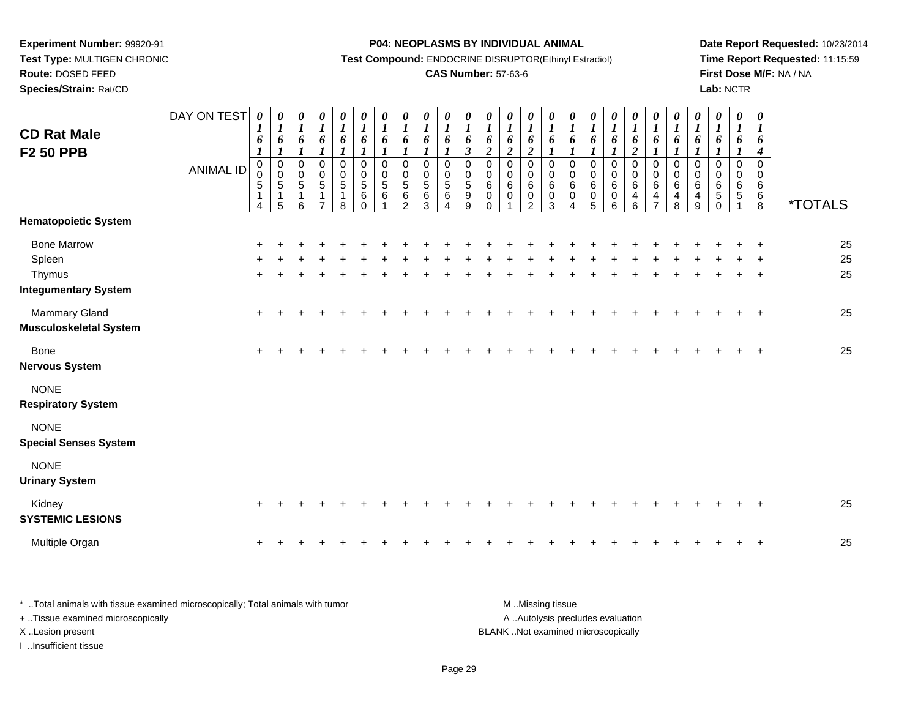**Route:** DOSED FEED

**Species/Strain:** Rat/CD

#### **P04: NEOPLASMS BY INDIVIDUAL ANIMAL**

**Test Compound:** ENDOCRINE DISRUPTOR(Ethinyl Estradiol)

## **CAS Number:** 57-63-6

**Date Report Requested:** 10/23/2014**Time Report Requested:** 11:15:59**First Dose M/F:** NA / NA**Lab:** NCTR

|                                                                       | <b>ANIMAL ID</b> | $\boldsymbol{l}$<br>$\pmb{0}$<br>0<br>$\sqrt{5}$<br>-1<br>4 | $\boldsymbol{l}$<br>$\pmb{0}$<br>$\pmb{0}$<br>$\sqrt{5}$<br>$\mathbf 1$<br>5 | 6<br>1<br>$\pmb{0}$<br>$\pmb{0}$<br>$\sqrt{5}$<br>1<br>6 | 6<br>$\boldsymbol{l}$<br>$\pmb{0}$<br>$\begin{array}{c} 0 \\ 5 \end{array}$<br>$\mathbf{1}$<br>$\overline{ }$ | 6<br>$\boldsymbol{l}$<br>$\pmb{0}$<br>$\begin{array}{c} 0 \\ 5 \end{array}$<br>1<br>8 | 6<br>1<br>$\mathbf 0$<br>$\mathbf 0$<br>$\overline{5}$<br>$\,6$<br>$\Omega$ | $\boldsymbol{l}$<br>6<br>$\mathbf{I}$<br>$\,0\,$<br>$\pmb{0}$<br>$\overline{5}$<br>6 | $\boldsymbol{l}$<br>6<br>$\pmb{0}$<br>$\pmb{0}$<br>$\sqrt{5}$<br>6<br>$\overline{2}$ | $\boldsymbol{l}$<br>6<br>$\pmb{0}$<br>$\pmb{0}$<br>$\sqrt{5}$<br>6<br>3 | $\boldsymbol{l}$<br>6<br>$\boldsymbol{l}$<br>$\mathbf 0$<br>$\mathbf 0$<br>5<br>$\,6$ | $\boldsymbol{l}$<br>6<br>$\boldsymbol{\beta}$<br>0<br>0<br>$\overline{5}$<br>$\boldsymbol{9}$<br>9 | $\boldsymbol{l}$<br>6<br>$\overline{2}$<br>$\mathbf 0$<br>0<br>$\,6\,$<br>$\mathbf 0$<br>$\Omega$ | $\boldsymbol{l}$<br>6<br>$\boldsymbol{2}$<br>$\mathbf 0$<br>$\boldsymbol{0}$<br>6<br>0 | $\boldsymbol{l}$<br>6<br>$\overline{2}$<br>$\pmb{0}$<br>$\pmb{0}$<br>$\,6\,$<br>0<br>$\overline{2}$ | $\boldsymbol{l}$<br>6<br>$\mathbf 0$<br>0<br>6<br>0<br>3 | $\boldsymbol{l}$<br>6<br>$\boldsymbol{l}$<br>$\mathbf 0$<br>$\pmb{0}$<br>$\,6\,$<br>0<br>4 | $\boldsymbol{l}$<br>6<br>$\boldsymbol{l}$<br>$\mathbf 0$<br>$\pmb{0}$<br>$6\phantom{1}6$<br>$\pmb{0}$<br>5 | $\boldsymbol{l}$<br>6<br>$\mathbf{I}$<br>$\pmb{0}$<br>$\pmb{0}$<br>$6\phantom{a}$<br>$\mathbf 0$<br>6 | $\boldsymbol{l}$<br>6<br>$\overline{2}$<br>0<br>$\boldsymbol{0}$<br>$6\phantom{a}$<br>$\overline{4}$<br>6 | $\boldsymbol{l}$<br>6<br>$\mathbf{I}$<br>$\pmb{0}$<br>$\boldsymbol{0}$<br>$6\phantom{a}$<br>$\overline{\mathbf{4}}$<br>$\overline{7}$ | 6<br>$\mathbf 0$<br>$\pmb{0}$<br>$\,6$<br>$\overline{\mathbf{r}}$<br>8 | $\boldsymbol{I}$ | $\boldsymbol{l}$<br>6<br>0<br>0<br>$\,6\,$<br>4<br>9 | $\boldsymbol{l}$<br>6<br>$\mathbf 0$<br>0<br>6<br>$\sqrt{5}$<br>$\Omega$ | $\boldsymbol{l}$<br>6<br>1<br>$\mathbf 0$<br>0<br>6<br>5 | $\boldsymbol{l}$<br>6<br>$\boldsymbol{4}$<br>$\Omega$<br>0<br>6<br>6<br>$\,8\,$ | <i><b>*TOTALS</b></i> |
|-----------------------------------------------------------------------|------------------|-------------------------------------------------------------|------------------------------------------------------------------------------|----------------------------------------------------------|---------------------------------------------------------------------------------------------------------------|---------------------------------------------------------------------------------------|-----------------------------------------------------------------------------|--------------------------------------------------------------------------------------|--------------------------------------------------------------------------------------|-------------------------------------------------------------------------|---------------------------------------------------------------------------------------|----------------------------------------------------------------------------------------------------|---------------------------------------------------------------------------------------------------|----------------------------------------------------------------------------------------|-----------------------------------------------------------------------------------------------------|----------------------------------------------------------|--------------------------------------------------------------------------------------------|------------------------------------------------------------------------------------------------------------|-------------------------------------------------------------------------------------------------------|-----------------------------------------------------------------------------------------------------------|---------------------------------------------------------------------------------------------------------------------------------------|------------------------------------------------------------------------|------------------|------------------------------------------------------|--------------------------------------------------------------------------|----------------------------------------------------------|---------------------------------------------------------------------------------|-----------------------|
| <b>Hematopoietic System</b>                                           |                  |                                                             |                                                                              |                                                          |                                                                                                               |                                                                                       |                                                                             |                                                                                      |                                                                                      |                                                                         |                                                                                       |                                                                                                    |                                                                                                   |                                                                                        |                                                                                                     |                                                          |                                                                                            |                                                                                                            |                                                                                                       |                                                                                                           |                                                                                                                                       |                                                                        |                  |                                                      |                                                                          |                                                          |                                                                                 |                       |
| <b>Bone Marrow</b><br>Spleen<br>Thymus<br><b>Integumentary System</b> |                  |                                                             |                                                                              |                                                          |                                                                                                               |                                                                                       |                                                                             |                                                                                      |                                                                                      |                                                                         |                                                                                       |                                                                                                    |                                                                                                   |                                                                                        |                                                                                                     |                                                          |                                                                                            |                                                                                                            |                                                                                                       |                                                                                                           |                                                                                                                                       |                                                                        |                  |                                                      |                                                                          |                                                          |                                                                                 | 25<br>25<br>25        |
| Mammary Gland<br><b>Musculoskeletal System</b>                        |                  | $\ddot{}$                                                   |                                                                              |                                                          |                                                                                                               |                                                                                       |                                                                             |                                                                                      |                                                                                      |                                                                         |                                                                                       |                                                                                                    |                                                                                                   |                                                                                        |                                                                                                     |                                                          |                                                                                            |                                                                                                            |                                                                                                       |                                                                                                           |                                                                                                                                       |                                                                        |                  |                                                      |                                                                          |                                                          | $\overline{ }$                                                                  | 25                    |
| <b>Bone</b><br><b>Nervous System</b>                                  |                  | $\ddot{}$                                                   |                                                                              |                                                          |                                                                                                               |                                                                                       |                                                                             |                                                                                      |                                                                                      |                                                                         |                                                                                       |                                                                                                    |                                                                                                   |                                                                                        |                                                                                                     |                                                          |                                                                                            |                                                                                                            |                                                                                                       |                                                                                                           |                                                                                                                                       |                                                                        |                  |                                                      |                                                                          |                                                          |                                                                                 | 25                    |
| <b>NONE</b><br><b>Respiratory System</b>                              |                  |                                                             |                                                                              |                                                          |                                                                                                               |                                                                                       |                                                                             |                                                                                      |                                                                                      |                                                                         |                                                                                       |                                                                                                    |                                                                                                   |                                                                                        |                                                                                                     |                                                          |                                                                                            |                                                                                                            |                                                                                                       |                                                                                                           |                                                                                                                                       |                                                                        |                  |                                                      |                                                                          |                                                          |                                                                                 |                       |
| <b>NONE</b><br><b>Special Senses System</b>                           |                  |                                                             |                                                                              |                                                          |                                                                                                               |                                                                                       |                                                                             |                                                                                      |                                                                                      |                                                                         |                                                                                       |                                                                                                    |                                                                                                   |                                                                                        |                                                                                                     |                                                          |                                                                                            |                                                                                                            |                                                                                                       |                                                                                                           |                                                                                                                                       |                                                                        |                  |                                                      |                                                                          |                                                          |                                                                                 |                       |
| <b>NONE</b><br><b>Urinary System</b>                                  |                  |                                                             |                                                                              |                                                          |                                                                                                               |                                                                                       |                                                                             |                                                                                      |                                                                                      |                                                                         |                                                                                       |                                                                                                    |                                                                                                   |                                                                                        |                                                                                                     |                                                          |                                                                                            |                                                                                                            |                                                                                                       |                                                                                                           |                                                                                                                                       |                                                                        |                  |                                                      |                                                                          |                                                          |                                                                                 |                       |
| Kidney<br><b>SYSTEMIC LESIONS</b>                                     |                  | $\ddot{}$                                                   |                                                                              |                                                          |                                                                                                               |                                                                                       |                                                                             |                                                                                      |                                                                                      |                                                                         |                                                                                       |                                                                                                    |                                                                                                   |                                                                                        |                                                                                                     |                                                          |                                                                                            |                                                                                                            |                                                                                                       |                                                                                                           |                                                                                                                                       |                                                                        |                  |                                                      |                                                                          |                                                          |                                                                                 | 25                    |
| Multiple Organ                                                        |                  |                                                             |                                                                              |                                                          |                                                                                                               |                                                                                       |                                                                             |                                                                                      |                                                                                      |                                                                         |                                                                                       |                                                                                                    |                                                                                                   |                                                                                        |                                                                                                     |                                                          |                                                                                            |                                                                                                            |                                                                                                       |                                                                                                           |                                                                                                                                       |                                                                        |                  |                                                      |                                                                          |                                                          |                                                                                 | 25                    |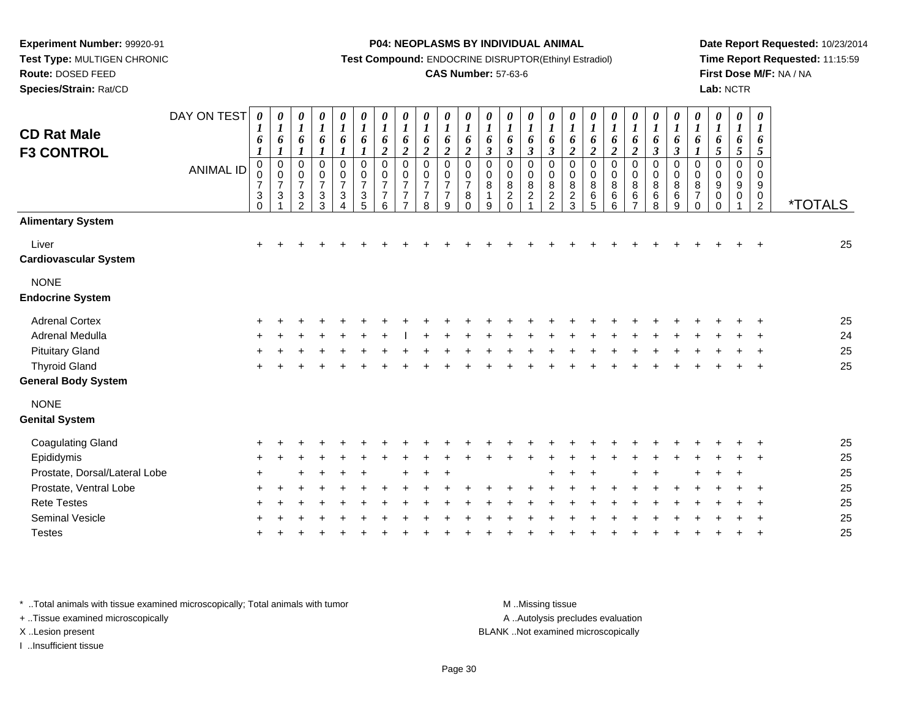**Route:** DOSED FEED

**Species/Strain:** Rat/CD

#### **P04: NEOPLASMS BY INDIVIDUAL ANIMAL**

**Test Compound:** ENDOCRINE DISRUPTOR(Ethinyl Estradiol)

## **CAS Number:** 57-63-6

**Date Report Requested:** 10/23/2014**Time Report Requested:** 11:15:59**First Dose M/F:** NA / NA**Lab:** NCTR

| <b>CD Rat Male</b><br><b>F3 CONTROL</b> | DAY ON TEST<br><b>ANIMAL ID</b> | $\pmb{\theta}$<br>6<br>$\boldsymbol{l}$<br>0<br>0<br>$\boldsymbol{7}$<br>$\begin{smallmatrix} 3 \\ 0 \end{smallmatrix}$ | 0<br>$\boldsymbol{l}$<br>6<br>$\boldsymbol{l}$<br>$\pmb{0}$<br>$\pmb{0}$<br>$\overline{7}$<br>$\mathbf{3}$ | $\pmb{\theta}$<br>$\boldsymbol{l}$<br>6<br>$\boldsymbol{l}$<br>$\pmb{0}$<br>$\pmb{0}$<br>$\overline{7}$<br>$\frac{3}{2}$ | 0<br>$\boldsymbol{l}$<br>6<br>$\boldsymbol{l}$<br>0<br>$\pmb{0}$<br>$\overline{7}$<br>$\frac{3}{3}$ | $\pmb{\theta}$<br>$\boldsymbol{l}$<br>6<br>$\boldsymbol{l}$<br>$\pmb{0}$<br>$\pmb{0}$<br>$\overline{7}$<br>$\ensuremath{\mathsf{3}}$<br>4 | $\pmb{\theta}$<br>$\boldsymbol{l}$<br>6<br>$\boldsymbol{l}$<br>$\pmb{0}$<br>$\pmb{0}$<br>$\overline{7}$<br>$\frac{3}{5}$ | $\pmb{\theta}$<br>$\boldsymbol{l}$<br>6<br>$\overline{2}$<br>$\pmb{0}$<br>$\pmb{0}$<br>$\overline{7}$<br>$\overline{7}$<br>6 | $\boldsymbol{\theta}$<br>$\boldsymbol{l}$<br>6<br>$\overline{2}$<br>$\mathbf 0$<br>$\mathbf 0$<br>$\overline{7}$<br>$\overline{7}$<br>$\overline{ }$ | $\pmb{\theta}$<br>$\boldsymbol{l}$<br>6<br>$\boldsymbol{2}$<br>0<br>0<br>$\overline{7}$<br>$\overline{7}$<br>8 | 0<br>$\boldsymbol{l}$<br>6<br>$\boldsymbol{2}$<br>$\mathbf 0$<br>$\mathbf 0$<br>$\overline{7}$<br>$\overline{7}$<br>9 | 0<br>$\boldsymbol{l}$<br>6<br>$\boldsymbol{2}$<br>$\pmb{0}$<br>$\pmb{0}$<br>$\overline{7}$<br>8<br>$\Omega$ | 0<br>$\boldsymbol{l}$<br>6<br>$\mathfrak{z}$<br>$\mathbf 0$<br>0<br>8<br>$\mathbf{1}$<br>9 | 0<br>$\boldsymbol{l}$<br>6<br>$\mathfrak{z}$<br>0<br>0<br>$\frac{8}{2}$ | 0<br>$\boldsymbol{l}$<br>6<br>$\boldsymbol{\beta}$<br>$\mathbf 0$<br>0<br>8<br>$\sqrt{2}$ | 0<br>1<br>6<br>$\boldsymbol{\beta}$<br>$\mathbf 0$<br>0<br>8<br>$\frac{2}{2}$ | 0<br>$\boldsymbol{l}$<br>6<br>$\boldsymbol{2}$<br>$\mathbf 0$<br>0<br>$\bf 8$<br>$\frac{2}{3}$ | $\boldsymbol{l}$<br>6<br>$\boldsymbol{2}$<br>0<br>0<br>8<br>$\,6\,$<br>$\overline{5}$ | 0<br>1<br>6<br>$\boldsymbol{2}$<br>$\mathbf 0$<br>0<br>8<br>$\,6$<br>6 | 0<br>$\boldsymbol{l}$<br>6<br>$\boldsymbol{2}$<br>0<br>$\mathbf 0$<br>8<br>6<br>$\overline{ }$ | 0<br>$\boldsymbol{l}$<br>6<br>$\boldsymbol{\beta}$<br>0<br>0<br>8<br>$\,6$<br>8 | 0<br>$\boldsymbol{l}$<br>6<br>$\boldsymbol{\beta}$<br>$\mathbf 0$<br>0<br>8<br>6<br>$\boldsymbol{9}$ | $\pmb{\theta}$<br>$\boldsymbol{l}$<br>6<br>1<br>$\mathbf 0$<br>0<br>8<br>$\overline{7}$<br>$\Omega$ | $\pmb{\theta}$<br>$\boldsymbol{l}$<br>6<br>5<br>0<br>0<br>9<br>0<br>$\Omega$ | $\pmb{\theta}$<br>$\boldsymbol{l}$<br>6<br>$\sqrt{5}$<br>0<br>0<br>9<br>0 | $\pmb{\theta}$<br>$\boldsymbol{l}$<br>6<br>$\sqrt{5}$<br>$\mathbf 0$<br>$\Omega$<br>9<br>$\pmb{0}$<br>$\overline{c}$ | <i><b>*TOTALS</b></i> |
|-----------------------------------------|---------------------------------|-------------------------------------------------------------------------------------------------------------------------|------------------------------------------------------------------------------------------------------------|--------------------------------------------------------------------------------------------------------------------------|-----------------------------------------------------------------------------------------------------|-------------------------------------------------------------------------------------------------------------------------------------------|--------------------------------------------------------------------------------------------------------------------------|------------------------------------------------------------------------------------------------------------------------------|------------------------------------------------------------------------------------------------------------------------------------------------------|----------------------------------------------------------------------------------------------------------------|-----------------------------------------------------------------------------------------------------------------------|-------------------------------------------------------------------------------------------------------------|--------------------------------------------------------------------------------------------|-------------------------------------------------------------------------|-------------------------------------------------------------------------------------------|-------------------------------------------------------------------------------|------------------------------------------------------------------------------------------------|---------------------------------------------------------------------------------------|------------------------------------------------------------------------|------------------------------------------------------------------------------------------------|---------------------------------------------------------------------------------|------------------------------------------------------------------------------------------------------|-----------------------------------------------------------------------------------------------------|------------------------------------------------------------------------------|---------------------------------------------------------------------------|----------------------------------------------------------------------------------------------------------------------|-----------------------|
| <b>Alimentary System</b>                |                                 |                                                                                                                         |                                                                                                            |                                                                                                                          |                                                                                                     |                                                                                                                                           |                                                                                                                          |                                                                                                                              |                                                                                                                                                      |                                                                                                                |                                                                                                                       |                                                                                                             |                                                                                            |                                                                         |                                                                                           |                                                                               |                                                                                                |                                                                                       |                                                                        |                                                                                                |                                                                                 |                                                                                                      |                                                                                                     |                                                                              |                                                                           |                                                                                                                      |                       |
| Liver<br><b>Cardiovascular System</b>   |                                 | $\ddot{}$                                                                                                               |                                                                                                            |                                                                                                                          |                                                                                                     |                                                                                                                                           |                                                                                                                          |                                                                                                                              |                                                                                                                                                      |                                                                                                                |                                                                                                                       |                                                                                                             |                                                                                            |                                                                         |                                                                                           |                                                                               |                                                                                                |                                                                                       |                                                                        |                                                                                                |                                                                                 |                                                                                                      |                                                                                                     |                                                                              |                                                                           |                                                                                                                      | 25                    |
| <b>NONE</b><br><b>Endocrine System</b>  |                                 |                                                                                                                         |                                                                                                            |                                                                                                                          |                                                                                                     |                                                                                                                                           |                                                                                                                          |                                                                                                                              |                                                                                                                                                      |                                                                                                                |                                                                                                                       |                                                                                                             |                                                                                            |                                                                         |                                                                                           |                                                                               |                                                                                                |                                                                                       |                                                                        |                                                                                                |                                                                                 |                                                                                                      |                                                                                                     |                                                                              |                                                                           |                                                                                                                      |                       |
| <b>Adrenal Cortex</b>                   |                                 | $\pm$                                                                                                                   |                                                                                                            |                                                                                                                          |                                                                                                     |                                                                                                                                           |                                                                                                                          |                                                                                                                              |                                                                                                                                                      |                                                                                                                |                                                                                                                       |                                                                                                             |                                                                                            |                                                                         |                                                                                           |                                                                               |                                                                                                |                                                                                       |                                                                        |                                                                                                |                                                                                 |                                                                                                      |                                                                                                     |                                                                              |                                                                           |                                                                                                                      | 25                    |
| <b>Adrenal Medulla</b>                  |                                 |                                                                                                                         |                                                                                                            |                                                                                                                          |                                                                                                     |                                                                                                                                           |                                                                                                                          |                                                                                                                              |                                                                                                                                                      |                                                                                                                |                                                                                                                       |                                                                                                             |                                                                                            |                                                                         |                                                                                           |                                                                               |                                                                                                |                                                                                       |                                                                        |                                                                                                |                                                                                 |                                                                                                      |                                                                                                     |                                                                              |                                                                           |                                                                                                                      | 24                    |
| <b>Pituitary Gland</b>                  |                                 |                                                                                                                         |                                                                                                            |                                                                                                                          |                                                                                                     |                                                                                                                                           |                                                                                                                          |                                                                                                                              |                                                                                                                                                      |                                                                                                                |                                                                                                                       |                                                                                                             |                                                                                            |                                                                         |                                                                                           |                                                                               |                                                                                                |                                                                                       |                                                                        |                                                                                                |                                                                                 |                                                                                                      |                                                                                                     |                                                                              |                                                                           |                                                                                                                      | 25                    |
| <b>Thyroid Gland</b>                    |                                 |                                                                                                                         |                                                                                                            |                                                                                                                          |                                                                                                     |                                                                                                                                           |                                                                                                                          |                                                                                                                              |                                                                                                                                                      |                                                                                                                |                                                                                                                       |                                                                                                             |                                                                                            |                                                                         |                                                                                           |                                                                               |                                                                                                |                                                                                       |                                                                        |                                                                                                |                                                                                 |                                                                                                      |                                                                                                     |                                                                              |                                                                           |                                                                                                                      | 25                    |
| <b>General Body System</b>              |                                 |                                                                                                                         |                                                                                                            |                                                                                                                          |                                                                                                     |                                                                                                                                           |                                                                                                                          |                                                                                                                              |                                                                                                                                                      |                                                                                                                |                                                                                                                       |                                                                                                             |                                                                                            |                                                                         |                                                                                           |                                                                               |                                                                                                |                                                                                       |                                                                        |                                                                                                |                                                                                 |                                                                                                      |                                                                                                     |                                                                              |                                                                           |                                                                                                                      |                       |
| <b>NONE</b><br><b>Genital System</b>    |                                 |                                                                                                                         |                                                                                                            |                                                                                                                          |                                                                                                     |                                                                                                                                           |                                                                                                                          |                                                                                                                              |                                                                                                                                                      |                                                                                                                |                                                                                                                       |                                                                                                             |                                                                                            |                                                                         |                                                                                           |                                                                               |                                                                                                |                                                                                       |                                                                        |                                                                                                |                                                                                 |                                                                                                      |                                                                                                     |                                                                              |                                                                           |                                                                                                                      |                       |
| <b>Coagulating Gland</b>                |                                 |                                                                                                                         |                                                                                                            |                                                                                                                          |                                                                                                     |                                                                                                                                           |                                                                                                                          |                                                                                                                              |                                                                                                                                                      |                                                                                                                |                                                                                                                       |                                                                                                             |                                                                                            |                                                                         |                                                                                           |                                                                               |                                                                                                |                                                                                       |                                                                        |                                                                                                |                                                                                 |                                                                                                      |                                                                                                     |                                                                              |                                                                           |                                                                                                                      | 25                    |
| Epididymis                              |                                 |                                                                                                                         |                                                                                                            |                                                                                                                          |                                                                                                     |                                                                                                                                           |                                                                                                                          |                                                                                                                              |                                                                                                                                                      |                                                                                                                |                                                                                                                       |                                                                                                             |                                                                                            |                                                                         |                                                                                           |                                                                               |                                                                                                |                                                                                       |                                                                        |                                                                                                |                                                                                 |                                                                                                      |                                                                                                     |                                                                              |                                                                           |                                                                                                                      | 25                    |
| Prostate, Dorsal/Lateral Lobe           |                                 |                                                                                                                         |                                                                                                            |                                                                                                                          |                                                                                                     |                                                                                                                                           |                                                                                                                          |                                                                                                                              |                                                                                                                                                      |                                                                                                                |                                                                                                                       |                                                                                                             |                                                                                            |                                                                         |                                                                                           |                                                                               |                                                                                                |                                                                                       |                                                                        |                                                                                                |                                                                                 |                                                                                                      |                                                                                                     |                                                                              |                                                                           |                                                                                                                      | 25                    |
| Prostate, Ventral Lobe                  |                                 |                                                                                                                         |                                                                                                            |                                                                                                                          |                                                                                                     |                                                                                                                                           |                                                                                                                          |                                                                                                                              |                                                                                                                                                      |                                                                                                                |                                                                                                                       |                                                                                                             |                                                                                            |                                                                         |                                                                                           |                                                                               |                                                                                                |                                                                                       |                                                                        |                                                                                                |                                                                                 |                                                                                                      |                                                                                                     |                                                                              |                                                                           |                                                                                                                      | 25                    |
| <b>Rete Testes</b>                      |                                 |                                                                                                                         |                                                                                                            |                                                                                                                          |                                                                                                     |                                                                                                                                           |                                                                                                                          |                                                                                                                              |                                                                                                                                                      |                                                                                                                |                                                                                                                       |                                                                                                             |                                                                                            |                                                                         |                                                                                           |                                                                               |                                                                                                |                                                                                       |                                                                        |                                                                                                |                                                                                 |                                                                                                      |                                                                                                     |                                                                              |                                                                           |                                                                                                                      | 25                    |
| <b>Seminal Vesicle</b>                  |                                 |                                                                                                                         |                                                                                                            |                                                                                                                          |                                                                                                     |                                                                                                                                           |                                                                                                                          |                                                                                                                              |                                                                                                                                                      |                                                                                                                |                                                                                                                       |                                                                                                             |                                                                                            |                                                                         |                                                                                           |                                                                               |                                                                                                |                                                                                       |                                                                        |                                                                                                |                                                                                 |                                                                                                      |                                                                                                     |                                                                              |                                                                           |                                                                                                                      | 25                    |
| <b>Testes</b>                           |                                 |                                                                                                                         |                                                                                                            |                                                                                                                          |                                                                                                     |                                                                                                                                           |                                                                                                                          |                                                                                                                              |                                                                                                                                                      |                                                                                                                |                                                                                                                       |                                                                                                             |                                                                                            |                                                                         |                                                                                           |                                                                               |                                                                                                |                                                                                       |                                                                        |                                                                                                |                                                                                 |                                                                                                      |                                                                                                     |                                                                              |                                                                           |                                                                                                                      | 25                    |

\* ..Total animals with tissue examined microscopically; Total animals with tumor **M** . Missing tissue M ..Missing tissue

+ ..Tissue examined microscopically

I ..Insufficient tissue

A ..Autolysis precludes evaluation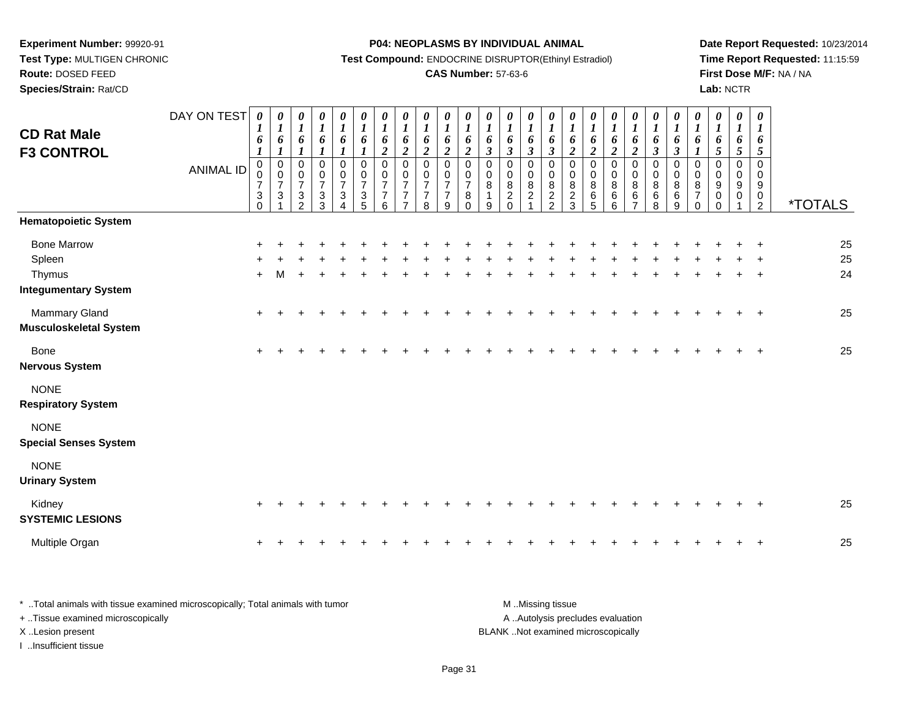**Species/Strain:** Rat/CD

**P04: NEOPLASMS BY INDIVIDUAL ANIMAL**

**Test Compound:** ENDOCRINE DISRUPTOR(Ethinyl Estradiol)

# **CAS Number:** 57-63-6

**Date Report Requested:** 10/23/2014**Time Report Requested:** 11:15:59**First Dose M/F:** NA / NA**Lab:** NCTR

| <b>CD Rat Male</b><br><b>F3 CONTROL</b>                               | DAY ON TEST      | $\boldsymbol{\theta}$<br>$\boldsymbol{l}$<br>6<br>$\boldsymbol{l}$  | 0<br>$\boldsymbol{l}$<br>6<br>$\boldsymbol{l}$           | 0<br>$\boldsymbol{l}$<br>6                                          | $\pmb{\theta}$<br>$\boldsymbol{l}$<br>6<br>$\boldsymbol{l}$                    | $\pmb{\theta}$<br>$\boldsymbol{l}$<br>6<br>1                    | $\pmb{\theta}$<br>$\boldsymbol{l}$<br>6<br>$\mathbf{I}$                      | $\boldsymbol{\theta}$<br>$\boldsymbol{l}$<br>6<br>$\overline{2}$    | 0<br>$\boldsymbol{l}$<br>6<br>$\boldsymbol{2}$                                 | $\boldsymbol{\theta}$<br>$\boldsymbol{I}$<br>6<br>$\boldsymbol{2}$   | 0<br>$\boldsymbol{l}$<br>6<br>$\boldsymbol{2}$      | $\boldsymbol{\theta}$<br>$\boldsymbol{I}$<br>$\boldsymbol{6}$<br>$\boldsymbol{2}$ | 0<br>$\boldsymbol{l}$<br>6<br>$\mathfrak{z}$         | 0<br>$\boldsymbol{l}$<br>6<br>$\boldsymbol{\beta}$                 | 0<br>$\boldsymbol{l}$<br>6<br>$\boldsymbol{\beta}$ | 0<br>$\boldsymbol{l}$<br>6<br>$\mathfrak{z}$         | $\boldsymbol{\theta}$<br>$\boldsymbol{l}$<br>6<br>$\boldsymbol{2}$ | $\boldsymbol{\theta}$<br>$\boldsymbol{l}$<br>6<br>$\boldsymbol{2}$ | 0<br>$\boldsymbol{l}$<br>6<br>$\boldsymbol{2}$ | 0<br>$\boldsymbol{l}$<br>6<br>$\overline{2}$     | 0<br>$\boldsymbol{l}$<br>6<br>$\boldsymbol{\beta}$ | 0<br>$\boldsymbol{l}$<br>6<br>$\boldsymbol{\beta}$ | 0<br>$\boldsymbol{I}$<br>6<br>1                               | 0<br>$\boldsymbol{l}$<br>6<br>$\mathfrak{s}$ | $\pmb{\theta}$<br>$\boldsymbol{l}$<br>6<br>$\sqrt{5}$ | $\boldsymbol{\theta}$<br>$\bm{l}$<br>6<br>$\mathfrak{s}$                             |                |
|-----------------------------------------------------------------------|------------------|---------------------------------------------------------------------|----------------------------------------------------------|---------------------------------------------------------------------|--------------------------------------------------------------------------------|-----------------------------------------------------------------|------------------------------------------------------------------------------|---------------------------------------------------------------------|--------------------------------------------------------------------------------|----------------------------------------------------------------------|-----------------------------------------------------|-----------------------------------------------------------------------------------|------------------------------------------------------|--------------------------------------------------------------------|----------------------------------------------------|------------------------------------------------------|--------------------------------------------------------------------|--------------------------------------------------------------------|------------------------------------------------|--------------------------------------------------|----------------------------------------------------|----------------------------------------------------|---------------------------------------------------------------|----------------------------------------------|-------------------------------------------------------|--------------------------------------------------------------------------------------|----------------|
|                                                                       | <b>ANIMAL ID</b> | $\pmb{0}$<br>$\begin{array}{c} 0 \\ 7 \end{array}$<br>3<br>$\Omega$ | $\begin{array}{c} 0 \\ 0 \\ 7 \end{array}$<br>$\sqrt{3}$ | $\mathsf 0$<br>$\pmb{0}$<br>$\boldsymbol{7}$<br>3<br>$\mathfrak{p}$ | $\mathsf 0$<br>$\pmb{0}$<br>$\boldsymbol{7}$<br>$\ensuremath{\mathsf{3}}$<br>3 | $\pmb{0}$<br>$\pmb{0}$<br>$\boldsymbol{7}$<br>$\mathbf{3}$<br>4 | $\mathbf 0$<br>$\pmb{0}$<br>$\overline{7}$<br>$\ensuremath{\mathsf{3}}$<br>5 | $\mathbf 0$<br>$\mathbf 0$<br>$\overline{7}$<br>$\overline{7}$<br>6 | $\mathbf 0$<br>$\pmb{0}$<br>$\overline{7}$<br>$\overline{7}$<br>$\overline{7}$ | $\overline{0}$<br>$\pmb{0}$<br>$\overline{7}$<br>$\overline{7}$<br>8 | $\mathbf 0$<br>$\frac{0}{7}$<br>$\overline{7}$<br>9 | $\pmb{0}$<br>$\pmb{0}$<br>$\boldsymbol{7}$<br>8<br>$\Omega$                       | $\pmb{0}$<br>$_{\rm 8}^{\rm 0}$<br>$\mathbf{1}$<br>9 | $\mathbf 0$<br>$\pmb{0}$<br>$\, 8$<br>$\boldsymbol{2}$<br>$\Omega$ | $\mathbf 0$<br>0<br>$\,8\,$<br>$\overline{c}$      | $\mathbf 0$<br>$\pmb{0}$<br>$\,8\,$<br>$\frac{2}{2}$ | $\mathbf 0$<br>0<br>$\bf 8$<br>$\frac{2}{3}$                       | $\mathbf 0$<br>0<br>$\bf 8$<br>$\,6$<br>5                          | $\mathsf 0$<br>$\pmb{0}$<br>8<br>$\,6$<br>6    | $\pmb{0}$<br>0<br>$\bf 8$<br>6<br>$\overline{7}$ | $\pmb{0}$<br>$\pmb{0}$<br>8<br>6<br>8              | $\pmb{0}$<br>$\pmb{0}$<br>$\bf 8$<br>$\,6$<br>9    | $\mathbf 0$<br>$\mathbf 0$<br>8<br>$\overline{7}$<br>$\Omega$ | $\mathbf 0$<br>0<br>9<br>0<br>$\Omega$       | $\mathbf 0$<br>$\Omega$<br>9<br>0                     | $\mathbf 0$<br>0<br>$\boldsymbol{9}$<br>$\begin{smallmatrix} 0\\2 \end{smallmatrix}$ | *TOTALS        |
| <b>Hematopoietic System</b>                                           |                  |                                                                     |                                                          |                                                                     |                                                                                |                                                                 |                                                                              |                                                                     |                                                                                |                                                                      |                                                     |                                                                                   |                                                      |                                                                    |                                                    |                                                      |                                                                    |                                                                    |                                                |                                                  |                                                    |                                                    |                                                               |                                              |                                                       |                                                                                      |                |
| <b>Bone Marrow</b><br>Spleen<br>Thymus<br><b>Integumentary System</b> |                  | $\ddot{}$                                                           | м                                                        | $\ddot{}$                                                           |                                                                                |                                                                 |                                                                              |                                                                     |                                                                                |                                                                      |                                                     |                                                                                   |                                                      |                                                                    |                                                    |                                                      |                                                                    |                                                                    |                                                |                                                  |                                                    |                                                    |                                                               |                                              |                                                       |                                                                                      | 25<br>25<br>24 |
| Mammary Gland<br><b>Musculoskeletal System</b>                        |                  | ÷                                                                   |                                                          |                                                                     |                                                                                |                                                                 |                                                                              |                                                                     |                                                                                |                                                                      |                                                     |                                                                                   |                                                      |                                                                    |                                                    |                                                      |                                                                    |                                                                    |                                                |                                                  |                                                    |                                                    |                                                               |                                              |                                                       |                                                                                      | 25             |
| <b>Bone</b><br><b>Nervous System</b>                                  |                  |                                                                     |                                                          |                                                                     |                                                                                |                                                                 |                                                                              |                                                                     |                                                                                |                                                                      |                                                     |                                                                                   |                                                      |                                                                    |                                                    |                                                      |                                                                    |                                                                    |                                                |                                                  |                                                    |                                                    |                                                               |                                              |                                                       | $\ddot{}$                                                                            | 25             |
| <b>NONE</b><br><b>Respiratory System</b>                              |                  |                                                                     |                                                          |                                                                     |                                                                                |                                                                 |                                                                              |                                                                     |                                                                                |                                                                      |                                                     |                                                                                   |                                                      |                                                                    |                                                    |                                                      |                                                                    |                                                                    |                                                |                                                  |                                                    |                                                    |                                                               |                                              |                                                       |                                                                                      |                |
| <b>NONE</b><br><b>Special Senses System</b>                           |                  |                                                                     |                                                          |                                                                     |                                                                                |                                                                 |                                                                              |                                                                     |                                                                                |                                                                      |                                                     |                                                                                   |                                                      |                                                                    |                                                    |                                                      |                                                                    |                                                                    |                                                |                                                  |                                                    |                                                    |                                                               |                                              |                                                       |                                                                                      |                |
| <b>NONE</b><br><b>Urinary System</b>                                  |                  |                                                                     |                                                          |                                                                     |                                                                                |                                                                 |                                                                              |                                                                     |                                                                                |                                                                      |                                                     |                                                                                   |                                                      |                                                                    |                                                    |                                                      |                                                                    |                                                                    |                                                |                                                  |                                                    |                                                    |                                                               |                                              |                                                       |                                                                                      |                |
| Kidney<br><b>SYSTEMIC LESIONS</b>                                     |                  |                                                                     |                                                          |                                                                     |                                                                                |                                                                 |                                                                              |                                                                     |                                                                                |                                                                      |                                                     |                                                                                   |                                                      |                                                                    |                                                    |                                                      |                                                                    |                                                                    |                                                |                                                  |                                                    |                                                    |                                                               |                                              |                                                       |                                                                                      | 25             |
| Multiple Organ                                                        |                  |                                                                     |                                                          |                                                                     |                                                                                |                                                                 |                                                                              |                                                                     |                                                                                |                                                                      |                                                     |                                                                                   |                                                      |                                                                    |                                                    |                                                      |                                                                    |                                                                    |                                                |                                                  |                                                    |                                                    |                                                               |                                              |                                                       |                                                                                      | 25             |

| Total animals with tissue examined microscopically; Total animals with tumor | M Missing tissue                   |
|------------------------------------------------------------------------------|------------------------------------|
| + Tissue examined microscopically                                            | A Autolysis precludes evaluation   |
| X Lesion present                                                             | BLANK Not examined microscopically |
| Insufficient tissue                                                          |                                    |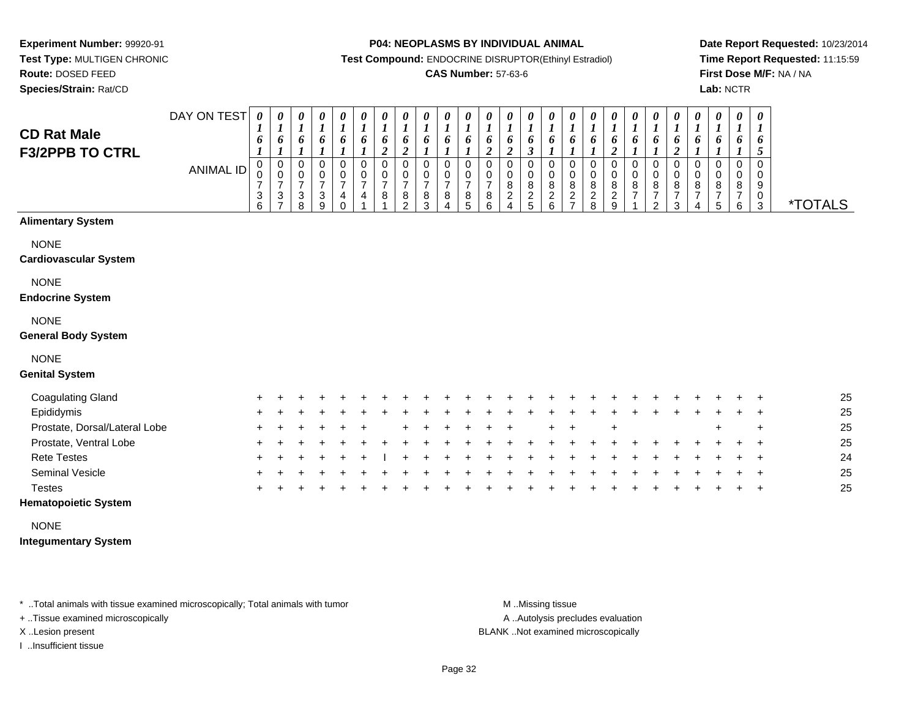**Test Type:** MULTIGEN CHRONIC**Route:** DOSED FEED

**Species/Strain:** Rat/CD

#### **P04: NEOPLASMS BY INDIVIDUAL ANIMAL**

**Test Compound:** ENDOCRINE DISRUPTOR(Ethinyl Estradiol)

## **CAS Number:** 57-63-6

**Date Report Requested:** 10/23/2014**Time Report Requested:** 11:15:59**First Dose M/F:** NA / NA**Lab:** NCTR

| <b>CD Rat Male</b><br><b>F3/2PPB TO CTRL</b>                            | DAY ON TEST<br><b>ANIMAL ID</b> | $\boldsymbol{\theta}$<br>6<br>$\mathbf 0$<br>$\overline{7}$<br>3<br>6 | 0<br>6<br>0<br>0<br>$\overline{7}$<br>$\sqrt{3}$<br>⇁ | 0<br>$\boldsymbol{l}$<br>6<br>0<br>0<br>$\overline{7}$<br>3<br>8 | $\pmb{\theta}$<br>$\boldsymbol{l}$<br>6<br>$\pmb{0}$<br>0<br>7<br>3<br>9 | $\pmb{\theta}$<br>$\boldsymbol{l}$<br>6<br>0<br>0<br>$\overline{7}$<br>4<br>$\Omega$ | 0<br>$\boldsymbol{l}$<br>6<br>0<br>0<br>$\overline{7}$<br>4 | 0<br>$\boldsymbol{l}$<br>6<br>$\boldsymbol{2}$<br>$\Omega$<br>0<br>$\overline{7}$<br>8 | 0<br>$\boldsymbol{l}$<br>6<br>$\boldsymbol{2}$<br>$\Omega$<br>0<br>$\overline{7}$<br>8<br>$\mathfrak{p}$ | $\frac{\theta}{I}$<br>6<br>$\mathbf 0$<br>0<br>$\overline{7}$<br>$\frac{8}{3}$ | $\begin{matrix} 0 \\ 1 \end{matrix}$<br>6<br>0<br>0<br>$\overline{7}$<br>8<br>4 | 0<br>$\boldsymbol{l}$<br>6<br>0<br>0<br>$\overline{7}$<br>$^8$ 5 | $\boldsymbol{\theta}$<br>$\boldsymbol{l}$<br>6<br>2<br>0<br>0<br>$\overline{7}$<br>8<br>6 | 0<br>$\boldsymbol{l}$<br>6<br>$\boldsymbol{2}$<br>0<br>0<br>8<br>$\overline{c}$<br>$\Delta$ | $\pmb{\theta}$<br>$\boldsymbol{l}$<br>6<br>$\boldsymbol{\beta}$<br>$\mathbf 0$<br>0<br>8<br>$\frac{2}{5}$ | 0<br>$\boldsymbol{l}$<br>6<br>1<br>$\mathbf 0$<br>0<br>8<br>$\frac{2}{6}$ | $\pmb{\theta}$<br>$\boldsymbol{l}$<br>6<br>$\pmb{0}$<br>0<br>8<br>$\overline{\mathbf{c}}$<br>$\overline{ }$ | 0<br>$\boldsymbol{l}$<br>6<br>0<br>0<br>8<br>$\frac{2}{8}$ | 0<br>$\boldsymbol{l}$<br>6<br>$\overline{\mathbf{c}}$<br>0<br>0<br>8<br>$\frac{2}{9}$ | $\pmb{\theta}$<br>$\boldsymbol{l}$<br>6<br>0<br>$\mathbf 0$<br>8<br>$\overline{7}$ | $\pmb{\theta}$<br>$\boldsymbol{l}$<br>6<br>$\mathbf 0$<br>0<br>8<br>$\overline{7}$<br>2 | 0<br>$\boldsymbol{l}$<br>6<br>$\overline{c}$<br>0<br>0<br>8<br>7<br>3 | $\pmb{\theta}$<br>$\boldsymbol{l}$<br>6<br>0<br>0<br>8<br>$\overline{7}$ | $\boldsymbol{\theta}$<br>$\boldsymbol{l}$<br>6<br>0<br>8<br>$\overline{7}$<br>5 | 0<br>6<br>0<br>0<br>8<br>$\overline{7}$<br>6 | $\boldsymbol{\theta}$<br>$\boldsymbol{I}$<br>6<br>$\mathfrak{s}$<br>$\Omega$<br>$\mathbf 0$<br>9<br>$\frac{0}{3}$ | <i><b>*TOTALS</b></i> |
|-------------------------------------------------------------------------|---------------------------------|-----------------------------------------------------------------------|-------------------------------------------------------|------------------------------------------------------------------|--------------------------------------------------------------------------|--------------------------------------------------------------------------------------|-------------------------------------------------------------|----------------------------------------------------------------------------------------|----------------------------------------------------------------------------------------------------------|--------------------------------------------------------------------------------|---------------------------------------------------------------------------------|------------------------------------------------------------------|-------------------------------------------------------------------------------------------|---------------------------------------------------------------------------------------------|-----------------------------------------------------------------------------------------------------------|---------------------------------------------------------------------------|-------------------------------------------------------------------------------------------------------------|------------------------------------------------------------|---------------------------------------------------------------------------------------|------------------------------------------------------------------------------------|-----------------------------------------------------------------------------------------|-----------------------------------------------------------------------|--------------------------------------------------------------------------|---------------------------------------------------------------------------------|----------------------------------------------|-------------------------------------------------------------------------------------------------------------------|-----------------------|
| <b>Alimentary System</b><br><b>NONE</b><br><b>Cardiovascular System</b> |                                 |                                                                       |                                                       |                                                                  |                                                                          |                                                                                      |                                                             |                                                                                        |                                                                                                          |                                                                                |                                                                                 |                                                                  |                                                                                           |                                                                                             |                                                                                                           |                                                                           |                                                                                                             |                                                            |                                                                                       |                                                                                    |                                                                                         |                                                                       |                                                                          |                                                                                 |                                              |                                                                                                                   |                       |
| <b>NONE</b><br><b>Endocrine System</b>                                  |                                 |                                                                       |                                                       |                                                                  |                                                                          |                                                                                      |                                                             |                                                                                        |                                                                                                          |                                                                                |                                                                                 |                                                                  |                                                                                           |                                                                                             |                                                                                                           |                                                                           |                                                                                                             |                                                            |                                                                                       |                                                                                    |                                                                                         |                                                                       |                                                                          |                                                                                 |                                              |                                                                                                                   |                       |
| <b>NONE</b><br><b>General Body System</b>                               |                                 |                                                                       |                                                       |                                                                  |                                                                          |                                                                                      |                                                             |                                                                                        |                                                                                                          |                                                                                |                                                                                 |                                                                  |                                                                                           |                                                                                             |                                                                                                           |                                                                           |                                                                                                             |                                                            |                                                                                       |                                                                                    |                                                                                         |                                                                       |                                                                          |                                                                                 |                                              |                                                                                                                   |                       |
| <b>NONE</b><br><b>Genital System</b>                                    |                                 |                                                                       |                                                       |                                                                  |                                                                          |                                                                                      |                                                             |                                                                                        |                                                                                                          |                                                                                |                                                                                 |                                                                  |                                                                                           |                                                                                             |                                                                                                           |                                                                           |                                                                                                             |                                                            |                                                                                       |                                                                                    |                                                                                         |                                                                       |                                                                          |                                                                                 |                                              |                                                                                                                   |                       |
| <b>Coagulating Gland</b>                                                |                                 |                                                                       |                                                       |                                                                  |                                                                          |                                                                                      |                                                             |                                                                                        |                                                                                                          |                                                                                |                                                                                 |                                                                  |                                                                                           |                                                                                             |                                                                                                           |                                                                           |                                                                                                             |                                                            |                                                                                       |                                                                                    |                                                                                         |                                                                       |                                                                          |                                                                                 |                                              | ÷                                                                                                                 | 25                    |
| Epididymis                                                              |                                 |                                                                       |                                                       |                                                                  |                                                                          |                                                                                      |                                                             |                                                                                        |                                                                                                          |                                                                                |                                                                                 |                                                                  |                                                                                           |                                                                                             |                                                                                                           |                                                                           |                                                                                                             |                                                            |                                                                                       |                                                                                    |                                                                                         |                                                                       |                                                                          |                                                                                 |                                              | $\ddot{}$                                                                                                         | 25                    |
| Prostate, Dorsal/Lateral Lobe                                           |                                 |                                                                       |                                                       |                                                                  |                                                                          |                                                                                      |                                                             |                                                                                        |                                                                                                          |                                                                                |                                                                                 |                                                                  |                                                                                           |                                                                                             |                                                                                                           |                                                                           |                                                                                                             |                                                            |                                                                                       |                                                                                    |                                                                                         |                                                                       |                                                                          |                                                                                 |                                              | $\ddot{}$                                                                                                         | 25                    |
| Prostate, Ventral Lobe                                                  |                                 |                                                                       |                                                       |                                                                  |                                                                          |                                                                                      |                                                             |                                                                                        |                                                                                                          |                                                                                |                                                                                 |                                                                  |                                                                                           |                                                                                             |                                                                                                           |                                                                           |                                                                                                             |                                                            |                                                                                       |                                                                                    |                                                                                         |                                                                       |                                                                          |                                                                                 |                                              | $\ddot{}$                                                                                                         | 25                    |
| <b>Rete Testes</b>                                                      |                                 |                                                                       |                                                       |                                                                  |                                                                          |                                                                                      |                                                             |                                                                                        |                                                                                                          |                                                                                |                                                                                 |                                                                  |                                                                                           |                                                                                             |                                                                                                           |                                                                           |                                                                                                             |                                                            |                                                                                       |                                                                                    |                                                                                         |                                                                       |                                                                          |                                                                                 |                                              |                                                                                                                   | 24                    |
| <b>Seminal Vesicle</b>                                                  |                                 |                                                                       |                                                       |                                                                  |                                                                          |                                                                                      |                                                             |                                                                                        |                                                                                                          |                                                                                |                                                                                 |                                                                  |                                                                                           |                                                                                             |                                                                                                           |                                                                           |                                                                                                             |                                                            |                                                                                       |                                                                                    |                                                                                         |                                                                       |                                                                          |                                                                                 |                                              | $\ddot{}$                                                                                                         | 25                    |
| <b>Testes</b>                                                           |                                 |                                                                       |                                                       |                                                                  |                                                                          |                                                                                      |                                                             |                                                                                        |                                                                                                          |                                                                                |                                                                                 |                                                                  |                                                                                           |                                                                                             |                                                                                                           |                                                                           |                                                                                                             |                                                            |                                                                                       |                                                                                    |                                                                                         |                                                                       |                                                                          |                                                                                 |                                              | $\ddot{}$                                                                                                         | 25                    |

### **Hematopoietic System**

NONE

**Integumentary System**

\* ..Total animals with tissue examined microscopically; Total animals with tumor **M** . Missing tissue M ..Missing tissue

+ ..Tissue examined microscopically

I ..Insufficient tissue

A ..Autolysis precludes evaluation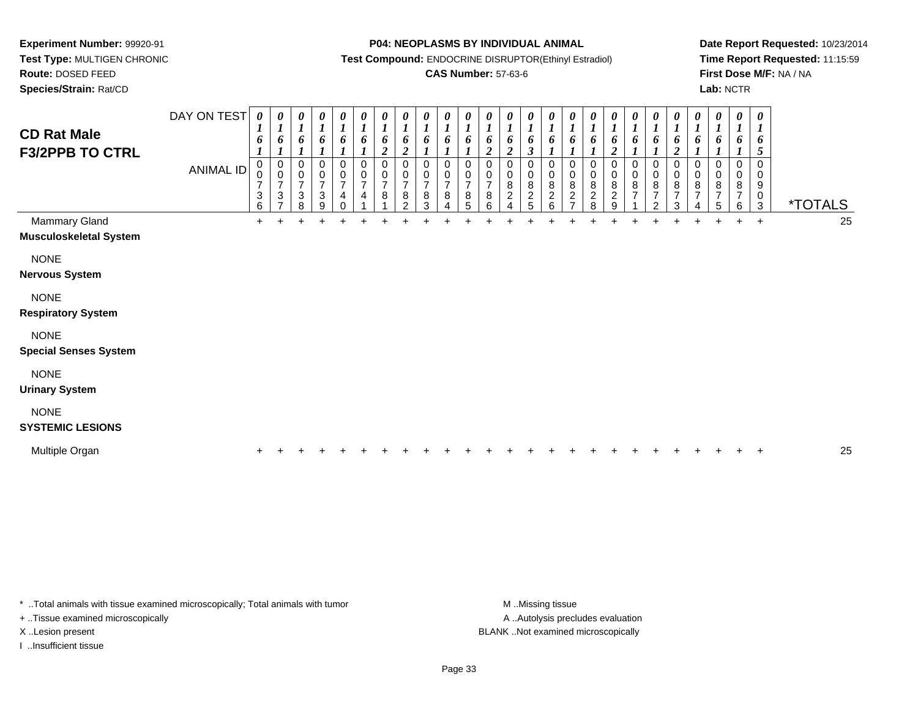**Test Type:** MULTIGEN CHRONIC**Route:** DOSED FEED

**Species/Strain:** Rat/CD

#### **P04: NEOPLASMS BY INDIVIDUAL ANIMAL**

**Test Compound:** ENDOCRINE DISRUPTOR(Ethinyl Estradiol)

## **CAS Number:** 57-63-6

**Date Report Requested:** 10/23/2014**Time Report Requested:** 11:15:59**First Dose M/F:** NA / NA**Lab:** NCTR

| <b>CD Rat Male</b><br><b>F3/2PPB TO CTRL</b>   | DAY ON TEST<br><b>ANIMAL ID</b> | 0<br>6<br>0<br>0<br>$\overline{7}$<br>3<br>6 | 0<br>6<br>0<br>$\mathbf 0$<br>$\overline{7}$<br>$\sqrt{3}$<br>$\overline{ }$ | 0<br>6<br>$\mathbf 0$<br>0<br>7<br>$\ensuremath{\mathsf{3}}$<br>8 | 0<br>6<br>0<br>$\pmb{0}$<br>$\overline{7}$<br>$\ensuremath{\mathsf{3}}$<br>9 | 0<br>6<br>0<br>$\mathbf 0$<br>$\overline{7}$<br>$\overline{4}$<br>$\Omega$ | 0<br>$\boldsymbol{l}$<br>6<br>0<br>$\pmb{0}$<br>$\overline{7}$<br>$\overline{\mathbf{4}}$ | $\boldsymbol{\theta}$<br>$\boldsymbol{l}$<br>6<br>$\boldsymbol{2}$<br>$\mathbf 0$<br>$\pmb{0}$<br>$\overline{7}$<br>$\bf8$ | 0<br>$\boldsymbol{l}$<br>6<br>$\overline{2}$<br>0<br>0<br>$\overline{7}$<br>8<br>$\mathcal{P}$ | $\boldsymbol{\theta}$<br>6<br>$\Omega$<br>0<br>$\overline{7}$<br>8<br>3 | $\boldsymbol{\theta}$<br>0<br>0<br>7<br>8 | $\pmb{\theta}$<br>6<br>$\Omega$<br>0<br>$\overline{7}$<br>8<br>5 | $\boldsymbol{\theta}$<br>6<br>$\overline{\mathbf{c}}$<br>0<br>0<br>$\overline{7}$<br>$\bf 8$<br>6 | 0<br>$\overline{l}$<br>6<br>$\overline{2}$<br>0<br>0<br>8<br>$\mathbf 2$<br>$\overline{A}$ | $\boldsymbol{\theta}$<br>$\boldsymbol{l}$<br>6<br>$\boldsymbol{\beta}$<br>0<br>0<br>$\, 8$<br>$\frac{2}{5}$ | 0<br>6<br>0<br>0<br>$\,8\,$<br>$\frac{2}{6}$ | 0<br>6<br>0<br>0<br>8<br>$\frac{2}{7}$ | $\boldsymbol{\theta}$<br>6<br>0<br>8<br>$\boldsymbol{2}$<br>8 | $\pmb{\theta}$<br>6<br>$\overline{2}$<br>0<br>$\pmb{0}$<br>$\,8\,$<br>$\overline{2}$<br>9 | 0<br>$\boldsymbol{l}$<br>6<br>0<br>$\pmb{0}$<br>8<br>$\overline{7}$ | 0<br>$\boldsymbol{l}$<br>6<br>0<br>$\pmb{0}$<br>$\begin{array}{c} 8 \\ 7 \end{array}$<br>$\overline{2}$ | $\pmb{\theta}$<br>$\boldsymbol{l}$<br>6<br>$\boldsymbol{2}$<br>0<br>0<br>8<br>$\overline{7}$<br>3 | 0<br>$\boldsymbol{l}$<br>6<br>$\Omega$<br>0<br>8<br>$\overline{7}$<br>4 | 0<br>$\boldsymbol{l}$<br>6<br>$\Omega$<br>0<br>8<br>$\overline{7}$<br>5 | $\pmb{\theta}$<br>$\boldsymbol{l}$<br>6<br>0<br>8<br>$\overline{7}$<br>6 | $\pmb{\theta}$<br>$\boldsymbol{l}$<br>6<br>$\mathfrak{s}$<br>$\pmb{0}$<br>$\pmb{0}$<br>$\boldsymbol{9}$<br>$_{3}^{\rm 0}$ | <i><b>*TOTALS</b></i> |    |
|------------------------------------------------|---------------------------------|----------------------------------------------|------------------------------------------------------------------------------|-------------------------------------------------------------------|------------------------------------------------------------------------------|----------------------------------------------------------------------------|-------------------------------------------------------------------------------------------|----------------------------------------------------------------------------------------------------------------------------|------------------------------------------------------------------------------------------------|-------------------------------------------------------------------------|-------------------------------------------|------------------------------------------------------------------|---------------------------------------------------------------------------------------------------|--------------------------------------------------------------------------------------------|-------------------------------------------------------------------------------------------------------------|----------------------------------------------|----------------------------------------|---------------------------------------------------------------|-------------------------------------------------------------------------------------------|---------------------------------------------------------------------|---------------------------------------------------------------------------------------------------------|---------------------------------------------------------------------------------------------------|-------------------------------------------------------------------------|-------------------------------------------------------------------------|--------------------------------------------------------------------------|---------------------------------------------------------------------------------------------------------------------------|-----------------------|----|
| Mammary Gland<br><b>Musculoskeletal System</b> |                                 | $+$                                          | ÷.                                                                           |                                                                   | ÷                                                                            | ÷                                                                          | +                                                                                         | ÷                                                                                                                          | ÷                                                                                              |                                                                         |                                           |                                                                  |                                                                                                   |                                                                                            |                                                                                                             |                                              |                                        |                                                               |                                                                                           |                                                                     |                                                                                                         | ÷                                                                                                 | $\ddot{}$                                                               | $\pm$                                                                   | $+$                                                                      | $\ddot{}$                                                                                                                 |                       | 25 |
| <b>NONE</b><br><b>Nervous System</b>           |                                 |                                              |                                                                              |                                                                   |                                                                              |                                                                            |                                                                                           |                                                                                                                            |                                                                                                |                                                                         |                                           |                                                                  |                                                                                                   |                                                                                            |                                                                                                             |                                              |                                        |                                                               |                                                                                           |                                                                     |                                                                                                         |                                                                                                   |                                                                         |                                                                         |                                                                          |                                                                                                                           |                       |    |
| <b>NONE</b><br><b>Respiratory System</b>       |                                 |                                              |                                                                              |                                                                   |                                                                              |                                                                            |                                                                                           |                                                                                                                            |                                                                                                |                                                                         |                                           |                                                                  |                                                                                                   |                                                                                            |                                                                                                             |                                              |                                        |                                                               |                                                                                           |                                                                     |                                                                                                         |                                                                                                   |                                                                         |                                                                         |                                                                          |                                                                                                                           |                       |    |
| <b>NONE</b><br><b>Special Senses System</b>    |                                 |                                              |                                                                              |                                                                   |                                                                              |                                                                            |                                                                                           |                                                                                                                            |                                                                                                |                                                                         |                                           |                                                                  |                                                                                                   |                                                                                            |                                                                                                             |                                              |                                        |                                                               |                                                                                           |                                                                     |                                                                                                         |                                                                                                   |                                                                         |                                                                         |                                                                          |                                                                                                                           |                       |    |
| <b>NONE</b><br><b>Urinary System</b>           |                                 |                                              |                                                                              |                                                                   |                                                                              |                                                                            |                                                                                           |                                                                                                                            |                                                                                                |                                                                         |                                           |                                                                  |                                                                                                   |                                                                                            |                                                                                                             |                                              |                                        |                                                               |                                                                                           |                                                                     |                                                                                                         |                                                                                                   |                                                                         |                                                                         |                                                                          |                                                                                                                           |                       |    |
| <b>NONE</b><br><b>SYSTEMIC LESIONS</b>         |                                 |                                              |                                                                              |                                                                   |                                                                              |                                                                            |                                                                                           |                                                                                                                            |                                                                                                |                                                                         |                                           |                                                                  |                                                                                                   |                                                                                            |                                                                                                             |                                              |                                        |                                                               |                                                                                           |                                                                     |                                                                                                         |                                                                                                   |                                                                         |                                                                         |                                                                          |                                                                                                                           |                       |    |
| Multiple Organ                                 |                                 |                                              |                                                                              |                                                                   |                                                                              |                                                                            |                                                                                           |                                                                                                                            |                                                                                                |                                                                         |                                           |                                                                  |                                                                                                   |                                                                                            |                                                                                                             |                                              |                                        |                                                               |                                                                                           |                                                                     |                                                                                                         |                                                                                                   |                                                                         |                                                                         |                                                                          |                                                                                                                           |                       | 25 |

\* ..Total animals with tissue examined microscopically; Total animals with tumor **M** . Missing tissue M ..Missing tissue

+ ..Tissue examined microscopically

I ..Insufficient tissue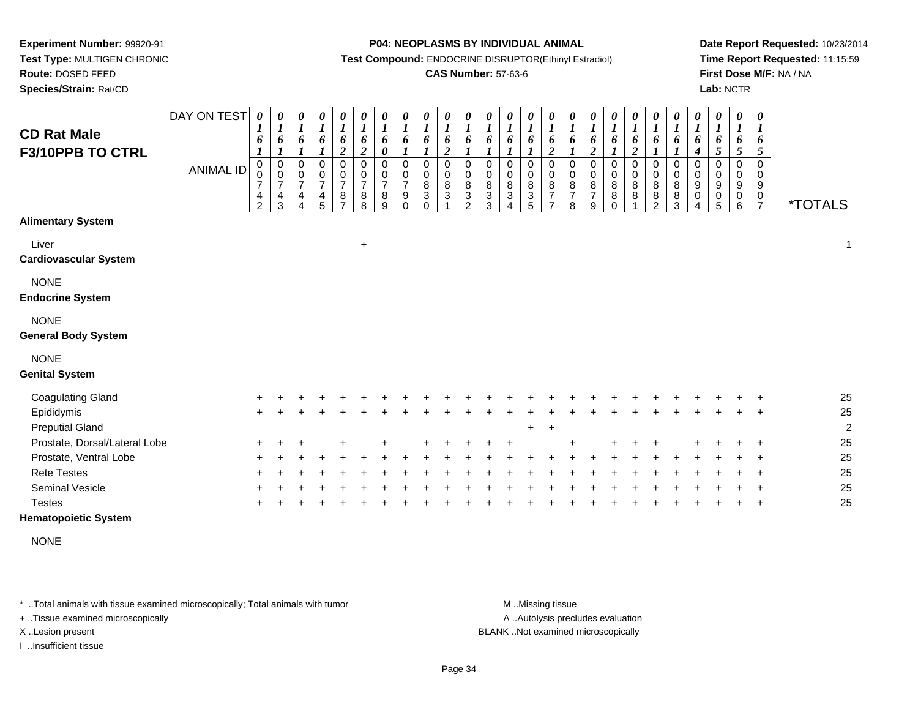**Test Type:** MULTIGEN CHRONIC**Route:** DOSED FEED

**Species/Strain:** Rat/CD

#### **P04: NEOPLASMS BY INDIVIDUAL ANIMAL**

**Test Compound:** ENDOCRINE DISRUPTOR(Ethinyl Estradiol)

### **CAS Number:** 57-63-6

**Date Report Requested:** 10/23/2014**Time Report Requested:** 11:15:59**First Dose M/F:** NA / NA**Lab:** NCTR

| <b>CD Rat Male</b><br>F3/10PPB TO CTRL    | DAY ON TEST<br><b>ANIMAL ID</b> | 0<br>6<br>$\pmb{0}$<br>0<br>$\overline{7}$<br>4<br>$\overline{2}$ | 0<br>$\boldsymbol{l}$<br>6<br>$\boldsymbol{l}$<br>$\pmb{0}$<br>$\mathbf 0$<br>$\boldsymbol{7}$<br>$\frac{4}{3}$ | 0<br>$\boldsymbol{l}$<br>6<br>$\boldsymbol{l}$<br>$\mathbf 0$<br>$\mathbf 0$<br>$\overline{\mathcal{I}}$<br>4<br>$\overline{\Delta}$ | $\pmb{\theta}$<br>$\boldsymbol{l}$<br>6<br>$\boldsymbol{l}$<br>$\mathbf 0$<br>$\frac{0}{7}$<br>$\frac{4}{5}$ | 0<br>$\boldsymbol{l}$<br>6<br>$\overline{2}$<br>0<br>$\frac{0}{7}$<br>$\frac{8}{7}$ | $\pmb{\theta}$<br>$\boldsymbol{l}$<br>6<br>$\overline{2}$<br>$\pmb{0}$<br>$\begin{array}{c} 0 \\ 7 \end{array}$<br>$_{8}^8$ | $\boldsymbol{\theta}$<br>$\boldsymbol{l}$<br>6<br>$\boldsymbol{\theta}$<br>$\mathbf 0$<br>$\pmb{0}$<br>$\overline{7}$<br>$\,$ 8 $\,$<br>9 | 0<br>$\boldsymbol{l}$<br>6<br>0<br>0<br>$\overline{7}$<br>9<br>$\Omega$ | $\pmb{\theta}$<br>$\boldsymbol{l}$<br>6<br>$\mathbf 0$<br>0<br>$\, 8$<br>$\sqrt{3}$<br>$\Omega$ | 0<br>$\boldsymbol{l}$<br>6<br>$\boldsymbol{2}$<br>$\mathbf 0$<br>0<br>8<br>3 | $\pmb{\theta}$<br>$\boldsymbol{l}$<br>6<br>1<br>$\mathbf 0$<br>$\mathbf 0$<br>$\bf8$<br>$\ensuremath{\mathsf{3}}$<br>2 | 0<br>$\boldsymbol{l}$<br>6<br>0<br>0<br>8<br>$\mathbf 3$<br>3 | 0<br>$\boldsymbol{l}$<br>6<br>1<br>0<br>0<br>$\bf 8$<br>$\ensuremath{\mathsf{3}}$<br>$\overline{A}$ | $\pmb{\theta}$<br>$\boldsymbol{l}$<br>6<br>$\boldsymbol{l}$<br>$\mathbf 0$<br>$\pmb{0}$<br>$\bf 8$<br>$\ensuremath{\mathsf{3}}$<br>5 | $\pmb{\theta}$<br>$\boldsymbol{l}$<br>6<br>$\boldsymbol{2}$<br>$\pmb{0}$<br>$\pmb{0}$<br>$\,8\,$<br>$\overline{7}$<br>$\overline{7}$ | $\pmb{\theta}$<br>$\boldsymbol{l}$<br>6<br>1<br>$\mathbf 0$<br>$\mathbf 0$<br>$\bf 8$<br>$\overline{7}$<br>8 | $\pmb{\theta}$<br>$\boldsymbol{l}$<br>6<br>$\boldsymbol{2}$<br>$\pmb{0}$<br>$\pmb{0}$<br>8<br>$\overline{7}$<br>9 | $\boldsymbol{\theta}$<br>$\boldsymbol{l}$<br>6<br>$\mathbf{I}$<br>$\mathbf 0$<br>$\pmb{0}$<br>$\bf 8$<br>$\bf 8$<br>$\Omega$ | 0<br>$\boldsymbol{l}$<br>6<br>$\boldsymbol{2}$<br>0<br>0<br>8<br>8 | $\boldsymbol{\theta}$<br>$\boldsymbol{l}$<br>6<br>1<br>$\mathbf 0$<br>$\pmb{0}$<br>$\, 8$<br>$\bf 8$<br>$\overline{c}$ | 0<br>$\boldsymbol{l}$<br>6<br>0<br>$\pmb{0}$<br>8<br>8<br>3 | $\pmb{\theta}$<br>$\boldsymbol{l}$<br>6<br>$\boldsymbol{4}$<br>$\pmb{0}$<br>$\pmb{0}$<br>$9\,$<br>0<br>4 | $\boldsymbol{l}$ | $\pmb{\theta}$<br>6<br>5<br>0<br>0<br>9<br>0<br>5 | $\pmb{\theta}$<br>$\boldsymbol{l}$<br>6<br>$\mathfrak{s}$<br>$\mathbf 0$<br>0<br>9<br>$\begin{array}{c} 0 \\ 6 \end{array}$ | $\boldsymbol{\theta}$<br>$\boldsymbol{l}$<br>6<br>$\overline{5}$<br>$\mathbf 0$<br>$\mathbf 0$<br>9<br>$\frac{0}{7}$ | <i><b>*TOTALS</b></i> |
|-------------------------------------------|---------------------------------|-------------------------------------------------------------------|-----------------------------------------------------------------------------------------------------------------|--------------------------------------------------------------------------------------------------------------------------------------|--------------------------------------------------------------------------------------------------------------|-------------------------------------------------------------------------------------|-----------------------------------------------------------------------------------------------------------------------------|-------------------------------------------------------------------------------------------------------------------------------------------|-------------------------------------------------------------------------|-------------------------------------------------------------------------------------------------|------------------------------------------------------------------------------|------------------------------------------------------------------------------------------------------------------------|---------------------------------------------------------------|-----------------------------------------------------------------------------------------------------|--------------------------------------------------------------------------------------------------------------------------------------|--------------------------------------------------------------------------------------------------------------------------------------|--------------------------------------------------------------------------------------------------------------|-------------------------------------------------------------------------------------------------------------------|------------------------------------------------------------------------------------------------------------------------------|--------------------------------------------------------------------|------------------------------------------------------------------------------------------------------------------------|-------------------------------------------------------------|----------------------------------------------------------------------------------------------------------|------------------|---------------------------------------------------|-----------------------------------------------------------------------------------------------------------------------------|----------------------------------------------------------------------------------------------------------------------|-----------------------|
| <b>Alimentary System</b>                  |                                 |                                                                   |                                                                                                                 |                                                                                                                                      |                                                                                                              |                                                                                     |                                                                                                                             |                                                                                                                                           |                                                                         |                                                                                                 |                                                                              |                                                                                                                        |                                                               |                                                                                                     |                                                                                                                                      |                                                                                                                                      |                                                                                                              |                                                                                                                   |                                                                                                                              |                                                                    |                                                                                                                        |                                                             |                                                                                                          |                  |                                                   |                                                                                                                             |                                                                                                                      |                       |
| Liver<br><b>Cardiovascular System</b>     |                                 |                                                                   |                                                                                                                 |                                                                                                                                      |                                                                                                              |                                                                                     | $\ddot{}$                                                                                                                   |                                                                                                                                           |                                                                         |                                                                                                 |                                                                              |                                                                                                                        |                                                               |                                                                                                     |                                                                                                                                      |                                                                                                                                      |                                                                                                              |                                                                                                                   |                                                                                                                              |                                                                    |                                                                                                                        |                                                             |                                                                                                          |                  |                                                   |                                                                                                                             |                                                                                                                      | $\mathbf{1}$          |
| <b>NONE</b><br><b>Endocrine System</b>    |                                 |                                                                   |                                                                                                                 |                                                                                                                                      |                                                                                                              |                                                                                     |                                                                                                                             |                                                                                                                                           |                                                                         |                                                                                                 |                                                                              |                                                                                                                        |                                                               |                                                                                                     |                                                                                                                                      |                                                                                                                                      |                                                                                                              |                                                                                                                   |                                                                                                                              |                                                                    |                                                                                                                        |                                                             |                                                                                                          |                  |                                                   |                                                                                                                             |                                                                                                                      |                       |
| <b>NONE</b><br><b>General Body System</b> |                                 |                                                                   |                                                                                                                 |                                                                                                                                      |                                                                                                              |                                                                                     |                                                                                                                             |                                                                                                                                           |                                                                         |                                                                                                 |                                                                              |                                                                                                                        |                                                               |                                                                                                     |                                                                                                                                      |                                                                                                                                      |                                                                                                              |                                                                                                                   |                                                                                                                              |                                                                    |                                                                                                                        |                                                             |                                                                                                          |                  |                                                   |                                                                                                                             |                                                                                                                      |                       |
| <b>NONE</b><br><b>Genital System</b>      |                                 |                                                                   |                                                                                                                 |                                                                                                                                      |                                                                                                              |                                                                                     |                                                                                                                             |                                                                                                                                           |                                                                         |                                                                                                 |                                                                              |                                                                                                                        |                                                               |                                                                                                     |                                                                                                                                      |                                                                                                                                      |                                                                                                              |                                                                                                                   |                                                                                                                              |                                                                    |                                                                                                                        |                                                             |                                                                                                          |                  |                                                   |                                                                                                                             |                                                                                                                      |                       |
|                                           |                                 |                                                                   |                                                                                                                 |                                                                                                                                      |                                                                                                              |                                                                                     |                                                                                                                             |                                                                                                                                           |                                                                         |                                                                                                 |                                                                              |                                                                                                                        |                                                               |                                                                                                     |                                                                                                                                      |                                                                                                                                      |                                                                                                              |                                                                                                                   |                                                                                                                              |                                                                    |                                                                                                                        |                                                             |                                                                                                          |                  |                                                   |                                                                                                                             |                                                                                                                      |                       |
| <b>Coagulating Gland</b><br>Epididymis    |                                 |                                                                   |                                                                                                                 |                                                                                                                                      |                                                                                                              |                                                                                     |                                                                                                                             |                                                                                                                                           |                                                                         |                                                                                                 |                                                                              |                                                                                                                        |                                                               |                                                                                                     |                                                                                                                                      |                                                                                                                                      |                                                                                                              |                                                                                                                   |                                                                                                                              |                                                                    |                                                                                                                        |                                                             |                                                                                                          |                  |                                                   |                                                                                                                             |                                                                                                                      | 25<br>25              |
| <b>Preputial Gland</b>                    |                                 | $\ddot{}$                                                         |                                                                                                                 |                                                                                                                                      |                                                                                                              |                                                                                     |                                                                                                                             |                                                                                                                                           |                                                                         |                                                                                                 |                                                                              |                                                                                                                        |                                                               |                                                                                                     | ÷                                                                                                                                    | $\pm$                                                                                                                                |                                                                                                              |                                                                                                                   |                                                                                                                              |                                                                    |                                                                                                                        |                                                             |                                                                                                          |                  |                                                   |                                                                                                                             |                                                                                                                      | $\overline{2}$        |
| Prostate, Dorsal/Lateral Lobe             |                                 |                                                                   |                                                                                                                 |                                                                                                                                      |                                                                                                              |                                                                                     |                                                                                                                             |                                                                                                                                           |                                                                         |                                                                                                 |                                                                              |                                                                                                                        |                                                               |                                                                                                     |                                                                                                                                      |                                                                                                                                      |                                                                                                              |                                                                                                                   |                                                                                                                              |                                                                    |                                                                                                                        |                                                             |                                                                                                          |                  |                                                   |                                                                                                                             |                                                                                                                      | 25                    |
| Prostate, Ventral Lobe                    |                                 |                                                                   |                                                                                                                 |                                                                                                                                      |                                                                                                              |                                                                                     |                                                                                                                             |                                                                                                                                           |                                                                         |                                                                                                 |                                                                              |                                                                                                                        |                                                               |                                                                                                     |                                                                                                                                      |                                                                                                                                      |                                                                                                              |                                                                                                                   |                                                                                                                              |                                                                    |                                                                                                                        |                                                             |                                                                                                          |                  |                                                   |                                                                                                                             |                                                                                                                      | 25                    |
| <b>Rete Testes</b>                        |                                 |                                                                   |                                                                                                                 |                                                                                                                                      |                                                                                                              |                                                                                     |                                                                                                                             |                                                                                                                                           |                                                                         |                                                                                                 |                                                                              |                                                                                                                        |                                                               |                                                                                                     |                                                                                                                                      |                                                                                                                                      |                                                                                                              |                                                                                                                   |                                                                                                                              |                                                                    |                                                                                                                        |                                                             |                                                                                                          |                  |                                                   |                                                                                                                             |                                                                                                                      | 25                    |
| <b>Seminal Vesicle</b>                    |                                 |                                                                   |                                                                                                                 |                                                                                                                                      |                                                                                                              |                                                                                     |                                                                                                                             |                                                                                                                                           |                                                                         |                                                                                                 |                                                                              |                                                                                                                        |                                                               |                                                                                                     |                                                                                                                                      |                                                                                                                                      |                                                                                                              |                                                                                                                   |                                                                                                                              |                                                                    |                                                                                                                        |                                                             |                                                                                                          |                  |                                                   |                                                                                                                             |                                                                                                                      | 25                    |
| <b>Testes</b>                             |                                 |                                                                   |                                                                                                                 |                                                                                                                                      |                                                                                                              |                                                                                     |                                                                                                                             |                                                                                                                                           |                                                                         |                                                                                                 |                                                                              |                                                                                                                        |                                                               |                                                                                                     |                                                                                                                                      |                                                                                                                                      |                                                                                                              |                                                                                                                   |                                                                                                                              |                                                                    |                                                                                                                        |                                                             |                                                                                                          |                  |                                                   |                                                                                                                             |                                                                                                                      | 25                    |

### **Hematopoietic System**

NONE

\* ..Total animals with tissue examined microscopically; Total animals with tumor **M** . Missing tissue M ..Missing tissue

+ ..Tissue examined microscopically

I ..Insufficient tissue

A ..Autolysis precludes evaluation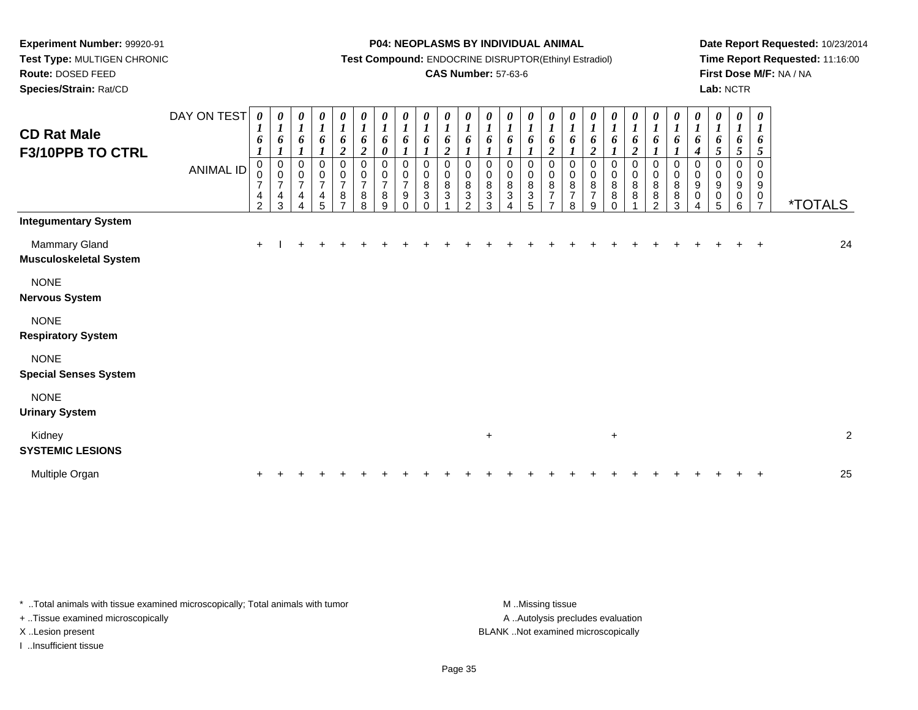**Test Type:** MULTIGEN CHRONIC**Route:** DOSED FEED

**Species/Strain:** Rat/CD

#### **P04: NEOPLASMS BY INDIVIDUAL ANIMAL**

**Test Compound:** ENDOCRINE DISRUPTOR(Ethinyl Estradiol)

## **CAS Number:** 57-63-6

**Date Report Requested:** 10/23/2014**Time Report Requested:** 11:16:00**First Dose M/F:** NA / NA**Lab:** NCTR

| <b>CD Rat Male</b><br>F3/10PPB TO CTRL         | DAY ON TEST<br><b>ANIMAL ID</b> | 0<br>6<br>0<br>$\,0\,$<br>7<br>4<br>2 | 0<br>$\boldsymbol{l}$<br>6<br>$\boldsymbol{l}$<br>0<br>$\pmb{0}$<br>$\overline{7}$<br>4<br>3 | 0<br>$\boldsymbol{l}$<br>6<br>$\boldsymbol{l}$<br>0<br>$\pmb{0}$<br>$\overline{7}$<br>4<br>4 | $\boldsymbol{l}$<br>6<br>$\boldsymbol{l}$<br>$\mathbf 0$<br>$\boldsymbol{0}$<br>$\overline{\mathbf{7}}$<br>4<br>5 | $\boldsymbol{\theta}$<br>$\boldsymbol{l}$<br>6<br>$\boldsymbol{2}$<br>0<br>$\pmb{0}$<br>$\overline{7}$<br>8<br>⇁ | 0<br>$\boldsymbol{l}$<br>6<br>$\overline{c}$<br>0<br>$\mathbf 0$<br>$\overline{7}$<br>$\bf 8$<br>8 | 0<br>$\boldsymbol{l}$<br>6<br>0<br>0<br>0<br>$\overline{7}$<br>8<br>9 | 0<br>$\boldsymbol{l}$<br>6<br>$\boldsymbol{l}$<br>0<br>$\pmb{0}$<br>$\overline{7}$<br>9<br>$\Omega$ | $\frac{\boldsymbol{\theta}}{\boldsymbol{I}}$<br>6<br>$\boldsymbol{l}$<br>$\,0\,$<br>$\pmb{0}$<br>$\bf 8$<br>$\ensuremath{\mathsf{3}}$<br>$\Omega$ | $\frac{\theta}{I}$<br>6<br>$\overline{2}$<br>0<br>$\mathbf 0$<br>$\bf8$<br>3 | $\frac{\theta}{I}$<br>6<br>0<br>$\pmb{0}$<br>$\bf 8$<br>3<br>2 | $\frac{\theta}{I}$<br>6<br>0<br>$\pmb{0}$<br>$\bf 8$<br>$\ensuremath{\mathsf{3}}$<br>3 | $\frac{\theta}{I}$<br>6<br>0<br>$_{\rm 0}^{\rm 0}$<br>$\sqrt{3}$ | $\frac{\theta}{I}$<br>6<br>0<br>$\pmb{0}$<br>$\bf 8$<br>$\mathbf{3}$<br>5 | $\frac{\boldsymbol{\theta}}{\boldsymbol{I}}$<br>6<br>$\boldsymbol{2}$<br>0<br>$\pmb{0}$<br>$\bf 8$<br>$\overline{7}$<br>$\overline{ }$ | $\boldsymbol{\theta}$<br>$\boldsymbol{l}$<br>6<br>0<br>$\pmb{0}$<br>$\, 8$<br>$\overline{7}$<br>8 | 6<br>2<br>0<br>$\pmb{0}$<br>$\bf 8$<br>$\overline{7}$<br>9 | $\boldsymbol{\theta}$<br>$\boldsymbol{l}$<br>6<br>0<br>$\pmb{0}$<br>$\,8\,$<br>$\bf 8$<br>$\Omega$ | 6<br>$\overline{2}$<br>0<br>$\pmb{0}$<br>8<br>8 | 6<br>$\mathbf 0$<br>0<br>$\bf 8$<br>$\bf 8$<br>$\mathcal{P}$ | 0<br>6<br>0<br>$\pmb{0}$<br>$\bf 8$<br>8<br>3 | 0<br>1<br>6<br>4<br>0<br>0<br>$\boldsymbol{9}$<br>$\pmb{0}$<br>4 | 0<br>$\boldsymbol{l}$<br>6<br>5 <sup>5</sup><br>$\pmb{0}$<br>$\pmb{0}$<br>$\boldsymbol{9}$<br>$\pmb{0}$<br>5 | 0<br>$\boldsymbol{l}$<br>6<br>$\sqrt{5}$<br>$\pmb{0}$<br>$\pmb{0}$<br>$\boldsymbol{9}$<br>0<br>6 | 0<br>$\boldsymbol{l}$<br>6<br>5<br>0<br>0<br>9<br>0<br>$\overline{7}$ | <i><b>*TOTALS</b></i> |
|------------------------------------------------|---------------------------------|---------------------------------------|----------------------------------------------------------------------------------------------|----------------------------------------------------------------------------------------------|-------------------------------------------------------------------------------------------------------------------|------------------------------------------------------------------------------------------------------------------|----------------------------------------------------------------------------------------------------|-----------------------------------------------------------------------|-----------------------------------------------------------------------------------------------------|---------------------------------------------------------------------------------------------------------------------------------------------------|------------------------------------------------------------------------------|----------------------------------------------------------------|----------------------------------------------------------------------------------------|------------------------------------------------------------------|---------------------------------------------------------------------------|----------------------------------------------------------------------------------------------------------------------------------------|---------------------------------------------------------------------------------------------------|------------------------------------------------------------|----------------------------------------------------------------------------------------------------|-------------------------------------------------|--------------------------------------------------------------|-----------------------------------------------|------------------------------------------------------------------|--------------------------------------------------------------------------------------------------------------|--------------------------------------------------------------------------------------------------|-----------------------------------------------------------------------|-----------------------|
| <b>Integumentary System</b>                    |                                 |                                       |                                                                                              |                                                                                              |                                                                                                                   |                                                                                                                  |                                                                                                    |                                                                       |                                                                                                     |                                                                                                                                                   |                                                                              |                                                                |                                                                                        |                                                                  |                                                                           |                                                                                                                                        |                                                                                                   |                                                            |                                                                                                    |                                                 |                                                              |                                               |                                                                  |                                                                                                              |                                                                                                  |                                                                       |                       |
| Mammary Gland<br><b>Musculoskeletal System</b> |                                 | $\pm$                                 |                                                                                              |                                                                                              |                                                                                                                   |                                                                                                                  |                                                                                                    |                                                                       |                                                                                                     |                                                                                                                                                   |                                                                              |                                                                |                                                                                        |                                                                  |                                                                           |                                                                                                                                        |                                                                                                   |                                                            |                                                                                                    |                                                 |                                                              |                                               |                                                                  |                                                                                                              |                                                                                                  |                                                                       | 24                    |
| <b>NONE</b><br><b>Nervous System</b>           |                                 |                                       |                                                                                              |                                                                                              |                                                                                                                   |                                                                                                                  |                                                                                                    |                                                                       |                                                                                                     |                                                                                                                                                   |                                                                              |                                                                |                                                                                        |                                                                  |                                                                           |                                                                                                                                        |                                                                                                   |                                                            |                                                                                                    |                                                 |                                                              |                                               |                                                                  |                                                                                                              |                                                                                                  |                                                                       |                       |
| <b>NONE</b><br><b>Respiratory System</b>       |                                 |                                       |                                                                                              |                                                                                              |                                                                                                                   |                                                                                                                  |                                                                                                    |                                                                       |                                                                                                     |                                                                                                                                                   |                                                                              |                                                                |                                                                                        |                                                                  |                                                                           |                                                                                                                                        |                                                                                                   |                                                            |                                                                                                    |                                                 |                                                              |                                               |                                                                  |                                                                                                              |                                                                                                  |                                                                       |                       |
| <b>NONE</b><br><b>Special Senses System</b>    |                                 |                                       |                                                                                              |                                                                                              |                                                                                                                   |                                                                                                                  |                                                                                                    |                                                                       |                                                                                                     |                                                                                                                                                   |                                                                              |                                                                |                                                                                        |                                                                  |                                                                           |                                                                                                                                        |                                                                                                   |                                                            |                                                                                                    |                                                 |                                                              |                                               |                                                                  |                                                                                                              |                                                                                                  |                                                                       |                       |
| <b>NONE</b><br><b>Urinary System</b>           |                                 |                                       |                                                                                              |                                                                                              |                                                                                                                   |                                                                                                                  |                                                                                                    |                                                                       |                                                                                                     |                                                                                                                                                   |                                                                              |                                                                |                                                                                        |                                                                  |                                                                           |                                                                                                                                        |                                                                                                   |                                                            |                                                                                                    |                                                 |                                                              |                                               |                                                                  |                                                                                                              |                                                                                                  |                                                                       |                       |
| Kidney<br><b>SYSTEMIC LESIONS</b>              |                                 |                                       |                                                                                              |                                                                                              |                                                                                                                   |                                                                                                                  |                                                                                                    |                                                                       |                                                                                                     |                                                                                                                                                   |                                                                              |                                                                | $\ddot{}$                                                                              |                                                                  |                                                                           |                                                                                                                                        |                                                                                                   |                                                            | $\ddot{}$                                                                                          |                                                 |                                                              |                                               |                                                                  |                                                                                                              |                                                                                                  |                                                                       | $\overline{a}$        |
| Multiple Organ                                 |                                 |                                       |                                                                                              |                                                                                              |                                                                                                                   |                                                                                                                  |                                                                                                    |                                                                       |                                                                                                     |                                                                                                                                                   |                                                                              |                                                                |                                                                                        |                                                                  |                                                                           |                                                                                                                                        |                                                                                                   |                                                            |                                                                                                    |                                                 |                                                              |                                               |                                                                  |                                                                                                              |                                                                                                  |                                                                       | 25                    |

\* ..Total animals with tissue examined microscopically; Total animals with tumor **M** . Missing tissue M ..Missing tissue

+ ..Tissue examined microscopically

I ..Insufficient tissue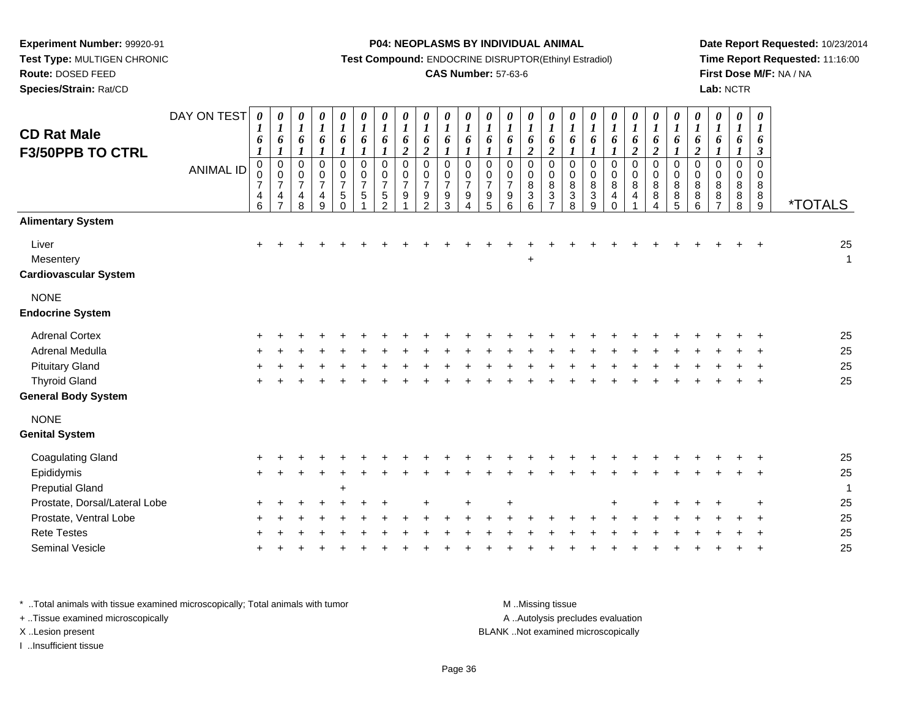**Test Type:** MULTIGEN CHRONIC

# **Route:** DOSED FEED

**Species/Strain:** Rat/CD

#### **P04: NEOPLASMS BY INDIVIDUAL ANIMAL**

**Test Compound:** ENDOCRINE DISRUPTOR(Ethinyl Estradiol)

## **CAS Number:** 57-63-6

**Date Report Requested:** 10/23/2014**Time Report Requested:** 11:16:00**First Dose M/F:** NA / NA**Lab:** NCTR

| <b>CD Rat Male</b><br><b>F3/50PPB TO CTRL</b>      | DAY ON TEST<br><b>ANIMAL ID</b> | 0<br>$\boldsymbol{I}$<br>6<br>$\boldsymbol{0}$<br>0<br>$\overline{7}$<br>4<br>6 | 0<br>$\boldsymbol{l}$<br>6<br>$\boldsymbol{l}$<br>$\mathsf 0$<br>$\pmb{0}$<br>$\boldsymbol{7}$<br>$\overline{\mathbf{4}}$ | $\pmb{\theta}$<br>$\boldsymbol{l}$<br>6<br>1<br>$\mathbf 0$<br>$\mathbf 0$<br>$\overline{7}$<br>4<br>8 | $\begin{matrix} 0 \\ 1 \end{matrix}$<br>6<br>$\boldsymbol{l}$<br>$\mathbf 0$<br>$\frac{0}{7}$<br>$\overline{\mathbf{4}}$<br>9 | $\frac{\theta}{I}$<br>$\boldsymbol{6}$<br>$\boldsymbol{l}$<br>$\pmb{0}$<br>$\frac{0}{7}$<br>$5\,$<br>$\Omega$ | $\frac{\theta}{I}$<br>6<br>$\boldsymbol{l}$<br>0<br>$\begin{array}{c} 0 \\ 7 \end{array}$<br>$\overline{5}$ | $\boldsymbol{\theta}$<br>$\boldsymbol{l}$<br>6<br>$\pmb{0}$<br>$\mathbf 0$<br>$\overline{7}$<br>5<br>$\mathcal{P}$ | 0<br>$\boldsymbol{l}$<br>6<br>$\overline{c}$<br>$\mathbf 0$<br>0<br>$\overline{7}$<br>9 | $\boldsymbol{\theta}$<br>$\boldsymbol{l}$<br>6<br>$\overline{2}$<br>$\mathbf 0$<br>$\mathbf 0$<br>$\overline{7}$<br>9<br>$\overline{2}$ | 0<br>$\boldsymbol{l}$<br>6<br>$\mathbf 0$<br>0<br>$\overline{7}$<br>9<br>3 | $\boldsymbol{\theta}$<br>$\boldsymbol{l}$<br>6<br>$\mathbf 0$<br>$\Omega$<br>$\overline{7}$<br>9 | 0<br>$\boldsymbol{l}$<br>6<br>0<br>0<br>$\overline{7}$<br>9<br>5 | 0<br>$\boldsymbol{l}$<br>6<br>1<br>0<br>0<br>$\overline{7}$<br>9<br>6 | $\boldsymbol{\theta}$<br>$\boldsymbol{l}$<br>6<br>$\boldsymbol{2}$<br>$\mathbf 0$<br>$\mathbf 0$<br>$\bf8$<br>$\mathbf{3}$<br>6 | $\pmb{\theta}$<br>$\boldsymbol{l}$<br>6<br>$\overline{2}$<br>$\pmb{0}$<br>$\mathbf 0$<br>8<br>$\sqrt{3}$<br>$\overline{ }$ | 0<br>$\boldsymbol{l}$<br>6<br>$\pmb{0}$<br>$\mathbf 0$<br>8<br>3<br>8 | $\pmb{\theta}$<br>$\boldsymbol{l}$<br>6<br>$\pmb{0}$<br>$\mathbf 0$<br>8<br>$\ensuremath{\mathsf{3}}$<br>$\overline{9}$ | $\boldsymbol{\theta}$<br>$\boldsymbol{l}$<br>6<br>1<br>$\mathbf 0$<br>$\mathbf 0$<br>8<br>4<br>$\Omega$ | $\frac{\theta}{I}$<br>6<br>$\overline{2}$<br>$\mathsf 0$<br>$\pmb{0}$<br>$\bf 8$<br>$\overline{\mathbf{4}}$ | $\frac{\boldsymbol{\theta}}{\boldsymbol{I}}$<br>6<br>$\overline{2}$<br>0<br>0<br>8<br>8<br>4 | $\begin{matrix} 0 \\ 1 \end{matrix}$<br>6<br>0<br>$\pmb{0}$<br>$\bf 8$<br>$\bf 8$<br>$\overline{5}$ | $\pmb{\theta}$<br>$\boldsymbol{l}$<br>6<br>$\boldsymbol{2}$<br>$\pmb{0}$<br>$\mathbf 0$<br>8<br>8<br>6 | 0<br>$\boldsymbol{l}$<br>6<br>$\mathbf 0$<br>0<br>8<br>$\bf 8$<br>$\overline{ }$ | $\boldsymbol{\theta}$<br>$\boldsymbol{l}$<br>6<br>$\pmb{0}$<br>$\mathbf 0$<br>8<br>8<br>8 | 0<br>1<br>6<br>$\boldsymbol{\beta}$<br>0<br>0<br>8<br>8<br>9 | <i><b>*TOTALS</b></i> |
|----------------------------------------------------|---------------------------------|---------------------------------------------------------------------------------|---------------------------------------------------------------------------------------------------------------------------|--------------------------------------------------------------------------------------------------------|-------------------------------------------------------------------------------------------------------------------------------|---------------------------------------------------------------------------------------------------------------|-------------------------------------------------------------------------------------------------------------|--------------------------------------------------------------------------------------------------------------------|-----------------------------------------------------------------------------------------|-----------------------------------------------------------------------------------------------------------------------------------------|----------------------------------------------------------------------------|--------------------------------------------------------------------------------------------------|------------------------------------------------------------------|-----------------------------------------------------------------------|---------------------------------------------------------------------------------------------------------------------------------|----------------------------------------------------------------------------------------------------------------------------|-----------------------------------------------------------------------|-------------------------------------------------------------------------------------------------------------------------|---------------------------------------------------------------------------------------------------------|-------------------------------------------------------------------------------------------------------------|----------------------------------------------------------------------------------------------|-----------------------------------------------------------------------------------------------------|--------------------------------------------------------------------------------------------------------|----------------------------------------------------------------------------------|-------------------------------------------------------------------------------------------|--------------------------------------------------------------|-----------------------|
| <b>Alimentary System</b>                           |                                 |                                                                                 |                                                                                                                           |                                                                                                        |                                                                                                                               |                                                                                                               |                                                                                                             |                                                                                                                    |                                                                                         |                                                                                                                                         |                                                                            |                                                                                                  |                                                                  |                                                                       |                                                                                                                                 |                                                                                                                            |                                                                       |                                                                                                                         |                                                                                                         |                                                                                                             |                                                                                              |                                                                                                     |                                                                                                        |                                                                                  |                                                                                           |                                                              |                       |
| Liver<br>Mesentery<br><b>Cardiovascular System</b> |                                 | $\ddot{}$                                                                       |                                                                                                                           |                                                                                                        |                                                                                                                               |                                                                                                               |                                                                                                             |                                                                                                                    |                                                                                         |                                                                                                                                         |                                                                            |                                                                                                  |                                                                  |                                                                       |                                                                                                                                 |                                                                                                                            |                                                                       |                                                                                                                         |                                                                                                         |                                                                                                             |                                                                                              |                                                                                                     |                                                                                                        |                                                                                  |                                                                                           |                                                              | 25<br>$\mathbf{1}$    |
| <b>NONE</b><br><b>Endocrine System</b>             |                                 |                                                                                 |                                                                                                                           |                                                                                                        |                                                                                                                               |                                                                                                               |                                                                                                             |                                                                                                                    |                                                                                         |                                                                                                                                         |                                                                            |                                                                                                  |                                                                  |                                                                       |                                                                                                                                 |                                                                                                                            |                                                                       |                                                                                                                         |                                                                                                         |                                                                                                             |                                                                                              |                                                                                                     |                                                                                                        |                                                                                  |                                                                                           |                                                              |                       |
| <b>Adrenal Cortex</b>                              |                                 |                                                                                 |                                                                                                                           |                                                                                                        |                                                                                                                               |                                                                                                               |                                                                                                             |                                                                                                                    |                                                                                         |                                                                                                                                         |                                                                            |                                                                                                  |                                                                  |                                                                       |                                                                                                                                 |                                                                                                                            |                                                                       |                                                                                                                         |                                                                                                         |                                                                                                             |                                                                                              |                                                                                                     |                                                                                                        |                                                                                  |                                                                                           |                                                              | 25                    |
| Adrenal Medulla                                    |                                 |                                                                                 |                                                                                                                           |                                                                                                        |                                                                                                                               |                                                                                                               |                                                                                                             |                                                                                                                    |                                                                                         |                                                                                                                                         |                                                                            |                                                                                                  |                                                                  |                                                                       |                                                                                                                                 |                                                                                                                            |                                                                       |                                                                                                                         |                                                                                                         |                                                                                                             |                                                                                              |                                                                                                     |                                                                                                        |                                                                                  |                                                                                           |                                                              | 25                    |
| <b>Pituitary Gland</b>                             |                                 |                                                                                 |                                                                                                                           |                                                                                                        |                                                                                                                               |                                                                                                               |                                                                                                             |                                                                                                                    |                                                                                         |                                                                                                                                         |                                                                            |                                                                                                  |                                                                  |                                                                       |                                                                                                                                 |                                                                                                                            |                                                                       |                                                                                                                         |                                                                                                         |                                                                                                             |                                                                                              |                                                                                                     |                                                                                                        |                                                                                  |                                                                                           |                                                              | 25                    |
| <b>Thyroid Gland</b>                               |                                 |                                                                                 |                                                                                                                           |                                                                                                        |                                                                                                                               |                                                                                                               |                                                                                                             |                                                                                                                    |                                                                                         |                                                                                                                                         |                                                                            |                                                                                                  |                                                                  |                                                                       |                                                                                                                                 |                                                                                                                            |                                                                       |                                                                                                                         |                                                                                                         |                                                                                                             |                                                                                              |                                                                                                     |                                                                                                        |                                                                                  |                                                                                           |                                                              | 25                    |
| <b>General Body System</b>                         |                                 |                                                                                 |                                                                                                                           |                                                                                                        |                                                                                                                               |                                                                                                               |                                                                                                             |                                                                                                                    |                                                                                         |                                                                                                                                         |                                                                            |                                                                                                  |                                                                  |                                                                       |                                                                                                                                 |                                                                                                                            |                                                                       |                                                                                                                         |                                                                                                         |                                                                                                             |                                                                                              |                                                                                                     |                                                                                                        |                                                                                  |                                                                                           |                                                              |                       |
| <b>NONE</b>                                        |                                 |                                                                                 |                                                                                                                           |                                                                                                        |                                                                                                                               |                                                                                                               |                                                                                                             |                                                                                                                    |                                                                                         |                                                                                                                                         |                                                                            |                                                                                                  |                                                                  |                                                                       |                                                                                                                                 |                                                                                                                            |                                                                       |                                                                                                                         |                                                                                                         |                                                                                                             |                                                                                              |                                                                                                     |                                                                                                        |                                                                                  |                                                                                           |                                                              |                       |
| <b>Genital System</b>                              |                                 |                                                                                 |                                                                                                                           |                                                                                                        |                                                                                                                               |                                                                                                               |                                                                                                             |                                                                                                                    |                                                                                         |                                                                                                                                         |                                                                            |                                                                                                  |                                                                  |                                                                       |                                                                                                                                 |                                                                                                                            |                                                                       |                                                                                                                         |                                                                                                         |                                                                                                             |                                                                                              |                                                                                                     |                                                                                                        |                                                                                  |                                                                                           |                                                              |                       |
| <b>Coagulating Gland</b>                           |                                 |                                                                                 |                                                                                                                           |                                                                                                        |                                                                                                                               |                                                                                                               |                                                                                                             |                                                                                                                    |                                                                                         |                                                                                                                                         |                                                                            |                                                                                                  |                                                                  |                                                                       |                                                                                                                                 |                                                                                                                            |                                                                       |                                                                                                                         |                                                                                                         |                                                                                                             |                                                                                              |                                                                                                     |                                                                                                        |                                                                                  |                                                                                           |                                                              | 25                    |
| Epididymis                                         |                                 |                                                                                 |                                                                                                                           |                                                                                                        |                                                                                                                               |                                                                                                               |                                                                                                             |                                                                                                                    |                                                                                         |                                                                                                                                         |                                                                            |                                                                                                  |                                                                  |                                                                       |                                                                                                                                 |                                                                                                                            |                                                                       |                                                                                                                         |                                                                                                         |                                                                                                             |                                                                                              |                                                                                                     |                                                                                                        |                                                                                  |                                                                                           |                                                              | 25                    |
| <b>Preputial Gland</b>                             |                                 |                                                                                 |                                                                                                                           |                                                                                                        |                                                                                                                               | $\ddot{}$                                                                                                     |                                                                                                             |                                                                                                                    |                                                                                         |                                                                                                                                         |                                                                            |                                                                                                  |                                                                  |                                                                       |                                                                                                                                 |                                                                                                                            |                                                                       |                                                                                                                         |                                                                                                         |                                                                                                             |                                                                                              |                                                                                                     |                                                                                                        |                                                                                  |                                                                                           |                                                              | 1                     |
| Prostate, Dorsal/Lateral Lobe                      |                                 |                                                                                 |                                                                                                                           |                                                                                                        |                                                                                                                               |                                                                                                               |                                                                                                             |                                                                                                                    |                                                                                         |                                                                                                                                         |                                                                            |                                                                                                  |                                                                  |                                                                       |                                                                                                                                 |                                                                                                                            |                                                                       |                                                                                                                         |                                                                                                         |                                                                                                             |                                                                                              |                                                                                                     |                                                                                                        |                                                                                  |                                                                                           |                                                              | 25                    |
| Prostate, Ventral Lobe                             |                                 |                                                                                 |                                                                                                                           |                                                                                                        |                                                                                                                               |                                                                                                               |                                                                                                             |                                                                                                                    |                                                                                         |                                                                                                                                         |                                                                            |                                                                                                  |                                                                  |                                                                       |                                                                                                                                 |                                                                                                                            |                                                                       |                                                                                                                         |                                                                                                         |                                                                                                             |                                                                                              |                                                                                                     |                                                                                                        |                                                                                  |                                                                                           |                                                              | 25                    |
| <b>Rete Testes</b>                                 |                                 |                                                                                 |                                                                                                                           |                                                                                                        |                                                                                                                               |                                                                                                               |                                                                                                             |                                                                                                                    |                                                                                         |                                                                                                                                         |                                                                            |                                                                                                  |                                                                  |                                                                       |                                                                                                                                 |                                                                                                                            |                                                                       |                                                                                                                         |                                                                                                         |                                                                                                             |                                                                                              |                                                                                                     |                                                                                                        |                                                                                  |                                                                                           |                                                              | 25                    |
| Seminal Vesicle                                    |                                 |                                                                                 |                                                                                                                           |                                                                                                        |                                                                                                                               |                                                                                                               |                                                                                                             |                                                                                                                    |                                                                                         |                                                                                                                                         |                                                                            |                                                                                                  |                                                                  |                                                                       |                                                                                                                                 |                                                                                                                            |                                                                       |                                                                                                                         |                                                                                                         |                                                                                                             |                                                                                              |                                                                                                     |                                                                                                        |                                                                                  |                                                                                           |                                                              | 25                    |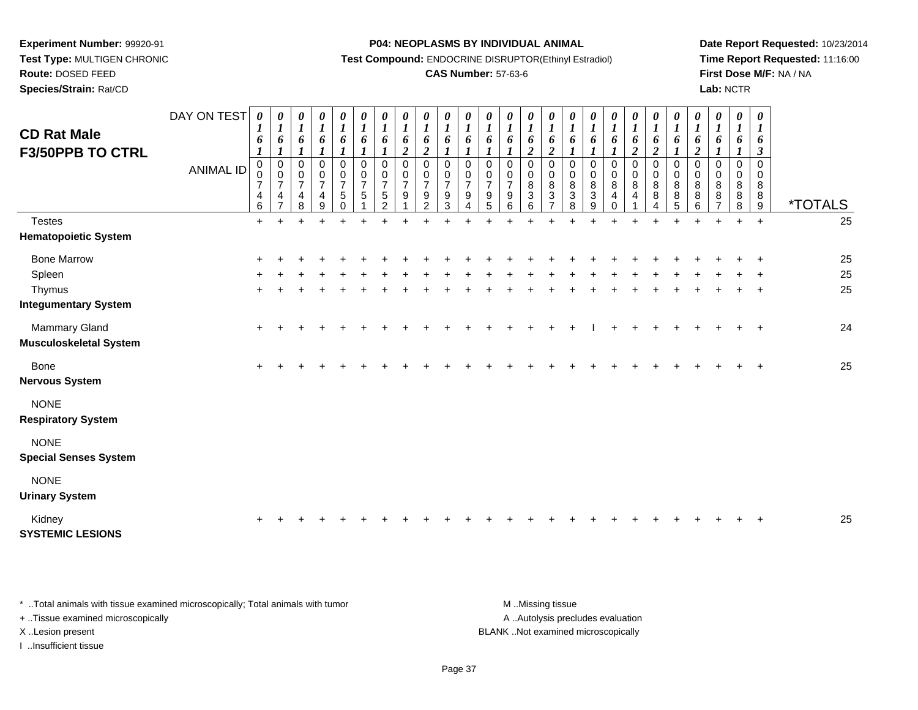**Test Type:** MULTIGEN CHRONIC

**Route:** DOSED FEED

**Species/Strain:** Rat/CD

#### **P04: NEOPLASMS BY INDIVIDUAL ANIMAL**

**Test Compound:** ENDOCRINE DISRUPTOR(Ethinyl Estradiol)

## **CAS Number:** 57-63-6

**Date Report Requested:** 10/23/2014**Time Report Requested:** 11:16:00**First Dose M/F:** NA / NA**Lab:** NCTR

| <b>CD Rat Male</b><br><b>F3/50PPB TO CTRL</b>  | DAY ON TEST<br><b>ANIMAL ID</b> | 0<br>$\boldsymbol{l}$<br>6<br>$\boldsymbol{l}$<br>$\mathbf 0$<br>0<br>$\overline{7}$ | $\boldsymbol{\theta}$<br>$\boldsymbol{l}$<br>6<br>$\boldsymbol{l}$<br>$\pmb{0}$<br>$\pmb{0}$<br>$\overline{7}$ | 0<br>$\boldsymbol{l}$<br>6<br>$\mathsf 0$<br>0<br>$\overline{7}$ | $\boldsymbol{\theta}$<br>$\boldsymbol{l}$<br>6<br>$\boldsymbol{l}$<br>0<br>$\pmb{0}$<br>$\overline{7}$ | 0<br>$\boldsymbol{I}$<br>6<br>1<br>$\mathbf 0$<br>$\pmb{0}$<br>$\overline{7}$ | 0<br>$\boldsymbol{l}$<br>6<br>1<br>$\mathbf 0$<br>$\boldsymbol{0}$<br>$\overline{7}$ | 0<br>$\boldsymbol{l}$<br>6<br>$\mathbf 0$<br>0<br>$\overline{7}$ | 0<br>$\boldsymbol{l}$<br>6<br>$\boldsymbol{2}$<br>$\mathbf 0$<br>0<br>$\overline{7}$ | 0<br>$\boldsymbol{l}$<br>6<br>$\boldsymbol{2}$<br>$\mathbf 0$<br>$\mathbf 0$<br>$\overline{7}$ | $\boldsymbol{\theta}$<br>$\boldsymbol{l}$<br>6<br>$\mathbf 0$<br>$\pmb{0}$<br>$\overline{7}$ | 0<br>$\boldsymbol{l}$<br>6<br>$\mathbf 0$<br>$\boldsymbol{0}$<br>$\overline{7}$ | 0<br>$\boldsymbol{l}$<br>6<br>$\mathbf 0$<br>$\boldsymbol{0}$<br>$\overline{7}$ | $\boldsymbol{\theta}$<br>$\boldsymbol{l}$<br>6<br>$\boldsymbol{l}$<br>$\mathbf 0$<br>$\mathbf 0$<br>$\overline{7}$ | 0<br>$\boldsymbol{l}$<br>6<br>$\boldsymbol{2}$<br>$\mathbf 0$<br>$\,0\,$<br>$\bf 8$ | $\boldsymbol{\theta}$<br>$\boldsymbol{l}$<br>6<br>$\boldsymbol{2}$<br>$\mathbf 0$<br>$\mathbf 0$<br>$\bf 8$ | 0<br>$\boldsymbol{l}$<br>6<br>1<br>0<br>$\pmb{0}$<br>$\bf 8$ | 0<br>$\boldsymbol{l}$<br>6<br>1<br>$\mathbf 0$<br>$\pmb{0}$<br>$\bf 8$ | 0<br>$\boldsymbol{l}$<br>6<br>0<br>$\boldsymbol{0}$<br>8 | 0<br>$\boldsymbol{l}$<br>6<br>$\boldsymbol{2}$<br>0<br>$\pmb{0}$<br>8 | 0<br>$\boldsymbol{l}$<br>6<br>$\boldsymbol{2}$<br>$\mathbf 0$<br>$\pmb{0}$<br>8 | $\boldsymbol{\theta}$<br>$\boldsymbol{l}$<br>6<br>$\mathbf 0$<br>$\pmb{0}$<br>$\bf 8$ | 0<br>$\boldsymbol{I}$<br>6<br>$\boldsymbol{2}$<br>$\mathbf 0$<br>$\mathbf 0$<br>8 | 0<br>$\boldsymbol{l}$<br>6<br>1<br>0<br>0<br>8 | 0<br>$\boldsymbol{l}$<br>6<br>1<br>$\mathbf 0$<br>0<br>8 | 0<br>$\boldsymbol{l}$<br>6<br>$\boldsymbol{\beta}$<br>$\mathbf 0$<br>$\pmb{0}$<br>8 |                       |
|------------------------------------------------|---------------------------------|--------------------------------------------------------------------------------------|----------------------------------------------------------------------------------------------------------------|------------------------------------------------------------------|--------------------------------------------------------------------------------------------------------|-------------------------------------------------------------------------------|--------------------------------------------------------------------------------------|------------------------------------------------------------------|--------------------------------------------------------------------------------------|------------------------------------------------------------------------------------------------|----------------------------------------------------------------------------------------------|---------------------------------------------------------------------------------|---------------------------------------------------------------------------------|--------------------------------------------------------------------------------------------------------------------|-------------------------------------------------------------------------------------|-------------------------------------------------------------------------------------------------------------|--------------------------------------------------------------|------------------------------------------------------------------------|----------------------------------------------------------|-----------------------------------------------------------------------|---------------------------------------------------------------------------------|---------------------------------------------------------------------------------------|-----------------------------------------------------------------------------------|------------------------------------------------|----------------------------------------------------------|-------------------------------------------------------------------------------------|-----------------------|
|                                                |                                 | $\overline{4}$<br>$6\phantom{a}$                                                     | $\overline{4}$<br>$\overline{7}$                                                                               | 4<br>8                                                           | $\overline{4}$<br>9                                                                                    | 5<br>$\Omega$                                                                 | 5                                                                                    | 5<br>$\mathcal{P}$                                               | 9                                                                                    | 9<br>$\mathcal{D}$                                                                             | 9<br>3                                                                                       | 9                                                                               | 9<br>5                                                                          | $9\,$<br>6                                                                                                         | $\overline{3}$<br>6                                                                 | $\mathbf{3}$<br>$\overline{7}$                                                                              | 3<br>8                                                       | 3<br>9                                                                 | 4<br>$\Omega$                                            | 4                                                                     | 8                                                                               | 8<br>5                                                                                | 8<br>6                                                                            | 8                                              | 8<br>8                                                   | $^8_9$                                                                              | <i><b>*TOTALS</b></i> |
| <b>Testes</b>                                  |                                 | $+$                                                                                  |                                                                                                                |                                                                  |                                                                                                        |                                                                               |                                                                                      |                                                                  |                                                                                      |                                                                                                |                                                                                              |                                                                                 |                                                                                 |                                                                                                                    |                                                                                     |                                                                                                             |                                                              |                                                                        |                                                          |                                                                       |                                                                                 |                                                                                       |                                                                                   |                                                |                                                          | $\ddot{}$                                                                           | 25                    |
| <b>Hematopoietic System</b>                    |                                 |                                                                                      |                                                                                                                |                                                                  |                                                                                                        |                                                                               |                                                                                      |                                                                  |                                                                                      |                                                                                                |                                                                                              |                                                                                 |                                                                                 |                                                                                                                    |                                                                                     |                                                                                                             |                                                              |                                                                        |                                                          |                                                                       |                                                                                 |                                                                                       |                                                                                   |                                                |                                                          |                                                                                     |                       |
| <b>Bone Marrow</b>                             |                                 | $\pm$                                                                                |                                                                                                                |                                                                  |                                                                                                        |                                                                               |                                                                                      |                                                                  |                                                                                      |                                                                                                |                                                                                              |                                                                                 |                                                                                 |                                                                                                                    |                                                                                     |                                                                                                             |                                                              |                                                                        |                                                          |                                                                       |                                                                                 |                                                                                       |                                                                                   |                                                |                                                          | $\div$                                                                              | 25                    |
| Spleen                                         |                                 |                                                                                      |                                                                                                                |                                                                  |                                                                                                        |                                                                               |                                                                                      |                                                                  |                                                                                      |                                                                                                |                                                                                              |                                                                                 |                                                                                 |                                                                                                                    |                                                                                     |                                                                                                             |                                                              |                                                                        |                                                          |                                                                       |                                                                                 |                                                                                       |                                                                                   |                                                |                                                          |                                                                                     | 25                    |
| Thymus                                         |                                 | $+$                                                                                  |                                                                                                                |                                                                  |                                                                                                        |                                                                               |                                                                                      |                                                                  |                                                                                      |                                                                                                |                                                                                              |                                                                                 |                                                                                 |                                                                                                                    |                                                                                     |                                                                                                             |                                                              |                                                                        |                                                          |                                                                       |                                                                                 |                                                                                       |                                                                                   |                                                |                                                          | $\ddot{}$                                                                           | 25                    |
| <b>Integumentary System</b>                    |                                 |                                                                                      |                                                                                                                |                                                                  |                                                                                                        |                                                                               |                                                                                      |                                                                  |                                                                                      |                                                                                                |                                                                                              |                                                                                 |                                                                                 |                                                                                                                    |                                                                                     |                                                                                                             |                                                              |                                                                        |                                                          |                                                                       |                                                                                 |                                                                                       |                                                                                   |                                                |                                                          |                                                                                     |                       |
| Mammary Gland<br><b>Musculoskeletal System</b> |                                 | $\ddot{}$                                                                            |                                                                                                                |                                                                  |                                                                                                        |                                                                               |                                                                                      |                                                                  |                                                                                      |                                                                                                |                                                                                              |                                                                                 |                                                                                 |                                                                                                                    |                                                                                     |                                                                                                             |                                                              |                                                                        |                                                          |                                                                       |                                                                                 |                                                                                       |                                                                                   |                                                |                                                          | $\ddot{}$                                                                           | 24                    |
| Bone<br><b>Nervous System</b>                  |                                 | $+$                                                                                  |                                                                                                                |                                                                  |                                                                                                        |                                                                               |                                                                                      |                                                                  |                                                                                      |                                                                                                |                                                                                              |                                                                                 |                                                                                 |                                                                                                                    |                                                                                     |                                                                                                             |                                                              |                                                                        |                                                          |                                                                       |                                                                                 |                                                                                       |                                                                                   |                                                |                                                          |                                                                                     | 25                    |
| <b>NONE</b><br><b>Respiratory System</b>       |                                 |                                                                                      |                                                                                                                |                                                                  |                                                                                                        |                                                                               |                                                                                      |                                                                  |                                                                                      |                                                                                                |                                                                                              |                                                                                 |                                                                                 |                                                                                                                    |                                                                                     |                                                                                                             |                                                              |                                                                        |                                                          |                                                                       |                                                                                 |                                                                                       |                                                                                   |                                                |                                                          |                                                                                     |                       |
| <b>NONE</b><br><b>Special Senses System</b>    |                                 |                                                                                      |                                                                                                                |                                                                  |                                                                                                        |                                                                               |                                                                                      |                                                                  |                                                                                      |                                                                                                |                                                                                              |                                                                                 |                                                                                 |                                                                                                                    |                                                                                     |                                                                                                             |                                                              |                                                                        |                                                          |                                                                       |                                                                                 |                                                                                       |                                                                                   |                                                |                                                          |                                                                                     |                       |
| <b>NONE</b><br><b>Urinary System</b>           |                                 |                                                                                      |                                                                                                                |                                                                  |                                                                                                        |                                                                               |                                                                                      |                                                                  |                                                                                      |                                                                                                |                                                                                              |                                                                                 |                                                                                 |                                                                                                                    |                                                                                     |                                                                                                             |                                                              |                                                                        |                                                          |                                                                       |                                                                                 |                                                                                       |                                                                                   |                                                |                                                          |                                                                                     |                       |
| Kidney<br><b>SYSTEMIC LESIONS</b>              |                                 |                                                                                      |                                                                                                                |                                                                  |                                                                                                        |                                                                               |                                                                                      |                                                                  |                                                                                      |                                                                                                |                                                                                              |                                                                                 |                                                                                 |                                                                                                                    |                                                                                     |                                                                                                             |                                                              |                                                                        |                                                          |                                                                       |                                                                                 |                                                                                       |                                                                                   |                                                |                                                          |                                                                                     | 25                    |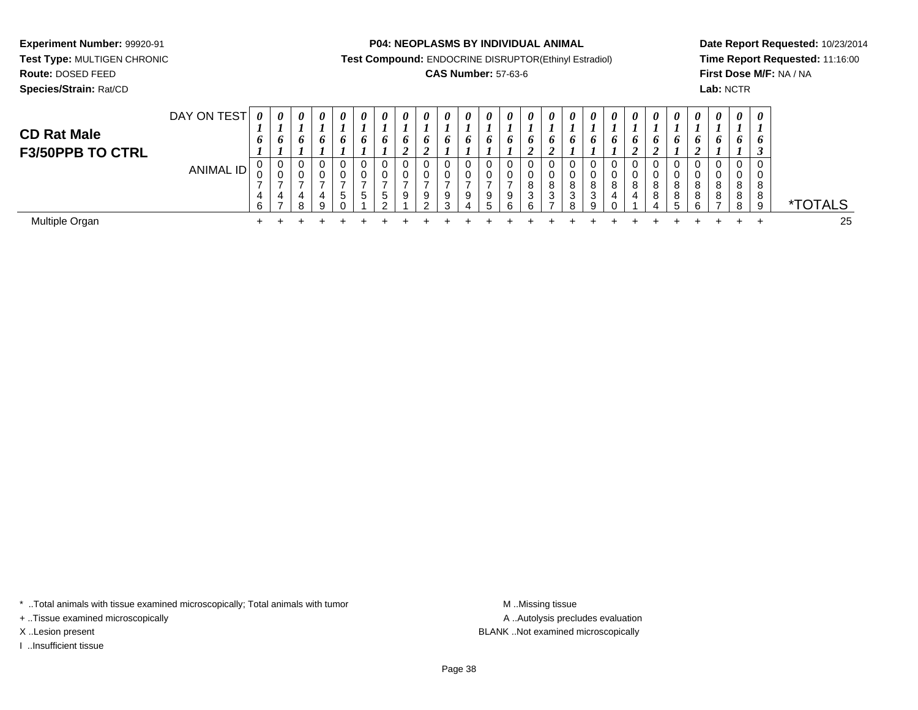**Test Type:** MULTIGEN CHRONIC

**Route:** DOSED FEED

**Species/Strain:** Rat/CD

#### **P04: NEOPLASMS BY INDIVIDUAL ANIMAL**

**Test Compound:** ENDOCRINE DISRUPTOR(Ethinyl Estradiol)

## **CAS Number:** 57-63-6

**Date Report Requested:** 10/23/2014**Time Report Requested:** 11:16:00**First Dose M/F:** NA / NA**Lab:** NCTR

| <b>CD Rat Male</b><br><b>F3/50PPB TO CTRL</b> | DAY ON TEST | $\boldsymbol{\theta}$<br>$\bm{o}$ | 0<br>6<br>$\overline{ }$ | 0<br>6                | $\boldsymbol{\theta}$<br>6 | 0<br>o           | $\boldsymbol{\theta}$<br>6 | $\boldsymbol{\theta}$<br>o | $\theta$<br>o<br>◢ | 0<br>o<br>◢        | 0<br>O. | $\theta$<br>o | $\theta$<br>o    | 0           | $\theta$<br>$\bm{o}$ | 0<br>o<br>◢ | 0<br>6                | $\boldsymbol{\theta}$<br>6 | $\boldsymbol{\theta}$<br>O | 0<br>o<br>◢ | 0<br>6<br>◢           | $\theta$<br>o | $\theta$<br>o | $\boldsymbol{\theta}$<br>6 | $\theta$<br>6 <sup>1</sup><br>ı. | $\boldsymbol{\theta}$<br>O |                       |
|-----------------------------------------------|-------------|-----------------------------------|--------------------------|-----------------------|----------------------------|------------------|----------------------------|----------------------------|--------------------|--------------------|---------|---------------|------------------|-------------|----------------------|-------------|-----------------------|----------------------------|----------------------------|-------------|-----------------------|---------------|---------------|----------------------------|----------------------------------|----------------------------|-----------------------|
|                                               | ANIMAL ID   | 0<br>U<br>6                       | U<br>$\overline{ }$      | 0<br>0<br>-<br>4<br>8 | 0<br>U<br>4<br>9           | U<br>$\mathbf b$ | -<br>$\mathbf{p}$          | <sub>5</sub><br>$\sim$     | 9                  | 0<br>9<br>$\Omega$ | 9<br>C  | 0<br>9<br>4   | 0<br>0<br>9<br>b | 9<br>⌒<br>n | 8<br>3<br>6          | 8<br>3<br>⇁ | 0<br>0<br>8<br>3<br>8 | 8<br>3<br>q                | 8<br>4                     | 8<br>4      | 0<br>0<br>8<br>8<br>4 |               | 8<br>8<br>ี่ค | 0<br>0<br>8<br>8           | 0<br>8<br>8<br>8                 | 0<br>8<br>8<br>9           | <i><b>*TOTALS</b></i> |
| Multiple Organ                                |             |                                   |                          |                       |                            |                  |                            |                            |                    |                    |         |               |                  |             |                      |             |                       |                            |                            |             |                       |               |               |                            |                                  |                            | 25                    |

\* ..Total animals with tissue examined microscopically; Total animals with tumor **M** . Missing tissue M ..Missing tissue

+ ..Tissue examined microscopically

I ..Insufficient tissue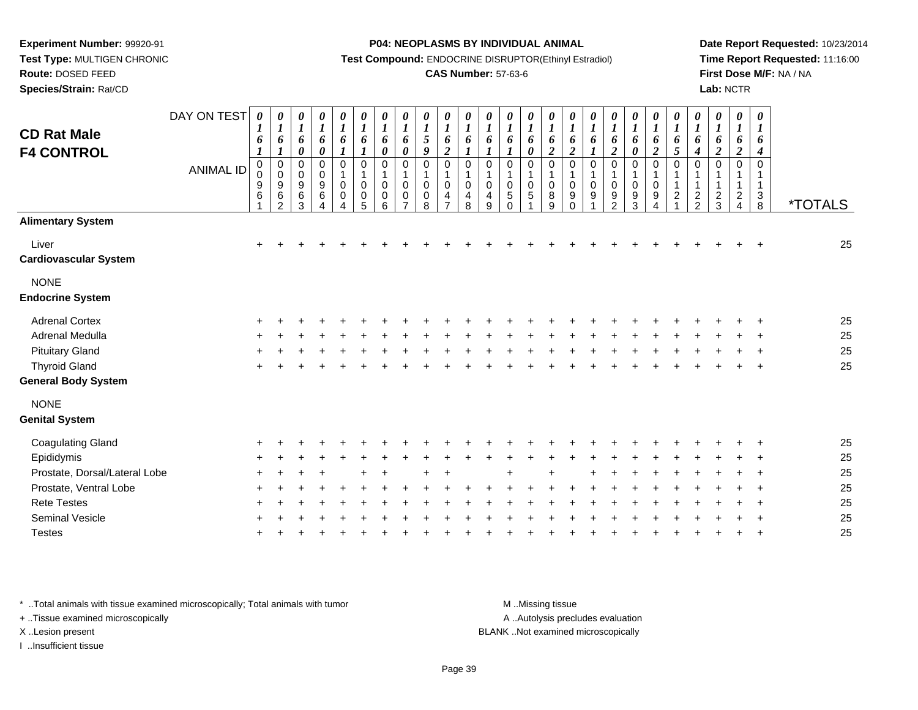**Route:** DOSED FEED

**Species/Strain:** Rat/CD

#### **P04: NEOPLASMS BY INDIVIDUAL ANIMAL**

**Test Compound:** ENDOCRINE DISRUPTOR(Ethinyl Estradiol)

### **CAS Number:** 57-63-6

**Date Report Requested:** 10/23/2014**Time Report Requested:** 11:16:00**First Dose M/F:** NA / NA**Lab:** NCTR

| <b>CD Rat Male</b><br><b>F4 CONTROL</b> | DAY ON TEST<br><b>ANIMAL ID</b> | 0<br>$\boldsymbol{l}$<br>6<br>$\boldsymbol{l}$<br>$\pmb{0}$<br>0<br>9<br>6 | $\boldsymbol{\theta}$<br>$\boldsymbol{l}$<br>6<br>$\boldsymbol{l}$<br>$\pmb{0}$<br>$\pmb{0}$<br>9<br>$\,6$<br>$\overline{2}$ | 0<br>$\boldsymbol{l}$<br>6<br>$\pmb{\theta}$<br>$\pmb{0}$<br>$_{9}^{\rm 0}$<br>$\,6\,$<br>3 | $\boldsymbol{\theta}$<br>$\boldsymbol{l}$<br>$\boldsymbol{6}$<br>$\boldsymbol{\theta}$<br>0<br>$_{9}^{\rm 0}$<br>$\,6\,$<br>$\Delta$ | 0<br>$\boldsymbol{l}$<br>6<br>$\boldsymbol{l}$<br>$\pmb{0}$<br>$\mathbf{1}$<br>$\pmb{0}$<br>0<br>$\Delta$ | 0<br>$\boldsymbol{l}$<br>6<br>$\boldsymbol{l}$<br>$\pmb{0}$<br>$\mathbf{1}$<br>$\overline{0}$<br>$\pmb{0}$<br>5 | 0<br>$\boldsymbol{l}$<br>6<br>0<br>$\mathbf 0$<br>1<br>0<br>0<br>6 | 0<br>$\boldsymbol{l}$<br>6<br>$\boldsymbol{\theta}$<br>$\mathbf 0$<br>$\mathbf{1}$<br>$\mathbf 0$<br>0<br>$\overline{ }$ | 0<br>$\boldsymbol{l}$<br>$\mathfrak{s}$<br>9<br>$\mathbf 0$<br>$\mathbf{1}$<br>$\mathbf 0$<br>0<br>8 | $\boldsymbol{\theta}$<br>$\boldsymbol{l}$<br>6<br>$\boldsymbol{2}$<br>$\mathbf 0$<br>1<br>$\mathbf 0$<br>4<br>$\overline{ }$ | 0<br>$\boldsymbol{l}$<br>6<br>1<br>$\mathbf 0$<br>$\mathbf 1$<br>0<br>4<br>8 | 0<br>$\boldsymbol{l}$<br>6<br>1<br>$\mathbf 0$<br>1<br>0<br>4<br>9 | 0<br>$\boldsymbol{l}$<br>6<br>$\boldsymbol{l}$<br>$\mathbf 0$<br>1<br>$\boldsymbol{0}$<br>5<br>$\Omega$ | $\pmb{\theta}$<br>$\boldsymbol{l}$<br>6<br>$\pmb{\theta}$<br>$\mathbf 0$<br>1<br>$\pmb{0}$<br>$\sqrt{5}$ | 0<br>$\boldsymbol{l}$<br>6<br>$\boldsymbol{2}$<br>$\pmb{0}$<br>1<br>$\boldsymbol{0}$<br>$\bf 8$<br>9 | 0<br>$\boldsymbol{l}$<br>6<br>$\boldsymbol{2}$<br>$\mathbf 0$<br>$\overline{\mathbf{1}}$<br>0<br>9<br>$\Omega$ | 0<br>$\boldsymbol{l}$<br>6<br>$\boldsymbol{l}$<br>$\mathbf 0$<br>1<br>0<br>9 | $\boldsymbol{\theta}$<br>$\boldsymbol{l}$<br>6<br>$\boldsymbol{2}$<br>$\mathbf 0$<br>1<br>0<br>9<br>$\overline{2}$ | 0<br>$\boldsymbol{I}$<br>6<br>$\pmb{\theta}$<br>0<br>$\mathbf{1}$<br>0<br>9<br>3 | $\pmb{\theta}$<br>$\boldsymbol{l}$<br>6<br>$\boldsymbol{2}$<br>0<br>$\mathbf 1$<br>0<br>9<br>$\overline{A}$ | 0<br>$\boldsymbol{l}$<br>6<br>5<br>$\mathbf 0$<br>$\mathbf 1$<br>$\mathbf{1}$<br>$\overline{c}$ | 0<br>$\boldsymbol{l}$<br>6<br>$\boldsymbol{4}$<br>0<br>1<br>1<br>$\frac{2}{2}$ | 0<br>$\boldsymbol{I}$<br>6<br>$\boldsymbol{2}$<br>$\mathbf 0$<br>1<br>1<br>$\frac{2}{3}$ | $\boldsymbol{\theta}$<br>$\boldsymbol{\mathit{1}}$<br>6<br>$\boldsymbol{2}$<br>$\mathbf 0$<br>$\mathbf{1}$<br>1<br>$\frac{2}{4}$ | $\boldsymbol{\theta}$<br>$\boldsymbol{l}$<br>6<br>$\boldsymbol{4}$<br>$\mathbf 0$<br>$\mathbf{1}$<br>$\mathbf{1}$<br>$\sqrt{3}$<br>$\,8\,$ | <i><b>*TOTALS</b></i> |
|-----------------------------------------|---------------------------------|----------------------------------------------------------------------------|------------------------------------------------------------------------------------------------------------------------------|---------------------------------------------------------------------------------------------|--------------------------------------------------------------------------------------------------------------------------------------|-----------------------------------------------------------------------------------------------------------|-----------------------------------------------------------------------------------------------------------------|--------------------------------------------------------------------|--------------------------------------------------------------------------------------------------------------------------|------------------------------------------------------------------------------------------------------|------------------------------------------------------------------------------------------------------------------------------|------------------------------------------------------------------------------|--------------------------------------------------------------------|---------------------------------------------------------------------------------------------------------|----------------------------------------------------------------------------------------------------------|------------------------------------------------------------------------------------------------------|----------------------------------------------------------------------------------------------------------------|------------------------------------------------------------------------------|--------------------------------------------------------------------------------------------------------------------|----------------------------------------------------------------------------------|-------------------------------------------------------------------------------------------------------------|-------------------------------------------------------------------------------------------------|--------------------------------------------------------------------------------|------------------------------------------------------------------------------------------|----------------------------------------------------------------------------------------------------------------------------------|--------------------------------------------------------------------------------------------------------------------------------------------|-----------------------|
| <b>Alimentary System</b>                |                                 |                                                                            |                                                                                                                              |                                                                                             |                                                                                                                                      |                                                                                                           |                                                                                                                 |                                                                    |                                                                                                                          |                                                                                                      |                                                                                                                              |                                                                              |                                                                    |                                                                                                         |                                                                                                          |                                                                                                      |                                                                                                                |                                                                              |                                                                                                                    |                                                                                  |                                                                                                             |                                                                                                 |                                                                                |                                                                                          |                                                                                                                                  |                                                                                                                                            |                       |
| Liver<br><b>Cardiovascular System</b>   |                                 | $\ddot{}$                                                                  |                                                                                                                              |                                                                                             |                                                                                                                                      |                                                                                                           |                                                                                                                 |                                                                    |                                                                                                                          |                                                                                                      |                                                                                                                              |                                                                              |                                                                    |                                                                                                         |                                                                                                          |                                                                                                      |                                                                                                                |                                                                              |                                                                                                                    |                                                                                  |                                                                                                             |                                                                                                 |                                                                                |                                                                                          |                                                                                                                                  |                                                                                                                                            | 25                    |
| <b>NONE</b><br><b>Endocrine System</b>  |                                 |                                                                            |                                                                                                                              |                                                                                             |                                                                                                                                      |                                                                                                           |                                                                                                                 |                                                                    |                                                                                                                          |                                                                                                      |                                                                                                                              |                                                                              |                                                                    |                                                                                                         |                                                                                                          |                                                                                                      |                                                                                                                |                                                                              |                                                                                                                    |                                                                                  |                                                                                                             |                                                                                                 |                                                                                |                                                                                          |                                                                                                                                  |                                                                                                                                            |                       |
| <b>Adrenal Cortex</b>                   |                                 |                                                                            |                                                                                                                              |                                                                                             |                                                                                                                                      |                                                                                                           |                                                                                                                 |                                                                    |                                                                                                                          |                                                                                                      |                                                                                                                              |                                                                              |                                                                    |                                                                                                         |                                                                                                          |                                                                                                      |                                                                                                                |                                                                              |                                                                                                                    |                                                                                  |                                                                                                             |                                                                                                 |                                                                                |                                                                                          |                                                                                                                                  |                                                                                                                                            | 25                    |
| Adrenal Medulla                         |                                 |                                                                            |                                                                                                                              |                                                                                             |                                                                                                                                      |                                                                                                           |                                                                                                                 |                                                                    |                                                                                                                          |                                                                                                      |                                                                                                                              |                                                                              |                                                                    |                                                                                                         |                                                                                                          |                                                                                                      |                                                                                                                |                                                                              |                                                                                                                    |                                                                                  |                                                                                                             |                                                                                                 |                                                                                |                                                                                          |                                                                                                                                  |                                                                                                                                            | 25                    |
| <b>Pituitary Gland</b>                  |                                 |                                                                            |                                                                                                                              |                                                                                             |                                                                                                                                      |                                                                                                           |                                                                                                                 |                                                                    |                                                                                                                          |                                                                                                      |                                                                                                                              |                                                                              |                                                                    |                                                                                                         |                                                                                                          |                                                                                                      |                                                                                                                |                                                                              |                                                                                                                    |                                                                                  |                                                                                                             |                                                                                                 |                                                                                |                                                                                          |                                                                                                                                  |                                                                                                                                            | 25                    |
| <b>Thyroid Gland</b>                    |                                 |                                                                            |                                                                                                                              |                                                                                             |                                                                                                                                      |                                                                                                           |                                                                                                                 |                                                                    |                                                                                                                          |                                                                                                      |                                                                                                                              |                                                                              |                                                                    |                                                                                                         |                                                                                                          |                                                                                                      |                                                                                                                |                                                                              |                                                                                                                    |                                                                                  |                                                                                                             |                                                                                                 |                                                                                |                                                                                          |                                                                                                                                  |                                                                                                                                            | 25                    |
| <b>General Body System</b>              |                                 |                                                                            |                                                                                                                              |                                                                                             |                                                                                                                                      |                                                                                                           |                                                                                                                 |                                                                    |                                                                                                                          |                                                                                                      |                                                                                                                              |                                                                              |                                                                    |                                                                                                         |                                                                                                          |                                                                                                      |                                                                                                                |                                                                              |                                                                                                                    |                                                                                  |                                                                                                             |                                                                                                 |                                                                                |                                                                                          |                                                                                                                                  |                                                                                                                                            |                       |
| <b>NONE</b><br><b>Genital System</b>    |                                 |                                                                            |                                                                                                                              |                                                                                             |                                                                                                                                      |                                                                                                           |                                                                                                                 |                                                                    |                                                                                                                          |                                                                                                      |                                                                                                                              |                                                                              |                                                                    |                                                                                                         |                                                                                                          |                                                                                                      |                                                                                                                |                                                                              |                                                                                                                    |                                                                                  |                                                                                                             |                                                                                                 |                                                                                |                                                                                          |                                                                                                                                  |                                                                                                                                            |                       |
| <b>Coagulating Gland</b>                |                                 |                                                                            |                                                                                                                              |                                                                                             |                                                                                                                                      |                                                                                                           |                                                                                                                 |                                                                    |                                                                                                                          |                                                                                                      |                                                                                                                              |                                                                              |                                                                    |                                                                                                         |                                                                                                          |                                                                                                      |                                                                                                                |                                                                              |                                                                                                                    |                                                                                  |                                                                                                             |                                                                                                 |                                                                                |                                                                                          |                                                                                                                                  |                                                                                                                                            | 25                    |
| Epididymis                              |                                 |                                                                            |                                                                                                                              |                                                                                             |                                                                                                                                      |                                                                                                           |                                                                                                                 |                                                                    |                                                                                                                          |                                                                                                      |                                                                                                                              |                                                                              |                                                                    |                                                                                                         |                                                                                                          |                                                                                                      |                                                                                                                |                                                                              |                                                                                                                    |                                                                                  |                                                                                                             |                                                                                                 |                                                                                |                                                                                          |                                                                                                                                  |                                                                                                                                            | 25                    |
| Prostate, Dorsal/Lateral Lobe           |                                 |                                                                            |                                                                                                                              |                                                                                             |                                                                                                                                      |                                                                                                           |                                                                                                                 |                                                                    |                                                                                                                          |                                                                                                      |                                                                                                                              |                                                                              |                                                                    |                                                                                                         |                                                                                                          |                                                                                                      |                                                                                                                |                                                                              |                                                                                                                    |                                                                                  |                                                                                                             |                                                                                                 |                                                                                |                                                                                          |                                                                                                                                  |                                                                                                                                            | 25                    |
| Prostate, Ventral Lobe                  |                                 |                                                                            |                                                                                                                              |                                                                                             |                                                                                                                                      |                                                                                                           |                                                                                                                 |                                                                    |                                                                                                                          |                                                                                                      |                                                                                                                              |                                                                              |                                                                    |                                                                                                         |                                                                                                          |                                                                                                      |                                                                                                                |                                                                              |                                                                                                                    |                                                                                  |                                                                                                             |                                                                                                 |                                                                                |                                                                                          |                                                                                                                                  |                                                                                                                                            | 25                    |
| <b>Rete Testes</b>                      |                                 |                                                                            |                                                                                                                              |                                                                                             |                                                                                                                                      |                                                                                                           |                                                                                                                 |                                                                    |                                                                                                                          |                                                                                                      |                                                                                                                              |                                                                              |                                                                    |                                                                                                         |                                                                                                          |                                                                                                      |                                                                                                                |                                                                              |                                                                                                                    |                                                                                  |                                                                                                             |                                                                                                 |                                                                                |                                                                                          |                                                                                                                                  |                                                                                                                                            | 25                    |
| <b>Seminal Vesicle</b>                  |                                 |                                                                            |                                                                                                                              |                                                                                             |                                                                                                                                      |                                                                                                           |                                                                                                                 |                                                                    |                                                                                                                          |                                                                                                      |                                                                                                                              |                                                                              |                                                                    |                                                                                                         |                                                                                                          |                                                                                                      |                                                                                                                |                                                                              |                                                                                                                    |                                                                                  |                                                                                                             |                                                                                                 |                                                                                |                                                                                          |                                                                                                                                  |                                                                                                                                            | 25                    |
| <b>Testes</b>                           |                                 |                                                                            |                                                                                                                              |                                                                                             |                                                                                                                                      |                                                                                                           |                                                                                                                 |                                                                    |                                                                                                                          |                                                                                                      |                                                                                                                              |                                                                              |                                                                    |                                                                                                         |                                                                                                          |                                                                                                      |                                                                                                                |                                                                              |                                                                                                                    |                                                                                  |                                                                                                             |                                                                                                 |                                                                                |                                                                                          |                                                                                                                                  |                                                                                                                                            | 25                    |

\* ..Total animals with tissue examined microscopically; Total animals with tumor **M** . Missing tissue M ..Missing tissue

+ ..Tissue examined microscopically

I ..Insufficient tissue

A ..Autolysis precludes evaluation

X ..Lesion present BLANK ..Not examined microscopically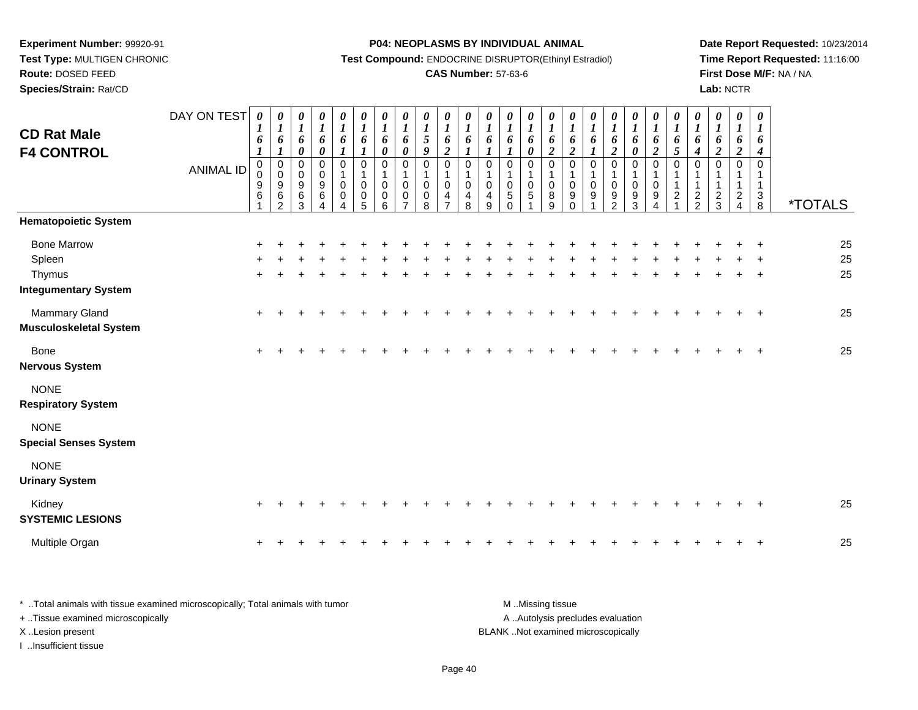**Route:** DOSED FEED**Species/Strain:** Rat/CD **P04: NEOPLASMS BY INDIVIDUAL ANIMAL**

**Test Compound:** ENDOCRINE DISRUPTOR(Ethinyl Estradiol)

## **CAS Number:** 57-63-6

**Date Report Requested:** 10/23/2014**Time Report Requested:** 11:16:00**First Dose M/F:** NA / NA**Lab:** NCTR

| <b>CD Rat Male</b><br><b>F4 CONTROL</b>                               | DAY ON TEST<br><b>ANIMAL ID</b> | $\boldsymbol{\theta}$<br>$\boldsymbol{l}$<br>6<br>$\boldsymbol{l}$<br>$\mathbf 0$<br>0<br>9<br>6 | 0<br>$\boldsymbol{l}$<br>6<br>$\boldsymbol{l}$<br>$\begin{matrix} 0 \\ 0 \\ 9 \\ 6 \end{matrix}$<br>$\mathfrak{D}$ | 0<br>$\boldsymbol{l}$<br>6<br>$\boldsymbol{\theta}$<br>0<br>$\pmb{0}$<br>9<br>$\,6\,$<br>3 | 0<br>$\boldsymbol{l}$<br>6<br>$\pmb{\theta}$<br>$\pmb{0}$<br>$\pmb{0}$<br>$\boldsymbol{9}$<br>6 | 0<br>$\boldsymbol{l}$<br>6<br>1<br>$\pmb{0}$<br>$\mathbf{1}$<br>$\pmb{0}$<br>$\pmb{0}$<br>4 | $\frac{\theta}{I}$<br>6<br>$\boldsymbol{l}$<br>$\pmb{0}$<br>$\mathbf{1}$<br>0<br>$\pmb{0}$<br>5 | $\boldsymbol{\theta}$<br>$\boldsymbol{l}$<br>6<br>$\pmb{\theta}$<br>$\mathbf 0$<br>$\mathbf{1}$<br>0<br>0<br>6 | 0<br>$\boldsymbol{l}$<br>6<br>0<br>0<br>$\mathbf 1$<br>0<br>0 | $\boldsymbol{\theta}$<br>$\boldsymbol{l}$<br>5<br>$\boldsymbol{9}$<br>$\mathbf 0$<br>0<br>0<br>8 | 0<br>$\boldsymbol{l}$<br>6<br>$\boldsymbol{2}$<br>0<br>$\mathbf 0$<br>4 | 0<br>$\boldsymbol{l}$<br>6<br>1<br>0<br>0<br>4<br>8 | 0<br>$\boldsymbol{l}$<br>6<br>$\boldsymbol{l}$<br>$\mathbf 0$<br>$\mathbf{1}$<br>$\pmb{0}$<br>4<br>9 | 0<br>$\boldsymbol{l}$<br>6<br>$\boldsymbol{l}$<br>$\pmb{0}$<br>$\mathbf{1}$<br>$\pmb{0}$<br>$\sqrt{5}$<br>$\Omega$ | 0<br>$\boldsymbol{l}$<br>6<br>$\pmb{\theta}$<br>$\pmb{0}$<br>1<br>$\mathbf 0$<br>5 | 0<br>$\boldsymbol{l}$<br>6<br>$\boldsymbol{2}$<br>$\mathbf 0$<br>$\pmb{0}$<br>8<br>9 | $\boldsymbol{\theta}$<br>$\boldsymbol{l}$<br>6<br>$\boldsymbol{2}$<br>$\boldsymbol{0}$<br>1<br>$\pmb{0}$<br>$9\,$<br>$\Omega$ | $\frac{\boldsymbol{0}}{\boldsymbol{1}}$<br>6<br>$\boldsymbol{l}$<br>$\mathsf 0$<br>$\mathbf{1}$<br>$\pmb{0}$<br>$\boldsymbol{9}$ | $\frac{\boldsymbol{\theta}}{\boldsymbol{I}}$<br>6<br>$\overline{c}$<br>$\pmb{0}$<br>$\mathbf{1}$<br>$\pmb{0}$<br>$\overline{9}$<br>$\overline{2}$ | 0<br>$\boldsymbol{l}$<br>6<br>$\pmb{\theta}$<br>0<br>$\mathbf 1$<br>0<br>$\overline{9}$<br>3 | 0<br>$\boldsymbol{l}$<br>6<br>$\boldsymbol{2}$<br>$\pmb{0}$<br>$\mathbf{1}$<br>$\pmb{0}$<br>$\boldsymbol{9}$<br>Δ | 0<br>$\boldsymbol{l}$<br>6<br>5<br>$\mathbf 0$<br>1<br>$\overline{a}$ | 0<br>$\boldsymbol{l}$<br>6<br>$\boldsymbol{4}$<br>$\Omega$<br>$\frac{2}{2}$ | 0<br>$\boldsymbol{l}$<br>6<br>$\overline{c}$<br>$\Omega$<br>$\frac{2}{3}$ | 0<br>1<br>6<br>$\overline{2}$<br>$\mathbf 0$<br>$\overline{c}$<br>$\overline{4}$ | $\boldsymbol{\theta}$<br>$\boldsymbol{l}$<br>6<br>$\boldsymbol{4}$<br>$\mathbf 0$<br>1<br>$\mathbf{1}$<br>$_8^3$ | <i><b>*TOTALS</b></i> |
|-----------------------------------------------------------------------|---------------------------------|--------------------------------------------------------------------------------------------------|--------------------------------------------------------------------------------------------------------------------|--------------------------------------------------------------------------------------------|-------------------------------------------------------------------------------------------------|---------------------------------------------------------------------------------------------|-------------------------------------------------------------------------------------------------|----------------------------------------------------------------------------------------------------------------|---------------------------------------------------------------|--------------------------------------------------------------------------------------------------|-------------------------------------------------------------------------|-----------------------------------------------------|------------------------------------------------------------------------------------------------------|--------------------------------------------------------------------------------------------------------------------|------------------------------------------------------------------------------------|--------------------------------------------------------------------------------------|-------------------------------------------------------------------------------------------------------------------------------|----------------------------------------------------------------------------------------------------------------------------------|---------------------------------------------------------------------------------------------------------------------------------------------------|----------------------------------------------------------------------------------------------|-------------------------------------------------------------------------------------------------------------------|-----------------------------------------------------------------------|-----------------------------------------------------------------------------|---------------------------------------------------------------------------|----------------------------------------------------------------------------------|------------------------------------------------------------------------------------------------------------------|-----------------------|
| <b>Hematopoietic System</b>                                           |                                 |                                                                                                  |                                                                                                                    |                                                                                            |                                                                                                 |                                                                                             |                                                                                                 |                                                                                                                |                                                               |                                                                                                  |                                                                         |                                                     |                                                                                                      |                                                                                                                    |                                                                                    |                                                                                      |                                                                                                                               |                                                                                                                                  |                                                                                                                                                   |                                                                                              |                                                                                                                   |                                                                       |                                                                             |                                                                           |                                                                                  |                                                                                                                  |                       |
| <b>Bone Marrow</b><br>Spleen<br>Thymus<br><b>Integumentary System</b> |                                 | $\ddot{}$<br>÷                                                                                   |                                                                                                                    |                                                                                            |                                                                                                 |                                                                                             |                                                                                                 |                                                                                                                |                                                               |                                                                                                  |                                                                         |                                                     |                                                                                                      |                                                                                                                    |                                                                                    |                                                                                      |                                                                                                                               |                                                                                                                                  |                                                                                                                                                   |                                                                                              |                                                                                                                   |                                                                       |                                                                             |                                                                           |                                                                                  | $\ddot{}$<br>$\ddot{}$                                                                                           | 25<br>25<br>25        |
| <b>Mammary Gland</b><br><b>Musculoskeletal System</b>                 |                                 |                                                                                                  |                                                                                                                    |                                                                                            |                                                                                                 |                                                                                             |                                                                                                 |                                                                                                                |                                                               |                                                                                                  |                                                                         |                                                     |                                                                                                      |                                                                                                                    |                                                                                    |                                                                                      |                                                                                                                               |                                                                                                                                  |                                                                                                                                                   |                                                                                              |                                                                                                                   |                                                                       |                                                                             |                                                                           |                                                                                  |                                                                                                                  | 25                    |
| Bone<br><b>Nervous System</b>                                         |                                 |                                                                                                  |                                                                                                                    |                                                                                            |                                                                                                 |                                                                                             |                                                                                                 |                                                                                                                |                                                               |                                                                                                  |                                                                         |                                                     |                                                                                                      |                                                                                                                    |                                                                                    |                                                                                      |                                                                                                                               |                                                                                                                                  |                                                                                                                                                   |                                                                                              |                                                                                                                   |                                                                       |                                                                             |                                                                           |                                                                                  | $\ddot{}$                                                                                                        | 25                    |
| <b>NONE</b><br><b>Respiratory System</b>                              |                                 |                                                                                                  |                                                                                                                    |                                                                                            |                                                                                                 |                                                                                             |                                                                                                 |                                                                                                                |                                                               |                                                                                                  |                                                                         |                                                     |                                                                                                      |                                                                                                                    |                                                                                    |                                                                                      |                                                                                                                               |                                                                                                                                  |                                                                                                                                                   |                                                                                              |                                                                                                                   |                                                                       |                                                                             |                                                                           |                                                                                  |                                                                                                                  |                       |
| <b>NONE</b><br><b>Special Senses System</b>                           |                                 |                                                                                                  |                                                                                                                    |                                                                                            |                                                                                                 |                                                                                             |                                                                                                 |                                                                                                                |                                                               |                                                                                                  |                                                                         |                                                     |                                                                                                      |                                                                                                                    |                                                                                    |                                                                                      |                                                                                                                               |                                                                                                                                  |                                                                                                                                                   |                                                                                              |                                                                                                                   |                                                                       |                                                                             |                                                                           |                                                                                  |                                                                                                                  |                       |
| <b>NONE</b><br><b>Urinary System</b>                                  |                                 |                                                                                                  |                                                                                                                    |                                                                                            |                                                                                                 |                                                                                             |                                                                                                 |                                                                                                                |                                                               |                                                                                                  |                                                                         |                                                     |                                                                                                      |                                                                                                                    |                                                                                    |                                                                                      |                                                                                                                               |                                                                                                                                  |                                                                                                                                                   |                                                                                              |                                                                                                                   |                                                                       |                                                                             |                                                                           |                                                                                  |                                                                                                                  |                       |
| Kidney<br><b>SYSTEMIC LESIONS</b>                                     |                                 | +                                                                                                |                                                                                                                    |                                                                                            |                                                                                                 |                                                                                             |                                                                                                 |                                                                                                                |                                                               |                                                                                                  |                                                                         |                                                     |                                                                                                      |                                                                                                                    |                                                                                    |                                                                                      |                                                                                                                               |                                                                                                                                  |                                                                                                                                                   |                                                                                              |                                                                                                                   |                                                                       |                                                                             |                                                                           |                                                                                  | ÷                                                                                                                | 25                    |
| Multiple Organ                                                        |                                 | $\pm$                                                                                            |                                                                                                                    |                                                                                            |                                                                                                 |                                                                                             |                                                                                                 |                                                                                                                |                                                               |                                                                                                  |                                                                         |                                                     |                                                                                                      |                                                                                                                    |                                                                                    |                                                                                      |                                                                                                                               |                                                                                                                                  |                                                                                                                                                   |                                                                                              |                                                                                                                   |                                                                       |                                                                             |                                                                           |                                                                                  | $\ddot{}$                                                                                                        | 25                    |

| * Total animals with tissue examined microscopically; Total animals with tumor | M Missing tissue                   |
|--------------------------------------------------------------------------------|------------------------------------|
| + Tissue examined microscopically                                              | A Autolysis precludes evaluation   |
| X Lesion present                                                               | BLANK Not examined microscopically |
| …Insufficient tissue                                                           |                                    |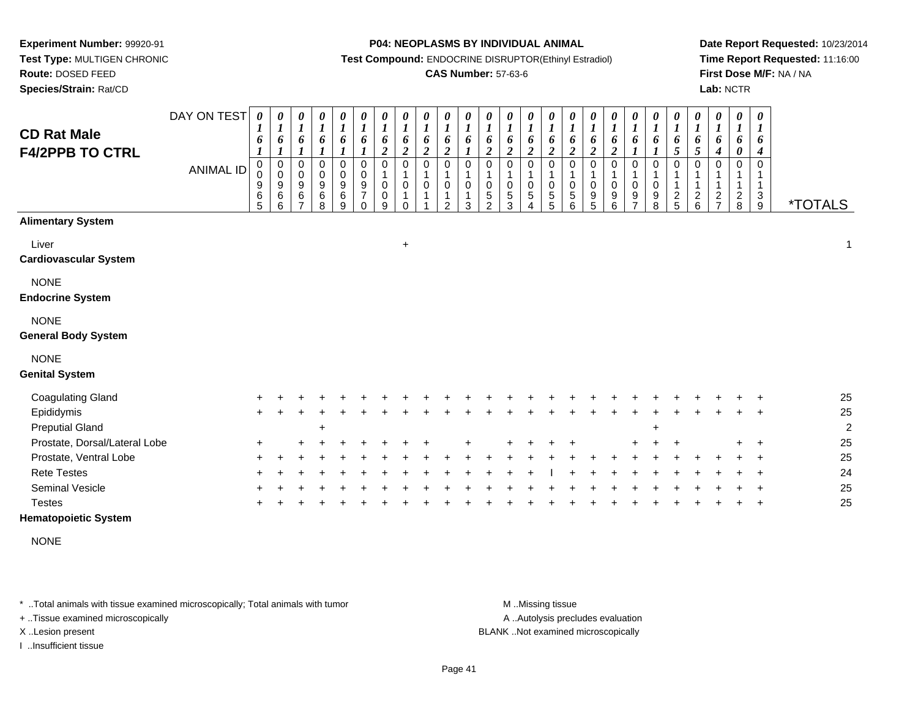**Test Type:** MULTIGEN CHRONIC**Route:** DOSED FEED

**Species/Strain:** Rat/CD

#### **P04: NEOPLASMS BY INDIVIDUAL ANIMAL**

**Test Compound:** ENDOCRINE DISRUPTOR(Ethinyl Estradiol)

## **CAS Number:** 57-63-6

**Date Report Requested:** 10/23/2014**Time Report Requested:** 11:16:00**First Dose M/F:** NA / NA**Lab:** NCTR

| <b>CD Rat Male</b><br><b>F4/2PPB TO CTRL</b> | DAY ON TEST<br><b>ANIMAL ID</b> | $\boldsymbol{\theta}$<br>6<br>0<br>0<br>9<br>$\overline{6}$<br>5 | 0<br>$\boldsymbol{l}$<br>6<br>1<br>$\mathbf 0$<br>$\mathbf 0$<br>9<br>6<br>6 | $\pmb{\theta}$<br>$\boldsymbol{l}$<br>6<br>1<br>$\pmb{0}$<br>$\pmb{0}$<br>$\boldsymbol{9}$<br>6<br>$\overline{ }$ | $\pmb{\theta}$<br>$\boldsymbol{l}$<br>6<br>$\pmb{0}$<br>$\pmb{0}$<br>$\boldsymbol{9}$<br>$\,6$<br>8 | $\boldsymbol{\theta}$<br>$\boldsymbol{l}$<br>6<br>$\boldsymbol{l}$<br>0<br>$\pmb{0}$<br>$\frac{9}{6}$ | $\pmb{\theta}$<br>$\boldsymbol{l}$<br>6<br>$\boldsymbol{l}$<br>$\pmb{0}$<br>$\mathbf 0$<br>$\boldsymbol{9}$<br>$\overline{7}$<br>$\Omega$ | $\boldsymbol{\theta}$<br>$\boldsymbol{l}$<br>6<br>$\boldsymbol{2}$<br>$\pmb{0}$<br>$\pmb{0}$<br>$\pmb{0}$<br>9 | 0<br>$\boldsymbol{l}$<br>6<br>$\overline{c}$<br>$\mathbf 0$<br>0<br>$\Omega$ | $\pmb{\theta}$<br>$\boldsymbol{l}$<br>6<br>$\boldsymbol{2}$<br>$\mathbf 0$<br>$\mathbf 0$ | $\boldsymbol{\theta}$<br>$\boldsymbol{l}$<br>6<br>$\boldsymbol{2}$<br>$\pmb{0}$<br>$\pmb{0}$<br>1<br>$\mathfrak{p}$ | 0<br>$\boldsymbol{l}$<br>6<br>$\boldsymbol{l}$<br>$\pmb{0}$<br>$\pmb{0}$<br>1<br>3 | $\boldsymbol{\theta}$<br>$\boldsymbol{l}$<br>6<br>$\overline{\mathbf{c}}$<br>0<br>$\pmb{0}$<br>$\,$ 5 $\,$<br>$\mathfrak{p}$ | 0<br>$\boldsymbol{l}$<br>6<br>$\boldsymbol{2}$<br>0<br>0<br>5<br>3 | $\boldsymbol{\theta}$<br>$\boldsymbol{l}$<br>6<br>$\boldsymbol{2}$<br>$\mathbf 0$<br>1<br>$\pmb{0}$<br>$\overline{5}$<br>4 | 0<br>$\boldsymbol{l}$<br>6<br>$\boldsymbol{2}$<br>$\mathbf 0$<br>$\pmb{0}$<br>$\mathbf 5$<br>5 | $\boldsymbol{\theta}$<br>$\boldsymbol{l}$<br>6<br>$\overline{\mathbf{c}}$<br>$\mathbf 0$<br>$\pmb{0}$<br>$\mathbf 5$<br>6 | 0<br>$\boldsymbol{l}$<br>6<br>$\boldsymbol{2}$<br>$\mathbf 0$<br>0<br>9<br>5 | $\boldsymbol{\theta}$<br>$\boldsymbol{l}$<br>6<br>$\boldsymbol{2}$<br>$\mathbf 0$<br>$\pmb{0}$<br>$\boldsymbol{9}$<br>6 | 0<br>$\boldsymbol{l}$<br>6<br>$\boldsymbol{l}$<br>$\pmb{0}$<br>$\pmb{0}$<br>$\boldsymbol{9}$<br>$\overline{z}$ | $\pmb{\theta}$<br>$\boldsymbol{l}$<br>6<br>1<br>0<br>$\pmb{0}$<br>$_{8}^{\rm 9}$ | $\pmb{\theta}$<br>$\boldsymbol{l}$<br>6<br>5<br>$\mathbf 0$<br>$\mathbf{1}$<br>$\mathbf{1}$<br>$\frac{2}{5}$ | $\boldsymbol{\theta}$<br>$\boldsymbol{l}$<br>6<br>5<br>$\mathbf 0$<br>$\mathbf{1}$<br>$\begin{array}{c} 2 \\ 6 \end{array}$ | 0<br>$\boldsymbol{l}$<br>6<br>$\boldsymbol{4}$<br>$\mathbf 0$<br>$\frac{2}{7}$ | $\pmb{\theta}$<br>$\boldsymbol{l}$<br>6<br>0<br>$\Omega$<br>$\frac{2}{8}$ | $\pmb{\theta}$<br>$\boldsymbol{l}$<br>6<br>4<br>$\mathbf 0$<br>$\mathbf{1}$<br>$\ensuremath{\mathsf{3}}$<br>9 | <i><b>*TOTALS</b></i> |
|----------------------------------------------|---------------------------------|------------------------------------------------------------------|------------------------------------------------------------------------------|-------------------------------------------------------------------------------------------------------------------|-----------------------------------------------------------------------------------------------------|-------------------------------------------------------------------------------------------------------|-------------------------------------------------------------------------------------------------------------------------------------------|----------------------------------------------------------------------------------------------------------------|------------------------------------------------------------------------------|-------------------------------------------------------------------------------------------|---------------------------------------------------------------------------------------------------------------------|------------------------------------------------------------------------------------|------------------------------------------------------------------------------------------------------------------------------|--------------------------------------------------------------------|----------------------------------------------------------------------------------------------------------------------------|------------------------------------------------------------------------------------------------|---------------------------------------------------------------------------------------------------------------------------|------------------------------------------------------------------------------|-------------------------------------------------------------------------------------------------------------------------|----------------------------------------------------------------------------------------------------------------|----------------------------------------------------------------------------------|--------------------------------------------------------------------------------------------------------------|-----------------------------------------------------------------------------------------------------------------------------|--------------------------------------------------------------------------------|---------------------------------------------------------------------------|---------------------------------------------------------------------------------------------------------------|-----------------------|
| <b>Alimentary System</b>                     |                                 |                                                                  |                                                                              |                                                                                                                   |                                                                                                     |                                                                                                       |                                                                                                                                           |                                                                                                                |                                                                              |                                                                                           |                                                                                                                     |                                                                                    |                                                                                                                              |                                                                    |                                                                                                                            |                                                                                                |                                                                                                                           |                                                                              |                                                                                                                         |                                                                                                                |                                                                                  |                                                                                                              |                                                                                                                             |                                                                                |                                                                           |                                                                                                               |                       |
| Liver<br><b>Cardiovascular System</b>        |                                 |                                                                  |                                                                              |                                                                                                                   |                                                                                                     |                                                                                                       |                                                                                                                                           |                                                                                                                | $\ddot{}$                                                                    |                                                                                           |                                                                                                                     |                                                                                    |                                                                                                                              |                                                                    |                                                                                                                            |                                                                                                |                                                                                                                           |                                                                              |                                                                                                                         |                                                                                                                |                                                                                  |                                                                                                              |                                                                                                                             |                                                                                |                                                                           |                                                                                                               | -1                    |
| <b>NONE</b><br><b>Endocrine System</b>       |                                 |                                                                  |                                                                              |                                                                                                                   |                                                                                                     |                                                                                                       |                                                                                                                                           |                                                                                                                |                                                                              |                                                                                           |                                                                                                                     |                                                                                    |                                                                                                                              |                                                                    |                                                                                                                            |                                                                                                |                                                                                                                           |                                                                              |                                                                                                                         |                                                                                                                |                                                                                  |                                                                                                              |                                                                                                                             |                                                                                |                                                                           |                                                                                                               |                       |
| <b>NONE</b><br><b>General Body System</b>    |                                 |                                                                  |                                                                              |                                                                                                                   |                                                                                                     |                                                                                                       |                                                                                                                                           |                                                                                                                |                                                                              |                                                                                           |                                                                                                                     |                                                                                    |                                                                                                                              |                                                                    |                                                                                                                            |                                                                                                |                                                                                                                           |                                                                              |                                                                                                                         |                                                                                                                |                                                                                  |                                                                                                              |                                                                                                                             |                                                                                |                                                                           |                                                                                                               |                       |
| <b>NONE</b><br><b>Genital System</b>         |                                 |                                                                  |                                                                              |                                                                                                                   |                                                                                                     |                                                                                                       |                                                                                                                                           |                                                                                                                |                                                                              |                                                                                           |                                                                                                                     |                                                                                    |                                                                                                                              |                                                                    |                                                                                                                            |                                                                                                |                                                                                                                           |                                                                              |                                                                                                                         |                                                                                                                |                                                                                  |                                                                                                              |                                                                                                                             |                                                                                |                                                                           |                                                                                                               |                       |
| <b>Coagulating Gland</b>                     |                                 |                                                                  |                                                                              |                                                                                                                   |                                                                                                     |                                                                                                       |                                                                                                                                           |                                                                                                                |                                                                              |                                                                                           |                                                                                                                     |                                                                                    |                                                                                                                              |                                                                    |                                                                                                                            |                                                                                                |                                                                                                                           |                                                                              |                                                                                                                         |                                                                                                                |                                                                                  |                                                                                                              |                                                                                                                             |                                                                                |                                                                           |                                                                                                               | 25                    |
| Epididymis                                   |                                 | $\pm$                                                            |                                                                              |                                                                                                                   |                                                                                                     |                                                                                                       |                                                                                                                                           |                                                                                                                |                                                                              |                                                                                           |                                                                                                                     |                                                                                    |                                                                                                                              |                                                                    |                                                                                                                            |                                                                                                |                                                                                                                           |                                                                              |                                                                                                                         |                                                                                                                |                                                                                  |                                                                                                              |                                                                                                                             |                                                                                |                                                                           |                                                                                                               | 25                    |
| <b>Preputial Gland</b>                       |                                 |                                                                  |                                                                              |                                                                                                                   | $\ddot{}$                                                                                           |                                                                                                       |                                                                                                                                           |                                                                                                                |                                                                              |                                                                                           |                                                                                                                     |                                                                                    |                                                                                                                              |                                                                    |                                                                                                                            |                                                                                                |                                                                                                                           |                                                                              |                                                                                                                         |                                                                                                                | ÷                                                                                |                                                                                                              |                                                                                                                             |                                                                                |                                                                           |                                                                                                               | $\boldsymbol{2}$      |
| Prostate, Dorsal/Lateral Lobe                |                                 |                                                                  |                                                                              |                                                                                                                   |                                                                                                     |                                                                                                       |                                                                                                                                           |                                                                                                                |                                                                              |                                                                                           |                                                                                                                     |                                                                                    |                                                                                                                              |                                                                    |                                                                                                                            |                                                                                                |                                                                                                                           |                                                                              |                                                                                                                         |                                                                                                                |                                                                                  |                                                                                                              |                                                                                                                             |                                                                                |                                                                           |                                                                                                               | 25                    |
| Prostate, Ventral Lobe                       |                                 |                                                                  |                                                                              |                                                                                                                   |                                                                                                     |                                                                                                       |                                                                                                                                           |                                                                                                                |                                                                              |                                                                                           |                                                                                                                     |                                                                                    |                                                                                                                              |                                                                    |                                                                                                                            |                                                                                                |                                                                                                                           |                                                                              |                                                                                                                         |                                                                                                                |                                                                                  |                                                                                                              |                                                                                                                             |                                                                                |                                                                           |                                                                                                               | 25                    |
| <b>Rete Testes</b>                           |                                 |                                                                  |                                                                              |                                                                                                                   |                                                                                                     |                                                                                                       |                                                                                                                                           |                                                                                                                |                                                                              |                                                                                           |                                                                                                                     |                                                                                    |                                                                                                                              |                                                                    |                                                                                                                            |                                                                                                |                                                                                                                           |                                                                              |                                                                                                                         |                                                                                                                |                                                                                  |                                                                                                              |                                                                                                                             |                                                                                |                                                                           |                                                                                                               | 24                    |
| Seminal Vesicle                              |                                 |                                                                  |                                                                              |                                                                                                                   |                                                                                                     |                                                                                                       |                                                                                                                                           |                                                                                                                |                                                                              |                                                                                           |                                                                                                                     |                                                                                    |                                                                                                                              |                                                                    |                                                                                                                            |                                                                                                |                                                                                                                           |                                                                              |                                                                                                                         |                                                                                                                |                                                                                  |                                                                                                              |                                                                                                                             |                                                                                |                                                                           |                                                                                                               | 25                    |
| <b>Testes</b>                                |                                 |                                                                  |                                                                              |                                                                                                                   |                                                                                                     |                                                                                                       |                                                                                                                                           |                                                                                                                |                                                                              |                                                                                           |                                                                                                                     |                                                                                    |                                                                                                                              |                                                                    |                                                                                                                            |                                                                                                |                                                                                                                           |                                                                              |                                                                                                                         |                                                                                                                |                                                                                  |                                                                                                              |                                                                                                                             |                                                                                |                                                                           |                                                                                                               | 25                    |

### **Hematopoietic System**

NONE

\* ..Total animals with tissue examined microscopically; Total animals with tumor **M** . Missing tissue M ..Missing tissue

+ ..Tissue examined microscopically

I ..Insufficient tissue

A ..Autolysis precludes evaluation

X ..Lesion present BLANK ..Not examined microscopically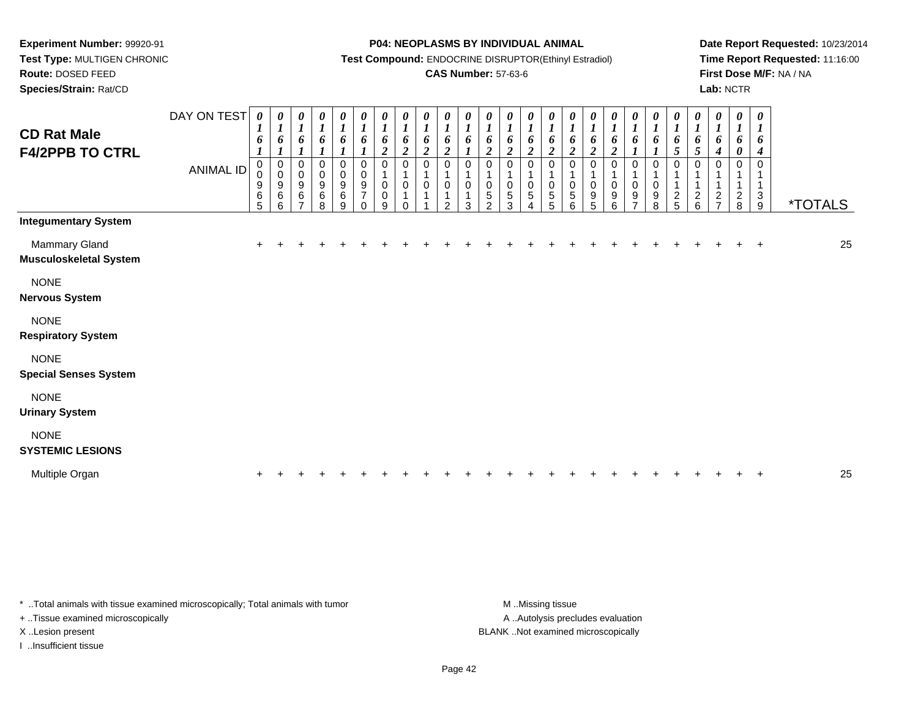**Test Type:** MULTIGEN CHRONIC**Route:** DOSED FEED

**Species/Strain:** Rat/CD

#### **P04: NEOPLASMS BY INDIVIDUAL ANIMAL**

**Test Compound:** ENDOCRINE DISRUPTOR(Ethinyl Estradiol)

### **CAS Number:** 57-63-6

**Date Report Requested:** 10/23/2014**Time Report Requested:** 11:16:00**First Dose M/F:** NA / NA**Lab:** NCTR

| <b>CD Rat Male</b><br><b>F4/2PPB TO CTRL</b>   | DAY ON TEST<br>ANIMAL ID | $\boldsymbol{\theta}$<br>6<br>0<br>0<br>$9\,$<br>6<br>5 | 0<br>$\boldsymbol{l}$<br>6<br>0<br>$\pmb{0}$<br>9<br>6<br>6 | 0<br>$\boldsymbol{l}$<br>6<br>$\boldsymbol{l}$<br>0<br>$\pmb{0}$<br>9<br>6<br>$\overline{ }$ | 0<br>$\boldsymbol{l}$<br>6<br>$\boldsymbol{l}$<br>0<br>$\mathbf 0$<br>9<br>6<br>8 | 0<br>$\boldsymbol{l}$<br>6<br>0<br>$\pmb{0}$<br>$\boldsymbol{9}$<br>$\,6$<br>9 | 0<br>$\boldsymbol{l}$<br>6<br>0<br>$\mathsf{O}\xspace$<br>9<br>$\overline{7}$<br>$\Omega$ | 0<br>$\boldsymbol{l}$<br>6<br>$\overline{\mathbf{c}}$<br>0<br>$\pmb{0}$<br>$\pmb{0}$<br>$\boldsymbol{9}$ | $\pmb{\theta}$<br>$\boldsymbol{l}$<br>6<br>$\boldsymbol{2}$<br>$\mathbf 0$<br>$\mathbf 1$<br>$\pmb{0}$<br>$\mathbf{1}$<br>$\Omega$ | $\pmb{\theta}$<br>$\boldsymbol{l}$<br>6<br>$\boldsymbol{2}$<br>$\pmb{0}$<br>$\pmb{0}$ | $\frac{\theta}{I}$<br>6<br>$\overline{\mathbf{c}}$<br>0<br>0<br>$\mathcal{P}$ | $\frac{\theta}{I}$<br>6<br>0<br>0<br>3 | $\boldsymbol{\theta}$<br>$\overline{\mathbf{I}}$<br>6<br>$\boldsymbol{2}$<br>$\mathbf 0$<br>$\mathbf 0$<br>5<br>$\Omega$ | $\begin{matrix} 0 \\ 1 \end{matrix}$<br>6<br>$\boldsymbol{2}$<br>0<br>$\mathbf{1}$<br>$\pmb{0}$<br>$\overline{5}$<br>3 | $\boldsymbol{\theta}$<br>$\boldsymbol{l}$<br>6<br>$\boldsymbol{2}$<br>0<br>$\pmb{0}$<br>$\sqrt{5}$<br>4 | 0<br>$\boldsymbol{l}$<br>6<br>$\boldsymbol{2}$<br>0<br>0<br>5<br>$\overline{5}$ | 0<br>$\mathbf{I}$<br>6<br>2<br>$\Omega$<br>$\pmb{0}$<br>5<br>6 | 0<br>$\boldsymbol{l}$<br>6<br>2<br>0<br>1<br>$\mathbf 0$<br>9<br>5 | 0<br>$\boldsymbol{l}$<br>6<br>$\boldsymbol{2}$<br>0<br>$\pmb{0}$<br>9<br>6 | 0<br>$\boldsymbol{l}$<br>6<br>0<br>$\mathsf 0$<br>9 | 0<br>6<br>$\Omega$<br>$\pmb{0}$<br>9<br>8 | 0<br>$\boldsymbol{l}$<br>6<br>5<br>0<br>$\overline{c}$<br>5 | $\pmb{\theta}$<br>$\boldsymbol{l}$<br>6<br>5<br>0<br>$\frac{2}{6}$ | $\pmb{\theta}$<br>$\boldsymbol{l}$<br>6<br>$\boldsymbol{4}$<br>0<br>1<br>$\mathbf{1}$<br>$\boldsymbol{2}$<br>$\overline{7}$ | $\pmb{\theta}$<br>$\boldsymbol{l}$<br>6<br>$\boldsymbol{\theta}$<br>$\mathbf 0$<br>1<br>$\frac{2}{8}$ | $\boldsymbol{\theta}$<br>$\boldsymbol{l}$<br>6<br>4<br>$\Omega$<br>1<br>$_9^3$ | <i><b>*TOTALS</b></i> |
|------------------------------------------------|--------------------------|---------------------------------------------------------|-------------------------------------------------------------|----------------------------------------------------------------------------------------------|-----------------------------------------------------------------------------------|--------------------------------------------------------------------------------|-------------------------------------------------------------------------------------------|----------------------------------------------------------------------------------------------------------|------------------------------------------------------------------------------------------------------------------------------------|---------------------------------------------------------------------------------------|-------------------------------------------------------------------------------|----------------------------------------|--------------------------------------------------------------------------------------------------------------------------|------------------------------------------------------------------------------------------------------------------------|---------------------------------------------------------------------------------------------------------|---------------------------------------------------------------------------------|----------------------------------------------------------------|--------------------------------------------------------------------|----------------------------------------------------------------------------|-----------------------------------------------------|-------------------------------------------|-------------------------------------------------------------|--------------------------------------------------------------------|-----------------------------------------------------------------------------------------------------------------------------|-------------------------------------------------------------------------------------------------------|--------------------------------------------------------------------------------|-----------------------|
| <b>Integumentary System</b>                    |                          |                                                         |                                                             |                                                                                              |                                                                                   |                                                                                |                                                                                           |                                                                                                          |                                                                                                                                    |                                                                                       |                                                                               |                                        |                                                                                                                          |                                                                                                                        |                                                                                                         |                                                                                 |                                                                |                                                                    |                                                                            |                                                     |                                           |                                                             |                                                                    |                                                                                                                             |                                                                                                       |                                                                                |                       |
| Mammary Gland<br><b>Musculoskeletal System</b> |                          |                                                         |                                                             |                                                                                              |                                                                                   |                                                                                |                                                                                           |                                                                                                          |                                                                                                                                    |                                                                                       |                                                                               |                                        |                                                                                                                          |                                                                                                                        |                                                                                                         |                                                                                 |                                                                |                                                                    |                                                                            |                                                     |                                           |                                                             |                                                                    |                                                                                                                             |                                                                                                       |                                                                                | 25                    |
| <b>NONE</b><br><b>Nervous System</b>           |                          |                                                         |                                                             |                                                                                              |                                                                                   |                                                                                |                                                                                           |                                                                                                          |                                                                                                                                    |                                                                                       |                                                                               |                                        |                                                                                                                          |                                                                                                                        |                                                                                                         |                                                                                 |                                                                |                                                                    |                                                                            |                                                     |                                           |                                                             |                                                                    |                                                                                                                             |                                                                                                       |                                                                                |                       |
| <b>NONE</b><br><b>Respiratory System</b>       |                          |                                                         |                                                             |                                                                                              |                                                                                   |                                                                                |                                                                                           |                                                                                                          |                                                                                                                                    |                                                                                       |                                                                               |                                        |                                                                                                                          |                                                                                                                        |                                                                                                         |                                                                                 |                                                                |                                                                    |                                                                            |                                                     |                                           |                                                             |                                                                    |                                                                                                                             |                                                                                                       |                                                                                |                       |
| <b>NONE</b><br><b>Special Senses System</b>    |                          |                                                         |                                                             |                                                                                              |                                                                                   |                                                                                |                                                                                           |                                                                                                          |                                                                                                                                    |                                                                                       |                                                                               |                                        |                                                                                                                          |                                                                                                                        |                                                                                                         |                                                                                 |                                                                |                                                                    |                                                                            |                                                     |                                           |                                                             |                                                                    |                                                                                                                             |                                                                                                       |                                                                                |                       |
| <b>NONE</b><br><b>Urinary System</b>           |                          |                                                         |                                                             |                                                                                              |                                                                                   |                                                                                |                                                                                           |                                                                                                          |                                                                                                                                    |                                                                                       |                                                                               |                                        |                                                                                                                          |                                                                                                                        |                                                                                                         |                                                                                 |                                                                |                                                                    |                                                                            |                                                     |                                           |                                                             |                                                                    |                                                                                                                             |                                                                                                       |                                                                                |                       |
| <b>NONE</b><br><b>SYSTEMIC LESIONS</b>         |                          |                                                         |                                                             |                                                                                              |                                                                                   |                                                                                |                                                                                           |                                                                                                          |                                                                                                                                    |                                                                                       |                                                                               |                                        |                                                                                                                          |                                                                                                                        |                                                                                                         |                                                                                 |                                                                |                                                                    |                                                                            |                                                     |                                           |                                                             |                                                                    |                                                                                                                             |                                                                                                       |                                                                                |                       |
| Multiple Organ                                 |                          |                                                         |                                                             |                                                                                              |                                                                                   |                                                                                |                                                                                           |                                                                                                          |                                                                                                                                    |                                                                                       |                                                                               |                                        |                                                                                                                          |                                                                                                                        |                                                                                                         |                                                                                 |                                                                |                                                                    |                                                                            |                                                     |                                           |                                                             |                                                                    |                                                                                                                             |                                                                                                       |                                                                                | 25                    |

\* ..Total animals with tissue examined microscopically; Total animals with tumor **M** . Missing tissue M ..Missing tissue

+ ..Tissue examined microscopically

I ..Insufficient tissue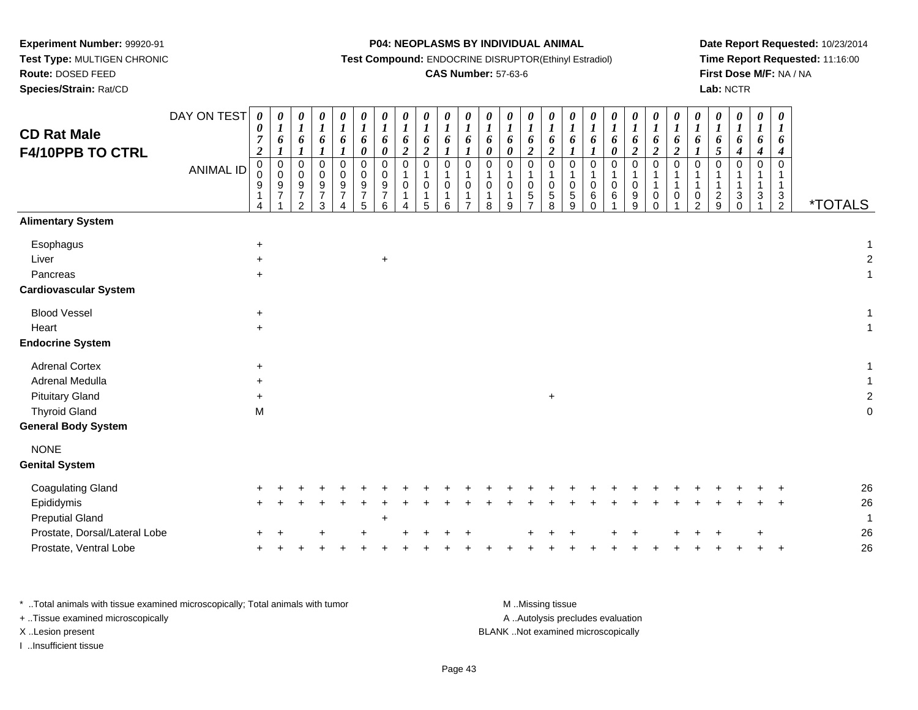**Test Type:** MULTIGEN CHRONIC

## **Route:** DOSED FEED

**Species/Strain:** Rat/CD

#### **P04: NEOPLASMS BY INDIVIDUAL ANIMAL**

**Test Compound:** ENDOCRINE DISRUPTOR(Ethinyl Estradiol)

## **CAS Number:** 57-63-6

**Date Report Requested:** 10/23/2014**Time Report Requested:** 11:16:00**First Dose M/F:** NA / NA**Lab:** NCTR

| <b>CD Rat Male</b><br><b>F4/10PPB TO CTRL</b>                      | DAY ON TEST<br><b>ANIMAL ID</b> | $\boldsymbol{\theta}$<br>$\boldsymbol{\theta}$<br>$\overline{7}$<br>$\boldsymbol{2}$<br>$\pmb{0}$<br>$\mathbf 0$<br>9<br>1 | 0<br>$\boldsymbol{l}$<br>6<br>$\pmb{0}$<br>$\overline{0}$<br>9<br>$\overline{7}$ | $\pmb{\theta}$<br>$\boldsymbol{l}$<br>6<br>$\mathbf{I}$<br>$\mathbf 0$<br>$\mathbf 0$<br>$9\,$<br>$\overline{7}$<br>$\mathfrak{p}$ | 0<br>$\boldsymbol{l}$<br>6<br>$\mathbf 0$<br>$\mathbf 0$<br>9<br>$\overline{7}$<br>3 | $\pmb{\theta}$<br>$\boldsymbol{l}$<br>6<br>$\mathbf 0$<br>$\mathbf 0$<br>9<br>$\overline{7}$ | $\boldsymbol{\theta}$<br>$\boldsymbol{l}$<br>6<br>$\boldsymbol{\theta}$<br>$\mathbf 0$<br>0<br>$\boldsymbol{9}$<br>$\overline{7}$<br>5 | 0<br>6<br>0<br>0<br>0<br>$\boldsymbol{9}$<br>$\overline{7}$<br>6 | 0<br>$\boldsymbol{l}$<br>6<br>$\boldsymbol{2}$<br>$\mathbf 0$<br>$\,0\,$<br>$\boldsymbol{\Delta}$ | 0<br>$\boldsymbol{l}$<br>6<br>$\boldsymbol{2}$<br>$\mathbf 0$<br>-1<br>$\mathbf 0$<br>$\mathbf 1$<br>5 | 0<br>$\boldsymbol{l}$<br>6<br>0<br>1<br>0<br>1<br>6 | $\pmb{\theta}$<br>$\boldsymbol{l}$<br>6<br>$\mathbf{I}$<br>$\mathbf 0$<br>$\mathbf 1$<br>$\pmb{0}$<br>$\mathbf{1}$<br>$\overline{7}$ | 0<br>$\boldsymbol{l}$<br>6<br>$\boldsymbol{\theta}$<br>$\mathbf 0$<br>1<br>$\,0\,$<br>$\mathbf{1}$<br>8 | 0<br>$\boldsymbol{l}$<br>6<br>$\pmb{\theta}$<br>0<br>$\mathbf{1}$<br>0<br>$\mathbf{1}$<br>9 | 0<br>$\boldsymbol{l}$<br>6<br>$\boldsymbol{2}$<br>$\mathsf 0$<br>1<br>$\mathbf 0$<br>$\mathbf 5$<br>$\overline{7}$ | 0<br>$\boldsymbol{l}$<br>6<br>$\boldsymbol{2}$<br>$\mathsf 0$<br>$\pmb{0}$<br>$\,$ 5 $\,$<br>8 | $\boldsymbol{\theta}$<br>$\boldsymbol{l}$<br>6<br>1<br>$\mathbf 0$<br>$\mathbf{1}$<br>$\pmb{0}$<br>$\,$ 5 $\,$<br>9 | 0<br>$\boldsymbol{l}$<br>6<br>$\mathbf 0$<br>1<br>0<br>$\,6$<br>$\Omega$ | $\pmb{\theta}$<br>$\boldsymbol{l}$<br>6<br>$\pmb{\theta}$<br>$\mathbf 0$<br>$\,0\,$<br>6 | $\boldsymbol{\theta}$<br>$\boldsymbol{l}$<br>6<br>$\boldsymbol{2}$<br>$\mathbf 0$<br>$\mathbf 0$<br>$\boldsymbol{9}$<br>9 | $\pmb{\theta}$<br>$\boldsymbol{l}$<br>6<br>$\boldsymbol{2}$<br>$\mathbf 0$<br>1<br>$\mathbf{1}$<br>$\mathbf 0$<br>$\Omega$ | 0<br>$\boldsymbol{l}$<br>$\frac{6}{2}$<br>$\mathsf 0$<br>$\mathbf{1}$<br>$\mathbf{1}$<br>$\pmb{0}$ | 0<br>$\boldsymbol{l}$<br>6<br>$\mathbf 0$<br>0<br>$\overline{2}$ | $\boldsymbol{\theta}$<br>$\boldsymbol{l}$<br>6<br>5<br>$\mathbf 0$<br>1<br>1<br>$\boldsymbol{2}$<br>9 | 0<br>$\boldsymbol{l}$<br>6<br>$\boldsymbol{4}$<br>0<br>$\sqrt{3}$<br>$\Omega$ | $\boldsymbol{\theta}$<br>$\boldsymbol{l}$<br>6<br>$\boldsymbol{4}$<br>0<br>$\ensuremath{\mathsf{3}}$ | 0<br>$\boldsymbol{l}$<br>6<br>$\boldsymbol{4}$<br>$\mathbf 0$<br>$\mathbf{1}$<br>$\mathbf{1}$<br>$\frac{3}{2}$ | <i><b>*TOTALS</b></i>    |
|--------------------------------------------------------------------|---------------------------------|----------------------------------------------------------------------------------------------------------------------------|----------------------------------------------------------------------------------|------------------------------------------------------------------------------------------------------------------------------------|--------------------------------------------------------------------------------------|----------------------------------------------------------------------------------------------|----------------------------------------------------------------------------------------------------------------------------------------|------------------------------------------------------------------|---------------------------------------------------------------------------------------------------|--------------------------------------------------------------------------------------------------------|-----------------------------------------------------|--------------------------------------------------------------------------------------------------------------------------------------|---------------------------------------------------------------------------------------------------------|---------------------------------------------------------------------------------------------|--------------------------------------------------------------------------------------------------------------------|------------------------------------------------------------------------------------------------|---------------------------------------------------------------------------------------------------------------------|--------------------------------------------------------------------------|------------------------------------------------------------------------------------------|---------------------------------------------------------------------------------------------------------------------------|----------------------------------------------------------------------------------------------------------------------------|----------------------------------------------------------------------------------------------------|------------------------------------------------------------------|-------------------------------------------------------------------------------------------------------|-------------------------------------------------------------------------------|------------------------------------------------------------------------------------------------------|----------------------------------------------------------------------------------------------------------------|--------------------------|
| <b>Alimentary System</b>                                           |                                 |                                                                                                                            |                                                                                  |                                                                                                                                    |                                                                                      |                                                                                              |                                                                                                                                        |                                                                  |                                                                                                   |                                                                                                        |                                                     |                                                                                                                                      |                                                                                                         |                                                                                             |                                                                                                                    |                                                                                                |                                                                                                                     |                                                                          |                                                                                          |                                                                                                                           |                                                                                                                            |                                                                                                    |                                                                  |                                                                                                       |                                                                               |                                                                                                      |                                                                                                                |                          |
| Esophagus<br>Liver<br>Pancreas<br><b>Cardiovascular System</b>     |                                 | $\ddot{}$<br>$\ddot{}$<br>$+$                                                                                              |                                                                                  |                                                                                                                                    |                                                                                      |                                                                                              |                                                                                                                                        | $\ddot{}$                                                        |                                                                                                   |                                                                                                        |                                                     |                                                                                                                                      |                                                                                                         |                                                                                             |                                                                                                                    |                                                                                                |                                                                                                                     |                                                                          |                                                                                          |                                                                                                                           |                                                                                                                            |                                                                                                    |                                                                  |                                                                                                       |                                                                               |                                                                                                      |                                                                                                                | 1<br>$\overline{c}$<br>1 |
| <b>Blood Vessel</b>                                                |                                 | $\ddot{}$                                                                                                                  |                                                                                  |                                                                                                                                    |                                                                                      |                                                                                              |                                                                                                                                        |                                                                  |                                                                                                   |                                                                                                        |                                                     |                                                                                                                                      |                                                                                                         |                                                                                             |                                                                                                                    |                                                                                                |                                                                                                                     |                                                                          |                                                                                          |                                                                                                                           |                                                                                                                            |                                                                                                    |                                                                  |                                                                                                       |                                                                               |                                                                                                      |                                                                                                                |                          |
| Heart                                                              |                                 | $\ddot{}$                                                                                                                  |                                                                                  |                                                                                                                                    |                                                                                      |                                                                                              |                                                                                                                                        |                                                                  |                                                                                                   |                                                                                                        |                                                     |                                                                                                                                      |                                                                                                         |                                                                                             |                                                                                                                    |                                                                                                |                                                                                                                     |                                                                          |                                                                                          |                                                                                                                           |                                                                                                                            |                                                                                                    |                                                                  |                                                                                                       |                                                                               |                                                                                                      |                                                                                                                | 1                        |
| <b>Endocrine System</b>                                            |                                 |                                                                                                                            |                                                                                  |                                                                                                                                    |                                                                                      |                                                                                              |                                                                                                                                        |                                                                  |                                                                                                   |                                                                                                        |                                                     |                                                                                                                                      |                                                                                                         |                                                                                             |                                                                                                                    |                                                                                                |                                                                                                                     |                                                                          |                                                                                          |                                                                                                                           |                                                                                                                            |                                                                                                    |                                                                  |                                                                                                       |                                                                               |                                                                                                      |                                                                                                                |                          |
| <b>Adrenal Cortex</b><br>Adrenal Medulla<br><b>Pituitary Gland</b> |                                 | $\ddot{}$<br>$\ddot{}$<br>$+$                                                                                              |                                                                                  |                                                                                                                                    |                                                                                      |                                                                                              |                                                                                                                                        |                                                                  |                                                                                                   |                                                                                                        |                                                     |                                                                                                                                      |                                                                                                         |                                                                                             |                                                                                                                    | $\ddot{}$                                                                                      |                                                                                                                     |                                                                          |                                                                                          |                                                                                                                           |                                                                                                                            |                                                                                                    |                                                                  |                                                                                                       |                                                                               |                                                                                                      |                                                                                                                | 1<br>$\overline{2}$      |
| <b>Thyroid Gland</b><br><b>General Body System</b>                 |                                 | M                                                                                                                          |                                                                                  |                                                                                                                                    |                                                                                      |                                                                                              |                                                                                                                                        |                                                                  |                                                                                                   |                                                                                                        |                                                     |                                                                                                                                      |                                                                                                         |                                                                                             |                                                                                                                    |                                                                                                |                                                                                                                     |                                                                          |                                                                                          |                                                                                                                           |                                                                                                                            |                                                                                                    |                                                                  |                                                                                                       |                                                                               |                                                                                                      |                                                                                                                | 0                        |
| <b>NONE</b><br><b>Genital System</b>                               |                                 |                                                                                                                            |                                                                                  |                                                                                                                                    |                                                                                      |                                                                                              |                                                                                                                                        |                                                                  |                                                                                                   |                                                                                                        |                                                     |                                                                                                                                      |                                                                                                         |                                                                                             |                                                                                                                    |                                                                                                |                                                                                                                     |                                                                          |                                                                                          |                                                                                                                           |                                                                                                                            |                                                                                                    |                                                                  |                                                                                                       |                                                                               |                                                                                                      |                                                                                                                |                          |
| <b>Coagulating Gland</b><br>Epididymis<br><b>Preputial Gland</b>   |                                 |                                                                                                                            |                                                                                  |                                                                                                                                    |                                                                                      |                                                                                              |                                                                                                                                        | $\ddot{}$                                                        |                                                                                                   |                                                                                                        |                                                     |                                                                                                                                      |                                                                                                         |                                                                                             |                                                                                                                    |                                                                                                |                                                                                                                     |                                                                          |                                                                                          |                                                                                                                           |                                                                                                                            |                                                                                                    |                                                                  |                                                                                                       |                                                                               |                                                                                                      |                                                                                                                | 26<br>26<br>$\mathbf 1$  |
| Prostate, Dorsal/Lateral Lobe<br>Prostate, Ventral Lobe            |                                 |                                                                                                                            |                                                                                  |                                                                                                                                    |                                                                                      |                                                                                              |                                                                                                                                        |                                                                  |                                                                                                   |                                                                                                        |                                                     |                                                                                                                                      |                                                                                                         |                                                                                             |                                                                                                                    |                                                                                                |                                                                                                                     |                                                                          |                                                                                          |                                                                                                                           |                                                                                                                            |                                                                                                    |                                                                  |                                                                                                       |                                                                               |                                                                                                      |                                                                                                                | 26<br>26                 |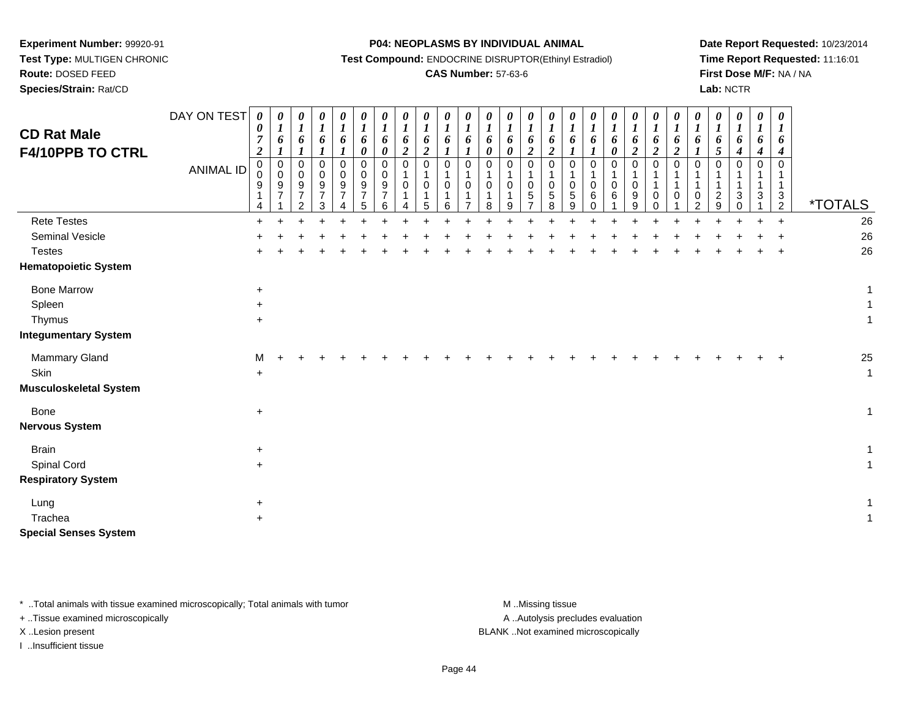**Test Type:** MULTIGEN CHRONIC

# **Route:** DOSED FEED

**Species/Strain:** Rat/CD

#### **P04: NEOPLASMS BY INDIVIDUAL ANIMAL**

**Test Compound:** ENDOCRINE DISRUPTOR(Ethinyl Estradiol)

### **CAS Number:** 57-63-6

**Date Report Requested:** 10/23/2014**Time Report Requested:** 11:16:01**First Dose M/F:** NA / NA**Lab:** NCTR

| <b>CD Rat Male</b><br>F4/10PPB TO CTRL | DAY ON TEST<br><b>ANIMAL ID</b> | $\boldsymbol{\theta}$<br>0<br>$\overline{7}$<br>$\boldsymbol{2}$<br>$\mathbf 0$<br>$\mathbf 0$<br>9<br>4 | 0<br>$\boldsymbol{I}$<br>6<br>$\boldsymbol{l}$<br>$\mathbf 0$<br>$\pmb{0}$<br>9<br>$\overline{7}$ | 0<br>$\boldsymbol{l}$<br>6<br>$\mathbf{I}$<br>$\mathbf 0$<br>0<br>$\frac{9}{7}$<br>$\overline{2}$ | 0<br>$\boldsymbol{l}$<br>6<br>$\mathbf 0$<br>$\mathbf 0$<br>9<br>$\overline{7}$<br>3 | $\boldsymbol{\theta}$<br>$\boldsymbol{l}$<br>6<br>$\boldsymbol{l}$<br>$\mathbf 0$<br>$\mathbf 0$<br>9<br>$\overline{7}$ | 0<br>$\boldsymbol{l}$<br>6<br>$\pmb{\theta}$<br>0<br>0<br>$\frac{9}{7}$<br>5 | $\pmb{\theta}$<br>$\boldsymbol{l}$<br>6<br>0<br>0<br>0<br>9<br>$\overline{7}$<br>6 | 0<br>$\boldsymbol{l}$<br>6<br>$\boldsymbol{2}$<br>$\mathbf 0$<br>1<br>0<br>1<br>Λ | 0<br>$\boldsymbol{I}$<br>6<br>$\boldsymbol{2}$<br>0<br>$\mathbf{1}$<br>0<br>$\mathbf{1}$<br>5 | 0<br>$\boldsymbol{l}$<br>6<br>$\mathbf 0$<br>$\mathbf{1}$<br>$\mathbf 0$<br>6 | $\boldsymbol{\theta}$<br>$\boldsymbol{l}$<br>6<br>$\boldsymbol{l}$<br>$\mathbf 0$<br>$\mathbf{1}$<br>0<br>1<br>⇁ | 0<br>$\boldsymbol{l}$<br>6<br>0<br>0<br>$\mathbf 1$<br>0<br>8 | 0<br>$\boldsymbol{l}$<br>6<br>0<br>0<br>1<br>0<br>9 | 0<br>$\boldsymbol{l}$<br>6<br>$\boldsymbol{2}$<br>$\pmb{0}$<br>$\mathbf{1}$<br>$\mathbf 0$<br>$\,$ 5 $\,$<br>$\overline{7}$ | 0<br>$\boldsymbol{I}$<br>6<br>$\boldsymbol{2}$<br>$\mathbf 0$<br>0<br>5<br>8 | 0<br>$\boldsymbol{l}$<br>6<br>0<br>0<br>$\,$ 5 $\,$<br>9 | $\boldsymbol{\theta}$<br>$\boldsymbol{l}$<br>6<br>1<br>0<br>$\mathbf{1}$<br>0<br>6<br>$\Omega$ | 0<br>$\boldsymbol{l}$<br>6<br>0<br>0<br>0<br>6 | $\pmb{\theta}$<br>$\boldsymbol{l}$<br>6<br>$\boldsymbol{2}$<br>$\mathbf 0$<br>0<br>9<br>9 | 0<br>$\boldsymbol{l}$<br>6<br>$\boldsymbol{2}$<br>$\mathbf 0$<br>$\mathbf{1}$<br>$\mathbf{1}$<br>$\mathbf 0$<br>$\Omega$ | 0<br>$\boldsymbol{l}$<br>6<br>$\boldsymbol{2}$<br>$\mathbf 0$<br>1<br>1<br>$\mathbf 0$ | $\boldsymbol{\theta}$<br>$\boldsymbol{l}$<br>6<br>$\mathbf 0$<br>0<br>$\overline{2}$ | 0<br>$\boldsymbol{l}$<br>6<br>$\mathfrak{s}$<br>0<br>$\overline{c}$<br>9 | 0<br>$\boldsymbol{l}$<br>6<br>4<br>0<br>3<br>∩ | $\pmb{\theta}$<br>$\boldsymbol{l}$<br>6<br>4<br>$\mathbf 0$<br>$\mathbf 1$<br>3 | 0<br>$\boldsymbol{I}$<br>6<br>4<br>$\Omega$<br>$\mathbf{1}$<br>$\sqrt{3}$<br>$\overline{2}$ | *TOTALS      |
|----------------------------------------|---------------------------------|----------------------------------------------------------------------------------------------------------|---------------------------------------------------------------------------------------------------|---------------------------------------------------------------------------------------------------|--------------------------------------------------------------------------------------|-------------------------------------------------------------------------------------------------------------------------|------------------------------------------------------------------------------|------------------------------------------------------------------------------------|-----------------------------------------------------------------------------------|-----------------------------------------------------------------------------------------------|-------------------------------------------------------------------------------|------------------------------------------------------------------------------------------------------------------|---------------------------------------------------------------|-----------------------------------------------------|-----------------------------------------------------------------------------------------------------------------------------|------------------------------------------------------------------------------|----------------------------------------------------------|------------------------------------------------------------------------------------------------|------------------------------------------------|-------------------------------------------------------------------------------------------|--------------------------------------------------------------------------------------------------------------------------|----------------------------------------------------------------------------------------|--------------------------------------------------------------------------------------|--------------------------------------------------------------------------|------------------------------------------------|---------------------------------------------------------------------------------|---------------------------------------------------------------------------------------------|--------------|
| <b>Rete Testes</b>                     |                                 | $+$                                                                                                      | ÷                                                                                                 |                                                                                                   |                                                                                      |                                                                                                                         |                                                                              |                                                                                    |                                                                                   |                                                                                               |                                                                               |                                                                                                                  |                                                               |                                                     |                                                                                                                             |                                                                              |                                                          |                                                                                                |                                                |                                                                                           |                                                                                                                          |                                                                                        |                                                                                      |                                                                          |                                                | $+$                                                                             | $+$                                                                                         | 26           |
| <b>Seminal Vesicle</b>                 |                                 |                                                                                                          |                                                                                                   |                                                                                                   |                                                                                      |                                                                                                                         |                                                                              |                                                                                    |                                                                                   |                                                                                               |                                                                               |                                                                                                                  |                                                               |                                                     |                                                                                                                             |                                                                              |                                                          |                                                                                                |                                                |                                                                                           |                                                                                                                          |                                                                                        |                                                                                      |                                                                          |                                                |                                                                                 |                                                                                             | 26           |
| <b>Testes</b>                          |                                 |                                                                                                          |                                                                                                   |                                                                                                   |                                                                                      |                                                                                                                         |                                                                              |                                                                                    |                                                                                   |                                                                                               |                                                                               |                                                                                                                  |                                                               |                                                     |                                                                                                                             |                                                                              |                                                          |                                                                                                |                                                |                                                                                           |                                                                                                                          |                                                                                        |                                                                                      |                                                                          |                                                |                                                                                 |                                                                                             | 26           |
| <b>Hematopoietic System</b>            |                                 |                                                                                                          |                                                                                                   |                                                                                                   |                                                                                      |                                                                                                                         |                                                                              |                                                                                    |                                                                                   |                                                                                               |                                                                               |                                                                                                                  |                                                               |                                                     |                                                                                                                             |                                                                              |                                                          |                                                                                                |                                                |                                                                                           |                                                                                                                          |                                                                                        |                                                                                      |                                                                          |                                                |                                                                                 |                                                                                             |              |
| <b>Bone Marrow</b>                     |                                 | $\ddot{}$                                                                                                |                                                                                                   |                                                                                                   |                                                                                      |                                                                                                                         |                                                                              |                                                                                    |                                                                                   |                                                                                               |                                                                               |                                                                                                                  |                                                               |                                                     |                                                                                                                             |                                                                              |                                                          |                                                                                                |                                                |                                                                                           |                                                                                                                          |                                                                                        |                                                                                      |                                                                          |                                                |                                                                                 |                                                                                             | 1            |
| Spleen                                 |                                 | $\ddot{}$                                                                                                |                                                                                                   |                                                                                                   |                                                                                      |                                                                                                                         |                                                                              |                                                                                    |                                                                                   |                                                                                               |                                                                               |                                                                                                                  |                                                               |                                                     |                                                                                                                             |                                                                              |                                                          |                                                                                                |                                                |                                                                                           |                                                                                                                          |                                                                                        |                                                                                      |                                                                          |                                                |                                                                                 |                                                                                             | $\mathbf{1}$ |
| Thymus                                 |                                 | $+$                                                                                                      |                                                                                                   |                                                                                                   |                                                                                      |                                                                                                                         |                                                                              |                                                                                    |                                                                                   |                                                                                               |                                                                               |                                                                                                                  |                                                               |                                                     |                                                                                                                             |                                                                              |                                                          |                                                                                                |                                                |                                                                                           |                                                                                                                          |                                                                                        |                                                                                      |                                                                          |                                                |                                                                                 |                                                                                             | $\mathbf{1}$ |
| <b>Integumentary System</b>            |                                 |                                                                                                          |                                                                                                   |                                                                                                   |                                                                                      |                                                                                                                         |                                                                              |                                                                                    |                                                                                   |                                                                                               |                                                                               |                                                                                                                  |                                                               |                                                     |                                                                                                                             |                                                                              |                                                          |                                                                                                |                                                |                                                                                           |                                                                                                                          |                                                                                        |                                                                                      |                                                                          |                                                |                                                                                 |                                                                                             |              |
| Mammary Gland                          |                                 | М                                                                                                        |                                                                                                   |                                                                                                   |                                                                                      |                                                                                                                         |                                                                              |                                                                                    |                                                                                   |                                                                                               |                                                                               |                                                                                                                  |                                                               |                                                     |                                                                                                                             |                                                                              |                                                          |                                                                                                |                                                |                                                                                           |                                                                                                                          |                                                                                        |                                                                                      |                                                                          |                                                |                                                                                 |                                                                                             | 25           |
| Skin                                   |                                 | $\ddot{}$                                                                                                |                                                                                                   |                                                                                                   |                                                                                      |                                                                                                                         |                                                                              |                                                                                    |                                                                                   |                                                                                               |                                                                               |                                                                                                                  |                                                               |                                                     |                                                                                                                             |                                                                              |                                                          |                                                                                                |                                                |                                                                                           |                                                                                                                          |                                                                                        |                                                                                      |                                                                          |                                                |                                                                                 |                                                                                             | $\mathbf{1}$ |
| <b>Musculoskeletal System</b>          |                                 |                                                                                                          |                                                                                                   |                                                                                                   |                                                                                      |                                                                                                                         |                                                                              |                                                                                    |                                                                                   |                                                                                               |                                                                               |                                                                                                                  |                                                               |                                                     |                                                                                                                             |                                                                              |                                                          |                                                                                                |                                                |                                                                                           |                                                                                                                          |                                                                                        |                                                                                      |                                                                          |                                                |                                                                                 |                                                                                             |              |
| <b>Bone</b>                            |                                 | $\ddot{}$                                                                                                |                                                                                                   |                                                                                                   |                                                                                      |                                                                                                                         |                                                                              |                                                                                    |                                                                                   |                                                                                               |                                                                               |                                                                                                                  |                                                               |                                                     |                                                                                                                             |                                                                              |                                                          |                                                                                                |                                                |                                                                                           |                                                                                                                          |                                                                                        |                                                                                      |                                                                          |                                                |                                                                                 |                                                                                             | 1            |
| <b>Nervous System</b>                  |                                 |                                                                                                          |                                                                                                   |                                                                                                   |                                                                                      |                                                                                                                         |                                                                              |                                                                                    |                                                                                   |                                                                                               |                                                                               |                                                                                                                  |                                                               |                                                     |                                                                                                                             |                                                                              |                                                          |                                                                                                |                                                |                                                                                           |                                                                                                                          |                                                                                        |                                                                                      |                                                                          |                                                |                                                                                 |                                                                                             |              |
| <b>Brain</b>                           |                                 | $+$                                                                                                      |                                                                                                   |                                                                                                   |                                                                                      |                                                                                                                         |                                                                              |                                                                                    |                                                                                   |                                                                                               |                                                                               |                                                                                                                  |                                                               |                                                     |                                                                                                                             |                                                                              |                                                          |                                                                                                |                                                |                                                                                           |                                                                                                                          |                                                                                        |                                                                                      |                                                                          |                                                |                                                                                 |                                                                                             | 1            |
| Spinal Cord                            |                                 | $+$                                                                                                      |                                                                                                   |                                                                                                   |                                                                                      |                                                                                                                         |                                                                              |                                                                                    |                                                                                   |                                                                                               |                                                                               |                                                                                                                  |                                                               |                                                     |                                                                                                                             |                                                                              |                                                          |                                                                                                |                                                |                                                                                           |                                                                                                                          |                                                                                        |                                                                                      |                                                                          |                                                |                                                                                 |                                                                                             | $\mathbf 1$  |
| <b>Respiratory System</b>              |                                 |                                                                                                          |                                                                                                   |                                                                                                   |                                                                                      |                                                                                                                         |                                                                              |                                                                                    |                                                                                   |                                                                                               |                                                                               |                                                                                                                  |                                                               |                                                     |                                                                                                                             |                                                                              |                                                          |                                                                                                |                                                |                                                                                           |                                                                                                                          |                                                                                        |                                                                                      |                                                                          |                                                |                                                                                 |                                                                                             |              |
| Lung                                   |                                 | $\ddot{}$                                                                                                |                                                                                                   |                                                                                                   |                                                                                      |                                                                                                                         |                                                                              |                                                                                    |                                                                                   |                                                                                               |                                                                               |                                                                                                                  |                                                               |                                                     |                                                                                                                             |                                                                              |                                                          |                                                                                                |                                                |                                                                                           |                                                                                                                          |                                                                                        |                                                                                      |                                                                          |                                                |                                                                                 |                                                                                             | 1            |
| Trachea                                |                                 | $+$                                                                                                      |                                                                                                   |                                                                                                   |                                                                                      |                                                                                                                         |                                                                              |                                                                                    |                                                                                   |                                                                                               |                                                                               |                                                                                                                  |                                                               |                                                     |                                                                                                                             |                                                                              |                                                          |                                                                                                |                                                |                                                                                           |                                                                                                                          |                                                                                        |                                                                                      |                                                                          |                                                |                                                                                 |                                                                                             | $\mathbf{1}$ |
| <b>Special Senses System</b>           |                                 |                                                                                                          |                                                                                                   |                                                                                                   |                                                                                      |                                                                                                                         |                                                                              |                                                                                    |                                                                                   |                                                                                               |                                                                               |                                                                                                                  |                                                               |                                                     |                                                                                                                             |                                                                              |                                                          |                                                                                                |                                                |                                                                                           |                                                                                                                          |                                                                                        |                                                                                      |                                                                          |                                                |                                                                                 |                                                                                             |              |

\* ..Total animals with tissue examined microscopically; Total animals with tumor **M** . Missing tissue M ..Missing tissue

+ ..Tissue examined microscopically

I ..Insufficient tissue

A ..Autolysis precludes evaluation

X ..Lesion present BLANK ..Not examined microscopically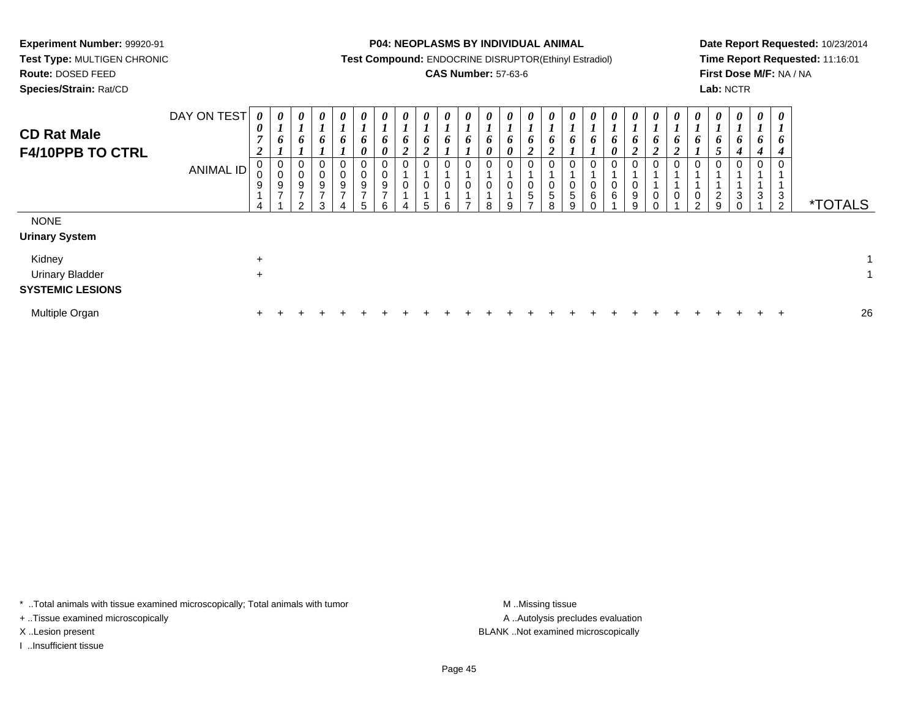**Test Type:** MULTIGEN CHRONIC**Route:** DOSED FEED

**Species/Strain:** Rat/CD

**P04: NEOPLASMS BY INDIVIDUAL ANIMAL**

**Test Compound:** ENDOCRINE DISRUPTOR(Ethinyl Estradiol)

## **CAS Number:** 57-63-6

**Date Report Requested:** 10/23/2014**Time Report Requested:** 11:16:01**First Dose M/F:** NA / NA**Lab:** NCTR

| <b>CD Rat Male</b><br><b>F4/10PPB TO CTRL</b>               | DAY ON TEST<br>ANIMAL ID | $\boldsymbol{\theta}$<br>$\boldsymbol{\theta}$<br>7<br>2<br>$\boldsymbol{9}$<br>$\overline{4}$ | 0<br>$\mathbf{I}$<br>6<br>0<br>0<br>$\frac{9}{7}$ | $\boldsymbol{\theta}$<br>$\overline{ }$<br>6<br>0<br>0<br>9<br>$\overline{ }$<br>$\Omega$ | $\boldsymbol{\theta}$<br>6<br>0<br>$\pmb{0}$<br>$\boldsymbol{9}$<br>$\overline{ }$<br>3 | $\boldsymbol{\theta}$<br>$\bm{o}$<br>$\pmb{0}$<br>0<br>$\boldsymbol{9}$<br>$\overline{ }$ | $\boldsymbol{\theta}$<br>6<br>$\boldsymbol{\theta}$<br>9<br>$\overline{ }$ | 0<br>6<br>$\boldsymbol{\theta}$<br>0<br>0<br>9<br>$\overline{ }$<br>6 | 0<br>$\frac{6}{2}$<br>0<br>0 | $\boldsymbol{\theta}$<br>$\bm{b}$<br>$\boldsymbol{2}$<br>0<br>$\pmb{0}$<br>5 | $\boldsymbol{\theta}$<br>$\bm{o}$<br>0<br>0<br>6 | $\boldsymbol{\theta}$<br>$\bm{b}$<br>T<br>0<br>$\overline{ }$ | 0<br>6<br>0<br>0<br>$\pmb{0}$<br>8 | 0<br>6<br>$\boldsymbol{\theta}$<br>0<br>0<br>9 | $\boldsymbol{\theta}$<br>$\mathbf{I}$<br>6<br>$\overline{2}$<br>0<br>$\pmb{0}$<br>$\sqrt{5}$<br>$\overline{ }$ | $\boldsymbol{\theta}$<br>$\bm{o}$<br>ി<br>◢<br>0<br>0<br>5<br>8 | $\theta$<br>o<br>0<br>$\,$ 5 $\,$<br>q | $\theta$<br>6<br>0<br>6 | $\theta$<br>$\bm{b}$<br>0<br>$\mathbf 0$<br>0<br>6 | 0<br>$\bm{b}$<br>$\boldsymbol{2}$<br>0<br>$\pmb{0}$<br>$\boldsymbol{9}$<br>9 | 0<br>O<br>◢<br>$\mathbf 0$<br>0 | $\theta$<br>o<br>$\overline{2}$<br>0<br>$\pmb{0}$ | $\boldsymbol{\theta}$<br>6<br>0<br>0<br>$\sim$ | $\boldsymbol{\theta}$<br>$\mathbf{I}$<br>$\frac{6}{5}$<br>$\mathbf 0$<br>$\frac{2}{9}$ | $\boldsymbol{\theta}$<br>$\boldsymbol{\mathit{I}}$<br>$\bm{b}$<br>$\boldsymbol{4}$<br>$\mathbf 0$<br>$\mathbf{3}$<br>$\Omega$ | 0<br>6<br>4<br>0<br>3 | $\boldsymbol{\theta}$<br>$\boldsymbol{l}$<br>6<br>$\boldsymbol{4}$<br>$\mathbf 0$<br>3<br>$\overline{2}$ | <i><b>*TOTALS</b></i> |
|-------------------------------------------------------------|--------------------------|------------------------------------------------------------------------------------------------|---------------------------------------------------|-------------------------------------------------------------------------------------------|-----------------------------------------------------------------------------------------|-------------------------------------------------------------------------------------------|----------------------------------------------------------------------------|-----------------------------------------------------------------------|------------------------------|------------------------------------------------------------------------------|--------------------------------------------------|---------------------------------------------------------------|------------------------------------|------------------------------------------------|----------------------------------------------------------------------------------------------------------------|-----------------------------------------------------------------|----------------------------------------|-------------------------|----------------------------------------------------|------------------------------------------------------------------------------|---------------------------------|---------------------------------------------------|------------------------------------------------|----------------------------------------------------------------------------------------|-------------------------------------------------------------------------------------------------------------------------------|-----------------------|----------------------------------------------------------------------------------------------------------|-----------------------|
| <b>NONE</b><br><b>Urinary System</b>                        |                          |                                                                                                |                                                   |                                                                                           |                                                                                         |                                                                                           |                                                                            |                                                                       |                              |                                                                              |                                                  |                                                               |                                    |                                                |                                                                                                                |                                                                 |                                        |                         |                                                    |                                                                              |                                 |                                                   |                                                |                                                                                        |                                                                                                                               |                       |                                                                                                          |                       |
| Kidney<br><b>Urinary Bladder</b><br><b>SYSTEMIC LESIONS</b> |                          | $\ddot{}$<br>$\ddot{}$                                                                         |                                                   |                                                                                           |                                                                                         |                                                                                           |                                                                            |                                                                       |                              |                                                                              |                                                  |                                                               |                                    |                                                |                                                                                                                |                                                                 |                                        |                         |                                                    |                                                                              |                                 |                                                   |                                                |                                                                                        |                                                                                                                               |                       |                                                                                                          | $\mathbf{1}$          |
| Multiple Organ                                              |                          | ÷.                                                                                             |                                                   |                                                                                           |                                                                                         |                                                                                           |                                                                            |                                                                       |                              |                                                                              |                                                  |                                                               |                                    |                                                |                                                                                                                |                                                                 |                                        |                         |                                                    |                                                                              |                                 |                                                   |                                                |                                                                                        |                                                                                                                               |                       | $\div$                                                                                                   | 26                    |

\* ..Total animals with tissue examined microscopically; Total animals with tumor **M** . Missing tissue M ..Missing tissue

+ ..Tissue examined microscopically

I ..Insufficient tissue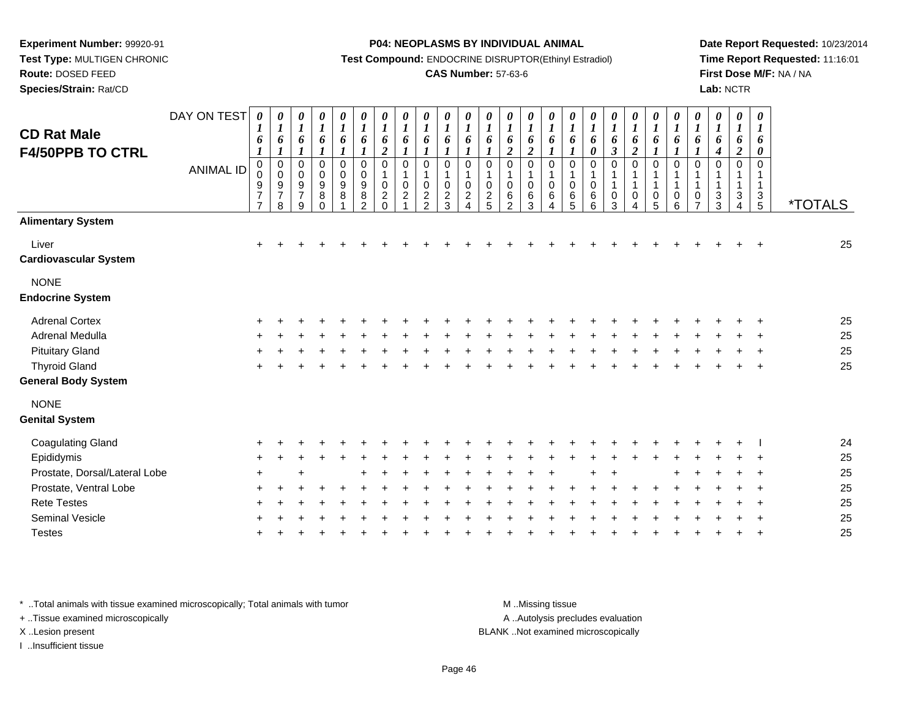**Test Type:** MULTIGEN CHRONIC

## **Route:** DOSED FEED

**Species/Strain:** Rat/CD

#### **P04: NEOPLASMS BY INDIVIDUAL ANIMAL**

**Test Compound:** ENDOCRINE DISRUPTOR(Ethinyl Estradiol)

### **CAS Number:** 57-63-6

**Date Report Requested:** 10/23/2014**Time Report Requested:** 11:16:01**First Dose M/F:** NA / NA**Lab:** NCTR

| <b>CD Rat Male</b><br><b>F4/50PPB TO CTRL</b> | DAY ON TEST<br><b>ANIMAL ID</b> | 0<br>1<br>6<br>$\boldsymbol{l}$<br>$\mathbf 0$<br>0<br>9<br>$\overline{\mathcal{I}}$<br>$\overline{7}$ | $\boldsymbol{\theta}$<br>$\boldsymbol{l}$<br>6<br>$\boldsymbol{l}$<br>$\pmb{0}$<br>$_{9}^{\rm o}$<br>$\overline{7}$<br>8 | 0<br>$\boldsymbol{l}$<br>6<br>$\boldsymbol{l}$<br>$\pmb{0}$<br>$_{9}^{\rm 0}$<br>$\overline{7}$<br>9 | 0<br>$\boldsymbol{l}$<br>6<br>$\boldsymbol{l}$<br>$\pmb{0}$<br>$\mathbf 0$<br>9<br>8<br>$\Omega$ | 0<br>$\boldsymbol{l}$<br>6<br>$\boldsymbol{l}$<br>$\pmb{0}$<br>$\pmb{0}$<br>9<br>$\bf 8$ | 0<br>$\boldsymbol{l}$<br>6<br>$\boldsymbol{l}$<br>$\mathbf 0$<br>$\mathbf 0$<br>9<br>8<br>$\overline{2}$ | $\pmb{\theta}$<br>$\boldsymbol{l}$<br>6<br>$\boldsymbol{2}$<br>$\mathbf 0$<br>$\mathbf{1}$<br>$\mathbf 0$<br>$\boldsymbol{2}$<br>$\Omega$ | 0<br>$\boldsymbol{l}$<br>6<br>$\boldsymbol{l}$<br>0<br>1<br>$\mathbf 0$<br>$\overline{c}$ | 0<br>$\boldsymbol{l}$<br>6<br>$\boldsymbol{l}$<br>0<br>$\mathbf{1}$<br>0<br>$\overline{c}$<br>$\mathfrak{p}$ | $\boldsymbol{\theta}$<br>$\boldsymbol{l}$<br>6<br>$\boldsymbol{l}$<br>$\mathbf 0$<br>$\mathbf{1}$<br>$\mathbf 0$<br>$\sqrt{2}$<br>3 | $\boldsymbol{\theta}$<br>$\boldsymbol{l}$<br>6<br>$\boldsymbol{l}$<br>$\pmb{0}$<br>$\mathbf{1}$<br>$\mathbf 0$<br>$\frac{2}{4}$ | $\frac{\theta}{I}$<br>6<br>$\boldsymbol{l}$<br>0<br>$\mathbf{1}$<br>0<br>$\frac{2}{5}$ | 0<br>$\boldsymbol{l}$<br>6<br>$\boldsymbol{2}$<br>0<br>$\mathbf{1}$<br>0<br>$\,6\,$<br>$\overline{2}$ | 0<br>$\boldsymbol{l}$<br>6<br>$\boldsymbol{2}$<br>$\pmb{0}$<br>$\mathbf{1}$<br>$\overline{0}$<br>$\,6$<br>3 | 0<br>$\boldsymbol{l}$<br>6<br>$\boldsymbol{l}$<br>$\mathbf 0$<br>$\mathbf{1}$<br>$\pmb{0}$<br>$\,6\,$<br>$\overline{4}$ | $\boldsymbol{\theta}$<br>$\boldsymbol{l}$<br>6<br>$\boldsymbol{l}$<br>$\mathbf 0$<br>$\mathbf{1}$<br>$\pmb{0}$<br>$\,6\,$<br>5 | $\boldsymbol{\theta}$<br>$\boldsymbol{l}$<br>6<br>0<br>0<br>$\mathbf{1}$<br>0<br>6<br>6 | $\boldsymbol{\theta}$<br>$\boldsymbol{l}$<br>6<br>$\mathfrak{z}$<br>$\mathbf 0$<br>$\mathbf{1}$<br>$\mathbf{1}$<br>0<br>3 | $\boldsymbol{\theta}$<br>$\boldsymbol{l}$<br>6<br>$\boldsymbol{2}$<br>0<br>$\mathbf{1}$<br>1<br>0 | 0<br>$\boldsymbol{l}$<br>6<br>$\boldsymbol{l}$<br>$\mathbf 0$<br>1<br>$\mathbf{1}$<br>$\pmb{0}$<br>5 | 0<br>$\boldsymbol{l}$<br>6<br>$\boldsymbol{l}$<br>$\mathbf 0$<br>$\mathbf 1$<br>$\mathbf{1}$<br>$\pmb{0}$<br>6 | 0<br>$\boldsymbol{l}$<br>6<br>1<br>$\mathbf 0$<br>1<br>$\mathbf{1}$<br>$\mathbf 0$<br>$\overline{ }$ | 0<br>$\boldsymbol{l}$<br>6<br>4<br>0<br>1<br>$\ensuremath{\mathsf{3}}$<br>3 | $\boldsymbol{\theta}$<br>$\boldsymbol{l}$<br>6<br>$\boldsymbol{2}$<br>$\Omega$<br>1<br>$\ensuremath{\mathsf{3}}$<br>$\overline{4}$ | $\boldsymbol{\theta}$<br>$\boldsymbol{l}$<br>6<br>0<br>$\Omega$<br>$\mathbf{1}$<br>$\frac{3}{5}$ | <i><b>*TOTALS</b></i> |
|-----------------------------------------------|---------------------------------|--------------------------------------------------------------------------------------------------------|--------------------------------------------------------------------------------------------------------------------------|------------------------------------------------------------------------------------------------------|--------------------------------------------------------------------------------------------------|------------------------------------------------------------------------------------------|----------------------------------------------------------------------------------------------------------|-------------------------------------------------------------------------------------------------------------------------------------------|-------------------------------------------------------------------------------------------|--------------------------------------------------------------------------------------------------------------|-------------------------------------------------------------------------------------------------------------------------------------|---------------------------------------------------------------------------------------------------------------------------------|----------------------------------------------------------------------------------------|-------------------------------------------------------------------------------------------------------|-------------------------------------------------------------------------------------------------------------|-------------------------------------------------------------------------------------------------------------------------|--------------------------------------------------------------------------------------------------------------------------------|-----------------------------------------------------------------------------------------|---------------------------------------------------------------------------------------------------------------------------|---------------------------------------------------------------------------------------------------|------------------------------------------------------------------------------------------------------|----------------------------------------------------------------------------------------------------------------|------------------------------------------------------------------------------------------------------|-----------------------------------------------------------------------------|------------------------------------------------------------------------------------------------------------------------------------|--------------------------------------------------------------------------------------------------|-----------------------|
| <b>Alimentary System</b>                      |                                 |                                                                                                        |                                                                                                                          |                                                                                                      |                                                                                                  |                                                                                          |                                                                                                          |                                                                                                                                           |                                                                                           |                                                                                                              |                                                                                                                                     |                                                                                                                                 |                                                                                        |                                                                                                       |                                                                                                             |                                                                                                                         |                                                                                                                                |                                                                                         |                                                                                                                           |                                                                                                   |                                                                                                      |                                                                                                                |                                                                                                      |                                                                             |                                                                                                                                    |                                                                                                  |                       |
| Liver<br><b>Cardiovascular System</b>         |                                 | $\ddot{}$                                                                                              |                                                                                                                          |                                                                                                      |                                                                                                  |                                                                                          |                                                                                                          |                                                                                                                                           |                                                                                           |                                                                                                              |                                                                                                                                     |                                                                                                                                 |                                                                                        |                                                                                                       |                                                                                                             |                                                                                                                         |                                                                                                                                |                                                                                         |                                                                                                                           |                                                                                                   |                                                                                                      |                                                                                                                |                                                                                                      |                                                                             |                                                                                                                                    |                                                                                                  | 25                    |
| <b>NONE</b><br><b>Endocrine System</b>        |                                 |                                                                                                        |                                                                                                                          |                                                                                                      |                                                                                                  |                                                                                          |                                                                                                          |                                                                                                                                           |                                                                                           |                                                                                                              |                                                                                                                                     |                                                                                                                                 |                                                                                        |                                                                                                       |                                                                                                             |                                                                                                                         |                                                                                                                                |                                                                                         |                                                                                                                           |                                                                                                   |                                                                                                      |                                                                                                                |                                                                                                      |                                                                             |                                                                                                                                    |                                                                                                  |                       |
| <b>Adrenal Cortex</b>                         |                                 |                                                                                                        |                                                                                                                          |                                                                                                      |                                                                                                  |                                                                                          |                                                                                                          |                                                                                                                                           |                                                                                           |                                                                                                              |                                                                                                                                     |                                                                                                                                 |                                                                                        |                                                                                                       |                                                                                                             |                                                                                                                         |                                                                                                                                |                                                                                         |                                                                                                                           |                                                                                                   |                                                                                                      |                                                                                                                |                                                                                                      |                                                                             |                                                                                                                                    |                                                                                                  | 25                    |
| Adrenal Medulla                               |                                 |                                                                                                        |                                                                                                                          |                                                                                                      |                                                                                                  |                                                                                          |                                                                                                          |                                                                                                                                           |                                                                                           |                                                                                                              |                                                                                                                                     |                                                                                                                                 |                                                                                        |                                                                                                       |                                                                                                             |                                                                                                                         |                                                                                                                                |                                                                                         |                                                                                                                           |                                                                                                   |                                                                                                      |                                                                                                                |                                                                                                      |                                                                             |                                                                                                                                    |                                                                                                  | 25                    |
| <b>Pituitary Gland</b>                        |                                 |                                                                                                        |                                                                                                                          |                                                                                                      |                                                                                                  |                                                                                          |                                                                                                          |                                                                                                                                           |                                                                                           |                                                                                                              |                                                                                                                                     |                                                                                                                                 |                                                                                        |                                                                                                       |                                                                                                             |                                                                                                                         |                                                                                                                                |                                                                                         |                                                                                                                           |                                                                                                   |                                                                                                      |                                                                                                                |                                                                                                      |                                                                             |                                                                                                                                    |                                                                                                  | 25                    |
| <b>Thyroid Gland</b>                          |                                 |                                                                                                        |                                                                                                                          |                                                                                                      |                                                                                                  |                                                                                          |                                                                                                          |                                                                                                                                           |                                                                                           |                                                                                                              |                                                                                                                                     |                                                                                                                                 |                                                                                        |                                                                                                       |                                                                                                             |                                                                                                                         |                                                                                                                                |                                                                                         |                                                                                                                           |                                                                                                   |                                                                                                      |                                                                                                                |                                                                                                      |                                                                             |                                                                                                                                    |                                                                                                  | 25                    |
| <b>General Body System</b>                    |                                 |                                                                                                        |                                                                                                                          |                                                                                                      |                                                                                                  |                                                                                          |                                                                                                          |                                                                                                                                           |                                                                                           |                                                                                                              |                                                                                                                                     |                                                                                                                                 |                                                                                        |                                                                                                       |                                                                                                             |                                                                                                                         |                                                                                                                                |                                                                                         |                                                                                                                           |                                                                                                   |                                                                                                      |                                                                                                                |                                                                                                      |                                                                             |                                                                                                                                    |                                                                                                  |                       |
| <b>NONE</b><br><b>Genital System</b>          |                                 |                                                                                                        |                                                                                                                          |                                                                                                      |                                                                                                  |                                                                                          |                                                                                                          |                                                                                                                                           |                                                                                           |                                                                                                              |                                                                                                                                     |                                                                                                                                 |                                                                                        |                                                                                                       |                                                                                                             |                                                                                                                         |                                                                                                                                |                                                                                         |                                                                                                                           |                                                                                                   |                                                                                                      |                                                                                                                |                                                                                                      |                                                                             |                                                                                                                                    |                                                                                                  |                       |
| <b>Coagulating Gland</b>                      |                                 |                                                                                                        |                                                                                                                          |                                                                                                      |                                                                                                  |                                                                                          |                                                                                                          |                                                                                                                                           |                                                                                           |                                                                                                              |                                                                                                                                     |                                                                                                                                 |                                                                                        |                                                                                                       |                                                                                                             |                                                                                                                         |                                                                                                                                |                                                                                         |                                                                                                                           |                                                                                                   |                                                                                                      |                                                                                                                |                                                                                                      |                                                                             |                                                                                                                                    |                                                                                                  | 24                    |
| Epididymis                                    |                                 |                                                                                                        |                                                                                                                          |                                                                                                      |                                                                                                  |                                                                                          |                                                                                                          |                                                                                                                                           |                                                                                           |                                                                                                              |                                                                                                                                     |                                                                                                                                 |                                                                                        |                                                                                                       |                                                                                                             |                                                                                                                         |                                                                                                                                |                                                                                         |                                                                                                                           |                                                                                                   |                                                                                                      |                                                                                                                |                                                                                                      |                                                                             |                                                                                                                                    |                                                                                                  | 25                    |
| Prostate, Dorsal/Lateral Lobe                 |                                 |                                                                                                        |                                                                                                                          |                                                                                                      |                                                                                                  |                                                                                          |                                                                                                          |                                                                                                                                           |                                                                                           |                                                                                                              |                                                                                                                                     |                                                                                                                                 |                                                                                        |                                                                                                       |                                                                                                             |                                                                                                                         |                                                                                                                                |                                                                                         |                                                                                                                           |                                                                                                   |                                                                                                      |                                                                                                                |                                                                                                      |                                                                             |                                                                                                                                    |                                                                                                  | 25                    |
| Prostate, Ventral Lobe                        |                                 |                                                                                                        |                                                                                                                          |                                                                                                      |                                                                                                  |                                                                                          |                                                                                                          |                                                                                                                                           |                                                                                           |                                                                                                              |                                                                                                                                     |                                                                                                                                 |                                                                                        |                                                                                                       |                                                                                                             |                                                                                                                         |                                                                                                                                |                                                                                         |                                                                                                                           |                                                                                                   |                                                                                                      |                                                                                                                |                                                                                                      |                                                                             |                                                                                                                                    |                                                                                                  | 25                    |
| <b>Rete Testes</b>                            |                                 |                                                                                                        |                                                                                                                          |                                                                                                      |                                                                                                  |                                                                                          |                                                                                                          |                                                                                                                                           |                                                                                           |                                                                                                              |                                                                                                                                     |                                                                                                                                 |                                                                                        |                                                                                                       |                                                                                                             |                                                                                                                         |                                                                                                                                |                                                                                         |                                                                                                                           |                                                                                                   |                                                                                                      |                                                                                                                |                                                                                                      |                                                                             |                                                                                                                                    |                                                                                                  | 25                    |
| <b>Seminal Vesicle</b>                        |                                 |                                                                                                        |                                                                                                                          |                                                                                                      |                                                                                                  |                                                                                          |                                                                                                          |                                                                                                                                           |                                                                                           |                                                                                                              |                                                                                                                                     |                                                                                                                                 |                                                                                        |                                                                                                       |                                                                                                             |                                                                                                                         |                                                                                                                                |                                                                                         |                                                                                                                           |                                                                                                   |                                                                                                      |                                                                                                                |                                                                                                      |                                                                             |                                                                                                                                    |                                                                                                  | 25                    |
| <b>Testes</b>                                 |                                 |                                                                                                        |                                                                                                                          |                                                                                                      |                                                                                                  |                                                                                          |                                                                                                          |                                                                                                                                           |                                                                                           |                                                                                                              |                                                                                                                                     |                                                                                                                                 |                                                                                        |                                                                                                       |                                                                                                             |                                                                                                                         |                                                                                                                                |                                                                                         |                                                                                                                           |                                                                                                   |                                                                                                      |                                                                                                                |                                                                                                      |                                                                             |                                                                                                                                    |                                                                                                  | 25                    |

\* ..Total animals with tissue examined microscopically; Total animals with tumor **M** . Missing tissue M ..Missing tissue

+ ..Tissue examined microscopically

X ..Lesion present BLANK ..Not examined microscopically

I ..Insufficient tissue

A ..Autolysis precludes evaluation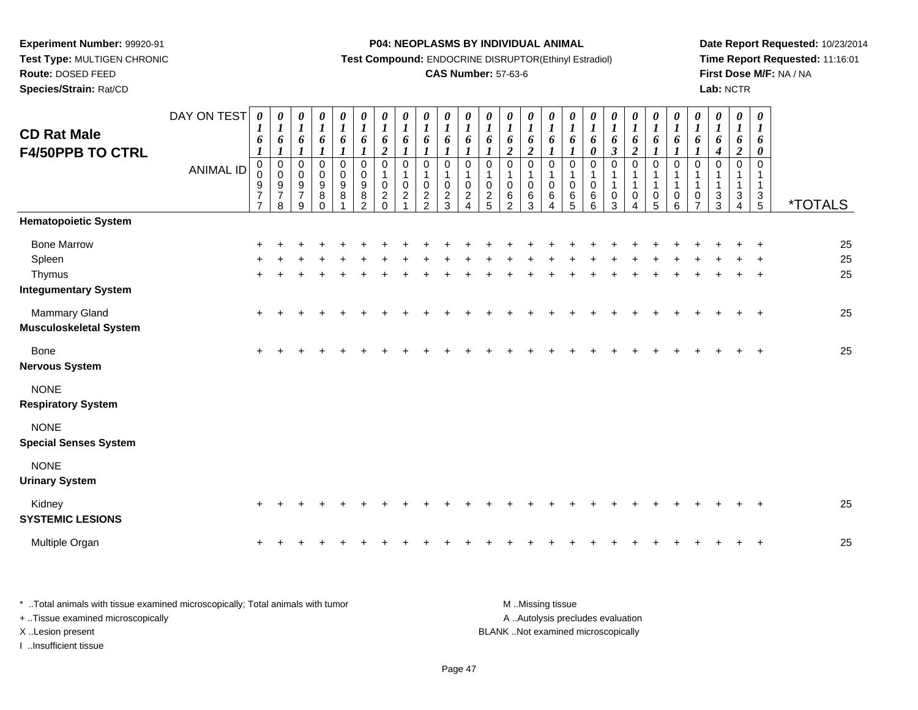**Test Type:** MULTIGEN CHRONIC

**Route:** DOSED FEED

**Species/Strain:** Rat/CD

#### **P04: NEOPLASMS BY INDIVIDUAL ANIMAL**

**Test Compound:** ENDOCRINE DISRUPTOR(Ethinyl Estradiol)

## **CAS Number:** 57-63-6

**Date Report Requested:** 10/23/2014**Time Report Requested:** 11:16:01**First Dose M/F:** NA / NA**Lab:** NCTR

| <b>CD Rat Male</b><br><b>F4/50PPB TO CTRL</b>                         | DAY ON TEST<br><b>ANIMAL ID</b> | 0<br>1<br>6<br>$\pmb{0}$<br>$\pmb{0}$<br>$\boldsymbol{9}$<br>$\overline{7}$<br>$\overline{7}$ | 0<br>$\boldsymbol{l}$<br>6<br>$\boldsymbol{l}$<br>$\mathbf 0$<br>$\mathbf 0$<br>9<br>$\overline{7}$<br>8 | 0<br>$\boldsymbol{l}$<br>6<br>$\boldsymbol{l}$<br>0<br>$\mathbf 0$<br>$\boldsymbol{9}$<br>$\overline{7}$<br>9 | $\boldsymbol{\theta}$<br>$\boldsymbol{l}$<br>6<br>$\mathbf{I}$<br>$\pmb{0}$<br>$\mathbf 0$<br>$\boldsymbol{9}$<br>$\begin{matrix} 8 \\ 0 \end{matrix}$ | 0<br>$\boldsymbol{l}$<br>6<br>$\mathbf{I}$<br>0<br>$\mathbf 0$<br>$\boldsymbol{9}$<br>$\,8\,$ | 0<br>$\boldsymbol{l}$<br>6<br>1<br>0<br>$\mathsf{O}$<br>$\boldsymbol{9}$<br>$\frac{8}{2}$ | 0<br>$\boldsymbol{l}$<br>6<br>$\boldsymbol{2}$<br>$\pmb{0}$<br>$\mathbf{1}$<br>$\pmb{0}$<br>$\frac{2}{0}$ | 0<br>$\boldsymbol{l}$<br>6<br>$\mathbf{I}$<br>$\mathbf 0$<br>1<br>$\mathbf 0$<br>$\overline{c}$ | $\frac{\theta}{I}$<br>6<br>$\boldsymbol{l}$<br>$\mathbf 0$<br>$\mathbf{1}$<br>$\mathbf 0$<br>$\frac{2}{2}$ | 0<br>$\boldsymbol{l}$<br>6<br>$\boldsymbol{l}$<br>$\Omega$<br>$\mathbf{1}$<br>0<br>$\frac{2}{3}$ | 0<br>$\boldsymbol{l}$<br>6<br>$\mathbf{I}$<br>$\mathbf 0$<br>$\mathbf{1}$<br>$\mathbf 0$<br>$\overline{c}$<br>$\Delta$ | 0<br>$\boldsymbol{l}$<br>6<br>$\Omega$<br>$\mathbf 1$<br>$\mathbf 0$<br>$\frac{2}{5}$ | 0<br>$\boldsymbol{l}$<br>6<br>$\overline{\mathbf{c}}$<br>$\mathbf 0$<br>1<br>0<br>$\frac{6}{2}$ | 0<br>$\boldsymbol{l}$<br>6<br>$\overline{2}$<br>$\mathbf 0$<br>$\mathbf 1$<br>$\mathbf 0$<br>$\frac{6}{3}$ | 0<br>$\boldsymbol{l}$<br>6<br>$\mathbf{I}$<br>0<br>$\mathbf 1$<br>$\mathbf 0$<br>6<br>4 | 0<br>$\boldsymbol{I}$<br>6<br>$\boldsymbol{l}$<br>$\pmb{0}$<br>1<br>$\pmb{0}$<br>$6\over 5$ | 0<br>$\boldsymbol{l}$<br>6<br>0<br>0<br>1<br>0<br>$\begin{array}{c} 6 \\ 6 \end{array}$ | $\boldsymbol{\theta}$<br>$\boldsymbol{l}$<br>6<br>$\boldsymbol{\beta}$<br>$\mathbf 0$<br>1<br>0<br>3 | 0<br>$\boldsymbol{l}$<br>6<br>$\overline{2}$<br>$\mathbf 0$<br>1<br>0<br>$\Delta$ | 0<br>$\boldsymbol{l}$<br>6<br>1<br>0<br>$\mathbf 1$<br>$\begin{array}{c} 0 \\ 5 \end{array}$ | 0<br>$\boldsymbol{l}$<br>6<br>$\boldsymbol{l}$<br>$\mathbf 0$<br>$\mathbf{1}$<br>$\mathbf{1}$<br>$\pmb{0}$<br>6 | 0<br>$\boldsymbol{l}$<br>6<br>$\mathbf{I}$<br>$\mathbf 0$<br>$\mathbf{1}$<br>$\frac{0}{7}$ | 0<br>$\boldsymbol{l}$<br>6<br>$\boldsymbol{4}$<br>$\mathbf 0$<br>$\mathbf{1}$<br>1<br>$\frac{3}{3}$ | 0<br>$\boldsymbol{l}$<br>6<br>$\overline{2}$<br>$\Omega$<br>1<br>1<br>$\frac{3}{4}$ | $\boldsymbol{\theta}$<br>$\boldsymbol{l}$<br>6<br>$\boldsymbol{\theta}$<br>$\Omega$<br>-1<br>$\mathbf{1}$<br>$\frac{3}{5}$ | <i><b>*TOTALS</b></i> |
|-----------------------------------------------------------------------|---------------------------------|-----------------------------------------------------------------------------------------------|----------------------------------------------------------------------------------------------------------|---------------------------------------------------------------------------------------------------------------|--------------------------------------------------------------------------------------------------------------------------------------------------------|-----------------------------------------------------------------------------------------------|-------------------------------------------------------------------------------------------|-----------------------------------------------------------------------------------------------------------|-------------------------------------------------------------------------------------------------|------------------------------------------------------------------------------------------------------------|--------------------------------------------------------------------------------------------------|------------------------------------------------------------------------------------------------------------------------|---------------------------------------------------------------------------------------|-------------------------------------------------------------------------------------------------|------------------------------------------------------------------------------------------------------------|-----------------------------------------------------------------------------------------|---------------------------------------------------------------------------------------------|-----------------------------------------------------------------------------------------|------------------------------------------------------------------------------------------------------|-----------------------------------------------------------------------------------|----------------------------------------------------------------------------------------------|-----------------------------------------------------------------------------------------------------------------|--------------------------------------------------------------------------------------------|-----------------------------------------------------------------------------------------------------|-------------------------------------------------------------------------------------|----------------------------------------------------------------------------------------------------------------------------|-----------------------|
| <b>Hematopoietic System</b>                                           |                                 |                                                                                               |                                                                                                          |                                                                                                               |                                                                                                                                                        |                                                                                               |                                                                                           |                                                                                                           |                                                                                                 |                                                                                                            |                                                                                                  |                                                                                                                        |                                                                                       |                                                                                                 |                                                                                                            |                                                                                         |                                                                                             |                                                                                         |                                                                                                      |                                                                                   |                                                                                              |                                                                                                                 |                                                                                            |                                                                                                     |                                                                                     |                                                                                                                            |                       |
| <b>Bone Marrow</b><br>Spleen<br>Thymus<br><b>Integumentary System</b> |                                 |                                                                                               |                                                                                                          |                                                                                                               |                                                                                                                                                        |                                                                                               |                                                                                           |                                                                                                           |                                                                                                 |                                                                                                            |                                                                                                  |                                                                                                                        |                                                                                       |                                                                                                 |                                                                                                            |                                                                                         |                                                                                             |                                                                                         |                                                                                                      |                                                                                   |                                                                                              |                                                                                                                 |                                                                                            |                                                                                                     |                                                                                     |                                                                                                                            | 25<br>25<br>25        |
| Mammary Gland<br><b>Musculoskeletal System</b>                        |                                 | ÷                                                                                             |                                                                                                          |                                                                                                               |                                                                                                                                                        |                                                                                               |                                                                                           |                                                                                                           |                                                                                                 |                                                                                                            |                                                                                                  |                                                                                                                        |                                                                                       |                                                                                                 |                                                                                                            |                                                                                         |                                                                                             |                                                                                         |                                                                                                      |                                                                                   |                                                                                              |                                                                                                                 |                                                                                            |                                                                                                     |                                                                                     |                                                                                                                            | 25                    |
| Bone<br><b>Nervous System</b>                                         |                                 |                                                                                               |                                                                                                          |                                                                                                               |                                                                                                                                                        |                                                                                               |                                                                                           |                                                                                                           |                                                                                                 |                                                                                                            |                                                                                                  |                                                                                                                        |                                                                                       |                                                                                                 |                                                                                                            |                                                                                         |                                                                                             |                                                                                         |                                                                                                      |                                                                                   |                                                                                              |                                                                                                                 |                                                                                            |                                                                                                     |                                                                                     |                                                                                                                            | 25                    |
| <b>NONE</b><br><b>Respiratory System</b>                              |                                 |                                                                                               |                                                                                                          |                                                                                                               |                                                                                                                                                        |                                                                                               |                                                                                           |                                                                                                           |                                                                                                 |                                                                                                            |                                                                                                  |                                                                                                                        |                                                                                       |                                                                                                 |                                                                                                            |                                                                                         |                                                                                             |                                                                                         |                                                                                                      |                                                                                   |                                                                                              |                                                                                                                 |                                                                                            |                                                                                                     |                                                                                     |                                                                                                                            |                       |
| <b>NONE</b><br><b>Special Senses System</b>                           |                                 |                                                                                               |                                                                                                          |                                                                                                               |                                                                                                                                                        |                                                                                               |                                                                                           |                                                                                                           |                                                                                                 |                                                                                                            |                                                                                                  |                                                                                                                        |                                                                                       |                                                                                                 |                                                                                                            |                                                                                         |                                                                                             |                                                                                         |                                                                                                      |                                                                                   |                                                                                              |                                                                                                                 |                                                                                            |                                                                                                     |                                                                                     |                                                                                                                            |                       |
| <b>NONE</b><br><b>Urinary System</b>                                  |                                 |                                                                                               |                                                                                                          |                                                                                                               |                                                                                                                                                        |                                                                                               |                                                                                           |                                                                                                           |                                                                                                 |                                                                                                            |                                                                                                  |                                                                                                                        |                                                                                       |                                                                                                 |                                                                                                            |                                                                                         |                                                                                             |                                                                                         |                                                                                                      |                                                                                   |                                                                                              |                                                                                                                 |                                                                                            |                                                                                                     |                                                                                     |                                                                                                                            |                       |
| Kidney<br><b>SYSTEMIC LESIONS</b>                                     |                                 |                                                                                               |                                                                                                          |                                                                                                               |                                                                                                                                                        |                                                                                               |                                                                                           |                                                                                                           |                                                                                                 |                                                                                                            |                                                                                                  |                                                                                                                        |                                                                                       |                                                                                                 |                                                                                                            |                                                                                         |                                                                                             |                                                                                         |                                                                                                      |                                                                                   |                                                                                              |                                                                                                                 |                                                                                            |                                                                                                     |                                                                                     |                                                                                                                            | 25                    |
| Multiple Organ                                                        |                                 |                                                                                               |                                                                                                          |                                                                                                               |                                                                                                                                                        |                                                                                               |                                                                                           |                                                                                                           |                                                                                                 |                                                                                                            |                                                                                                  |                                                                                                                        |                                                                                       |                                                                                                 |                                                                                                            |                                                                                         |                                                                                             |                                                                                         |                                                                                                      |                                                                                   |                                                                                              |                                                                                                                 |                                                                                            |                                                                                                     |                                                                                     |                                                                                                                            | 25                    |

| Total animals with tissue examined microscopically; Total animals with tumor | M Missing tissue                   |
|------------------------------------------------------------------------------|------------------------------------|
| + Tissue examined microscopically                                            | A Autolysis precludes evaluation   |
| X Lesion present                                                             | BLANK Not examined microscopically |
| …Insufficient tissue                                                         |                                    |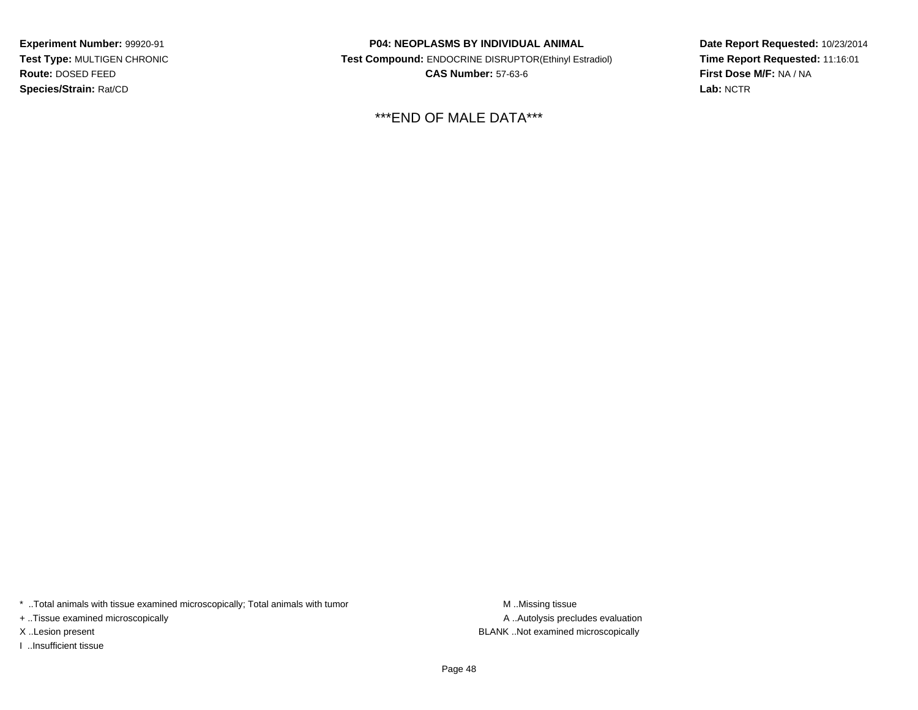**Experiment Number:** 99920-91 **Test Type:** MULTIGEN CHRONIC**Route:** DOSED FEED**Species/Strain:** Rat/CD

**P04: NEOPLASMS BY INDIVIDUAL ANIMAL Test Compound:** ENDOCRINE DISRUPTOR(Ethinyl Estradiol)**CAS Number:** 57-63-6

\*\*\*END OF MALE DATA\*\*\*

**Date Report Requested:** 10/23/2014**Time Report Requested:** 11:16:01**First Dose M/F:** NA / NA**Lab:** NCTR

\* ..Total animals with tissue examined microscopically; Total animals with tumor **M** . Missing tissue M ..Missing tissue

+ ..Tissue examined microscopically

I ..Insufficient tissue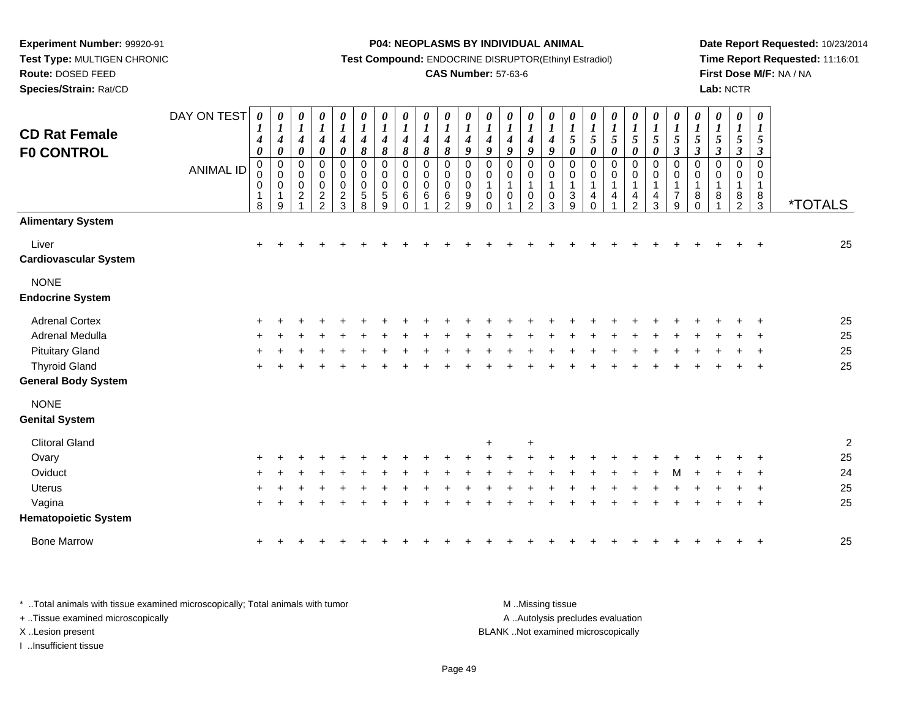**Route:** DOSED FEED

**Species/Strain:** Rat/CD

#### **P04: NEOPLASMS BY INDIVIDUAL ANIMAL**

**Test Compound:** ENDOCRINE DISRUPTOR(Ethinyl Estradiol)

### **CAS Number:** 57-63-6

**Date Report Requested:** 10/23/2014**Time Report Requested:** 11:16:01**First Dose M/F:** NA / NA**Lab:** NCTR

| <b>CD Rat Female</b><br><b>F0 CONTROL</b> | DAY ON TEST<br><b>ANIMAL ID</b> | $\pmb{\theta}$<br>$\boldsymbol{I}$<br>4<br>$\boldsymbol{\theta}$<br>0<br>0<br>0<br>1<br>8 | 0<br>$\boldsymbol{l}$<br>$\boldsymbol{4}$<br>$\pmb{\theta}$<br>$\,0\,$<br>$\pmb{0}$<br>0<br>1<br>9 | $\boldsymbol{\theta}$<br>$\boldsymbol{l}$<br>$\boldsymbol{4}$<br>$\boldsymbol{\theta}$<br>$\mathbf 0$<br>0<br>$\mathbf 0$<br>$\overline{2}$ | 0<br>$\boldsymbol{l}$<br>$\boldsymbol{4}$<br>$\pmb{\theta}$<br>$\mathbf 0$<br>0<br>0<br>$\frac{2}{2}$ | 0<br>$\boldsymbol{l}$<br>$\boldsymbol{4}$<br>$\boldsymbol{\theta}$<br>$\mathbf 0$<br>0<br>$\mathbf 0$<br>$\sqrt{2}$<br>$\overline{3}$ | 0<br>$\boldsymbol{l}$<br>$\boldsymbol{4}$<br>8<br>$\mathbf 0$<br>0<br>0<br>5<br>8 | 0<br>$\boldsymbol{l}$<br>$\boldsymbol{4}$<br>$\pmb{8}$<br>$\mathbf 0$<br>0<br>$\mathbf 0$<br>5<br>9 | 0<br>$\boldsymbol{l}$<br>4<br>8<br>$\mathbf 0$<br>0<br>$\Omega$<br>6<br>$\Omega$ | $\boldsymbol{\theta}$<br>$\boldsymbol{l}$<br>$\boldsymbol{4}$<br>$\pmb{8}$<br>$\mathbf 0$<br>0<br>$\mathbf 0$<br>6 | 0<br>$\boldsymbol{l}$<br>4<br>$\pmb{8}$<br>$\mathbf 0$<br>$\mathbf 0$<br>$\Omega$<br>6<br>$\mathcal{P}$ | $\boldsymbol{\theta}$<br>$\boldsymbol{l}$<br>4<br>9<br>$\mathbf 0$<br>0<br>$\mathbf 0$<br>9<br>9 | 0<br>$\boldsymbol{l}$<br>4<br>9<br>$\mathbf 0$<br>0<br>0<br>$\Omega$ | $\pmb{\theta}$<br>$\boldsymbol{l}$<br>$\boldsymbol{4}$<br>9<br>$\mathbf 0$<br>0<br>$\mathbf{1}$<br>0 | $\pmb{\theta}$<br>$\boldsymbol{I}$<br>$\boldsymbol{4}$<br>9<br>$\mathbf 0$<br>$\pmb{0}$<br>$\mathbf{1}$<br>$\pmb{0}$<br>$\overline{2}$ | $\pmb{\theta}$<br>$\boldsymbol{l}$<br>$\boldsymbol{4}$<br>9<br>$\pmb{0}$<br>$\pmb{0}$<br>$\mathbf{1}$<br>$\pmb{0}$<br>3 | $\boldsymbol{\theta}$<br>$\boldsymbol{l}$<br>$\mathfrak{z}$<br>$\boldsymbol{\theta}$<br>$\mathbf 0$<br>0<br>$\mathbf{1}$<br>3<br>9 | 0<br>$\boldsymbol{l}$<br>$\sqrt{5}$<br>$\boldsymbol{\theta}$<br>$\mathbf 0$<br>0<br>$\mathbf{1}$<br>$\overline{4}$<br>$\Omega$ | $\boldsymbol{\theta}$<br>$\boldsymbol{l}$<br>$\sqrt{5}$<br>$\boldsymbol{\theta}$<br>$\mathbf 0$<br>0<br>1<br>$\overline{4}$ | 0<br>$\boldsymbol{l}$<br>5<br>$\pmb{\theta}$<br>0<br>0<br>1<br>4<br>$\mathcal{P}$ | 0<br>$\boldsymbol{l}$<br>$\sqrt{5}$<br>$\pmb{\theta}$<br>0<br>0<br>1<br>4<br>3 | $\pmb{\theta}$<br>$\boldsymbol{l}$<br>5<br>$\boldsymbol{\beta}$<br>$\mathbf 0$<br>$\pmb{0}$<br>$\mathbf{1}$<br>$\overline{7}$<br>9 | $\pmb{\theta}$<br>$\boldsymbol{l}$<br>$\sqrt{5}$<br>$\boldsymbol{\beta}$<br>$\mathbf 0$<br>0<br>$\mathbf{1}$<br>8<br>$\Omega$ | 0<br>$\boldsymbol{I}$<br>5<br>$\boldsymbol{\beta}$<br>0<br>0<br>1<br>8 | $\pmb{\theta}$<br>$\boldsymbol{l}$<br>$\sqrt{5}$<br>$\boldsymbol{\beta}$<br>$\mathbf 0$<br>0<br>$\mathbf 1$<br>8<br>$\overline{2}$ | $\pmb{\theta}$<br>$\boldsymbol{l}$<br>$\sqrt{5}$<br>$\mathfrak{z}$<br>$\overline{0}$<br>0<br>1<br>8<br>$\mathbf{3}$ | <i><b>*TOTALS</b></i> |
|-------------------------------------------|---------------------------------|-------------------------------------------------------------------------------------------|----------------------------------------------------------------------------------------------------|---------------------------------------------------------------------------------------------------------------------------------------------|-------------------------------------------------------------------------------------------------------|---------------------------------------------------------------------------------------------------------------------------------------|-----------------------------------------------------------------------------------|-----------------------------------------------------------------------------------------------------|----------------------------------------------------------------------------------|--------------------------------------------------------------------------------------------------------------------|---------------------------------------------------------------------------------------------------------|--------------------------------------------------------------------------------------------------|----------------------------------------------------------------------|------------------------------------------------------------------------------------------------------|----------------------------------------------------------------------------------------------------------------------------------------|-------------------------------------------------------------------------------------------------------------------------|------------------------------------------------------------------------------------------------------------------------------------|--------------------------------------------------------------------------------------------------------------------------------|-----------------------------------------------------------------------------------------------------------------------------|-----------------------------------------------------------------------------------|--------------------------------------------------------------------------------|------------------------------------------------------------------------------------------------------------------------------------|-------------------------------------------------------------------------------------------------------------------------------|------------------------------------------------------------------------|------------------------------------------------------------------------------------------------------------------------------------|---------------------------------------------------------------------------------------------------------------------|-----------------------|
| <b>Alimentary System</b>                  |                                 |                                                                                           |                                                                                                    |                                                                                                                                             |                                                                                                       |                                                                                                                                       |                                                                                   |                                                                                                     |                                                                                  |                                                                                                                    |                                                                                                         |                                                                                                  |                                                                      |                                                                                                      |                                                                                                                                        |                                                                                                                         |                                                                                                                                    |                                                                                                                                |                                                                                                                             |                                                                                   |                                                                                |                                                                                                                                    |                                                                                                                               |                                                                        |                                                                                                                                    |                                                                                                                     |                       |
| Liver<br><b>Cardiovascular System</b>     |                                 | $\ddot{}$                                                                                 |                                                                                                    |                                                                                                                                             |                                                                                                       |                                                                                                                                       |                                                                                   |                                                                                                     |                                                                                  |                                                                                                                    |                                                                                                         |                                                                                                  |                                                                      |                                                                                                      |                                                                                                                                        |                                                                                                                         |                                                                                                                                    |                                                                                                                                |                                                                                                                             |                                                                                   |                                                                                |                                                                                                                                    |                                                                                                                               |                                                                        |                                                                                                                                    |                                                                                                                     | 25                    |
| <b>NONE</b><br><b>Endocrine System</b>    |                                 |                                                                                           |                                                                                                    |                                                                                                                                             |                                                                                                       |                                                                                                                                       |                                                                                   |                                                                                                     |                                                                                  |                                                                                                                    |                                                                                                         |                                                                                                  |                                                                      |                                                                                                      |                                                                                                                                        |                                                                                                                         |                                                                                                                                    |                                                                                                                                |                                                                                                                             |                                                                                   |                                                                                |                                                                                                                                    |                                                                                                                               |                                                                        |                                                                                                                                    |                                                                                                                     |                       |
| <b>Adrenal Cortex</b>                     |                                 |                                                                                           |                                                                                                    |                                                                                                                                             |                                                                                                       |                                                                                                                                       |                                                                                   |                                                                                                     |                                                                                  |                                                                                                                    |                                                                                                         |                                                                                                  |                                                                      |                                                                                                      |                                                                                                                                        |                                                                                                                         |                                                                                                                                    |                                                                                                                                |                                                                                                                             |                                                                                   |                                                                                |                                                                                                                                    |                                                                                                                               |                                                                        |                                                                                                                                    |                                                                                                                     | 25                    |
| Adrenal Medulla                           |                                 |                                                                                           |                                                                                                    |                                                                                                                                             |                                                                                                       |                                                                                                                                       |                                                                                   |                                                                                                     |                                                                                  |                                                                                                                    |                                                                                                         |                                                                                                  |                                                                      |                                                                                                      |                                                                                                                                        |                                                                                                                         |                                                                                                                                    |                                                                                                                                |                                                                                                                             |                                                                                   |                                                                                |                                                                                                                                    |                                                                                                                               |                                                                        |                                                                                                                                    |                                                                                                                     | 25                    |
| <b>Pituitary Gland</b>                    |                                 |                                                                                           |                                                                                                    |                                                                                                                                             |                                                                                                       |                                                                                                                                       |                                                                                   |                                                                                                     |                                                                                  |                                                                                                                    |                                                                                                         |                                                                                                  |                                                                      |                                                                                                      |                                                                                                                                        |                                                                                                                         |                                                                                                                                    |                                                                                                                                |                                                                                                                             |                                                                                   |                                                                                |                                                                                                                                    |                                                                                                                               |                                                                        |                                                                                                                                    |                                                                                                                     | 25                    |
| <b>Thyroid Gland</b>                      |                                 | ÷                                                                                         |                                                                                                    |                                                                                                                                             |                                                                                                       |                                                                                                                                       |                                                                                   |                                                                                                     |                                                                                  |                                                                                                                    |                                                                                                         |                                                                                                  |                                                                      |                                                                                                      |                                                                                                                                        |                                                                                                                         |                                                                                                                                    |                                                                                                                                |                                                                                                                             |                                                                                   |                                                                                |                                                                                                                                    |                                                                                                                               |                                                                        |                                                                                                                                    | $\div$                                                                                                              | 25                    |
| <b>General Body System</b>                |                                 |                                                                                           |                                                                                                    |                                                                                                                                             |                                                                                                       |                                                                                                                                       |                                                                                   |                                                                                                     |                                                                                  |                                                                                                                    |                                                                                                         |                                                                                                  |                                                                      |                                                                                                      |                                                                                                                                        |                                                                                                                         |                                                                                                                                    |                                                                                                                                |                                                                                                                             |                                                                                   |                                                                                |                                                                                                                                    |                                                                                                                               |                                                                        |                                                                                                                                    |                                                                                                                     |                       |
| <b>NONE</b>                               |                                 |                                                                                           |                                                                                                    |                                                                                                                                             |                                                                                                       |                                                                                                                                       |                                                                                   |                                                                                                     |                                                                                  |                                                                                                                    |                                                                                                         |                                                                                                  |                                                                      |                                                                                                      |                                                                                                                                        |                                                                                                                         |                                                                                                                                    |                                                                                                                                |                                                                                                                             |                                                                                   |                                                                                |                                                                                                                                    |                                                                                                                               |                                                                        |                                                                                                                                    |                                                                                                                     |                       |
| <b>Genital System</b>                     |                                 |                                                                                           |                                                                                                    |                                                                                                                                             |                                                                                                       |                                                                                                                                       |                                                                                   |                                                                                                     |                                                                                  |                                                                                                                    |                                                                                                         |                                                                                                  |                                                                      |                                                                                                      |                                                                                                                                        |                                                                                                                         |                                                                                                                                    |                                                                                                                                |                                                                                                                             |                                                                                   |                                                                                |                                                                                                                                    |                                                                                                                               |                                                                        |                                                                                                                                    |                                                                                                                     |                       |
| <b>Clitoral Gland</b>                     |                                 |                                                                                           |                                                                                                    |                                                                                                                                             |                                                                                                       |                                                                                                                                       |                                                                                   |                                                                                                     |                                                                                  |                                                                                                                    |                                                                                                         |                                                                                                  | $\ddot{}$                                                            |                                                                                                      |                                                                                                                                        |                                                                                                                         |                                                                                                                                    |                                                                                                                                |                                                                                                                             |                                                                                   |                                                                                |                                                                                                                                    |                                                                                                                               |                                                                        |                                                                                                                                    |                                                                                                                     | $\overline{c}$        |
| Ovary                                     |                                 |                                                                                           |                                                                                                    |                                                                                                                                             |                                                                                                       |                                                                                                                                       |                                                                                   |                                                                                                     |                                                                                  |                                                                                                                    |                                                                                                         |                                                                                                  |                                                                      |                                                                                                      |                                                                                                                                        |                                                                                                                         |                                                                                                                                    |                                                                                                                                |                                                                                                                             |                                                                                   |                                                                                |                                                                                                                                    |                                                                                                                               |                                                                        |                                                                                                                                    |                                                                                                                     | 25                    |
| Oviduct                                   |                                 |                                                                                           |                                                                                                    |                                                                                                                                             |                                                                                                       |                                                                                                                                       |                                                                                   |                                                                                                     |                                                                                  |                                                                                                                    |                                                                                                         |                                                                                                  |                                                                      |                                                                                                      |                                                                                                                                        |                                                                                                                         |                                                                                                                                    |                                                                                                                                |                                                                                                                             |                                                                                   |                                                                                |                                                                                                                                    |                                                                                                                               |                                                                        |                                                                                                                                    |                                                                                                                     | 24                    |
| Uterus                                    |                                 |                                                                                           |                                                                                                    |                                                                                                                                             |                                                                                                       |                                                                                                                                       |                                                                                   |                                                                                                     |                                                                                  |                                                                                                                    |                                                                                                         |                                                                                                  |                                                                      |                                                                                                      |                                                                                                                                        |                                                                                                                         |                                                                                                                                    |                                                                                                                                |                                                                                                                             |                                                                                   |                                                                                |                                                                                                                                    |                                                                                                                               |                                                                        |                                                                                                                                    |                                                                                                                     | 25                    |
| Vagina                                    |                                 |                                                                                           |                                                                                                    |                                                                                                                                             |                                                                                                       |                                                                                                                                       |                                                                                   |                                                                                                     |                                                                                  |                                                                                                                    |                                                                                                         |                                                                                                  |                                                                      |                                                                                                      |                                                                                                                                        |                                                                                                                         |                                                                                                                                    |                                                                                                                                |                                                                                                                             |                                                                                   |                                                                                |                                                                                                                                    |                                                                                                                               |                                                                        |                                                                                                                                    | $\div$                                                                                                              | 25                    |
| <b>Hematopoietic System</b>               |                                 |                                                                                           |                                                                                                    |                                                                                                                                             |                                                                                                       |                                                                                                                                       |                                                                                   |                                                                                                     |                                                                                  |                                                                                                                    |                                                                                                         |                                                                                                  |                                                                      |                                                                                                      |                                                                                                                                        |                                                                                                                         |                                                                                                                                    |                                                                                                                                |                                                                                                                             |                                                                                   |                                                                                |                                                                                                                                    |                                                                                                                               |                                                                        |                                                                                                                                    |                                                                                                                     |                       |
| <b>Bone Marrow</b>                        |                                 |                                                                                           |                                                                                                    |                                                                                                                                             |                                                                                                       |                                                                                                                                       |                                                                                   |                                                                                                     |                                                                                  |                                                                                                                    |                                                                                                         |                                                                                                  |                                                                      |                                                                                                      |                                                                                                                                        |                                                                                                                         |                                                                                                                                    |                                                                                                                                |                                                                                                                             |                                                                                   |                                                                                |                                                                                                                                    |                                                                                                                               |                                                                        |                                                                                                                                    |                                                                                                                     | 25                    |

\* ..Total animals with tissue examined microscopically; Total animals with tumor **M** . Missing tissue M ..Missing tissue A ..Autolysis precludes evaluation + ..Tissue examined microscopically X ..Lesion present BLANK ..Not examined microscopicallyI ..Insufficient tissue

Page 49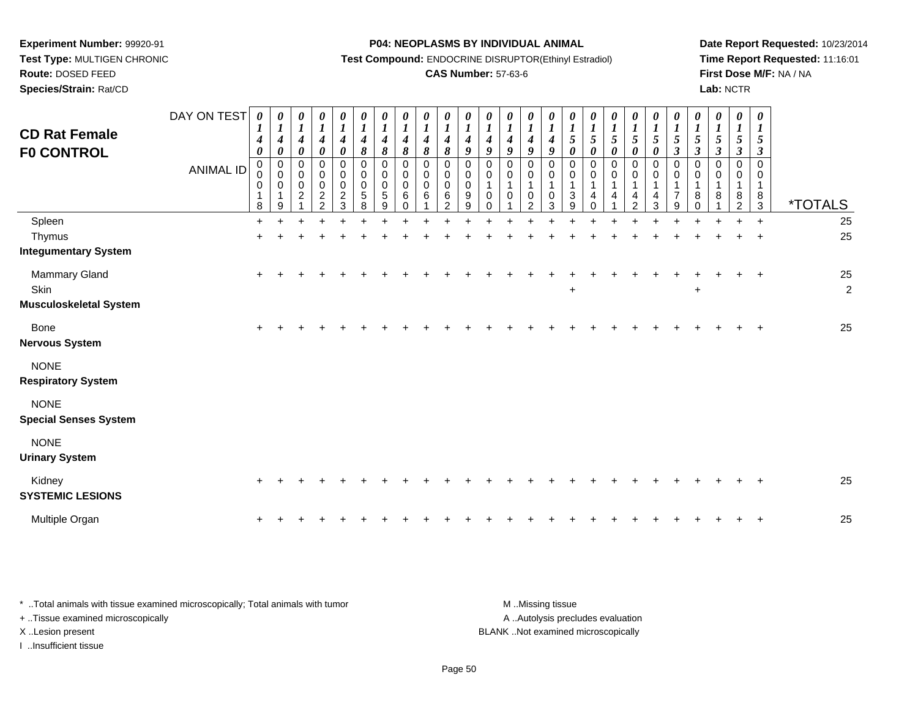**Route:** DOSED FEED

**Species/Strain:** Rat/CD

#### **P04: NEOPLASMS BY INDIVIDUAL ANIMAL**

**Test Compound:** ENDOCRINE DISRUPTOR(Ethinyl Estradiol)

### **CAS Number:** 57-63-6

**Date Report Requested:** 10/23/2014**Time Report Requested:** 11:16:01**First Dose M/F:** NA / NA**Lab:** NCTR

| <b>CD Rat Female</b><br><b>F0 CONTROL</b>              | DAY ON TEST<br><b>ANIMAL ID</b> | 0<br>$\boldsymbol{l}$<br>4<br>$\boldsymbol{\theta}$<br>$\mathbf 0$<br>0<br>$\pmb{0}$<br>1<br>8 | 0<br>$\boldsymbol{l}$<br>$\boldsymbol{4}$<br>$\pmb{\theta}$<br>$\pmb{0}$<br>$\pmb{0}$<br>$\mbox{O}$<br>$\mathbf{1}$<br>9 | 0<br>$\boldsymbol{l}$<br>$\boldsymbol{4}$<br>$\pmb{\theta}$<br>$\pmb{0}$<br>$\pmb{0}$<br>$\mbox{O}$<br>$\overline{2}$ | $\boldsymbol{\theta}$<br>$\boldsymbol{l}$<br>$\boldsymbol{4}$<br>$\pmb{\theta}$<br>0<br>$\pmb{0}$<br>$\pmb{0}$<br>$\frac{2}{2}$ | 0<br>$\boldsymbol{l}$<br>$\boldsymbol{4}$<br>$\boldsymbol{\theta}$<br>0<br>$\pmb{0}$<br>$\pmb{0}$<br>$\overline{c}$<br>3 | 0<br>$\boldsymbol{l}$<br>$\boldsymbol{4}$<br>$\pmb{8}$<br>$\,0\,$<br>$\pmb{0}$<br>$\pmb{0}$<br>5<br>8 | 0<br>$\boldsymbol{l}$<br>$\boldsymbol{4}$<br>8<br>$\mathbf 0$<br>$\mathbf 0$<br>0<br>5<br>9 | 0<br>$\boldsymbol{l}$<br>4<br>$\pmb{8}$<br>$\mathbf 0$<br>$\mathbf 0$<br>$\mathbf 0$<br>6<br>$\Omega$ | $\boldsymbol{\theta}$<br>$\boldsymbol{l}$<br>4<br>$\pmb{8}$<br>$\mathbf 0$<br>0<br>$\mathbf 0$<br>6 | 0<br>$\boldsymbol{l}$<br>$\boldsymbol{4}$<br>8<br>$\mathbf 0$<br>$\pmb{0}$<br>$\mathbf 0$<br>6<br>$\mathfrak{p}$ | 0<br>$\boldsymbol{l}$<br>$\boldsymbol{4}$<br>$\boldsymbol{g}$<br>$\mathbf 0$<br>0<br>$\pmb{0}$<br>$\boldsymbol{9}$<br>9 | 0<br>$\boldsymbol{l}$<br>$\boldsymbol{4}$<br>$\boldsymbol{g}$<br>$\mathbf 0$<br>0<br>1<br>$\mathbf 0$<br>$\Omega$ | 0<br>$\boldsymbol{l}$<br>$\boldsymbol{4}$<br>$\boldsymbol{q}$<br>$\pmb{0}$<br>$\,0\,$<br>1<br>0 | 0<br>$\boldsymbol{l}$<br>$\boldsymbol{4}$<br>9<br>$\mathbf 0$<br>$\pmb{0}$<br>1<br>$\mathbf 0$<br>2 | $\boldsymbol{\theta}$<br>$\boldsymbol{l}$<br>$\boldsymbol{4}$<br>$\boldsymbol{9}$<br>$\mathbf 0$<br>$\mathbf 0$<br>$\mathbf 0$<br>3 | $\boldsymbol{\theta}$<br>$\boldsymbol{l}$<br>$\mathfrak{s}$<br>$\pmb{\theta}$<br>0<br>$\,0\,$<br>1<br>$\mathbf{3}$<br>9 | 0<br>$\boldsymbol{l}$<br>$\sqrt{5}$<br>$\boldsymbol{\theta}$<br>$\mathbf 0$<br>$\pmb{0}$<br>$\mathbf{1}$<br>4<br>$\Omega$ | 0<br>$\boldsymbol{l}$<br>$\sqrt{5}$<br>$\boldsymbol{\theta}$<br>$\mathbf 0$<br>$\mathbf 0$<br>$\mathbf 1$<br>4 | 0<br>$\boldsymbol{l}$<br>5<br>0<br>0<br>$\mathsf 0$<br>1<br>4<br>$\overline{2}$ | 0<br>$\boldsymbol{l}$<br>$\sqrt{5}$<br>$\pmb{\theta}$<br>$\pmb{0}$<br>$\mathbf 0$<br>1<br>4<br>3 | 0<br>$\boldsymbol{l}$<br>$5\phantom{.0}$<br>$\mathfrak{z}$<br>$\mathbf 0$<br>0<br>1<br>$\overline{7}$<br>9 | 0<br>$\boldsymbol{l}$<br>$\sqrt{5}$<br>$\boldsymbol{\beta}$<br>$\Omega$<br>$\Omega$<br>8<br>$\Omega$ | $\boldsymbol{\theta}$<br>$\boldsymbol{l}$<br>$\mathfrak{s}$<br>$\boldsymbol{\beta}$<br>0<br>$\Omega$<br>8 | $\pmb{\theta}$<br>$\boldsymbol{l}$<br>$\sqrt{5}$<br>$\boldsymbol{\beta}$<br>$\mathbf 0$<br>0<br>1<br>8<br>2 | $\boldsymbol{\theta}$<br>$\boldsymbol{l}$<br>5<br>$\boldsymbol{\beta}$<br>$\mathbf 0$<br>$\mathbf 0$<br>$\overline{1}$<br>$^8_3$ | *TOTALS              |
|--------------------------------------------------------|---------------------------------|------------------------------------------------------------------------------------------------|--------------------------------------------------------------------------------------------------------------------------|-----------------------------------------------------------------------------------------------------------------------|---------------------------------------------------------------------------------------------------------------------------------|--------------------------------------------------------------------------------------------------------------------------|-------------------------------------------------------------------------------------------------------|---------------------------------------------------------------------------------------------|-------------------------------------------------------------------------------------------------------|-----------------------------------------------------------------------------------------------------|------------------------------------------------------------------------------------------------------------------|-------------------------------------------------------------------------------------------------------------------------|-------------------------------------------------------------------------------------------------------------------|-------------------------------------------------------------------------------------------------|-----------------------------------------------------------------------------------------------------|-------------------------------------------------------------------------------------------------------------------------------------|-------------------------------------------------------------------------------------------------------------------------|---------------------------------------------------------------------------------------------------------------------------|----------------------------------------------------------------------------------------------------------------|---------------------------------------------------------------------------------|--------------------------------------------------------------------------------------------------|------------------------------------------------------------------------------------------------------------|------------------------------------------------------------------------------------------------------|-----------------------------------------------------------------------------------------------------------|-------------------------------------------------------------------------------------------------------------|----------------------------------------------------------------------------------------------------------------------------------|----------------------|
| Spleen                                                 |                                 | $\ddot{}$                                                                                      |                                                                                                                          |                                                                                                                       |                                                                                                                                 |                                                                                                                          |                                                                                                       |                                                                                             |                                                                                                       |                                                                                                     |                                                                                                                  |                                                                                                                         |                                                                                                                   |                                                                                                 |                                                                                                     |                                                                                                                                     |                                                                                                                         |                                                                                                                           |                                                                                                                |                                                                                 |                                                                                                  |                                                                                                            |                                                                                                      |                                                                                                           |                                                                                                             | $\ddot{+}$                                                                                                                       | 25                   |
| Thymus<br><b>Integumentary System</b>                  |                                 | $\pm$                                                                                          |                                                                                                                          |                                                                                                                       |                                                                                                                                 |                                                                                                                          |                                                                                                       |                                                                                             |                                                                                                       |                                                                                                     |                                                                                                                  |                                                                                                                         |                                                                                                                   |                                                                                                 |                                                                                                     |                                                                                                                                     |                                                                                                                         |                                                                                                                           |                                                                                                                |                                                                                 |                                                                                                  |                                                                                                            |                                                                                                      |                                                                                                           |                                                                                                             | $\ddot{}$                                                                                                                        | 25                   |
| Mammary Gland<br>Skin<br><b>Musculoskeletal System</b> |                                 | $\ddot{}$                                                                                      |                                                                                                                          |                                                                                                                       |                                                                                                                                 |                                                                                                                          |                                                                                                       |                                                                                             |                                                                                                       |                                                                                                     |                                                                                                                  |                                                                                                                         |                                                                                                                   |                                                                                                 |                                                                                                     |                                                                                                                                     | $\ddot{}$                                                                                                               |                                                                                                                           |                                                                                                                |                                                                                 |                                                                                                  |                                                                                                            | $\ddot{}$                                                                                            |                                                                                                           |                                                                                                             | $\ddot{}$                                                                                                                        | 25<br>$\overline{2}$ |
| <b>Bone</b><br><b>Nervous System</b>                   |                                 | $\ddot{}$                                                                                      |                                                                                                                          |                                                                                                                       |                                                                                                                                 |                                                                                                                          |                                                                                                       |                                                                                             |                                                                                                       |                                                                                                     |                                                                                                                  |                                                                                                                         |                                                                                                                   |                                                                                                 |                                                                                                     |                                                                                                                                     |                                                                                                                         |                                                                                                                           |                                                                                                                |                                                                                 |                                                                                                  |                                                                                                            |                                                                                                      |                                                                                                           |                                                                                                             | $\pm$                                                                                                                            | 25                   |
| <b>NONE</b><br><b>Respiratory System</b>               |                                 |                                                                                                |                                                                                                                          |                                                                                                                       |                                                                                                                                 |                                                                                                                          |                                                                                                       |                                                                                             |                                                                                                       |                                                                                                     |                                                                                                                  |                                                                                                                         |                                                                                                                   |                                                                                                 |                                                                                                     |                                                                                                                                     |                                                                                                                         |                                                                                                                           |                                                                                                                |                                                                                 |                                                                                                  |                                                                                                            |                                                                                                      |                                                                                                           |                                                                                                             |                                                                                                                                  |                      |
| <b>NONE</b><br><b>Special Senses System</b>            |                                 |                                                                                                |                                                                                                                          |                                                                                                                       |                                                                                                                                 |                                                                                                                          |                                                                                                       |                                                                                             |                                                                                                       |                                                                                                     |                                                                                                                  |                                                                                                                         |                                                                                                                   |                                                                                                 |                                                                                                     |                                                                                                                                     |                                                                                                                         |                                                                                                                           |                                                                                                                |                                                                                 |                                                                                                  |                                                                                                            |                                                                                                      |                                                                                                           |                                                                                                             |                                                                                                                                  |                      |
| <b>NONE</b><br><b>Urinary System</b>                   |                                 |                                                                                                |                                                                                                                          |                                                                                                                       |                                                                                                                                 |                                                                                                                          |                                                                                                       |                                                                                             |                                                                                                       |                                                                                                     |                                                                                                                  |                                                                                                                         |                                                                                                                   |                                                                                                 |                                                                                                     |                                                                                                                                     |                                                                                                                         |                                                                                                                           |                                                                                                                |                                                                                 |                                                                                                  |                                                                                                            |                                                                                                      |                                                                                                           |                                                                                                             |                                                                                                                                  |                      |
| Kidney<br><b>SYSTEMIC LESIONS</b>                      |                                 | $\ddot{}$                                                                                      |                                                                                                                          |                                                                                                                       |                                                                                                                                 |                                                                                                                          |                                                                                                       |                                                                                             |                                                                                                       |                                                                                                     |                                                                                                                  |                                                                                                                         |                                                                                                                   |                                                                                                 |                                                                                                     |                                                                                                                                     |                                                                                                                         |                                                                                                                           |                                                                                                                |                                                                                 |                                                                                                  |                                                                                                            |                                                                                                      |                                                                                                           |                                                                                                             |                                                                                                                                  | 25                   |
| Multiple Organ                                         |                                 |                                                                                                |                                                                                                                          |                                                                                                                       |                                                                                                                                 |                                                                                                                          |                                                                                                       |                                                                                             |                                                                                                       |                                                                                                     |                                                                                                                  |                                                                                                                         |                                                                                                                   |                                                                                                 |                                                                                                     |                                                                                                                                     |                                                                                                                         |                                                                                                                           |                                                                                                                |                                                                                 |                                                                                                  |                                                                                                            |                                                                                                      |                                                                                                           |                                                                                                             | $\ddot{}$                                                                                                                        | 25                   |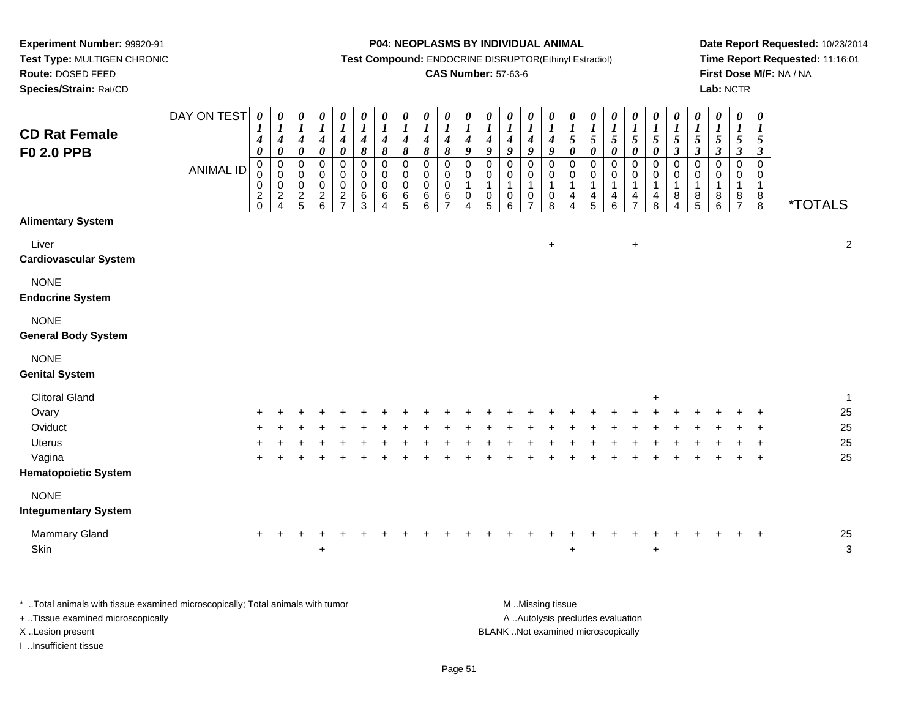**Route:** DOSED FEED

**Species/Strain:** Rat/CD

#### **P04: NEOPLASMS BY INDIVIDUAL ANIMAL**

**Test Compound:** ENDOCRINE DISRUPTOR(Ethinyl Estradiol)

## **CAS Number:** 57-63-6

**Date Report Requested:** 10/23/2014**Time Report Requested:** 11:16:01**First Dose M/F:** NA / NA**Lab:** NCTR

| <b>CD Rat Female</b><br><b>F0 2.0 PPB</b>                                                                                                         | DAY ON TEST<br><b>ANIMAL ID</b> | $\pmb{\theta}$<br>$\boldsymbol{I}$<br>$\boldsymbol{4}$<br>$\pmb{\theta}$<br>$\pmb{0}$<br>0<br>0<br>$^2_{0}$ | 0<br>$\boldsymbol{l}$<br>$\boldsymbol{4}$<br>$\pmb{\theta}$<br>$\pmb{0}$<br>0<br>$\mathbf 0$<br>$\overline{\mathbf{c}}$ | 0<br>$\boldsymbol{l}$<br>$\boldsymbol{4}$<br>$\pmb{\theta}$<br>$\pmb{0}$<br>0<br>$\mathbf 0$<br>$\frac{2}{5}$ | 0<br>$\boldsymbol{l}$<br>$\boldsymbol{4}$<br>$\pmb{\theta}$<br>$\pmb{0}$<br>0<br>$\mathbf 0$<br>$\begin{array}{c} 2 \\ 6 \end{array}$ | $\pmb{\theta}$<br>$\boldsymbol{l}$<br>$\boldsymbol{4}$<br>$\boldsymbol{\theta}$<br>$\pmb{0}$<br>0<br>$\mathbf 0$<br>$\sqrt{2}$ | $\pmb{\theta}$<br>$\boldsymbol{l}$<br>$\boldsymbol{4}$<br>$\pmb{8}$<br>$\mathsf 0$<br>0<br>$\mathbf 0$<br>6 | $\boldsymbol{\theta}$<br>$\boldsymbol{l}$<br>$\boldsymbol{4}$<br>$\boldsymbol{\delta}$<br>$\pmb{0}$<br>$\mathbf 0$<br>$\mathbf 0$<br>$\,6$ | 0<br>$\boldsymbol{l}$<br>$\boldsymbol{4}$<br>$\pmb{8}$<br>$\mathbf 0$<br>0<br>$\mathbf 0$<br>6 | $\boldsymbol{\theta}$<br>$\boldsymbol{l}$<br>$\boldsymbol{4}$<br>$\boldsymbol{\delta}$<br>$\pmb{0}$<br>$\mathbf 0$<br>$\mathbf 0$<br>$\,6\,$ | 0<br>$\boldsymbol{l}$<br>$\boldsymbol{4}$<br>$\pmb{8}$<br>0<br>0<br>$\mathbf 0$<br>6<br>$\overline{7}$ | 0<br>$\boldsymbol{l}$<br>$\boldsymbol{4}$<br>9<br>$\mathsf 0$<br>0<br>$\overline{1}$<br>$\mathbf 0$ | 0<br>$\boldsymbol{l}$<br>$\boldsymbol{4}$<br>$\boldsymbol{g}$<br>$\pmb{0}$<br>0<br>$\mathbf{1}$<br>0 | $\pmb{\theta}$<br>$\boldsymbol{l}$<br>$\boldsymbol{4}$<br>$\boldsymbol{g}$<br>$\pmb{0}$<br>0<br>$\mathbf{1}$<br>$\pmb{0}$ | 0<br>$\boldsymbol{I}$<br>$\boldsymbol{4}$<br>$\boldsymbol{g}$<br>$\pmb{0}$<br>0<br>1<br>$\pmb{0}$ | $\pmb{\theta}$<br>$\boldsymbol{l}$<br>$\boldsymbol{4}$<br>$\boldsymbol{g}$<br>$\pmb{0}$<br>0<br>$\mathbf{1}$<br>$\pmb{0}$ | $\boldsymbol{\theta}$<br>$\boldsymbol{l}$<br>$\overline{5}$<br>$\pmb{\theta}$<br>$\pmb{0}$<br>$\mathbf 0$<br>$\mathbf{1}$<br>4 | 0<br>$\boldsymbol{l}$<br>$\sqrt{5}$<br>$\pmb{\theta}$<br>0<br>0<br>$\mathbf{1}$<br>$\overline{\mathbf{4}}$ | 0<br>$\boldsymbol{l}$<br>$\sqrt{5}$<br>$\pmb{\theta}$<br>$\pmb{0}$<br>$\mathbf 0$<br>$\overline{1}$<br>4 | $\pmb{\theta}$<br>$\boldsymbol{I}$<br>$\sqrt{5}$<br>$\boldsymbol{\theta}$<br>$\pmb{0}$<br>0<br>$\mathbf{1}$<br>4 | $\pmb{\theta}$<br>$\boldsymbol{l}$<br>$\sqrt{5}$<br>$\pmb{\theta}$<br>$\pmb{0}$<br>0<br>$\mathbf{1}$<br>$\overline{4}$ | $\boldsymbol{\theta}$<br>$\boldsymbol{I}$<br>$5\phantom{.0}$<br>$\mathfrak{z}$<br>$\mathbf 0$<br>0<br>1<br>8 | $\pmb{\theta}$<br>$\boldsymbol{l}$<br>5<br>$\mathfrak{z}$<br>$\mathbf 0$<br>0<br>8 | $\pmb{\theta}$<br>$\boldsymbol{l}$<br>5<br>$\mathfrak{z}$<br>$\pmb{0}$<br>$\mathbf 0$<br>$\mathbf{1}$<br>8 | 0<br>$\boldsymbol{l}$<br>5<br>$\mathfrak{z}$<br>0<br>0<br>$\mathbf{1}$<br>$\frac{8}{7}$ | $\boldsymbol{\theta}$<br>$\bm{l}$<br>5<br>$\boldsymbol{\beta}$<br>$\mathbf 0$<br>$\mathbf 0$<br>$\mathbf{1}$<br>$_{8}^8$ | <i><b>*TOTALS</b></i>                |
|---------------------------------------------------------------------------------------------------------------------------------------------------|---------------------------------|-------------------------------------------------------------------------------------------------------------|-------------------------------------------------------------------------------------------------------------------------|---------------------------------------------------------------------------------------------------------------|---------------------------------------------------------------------------------------------------------------------------------------|--------------------------------------------------------------------------------------------------------------------------------|-------------------------------------------------------------------------------------------------------------|--------------------------------------------------------------------------------------------------------------------------------------------|------------------------------------------------------------------------------------------------|----------------------------------------------------------------------------------------------------------------------------------------------|--------------------------------------------------------------------------------------------------------|-----------------------------------------------------------------------------------------------------|------------------------------------------------------------------------------------------------------|---------------------------------------------------------------------------------------------------------------------------|---------------------------------------------------------------------------------------------------|---------------------------------------------------------------------------------------------------------------------------|--------------------------------------------------------------------------------------------------------------------------------|------------------------------------------------------------------------------------------------------------|----------------------------------------------------------------------------------------------------------|------------------------------------------------------------------------------------------------------------------|------------------------------------------------------------------------------------------------------------------------|--------------------------------------------------------------------------------------------------------------|------------------------------------------------------------------------------------|------------------------------------------------------------------------------------------------------------|-----------------------------------------------------------------------------------------|--------------------------------------------------------------------------------------------------------------------------|--------------------------------------|
| <b>Alimentary System</b>                                                                                                                          |                                 |                                                                                                             | $\boldsymbol{\Lambda}$                                                                                                  |                                                                                                               |                                                                                                                                       | $\overline{7}$                                                                                                                 | 3                                                                                                           | 4                                                                                                                                          | 5                                                                                              | 6                                                                                                                                            |                                                                                                        | 4                                                                                                   | 5                                                                                                    | 6                                                                                                                         | $\overline{7}$                                                                                    | 8                                                                                                                         | 4                                                                                                                              | 5                                                                                                          | 6                                                                                                        | $\overline{7}$                                                                                                   | 8                                                                                                                      | 4                                                                                                            | 5                                                                                  | 6                                                                                                          |                                                                                         |                                                                                                                          |                                      |
| Liver<br><b>Cardiovascular System</b>                                                                                                             |                                 |                                                                                                             |                                                                                                                         |                                                                                                               |                                                                                                                                       |                                                                                                                                |                                                                                                             |                                                                                                                                            |                                                                                                |                                                                                                                                              |                                                                                                        |                                                                                                     |                                                                                                      |                                                                                                                           |                                                                                                   | $\ddot{}$                                                                                                                 |                                                                                                                                |                                                                                                            |                                                                                                          | $\ddot{}$                                                                                                        |                                                                                                                        |                                                                                                              |                                                                                    |                                                                                                            |                                                                                         |                                                                                                                          | $\overline{2}$                       |
| <b>NONE</b><br><b>Endocrine System</b>                                                                                                            |                                 |                                                                                                             |                                                                                                                         |                                                                                                               |                                                                                                                                       |                                                                                                                                |                                                                                                             |                                                                                                                                            |                                                                                                |                                                                                                                                              |                                                                                                        |                                                                                                     |                                                                                                      |                                                                                                                           |                                                                                                   |                                                                                                                           |                                                                                                                                |                                                                                                            |                                                                                                          |                                                                                                                  |                                                                                                                        |                                                                                                              |                                                                                    |                                                                                                            |                                                                                         |                                                                                                                          |                                      |
| <b>NONE</b><br><b>General Body System</b>                                                                                                         |                                 |                                                                                                             |                                                                                                                         |                                                                                                               |                                                                                                                                       |                                                                                                                                |                                                                                                             |                                                                                                                                            |                                                                                                |                                                                                                                                              |                                                                                                        |                                                                                                     |                                                                                                      |                                                                                                                           |                                                                                                   |                                                                                                                           |                                                                                                                                |                                                                                                            |                                                                                                          |                                                                                                                  |                                                                                                                        |                                                                                                              |                                                                                    |                                                                                                            |                                                                                         |                                                                                                                          |                                      |
| <b>NONE</b><br><b>Genital System</b>                                                                                                              |                                 |                                                                                                             |                                                                                                                         |                                                                                                               |                                                                                                                                       |                                                                                                                                |                                                                                                             |                                                                                                                                            |                                                                                                |                                                                                                                                              |                                                                                                        |                                                                                                     |                                                                                                      |                                                                                                                           |                                                                                                   |                                                                                                                           |                                                                                                                                |                                                                                                            |                                                                                                          |                                                                                                                  |                                                                                                                        |                                                                                                              |                                                                                    |                                                                                                            |                                                                                         |                                                                                                                          |                                      |
| <b>Clitoral Gland</b><br>Ovary<br>Oviduct<br><b>Uterus</b><br>Vagina<br><b>Hematopoietic System</b><br><b>NONE</b><br><b>Integumentary System</b> |                                 |                                                                                                             |                                                                                                                         |                                                                                                               |                                                                                                                                       |                                                                                                                                |                                                                                                             |                                                                                                                                            |                                                                                                |                                                                                                                                              |                                                                                                        |                                                                                                     |                                                                                                      |                                                                                                                           |                                                                                                   |                                                                                                                           |                                                                                                                                |                                                                                                            |                                                                                                          |                                                                                                                  | $\ddot{}$                                                                                                              |                                                                                                              |                                                                                    |                                                                                                            |                                                                                         | $\ddot{}$<br>$\ddot{}$<br>$\ddot{}$                                                                                      | $\mathbf{1}$<br>25<br>25<br>25<br>25 |
| Mammary Gland<br>Skin                                                                                                                             |                                 | $\ddot{}$                                                                                                   |                                                                                                                         |                                                                                                               | $\ddot{}$                                                                                                                             |                                                                                                                                |                                                                                                             |                                                                                                                                            |                                                                                                |                                                                                                                                              |                                                                                                        |                                                                                                     |                                                                                                      |                                                                                                                           |                                                                                                   |                                                                                                                           |                                                                                                                                |                                                                                                            |                                                                                                          |                                                                                                                  | $\ddot{}$                                                                                                              |                                                                                                              |                                                                                    |                                                                                                            |                                                                                         | $\overline{+}$                                                                                                           | $25\,$<br>$\mathfrak{Z}$             |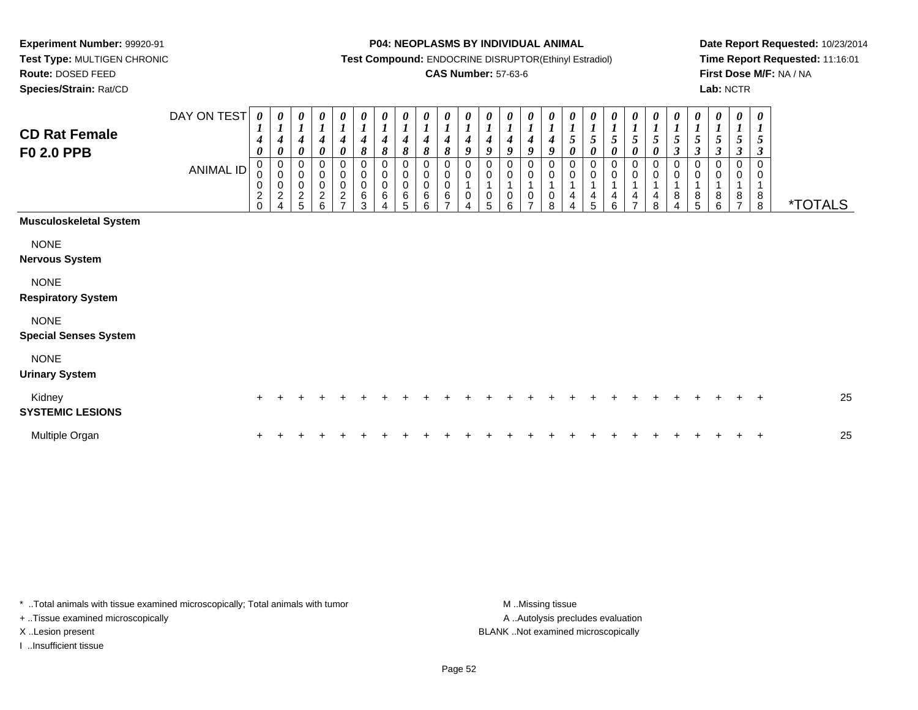**Route:** DOSED FEED

**Species/Strain:** Rat/CD

#### **P04: NEOPLASMS BY INDIVIDUAL ANIMAL**

**Test Compound:** ENDOCRINE DISRUPTOR(Ethinyl Estradiol)

### **CAS Number:** 57-63-6

**Date Report Requested:** 10/23/2014**Time Report Requested:** 11:16:01**First Dose M/F:** NA / NA**Lab:** NCTR

| <b>CD Rat Female</b><br><b>F0 2.0 PPB</b>   | DAY ON TEST<br><b>ANIMAL ID</b> | 0<br>$\boldsymbol{l}$<br>$\boldsymbol{4}$<br>$\boldsymbol{\theta}$<br>$\pmb{0}$<br>$\mathbf 0$<br>0<br>$\boldsymbol{2}$<br>$\Omega$ | 0<br>$\boldsymbol{l}$<br>$\boldsymbol{4}$<br>$\boldsymbol{\theta}$<br>$\mathbf 0$<br>$\mathsf 0$<br>$\pmb{0}$<br>$\overline{c}$<br>$\overline{4}$ | $\boldsymbol{\theta}$<br>$\boldsymbol{l}$<br>$\boldsymbol{4}$<br>$\pmb{\theta}$<br>$\mathbf 0$<br>$\mathbf 0$<br>0<br>$\boldsymbol{2}$<br>5 | $\begin{matrix} 0 \\ 1 \end{matrix}$<br>$\boldsymbol{4}$<br>$\pmb{\theta}$<br>$_{\rm 0}^{\rm 0}$<br>$\mathbf 0$<br>$\frac{2}{6}$ | $\frac{\theta}{I}$<br>$\boldsymbol{4}$<br>$\pmb{\theta}$<br>$\pmb{0}$<br>$\pmb{0}$<br>$\pmb{0}$<br>$\frac{2}{7}$ | 0<br>$\boldsymbol{l}$<br>$\boldsymbol{4}$<br>8<br>0<br>0<br>6<br>3 | 0<br>$\boldsymbol{l}$<br>4<br>$\pmb{8}$<br>0<br>$\pmb{0}$<br>$\pmb{0}$<br>6 | 0<br>$\boldsymbol{l}$<br>$\boldsymbol{4}$<br>8<br>0<br>$\pmb{0}$<br>$\mathsf 0$<br>6<br>5 | 0<br>$\boldsymbol{I}$<br>4<br>8<br>0<br>$\pmb{0}$<br>$\pmb{0}$<br>6<br>6 | 0<br>$\boldsymbol{l}$<br>4<br>8<br>0<br>$\mathbf 0$<br>6 | 0<br>4<br>9<br>$\pmb{0}$<br>$\mathbf 0$<br>0 | $\boldsymbol{\theta}$<br>4<br>9<br>0<br>$\mathbf 0$<br>$\mathbf{1}$<br>$\mathbf 0$<br>5 | 0<br>$\boldsymbol{l}$<br>4<br>9<br>0<br>0<br>0<br>6 | 0<br>$\boldsymbol{l}$<br>$\boldsymbol{4}$<br>9<br>0<br>$\pmb{0}$<br>$\mathbf{1}$<br>$\pmb{0}$<br>$\overline{ }$ | 0<br>$\boldsymbol{l}$<br>$\boldsymbol{4}$<br>9<br>$\,0\,$<br>$\pmb{0}$<br>$\mathbf{1}$<br>$\,0\,$<br>8 | $\frac{\theta}{I}$<br>$5\overline{)}$<br>$\boldsymbol{\theta}$<br>0<br>$\pmb{0}$<br>$\mathbf{1}$<br>4<br>4 | 0<br>$\boldsymbol{l}$<br>$\sqrt{5}$<br>0<br>0<br>$\mathbf 1$<br>$\overline{4}$<br>5 | 5<br>0<br>0<br>0<br>1<br>$\overline{4}$<br>6 | 0<br>5<br>0<br>0<br>$\pmb{0}$<br>4<br>$\overline{ }$ | 0<br>$\boldsymbol{l}$<br>5<br>0<br>0<br>$\pmb{0}$<br>4<br>8 | 0<br>$\boldsymbol{l}$<br>5<br>$\boldsymbol{\beta}$<br>$\mathbf 0$<br>$\pmb{0}$<br>1<br>8 | 0<br>$\boldsymbol{l}$<br>$\mathfrak{H}$<br>$\boldsymbol{\beta}$<br>$\pmb{0}$<br>$\mathbf 0$<br>8<br>5 | $\boldsymbol{\theta}$<br>$\boldsymbol{l}$<br>5<br>$\boldsymbol{\beta}$<br>0<br>0<br>1<br>8<br>6 | 0<br>$\boldsymbol{l}$<br>$\sqrt{5}$<br>$\boldsymbol{\beta}$<br>0<br>0<br>$\mathbf 1$<br>8<br>$\overline{ }$ | $\boldsymbol{\theta}$<br>$\boldsymbol{l}$<br>5<br>$\boldsymbol{\beta}$<br>$\mathbf 0$<br>0<br>1<br>$\,8\,$<br>$\,8\,$ | <i><b>*TOTALS</b></i> |
|---------------------------------------------|---------------------------------|-------------------------------------------------------------------------------------------------------------------------------------|---------------------------------------------------------------------------------------------------------------------------------------------------|---------------------------------------------------------------------------------------------------------------------------------------------|----------------------------------------------------------------------------------------------------------------------------------|------------------------------------------------------------------------------------------------------------------|--------------------------------------------------------------------|-----------------------------------------------------------------------------|-------------------------------------------------------------------------------------------|--------------------------------------------------------------------------|----------------------------------------------------------|----------------------------------------------|-----------------------------------------------------------------------------------------|-----------------------------------------------------|-----------------------------------------------------------------------------------------------------------------|--------------------------------------------------------------------------------------------------------|------------------------------------------------------------------------------------------------------------|-------------------------------------------------------------------------------------|----------------------------------------------|------------------------------------------------------|-------------------------------------------------------------|------------------------------------------------------------------------------------------|-------------------------------------------------------------------------------------------------------|-------------------------------------------------------------------------------------------------|-------------------------------------------------------------------------------------------------------------|-----------------------------------------------------------------------------------------------------------------------|-----------------------|
| <b>Musculoskeletal System</b>               |                                 |                                                                                                                                     |                                                                                                                                                   |                                                                                                                                             |                                                                                                                                  |                                                                                                                  |                                                                    |                                                                             |                                                                                           |                                                                          |                                                          |                                              |                                                                                         |                                                     |                                                                                                                 |                                                                                                        |                                                                                                            |                                                                                     |                                              |                                                      |                                                             |                                                                                          |                                                                                                       |                                                                                                 |                                                                                                             |                                                                                                                       |                       |
| <b>NONE</b><br><b>Nervous System</b>        |                                 |                                                                                                                                     |                                                                                                                                                   |                                                                                                                                             |                                                                                                                                  |                                                                                                                  |                                                                    |                                                                             |                                                                                           |                                                                          |                                                          |                                              |                                                                                         |                                                     |                                                                                                                 |                                                                                                        |                                                                                                            |                                                                                     |                                              |                                                      |                                                             |                                                                                          |                                                                                                       |                                                                                                 |                                                                                                             |                                                                                                                       |                       |
| <b>NONE</b><br><b>Respiratory System</b>    |                                 |                                                                                                                                     |                                                                                                                                                   |                                                                                                                                             |                                                                                                                                  |                                                                                                                  |                                                                    |                                                                             |                                                                                           |                                                                          |                                                          |                                              |                                                                                         |                                                     |                                                                                                                 |                                                                                                        |                                                                                                            |                                                                                     |                                              |                                                      |                                                             |                                                                                          |                                                                                                       |                                                                                                 |                                                                                                             |                                                                                                                       |                       |
| <b>NONE</b><br><b>Special Senses System</b> |                                 |                                                                                                                                     |                                                                                                                                                   |                                                                                                                                             |                                                                                                                                  |                                                                                                                  |                                                                    |                                                                             |                                                                                           |                                                                          |                                                          |                                              |                                                                                         |                                                     |                                                                                                                 |                                                                                                        |                                                                                                            |                                                                                     |                                              |                                                      |                                                             |                                                                                          |                                                                                                       |                                                                                                 |                                                                                                             |                                                                                                                       |                       |
| <b>NONE</b><br><b>Urinary System</b>        |                                 |                                                                                                                                     |                                                                                                                                                   |                                                                                                                                             |                                                                                                                                  |                                                                                                                  |                                                                    |                                                                             |                                                                                           |                                                                          |                                                          |                                              |                                                                                         |                                                     |                                                                                                                 |                                                                                                        |                                                                                                            |                                                                                     |                                              |                                                      |                                                             |                                                                                          |                                                                                                       |                                                                                                 |                                                                                                             |                                                                                                                       |                       |
| Kidney<br><b>SYSTEMIC LESIONS</b>           |                                 | $\ddot{}$                                                                                                                           |                                                                                                                                                   |                                                                                                                                             |                                                                                                                                  |                                                                                                                  |                                                                    |                                                                             |                                                                                           |                                                                          |                                                          |                                              |                                                                                         |                                                     |                                                                                                                 |                                                                                                        |                                                                                                            |                                                                                     |                                              |                                                      |                                                             |                                                                                          |                                                                                                       |                                                                                                 |                                                                                                             | $\overline{+}$                                                                                                        | 25                    |
| Multiple Organ                              |                                 |                                                                                                                                     |                                                                                                                                                   |                                                                                                                                             |                                                                                                                                  |                                                                                                                  |                                                                    |                                                                             |                                                                                           |                                                                          |                                                          |                                              |                                                                                         |                                                     |                                                                                                                 |                                                                                                        |                                                                                                            |                                                                                     |                                              |                                                      |                                                             |                                                                                          |                                                                                                       |                                                                                                 |                                                                                                             | ÷                                                                                                                     | 25                    |

\* ..Total animals with tissue examined microscopically; Total animals with tumor **M** . Missing tissue M ..Missing tissue + ..Tissue examined microscopically

I ..Insufficient tissue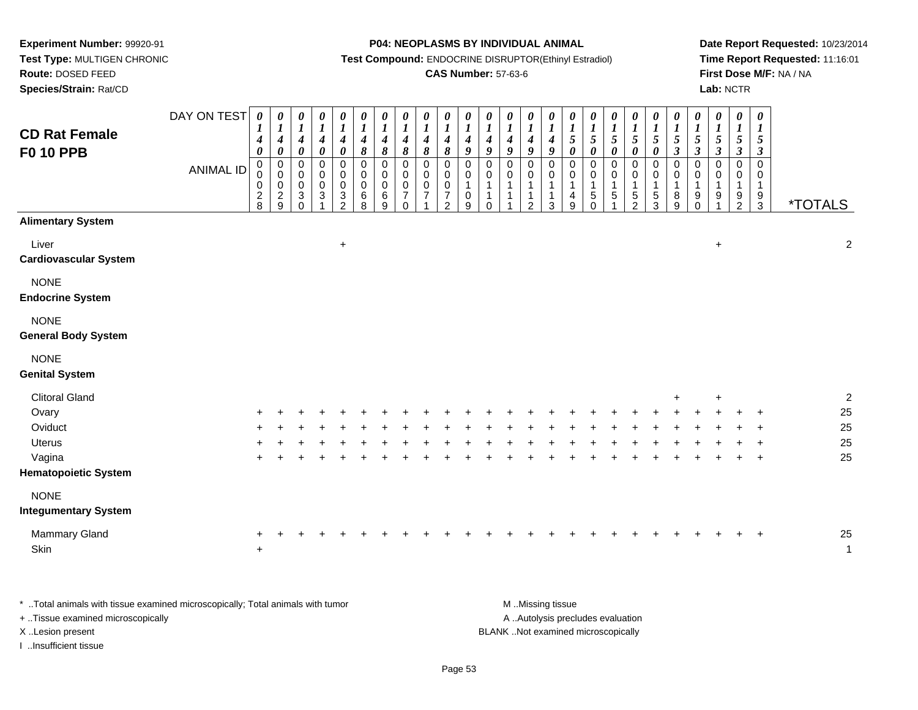**Test Type:** MULTIGEN CHRONIC**Route:** DOSED FEED

**Species/Strain:** Rat/CD

#### **P04: NEOPLASMS BY INDIVIDUAL ANIMAL**

**Test Compound:** ENDOCRINE DISRUPTOR(Ethinyl Estradiol)

## **CAS Number:** 57-63-6

**Date Report Requested:** 10/23/2014**Time Report Requested:** 11:16:01**First Dose M/F:** NA / NA**Lab:** NCTR

| <b>CD Rat Female</b><br><b>F0 10 PPB</b><br><b>Alimentary System</b> | DAY ON TEST<br><b>ANIMAL ID</b> | $\boldsymbol{\theta}$<br>$\boldsymbol{I}$<br>$\boldsymbol{4}$<br>$\boldsymbol{\theta}$<br>$\pmb{0}$<br>0<br>$\pmb{0}$<br>$\frac{2}{8}$ | 0<br>$\boldsymbol{l}$<br>$\boldsymbol{4}$<br>$\boldsymbol{\theta}$<br>$\pmb{0}$<br>$\pmb{0}$<br>$\pmb{0}$<br>$\frac{2}{9}$ | 0<br>$\boldsymbol{l}$<br>$\boldsymbol{4}$<br>$\pmb{\theta}$<br>$\mathsf 0$<br>$\mathbf 0$<br>$\mathbf 0$<br>$\sqrt{3}$<br>$\Omega$ | 0<br>$\boldsymbol{l}$<br>$\boldsymbol{4}$<br>$\pmb{\theta}$<br>$\mathsf 0$<br>$\pmb{0}$<br>$\pmb{0}$<br>$\ensuremath{\mathsf{3}}$ | 0<br>$\boldsymbol{\mathit{1}}$<br>$\boldsymbol{4}$<br>$\pmb{\theta}$<br>0<br>$\pmb{0}$<br>$\pmb{0}$<br>$\frac{3}{2}$ | $\pmb{\theta}$<br>$\boldsymbol{l}$<br>$\boldsymbol{4}$<br>8<br>$\pmb{0}$<br>$\pmb{0}$<br>$\pmb{0}$<br>6<br>8 | $\pmb{\theta}$<br>$\boldsymbol{l}$<br>$\boldsymbol{4}$<br>8<br>$\mathsf 0$<br>$\pmb{0}$<br>$\pmb{0}$<br>$^6_9$ | $\pmb{\theta}$<br>$\boldsymbol{l}$<br>$\boldsymbol{4}$<br>8<br>$\mathbf 0$<br>$\mathbf 0$<br>$\mathbf 0$<br>$\overline{7}$<br>$\Omega$ | $\pmb{\theta}$<br>$\boldsymbol{l}$<br>$\boldsymbol{4}$<br>$\pmb{8}$<br>$\mathbf 0$<br>$\mathbf 0$<br>$\mathbf 0$<br>$\overline{7}$ | $\boldsymbol{\theta}$<br>$\boldsymbol{l}$<br>$\boldsymbol{4}$<br>8<br>$\mathbf 0$<br>$\mathbf 0$<br>$\pmb{0}$<br>$\overline{7}$<br>$\overline{2}$ | 0<br>$\boldsymbol{l}$<br>$\boldsymbol{4}$<br>9<br>$\pmb{0}$<br>$\pmb{0}$<br>$\mathbf{1}$<br>$_{9}^{\rm 0}$ | $\boldsymbol{\theta}$<br>$\boldsymbol{I}$<br>$\boldsymbol{4}$<br>$\boldsymbol{g}$<br>$\pmb{0}$<br>0<br>$\mathbf{1}$<br>1<br>0 | 0<br>$\boldsymbol{l}$<br>$\boldsymbol{4}$<br>9<br>0<br>$\pmb{0}$<br>$\mathbf{1}$<br>$\mathbf{1}$<br>-1 | 0<br>$\boldsymbol{l}$<br>$\boldsymbol{4}$<br>9<br>$\mathsf 0$<br>$\mathbf 0$<br>$\mathbf{1}$<br>$\mathbf{1}$<br>$\overline{2}$ | 0<br>$\boldsymbol{l}$<br>$\boldsymbol{4}$<br>9<br>$\mathsf 0$<br>0<br>$\mathbf{1}$<br>1<br>3 | 0<br>$\boldsymbol{l}$<br>$\mathfrak{s}$<br>$\pmb{\theta}$<br>$\pmb{0}$<br>0<br>$\overline{1}$<br>$\overline{\mathbf{4}}$<br>$\overline{9}$ | 0<br>$\boldsymbol{l}$<br>$\sqrt{5}$<br>$\boldsymbol{\theta}$<br>$\mathbf 0$<br>$\mathbf 0$<br>$\mathbf{1}$<br>$\frac{5}{0}$ | $\pmb{\theta}$<br>$\boldsymbol{l}$<br>$\sqrt{5}$<br>$\boldsymbol{\theta}$<br>$\mathbf 0$<br>$\pmb{0}$<br>$\mathbf 1$<br>$\,$ 5 $\,$ | 0<br>$\boldsymbol{l}$<br>$\mathfrak{S}$<br>$\pmb{\theta}$<br>0<br>0<br>1<br>$\frac{5}{2}$ | 0<br>$\boldsymbol{l}$<br>5<br>$\boldsymbol{\theta}$<br>$\pmb{0}$<br>0<br>$\mathbf{1}$<br>$\frac{5}{3}$ | $\boldsymbol{\theta}$<br>$\boldsymbol{l}$<br>$\sqrt{5}$<br>$\boldsymbol{\beta}$<br>$\pmb{0}$<br>$\pmb{0}$<br>$\mathbf{1}$<br>$\, 8$<br>$9\,$ | $\pmb{\theta}$<br>$\boldsymbol{l}$<br>$\sqrt{5}$<br>$\mathfrak{z}$<br>$\mbox{O}$<br>$\,0\,$<br>$\mathbf{1}$<br>$_{0}^{9}$ | $\boldsymbol{\theta}$<br>$\boldsymbol{l}$<br>$\overline{5}$<br>$\boldsymbol{\beta}$<br>$\pmb{0}$<br>$\mathbf 0$<br>$\mathbf{1}$<br>9<br>$\overline{ }$ | 0<br>$\boldsymbol{I}$<br>$\sqrt{5}$<br>$\boldsymbol{\beta}$<br>$\mathsf 0$<br>0<br>$\mathbf{1}$<br>$\frac{9}{2}$ | $\pmb{\theta}$<br>$\boldsymbol{l}$<br>$\mathfrak{s}$<br>$\mathfrak{z}$<br>$\mathsf{O}\xspace$<br>$\mathbf 0$<br>$\mathbf{1}$<br>$\frac{9}{3}$ | <i><b>*TOTALS</b></i> |
|----------------------------------------------------------------------|---------------------------------|----------------------------------------------------------------------------------------------------------------------------------------|----------------------------------------------------------------------------------------------------------------------------|------------------------------------------------------------------------------------------------------------------------------------|-----------------------------------------------------------------------------------------------------------------------------------|----------------------------------------------------------------------------------------------------------------------|--------------------------------------------------------------------------------------------------------------|----------------------------------------------------------------------------------------------------------------|----------------------------------------------------------------------------------------------------------------------------------------|------------------------------------------------------------------------------------------------------------------------------------|---------------------------------------------------------------------------------------------------------------------------------------------------|------------------------------------------------------------------------------------------------------------|-------------------------------------------------------------------------------------------------------------------------------|--------------------------------------------------------------------------------------------------------|--------------------------------------------------------------------------------------------------------------------------------|----------------------------------------------------------------------------------------------|--------------------------------------------------------------------------------------------------------------------------------------------|-----------------------------------------------------------------------------------------------------------------------------|-------------------------------------------------------------------------------------------------------------------------------------|-------------------------------------------------------------------------------------------|--------------------------------------------------------------------------------------------------------|----------------------------------------------------------------------------------------------------------------------------------------------|---------------------------------------------------------------------------------------------------------------------------|--------------------------------------------------------------------------------------------------------------------------------------------------------|------------------------------------------------------------------------------------------------------------------|-----------------------------------------------------------------------------------------------------------------------------------------------|-----------------------|
| Liver<br><b>Cardiovascular System</b>                                |                                 |                                                                                                                                        |                                                                                                                            |                                                                                                                                    |                                                                                                                                   | $\ddot{}$                                                                                                            |                                                                                                              |                                                                                                                |                                                                                                                                        |                                                                                                                                    |                                                                                                                                                   |                                                                                                            |                                                                                                                               |                                                                                                        |                                                                                                                                |                                                                                              |                                                                                                                                            |                                                                                                                             |                                                                                                                                     |                                                                                           |                                                                                                        |                                                                                                                                              |                                                                                                                           | $\ddot{}$                                                                                                                                              |                                                                                                                  |                                                                                                                                               | $\boldsymbol{2}$      |
| <b>NONE</b><br><b>Endocrine System</b>                               |                                 |                                                                                                                                        |                                                                                                                            |                                                                                                                                    |                                                                                                                                   |                                                                                                                      |                                                                                                              |                                                                                                                |                                                                                                                                        |                                                                                                                                    |                                                                                                                                                   |                                                                                                            |                                                                                                                               |                                                                                                        |                                                                                                                                |                                                                                              |                                                                                                                                            |                                                                                                                             |                                                                                                                                     |                                                                                           |                                                                                                        |                                                                                                                                              |                                                                                                                           |                                                                                                                                                        |                                                                                                                  |                                                                                                                                               |                       |
| <b>NONE</b><br><b>General Body System</b>                            |                                 |                                                                                                                                        |                                                                                                                            |                                                                                                                                    |                                                                                                                                   |                                                                                                                      |                                                                                                              |                                                                                                                |                                                                                                                                        |                                                                                                                                    |                                                                                                                                                   |                                                                                                            |                                                                                                                               |                                                                                                        |                                                                                                                                |                                                                                              |                                                                                                                                            |                                                                                                                             |                                                                                                                                     |                                                                                           |                                                                                                        |                                                                                                                                              |                                                                                                                           |                                                                                                                                                        |                                                                                                                  |                                                                                                                                               |                       |
| <b>NONE</b><br><b>Genital System</b>                                 |                                 |                                                                                                                                        |                                                                                                                            |                                                                                                                                    |                                                                                                                                   |                                                                                                                      |                                                                                                              |                                                                                                                |                                                                                                                                        |                                                                                                                                    |                                                                                                                                                   |                                                                                                            |                                                                                                                               |                                                                                                        |                                                                                                                                |                                                                                              |                                                                                                                                            |                                                                                                                             |                                                                                                                                     |                                                                                           |                                                                                                        |                                                                                                                                              |                                                                                                                           |                                                                                                                                                        |                                                                                                                  |                                                                                                                                               |                       |
| <b>Clitoral Gland</b><br>Ovary                                       |                                 |                                                                                                                                        |                                                                                                                            |                                                                                                                                    |                                                                                                                                   |                                                                                                                      |                                                                                                              |                                                                                                                |                                                                                                                                        |                                                                                                                                    |                                                                                                                                                   |                                                                                                            |                                                                                                                               |                                                                                                        |                                                                                                                                |                                                                                              |                                                                                                                                            |                                                                                                                             |                                                                                                                                     |                                                                                           |                                                                                                        | $\ddot{}$                                                                                                                                    |                                                                                                                           | $\ddot{}$                                                                                                                                              |                                                                                                                  |                                                                                                                                               | $\overline{c}$<br>25  |
| Oviduct<br>Uterus<br>Vagina                                          |                                 |                                                                                                                                        |                                                                                                                            |                                                                                                                                    |                                                                                                                                   |                                                                                                                      |                                                                                                              |                                                                                                                |                                                                                                                                        |                                                                                                                                    |                                                                                                                                                   |                                                                                                            |                                                                                                                               |                                                                                                        |                                                                                                                                |                                                                                              |                                                                                                                                            |                                                                                                                             |                                                                                                                                     |                                                                                           |                                                                                                        |                                                                                                                                              |                                                                                                                           |                                                                                                                                                        |                                                                                                                  |                                                                                                                                               | 25<br>25<br>25        |
| <b>Hematopoietic System</b><br><b>NONE</b>                           |                                 |                                                                                                                                        |                                                                                                                            |                                                                                                                                    |                                                                                                                                   |                                                                                                                      |                                                                                                              |                                                                                                                |                                                                                                                                        |                                                                                                                                    |                                                                                                                                                   |                                                                                                            |                                                                                                                               |                                                                                                        |                                                                                                                                |                                                                                              |                                                                                                                                            |                                                                                                                             |                                                                                                                                     |                                                                                           |                                                                                                        |                                                                                                                                              |                                                                                                                           |                                                                                                                                                        |                                                                                                                  |                                                                                                                                               |                       |
| <b>Integumentary System</b>                                          |                                 |                                                                                                                                        |                                                                                                                            |                                                                                                                                    |                                                                                                                                   |                                                                                                                      |                                                                                                              |                                                                                                                |                                                                                                                                        |                                                                                                                                    |                                                                                                                                                   |                                                                                                            |                                                                                                                               |                                                                                                        |                                                                                                                                |                                                                                              |                                                                                                                                            |                                                                                                                             |                                                                                                                                     |                                                                                           |                                                                                                        |                                                                                                                                              |                                                                                                                           |                                                                                                                                                        |                                                                                                                  |                                                                                                                                               |                       |
| Mammary Gland<br>Skin                                                |                                 | ٠<br>$+$                                                                                                                               |                                                                                                                            |                                                                                                                                    |                                                                                                                                   |                                                                                                                      |                                                                                                              |                                                                                                                |                                                                                                                                        |                                                                                                                                    |                                                                                                                                                   |                                                                                                            |                                                                                                                               |                                                                                                        |                                                                                                                                |                                                                                              |                                                                                                                                            |                                                                                                                             |                                                                                                                                     |                                                                                           |                                                                                                        |                                                                                                                                              |                                                                                                                           |                                                                                                                                                        |                                                                                                                  | $\overline{+}$                                                                                                                                | 25<br>$\mathbf 1$     |

| Total animals with tissue examined microscopically; Total animals with tumor | M Missing tissue                   |
|------------------------------------------------------------------------------|------------------------------------|
| + . Tissue examined microscopically                                          | A Autolysis precludes evaluation   |
| X Lesion present                                                             | BLANK Not examined microscopically |
| …Insufficient tissue                                                         |                                    |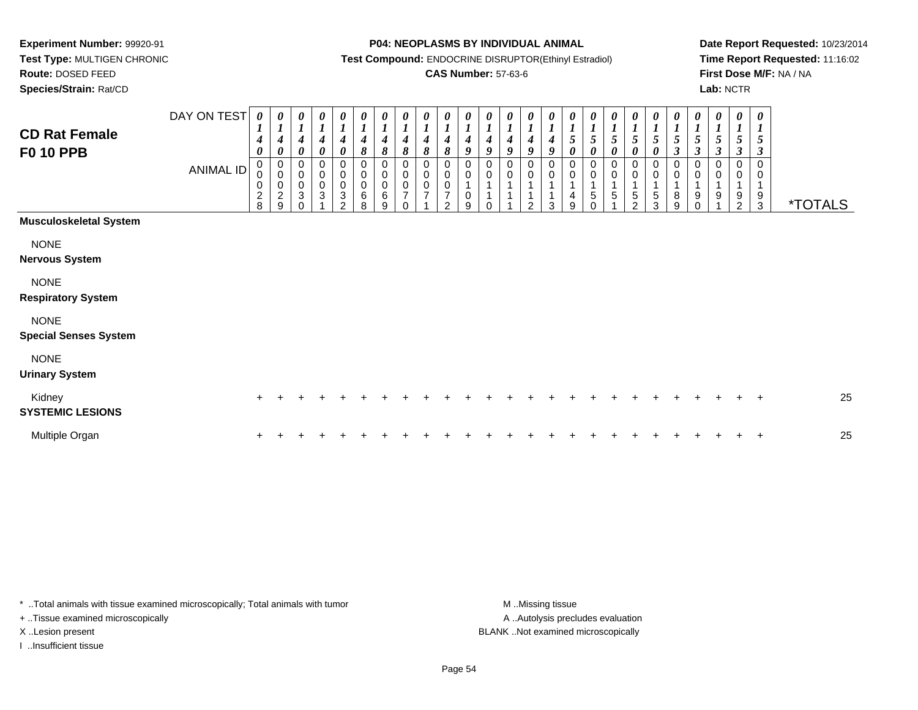**Test Type:** MULTIGEN CHRONIC**Route:** DOSED FEED

**Species/Strain:** Rat/CD

#### **P04: NEOPLASMS BY INDIVIDUAL ANIMAL**

**Test Compound:** ENDOCRINE DISRUPTOR(Ethinyl Estradiol)

### **CAS Number:** 57-63-6

**Date Report Requested:** 10/23/2014**Time Report Requested:** 11:16:02**First Dose M/F:** NA / NA**Lab:** NCTR

| <b>CD Rat Female</b><br><b>F0 10 PPB</b>    | DAY ON TEST<br><b>ANIMAL ID</b> | $\boldsymbol{\theta}$<br>1<br>$\boldsymbol{4}$<br>0<br>$\pmb{0}$<br>$\pmb{0}$<br>$\frac{2}{8}$ | 0<br>$\boldsymbol{4}$<br>0<br>0<br>$\mathsf 0$<br>$\mathbf 0$<br>$\frac{2}{9}$ | 0<br>$\overline{ }$<br>$\boldsymbol{4}$<br>0<br>0<br>$\pmb{0}$<br>$\pmb{0}$<br>3<br>$\Omega$ | $\boldsymbol{\theta}$<br>$\boldsymbol{l}$<br>$\boldsymbol{4}$<br>0<br>$\pmb{0}$<br>$\pmb{0}$<br>3 | 0<br>$\boldsymbol{l}$<br>$\boldsymbol{4}$<br>$\boldsymbol{\theta}$<br>0<br>$\begin{matrix} 0 \\ 0 \\ 3 \end{matrix}$<br>$\mathfrak{D}$ | 0<br>$\boldsymbol{l}$<br>$\boldsymbol{4}$<br>8<br>0<br>$\pmb{0}$<br>0<br>$\,6$<br>8 | 0<br>$\boldsymbol{l}$<br>$\boldsymbol{4}$<br>8<br>0<br>$\boldsymbol{0}$<br>0<br>6<br>9 | 0<br>$\boldsymbol{l}$<br>$\boldsymbol{4}$<br>8<br>0<br>$\pmb{0}$<br>$\pmb{0}$<br>$\overline{7}$<br>$\Omega$ | 0<br>$\boldsymbol{l}$<br>4<br>8<br>0<br>$\pmb{0}$<br>0<br>$\overline{7}$ | 0<br>$\boldsymbol{l}$<br>$\boldsymbol{4}$<br>8<br>0<br>$\mathbf 0$<br>$\overline{7}$<br>$\overline{2}$ | $\boldsymbol{\theta}$<br>$\boldsymbol{l}$<br>4<br>9<br>0<br>$\mathbf 0$<br>0<br>9 | 0<br>4<br>9<br>0 | 0<br>4<br>$\boldsymbol{q}$<br>0<br>$\mathbf 0$ | $\pmb{\theta}$<br>$\boldsymbol{4}$<br>$\boldsymbol{a}$<br>$\Omega$<br>$\mathbf 0$<br>1<br>c | 0<br>4<br>Q<br>0<br>0<br>3 | $\boldsymbol{\theta}$<br>$\mathfrak{z}$<br>0<br>0<br>0<br>4<br>9 | $\sqrt{5}$<br>0<br>0<br>$\,$ 5 $\,$ | 5<br>0<br>0<br>$\sqrt{5}$ | 0<br>5<br>0<br>0<br>0<br>$\,$ 5 $\,$<br>$\mathfrak{D}$ | 0<br>$\boldsymbol{l}$<br>$\mathfrak{z}$<br>0<br>0<br>$\pmb{0}$<br>$\frac{5}{3}$ | $\pmb{\theta}$<br>$\boldsymbol{l}$<br>$\sqrt{5}$<br>$\boldsymbol{\mathfrak{z}}$<br>0<br>$\pmb{0}$<br>$\mathbf 1$<br>8<br>9 | 0<br>$\boldsymbol{l}$<br>$\sqrt{5}$<br>3<br>0<br>$\pmb{0}$<br>1<br>9<br>$\mathbf{0}$ | 0<br>$\boldsymbol{l}$<br>5<br>3<br>0<br>0<br>1<br>9 | 0<br>$\boldsymbol{l}$<br>5<br>3<br>0<br>9<br>2 | $\boldsymbol{\theta}$<br>5<br>3<br>0<br>0<br>9<br>$\mathbf{3}$ | <i><b>*TOTALS</b></i> |
|---------------------------------------------|---------------------------------|------------------------------------------------------------------------------------------------|--------------------------------------------------------------------------------|----------------------------------------------------------------------------------------------|---------------------------------------------------------------------------------------------------|----------------------------------------------------------------------------------------------------------------------------------------|-------------------------------------------------------------------------------------|----------------------------------------------------------------------------------------|-------------------------------------------------------------------------------------------------------------|--------------------------------------------------------------------------|--------------------------------------------------------------------------------------------------------|-----------------------------------------------------------------------------------|------------------|------------------------------------------------|---------------------------------------------------------------------------------------------|----------------------------|------------------------------------------------------------------|-------------------------------------|---------------------------|--------------------------------------------------------|---------------------------------------------------------------------------------|----------------------------------------------------------------------------------------------------------------------------|--------------------------------------------------------------------------------------|-----------------------------------------------------|------------------------------------------------|----------------------------------------------------------------|-----------------------|
| <b>Musculoskeletal System</b>               |                                 |                                                                                                |                                                                                |                                                                                              |                                                                                                   |                                                                                                                                        |                                                                                     |                                                                                        |                                                                                                             |                                                                          |                                                                                                        |                                                                                   |                  |                                                |                                                                                             |                            |                                                                  |                                     |                           |                                                        |                                                                                 |                                                                                                                            |                                                                                      |                                                     |                                                |                                                                |                       |
| <b>NONE</b><br><b>Nervous System</b>        |                                 |                                                                                                |                                                                                |                                                                                              |                                                                                                   |                                                                                                                                        |                                                                                     |                                                                                        |                                                                                                             |                                                                          |                                                                                                        |                                                                                   |                  |                                                |                                                                                             |                            |                                                                  |                                     |                           |                                                        |                                                                                 |                                                                                                                            |                                                                                      |                                                     |                                                |                                                                |                       |
| <b>NONE</b><br><b>Respiratory System</b>    |                                 |                                                                                                |                                                                                |                                                                                              |                                                                                                   |                                                                                                                                        |                                                                                     |                                                                                        |                                                                                                             |                                                                          |                                                                                                        |                                                                                   |                  |                                                |                                                                                             |                            |                                                                  |                                     |                           |                                                        |                                                                                 |                                                                                                                            |                                                                                      |                                                     |                                                |                                                                |                       |
| <b>NONE</b><br><b>Special Senses System</b> |                                 |                                                                                                |                                                                                |                                                                                              |                                                                                                   |                                                                                                                                        |                                                                                     |                                                                                        |                                                                                                             |                                                                          |                                                                                                        |                                                                                   |                  |                                                |                                                                                             |                            |                                                                  |                                     |                           |                                                        |                                                                                 |                                                                                                                            |                                                                                      |                                                     |                                                |                                                                |                       |
| <b>NONE</b><br><b>Urinary System</b>        |                                 |                                                                                                |                                                                                |                                                                                              |                                                                                                   |                                                                                                                                        |                                                                                     |                                                                                        |                                                                                                             |                                                                          |                                                                                                        |                                                                                   |                  |                                                |                                                                                             |                            |                                                                  |                                     |                           |                                                        |                                                                                 |                                                                                                                            |                                                                                      |                                                     |                                                |                                                                |                       |
| Kidney<br><b>SYSTEMIC LESIONS</b>           |                                 | $\pm$                                                                                          |                                                                                |                                                                                              |                                                                                                   |                                                                                                                                        |                                                                                     |                                                                                        |                                                                                                             |                                                                          |                                                                                                        |                                                                                   |                  |                                                |                                                                                             |                            |                                                                  |                                     |                           |                                                        |                                                                                 |                                                                                                                            |                                                                                      |                                                     |                                                | $+$                                                            | 25                    |
| Multiple Organ                              |                                 |                                                                                                |                                                                                |                                                                                              |                                                                                                   |                                                                                                                                        |                                                                                     |                                                                                        |                                                                                                             |                                                                          |                                                                                                        |                                                                                   |                  |                                                |                                                                                             |                            |                                                                  |                                     |                           |                                                        |                                                                                 |                                                                                                                            |                                                                                      |                                                     |                                                | $\overline{ }$                                                 | 25                    |

\* ..Total animals with tissue examined microscopically; Total animals with tumor **M** . Missing tissue M ..Missing tissue

+ ..Tissue examined microscopically

I ..Insufficient tissue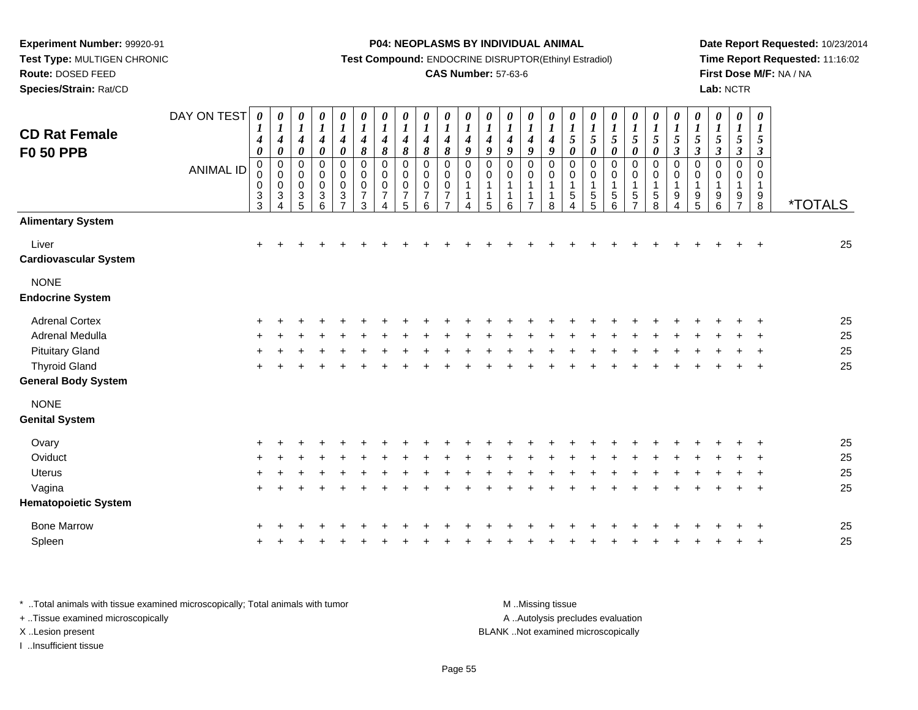**Test Type:** MULTIGEN CHRONIC**Route:** DOSED FEED

**Species/Strain:** Rat/CD

#### **P04: NEOPLASMS BY INDIVIDUAL ANIMAL**

**Test Compound:** ENDOCRINE DISRUPTOR(Ethinyl Estradiol)

### **CAS Number:** 57-63-6

**Date Report Requested:** 10/23/2014**Time Report Requested:** 11:16:02**First Dose M/F:** NA / NA**Lab:** NCTR

| <b>CD Rat Female</b>                   | DAY ON TEST      | 1<br>4                                                          | $\boldsymbol{\theta}$<br>$\boldsymbol{l}$<br>$\boldsymbol{4}$                | 0<br>$\boldsymbol{l}$<br>$\boldsymbol{4}$                 | $\boldsymbol{\theta}$<br>$\boldsymbol{l}$<br>$\boldsymbol{4}$   | 0<br>$\boldsymbol{l}$<br>$\boldsymbol{4}$                                                             | 0<br>$\boldsymbol{l}$<br>$\boldsymbol{4}$                 | $\boldsymbol{\theta}$<br>$\boldsymbol{l}$<br>$\boldsymbol{4}$ | $\boldsymbol{\theta}$<br>$\boldsymbol{l}$<br>$\boldsymbol{4}$       | $\boldsymbol{\theta}$<br>$\boldsymbol{l}$<br>4                | 0<br>$\boldsymbol{l}$<br>4                                   | 0<br>$\boldsymbol{l}$<br>4 | 0<br>$\boldsymbol{l}$<br>$\boldsymbol{4}$                | 0<br>$\boldsymbol{l}$<br>$\boldsymbol{4}$                                  | 0<br>$\boldsymbol{l}$<br>$\boldsymbol{4}$                      | 0<br>$\boldsymbol{l}$<br>$\boldsymbol{4}$           | $\boldsymbol{\theta}$<br>$\boldsymbol{l}$<br>$\sqrt{5}$                                     | 0<br>$\boldsymbol{l}$<br>$\overline{5}$                                                | $\boldsymbol{\theta}$<br>$\boldsymbol{l}$<br>$\sqrt{5}$ | 0<br>$\boldsymbol{l}$<br>$\sqrt{5}$                       | 0<br>$\boldsymbol{l}$<br>$\sqrt{5}$                                                        | 0<br>$\boldsymbol{l}$<br>$\sqrt{5}$                     | $\pmb{\theta}$<br>$\boldsymbol{l}$<br>$\sqrt{5}$                                       | 0<br>$\boldsymbol{l}$<br>$5\phantom{.0}$ | $\pmb{\theta}$<br>$\boldsymbol{l}$<br>$\sqrt{5}$       | $\boldsymbol{\theta}$<br>$\boldsymbol{l}$<br>$\mathfrak{s}$                        |                       |
|----------------------------------------|------------------|-----------------------------------------------------------------|------------------------------------------------------------------------------|-----------------------------------------------------------|-----------------------------------------------------------------|-------------------------------------------------------------------------------------------------------|-----------------------------------------------------------|---------------------------------------------------------------|---------------------------------------------------------------------|---------------------------------------------------------------|--------------------------------------------------------------|----------------------------|----------------------------------------------------------|----------------------------------------------------------------------------|----------------------------------------------------------------|-----------------------------------------------------|---------------------------------------------------------------------------------------------|----------------------------------------------------------------------------------------|---------------------------------------------------------|-----------------------------------------------------------|--------------------------------------------------------------------------------------------|---------------------------------------------------------|----------------------------------------------------------------------------------------|------------------------------------------|--------------------------------------------------------|------------------------------------------------------------------------------------|-----------------------|
| <b>F0 50 PPB</b>                       | <b>ANIMAL ID</b> | $\boldsymbol{\theta}$<br>$\mathbf 0$<br>0<br>0<br>$\frac{3}{3}$ | $\pmb{\theta}$<br>$\pmb{0}$<br>$\pmb{0}$<br>$_{3}^{\rm 0}$<br>$\overline{A}$ | $\pmb{\theta}$<br>0<br>$\mathbf 0$<br>$\pmb{0}$<br>3<br>5 | $\pmb{\theta}$<br>$\pmb{0}$<br>$\pmb{0}$<br>$\pmb{0}$<br>$^3$ 6 | $\boldsymbol{\theta}$<br>$\mathbf 0$<br>$\overline{0}$<br>$\mathbf 0$<br>$\sqrt{3}$<br>$\overline{7}$ | 8<br>$\mathbf 0$<br>$\pmb{0}$<br>0<br>$\overline{7}$<br>3 | 8<br>0<br>$\mathbf 0$<br>0<br>$\overline{7}$<br>4             | $\pmb{8}$<br>$\mathbf 0$<br>$\mathbf 0$<br>0<br>$\overline{7}$<br>5 | $\pmb{8}$<br>$\mathbf 0$<br>$\Omega$<br>$\mathbf 0$<br>7<br>6 | $\pmb{8}$<br>$\mathbf 0$<br>0<br>$\pmb{0}$<br>$\overline{7}$ | 9<br>0<br>0<br>4           | 9<br>0<br>0<br>$\mathbf{1}$<br>$\mathbf 1$<br>$\sqrt{5}$ | 9<br>$\mathbf 0$<br>$\mathbf 0$<br>$\mathbf{1}$<br>$\mathbf{1}$<br>$\,6\,$ | 9<br>$\mathbf 0$<br>0<br>1<br>$\overline{1}$<br>$\overline{7}$ | $\boldsymbol{9}$<br>0<br>$\mathbf 0$<br>1<br>1<br>8 | $\pmb{\theta}$<br>$\mathbf 0$<br>$\mathbf 0$<br>$\mathbf 1$<br>$\sqrt{5}$<br>$\overline{4}$ | $\boldsymbol{\theta}$<br>$\mathbf 0$<br>$\mathbf 0$<br>$\mathbf{1}$<br>$\sqrt{5}$<br>5 | $\pmb{\theta}$<br>$\pmb{0}$<br>0<br>$\sqrt{5}$<br>6     | $\pmb{\theta}$<br>0<br>$\mathbf 0$<br>5<br>$\overline{7}$ | $\pmb{\theta}$<br>$\mathbf 0$<br>0<br>$\mathbf 1$<br>$\begin{array}{c} 5 \\ 8 \end{array}$ | $\boldsymbol{\beta}$<br>$\mathbf 0$<br>0<br>1<br>9<br>4 | $\boldsymbol{\beta}$<br>$\mathbf 0$<br>0<br>1<br>$\begin{array}{c} 9 \\ 5 \end{array}$ | $\boldsymbol{\beta}$<br>0<br>0<br>9<br>6 | $\boldsymbol{\beta}$<br>$\Omega$<br>0<br>$\frac{9}{7}$ | $\boldsymbol{\beta}$<br>$\mathbf 0$<br>0<br>$\mathbf 1$<br>$9\,$<br>$\overline{8}$ | <i><b>*TOTALS</b></i> |
| <b>Alimentary System</b>               |                  |                                                                 |                                                                              |                                                           |                                                                 |                                                                                                       |                                                           |                                                               |                                                                     |                                                               |                                                              |                            |                                                          |                                                                            |                                                                |                                                     |                                                                                             |                                                                                        |                                                         |                                                           |                                                                                            |                                                         |                                                                                        |                                          |                                                        |                                                                                    |                       |
| Liver<br>Cardiovascular System         |                  | $\ddot{}$                                                       |                                                                              |                                                           |                                                                 |                                                                                                       |                                                           |                                                               |                                                                     |                                                               |                                                              |                            |                                                          |                                                                            |                                                                |                                                     |                                                                                             |                                                                                        |                                                         |                                                           |                                                                                            |                                                         |                                                                                        |                                          |                                                        |                                                                                    | 25                    |
| <b>NONE</b><br><b>Endocrine System</b> |                  |                                                                 |                                                                              |                                                           |                                                                 |                                                                                                       |                                                           |                                                               |                                                                     |                                                               |                                                              |                            |                                                          |                                                                            |                                                                |                                                     |                                                                                             |                                                                                        |                                                         |                                                           |                                                                                            |                                                         |                                                                                        |                                          |                                                        |                                                                                    |                       |
| <b>Adrenal Cortex</b>                  |                  |                                                                 |                                                                              |                                                           |                                                                 |                                                                                                       |                                                           |                                                               |                                                                     |                                                               |                                                              |                            |                                                          |                                                                            |                                                                |                                                     |                                                                                             |                                                                                        |                                                         |                                                           |                                                                                            |                                                         |                                                                                        |                                          |                                                        |                                                                                    | 25                    |
| <b>Adrenal Medulla</b>                 |                  |                                                                 |                                                                              |                                                           |                                                                 |                                                                                                       |                                                           |                                                               |                                                                     |                                                               |                                                              |                            |                                                          |                                                                            |                                                                |                                                     |                                                                                             |                                                                                        |                                                         |                                                           |                                                                                            |                                                         |                                                                                        |                                          |                                                        |                                                                                    | 25                    |
| <b>Pituitary Gland</b>                 |                  |                                                                 |                                                                              |                                                           |                                                                 |                                                                                                       |                                                           |                                                               |                                                                     |                                                               |                                                              |                            |                                                          |                                                                            |                                                                |                                                     |                                                                                             |                                                                                        |                                                         |                                                           |                                                                                            |                                                         |                                                                                        |                                          |                                                        |                                                                                    | 25                    |
| <b>Thyroid Gland</b>                   |                  |                                                                 |                                                                              |                                                           |                                                                 |                                                                                                       |                                                           |                                                               |                                                                     |                                                               |                                                              |                            |                                                          |                                                                            |                                                                |                                                     |                                                                                             |                                                                                        |                                                         |                                                           |                                                                                            |                                                         |                                                                                        |                                          |                                                        | $\ddot{}$                                                                          | 25                    |
| <b>General Body System</b>             |                  |                                                                 |                                                                              |                                                           |                                                                 |                                                                                                       |                                                           |                                                               |                                                                     |                                                               |                                                              |                            |                                                          |                                                                            |                                                                |                                                     |                                                                                             |                                                                                        |                                                         |                                                           |                                                                                            |                                                         |                                                                                        |                                          |                                                        |                                                                                    |                       |
| <b>NONE</b>                            |                  |                                                                 |                                                                              |                                                           |                                                                 |                                                                                                       |                                                           |                                                               |                                                                     |                                                               |                                                              |                            |                                                          |                                                                            |                                                                |                                                     |                                                                                             |                                                                                        |                                                         |                                                           |                                                                                            |                                                         |                                                                                        |                                          |                                                        |                                                                                    |                       |
| <b>Genital System</b>                  |                  |                                                                 |                                                                              |                                                           |                                                                 |                                                                                                       |                                                           |                                                               |                                                                     |                                                               |                                                              |                            |                                                          |                                                                            |                                                                |                                                     |                                                                                             |                                                                                        |                                                         |                                                           |                                                                                            |                                                         |                                                                                        |                                          |                                                        |                                                                                    |                       |
| Ovary                                  |                  |                                                                 |                                                                              |                                                           |                                                                 |                                                                                                       |                                                           |                                                               |                                                                     |                                                               |                                                              |                            |                                                          |                                                                            |                                                                |                                                     |                                                                                             |                                                                                        |                                                         |                                                           |                                                                                            |                                                         |                                                                                        |                                          |                                                        |                                                                                    | 25                    |
| Oviduct                                |                  |                                                                 |                                                                              |                                                           |                                                                 |                                                                                                       |                                                           |                                                               |                                                                     |                                                               |                                                              |                            |                                                          |                                                                            |                                                                |                                                     |                                                                                             |                                                                                        |                                                         |                                                           |                                                                                            |                                                         |                                                                                        |                                          |                                                        |                                                                                    | 25                    |
| <b>Uterus</b>                          |                  |                                                                 |                                                                              |                                                           |                                                                 |                                                                                                       |                                                           |                                                               |                                                                     |                                                               |                                                              |                            |                                                          |                                                                            |                                                                |                                                     |                                                                                             |                                                                                        |                                                         |                                                           |                                                                                            |                                                         |                                                                                        |                                          |                                                        |                                                                                    | 25                    |
| Vagina                                 |                  | $\ddot{}$                                                       |                                                                              |                                                           |                                                                 |                                                                                                       |                                                           |                                                               |                                                                     |                                                               |                                                              |                            |                                                          |                                                                            |                                                                |                                                     |                                                                                             |                                                                                        |                                                         |                                                           |                                                                                            |                                                         |                                                                                        |                                          |                                                        | $\ddot{}$                                                                          | 25                    |
| <b>Hematopoietic System</b>            |                  |                                                                 |                                                                              |                                                           |                                                                 |                                                                                                       |                                                           |                                                               |                                                                     |                                                               |                                                              |                            |                                                          |                                                                            |                                                                |                                                     |                                                                                             |                                                                                        |                                                         |                                                           |                                                                                            |                                                         |                                                                                        |                                          |                                                        |                                                                                    |                       |
| <b>Bone Marrow</b>                     |                  |                                                                 |                                                                              |                                                           |                                                                 |                                                                                                       |                                                           |                                                               |                                                                     |                                                               |                                                              |                            |                                                          |                                                                            |                                                                |                                                     |                                                                                             |                                                                                        |                                                         |                                                           |                                                                                            |                                                         |                                                                                        |                                          |                                                        |                                                                                    | 25                    |
| Spleen                                 |                  |                                                                 |                                                                              |                                                           |                                                                 |                                                                                                       |                                                           |                                                               |                                                                     |                                                               |                                                              |                            |                                                          |                                                                            |                                                                |                                                     |                                                                                             |                                                                                        |                                                         |                                                           |                                                                                            |                                                         |                                                                                        |                                          |                                                        |                                                                                    | 25                    |
|                                        |                  |                                                                 |                                                                              |                                                           |                                                                 |                                                                                                       |                                                           |                                                               |                                                                     |                                                               |                                                              |                            |                                                          |                                                                            |                                                                |                                                     |                                                                                             |                                                                                        |                                                         |                                                           |                                                                                            |                                                         |                                                                                        |                                          |                                                        |                                                                                    |                       |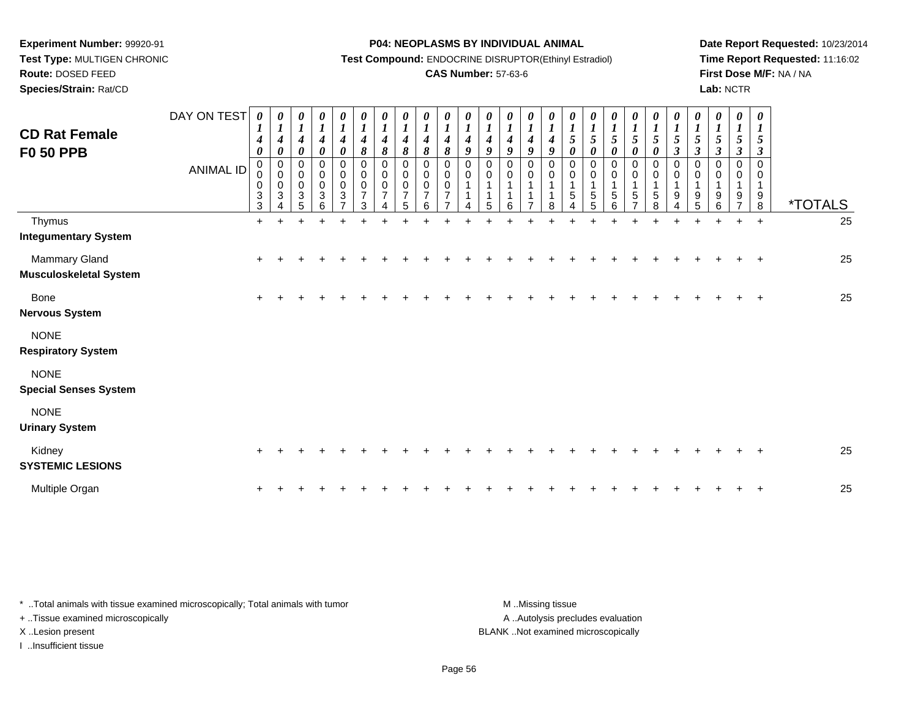**Test Type:** MULTIGEN CHRONIC**Route:** DOSED FEED

**Species/Strain:** Rat/CD

#### **P04: NEOPLASMS BY INDIVIDUAL ANIMAL**

**Test Compound:** ENDOCRINE DISRUPTOR(Ethinyl Estradiol)

### **CAS Number:** 57-63-6

**Date Report Requested:** 10/23/2014**Time Report Requested:** 11:16:02**First Dose M/F:** NA / NA**Lab:** NCTR

| <b>CD Rat Female</b><br><b>F0 50 PPB</b>       | DAY ON TEST<br><b>ANIMAL ID</b> | 0<br>$\boldsymbol{l}$<br>$\boldsymbol{4}$<br>$\boldsymbol{\theta}$<br>$\mathbf 0$<br>0<br>$\pmb{0}$<br>$\sqrt{3}$<br>3 | $\boldsymbol{l}$<br>$\boldsymbol{4}$<br>$\boldsymbol{\theta}$<br>$\mathbf 0$<br>$\boldsymbol{0}$<br>$\pmb{0}$<br>3 | $\boldsymbol{\theta}$<br>$\boldsymbol{l}$<br>$\boldsymbol{4}$<br>$\boldsymbol{\theta}$<br>$\mathbf 0$<br>$\pmb{0}$<br>$\pmb{0}$<br>$\sqrt{3}$<br>5 | 0<br>$\boldsymbol{l}$<br>$\boldsymbol{4}$<br>0<br>0<br>$\boldsymbol{0}$<br>$\boldsymbol{0}$<br>$\mathbf{3}$<br>6 | 0<br>$\boldsymbol{l}$<br>$\boldsymbol{4}$<br>$\boldsymbol{\theta}$<br>0<br>$\pmb{0}$<br>$\pmb{0}$<br>$\sqrt{3}$ | 0<br>$\boldsymbol{l}$<br>$\boldsymbol{4}$<br>8<br>$\mathbf 0$<br>$\pmb{0}$<br>$\pmb{0}$<br>$\overline{7}$<br>3 | $\frac{\theta}{I}$<br>$\boldsymbol{4}$<br>8<br>$\mathbf 0$<br>$\pmb{0}$<br>$\pmb{0}$<br>$\overline{7}$<br>$\Delta$ | $\begin{matrix} 0 \\ 1 \end{matrix}$<br>$\boldsymbol{4}$<br>8<br>0<br>0<br>$\boldsymbol{0}$<br>$\overline{7}$<br>5 | $\frac{\boldsymbol{\theta}}{\boldsymbol{I}}$<br>4<br>8<br>$\mathbf 0$<br>0<br>$\pmb{0}$<br>$\overline{7}$<br>6 | $\boldsymbol{\theta}$<br>$\boldsymbol{l}$<br>$\overline{4}$<br>8<br>$\mathbf 0$<br>0<br>0<br>$\overline{7}$ | $\boldsymbol{\theta}$<br>$\boldsymbol{l}$<br>$\boldsymbol{4}$<br>9<br>$\Omega$<br>0 | 0<br>$\boldsymbol{l}$<br>4<br>9<br>$\Omega$<br>$\mathbf 0$<br>5 | 0<br>$\boldsymbol{l}$<br>4<br>9<br>$\Omega$<br>$\mathbf 0$<br>1<br>1<br>6 | 0<br>$\boldsymbol{l}$<br>$\boldsymbol{4}$<br>9<br>$\Omega$<br>0 | $\frac{\theta}{I}$<br>$\boldsymbol{4}$<br>9<br>0<br>0<br>1<br>1<br>8 | $\frac{\theta}{1}$<br>$\sqrt{5}$<br>0<br>$\mathbf 0$<br>0<br>$\mathbf{1}$<br>$\sqrt{5}$<br>$\Delta$ | 0<br>$\boldsymbol{I}$<br>$\mathfrak{s}$<br>0<br>0<br>$\pmb{0}$<br>$\mathbf{1}$<br>5<br>5 | $\begin{matrix} 0 \\ 1 \end{matrix}$<br>5<br>0<br>$\mathbf 0$<br>$\pmb{0}$<br>1<br>$\sqrt{5}$<br>6 | $\frac{\theta}{I}$<br>$\mathfrak{s}$<br>0<br>0<br>$\pmb{0}$<br>$\mathbf{1}$<br>$\sqrt{5}$<br>⇁ | 0<br>$\boldsymbol{l}$<br>$\sqrt{5}$<br>0<br>0<br>0<br>$\mathbf 1$<br>5<br>8 | 0<br>$\boldsymbol{l}$<br>5<br>$\mathfrak{z}$<br>$\mathbf 0$<br>$\pmb{0}$<br>$\mathbf{1}$<br>9 | 0<br>$\boldsymbol{l}$<br>5<br>3<br>$\Omega$<br>0<br>$\mathbf{1}$<br>9<br>5 | 0<br>$\boldsymbol{l}$<br>5<br>$\boldsymbol{\beta}$<br>$\Omega$<br>0<br>9<br>6 | 0<br>$\boldsymbol{l}$<br>5<br>$\boldsymbol{\beta}$<br>0<br>0<br>9 | $\boldsymbol{\theta}$<br>$\boldsymbol{l}$<br>5<br>$\boldsymbol{\beta}$<br>$\Omega$<br>0<br>1<br>9<br>8 | <i><b>*TOTALS</b></i> |
|------------------------------------------------|---------------------------------|------------------------------------------------------------------------------------------------------------------------|--------------------------------------------------------------------------------------------------------------------|----------------------------------------------------------------------------------------------------------------------------------------------------|------------------------------------------------------------------------------------------------------------------|-----------------------------------------------------------------------------------------------------------------|----------------------------------------------------------------------------------------------------------------|--------------------------------------------------------------------------------------------------------------------|--------------------------------------------------------------------------------------------------------------------|----------------------------------------------------------------------------------------------------------------|-------------------------------------------------------------------------------------------------------------|-------------------------------------------------------------------------------------|-----------------------------------------------------------------|---------------------------------------------------------------------------|-----------------------------------------------------------------|----------------------------------------------------------------------|-----------------------------------------------------------------------------------------------------|------------------------------------------------------------------------------------------|----------------------------------------------------------------------------------------------------|------------------------------------------------------------------------------------------------|-----------------------------------------------------------------------------|-----------------------------------------------------------------------------------------------|----------------------------------------------------------------------------|-------------------------------------------------------------------------------|-------------------------------------------------------------------|--------------------------------------------------------------------------------------------------------|-----------------------|
| Thymus<br><b>Integumentary System</b>          |                                 | $+$                                                                                                                    |                                                                                                                    |                                                                                                                                                    |                                                                                                                  |                                                                                                                 |                                                                                                                |                                                                                                                    |                                                                                                                    |                                                                                                                |                                                                                                             |                                                                                     |                                                                 |                                                                           |                                                                 |                                                                      |                                                                                                     |                                                                                          |                                                                                                    |                                                                                                |                                                                             | ÷                                                                                             | $\ddot{}$                                                                  | $+$                                                                           |                                                                   | $+$                                                                                                    | 25                    |
| Mammary Gland<br><b>Musculoskeletal System</b> |                                 | $\ddot{}$                                                                                                              |                                                                                                                    |                                                                                                                                                    |                                                                                                                  |                                                                                                                 |                                                                                                                |                                                                                                                    |                                                                                                                    |                                                                                                                |                                                                                                             |                                                                                     |                                                                 |                                                                           |                                                                 |                                                                      |                                                                                                     |                                                                                          |                                                                                                    |                                                                                                |                                                                             |                                                                                               |                                                                            |                                                                               |                                                                   |                                                                                                        | 25                    |
| <b>Bone</b><br><b>Nervous System</b>           |                                 | $\ddot{}$                                                                                                              |                                                                                                                    |                                                                                                                                                    |                                                                                                                  |                                                                                                                 |                                                                                                                |                                                                                                                    |                                                                                                                    |                                                                                                                |                                                                                                             |                                                                                     |                                                                 |                                                                           |                                                                 |                                                                      |                                                                                                     |                                                                                          |                                                                                                    |                                                                                                |                                                                             |                                                                                               |                                                                            |                                                                               |                                                                   | $\div$                                                                                                 | 25                    |
| <b>NONE</b><br><b>Respiratory System</b>       |                                 |                                                                                                                        |                                                                                                                    |                                                                                                                                                    |                                                                                                                  |                                                                                                                 |                                                                                                                |                                                                                                                    |                                                                                                                    |                                                                                                                |                                                                                                             |                                                                                     |                                                                 |                                                                           |                                                                 |                                                                      |                                                                                                     |                                                                                          |                                                                                                    |                                                                                                |                                                                             |                                                                                               |                                                                            |                                                                               |                                                                   |                                                                                                        |                       |
| <b>NONE</b><br><b>Special Senses System</b>    |                                 |                                                                                                                        |                                                                                                                    |                                                                                                                                                    |                                                                                                                  |                                                                                                                 |                                                                                                                |                                                                                                                    |                                                                                                                    |                                                                                                                |                                                                                                             |                                                                                     |                                                                 |                                                                           |                                                                 |                                                                      |                                                                                                     |                                                                                          |                                                                                                    |                                                                                                |                                                                             |                                                                                               |                                                                            |                                                                               |                                                                   |                                                                                                        |                       |
| <b>NONE</b><br><b>Urinary System</b>           |                                 |                                                                                                                        |                                                                                                                    |                                                                                                                                                    |                                                                                                                  |                                                                                                                 |                                                                                                                |                                                                                                                    |                                                                                                                    |                                                                                                                |                                                                                                             |                                                                                     |                                                                 |                                                                           |                                                                 |                                                                      |                                                                                                     |                                                                                          |                                                                                                    |                                                                                                |                                                                             |                                                                                               |                                                                            |                                                                               |                                                                   |                                                                                                        |                       |
| Kidney<br><b>SYSTEMIC LESIONS</b>              |                                 | $\ddot{}$                                                                                                              |                                                                                                                    |                                                                                                                                                    |                                                                                                                  |                                                                                                                 |                                                                                                                |                                                                                                                    |                                                                                                                    |                                                                                                                |                                                                                                             |                                                                                     |                                                                 |                                                                           |                                                                 |                                                                      |                                                                                                     |                                                                                          |                                                                                                    |                                                                                                |                                                                             |                                                                                               |                                                                            |                                                                               |                                                                   |                                                                                                        | 25                    |
| Multiple Organ                                 |                                 | ÷                                                                                                                      |                                                                                                                    |                                                                                                                                                    |                                                                                                                  |                                                                                                                 |                                                                                                                |                                                                                                                    |                                                                                                                    |                                                                                                                |                                                                                                             |                                                                                     |                                                                 |                                                                           |                                                                 |                                                                      |                                                                                                     |                                                                                          |                                                                                                    |                                                                                                |                                                                             |                                                                                               |                                                                            |                                                                               |                                                                   |                                                                                                        | 25                    |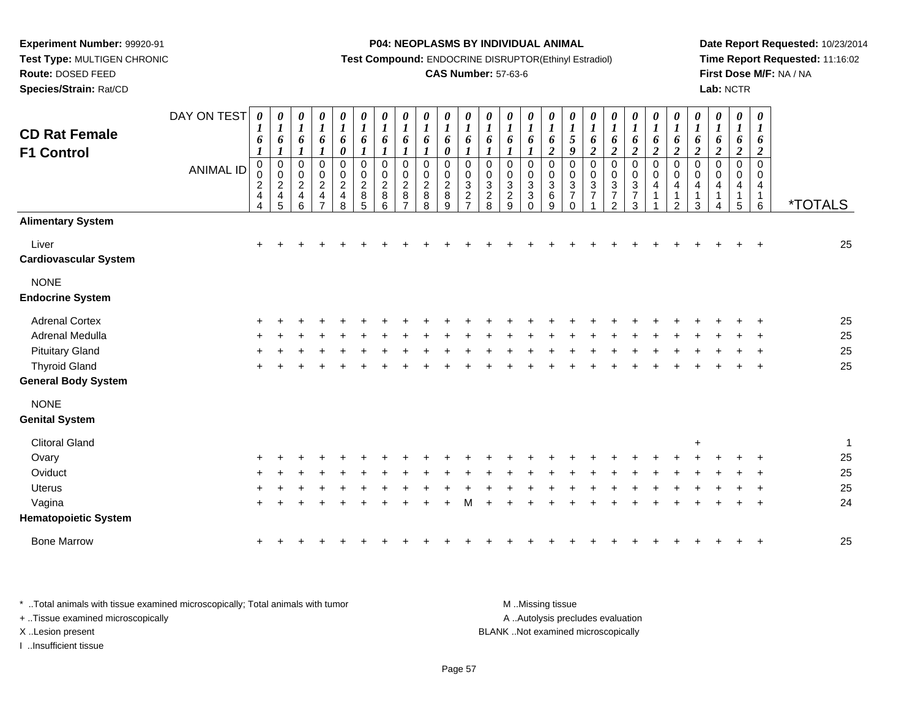**Test Type:** MULTIGEN CHRONIC**Route:** DOSED FEED

**Species/Strain:** Rat/CD

#### **P04: NEOPLASMS BY INDIVIDUAL ANIMAL**

**Test Compound:** ENDOCRINE DISRUPTOR(Ethinyl Estradiol)

### **CAS Number:** 57-63-6

**Date Report Requested:** 10/23/2014**Time Report Requested:** 11:16:02**First Dose M/F:** NA / NA**Lab:** NCTR

| <b>CD Rat Female</b>                   | DAY ON TEST      | 1<br>6                                 | $\boldsymbol{\theta}$<br>$\boldsymbol{l}$<br>6 | 0<br>$\boldsymbol{l}$<br>6                                                               | 0<br>$\boldsymbol{l}$<br>6                                                        | 0<br>$\boldsymbol{l}$<br>6                         | 0<br>$\boldsymbol{l}$<br>6                           | 0<br>$\boldsymbol{l}$<br>6                 | 0<br>$\boldsymbol{l}$<br>6                                          | 0<br>$\boldsymbol{l}$<br>6                           | 0<br>$\boldsymbol{l}$<br>6                         | 0<br>$\boldsymbol{l}$<br>6                                     | 0<br>$\boldsymbol{l}$<br>6                           | 0<br>$\boldsymbol{l}$<br>6                                     | 0<br>$\boldsymbol{l}$<br>6                                                           | 0<br>$\boldsymbol{l}$<br>6                  | 0<br>$\boldsymbol{l}$<br>$\sqrt{5}$                    | 0<br>$\boldsymbol{l}$<br>6                                              | 0<br>$\boldsymbol{l}$<br>6                                                              | 0<br>$\boldsymbol{l}$<br>6                                                   | 0<br>$\boldsymbol{l}$<br>6 | 0<br>$\boldsymbol{I}$<br>6                 | $\pmb{\theta}$<br>$\boldsymbol{l}$<br>6 | 0<br>$\boldsymbol{l}$<br>6         | 0<br>$\boldsymbol{l}$<br>6 | $\boldsymbol{\theta}$<br>$\boldsymbol{l}$<br>6                |                       |
|----------------------------------------|------------------|----------------------------------------|------------------------------------------------|------------------------------------------------------------------------------------------|-----------------------------------------------------------------------------------|----------------------------------------------------|------------------------------------------------------|--------------------------------------------|---------------------------------------------------------------------|------------------------------------------------------|----------------------------------------------------|----------------------------------------------------------------|------------------------------------------------------|----------------------------------------------------------------|--------------------------------------------------------------------------------------|---------------------------------------------|--------------------------------------------------------|-------------------------------------------------------------------------|-----------------------------------------------------------------------------------------|------------------------------------------------------------------------------|----------------------------|--------------------------------------------|-----------------------------------------|------------------------------------|----------------------------|---------------------------------------------------------------|-----------------------|
| <b>F1 Control</b>                      |                  | 1                                      | 1                                              | $\boldsymbol{l}$                                                                         | 1                                                                                 | 0                                                  | 1                                                    | $\boldsymbol{l}$                           | 1                                                                   | $\boldsymbol{l}$                                     | $\pmb{\theta}$                                     | $\boldsymbol{l}$                                               | 1                                                    | $\boldsymbol{l}$                                               | 1                                                                                    | $\boldsymbol{2}$                            | 9                                                      | $\boldsymbol{2}$                                                        | $\boldsymbol{2}$                                                                        | $\overline{2}$                                                               | $\overline{\mathbf{c}}$    | $\boldsymbol{2}$                           | $\overline{2}$                          | $\boldsymbol{2}$                   | $\boldsymbol{2}$           | $\boldsymbol{2}$                                              |                       |
|                                        | <b>ANIMAL ID</b> | $\mathbf 0$<br>0<br>$\frac{2}{4}$<br>4 | $\pmb{0}$<br>$\pmb{0}$<br>$\frac{2}{4}$<br>5   | $\mathsf 0$<br>$\pmb{0}$<br>$\overline{c}$<br>$\overline{\mathbf{4}}$<br>$6\phantom{1}6$ | $\pmb{0}$<br>$\pmb{0}$<br>$\sqrt{2}$<br>$\overline{\mathbf{4}}$<br>$\overline{7}$ | $\pmb{0}$<br>$\pmb{0}$<br>$\overline{2}$<br>4<br>8 | $\pmb{0}$<br>$\mathbf 0$<br>$\overline{c}$<br>8<br>5 | $\pmb{0}$<br>0<br>$\overline{c}$<br>8<br>6 | $\mathbf 0$<br>$\mathbf 0$<br>$\overline{c}$<br>8<br>$\overline{7}$ | $\pmb{0}$<br>$\mathbf 0$<br>$\overline{c}$<br>8<br>8 | $\mathbf 0$<br>0<br>$\overline{c}$<br>$\bf 8$<br>9 | $\mathsf 0$<br>0<br>$\ensuremath{\mathsf{3}}$<br>$\frac{2}{7}$ | 0<br>0<br>3<br>$\begin{array}{c} 2 \\ 8 \end{array}$ | $\mathbf 0$<br>0<br>$\ensuremath{\mathsf{3}}$<br>$\frac{2}{9}$ | $\pmb{0}$<br>$\mathbf 0$<br>$\mathbf{3}$<br>$\ensuremath{\mathsf{3}}$<br>$\mathbf 0$ | $\pmb{0}$<br>$\mathbf 0$<br>3<br>$\,6$<br>9 | $\mathbf 0$<br>$\mathbf 0$<br>3<br>$\overline{7}$<br>0 | $\pmb{0}$<br>$\mathbf 0$<br>$\ensuremath{\mathsf{3}}$<br>$\overline{7}$ | $\pmb{0}$<br>$\pmb{0}$<br>$\ensuremath{\mathsf{3}}$<br>$\overline{7}$<br>$\overline{2}$ | $\mathsf 0$<br>$\pmb{0}$<br>$\ensuremath{\mathsf{3}}$<br>$\overline{7}$<br>3 | 0<br>0<br>4                | $\pmb{0}$<br>0<br>4<br>1<br>$\overline{2}$ | $\pmb{0}$<br>0<br>4<br>1<br>3           | $\pmb{0}$<br>$\mathbf 0$<br>4<br>4 | 0<br>0<br>4<br>5           | $\mathbf 0$<br>$\Omega$<br>$\overline{4}$<br>$\mathbf 1$<br>6 | <i><b>*TOTALS</b></i> |
| <b>Alimentary System</b>               |                  |                                        |                                                |                                                                                          |                                                                                   |                                                    |                                                      |                                            |                                                                     |                                                      |                                                    |                                                                |                                                      |                                                                |                                                                                      |                                             |                                                        |                                                                         |                                                                                         |                                                                              |                            |                                            |                                         |                                    |                            |                                                               |                       |
| Liver<br><b>Cardiovascular System</b>  |                  | $\ddot{}$                              |                                                |                                                                                          |                                                                                   |                                                    |                                                      |                                            |                                                                     |                                                      |                                                    |                                                                |                                                      |                                                                |                                                                                      |                                             |                                                        |                                                                         |                                                                                         |                                                                              |                            |                                            |                                         |                                    |                            | $\mathbf +$                                                   | 25                    |
| <b>NONE</b><br><b>Endocrine System</b> |                  |                                        |                                                |                                                                                          |                                                                                   |                                                    |                                                      |                                            |                                                                     |                                                      |                                                    |                                                                |                                                      |                                                                |                                                                                      |                                             |                                                        |                                                                         |                                                                                         |                                                                              |                            |                                            |                                         |                                    |                            |                                                               |                       |
| <b>Adrenal Cortex</b>                  |                  |                                        |                                                |                                                                                          |                                                                                   |                                                    |                                                      |                                            |                                                                     |                                                      |                                                    |                                                                |                                                      |                                                                |                                                                                      |                                             |                                                        |                                                                         |                                                                                         |                                                                              |                            |                                            |                                         |                                    |                            |                                                               | 25                    |
| Adrenal Medulla                        |                  |                                        |                                                |                                                                                          |                                                                                   |                                                    |                                                      |                                            |                                                                     |                                                      |                                                    |                                                                |                                                      |                                                                |                                                                                      |                                             |                                                        |                                                                         |                                                                                         |                                                                              |                            |                                            |                                         |                                    |                            |                                                               | 25                    |
| <b>Pituitary Gland</b>                 |                  |                                        |                                                |                                                                                          |                                                                                   |                                                    |                                                      |                                            |                                                                     |                                                      |                                                    |                                                                |                                                      |                                                                |                                                                                      |                                             |                                                        |                                                                         |                                                                                         |                                                                              |                            |                                            |                                         |                                    |                            |                                                               | 25                    |
| <b>Thyroid Gland</b>                   |                  |                                        |                                                |                                                                                          |                                                                                   |                                                    |                                                      |                                            |                                                                     |                                                      |                                                    |                                                                |                                                      |                                                                |                                                                                      |                                             |                                                        |                                                                         |                                                                                         |                                                                              |                            |                                            |                                         |                                    |                            | $\overline{ }$                                                | 25                    |
| <b>General Body System</b>             |                  |                                        |                                                |                                                                                          |                                                                                   |                                                    |                                                      |                                            |                                                                     |                                                      |                                                    |                                                                |                                                      |                                                                |                                                                                      |                                             |                                                        |                                                                         |                                                                                         |                                                                              |                            |                                            |                                         |                                    |                            |                                                               |                       |
| <b>NONE</b>                            |                  |                                        |                                                |                                                                                          |                                                                                   |                                                    |                                                      |                                            |                                                                     |                                                      |                                                    |                                                                |                                                      |                                                                |                                                                                      |                                             |                                                        |                                                                         |                                                                                         |                                                                              |                            |                                            |                                         |                                    |                            |                                                               |                       |
| <b>Genital System</b>                  |                  |                                        |                                                |                                                                                          |                                                                                   |                                                    |                                                      |                                            |                                                                     |                                                      |                                                    |                                                                |                                                      |                                                                |                                                                                      |                                             |                                                        |                                                                         |                                                                                         |                                                                              |                            |                                            |                                         |                                    |                            |                                                               |                       |
| <b>Clitoral Gland</b>                  |                  |                                        |                                                |                                                                                          |                                                                                   |                                                    |                                                      |                                            |                                                                     |                                                      |                                                    |                                                                |                                                      |                                                                |                                                                                      |                                             |                                                        |                                                                         |                                                                                         |                                                                              |                            |                                            | $\ddot{}$                               |                                    |                            |                                                               | 1                     |
| Ovary                                  |                  |                                        |                                                |                                                                                          |                                                                                   |                                                    |                                                      |                                            |                                                                     |                                                      |                                                    |                                                                |                                                      |                                                                |                                                                                      |                                             |                                                        |                                                                         |                                                                                         |                                                                              |                            |                                            |                                         |                                    |                            |                                                               | 25                    |
| Oviduct                                |                  |                                        |                                                |                                                                                          |                                                                                   |                                                    |                                                      |                                            |                                                                     |                                                      |                                                    |                                                                |                                                      |                                                                |                                                                                      |                                             |                                                        |                                                                         |                                                                                         |                                                                              |                            |                                            |                                         |                                    |                            |                                                               | 25                    |
| <b>Uterus</b>                          |                  |                                        |                                                |                                                                                          |                                                                                   |                                                    |                                                      |                                            |                                                                     |                                                      |                                                    |                                                                |                                                      |                                                                |                                                                                      |                                             |                                                        |                                                                         |                                                                                         |                                                                              |                            |                                            |                                         |                                    |                            |                                                               | 25                    |
| Vagina                                 |                  |                                        |                                                |                                                                                          |                                                                                   |                                                    |                                                      |                                            |                                                                     |                                                      |                                                    |                                                                |                                                      |                                                                |                                                                                      |                                             |                                                        |                                                                         |                                                                                         |                                                                              |                            |                                            |                                         |                                    |                            | $\overline{\phantom{a}}$                                      | 24                    |
| <b>Hematopoietic System</b>            |                  |                                        |                                                |                                                                                          |                                                                                   |                                                    |                                                      |                                            |                                                                     |                                                      |                                                    |                                                                |                                                      |                                                                |                                                                                      |                                             |                                                        |                                                                         |                                                                                         |                                                                              |                            |                                            |                                         |                                    |                            |                                                               |                       |
| <b>Bone Marrow</b>                     |                  |                                        |                                                |                                                                                          |                                                                                   |                                                    |                                                      |                                            |                                                                     |                                                      |                                                    |                                                                |                                                      |                                                                |                                                                                      |                                             |                                                        |                                                                         |                                                                                         |                                                                              |                            |                                            |                                         |                                    |                            | $\ddot{}$                                                     | 25                    |
|                                        |                  |                                        |                                                |                                                                                          |                                                                                   |                                                    |                                                      |                                            |                                                                     |                                                      |                                                    |                                                                |                                                      |                                                                |                                                                                      |                                             |                                                        |                                                                         |                                                                                         |                                                                              |                            |                                            |                                         |                                    |                            |                                                               |                       |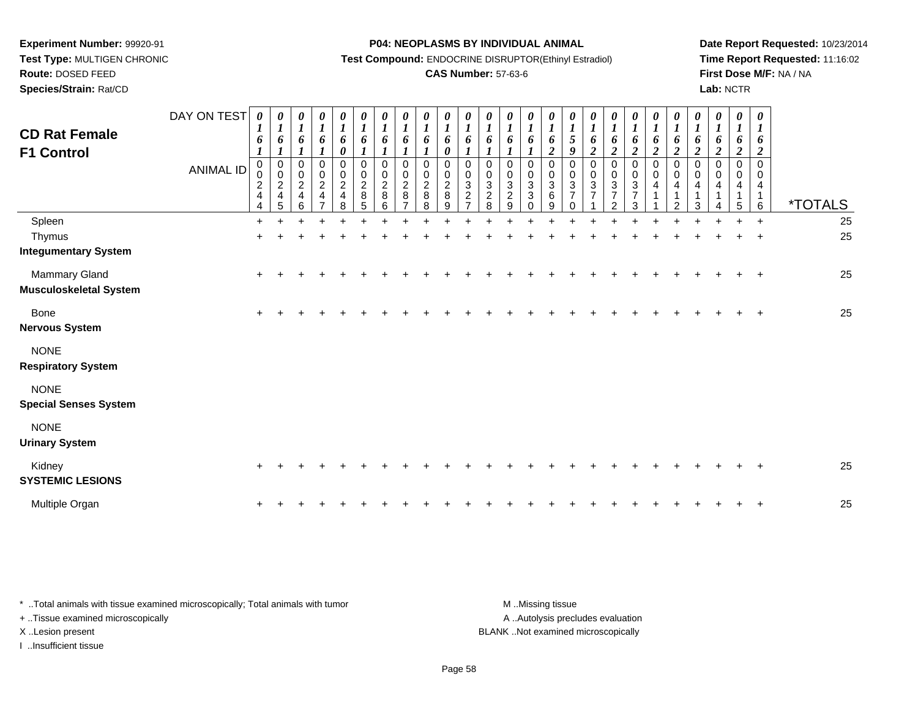**Test Type:** MULTIGEN CHRONIC**Route:** DOSED FEED

**Species/Strain:** Rat/CD

#### **P04: NEOPLASMS BY INDIVIDUAL ANIMAL**

**Test Compound:** ENDOCRINE DISRUPTOR(Ethinyl Estradiol)

### **CAS Number:** 57-63-6

**Date Report Requested:** 10/23/2014**Time Report Requested:** 11:16:02**First Dose M/F:** NA / NA**Lab:** NCTR

| <b>CD Rat Female</b><br><b>F1 Control</b>      | DAY ON TEST<br><b>ANIMAL ID</b> | 0<br>$\boldsymbol{l}$<br>6<br>$\boldsymbol{l}$<br>0<br>0<br>$\frac{2}{4}$<br>$\overline{4}$ | $\boldsymbol{\theta}$<br>$\boldsymbol{l}$<br>6<br>$\boldsymbol{l}$<br>$\pmb{0}$<br>$\begin{array}{c} 0 \\ 2 \\ 4 \end{array}$<br>5 | $\pmb{\theta}$<br>$\boldsymbol{l}$<br>6<br>$\pmb{0}$<br>$\frac{0}{2}$<br>$6\phantom{a}$ | 0<br>$\boldsymbol{l}$<br>$\boldsymbol{6}$<br>1<br>0<br>$\frac{0}{2}$<br>$\frac{4}{7}$ | 0<br>$\boldsymbol{l}$<br>6<br>0<br>0<br>$\begin{array}{c} 0 \\ 2 \\ 4 \end{array}$<br>8 | $\pmb{\theta}$<br>$\boldsymbol{l}$<br>6<br>$\mathbf{I}$<br>$\pmb{0}$<br>$\pmb{0}$<br>$\overline{2}$<br>8<br>5 | 0<br>$\boldsymbol{l}$<br>6<br>0<br>0<br>$\overline{c}$<br>8<br>6 | 0<br>$\boldsymbol{l}$<br>6<br>$\mathbf 0$<br>0<br>$\overline{2}$<br>$\,8\,$<br>$\overline{7}$ | $\boldsymbol{\theta}$<br>$\boldsymbol{l}$<br>6<br>1<br>$\pmb{0}$<br>0<br>$\overline{2}$<br>8<br>8 | 0<br>$\boldsymbol{l}$<br>6<br>$\boldsymbol{\theta}$<br>$\pmb{0}$<br>$\,0\,$<br>$\overline{2}$<br>8<br>9 | $\boldsymbol{\theta}$<br>$\boldsymbol{l}$<br>6<br>0<br>0<br>$\overline{3}$<br>$\frac{2}{7}$ | 0<br>$\boldsymbol{l}$<br>6<br>$\pmb{0}$<br>$\,0\,$<br>$\mathbf{3}$<br>$^{\mathsf{2}}_{\mathsf{8}}$ | 0<br>$\boldsymbol{l}$<br>6<br>0<br>0<br>$\overline{3}$<br>$\frac{2}{9}$ | 0<br>$\boldsymbol{l}$<br>6<br>0<br>0<br>3<br>3<br>$\Omega$ | $\pmb{\theta}$<br>$\boldsymbol{l}$<br>6<br>$\boldsymbol{2}$<br>$\mathbf 0$<br>0<br>3<br>6<br>9 | $\boldsymbol{\theta}$<br>$\boldsymbol{l}$<br>$\mathfrak{s}$<br>9<br>0<br>0<br>$\mathbf{3}$<br>$\overline{7}$<br>$\Omega$ | 0<br>$\boldsymbol{l}$<br>6<br>$\overline{c}$<br>0<br>0<br>$\overline{3}$<br>$\overline{7}$ | 0<br>$\boldsymbol{l}$<br>6<br>$\overline{c}$<br>0<br>$\pmb{0}$<br>$\sqrt{3}$<br>$\overline{7}$<br>2 | $\pmb{\theta}$<br>$\boldsymbol{l}$<br>6<br>$\boldsymbol{2}$<br>$\,0\,$<br>$\pmb{0}$<br>$\mathbf 3$<br>$\overline{7}$<br>3 | $\boldsymbol{\theta}$<br>$\boldsymbol{l}$<br>6<br>$\overline{c}$<br>$\mathbf 0$<br>0<br>4 | 0<br>$\boldsymbol{l}$<br>6<br>$\overline{c}$<br>0<br>0<br>4<br>$\overline{2}$ | 0<br>$\boldsymbol{l}$<br>6<br>$\boldsymbol{2}$<br>$\Omega$<br>4<br>3 | $\boldsymbol{\theta}$<br>$\boldsymbol{l}$<br>6<br>$\boldsymbol{2}$<br>$\Omega$<br>4 | 0<br>$\boldsymbol{l}$<br>6<br>$\overline{c}$<br>0<br>$\Omega$<br>4<br>5 | 0<br>1<br>6<br>$\overline{\mathbf{c}}$<br>$\Omega$<br>0<br>4<br>6 | <i><b>*TOTALS</b></i> |
|------------------------------------------------|---------------------------------|---------------------------------------------------------------------------------------------|------------------------------------------------------------------------------------------------------------------------------------|-----------------------------------------------------------------------------------------|---------------------------------------------------------------------------------------|-----------------------------------------------------------------------------------------|---------------------------------------------------------------------------------------------------------------|------------------------------------------------------------------|-----------------------------------------------------------------------------------------------|---------------------------------------------------------------------------------------------------|---------------------------------------------------------------------------------------------------------|---------------------------------------------------------------------------------------------|----------------------------------------------------------------------------------------------------|-------------------------------------------------------------------------|------------------------------------------------------------|------------------------------------------------------------------------------------------------|--------------------------------------------------------------------------------------------------------------------------|--------------------------------------------------------------------------------------------|-----------------------------------------------------------------------------------------------------|---------------------------------------------------------------------------------------------------------------------------|-------------------------------------------------------------------------------------------|-------------------------------------------------------------------------------|----------------------------------------------------------------------|-------------------------------------------------------------------------------------|-------------------------------------------------------------------------|-------------------------------------------------------------------|-----------------------|
| Spleen                                         |                                 | $+$                                                                                         |                                                                                                                                    |                                                                                         |                                                                                       |                                                                                         |                                                                                                               |                                                                  |                                                                                               |                                                                                                   |                                                                                                         |                                                                                             |                                                                                                    |                                                                         |                                                            |                                                                                                |                                                                                                                          |                                                                                            |                                                                                                     |                                                                                                                           |                                                                                           |                                                                               |                                                                      |                                                                                     |                                                                         | $+$                                                               | 25                    |
| Thymus<br><b>Integumentary System</b>          |                                 | $\pm$                                                                                       |                                                                                                                                    |                                                                                         |                                                                                       |                                                                                         |                                                                                                               |                                                                  |                                                                                               |                                                                                                   |                                                                                                         |                                                                                             |                                                                                                    |                                                                         |                                                            |                                                                                                |                                                                                                                          |                                                                                            |                                                                                                     |                                                                                                                           |                                                                                           |                                                                               |                                                                      |                                                                                     |                                                                         |                                                                   | 25                    |
| Mammary Gland<br><b>Musculoskeletal System</b> |                                 | $\pm$                                                                                       |                                                                                                                                    |                                                                                         |                                                                                       |                                                                                         |                                                                                                               |                                                                  |                                                                                               |                                                                                                   |                                                                                                         |                                                                                             |                                                                                                    |                                                                         |                                                            |                                                                                                |                                                                                                                          |                                                                                            |                                                                                                     |                                                                                                                           |                                                                                           |                                                                               |                                                                      |                                                                                     |                                                                         | $\overline{+}$                                                    | 25                    |
| <b>Bone</b><br><b>Nervous System</b>           |                                 | $\pm$                                                                                       |                                                                                                                                    |                                                                                         |                                                                                       |                                                                                         |                                                                                                               |                                                                  |                                                                                               |                                                                                                   |                                                                                                         |                                                                                             |                                                                                                    |                                                                         |                                                            |                                                                                                |                                                                                                                          |                                                                                            |                                                                                                     |                                                                                                                           |                                                                                           |                                                                               |                                                                      |                                                                                     |                                                                         | $\pm$                                                             | 25                    |
| <b>NONE</b><br><b>Respiratory System</b>       |                                 |                                                                                             |                                                                                                                                    |                                                                                         |                                                                                       |                                                                                         |                                                                                                               |                                                                  |                                                                                               |                                                                                                   |                                                                                                         |                                                                                             |                                                                                                    |                                                                         |                                                            |                                                                                                |                                                                                                                          |                                                                                            |                                                                                                     |                                                                                                                           |                                                                                           |                                                                               |                                                                      |                                                                                     |                                                                         |                                                                   |                       |
| <b>NONE</b><br><b>Special Senses System</b>    |                                 |                                                                                             |                                                                                                                                    |                                                                                         |                                                                                       |                                                                                         |                                                                                                               |                                                                  |                                                                                               |                                                                                                   |                                                                                                         |                                                                                             |                                                                                                    |                                                                         |                                                            |                                                                                                |                                                                                                                          |                                                                                            |                                                                                                     |                                                                                                                           |                                                                                           |                                                                               |                                                                      |                                                                                     |                                                                         |                                                                   |                       |
| <b>NONE</b><br><b>Urinary System</b>           |                                 |                                                                                             |                                                                                                                                    |                                                                                         |                                                                                       |                                                                                         |                                                                                                               |                                                                  |                                                                                               |                                                                                                   |                                                                                                         |                                                                                             |                                                                                                    |                                                                         |                                                            |                                                                                                |                                                                                                                          |                                                                                            |                                                                                                     |                                                                                                                           |                                                                                           |                                                                               |                                                                      |                                                                                     |                                                                         |                                                                   |                       |
| Kidney<br><b>SYSTEMIC LESIONS</b>              |                                 | $\ddot{}$                                                                                   |                                                                                                                                    |                                                                                         |                                                                                       |                                                                                         |                                                                                                               |                                                                  |                                                                                               |                                                                                                   |                                                                                                         |                                                                                             |                                                                                                    |                                                                         |                                                            |                                                                                                |                                                                                                                          |                                                                                            |                                                                                                     |                                                                                                                           |                                                                                           |                                                                               |                                                                      |                                                                                     |                                                                         |                                                                   | 25                    |
| Multiple Organ                                 |                                 | $\ddot{}$                                                                                   |                                                                                                                                    |                                                                                         |                                                                                       |                                                                                         |                                                                                                               |                                                                  |                                                                                               |                                                                                                   |                                                                                                         |                                                                                             |                                                                                                    |                                                                         |                                                            |                                                                                                |                                                                                                                          |                                                                                            |                                                                                                     |                                                                                                                           |                                                                                           |                                                                               |                                                                      |                                                                                     |                                                                         | $+$                                                               | 25                    |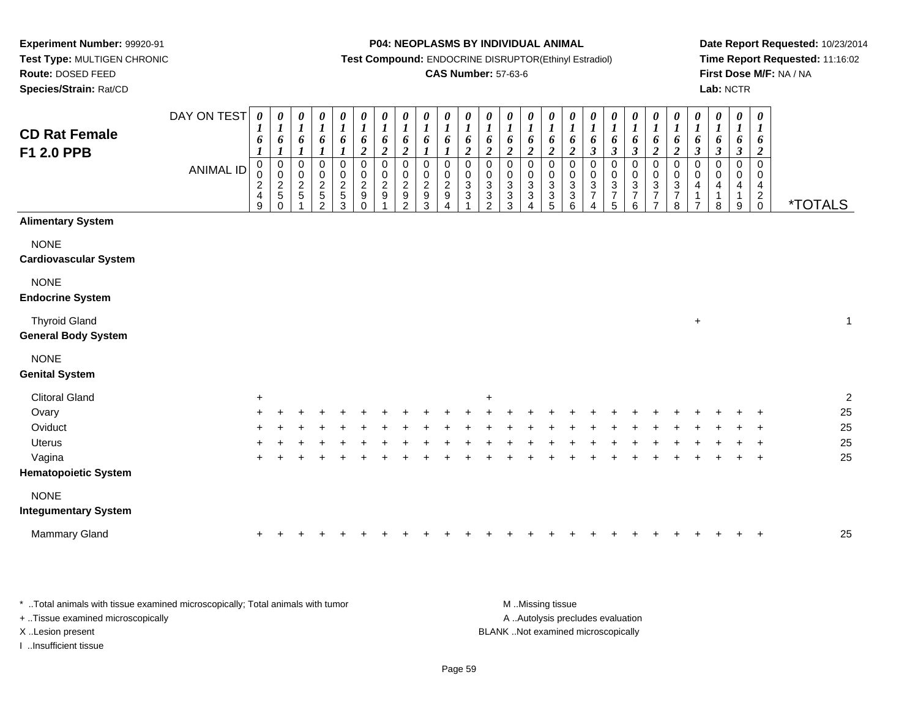**Route:** DOSED FEED

**Species/Strain:** Rat/CD

#### **P04: NEOPLASMS BY INDIVIDUAL ANIMAL**

**Test Compound:** ENDOCRINE DISRUPTOR(Ethinyl Estradiol)

### **CAS Number:** 57-63-6

**Date Report Requested:** 10/23/2014**Time Report Requested:** 11:16:02**First Dose M/F:** NA / NA**Lab:** NCTR

| <b>CD Rat Female</b><br>F1 2.0 PPB                 | DAY ON TEST<br><b>ANIMAL ID</b> | 0<br>6<br>$\pmb{0}$<br>$\pmb{0}$<br>$\sqrt{2}$<br>$\overline{4}$<br>9 | 0<br>$\boldsymbol{l}$<br>6<br>$\boldsymbol{l}$<br>$\pmb{0}$<br>$\mathbf 0$<br>$\sqrt{2}$<br>5<br>$\mathbf 0$ | 0<br>$\boldsymbol{l}$<br>6<br>$\boldsymbol{l}$<br>$\pmb{0}$<br>0<br>$\frac{2}{5}$ | 0<br>$\boldsymbol{l}$<br>6<br>$\boldsymbol{l}$<br>$\mathbf 0$<br>$\mathbf 0$<br>$\frac{2}{5}$<br>2 | 0<br>$\boldsymbol{l}$<br>6<br>$\boldsymbol{l}$<br>$\mathsf 0$<br>$\pmb{0}$<br>$\frac{2}{5}$<br>3 | $\pmb{\theta}$<br>$\boldsymbol{l}$<br>6<br>$\overline{2}$<br>$\pmb{0}$<br>$\boldsymbol{0}$<br>$\frac{2}{9}$<br>$\mathbf 0$ | 0<br>$\boldsymbol{l}$<br>6<br>$\boldsymbol{2}$<br>$\mathbf 0$<br>$\boldsymbol{0}$<br>$\sqrt{2}$<br>$9\,$ | 0<br>$\boldsymbol{l}$<br>6<br>$\boldsymbol{2}$<br>$\mathbf 0$<br>$\pmb{0}$<br>$\overline{2}$<br>$\boldsymbol{9}$<br>2 | $\boldsymbol{\theta}$<br>$\boldsymbol{l}$<br>6<br>1<br>$\mathbf 0$<br>0<br>$\boldsymbol{2}$<br>$\boldsymbol{9}$<br>3 | 0<br>$\boldsymbol{l}$<br>6<br>$\boldsymbol{l}$<br>$\mathbf 0$<br>$\pmb{0}$<br>$\sqrt{2}$<br>$\boldsymbol{9}$<br>$\overline{\mathbf{4}}$ | 0<br>$\boldsymbol{l}$<br>6<br>$\boldsymbol{2}$<br>$\mathbf 0$<br>$\mathbf 0$<br>$\sqrt{3}$<br>$\mathbf{3}$ | 0<br>$\boldsymbol{l}$<br>6<br>$\overline{2}$<br>$\mathsf 0$<br>$\pmb{0}$<br>$\mathbf{3}$<br>$\mathbf{3}$<br>2 | $\boldsymbol{\theta}$<br>$\boldsymbol{l}$<br>6<br>$\overline{2}$<br>$\mathbf 0$<br>$\mathbf 0$<br>$\ensuremath{\mathsf{3}}$<br>$\sqrt{3}$<br>3 | 0<br>$\boldsymbol{l}$<br>6<br>$\overline{2}$<br>$\pmb{0}$<br>$\mathbf 0$<br>$\sqrt{3}$<br>$\mathbf{3}$<br>4 | 0<br>$\boldsymbol{l}$<br>6<br>$\boldsymbol{2}$<br>$\pmb{0}$<br>$\pmb{0}$<br>$\ensuremath{\mathsf{3}}$<br>$\ensuremath{\mathsf{3}}$<br>5 | 0<br>$\boldsymbol{l}$<br>$\boldsymbol{\theta}$<br>$\boldsymbol{2}$<br>$\pmb{0}$<br>$\mathbf 0$<br>$\sqrt{3}$<br>$\mathbf{3}$<br>6 | 0<br>$\boldsymbol{l}$<br>6<br>$\mathfrak{z}$<br>$\mathbf 0$<br>$\mathsf 0$<br>$\ensuremath{\mathsf{3}}$<br>$\overline{7}$<br>$\overline{4}$ | 0<br>$\boldsymbol{l}$<br>6<br>$\mathfrak{z}$<br>$\pmb{0}$<br>$\pmb{0}$<br>$\ensuremath{\mathsf{3}}$<br>$\overline{7}$<br>5 | 0<br>$\boldsymbol{l}$<br>6<br>$\mathfrak{z}$<br>$\pmb{0}$<br>$\pmb{0}$<br>$\sqrt{3}$<br>$\overline{7}$<br>6 | 0<br>$\boldsymbol{l}$<br>6<br>$\overline{2}$<br>$\pmb{0}$<br>$\pmb{0}$<br>$\ensuremath{\mathsf{3}}$<br>$\overline{7}$<br>$\overline{7}$ | $\boldsymbol{\theta}$<br>$\boldsymbol{l}$<br>$\pmb{6}$<br>$\boldsymbol{2}$<br>$\mathbf 0$<br>$\pmb{0}$<br>$\sqrt{3}$<br>$\overline{7}$<br>8 | 0<br>$\boldsymbol{l}$<br>6<br>$\mathfrak{z}$<br>0<br>0<br>4<br>1<br>$\overline{7}$ | 0<br>$\boldsymbol{l}$<br>6<br>$\mathbf{3}$<br>$\mathbf 0$<br>$\mathbf 0$<br>4<br>-1<br>8 | 0<br>$\boldsymbol{l}$<br>6<br>$\boldsymbol{\beta}$<br>$\mathbf 0$<br>0<br>4<br>1<br>9 | $\pmb{\theta}$<br>$\boldsymbol{l}$<br>6<br>$\overline{c}$<br>$\mathbf 0$<br>0<br>$\overline{\mathbf{4}}$<br>$\overline{\mathbf{c}}$<br>$\mathbf 0$ | <i><b>*TOTALS</b></i> |                  |
|----------------------------------------------------|---------------------------------|-----------------------------------------------------------------------|--------------------------------------------------------------------------------------------------------------|-----------------------------------------------------------------------------------|----------------------------------------------------------------------------------------------------|--------------------------------------------------------------------------------------------------|----------------------------------------------------------------------------------------------------------------------------|----------------------------------------------------------------------------------------------------------|-----------------------------------------------------------------------------------------------------------------------|----------------------------------------------------------------------------------------------------------------------|-----------------------------------------------------------------------------------------------------------------------------------------|------------------------------------------------------------------------------------------------------------|---------------------------------------------------------------------------------------------------------------|------------------------------------------------------------------------------------------------------------------------------------------------|-------------------------------------------------------------------------------------------------------------|-----------------------------------------------------------------------------------------------------------------------------------------|-----------------------------------------------------------------------------------------------------------------------------------|---------------------------------------------------------------------------------------------------------------------------------------------|----------------------------------------------------------------------------------------------------------------------------|-------------------------------------------------------------------------------------------------------------|-----------------------------------------------------------------------------------------------------------------------------------------|---------------------------------------------------------------------------------------------------------------------------------------------|------------------------------------------------------------------------------------|------------------------------------------------------------------------------------------|---------------------------------------------------------------------------------------|----------------------------------------------------------------------------------------------------------------------------------------------------|-----------------------|------------------|
| <b>Alimentary System</b>                           |                                 |                                                                       |                                                                                                              |                                                                                   |                                                                                                    |                                                                                                  |                                                                                                                            |                                                                                                          |                                                                                                                       |                                                                                                                      |                                                                                                                                         |                                                                                                            |                                                                                                               |                                                                                                                                                |                                                                                                             |                                                                                                                                         |                                                                                                                                   |                                                                                                                                             |                                                                                                                            |                                                                                                             |                                                                                                                                         |                                                                                                                                             |                                                                                    |                                                                                          |                                                                                       |                                                                                                                                                    |                       |                  |
| <b>NONE</b><br><b>Cardiovascular System</b>        |                                 |                                                                       |                                                                                                              |                                                                                   |                                                                                                    |                                                                                                  |                                                                                                                            |                                                                                                          |                                                                                                                       |                                                                                                                      |                                                                                                                                         |                                                                                                            |                                                                                                               |                                                                                                                                                |                                                                                                             |                                                                                                                                         |                                                                                                                                   |                                                                                                                                             |                                                                                                                            |                                                                                                             |                                                                                                                                         |                                                                                                                                             |                                                                                    |                                                                                          |                                                                                       |                                                                                                                                                    |                       |                  |
| <b>NONE</b><br><b>Endocrine System</b>             |                                 |                                                                       |                                                                                                              |                                                                                   |                                                                                                    |                                                                                                  |                                                                                                                            |                                                                                                          |                                                                                                                       |                                                                                                                      |                                                                                                                                         |                                                                                                            |                                                                                                               |                                                                                                                                                |                                                                                                             |                                                                                                                                         |                                                                                                                                   |                                                                                                                                             |                                                                                                                            |                                                                                                             |                                                                                                                                         |                                                                                                                                             |                                                                                    |                                                                                          |                                                                                       |                                                                                                                                                    |                       |                  |
| <b>Thyroid Gland</b><br><b>General Body System</b> |                                 |                                                                       |                                                                                                              |                                                                                   |                                                                                                    |                                                                                                  |                                                                                                                            |                                                                                                          |                                                                                                                       |                                                                                                                      |                                                                                                                                         |                                                                                                            |                                                                                                               |                                                                                                                                                |                                                                                                             |                                                                                                                                         |                                                                                                                                   |                                                                                                                                             |                                                                                                                            |                                                                                                             |                                                                                                                                         |                                                                                                                                             | $\ddot{}$                                                                          |                                                                                          |                                                                                       |                                                                                                                                                    |                       | $\mathbf{1}$     |
| <b>NONE</b><br><b>Genital System</b>               |                                 |                                                                       |                                                                                                              |                                                                                   |                                                                                                    |                                                                                                  |                                                                                                                            |                                                                                                          |                                                                                                                       |                                                                                                                      |                                                                                                                                         |                                                                                                            |                                                                                                               |                                                                                                                                                |                                                                                                             |                                                                                                                                         |                                                                                                                                   |                                                                                                                                             |                                                                                                                            |                                                                                                             |                                                                                                                                         |                                                                                                                                             |                                                                                    |                                                                                          |                                                                                       |                                                                                                                                                    |                       |                  |
| <b>Clitoral Gland</b>                              |                                 | $\ddot{}$                                                             |                                                                                                              |                                                                                   |                                                                                                    |                                                                                                  |                                                                                                                            |                                                                                                          |                                                                                                                       |                                                                                                                      |                                                                                                                                         |                                                                                                            | +                                                                                                             |                                                                                                                                                |                                                                                                             |                                                                                                                                         |                                                                                                                                   |                                                                                                                                             |                                                                                                                            |                                                                                                             |                                                                                                                                         |                                                                                                                                             |                                                                                    |                                                                                          |                                                                                       |                                                                                                                                                    |                       | $\boldsymbol{2}$ |
| Ovary                                              |                                 |                                                                       |                                                                                                              |                                                                                   |                                                                                                    |                                                                                                  |                                                                                                                            |                                                                                                          |                                                                                                                       |                                                                                                                      |                                                                                                                                         |                                                                                                            |                                                                                                               |                                                                                                                                                |                                                                                                             |                                                                                                                                         |                                                                                                                                   |                                                                                                                                             |                                                                                                                            |                                                                                                             |                                                                                                                                         |                                                                                                                                             |                                                                                    |                                                                                          |                                                                                       |                                                                                                                                                    |                       | 25               |
| Oviduct                                            |                                 |                                                                       |                                                                                                              |                                                                                   |                                                                                                    |                                                                                                  |                                                                                                                            |                                                                                                          |                                                                                                                       |                                                                                                                      |                                                                                                                                         |                                                                                                            |                                                                                                               |                                                                                                                                                |                                                                                                             |                                                                                                                                         |                                                                                                                                   |                                                                                                                                             |                                                                                                                            |                                                                                                             |                                                                                                                                         |                                                                                                                                             |                                                                                    |                                                                                          |                                                                                       |                                                                                                                                                    |                       | 25               |
| <b>Uterus</b>                                      |                                 |                                                                       |                                                                                                              |                                                                                   |                                                                                                    |                                                                                                  |                                                                                                                            |                                                                                                          |                                                                                                                       |                                                                                                                      |                                                                                                                                         |                                                                                                            |                                                                                                               |                                                                                                                                                |                                                                                                             |                                                                                                                                         |                                                                                                                                   |                                                                                                                                             |                                                                                                                            |                                                                                                             |                                                                                                                                         |                                                                                                                                             |                                                                                    |                                                                                          |                                                                                       |                                                                                                                                                    |                       | 25               |
| Vagina                                             |                                 |                                                                       |                                                                                                              |                                                                                   |                                                                                                    |                                                                                                  |                                                                                                                            |                                                                                                          |                                                                                                                       |                                                                                                                      |                                                                                                                                         |                                                                                                            |                                                                                                               |                                                                                                                                                |                                                                                                             |                                                                                                                                         |                                                                                                                                   |                                                                                                                                             |                                                                                                                            |                                                                                                             |                                                                                                                                         |                                                                                                                                             |                                                                                    |                                                                                          |                                                                                       | $\overline{1}$                                                                                                                                     |                       | 25               |
| <b>Hematopoietic System</b>                        |                                 |                                                                       |                                                                                                              |                                                                                   |                                                                                                    |                                                                                                  |                                                                                                                            |                                                                                                          |                                                                                                                       |                                                                                                                      |                                                                                                                                         |                                                                                                            |                                                                                                               |                                                                                                                                                |                                                                                                             |                                                                                                                                         |                                                                                                                                   |                                                                                                                                             |                                                                                                                            |                                                                                                             |                                                                                                                                         |                                                                                                                                             |                                                                                    |                                                                                          |                                                                                       |                                                                                                                                                    |                       |                  |
| <b>NONE</b>                                        |                                 |                                                                       |                                                                                                              |                                                                                   |                                                                                                    |                                                                                                  |                                                                                                                            |                                                                                                          |                                                                                                                       |                                                                                                                      |                                                                                                                                         |                                                                                                            |                                                                                                               |                                                                                                                                                |                                                                                                             |                                                                                                                                         |                                                                                                                                   |                                                                                                                                             |                                                                                                                            |                                                                                                             |                                                                                                                                         |                                                                                                                                             |                                                                                    |                                                                                          |                                                                                       |                                                                                                                                                    |                       |                  |
| <b>Integumentary System</b>                        |                                 |                                                                       |                                                                                                              |                                                                                   |                                                                                                    |                                                                                                  |                                                                                                                            |                                                                                                          |                                                                                                                       |                                                                                                                      |                                                                                                                                         |                                                                                                            |                                                                                                               |                                                                                                                                                |                                                                                                             |                                                                                                                                         |                                                                                                                                   |                                                                                                                                             |                                                                                                                            |                                                                                                             |                                                                                                                                         |                                                                                                                                             |                                                                                    |                                                                                          |                                                                                       |                                                                                                                                                    |                       |                  |
| Mammary Gland                                      |                                 |                                                                       |                                                                                                              |                                                                                   |                                                                                                    |                                                                                                  |                                                                                                                            |                                                                                                          |                                                                                                                       |                                                                                                                      |                                                                                                                                         |                                                                                                            |                                                                                                               |                                                                                                                                                |                                                                                                             |                                                                                                                                         |                                                                                                                                   |                                                                                                                                             |                                                                                                                            |                                                                                                             |                                                                                                                                         |                                                                                                                                             |                                                                                    |                                                                                          |                                                                                       |                                                                                                                                                    |                       | 25               |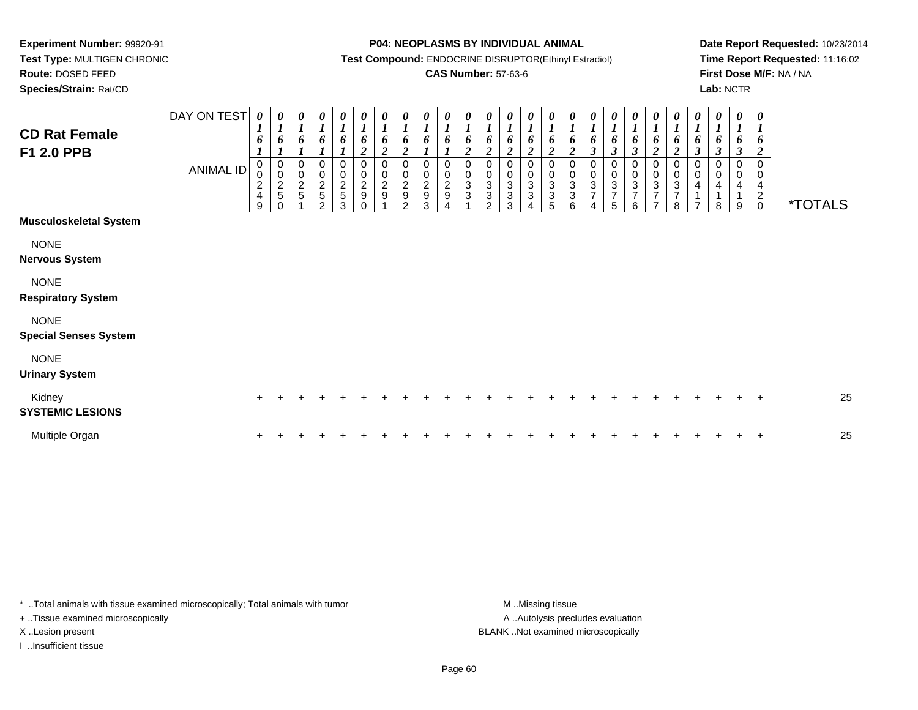**Route:** DOSED FEED

**Species/Strain:** Rat/CD

#### **P04: NEOPLASMS BY INDIVIDUAL ANIMAL**

**Test Compound:** ENDOCRINE DISRUPTOR(Ethinyl Estradiol)

## **CAS Number:** 57-63-6

**Date Report Requested:** 10/23/2014**Time Report Requested:** 11:16:02**First Dose M/F:** NA / NA**Lab:** NCTR

| <b>CD Rat Female</b><br>F1 2.0 PPB          | DAY ON TEST<br>ANIMAL ID | $\boldsymbol{\theta}$<br>$\boldsymbol{I}$<br>6<br>0<br>$\pmb{0}$<br>$\frac{2}{4}$<br>9 | 0<br>$\boldsymbol{l}$<br>6<br>$\pmb{0}$<br>$\mathsf 0$<br>$\frac{2}{5}$<br>$\Omega$ | $\pmb{\theta}$<br>$\boldsymbol{l}$<br>6<br>$\boldsymbol{l}$<br>0<br>$\pmb{0}$<br>$\frac{2}{5}$ | 0<br>$\boldsymbol{l}$<br>6<br>$\boldsymbol{l}$<br>0<br>$\pmb{0}$<br>$\frac{2}{5}$<br>$\overline{2}$ | $\pmb{\theta}$<br>$\boldsymbol{l}$<br>$\boldsymbol{6}$<br>$\pmb{0}$<br>$\frac{0}{2}$<br>$\mathbf{3}$ | $\frac{\boldsymbol{\theta}}{\boldsymbol{I}}$<br>6<br>$\overline{2}$<br>0<br>$\frac{0}{2}$<br>$\Omega$ | 0<br>$\boldsymbol{l}$<br>6<br>$\overline{\mathbf{c}}$<br>0<br>$\pmb{0}$<br>$\frac{2}{9}$ | 0<br>$\boldsymbol{l}$<br>6<br>$\boldsymbol{2}$<br>0<br>$\pmb{0}$<br>$\frac{2}{9}$<br>2 | 0<br>$\boldsymbol{l}$<br>6<br>0<br>$\mathbf 0$<br>$\sqrt{2}$<br>$\boldsymbol{9}$<br>3 | 0<br>$\boldsymbol{l}$<br>6<br>0<br>$\pmb{0}$<br>$\mathbf 2$<br>9 | 0<br>$\boldsymbol{l}$<br>$\boldsymbol{2}$<br>0<br>3<br>3 | 0<br>$\boldsymbol{l}$<br>6<br>$\overline{c}$<br>0<br>$\pmb{0}$<br>$\,$ 3 $\,$<br>$\sqrt{3}$<br>$\mathfrak{D}$ | 0<br>$\boldsymbol{l}$<br>6<br>$\overline{c}$<br>0<br>$\mathbf 0$<br>3<br>3<br>3 | 0<br>$\boldsymbol{l}$<br>6<br>$\overline{c}$<br>0<br>$\pmb{0}$<br>$\ensuremath{\mathsf{3}}$<br>$\ensuremath{\mathsf{3}}$<br>$\overline{4}$ | $\boldsymbol{\theta}$<br>$\boldsymbol{l}$<br>6<br>$\boldsymbol{2}$<br>0<br>$\pmb{0}$<br>$\sqrt{3}$<br>$\ensuremath{\mathsf{3}}$<br>5 | 0<br>$\boldsymbol{l}$<br>6<br>$\boldsymbol{2}$<br>0<br>$\pmb{0}$<br>3<br>3<br>6 | $\pmb{\theta}$<br>$\boldsymbol{l}$<br>6<br>$\mathfrak{z}$<br>0<br>$\pmb{0}$<br>$\sqrt{3}$<br>$\overline{7}$<br>4 | $\boldsymbol{l}$<br>6<br>$\boldsymbol{\beta}$<br>0<br>$\pmb{0}$<br>$\ensuremath{\mathsf{3}}$<br>$\overline{7}$<br>5 | 0<br>$\boldsymbol{l}$<br>6<br>$\boldsymbol{\beta}$<br>0<br>$\,0\,$<br>$\ensuremath{\mathsf{3}}$<br>$\overline{7}$<br>6 | 0<br>$\boldsymbol{l}$<br>6<br>$\overline{2}$<br>0<br>$\mathbf 0$<br>3<br>$\overline{7}$<br>$\overline{ }$ | 0<br>$\boldsymbol{l}$<br>6<br>$\boldsymbol{2}$<br>0<br>$\pmb{0}$<br>$\ensuremath{\mathsf{3}}$<br>$\overline{7}$<br>8 | $\pmb{\theta}$<br>$\boldsymbol{l}$<br>6<br>$\mathfrak{z}$<br>0<br>$\pmb{0}$<br>4<br>1<br>$\overline{7}$ | $\pmb{\theta}$<br>$\boldsymbol{l}$<br>6<br>$\boldsymbol{\beta}$<br>0<br>$\pmb{0}$<br>$\overline{\mathbf{4}}$<br>1<br>8 | $\boldsymbol{\theta}$<br>$\boldsymbol{l}$<br>6<br>$\boldsymbol{\beta}$<br>0<br>$\mathbf 0$<br>4<br>1<br>9 | 0<br>$\boldsymbol{l}$<br>6<br>$\boldsymbol{2}$<br>$\mathbf 0$<br>0<br>4<br>$\overline{c}$<br>$\mathsf{O}\xspace$ | <i><b>*TOTALS</b></i> |
|---------------------------------------------|--------------------------|----------------------------------------------------------------------------------------|-------------------------------------------------------------------------------------|------------------------------------------------------------------------------------------------|-----------------------------------------------------------------------------------------------------|------------------------------------------------------------------------------------------------------|-------------------------------------------------------------------------------------------------------|------------------------------------------------------------------------------------------|----------------------------------------------------------------------------------------|---------------------------------------------------------------------------------------|------------------------------------------------------------------|----------------------------------------------------------|---------------------------------------------------------------------------------------------------------------|---------------------------------------------------------------------------------|--------------------------------------------------------------------------------------------------------------------------------------------|--------------------------------------------------------------------------------------------------------------------------------------|---------------------------------------------------------------------------------|------------------------------------------------------------------------------------------------------------------|---------------------------------------------------------------------------------------------------------------------|------------------------------------------------------------------------------------------------------------------------|-----------------------------------------------------------------------------------------------------------|----------------------------------------------------------------------------------------------------------------------|---------------------------------------------------------------------------------------------------------|------------------------------------------------------------------------------------------------------------------------|-----------------------------------------------------------------------------------------------------------|------------------------------------------------------------------------------------------------------------------|-----------------------|
| <b>Musculoskeletal System</b>               |                          |                                                                                        |                                                                                     |                                                                                                |                                                                                                     |                                                                                                      |                                                                                                       |                                                                                          |                                                                                        |                                                                                       |                                                                  |                                                          |                                                                                                               |                                                                                 |                                                                                                                                            |                                                                                                                                      |                                                                                 |                                                                                                                  |                                                                                                                     |                                                                                                                        |                                                                                                           |                                                                                                                      |                                                                                                         |                                                                                                                        |                                                                                                           |                                                                                                                  |                       |
| <b>NONE</b><br><b>Nervous System</b>        |                          |                                                                                        |                                                                                     |                                                                                                |                                                                                                     |                                                                                                      |                                                                                                       |                                                                                          |                                                                                        |                                                                                       |                                                                  |                                                          |                                                                                                               |                                                                                 |                                                                                                                                            |                                                                                                                                      |                                                                                 |                                                                                                                  |                                                                                                                     |                                                                                                                        |                                                                                                           |                                                                                                                      |                                                                                                         |                                                                                                                        |                                                                                                           |                                                                                                                  |                       |
| <b>NONE</b><br><b>Respiratory System</b>    |                          |                                                                                        |                                                                                     |                                                                                                |                                                                                                     |                                                                                                      |                                                                                                       |                                                                                          |                                                                                        |                                                                                       |                                                                  |                                                          |                                                                                                               |                                                                                 |                                                                                                                                            |                                                                                                                                      |                                                                                 |                                                                                                                  |                                                                                                                     |                                                                                                                        |                                                                                                           |                                                                                                                      |                                                                                                         |                                                                                                                        |                                                                                                           |                                                                                                                  |                       |
| <b>NONE</b><br><b>Special Senses System</b> |                          |                                                                                        |                                                                                     |                                                                                                |                                                                                                     |                                                                                                      |                                                                                                       |                                                                                          |                                                                                        |                                                                                       |                                                                  |                                                          |                                                                                                               |                                                                                 |                                                                                                                                            |                                                                                                                                      |                                                                                 |                                                                                                                  |                                                                                                                     |                                                                                                                        |                                                                                                           |                                                                                                                      |                                                                                                         |                                                                                                                        |                                                                                                           |                                                                                                                  |                       |
| <b>NONE</b><br><b>Urinary System</b>        |                          |                                                                                        |                                                                                     |                                                                                                |                                                                                                     |                                                                                                      |                                                                                                       |                                                                                          |                                                                                        |                                                                                       |                                                                  |                                                          |                                                                                                               |                                                                                 |                                                                                                                                            |                                                                                                                                      |                                                                                 |                                                                                                                  |                                                                                                                     |                                                                                                                        |                                                                                                           |                                                                                                                      |                                                                                                         |                                                                                                                        |                                                                                                           |                                                                                                                  |                       |
| Kidney<br><b>SYSTEMIC LESIONS</b>           |                          |                                                                                        |                                                                                     |                                                                                                |                                                                                                     |                                                                                                      |                                                                                                       |                                                                                          |                                                                                        |                                                                                       |                                                                  |                                                          |                                                                                                               |                                                                                 |                                                                                                                                            |                                                                                                                                      |                                                                                 |                                                                                                                  |                                                                                                                     |                                                                                                                        |                                                                                                           |                                                                                                                      |                                                                                                         |                                                                                                                        |                                                                                                           | $\pm$                                                                                                            | 25                    |
| Multiple Organ                              |                          |                                                                                        |                                                                                     |                                                                                                |                                                                                                     |                                                                                                      |                                                                                                       |                                                                                          |                                                                                        |                                                                                       |                                                                  |                                                          |                                                                                                               |                                                                                 |                                                                                                                                            |                                                                                                                                      |                                                                                 |                                                                                                                  |                                                                                                                     |                                                                                                                        |                                                                                                           |                                                                                                                      |                                                                                                         |                                                                                                                        |                                                                                                           | $\div$                                                                                                           | 25                    |

\* ..Total animals with tissue examined microscopically; Total animals with tumor **M** . Missing tissue M ..Missing tissue

+ ..Tissue examined microscopically

I ..Insufficient tissue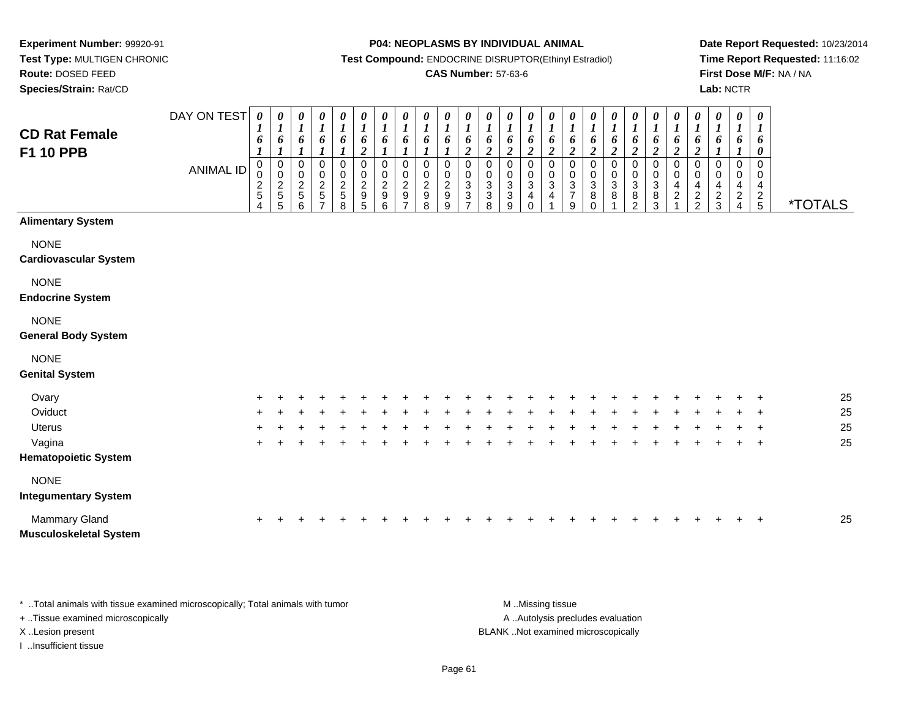**Test Type:** MULTIGEN CHRONIC**Route:** DOSED FEED

**Species/Strain:** Rat/CD

#### **P04: NEOPLASMS BY INDIVIDUAL ANIMAL**

**Test Compound:** ENDOCRINE DISRUPTOR(Ethinyl Estradiol)

### **CAS Number:** 57-63-6

**Date Report Requested:** 10/23/2014**Time Report Requested:** 11:16:02**First Dose M/F:** NA / NA**Lab:** NCTR

| <b>CD Rat Female</b><br><b>F1 10 PPB</b>       | DAY ON TEST<br><b>ANIMAL ID</b> | $\boldsymbol{\theta}$<br>$\boldsymbol{l}$<br>6<br>$\boldsymbol{l}$<br>0<br>0<br>$\frac{2}{5}$<br>4 | 0<br>$\boldsymbol{l}$<br>6<br>$\boldsymbol{l}$<br>$\pmb{0}$<br>$\pmb{0}$<br>$\frac{2}{5}$<br>5 | $\boldsymbol{\theta}$<br>$\boldsymbol{l}$<br>6<br>$\mathbf{I}$<br>0<br>$\pmb{0}$<br>$\boldsymbol{2}$<br>$\sqrt{5}$<br>6 | $\frac{\theta}{I}$<br>6<br>$\boldsymbol{l}$<br>$\pmb{0}$<br>$\mathsf{O}\xspace$<br>$\frac{2}{5}$<br>$\overline{7}$ | $\boldsymbol{\theta}$<br>$\boldsymbol{l}$<br>6<br>$\mathbf{I}$<br>$\pmb{0}$<br>$\pmb{0}$<br>$\frac{2}{5}$<br>8 | 0<br>$\boldsymbol{l}$<br>6<br>$\boldsymbol{2}$<br>$\pmb{0}$<br>$\mathbf 0$<br>$\boldsymbol{2}$<br>$\boldsymbol{9}$<br>5 | $\begin{matrix} 0 \\ 1 \end{matrix}$<br>6<br>$\mathbf{r}$<br>0<br>$\pmb{0}$<br>$\overline{c}$<br>$\boldsymbol{9}$<br>6 | $\boldsymbol{\theta}$<br>$\boldsymbol{l}$<br>6<br>$\mathbf{I}$<br>0<br>$\mathbf 0$<br>$\overline{c}$<br>9<br>$\overline{ }$ | 0<br>$\boldsymbol{l}$<br>6<br>1<br>$\mathbf 0$<br>0<br>$\frac{2}{9}$<br>8 | 0<br>$\boldsymbol{l}$<br>6<br>0<br>$\mathbf 0$<br>$\overline{2}$<br>$9\,$<br>9 | 0<br>$\boldsymbol{l}$<br>6<br>$\boldsymbol{2}$<br>0<br>$\mathsf{O}$<br>$\mathbf{3}$<br>3<br>$\overline{\phantom{a}}$ | 0<br>$\boldsymbol{l}$<br>6<br>$\boldsymbol{2}$<br>0<br>$\pmb{0}$<br>$\frac{3}{3}$<br>8 | 0<br>$\boldsymbol{l}$<br>6<br>$\boldsymbol{2}$<br>0<br>$\mathbf 0$<br>$\sqrt{3}$<br>$\mathbf{3}$<br>9 | $\begin{matrix} 0 \\ 1 \end{matrix}$<br>6<br>$\boldsymbol{2}$<br>$\mathbf 0$<br>$\pmb{0}$<br>$\sqrt{3}$<br>4<br>0 | $\boldsymbol{\theta}$<br>$\boldsymbol{l}$<br>6<br>$\boldsymbol{2}$<br>0<br>$\mathbf 0$<br>$\mathbf{3}$<br>4 | 0<br>$\boldsymbol{l}$<br>6<br>$\boldsymbol{2}$<br>0<br>$\mathbf 0$<br>$\frac{3}{7}$<br>9 | $\boldsymbol{\theta}$<br>$\boldsymbol{l}$<br>6<br>$\boldsymbol{2}$<br>$\pmb{0}$<br>$\mathbf 0$<br>$\sqrt{3}$<br>8<br>$\Omega$ | 0<br>$\boldsymbol{l}$<br>6<br>$\overline{\mathbf{c}}$<br>0<br>$\mathsf{O}$<br>$\mathbf{3}$<br>8 | 0<br>$\boldsymbol{l}$<br>6<br>$\boldsymbol{2}$<br>0<br>$\pmb{0}$<br>$\frac{3}{8}$<br>2 | $\boldsymbol{\theta}$<br>$\boldsymbol{l}$<br>6<br>$\boldsymbol{2}$<br>$\pmb{0}$<br>$\mathbf 0$<br>$\sqrt{3}$<br>$\bf 8$<br>3 | $\frac{\theta}{I}$<br>6<br>$\boldsymbol{2}$<br>$\,0\,$<br>$\pmb{0}$<br>4<br>$\boldsymbol{2}$ | $\frac{\boldsymbol{\theta}}{\boldsymbol{I}}$<br>6<br>$\boldsymbol{2}$<br>0<br>0<br>4<br>$\sqrt{2}$<br>$\overline{2}$ | 0<br>$\boldsymbol{l}$<br>6<br>$\Omega$<br>0<br>4<br>$\frac{2}{3}$ | 0<br>$\boldsymbol{l}$<br>6<br>$\mathbf{I}$<br>$\mathbf 0$<br>0<br>4<br>$\overline{c}$<br>4 | 0<br>$\boldsymbol{l}$<br>6<br>0<br>0<br>0<br>4<br>$\frac{2}{5}$ | <i><b>*TOTALS</b></i> |
|------------------------------------------------|---------------------------------|----------------------------------------------------------------------------------------------------|------------------------------------------------------------------------------------------------|-------------------------------------------------------------------------------------------------------------------------|--------------------------------------------------------------------------------------------------------------------|----------------------------------------------------------------------------------------------------------------|-------------------------------------------------------------------------------------------------------------------------|------------------------------------------------------------------------------------------------------------------------|-----------------------------------------------------------------------------------------------------------------------------|---------------------------------------------------------------------------|--------------------------------------------------------------------------------|----------------------------------------------------------------------------------------------------------------------|----------------------------------------------------------------------------------------|-------------------------------------------------------------------------------------------------------|-------------------------------------------------------------------------------------------------------------------|-------------------------------------------------------------------------------------------------------------|------------------------------------------------------------------------------------------|-------------------------------------------------------------------------------------------------------------------------------|-------------------------------------------------------------------------------------------------|----------------------------------------------------------------------------------------|------------------------------------------------------------------------------------------------------------------------------|----------------------------------------------------------------------------------------------|----------------------------------------------------------------------------------------------------------------------|-------------------------------------------------------------------|--------------------------------------------------------------------------------------------|-----------------------------------------------------------------|-----------------------|
| <b>Alimentary System</b>                       |                                 |                                                                                                    |                                                                                                |                                                                                                                         |                                                                                                                    |                                                                                                                |                                                                                                                         |                                                                                                                        |                                                                                                                             |                                                                           |                                                                                |                                                                                                                      |                                                                                        |                                                                                                       |                                                                                                                   |                                                                                                             |                                                                                          |                                                                                                                               |                                                                                                 |                                                                                        |                                                                                                                              |                                                                                              |                                                                                                                      |                                                                   |                                                                                            |                                                                 |                       |
| <b>NONE</b><br><b>Cardiovascular System</b>    |                                 |                                                                                                    |                                                                                                |                                                                                                                         |                                                                                                                    |                                                                                                                |                                                                                                                         |                                                                                                                        |                                                                                                                             |                                                                           |                                                                                |                                                                                                                      |                                                                                        |                                                                                                       |                                                                                                                   |                                                                                                             |                                                                                          |                                                                                                                               |                                                                                                 |                                                                                        |                                                                                                                              |                                                                                              |                                                                                                                      |                                                                   |                                                                                            |                                                                 |                       |
| <b>NONE</b><br><b>Endocrine System</b>         |                                 |                                                                                                    |                                                                                                |                                                                                                                         |                                                                                                                    |                                                                                                                |                                                                                                                         |                                                                                                                        |                                                                                                                             |                                                                           |                                                                                |                                                                                                                      |                                                                                        |                                                                                                       |                                                                                                                   |                                                                                                             |                                                                                          |                                                                                                                               |                                                                                                 |                                                                                        |                                                                                                                              |                                                                                              |                                                                                                                      |                                                                   |                                                                                            |                                                                 |                       |
| <b>NONE</b><br><b>General Body System</b>      |                                 |                                                                                                    |                                                                                                |                                                                                                                         |                                                                                                                    |                                                                                                                |                                                                                                                         |                                                                                                                        |                                                                                                                             |                                                                           |                                                                                |                                                                                                                      |                                                                                        |                                                                                                       |                                                                                                                   |                                                                                                             |                                                                                          |                                                                                                                               |                                                                                                 |                                                                                        |                                                                                                                              |                                                                                              |                                                                                                                      |                                                                   |                                                                                            |                                                                 |                       |
| <b>NONE</b><br><b>Genital System</b>           |                                 |                                                                                                    |                                                                                                |                                                                                                                         |                                                                                                                    |                                                                                                                |                                                                                                                         |                                                                                                                        |                                                                                                                             |                                                                           |                                                                                |                                                                                                                      |                                                                                        |                                                                                                       |                                                                                                                   |                                                                                                             |                                                                                          |                                                                                                                               |                                                                                                 |                                                                                        |                                                                                                                              |                                                                                              |                                                                                                                      |                                                                   |                                                                                            |                                                                 |                       |
| Ovary                                          |                                 |                                                                                                    |                                                                                                |                                                                                                                         |                                                                                                                    |                                                                                                                |                                                                                                                         |                                                                                                                        |                                                                                                                             |                                                                           |                                                                                |                                                                                                                      |                                                                                        |                                                                                                       |                                                                                                                   |                                                                                                             |                                                                                          |                                                                                                                               |                                                                                                 |                                                                                        |                                                                                                                              |                                                                                              |                                                                                                                      |                                                                   |                                                                                            |                                                                 | 25                    |
| Oviduct                                        |                                 |                                                                                                    |                                                                                                |                                                                                                                         |                                                                                                                    |                                                                                                                |                                                                                                                         |                                                                                                                        |                                                                                                                             |                                                                           |                                                                                |                                                                                                                      |                                                                                        |                                                                                                       |                                                                                                                   |                                                                                                             |                                                                                          |                                                                                                                               |                                                                                                 |                                                                                        |                                                                                                                              |                                                                                              |                                                                                                                      |                                                                   |                                                                                            |                                                                 | 25                    |
| <b>Uterus</b>                                  |                                 |                                                                                                    |                                                                                                |                                                                                                                         |                                                                                                                    |                                                                                                                |                                                                                                                         |                                                                                                                        |                                                                                                                             |                                                                           |                                                                                |                                                                                                                      |                                                                                        |                                                                                                       |                                                                                                                   |                                                                                                             |                                                                                          |                                                                                                                               |                                                                                                 |                                                                                        |                                                                                                                              |                                                                                              |                                                                                                                      |                                                                   |                                                                                            | $\overline{ }$                                                  | 25                    |
| Vagina                                         |                                 |                                                                                                    |                                                                                                |                                                                                                                         |                                                                                                                    |                                                                                                                |                                                                                                                         |                                                                                                                        |                                                                                                                             |                                                                           |                                                                                |                                                                                                                      |                                                                                        |                                                                                                       |                                                                                                                   |                                                                                                             |                                                                                          |                                                                                                                               |                                                                                                 |                                                                                        |                                                                                                                              |                                                                                              |                                                                                                                      |                                                                   |                                                                                            | $\ddot{}$                                                       | 25                    |
| <b>Hematopoietic System</b>                    |                                 |                                                                                                    |                                                                                                |                                                                                                                         |                                                                                                                    |                                                                                                                |                                                                                                                         |                                                                                                                        |                                                                                                                             |                                                                           |                                                                                |                                                                                                                      |                                                                                        |                                                                                                       |                                                                                                                   |                                                                                                             |                                                                                          |                                                                                                                               |                                                                                                 |                                                                                        |                                                                                                                              |                                                                                              |                                                                                                                      |                                                                   |                                                                                            |                                                                 |                       |
| <b>NONE</b><br><b>Integumentary System</b>     |                                 |                                                                                                    |                                                                                                |                                                                                                                         |                                                                                                                    |                                                                                                                |                                                                                                                         |                                                                                                                        |                                                                                                                             |                                                                           |                                                                                |                                                                                                                      |                                                                                        |                                                                                                       |                                                                                                                   |                                                                                                             |                                                                                          |                                                                                                                               |                                                                                                 |                                                                                        |                                                                                                                              |                                                                                              |                                                                                                                      |                                                                   |                                                                                            |                                                                 |                       |
| Mammary Gland<br><b>Musculoskeletal System</b> |                                 | +                                                                                                  |                                                                                                |                                                                                                                         |                                                                                                                    |                                                                                                                |                                                                                                                         |                                                                                                                        |                                                                                                                             |                                                                           |                                                                                |                                                                                                                      |                                                                                        |                                                                                                       |                                                                                                                   |                                                                                                             |                                                                                          |                                                                                                                               |                                                                                                 |                                                                                        |                                                                                                                              |                                                                                              |                                                                                                                      |                                                                   |                                                                                            | $\ddot{}$                                                       | 25                    |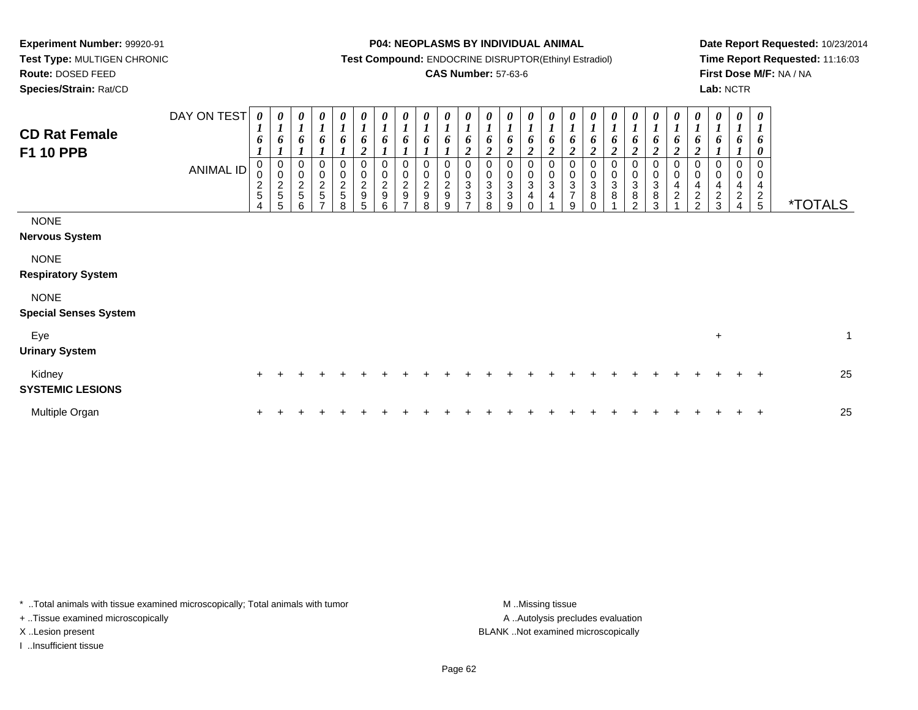**Test Type:** MULTIGEN CHRONIC**Route:** DOSED FEED

**Species/Strain:** Rat/CD

#### **P04: NEOPLASMS BY INDIVIDUAL ANIMAL**

**Test Compound:** ENDOCRINE DISRUPTOR(Ethinyl Estradiol)

## **CAS Number:** 57-63-6

**Date Report Requested:** 10/23/2014**Time Report Requested:** 11:16:03**First Dose M/F:** NA / NA**Lab:** NCTR

| <b>CD Rat Female</b><br><b>F1 10 PPB</b>    | DAY ON TEST<br><b>ANIMAL ID</b> | 0<br>6<br>0<br>$\mathbf 0$<br>$\frac{2}{5}$<br>4 | 0<br>$\boldsymbol{l}$<br>6<br>0<br>$\pmb{0}$<br>$\frac{2}{5}$<br>5 | $\boldsymbol{l}$<br>6<br>0<br>$\begin{array}{c} 0 \\ 2 \\ 5 \end{array}$<br>6 | 6<br>0<br>0<br>$\frac{2}{5}$ | 0<br>$\boldsymbol{l}$<br>6<br>0<br>$\frac{2}{5}$<br>8 | 0<br>$\boldsymbol{l}$<br>6<br>$\overline{2}$<br>0<br>$\begin{smallmatrix} 0\\2\\9 \end{smallmatrix}$<br>5 | 0<br>$\boldsymbol{l}$<br>6<br>0<br>$\,0\,$<br>$\mathbf 2$<br>$\boldsymbol{9}$<br>6 | 0<br>$\boldsymbol{l}$<br>6<br>0<br>$\frac{0}{2}$<br>- | 0<br>$\boldsymbol{l}$<br>6<br>0<br>$\mathop{2}\limits^{\mathbb{O}}$<br>$\boldsymbol{9}$<br>8 | $\pmb{0}$<br>$\overline{2}$<br>$\boldsymbol{9}$<br>9 | 6<br>2<br>0<br>$\ensuremath{\mathsf{3}}$<br>3 | $\boldsymbol{\theta}$<br>6<br>$\overline{c}$<br>0<br>3<br>3<br>8 | 0<br>6<br>$\overline{2}$<br>0<br>0<br>$\sqrt{3}$<br>$\ensuremath{\mathsf{3}}$<br>9 | 0<br>$\boldsymbol{l}$<br>6<br>$\boldsymbol{2}$<br>0<br>$\pmb{0}$<br>$\ensuremath{\mathsf{3}}$<br>4<br>$\Omega$ | 0<br>6<br>0<br>0<br>$\ensuremath{\mathsf{3}}$<br>4 | $\boldsymbol{l}$<br>o<br>2<br>0<br>$_{3}^{\rm 0}$<br>$\overline{7}$<br>9 | ı<br>$\overline{c}$<br>$\pmb{0}$<br>$\ensuremath{\mathsf{3}}$<br>$\bf8$ | 6<br>2<br>0<br>$_{3}^{\rm 0}$<br>$\bf 8$ | 0<br>6<br>$\overline{2}$<br>0<br>$\mathbf 0$<br>3<br>8<br>C | 0<br>6<br>$\overline{2}$<br>0<br>$\pmb{0}$<br>$\ensuremath{\mathsf{3}}$<br>8<br>3 | 0<br>$\boldsymbol{l}$<br>6<br>$\boldsymbol{2}$<br>0<br>$\pmb{0}$<br>$\overline{\mathbf{4}}$<br>$\sqrt{2}$ | 0<br>6<br>0<br>4<br>$\overline{\mathbf{c}}$<br>$\Omega$ | 0<br>o<br>0<br>0<br>4<br>$\frac{2}{3}$ | 0<br>$\boldsymbol{2}$ | 0<br>6<br>0<br>0<br>4<br>$\frac{2}{5}$ | <i><b>*TOTALS</b></i> |   |
|---------------------------------------------|---------------------------------|--------------------------------------------------|--------------------------------------------------------------------|-------------------------------------------------------------------------------|------------------------------|-------------------------------------------------------|-----------------------------------------------------------------------------------------------------------|------------------------------------------------------------------------------------|-------------------------------------------------------|----------------------------------------------------------------------------------------------|------------------------------------------------------|-----------------------------------------------|------------------------------------------------------------------|------------------------------------------------------------------------------------|----------------------------------------------------------------------------------------------------------------|----------------------------------------------------|--------------------------------------------------------------------------|-------------------------------------------------------------------------|------------------------------------------|-------------------------------------------------------------|-----------------------------------------------------------------------------------|-----------------------------------------------------------------------------------------------------------|---------------------------------------------------------|----------------------------------------|-----------------------|----------------------------------------|-----------------------|---|
| <b>NONE</b><br><b>Nervous System</b>        |                                 |                                                  |                                                                    |                                                                               |                              |                                                       |                                                                                                           |                                                                                    |                                                       |                                                                                              |                                                      |                                               |                                                                  |                                                                                    |                                                                                                                |                                                    |                                                                          |                                                                         |                                          |                                                             |                                                                                   |                                                                                                           |                                                         |                                        |                       |                                        |                       |   |
| <b>NONE</b><br><b>Respiratory System</b>    |                                 |                                                  |                                                                    |                                                                               |                              |                                                       |                                                                                                           |                                                                                    |                                                       |                                                                                              |                                                      |                                               |                                                                  |                                                                                    |                                                                                                                |                                                    |                                                                          |                                                                         |                                          |                                                             |                                                                                   |                                                                                                           |                                                         |                                        |                       |                                        |                       |   |
| <b>NONE</b><br><b>Special Senses System</b> |                                 |                                                  |                                                                    |                                                                               |                              |                                                       |                                                                                                           |                                                                                    |                                                       |                                                                                              |                                                      |                                               |                                                                  |                                                                                    |                                                                                                                |                                                    |                                                                          |                                                                         |                                          |                                                             |                                                                                   |                                                                                                           |                                                         |                                        |                       |                                        |                       |   |
| Eye<br><b>Urinary System</b>                |                                 |                                                  |                                                                    |                                                                               |                              |                                                       |                                                                                                           |                                                                                    |                                                       |                                                                                              |                                                      |                                               |                                                                  |                                                                                    |                                                                                                                |                                                    |                                                                          |                                                                         |                                          |                                                             |                                                                                   |                                                                                                           |                                                         | $\ddot{}$                              |                       |                                        |                       | 1 |
| Kidney<br><b>SYSTEMIC LESIONS</b>           |                                 | $+$                                              |                                                                    |                                                                               |                              |                                                       |                                                                                                           |                                                                                    |                                                       |                                                                                              |                                                      |                                               |                                                                  |                                                                                    |                                                                                                                |                                                    |                                                                          |                                                                         |                                          |                                                             |                                                                                   |                                                                                                           |                                                         |                                        |                       | $\ddot{}$                              | 25                    |   |
| Multiple Organ                              |                                 |                                                  |                                                                    |                                                                               |                              |                                                       |                                                                                                           |                                                                                    |                                                       |                                                                                              |                                                      |                                               |                                                                  |                                                                                    |                                                                                                                |                                                    |                                                                          |                                                                         |                                          |                                                             |                                                                                   |                                                                                                           |                                                         |                                        |                       | $\pm$                                  | 25                    |   |

\* ..Total animals with tissue examined microscopically; Total animals with tumor **M** . Missing tissue M ..Missing tissue

+ ..Tissue examined microscopically

I ..Insufficient tissue

A ..Autolysis precludes evaluation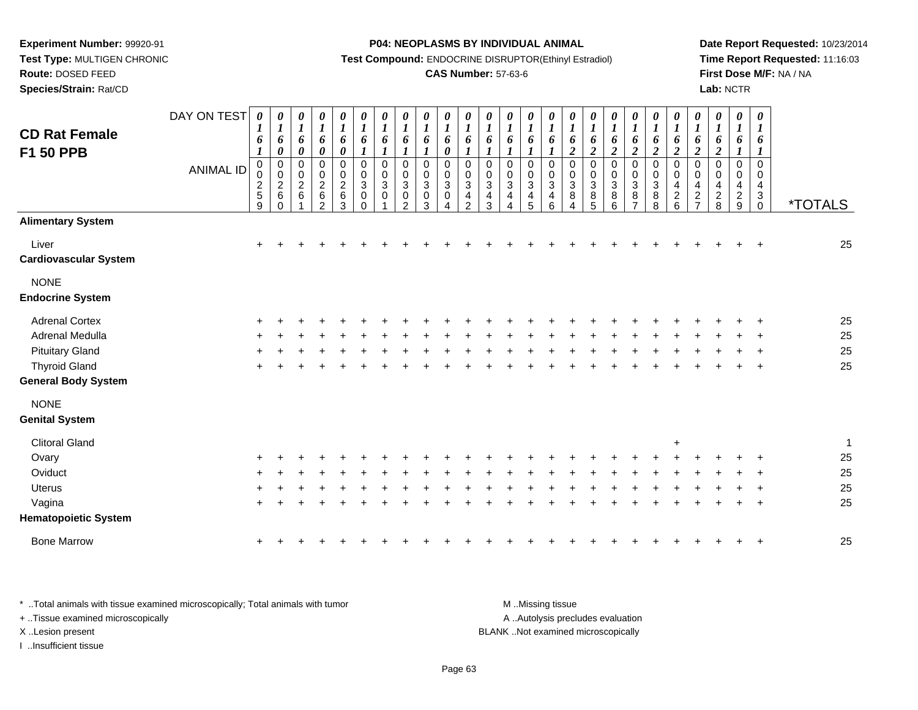**Test Type:** MULTIGEN CHRONIC

**Route:** DOSED FEED

**Species/Strain:** Rat/CD

#### **P04: NEOPLASMS BY INDIVIDUAL ANIMAL**

**Test Compound:** ENDOCRINE DISRUPTOR(Ethinyl Estradiol)

### **CAS Number:** 57-63-6

**Date Report Requested:** 10/23/2014**Time Report Requested:** 11:16:03**First Dose M/F:** NA / NA**Lab:** NCTR

| <b>CD Rat Female</b><br><b>F1 50 PPB</b> | DAY ON TEST<br><b>ANIMAL ID</b> | 0<br>$\bm{l}$<br>6<br>$\boldsymbol{l}$<br>$\pmb{0}$<br>0<br>$\frac{2}{9}$ | $\boldsymbol{\theta}$<br>$\boldsymbol{l}$<br>6<br>$\boldsymbol{\theta}$<br>$\pmb{0}$<br>$\pmb{0}$<br>$\frac{2}{6}$<br>$\mathbf 0$ | 0<br>$\boldsymbol{l}$<br>6<br>$\pmb{\theta}$<br>$\pmb{0}$<br>$\pmb{0}$<br>$\overline{2}$<br>6 | 0<br>$\boldsymbol{l}$<br>6<br>$\boldsymbol{\theta}$<br>0<br>$\pmb{0}$<br>$\frac{2}{6}$<br>$\overline{c}$ | 0<br>$\boldsymbol{l}$<br>6<br>$\pmb{\theta}$<br>$\pmb{0}$<br>$\pmb{0}$<br>$\overline{c}$<br>$\,6\,$<br>3 | $\pmb{\theta}$<br>$\boldsymbol{l}$<br>6<br>$\boldsymbol{l}$<br>$\pmb{0}$<br>$\pmb{0}$<br>$\sqrt{3}$<br>$\pmb{0}$<br>$\mathbf 0$ | 0<br>$\boldsymbol{l}$<br>6<br>$\boldsymbol{l}$<br>$\mathbf 0$<br>$\pmb{0}$<br>$\sqrt{3}$<br>$\pmb{0}$ | $\boldsymbol{\theta}$<br>$\boldsymbol{l}$<br>6<br>$\boldsymbol{l}$<br>$\mathbf 0$<br>$\pmb{0}$<br>$\mathbf{3}$<br>$\mathbf 0$<br>$\overline{2}$ | 0<br>$\boldsymbol{l}$<br>6<br>$\boldsymbol{I}$<br>0<br>0<br>3<br>$\mathbf 0$<br>3 | $\boldsymbol{\theta}$<br>$\boldsymbol{l}$<br>6<br>0<br>$\mathbf 0$<br>0<br>$\sqrt{3}$<br>$\mathbf 0$<br>Λ | 0<br>$\boldsymbol{l}$<br>6<br>1<br>0<br>0<br>$\mathbf{3}$<br>4<br>$\mathcal{P}$ | 0<br>$\boldsymbol{l}$<br>6<br>$\boldsymbol{l}$<br>0<br>$\mathbf 0$<br>$\ensuremath{\mathsf{3}}$<br>4<br>3 | 0<br>$\boldsymbol{l}$<br>6<br>$\boldsymbol{l}$<br>$\pmb{0}$<br>$\boldsymbol{0}$<br>$\ensuremath{\mathsf{3}}$<br>$\overline{4}$<br>4 | 0<br>$\boldsymbol{l}$<br>6<br>1<br>0<br>$\pmb{0}$<br>$\sqrt{3}$<br>4<br>5 | 0<br>$\boldsymbol{l}$<br>6<br>$\boldsymbol{l}$<br>0<br>$\pmb{0}$<br>$\mathbf{3}$<br>4<br>6 | 0<br>$\boldsymbol{l}$<br>6<br>$\boldsymbol{2}$<br>$\pmb{0}$<br>$\pmb{0}$<br>$\ensuremath{\mathsf{3}}$<br>$\bf 8$<br>$\overline{4}$ | 0<br>$\boldsymbol{l}$<br>6<br>$\boldsymbol{2}$<br>$\mathbf 0$<br>$\pmb{0}$<br>$\sqrt{3}$<br>$\,8\,$<br>5 | $\boldsymbol{\theta}$<br>$\boldsymbol{l}$<br>6<br>$\boldsymbol{2}$<br>$\pmb{0}$<br>$\pmb{0}$<br>$\sqrt{3}$<br>$\bf 8$<br>$6\phantom{1}6$ | 0<br>$\boldsymbol{l}$<br>6<br>$\overline{\mathbf{c}}$<br>$\pmb{0}$<br>$\mathbf 0$<br>$\ensuremath{\mathsf{3}}$<br>$\bf 8$<br>7 | 0<br>$\boldsymbol{l}$<br>6<br>$\boldsymbol{2}$<br>$\pmb{0}$<br>$\boldsymbol{0}$<br>$\mathbf{3}$<br>$\bf 8$<br>8 | 0<br>$\boldsymbol{I}$<br>6<br>$\boldsymbol{2}$<br>$\pmb{0}$<br>$\mathsf 0$<br>$\overline{4}$<br>$\overline{c}$<br>6 | $\pmb{\theta}$<br>$\boldsymbol{l}$<br>6<br>$\boldsymbol{2}$<br>$\mathbf 0$<br>$\pmb{0}$<br>$\overline{\mathbf{4}}$<br>$\boldsymbol{2}$<br>$\overline{7}$ | $\pmb{\theta}$<br>$\boldsymbol{l}$<br>6<br>$\boldsymbol{2}$<br>$\mathbf 0$<br>0<br>$\overline{4}$<br>$\sqrt{2}$<br>8 | 0<br>$\boldsymbol{l}$<br>6<br>1<br>0<br>0<br>4<br>$\sqrt{2}$<br>9 | $\boldsymbol{\theta}$<br>$\boldsymbol{l}$<br>6<br>1<br>$\mathbf 0$<br>0<br>$\overline{4}$<br>$\sqrt{3}$<br>$\mathbf 0$ | <i><b>*TOTALS</b></i> |
|------------------------------------------|---------------------------------|---------------------------------------------------------------------------|-----------------------------------------------------------------------------------------------------------------------------------|-----------------------------------------------------------------------------------------------|----------------------------------------------------------------------------------------------------------|----------------------------------------------------------------------------------------------------------|---------------------------------------------------------------------------------------------------------------------------------|-------------------------------------------------------------------------------------------------------|-------------------------------------------------------------------------------------------------------------------------------------------------|-----------------------------------------------------------------------------------|-----------------------------------------------------------------------------------------------------------|---------------------------------------------------------------------------------|-----------------------------------------------------------------------------------------------------------|-------------------------------------------------------------------------------------------------------------------------------------|---------------------------------------------------------------------------|--------------------------------------------------------------------------------------------|------------------------------------------------------------------------------------------------------------------------------------|----------------------------------------------------------------------------------------------------------|------------------------------------------------------------------------------------------------------------------------------------------|--------------------------------------------------------------------------------------------------------------------------------|-----------------------------------------------------------------------------------------------------------------|---------------------------------------------------------------------------------------------------------------------|----------------------------------------------------------------------------------------------------------------------------------------------------------|----------------------------------------------------------------------------------------------------------------------|-------------------------------------------------------------------|------------------------------------------------------------------------------------------------------------------------|-----------------------|
| <b>Alimentary System</b>                 |                                 |                                                                           |                                                                                                                                   |                                                                                               |                                                                                                          |                                                                                                          |                                                                                                                                 |                                                                                                       |                                                                                                                                                 |                                                                                   |                                                                                                           |                                                                                 |                                                                                                           |                                                                                                                                     |                                                                           |                                                                                            |                                                                                                                                    |                                                                                                          |                                                                                                                                          |                                                                                                                                |                                                                                                                 |                                                                                                                     |                                                                                                                                                          |                                                                                                                      |                                                                   |                                                                                                                        |                       |
| Liver<br><b>Cardiovascular System</b>    |                                 | $\ddot{}$                                                                 |                                                                                                                                   |                                                                                               |                                                                                                          |                                                                                                          |                                                                                                                                 |                                                                                                       |                                                                                                                                                 |                                                                                   |                                                                                                           |                                                                                 |                                                                                                           |                                                                                                                                     |                                                                           |                                                                                            |                                                                                                                                    |                                                                                                          |                                                                                                                                          |                                                                                                                                |                                                                                                                 |                                                                                                                     |                                                                                                                                                          |                                                                                                                      |                                                                   |                                                                                                                        | 25                    |
| <b>NONE</b>                              |                                 |                                                                           |                                                                                                                                   |                                                                                               |                                                                                                          |                                                                                                          |                                                                                                                                 |                                                                                                       |                                                                                                                                                 |                                                                                   |                                                                                                           |                                                                                 |                                                                                                           |                                                                                                                                     |                                                                           |                                                                                            |                                                                                                                                    |                                                                                                          |                                                                                                                                          |                                                                                                                                |                                                                                                                 |                                                                                                                     |                                                                                                                                                          |                                                                                                                      |                                                                   |                                                                                                                        |                       |
| <b>Endocrine System</b>                  |                                 |                                                                           |                                                                                                                                   |                                                                                               |                                                                                                          |                                                                                                          |                                                                                                                                 |                                                                                                       |                                                                                                                                                 |                                                                                   |                                                                                                           |                                                                                 |                                                                                                           |                                                                                                                                     |                                                                           |                                                                                            |                                                                                                                                    |                                                                                                          |                                                                                                                                          |                                                                                                                                |                                                                                                                 |                                                                                                                     |                                                                                                                                                          |                                                                                                                      |                                                                   |                                                                                                                        |                       |
| <b>Adrenal Cortex</b>                    |                                 |                                                                           |                                                                                                                                   |                                                                                               |                                                                                                          |                                                                                                          |                                                                                                                                 |                                                                                                       |                                                                                                                                                 |                                                                                   |                                                                                                           |                                                                                 |                                                                                                           |                                                                                                                                     |                                                                           |                                                                                            |                                                                                                                                    |                                                                                                          |                                                                                                                                          |                                                                                                                                |                                                                                                                 |                                                                                                                     |                                                                                                                                                          |                                                                                                                      |                                                                   |                                                                                                                        | 25                    |
| Adrenal Medulla                          |                                 |                                                                           |                                                                                                                                   |                                                                                               |                                                                                                          |                                                                                                          |                                                                                                                                 |                                                                                                       |                                                                                                                                                 |                                                                                   |                                                                                                           |                                                                                 |                                                                                                           |                                                                                                                                     |                                                                           |                                                                                            |                                                                                                                                    |                                                                                                          |                                                                                                                                          |                                                                                                                                |                                                                                                                 |                                                                                                                     |                                                                                                                                                          |                                                                                                                      |                                                                   |                                                                                                                        | 25                    |
| <b>Pituitary Gland</b>                   |                                 |                                                                           |                                                                                                                                   |                                                                                               |                                                                                                          |                                                                                                          |                                                                                                                                 |                                                                                                       |                                                                                                                                                 |                                                                                   |                                                                                                           |                                                                                 |                                                                                                           |                                                                                                                                     |                                                                           |                                                                                            |                                                                                                                                    |                                                                                                          |                                                                                                                                          |                                                                                                                                |                                                                                                                 |                                                                                                                     |                                                                                                                                                          |                                                                                                                      |                                                                   |                                                                                                                        | 25                    |
| <b>Thyroid Gland</b>                     |                                 |                                                                           |                                                                                                                                   |                                                                                               |                                                                                                          |                                                                                                          |                                                                                                                                 |                                                                                                       |                                                                                                                                                 |                                                                                   |                                                                                                           |                                                                                 |                                                                                                           |                                                                                                                                     |                                                                           |                                                                                            |                                                                                                                                    |                                                                                                          |                                                                                                                                          |                                                                                                                                |                                                                                                                 |                                                                                                                     |                                                                                                                                                          |                                                                                                                      |                                                                   |                                                                                                                        | 25                    |
| <b>General Body System</b>               |                                 |                                                                           |                                                                                                                                   |                                                                                               |                                                                                                          |                                                                                                          |                                                                                                                                 |                                                                                                       |                                                                                                                                                 |                                                                                   |                                                                                                           |                                                                                 |                                                                                                           |                                                                                                                                     |                                                                           |                                                                                            |                                                                                                                                    |                                                                                                          |                                                                                                                                          |                                                                                                                                |                                                                                                                 |                                                                                                                     |                                                                                                                                                          |                                                                                                                      |                                                                   |                                                                                                                        |                       |
| <b>NONE</b>                              |                                 |                                                                           |                                                                                                                                   |                                                                                               |                                                                                                          |                                                                                                          |                                                                                                                                 |                                                                                                       |                                                                                                                                                 |                                                                                   |                                                                                                           |                                                                                 |                                                                                                           |                                                                                                                                     |                                                                           |                                                                                            |                                                                                                                                    |                                                                                                          |                                                                                                                                          |                                                                                                                                |                                                                                                                 |                                                                                                                     |                                                                                                                                                          |                                                                                                                      |                                                                   |                                                                                                                        |                       |
| <b>Genital System</b>                    |                                 |                                                                           |                                                                                                                                   |                                                                                               |                                                                                                          |                                                                                                          |                                                                                                                                 |                                                                                                       |                                                                                                                                                 |                                                                                   |                                                                                                           |                                                                                 |                                                                                                           |                                                                                                                                     |                                                                           |                                                                                            |                                                                                                                                    |                                                                                                          |                                                                                                                                          |                                                                                                                                |                                                                                                                 |                                                                                                                     |                                                                                                                                                          |                                                                                                                      |                                                                   |                                                                                                                        |                       |
| <b>Clitoral Gland</b>                    |                                 |                                                                           |                                                                                                                                   |                                                                                               |                                                                                                          |                                                                                                          |                                                                                                                                 |                                                                                                       |                                                                                                                                                 |                                                                                   |                                                                                                           |                                                                                 |                                                                                                           |                                                                                                                                     |                                                                           |                                                                                            |                                                                                                                                    |                                                                                                          |                                                                                                                                          |                                                                                                                                |                                                                                                                 | $\ddot{}$                                                                                                           |                                                                                                                                                          |                                                                                                                      |                                                                   |                                                                                                                        | $\overline{1}$        |
| Ovary                                    |                                 |                                                                           |                                                                                                                                   |                                                                                               |                                                                                                          |                                                                                                          |                                                                                                                                 |                                                                                                       |                                                                                                                                                 |                                                                                   |                                                                                                           |                                                                                 |                                                                                                           |                                                                                                                                     |                                                                           |                                                                                            |                                                                                                                                    |                                                                                                          |                                                                                                                                          |                                                                                                                                |                                                                                                                 |                                                                                                                     |                                                                                                                                                          |                                                                                                                      |                                                                   |                                                                                                                        | 25                    |
| Oviduct                                  |                                 |                                                                           |                                                                                                                                   |                                                                                               |                                                                                                          |                                                                                                          |                                                                                                                                 |                                                                                                       |                                                                                                                                                 |                                                                                   |                                                                                                           |                                                                                 |                                                                                                           |                                                                                                                                     |                                                                           |                                                                                            |                                                                                                                                    |                                                                                                          |                                                                                                                                          |                                                                                                                                |                                                                                                                 |                                                                                                                     |                                                                                                                                                          |                                                                                                                      |                                                                   |                                                                                                                        | 25                    |
| Uterus                                   |                                 |                                                                           |                                                                                                                                   |                                                                                               |                                                                                                          |                                                                                                          |                                                                                                                                 |                                                                                                       |                                                                                                                                                 |                                                                                   |                                                                                                           |                                                                                 |                                                                                                           |                                                                                                                                     |                                                                           |                                                                                            |                                                                                                                                    |                                                                                                          |                                                                                                                                          |                                                                                                                                |                                                                                                                 |                                                                                                                     |                                                                                                                                                          |                                                                                                                      |                                                                   |                                                                                                                        | 25                    |
| Vagina                                   |                                 |                                                                           |                                                                                                                                   |                                                                                               |                                                                                                          |                                                                                                          |                                                                                                                                 |                                                                                                       |                                                                                                                                                 |                                                                                   |                                                                                                           |                                                                                 |                                                                                                           |                                                                                                                                     |                                                                           |                                                                                            |                                                                                                                                    |                                                                                                          |                                                                                                                                          |                                                                                                                                |                                                                                                                 |                                                                                                                     |                                                                                                                                                          |                                                                                                                      |                                                                   |                                                                                                                        | 25                    |
| <b>Hematopoietic System</b>              |                                 |                                                                           |                                                                                                                                   |                                                                                               |                                                                                                          |                                                                                                          |                                                                                                                                 |                                                                                                       |                                                                                                                                                 |                                                                                   |                                                                                                           |                                                                                 |                                                                                                           |                                                                                                                                     |                                                                           |                                                                                            |                                                                                                                                    |                                                                                                          |                                                                                                                                          |                                                                                                                                |                                                                                                                 |                                                                                                                     |                                                                                                                                                          |                                                                                                                      |                                                                   |                                                                                                                        |                       |
| <b>Bone Marrow</b>                       |                                 |                                                                           |                                                                                                                                   |                                                                                               |                                                                                                          |                                                                                                          |                                                                                                                                 |                                                                                                       |                                                                                                                                                 |                                                                                   |                                                                                                           |                                                                                 |                                                                                                           |                                                                                                                                     |                                                                           |                                                                                            |                                                                                                                                    |                                                                                                          |                                                                                                                                          |                                                                                                                                |                                                                                                                 |                                                                                                                     |                                                                                                                                                          |                                                                                                                      |                                                                   |                                                                                                                        | 25                    |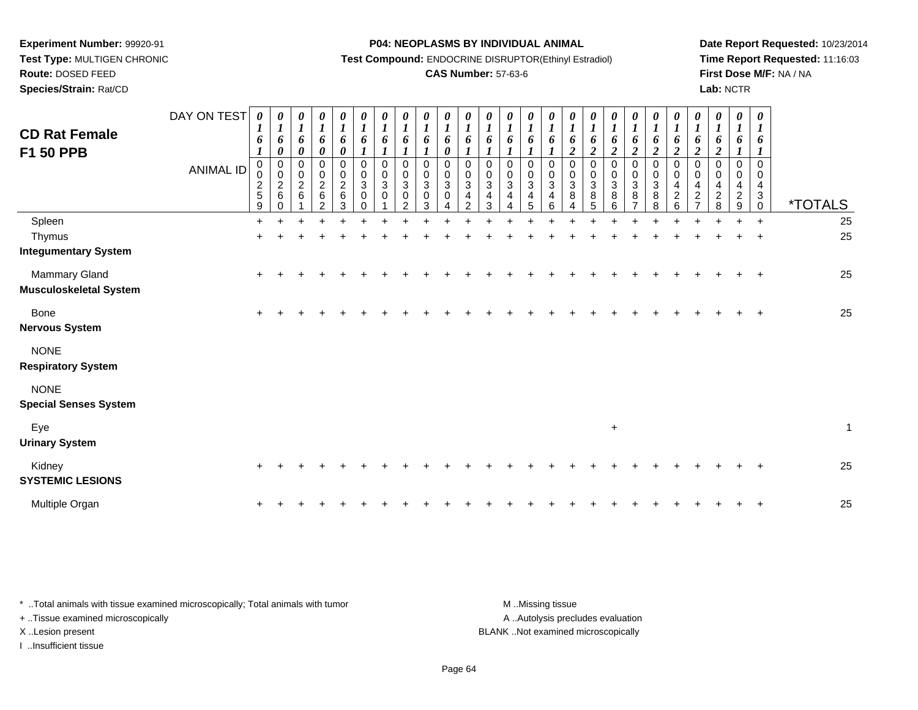**Test Type:** MULTIGEN CHRONIC**Route:** DOSED FEED

**Species/Strain:** Rat/CD

#### **P04: NEOPLASMS BY INDIVIDUAL ANIMAL**

**Test Compound:** ENDOCRINE DISRUPTOR(Ethinyl Estradiol)

### **CAS Number:** 57-63-6

**Date Report Requested:** 10/23/2014**Time Report Requested:** 11:16:03**First Dose M/F:** NA / NA**Lab:** NCTR

| <b>CD Rat Female</b><br>F1 50 PPB              | DAY ON TEST<br><b>ANIMAL ID</b> | 0<br>$\boldsymbol{l}$<br>6<br>$\boldsymbol{l}$<br>0<br>0<br>$\frac{2}{5}$<br>$\boldsymbol{9}$ | $\boldsymbol{\theta}$<br>$\boldsymbol{l}$<br>6<br>$\pmb{\theta}$<br>$\pmb{0}$<br>$\overline{0}$<br>$\boldsymbol{2}$<br>$\,6$<br>$\Omega$ | 0<br>$\boldsymbol{l}$<br>6<br>0<br>0<br>0<br>$\overline{c}$<br>$\,6\,$ | 0<br>$\boldsymbol{l}$<br>6<br>$\boldsymbol{\theta}$<br>$\mathbf 0$<br>$\pmb{0}$<br>$\frac{2}{6}$<br>$\overline{2}$ | 0<br>$\boldsymbol{l}$<br>6<br>0<br>$\pmb{0}$<br>$\pmb{0}$<br>$\frac{2}{6}$<br>3 | 0<br>$\boldsymbol{l}$<br>6<br>$\mathbf{I}$<br>$\mathbf 0$<br>$\pmb{0}$<br>$\mathbf{3}$<br>0<br>$\Omega$ | $\boldsymbol{\theta}$<br>$\boldsymbol{l}$<br>6<br>$\mathbf 0$<br>$\mathbf 0$<br>3<br>0 | 0<br>$\boldsymbol{l}$<br>6<br>$\boldsymbol{l}$<br>$\mathbf 0$<br>$\mathbf 0$<br>$\sqrt{3}$<br>0<br>$\overline{2}$ | $\boldsymbol{\theta}$<br>$\boldsymbol{l}$<br>6<br>$\boldsymbol{l}$<br>$\mathbf 0$<br>$\mathbf 0$<br>$\mathbf{3}$<br>0<br>3 | 0<br>$\boldsymbol{l}$<br>6<br>0<br>$\mathbf 0$<br>$\,0\,$<br>$\sqrt{3}$<br>0<br>4 | $\boldsymbol{\theta}$<br>$\boldsymbol{l}$<br>6<br>$\mathbf 0$<br>$\pmb{0}$<br>$\mathbf 3$<br>$\overline{4}$<br>$\overline{2}$ | 0<br>$\boldsymbol{l}$<br>6<br>$\mathbf 0$<br>$\boldsymbol{0}$<br>$\mathbf{3}$<br>4<br>3 | 0<br>$\boldsymbol{l}$<br>6<br>$\mathbf 0$<br>$\pmb{0}$<br>$\mathbf{3}$<br>4<br>4 | 0<br>$\boldsymbol{l}$<br>6<br>$\mathbf 0$<br>0<br>$\mathbf{3}$<br>4<br>5 | 0<br>$\boldsymbol{l}$<br>6<br>$\boldsymbol{l}$<br>$\mathbf 0$<br>0<br>$\sqrt{3}$<br>$\overline{4}$<br>$\,6\,$ | 0<br>$\boldsymbol{l}$<br>6<br>$\boldsymbol{2}$<br>$\mathbf 0$<br>$\pmb{0}$<br>$\ensuremath{\mathsf{3}}$<br>8<br>4 | 0<br>$\boldsymbol{l}$<br>6<br>$\boldsymbol{2}$<br>$\,0\,$<br>$\mathbf 0$<br>$\sqrt{3}$<br>8<br>$\overline{5}$ | $\boldsymbol{\theta}$<br>$\boldsymbol{l}$<br>6<br>$\overline{2}$<br>0<br>$\pmb{0}$<br>$\mathbf{3}$<br>8<br>$6\phantom{a}$ | 0<br>$\boldsymbol{l}$<br>6<br>$\overline{c}$<br>0<br>0<br>$\sqrt{3}$<br>$\bf 8$<br>$\overline{7}$ | 0<br>$\boldsymbol{l}$<br>6<br>$\overline{2}$<br>$\mathbf 0$<br>$\pmb{0}$<br>$\sqrt{3}$<br>8<br>8 | 0<br>$\boldsymbol{l}$<br>6<br>$\overline{\mathbf{c}}$<br>$\mathbf 0$<br>$\mathbf 0$<br>4<br>$\overline{c}$<br>6 | 0<br>$\boldsymbol{l}$<br>6<br>$\overline{c}$<br>$\Omega$<br>0<br>4<br>$\overline{c}$<br>$\overline{7}$ | 0<br>$\boldsymbol{l}$<br>6<br>$\boldsymbol{2}$<br>$\mathbf 0$<br>$\Omega$<br>4<br>$\overline{c}$<br>8 | 0<br>$\boldsymbol{l}$<br>6<br>$\mathbf 0$<br>$\mathbf 0$<br>$\overline{4}$<br>$\boldsymbol{2}$<br>9 | $\boldsymbol{\theta}$<br>$\boldsymbol{l}$<br>6<br>$\mathbf 0$<br>0<br>4<br>$\mathbf 3$<br>$\mathsf{O}\xspace$ | <i><b>*TOTALS</b></i> |
|------------------------------------------------|---------------------------------|-----------------------------------------------------------------------------------------------|------------------------------------------------------------------------------------------------------------------------------------------|------------------------------------------------------------------------|--------------------------------------------------------------------------------------------------------------------|---------------------------------------------------------------------------------|---------------------------------------------------------------------------------------------------------|----------------------------------------------------------------------------------------|-------------------------------------------------------------------------------------------------------------------|----------------------------------------------------------------------------------------------------------------------------|-----------------------------------------------------------------------------------|-------------------------------------------------------------------------------------------------------------------------------|-----------------------------------------------------------------------------------------|----------------------------------------------------------------------------------|--------------------------------------------------------------------------|---------------------------------------------------------------------------------------------------------------|-------------------------------------------------------------------------------------------------------------------|---------------------------------------------------------------------------------------------------------------|---------------------------------------------------------------------------------------------------------------------------|---------------------------------------------------------------------------------------------------|--------------------------------------------------------------------------------------------------|-----------------------------------------------------------------------------------------------------------------|--------------------------------------------------------------------------------------------------------|-------------------------------------------------------------------------------------------------------|-----------------------------------------------------------------------------------------------------|---------------------------------------------------------------------------------------------------------------|-----------------------|
| Spleen                                         |                                 | $+$                                                                                           |                                                                                                                                          |                                                                        |                                                                                                                    |                                                                                 |                                                                                                         |                                                                                        |                                                                                                                   |                                                                                                                            |                                                                                   |                                                                                                                               |                                                                                         |                                                                                  |                                                                          |                                                                                                               |                                                                                                                   |                                                                                                               |                                                                                                                           |                                                                                                   |                                                                                                  |                                                                                                                 |                                                                                                        |                                                                                                       |                                                                                                     | $+$                                                                                                           | 25                    |
| Thymus                                         |                                 | $\pm$                                                                                         |                                                                                                                                          |                                                                        |                                                                                                                    |                                                                                 |                                                                                                         |                                                                                        |                                                                                                                   |                                                                                                                            |                                                                                   |                                                                                                                               |                                                                                         |                                                                                  |                                                                          |                                                                                                               |                                                                                                                   |                                                                                                               |                                                                                                                           |                                                                                                   |                                                                                                  |                                                                                                                 |                                                                                                        |                                                                                                       |                                                                                                     | $\ddot{}$                                                                                                     | 25                    |
| <b>Integumentary System</b>                    |                                 |                                                                                               |                                                                                                                                          |                                                                        |                                                                                                                    |                                                                                 |                                                                                                         |                                                                                        |                                                                                                                   |                                                                                                                            |                                                                                   |                                                                                                                               |                                                                                         |                                                                                  |                                                                          |                                                                                                               |                                                                                                                   |                                                                                                               |                                                                                                                           |                                                                                                   |                                                                                                  |                                                                                                                 |                                                                                                        |                                                                                                       |                                                                                                     |                                                                                                               |                       |
| Mammary Gland<br><b>Musculoskeletal System</b> |                                 | $\ddot{}$                                                                                     |                                                                                                                                          |                                                                        |                                                                                                                    |                                                                                 |                                                                                                         |                                                                                        |                                                                                                                   |                                                                                                                            |                                                                                   |                                                                                                                               |                                                                                         |                                                                                  |                                                                          |                                                                                                               |                                                                                                                   |                                                                                                               |                                                                                                                           |                                                                                                   |                                                                                                  |                                                                                                                 |                                                                                                        |                                                                                                       |                                                                                                     | $+$                                                                                                           | 25                    |
| <b>Bone</b>                                    |                                 | $\ddot{}$                                                                                     |                                                                                                                                          |                                                                        |                                                                                                                    |                                                                                 |                                                                                                         |                                                                                        |                                                                                                                   |                                                                                                                            |                                                                                   |                                                                                                                               |                                                                                         |                                                                                  |                                                                          |                                                                                                               |                                                                                                                   |                                                                                                               |                                                                                                                           |                                                                                                   |                                                                                                  |                                                                                                                 |                                                                                                        |                                                                                                       |                                                                                                     |                                                                                                               | 25                    |
| <b>Nervous System</b>                          |                                 |                                                                                               |                                                                                                                                          |                                                                        |                                                                                                                    |                                                                                 |                                                                                                         |                                                                                        |                                                                                                                   |                                                                                                                            |                                                                                   |                                                                                                                               |                                                                                         |                                                                                  |                                                                          |                                                                                                               |                                                                                                                   |                                                                                                               |                                                                                                                           |                                                                                                   |                                                                                                  |                                                                                                                 |                                                                                                        |                                                                                                       |                                                                                                     |                                                                                                               |                       |
| <b>NONE</b><br><b>Respiratory System</b>       |                                 |                                                                                               |                                                                                                                                          |                                                                        |                                                                                                                    |                                                                                 |                                                                                                         |                                                                                        |                                                                                                                   |                                                                                                                            |                                                                                   |                                                                                                                               |                                                                                         |                                                                                  |                                                                          |                                                                                                               |                                                                                                                   |                                                                                                               |                                                                                                                           |                                                                                                   |                                                                                                  |                                                                                                                 |                                                                                                        |                                                                                                       |                                                                                                     |                                                                                                               |                       |
| <b>NONE</b><br><b>Special Senses System</b>    |                                 |                                                                                               |                                                                                                                                          |                                                                        |                                                                                                                    |                                                                                 |                                                                                                         |                                                                                        |                                                                                                                   |                                                                                                                            |                                                                                   |                                                                                                                               |                                                                                         |                                                                                  |                                                                          |                                                                                                               |                                                                                                                   |                                                                                                               |                                                                                                                           |                                                                                                   |                                                                                                  |                                                                                                                 |                                                                                                        |                                                                                                       |                                                                                                     |                                                                                                               |                       |
| Eye<br><b>Urinary System</b>                   |                                 |                                                                                               |                                                                                                                                          |                                                                        |                                                                                                                    |                                                                                 |                                                                                                         |                                                                                        |                                                                                                                   |                                                                                                                            |                                                                                   |                                                                                                                               |                                                                                         |                                                                                  |                                                                          |                                                                                                               |                                                                                                                   |                                                                                                               | $\ddot{}$                                                                                                                 |                                                                                                   |                                                                                                  |                                                                                                                 |                                                                                                        |                                                                                                       |                                                                                                     |                                                                                                               | $\mathbf{1}$          |
| Kidney<br><b>SYSTEMIC LESIONS</b>              |                                 | $\ddot{}$                                                                                     |                                                                                                                                          |                                                                        |                                                                                                                    |                                                                                 |                                                                                                         |                                                                                        |                                                                                                                   |                                                                                                                            |                                                                                   |                                                                                                                               |                                                                                         |                                                                                  |                                                                          |                                                                                                               |                                                                                                                   |                                                                                                               |                                                                                                                           |                                                                                                   |                                                                                                  |                                                                                                                 |                                                                                                        |                                                                                                       |                                                                                                     |                                                                                                               | 25                    |
| Multiple Organ                                 |                                 | $\pm$                                                                                         |                                                                                                                                          |                                                                        |                                                                                                                    |                                                                                 |                                                                                                         |                                                                                        |                                                                                                                   |                                                                                                                            |                                                                                   |                                                                                                                               |                                                                                         |                                                                                  |                                                                          |                                                                                                               |                                                                                                                   |                                                                                                               |                                                                                                                           |                                                                                                   |                                                                                                  |                                                                                                                 |                                                                                                        |                                                                                                       |                                                                                                     | $\ddot{}$                                                                                                     | 25                    |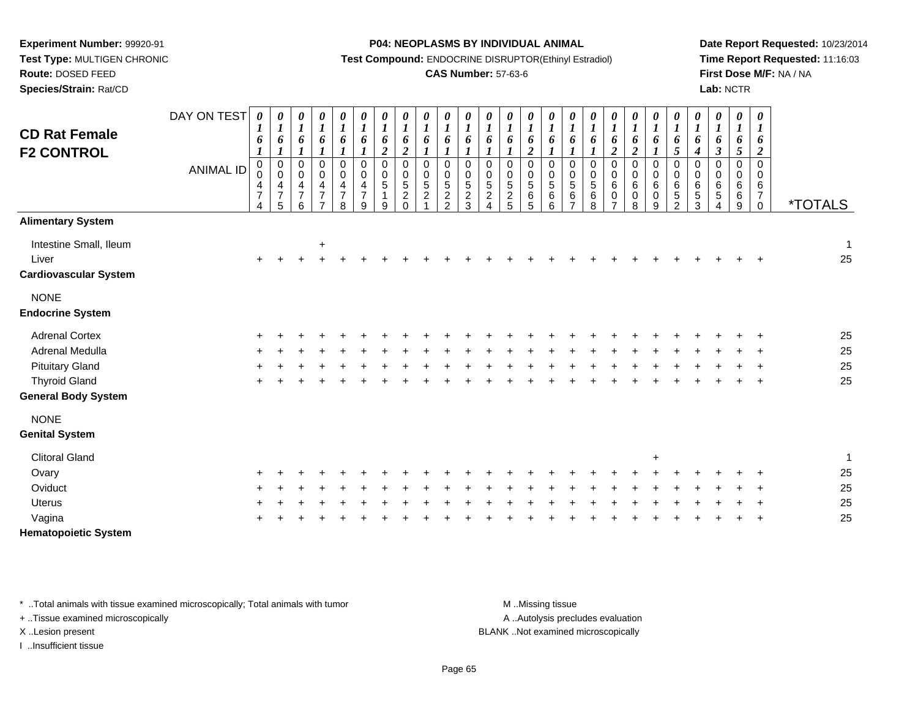**Experiment Number:** 99920-91 **Test Type:** MULTIGEN CHRONIC**Route:** DOSED FEED

**Species/Strain:** Rat/CD

#### **P04: NEOPLASMS BY INDIVIDUAL ANIMAL**

**Test Compound:** ENDOCRINE DISRUPTOR(Ethinyl Estradiol)

### **CAS Number:** 57-63-6

**Date Report Requested:** 10/23/2014**Time Report Requested:** 11:16:03**First Dose M/F:** NA / NA**Lab:** NCTR

| <b>CD Rat Female</b><br><b>F2 CONTROL</b>                       | DAY ON TEST<br><b>ANIMAL ID</b> | 0<br>1<br>6<br>0<br>0<br>$\frac{4}{7}$<br>4 | 0<br>$\boldsymbol{l}$<br>6<br>$\pmb{0}$<br>$\pmb{0}$<br>$\frac{4}{7}$<br>$\sqrt{5}$ | 0<br>$\boldsymbol{l}$<br>6<br>$\pmb{0}$<br>0<br>4<br>$\overline{7}$<br>6 | 0<br>$\boldsymbol{l}$<br>6<br>0<br>0<br>4<br>$\overline{7}$<br>$\overline{ }$ | 0<br>$\boldsymbol{l}$<br>6<br>1<br>0<br>$\pmb{0}$<br>$\overline{\mathbf{4}}$<br>$\overline{7}$<br>8 | $\boldsymbol{\theta}$<br>$\boldsymbol{l}$<br>6<br>$\boldsymbol{l}$<br>$\boldsymbol{0}$<br>$\pmb{0}$<br>4<br>$\overline{7}$<br>9 | $\boldsymbol{\theta}$<br>$\boldsymbol{l}$<br>6<br>$\overline{2}$<br>$\mathsf 0$<br>$\pmb{0}$<br>$\overline{5}$<br>$\mathbf{1}$<br>9 | 0<br>$\boldsymbol{l}$<br>6<br>$\boldsymbol{2}$<br>$\mathbf 0$<br>$\mathbf 0$<br>$5\phantom{.0}$<br>$\overline{c}$<br>$\Omega$ | 0<br>$\boldsymbol{l}$<br>6<br>$\mathbf 0$<br>0<br>5<br>$\overline{c}$ | $\boldsymbol{\theta}$<br>$\boldsymbol{l}$<br>6<br>$\mathbf 0$<br>0<br>5<br>$\overline{c}$<br>$\mathcal{P}$ | 0<br>6<br>$\mathbf 0$<br>0<br>$\overline{5}$<br>$\sqrt{2}$<br>3 | 0<br>$\boldsymbol{l}$<br>6<br>0<br>0<br>$\overline{5}$<br>$\sqrt{2}$<br>4 | 0<br>$\boldsymbol{l}$<br>6<br>$\mathbf 0$<br>$\,0\,$<br>$\sqrt{5}$<br>$\overline{c}$<br>5 | 0<br>$\boldsymbol{l}$<br>6<br>$\overline{2}$<br>$\pmb{0}$<br>$\pmb{0}$<br>$\overline{5}$<br>$\,6$<br>$\overline{5}$ | 0<br>$\boldsymbol{l}$<br>6<br>$\mathbf 0$<br>$\mathbf 0$<br>5<br>$\,6\,$<br>6 | 0<br>$\boldsymbol{l}$<br>6<br>$\mathbf 0$<br>$\pmb{0}$<br>$\overline{5}$<br>6<br>$\overline{ }$ | $\boldsymbol{\theta}$<br>$\boldsymbol{l}$<br>6<br>$\mathbf 0$<br>$\pmb{0}$<br>$\overline{5}$<br>6<br>8 | $\boldsymbol{\theta}$<br>$\boldsymbol{l}$<br>6<br>$\boldsymbol{2}$<br>$\mathbf 0$<br>$\pmb{0}$<br>$6\phantom{a}$<br>$\pmb{0}$<br>7 | $\boldsymbol{\theta}$<br>$\boldsymbol{l}$<br>6<br>$\overline{c}$<br>$\mathbf 0$<br>$\pmb{0}$<br>$\,6\,$<br>$\pmb{0}$<br>8 | 0<br>$\boldsymbol{l}$<br>6<br>$\mathbf 0$<br>$\mathbf 0$<br>6<br>$\mathbf 0$<br>9 | 0<br>$\boldsymbol{l}$<br>6<br>5<br>$\pmb{0}$<br>$\pmb{0}$<br>$\,6\,$<br>$\sqrt{5}$<br>2 | 0<br>$\boldsymbol{l}$<br>6<br>$\boldsymbol{4}$<br>$\mathbf 0$<br>$\mathbf 0$<br>6<br>5<br>3 | 0<br>$\boldsymbol{l}$<br>6<br>$\mathfrak{z}$<br>0<br>0<br>6<br>$\sqrt{5}$<br>4 | 0<br>$\boldsymbol{l}$<br>6<br>$\mathfrak{s}$<br>$\mathbf 0$<br>0<br>6<br>$\,6$<br>9 | $\pmb{\theta}$<br>$\boldsymbol{l}$<br>6<br>$\boldsymbol{2}$<br>$\pmb{0}$<br>$\mathbf 0$<br>6<br>$\overline{7}$<br>$\pmb{0}$ | <i><b>*TOTALS</b></i> |
|-----------------------------------------------------------------|---------------------------------|---------------------------------------------|-------------------------------------------------------------------------------------|--------------------------------------------------------------------------|-------------------------------------------------------------------------------|-----------------------------------------------------------------------------------------------------|---------------------------------------------------------------------------------------------------------------------------------|-------------------------------------------------------------------------------------------------------------------------------------|-------------------------------------------------------------------------------------------------------------------------------|-----------------------------------------------------------------------|------------------------------------------------------------------------------------------------------------|-----------------------------------------------------------------|---------------------------------------------------------------------------|-------------------------------------------------------------------------------------------|---------------------------------------------------------------------------------------------------------------------|-------------------------------------------------------------------------------|-------------------------------------------------------------------------------------------------|--------------------------------------------------------------------------------------------------------|------------------------------------------------------------------------------------------------------------------------------------|---------------------------------------------------------------------------------------------------------------------------|-----------------------------------------------------------------------------------|-----------------------------------------------------------------------------------------|---------------------------------------------------------------------------------------------|--------------------------------------------------------------------------------|-------------------------------------------------------------------------------------|-----------------------------------------------------------------------------------------------------------------------------|-----------------------|
| <b>Alimentary System</b>                                        |                                 |                                             |                                                                                     |                                                                          |                                                                               |                                                                                                     |                                                                                                                                 |                                                                                                                                     |                                                                                                                               |                                                                       |                                                                                                            |                                                                 |                                                                           |                                                                                           |                                                                                                                     |                                                                               |                                                                                                 |                                                                                                        |                                                                                                                                    |                                                                                                                           |                                                                                   |                                                                                         |                                                                                             |                                                                                |                                                                                     |                                                                                                                             |                       |
| Intestine Small, Ileum<br>Liver<br><b>Cardiovascular System</b> |                                 | $\ddot{}$                                   |                                                                                     |                                                                          | $\ddot{}$                                                                     |                                                                                                     |                                                                                                                                 |                                                                                                                                     |                                                                                                                               |                                                                       |                                                                                                            |                                                                 |                                                                           |                                                                                           |                                                                                                                     |                                                                               |                                                                                                 |                                                                                                        |                                                                                                                                    |                                                                                                                           |                                                                                   |                                                                                         |                                                                                             |                                                                                |                                                                                     |                                                                                                                             | $\mathbf{1}$<br>25    |
| <b>NONE</b>                                                     |                                 |                                             |                                                                                     |                                                                          |                                                                               |                                                                                                     |                                                                                                                                 |                                                                                                                                     |                                                                                                                               |                                                                       |                                                                                                            |                                                                 |                                                                           |                                                                                           |                                                                                                                     |                                                                               |                                                                                                 |                                                                                                        |                                                                                                                                    |                                                                                                                           |                                                                                   |                                                                                         |                                                                                             |                                                                                |                                                                                     |                                                                                                                             |                       |
| <b>Endocrine System</b>                                         |                                 |                                             |                                                                                     |                                                                          |                                                                               |                                                                                                     |                                                                                                                                 |                                                                                                                                     |                                                                                                                               |                                                                       |                                                                                                            |                                                                 |                                                                           |                                                                                           |                                                                                                                     |                                                                               |                                                                                                 |                                                                                                        |                                                                                                                                    |                                                                                                                           |                                                                                   |                                                                                         |                                                                                             |                                                                                |                                                                                     |                                                                                                                             |                       |
| <b>Adrenal Cortex</b>                                           |                                 |                                             |                                                                                     |                                                                          |                                                                               |                                                                                                     |                                                                                                                                 |                                                                                                                                     |                                                                                                                               |                                                                       |                                                                                                            |                                                                 |                                                                           |                                                                                           |                                                                                                                     |                                                                               |                                                                                                 |                                                                                                        |                                                                                                                                    |                                                                                                                           |                                                                                   |                                                                                         |                                                                                             |                                                                                |                                                                                     |                                                                                                                             | 25                    |
| Adrenal Medulla                                                 |                                 |                                             |                                                                                     |                                                                          |                                                                               |                                                                                                     |                                                                                                                                 |                                                                                                                                     |                                                                                                                               |                                                                       |                                                                                                            |                                                                 |                                                                           |                                                                                           |                                                                                                                     |                                                                               |                                                                                                 |                                                                                                        |                                                                                                                                    |                                                                                                                           |                                                                                   |                                                                                         |                                                                                             |                                                                                |                                                                                     |                                                                                                                             | 25                    |
| <b>Pituitary Gland</b>                                          |                                 |                                             |                                                                                     |                                                                          |                                                                               |                                                                                                     |                                                                                                                                 |                                                                                                                                     |                                                                                                                               |                                                                       |                                                                                                            |                                                                 |                                                                           |                                                                                           |                                                                                                                     |                                                                               |                                                                                                 |                                                                                                        |                                                                                                                                    |                                                                                                                           |                                                                                   |                                                                                         |                                                                                             |                                                                                |                                                                                     |                                                                                                                             | 25                    |
| <b>Thyroid Gland</b>                                            |                                 |                                             |                                                                                     |                                                                          |                                                                               |                                                                                                     |                                                                                                                                 |                                                                                                                                     |                                                                                                                               |                                                                       |                                                                                                            |                                                                 |                                                                           |                                                                                           |                                                                                                                     |                                                                               |                                                                                                 |                                                                                                        |                                                                                                                                    |                                                                                                                           |                                                                                   |                                                                                         |                                                                                             |                                                                                |                                                                                     | $\ddot{}$                                                                                                                   | 25                    |
| <b>General Body System</b>                                      |                                 |                                             |                                                                                     |                                                                          |                                                                               |                                                                                                     |                                                                                                                                 |                                                                                                                                     |                                                                                                                               |                                                                       |                                                                                                            |                                                                 |                                                                           |                                                                                           |                                                                                                                     |                                                                               |                                                                                                 |                                                                                                        |                                                                                                                                    |                                                                                                                           |                                                                                   |                                                                                         |                                                                                             |                                                                                |                                                                                     |                                                                                                                             |                       |
| <b>NONE</b><br><b>Genital System</b>                            |                                 |                                             |                                                                                     |                                                                          |                                                                               |                                                                                                     |                                                                                                                                 |                                                                                                                                     |                                                                                                                               |                                                                       |                                                                                                            |                                                                 |                                                                           |                                                                                           |                                                                                                                     |                                                                               |                                                                                                 |                                                                                                        |                                                                                                                                    |                                                                                                                           |                                                                                   |                                                                                         |                                                                                             |                                                                                |                                                                                     |                                                                                                                             |                       |
| <b>Clitoral Gland</b>                                           |                                 |                                             |                                                                                     |                                                                          |                                                                               |                                                                                                     |                                                                                                                                 |                                                                                                                                     |                                                                                                                               |                                                                       |                                                                                                            |                                                                 |                                                                           |                                                                                           |                                                                                                                     |                                                                               |                                                                                                 |                                                                                                        |                                                                                                                                    |                                                                                                                           |                                                                                   |                                                                                         |                                                                                             |                                                                                |                                                                                     |                                                                                                                             | $\mathbf{1}$          |
| Ovary                                                           |                                 |                                             |                                                                                     |                                                                          |                                                                               |                                                                                                     |                                                                                                                                 |                                                                                                                                     |                                                                                                                               |                                                                       |                                                                                                            |                                                                 |                                                                           |                                                                                           |                                                                                                                     |                                                                               |                                                                                                 |                                                                                                        |                                                                                                                                    |                                                                                                                           |                                                                                   |                                                                                         |                                                                                             |                                                                                |                                                                                     |                                                                                                                             | 25                    |
| Oviduct                                                         |                                 |                                             |                                                                                     |                                                                          |                                                                               |                                                                                                     |                                                                                                                                 |                                                                                                                                     |                                                                                                                               |                                                                       |                                                                                                            |                                                                 |                                                                           |                                                                                           |                                                                                                                     |                                                                               |                                                                                                 |                                                                                                        |                                                                                                                                    |                                                                                                                           |                                                                                   |                                                                                         |                                                                                             |                                                                                |                                                                                     |                                                                                                                             | 25                    |
| <b>Uterus</b>                                                   |                                 |                                             |                                                                                     |                                                                          |                                                                               |                                                                                                     |                                                                                                                                 |                                                                                                                                     |                                                                                                                               |                                                                       |                                                                                                            |                                                                 |                                                                           |                                                                                           |                                                                                                                     |                                                                               |                                                                                                 |                                                                                                        |                                                                                                                                    |                                                                                                                           |                                                                                   |                                                                                         |                                                                                             |                                                                                |                                                                                     |                                                                                                                             | 25                    |
| Vagina                                                          |                                 |                                             |                                                                                     |                                                                          |                                                                               |                                                                                                     |                                                                                                                                 |                                                                                                                                     |                                                                                                                               |                                                                       |                                                                                                            |                                                                 |                                                                           |                                                                                           |                                                                                                                     |                                                                               |                                                                                                 |                                                                                                        |                                                                                                                                    |                                                                                                                           |                                                                                   |                                                                                         |                                                                                             |                                                                                |                                                                                     |                                                                                                                             | 25                    |
| <b>Hematopoietic System</b>                                     |                                 |                                             |                                                                                     |                                                                          |                                                                               |                                                                                                     |                                                                                                                                 |                                                                                                                                     |                                                                                                                               |                                                                       |                                                                                                            |                                                                 |                                                                           |                                                                                           |                                                                                                                     |                                                                               |                                                                                                 |                                                                                                        |                                                                                                                                    |                                                                                                                           |                                                                                   |                                                                                         |                                                                                             |                                                                                |                                                                                     |                                                                                                                             |                       |

\* ..Total animals with tissue examined microscopically; Total animals with tumor **M** . Missing tissue M ..Missing tissue

+ ..Tissue examined microscopically

I ..Insufficient tissue

A ..Autolysis precludes evaluation

X ..Lesion present BLANK ..Not examined microscopically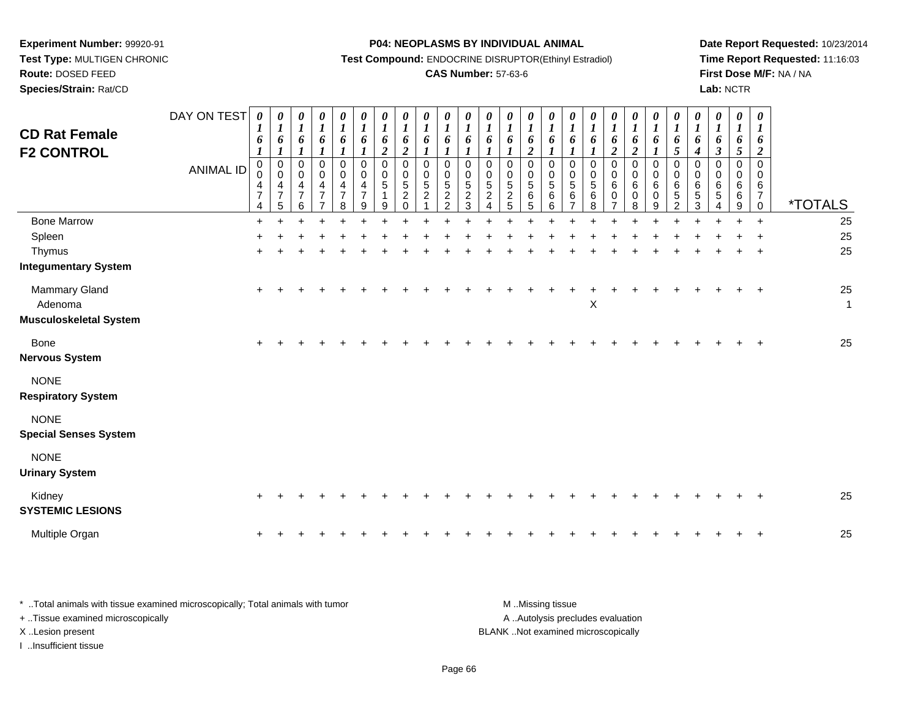**Experiment Number:** 99920-91 **Test Type:** MULTIGEN CHRONIC**Route:** DOSED FEED

**Species/Strain:** Rat/CD

#### **P04: NEOPLASMS BY INDIVIDUAL ANIMAL**

**Test Compound:** ENDOCRINE DISRUPTOR(Ethinyl Estradiol)

## **CAS Number:** 57-63-6

**Date Report Requested:** 10/23/2014 **Time Report Requested:** 11:16:03**First Dose M/F:** NA / NA**Lab:** NCTR

| <b>CD Rat Female</b><br><b>F2 CONTROL</b>                 | DAY ON TEST<br><b>ANIMAL ID</b> | 0<br>1<br>6<br>$\boldsymbol{l}$<br>$\mathbf 0$<br>0<br>4<br>$\overline{7}$<br>$\overline{4}$ | $\boldsymbol{\theta}$<br>$\boldsymbol{l}$<br>6<br>$\boldsymbol{l}$<br>$\pmb{0}$<br>$\boldsymbol{0}$<br>$\overline{4}$<br>$\overline{7}$<br>5 | 0<br>$\boldsymbol{l}$<br>6<br>$\mathbf{I}$<br>0<br>0<br>4<br>$\overline{7}$<br>6 | 0<br>$\boldsymbol{l}$<br>6<br>1<br>$\pmb{0}$<br>$\pmb{0}$<br>$\overline{4}$<br>$\overline{7}$<br>$\overline{ }$ | 0<br>$\boldsymbol{l}$<br>6<br>$\boldsymbol{l}$<br>$\pmb{0}$<br>$\mathsf 0$<br>4<br>$\overline{7}$<br>8 | 0<br>$\boldsymbol{l}$<br>6<br>$\mathbf{I}$<br>0<br>$\mathsf{O}\xspace$<br>4<br>$\overline{7}$<br>9 | 0<br>$\boldsymbol{l}$<br>6<br>$\overline{2}$<br>0<br>$\Omega$<br>5<br>9 | 0<br>$\boldsymbol{l}$<br>6<br>$\overline{2}$<br>$\mathbf 0$<br>$\mathbf 0$<br>$\sqrt{5}$<br>$\overline{c}$<br>$\Omega$ | 0<br>$\boldsymbol{l}$<br>6<br>$\boldsymbol{l}$<br>$\boldsymbol{0}$<br>$\mathbf 0$<br>5<br>$\overline{2}$ | $\frac{\theta}{I}$<br>6<br>$\mathbf{I}$<br>$\pmb{0}$<br>$\pmb{0}$<br>$\sqrt{5}$<br>$\overline{2}$<br>$\overline{2}$ | 0<br>$\boldsymbol{l}$<br>6<br>$\boldsymbol{l}$<br>0<br>0<br>$\sqrt{5}$<br>$\overline{2}$<br>$\overline{3}$ | 0<br>$\boldsymbol{l}$<br>6<br>0<br>0<br>$\sqrt{5}$<br>$\overline{a}$<br>$\overline{4}$ | $\boldsymbol{\theta}$<br>$\boldsymbol{l}$<br>6<br>0<br>0<br>$\sqrt{5}$<br>$\boldsymbol{2}$<br>5 | 0<br>$\boldsymbol{l}$<br>6<br>$\overline{\mathbf{2}}$<br>$\mathbf 0$<br>0<br>5<br>6<br>5 | 0<br>$\boldsymbol{l}$<br>6<br>$\mathbf{I}$<br>0<br>0<br>5<br>6<br>6 | U<br>$\boldsymbol{l}$<br>6<br>$\boldsymbol{l}$<br>0<br>$\Omega$<br>5<br>6<br>7 | $\boldsymbol{\theta}$<br>6<br>$\mathbf 0$<br>$\mathbf 0$<br>$\sqrt{5}$<br>$\,6$<br>8 | 0<br>$\boldsymbol{l}$<br>6<br>$\overline{2}$<br>0<br>0<br>$\,6$<br>$\mathbf 0$<br>$\overline{7}$ | 0<br>$\boldsymbol{l}$<br>6<br>$\overline{2}$<br>$\pmb{0}$<br>$\mathsf 0$<br>6<br>0<br>8 | 0<br>$\boldsymbol{l}$<br>6<br>$\boldsymbol{l}$<br>$\pmb{0}$<br>$\pmb{0}$<br>$\,6\,$<br>0<br>9 | 0<br>$\boldsymbol{l}$<br>6<br>5<br>$\mathbf 0$<br>0<br>6<br>$\sqrt{5}$<br>2 | 0<br>$\boldsymbol{l}$<br>6<br>$\boldsymbol{4}$<br>0<br>$\Omega$<br>6<br>$\sqrt{5}$<br>3 | 0<br>1<br>6<br>$\mathfrak{z}$<br>$\mathbf 0$<br>0<br>6<br>5<br>4 | 0<br>$\boldsymbol{l}$<br>6<br>5<br>0<br>$\Omega$<br>6<br>6<br>9 | $\boldsymbol{\theta}$<br>6<br>$\overline{c}$<br>$\mathbf 0$<br>$\mathbf 0$<br>6<br>$\overline{7}$<br>$\mathbf 0$ | <i><b>*TOTALS</b></i> |
|-----------------------------------------------------------|---------------------------------|----------------------------------------------------------------------------------------------|----------------------------------------------------------------------------------------------------------------------------------------------|----------------------------------------------------------------------------------|-----------------------------------------------------------------------------------------------------------------|--------------------------------------------------------------------------------------------------------|----------------------------------------------------------------------------------------------------|-------------------------------------------------------------------------|------------------------------------------------------------------------------------------------------------------------|----------------------------------------------------------------------------------------------------------|---------------------------------------------------------------------------------------------------------------------|------------------------------------------------------------------------------------------------------------|----------------------------------------------------------------------------------------|-------------------------------------------------------------------------------------------------|------------------------------------------------------------------------------------------|---------------------------------------------------------------------|--------------------------------------------------------------------------------|--------------------------------------------------------------------------------------|--------------------------------------------------------------------------------------------------|-----------------------------------------------------------------------------------------|-----------------------------------------------------------------------------------------------|-----------------------------------------------------------------------------|-----------------------------------------------------------------------------------------|------------------------------------------------------------------|-----------------------------------------------------------------|------------------------------------------------------------------------------------------------------------------|-----------------------|
| <b>Bone Marrow</b>                                        |                                 | $\ddot{}$                                                                                    |                                                                                                                                              |                                                                                  |                                                                                                                 |                                                                                                        |                                                                                                    |                                                                         |                                                                                                                        |                                                                                                          |                                                                                                                     |                                                                                                            |                                                                                        |                                                                                                 |                                                                                          |                                                                     |                                                                                |                                                                                      |                                                                                                  |                                                                                         |                                                                                               |                                                                             |                                                                                         |                                                                  |                                                                 | $\ddot{}$                                                                                                        | 25                    |
| Spleen                                                    |                                 |                                                                                              |                                                                                                                                              |                                                                                  |                                                                                                                 |                                                                                                        |                                                                                                    |                                                                         |                                                                                                                        |                                                                                                          |                                                                                                                     |                                                                                                            |                                                                                        |                                                                                                 |                                                                                          |                                                                     |                                                                                |                                                                                      |                                                                                                  |                                                                                         |                                                                                               |                                                                             |                                                                                         |                                                                  |                                                                 |                                                                                                                  | 25                    |
| Thymus<br><b>Integumentary System</b>                     |                                 |                                                                                              |                                                                                                                                              |                                                                                  |                                                                                                                 |                                                                                                        |                                                                                                    |                                                                         |                                                                                                                        |                                                                                                          |                                                                                                                     |                                                                                                            |                                                                                        |                                                                                                 |                                                                                          |                                                                     |                                                                                |                                                                                      |                                                                                                  |                                                                                         |                                                                                               |                                                                             |                                                                                         |                                                                  |                                                                 | $\overline{ }$                                                                                                   | 25                    |
| Mammary Gland<br>Adenoma<br><b>Musculoskeletal System</b> |                                 | $\ddot{}$                                                                                    |                                                                                                                                              |                                                                                  |                                                                                                                 |                                                                                                        |                                                                                                    |                                                                         |                                                                                                                        |                                                                                                          |                                                                                                                     |                                                                                                            |                                                                                        |                                                                                                 |                                                                                          |                                                                     |                                                                                | X                                                                                    |                                                                                                  |                                                                                         |                                                                                               |                                                                             |                                                                                         |                                                                  |                                                                 | $+$                                                                                                              | 25<br>$\mathbf{1}$    |
| Bone<br><b>Nervous System</b>                             |                                 | $\ddot{}$                                                                                    |                                                                                                                                              |                                                                                  |                                                                                                                 |                                                                                                        |                                                                                                    |                                                                         |                                                                                                                        |                                                                                                          |                                                                                                                     |                                                                                                            |                                                                                        |                                                                                                 |                                                                                          |                                                                     |                                                                                |                                                                                      |                                                                                                  |                                                                                         |                                                                                               |                                                                             |                                                                                         |                                                                  |                                                                 |                                                                                                                  | 25                    |
| <b>NONE</b><br><b>Respiratory System</b>                  |                                 |                                                                                              |                                                                                                                                              |                                                                                  |                                                                                                                 |                                                                                                        |                                                                                                    |                                                                         |                                                                                                                        |                                                                                                          |                                                                                                                     |                                                                                                            |                                                                                        |                                                                                                 |                                                                                          |                                                                     |                                                                                |                                                                                      |                                                                                                  |                                                                                         |                                                                                               |                                                                             |                                                                                         |                                                                  |                                                                 |                                                                                                                  |                       |
| <b>NONE</b><br><b>Special Senses System</b>               |                                 |                                                                                              |                                                                                                                                              |                                                                                  |                                                                                                                 |                                                                                                        |                                                                                                    |                                                                         |                                                                                                                        |                                                                                                          |                                                                                                                     |                                                                                                            |                                                                                        |                                                                                                 |                                                                                          |                                                                     |                                                                                |                                                                                      |                                                                                                  |                                                                                         |                                                                                               |                                                                             |                                                                                         |                                                                  |                                                                 |                                                                                                                  |                       |
| <b>NONE</b><br><b>Urinary System</b>                      |                                 |                                                                                              |                                                                                                                                              |                                                                                  |                                                                                                                 |                                                                                                        |                                                                                                    |                                                                         |                                                                                                                        |                                                                                                          |                                                                                                                     |                                                                                                            |                                                                                        |                                                                                                 |                                                                                          |                                                                     |                                                                                |                                                                                      |                                                                                                  |                                                                                         |                                                                                               |                                                                             |                                                                                         |                                                                  |                                                                 |                                                                                                                  |                       |
| Kidney<br><b>SYSTEMIC LESIONS</b>                         |                                 | $\pm$                                                                                        |                                                                                                                                              |                                                                                  |                                                                                                                 |                                                                                                        |                                                                                                    |                                                                         |                                                                                                                        |                                                                                                          |                                                                                                                     |                                                                                                            |                                                                                        |                                                                                                 |                                                                                          |                                                                     |                                                                                |                                                                                      |                                                                                                  |                                                                                         |                                                                                               |                                                                             |                                                                                         |                                                                  |                                                                 |                                                                                                                  | 25                    |
| Multiple Organ                                            |                                 | $\ddot{}$                                                                                    |                                                                                                                                              |                                                                                  |                                                                                                                 |                                                                                                        |                                                                                                    |                                                                         |                                                                                                                        |                                                                                                          |                                                                                                                     |                                                                                                            |                                                                                        |                                                                                                 |                                                                                          |                                                                     |                                                                                |                                                                                      |                                                                                                  |                                                                                         |                                                                                               |                                                                             |                                                                                         |                                                                  |                                                                 | $\overline{ }$                                                                                                   | 25                    |

| Total animals with tissue examined microscopically; Total animals with tumor | M Missing tissue                   |
|------------------------------------------------------------------------------|------------------------------------|
| + . Tissue examined microscopically                                          | A Autolysis precludes evaluation   |
| XLesion present                                                              | BLANK Not examined microscopically |
| …Insufficient tissue                                                         |                                    |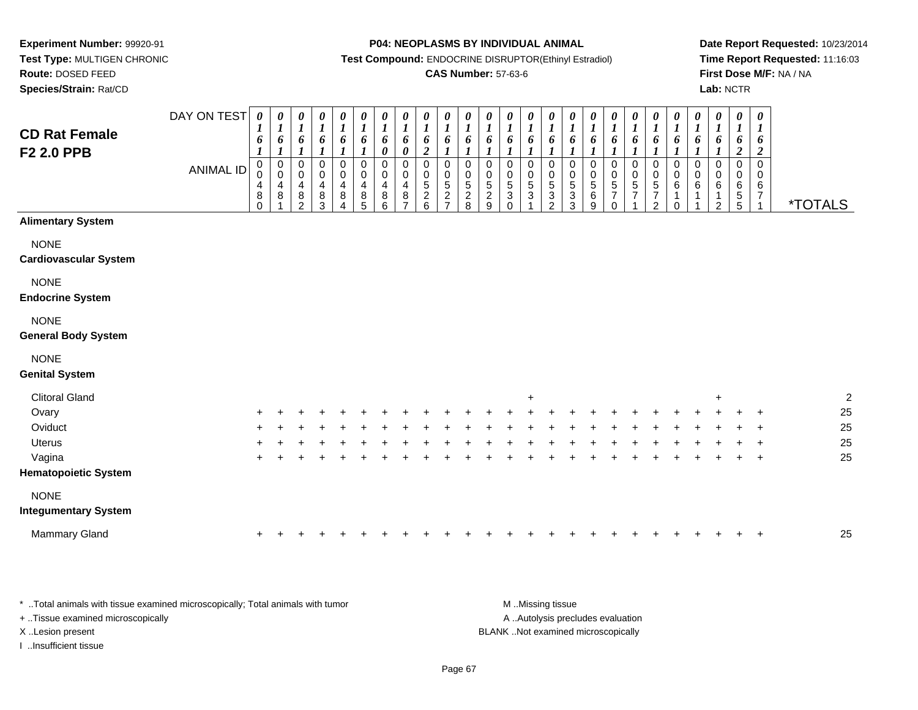**Route:** DOSED FEED

**Species/Strain:** Rat/CD

#### **P04: NEOPLASMS BY INDIVIDUAL ANIMAL**

**Test Compound:** ENDOCRINE DISRUPTOR(Ethinyl Estradiol)

### **CAS Number:** 57-63-6

**Date Report Requested:** 10/23/2014**Time Report Requested:** 11:16:03**First Dose M/F:** NA / NA**Lab:** NCTR

| <b>CD Rat Female</b><br>F2 2.0 PPB          | DAY ON TEST<br><b>ANIMAL ID</b> | $\boldsymbol{\theta}$<br>$\boldsymbol{l}$<br>$\boldsymbol{\delta}$<br>$\boldsymbol{l}$<br>0<br>$\pmb{0}$<br>$\overline{4}$<br>$\,8\,$<br>$\Omega$ | 0<br>$\boldsymbol{l}$<br>6<br>$\boldsymbol{l}$<br>$\pmb{0}$<br>$\mathsf 0$<br>4<br>8 | $\boldsymbol{\theta}$<br>$\boldsymbol{l}$<br>6<br>$\boldsymbol{l}$<br>$\pmb{0}$<br>$\pmb{0}$<br>$\overline{4}$<br>$\bf 8$<br>2 | $\frac{\theta}{I}$<br>6<br>$\boldsymbol{l}$<br>$\pmb{0}$<br>$\mathsf{O}\xspace$<br>4<br>$\bf8$<br>3 | $\begin{matrix} 0 \\ 1 \end{matrix}$<br>6<br>$\boldsymbol{l}$<br>$\pmb{0}$<br>$\pmb{0}$<br>$\overline{\mathbf{4}}$<br>8<br>$\overline{4}$ | $\frac{\theta}{I}$<br>6<br>$\mathbf{I}$<br>$\,0\,$<br>$\pmb{0}$<br>$\overline{\mathbf{4}}$<br>8<br>5 | $\frac{\theta}{I}$<br>6<br>$\boldsymbol{\theta}$<br>0<br>$\pmb{0}$<br>$\overline{\mathbf{4}}$<br>$^8_6$ | $\boldsymbol{\theta}$<br>$\boldsymbol{I}$<br>$\boldsymbol{\delta}$<br>$\pmb{\theta}$<br>$\mathbf 0$<br>$\mathbf 0$<br>$\overline{4}$<br>8<br>$\overline{ }$ | 0<br>$\boldsymbol{l}$<br>6<br>$\boldsymbol{2}$<br>$\mathbf 0$<br>0<br>5<br>$\overline{\mathbf{c}}$<br>6 | $\boldsymbol{\theta}$<br>$\boldsymbol{l}$<br>6<br>$\mathbf{I}$<br>$\mathbf 0$<br>$\mathbf 0$<br>$\overline{5}$<br>$\overline{\mathbf{c}}$<br>$\overline{ }$ | $\boldsymbol{\theta}$<br>$\boldsymbol{l}$<br>6<br>$\mathbf 0$<br>$\mathsf{O}\xspace$<br>5<br>$\frac{2}{8}$ | 0<br>$\boldsymbol{l}$<br>6<br>0<br>$\mathsf{O}\xspace$<br>$\mathbf 5$<br>$\frac{2}{9}$ | $\frac{\theta}{1}$<br>6<br>- 7<br>0<br>$\pmb{0}$<br>$\overline{5}$<br>$\sqrt{3}$<br>$\Omega$ | $\frac{\boldsymbol{\theta}}{\boldsymbol{I}}$<br>6<br>0<br>$\begin{array}{c} 0 \\ 5 \end{array}$<br>3 | 0<br>$\boldsymbol{l}$<br>6<br>$\boldsymbol{l}$<br>$\mathbf 0$<br>$\mathbf 0$<br>$\mathbf 5$<br>$\ensuremath{\mathsf{3}}$<br>2 | $\boldsymbol{\theta}$<br>$\boldsymbol{l}$<br>6<br>1<br>0<br>0<br>5<br>3<br>3 | $\boldsymbol{\theta}$<br>$\boldsymbol{l}$<br>6<br>$\pmb{0}$<br>$\pmb{0}$<br>$\sqrt{5}$<br>$\,6$<br>9 | $\frac{\boldsymbol{0}}{\boldsymbol{1}}$<br>6<br>0<br>$\boldsymbol{0}$<br>$\frac{5}{7}$<br>$\Omega$ | $\frac{\theta}{I}$<br>6<br>0<br>$\pmb{0}$<br>$\,$ 5 $\,$<br>$\overline{7}$ | $\frac{\theta}{I}$<br>6<br>$\mathbf{I}$<br>$\mathbf 0$<br>$\pmb{0}$<br>$\sqrt{5}$<br>$\frac{7}{2}$ | $\frac{\theta}{I}$<br>6<br>0<br>0<br>6<br>1<br>0 | 0<br>$\boldsymbol{l}$<br>6<br>1<br>$\mathbf 0$<br>$\mathbf 0$<br>6 | 0<br>$\boldsymbol{l}$<br>6<br>$\boldsymbol{l}$<br>$\Omega$<br>$\mathbf 0$<br>6<br>1<br>$\mathfrak{p}$ | $\pmb{\theta}$<br>$\boldsymbol{l}$<br>6<br>$\boldsymbol{2}$<br>$\mathbf 0$<br>0<br>$\,6\,$<br>$\begin{array}{c} 5 \\ 5 \end{array}$ | 0<br>$\boldsymbol{l}$<br>6<br>$\boldsymbol{2}$<br>$\mathsf 0$<br>0<br>$\,6\,$<br>$\boldsymbol{7}$<br>$\overline{1}$ | <i><b>*TOTALS</b></i> |
|---------------------------------------------|---------------------------------|---------------------------------------------------------------------------------------------------------------------------------------------------|--------------------------------------------------------------------------------------|--------------------------------------------------------------------------------------------------------------------------------|-----------------------------------------------------------------------------------------------------|-------------------------------------------------------------------------------------------------------------------------------------------|------------------------------------------------------------------------------------------------------|---------------------------------------------------------------------------------------------------------|-------------------------------------------------------------------------------------------------------------------------------------------------------------|---------------------------------------------------------------------------------------------------------|-------------------------------------------------------------------------------------------------------------------------------------------------------------|------------------------------------------------------------------------------------------------------------|----------------------------------------------------------------------------------------|----------------------------------------------------------------------------------------------|------------------------------------------------------------------------------------------------------|-------------------------------------------------------------------------------------------------------------------------------|------------------------------------------------------------------------------|------------------------------------------------------------------------------------------------------|----------------------------------------------------------------------------------------------------|----------------------------------------------------------------------------|----------------------------------------------------------------------------------------------------|--------------------------------------------------|--------------------------------------------------------------------|-------------------------------------------------------------------------------------------------------|-------------------------------------------------------------------------------------------------------------------------------------|---------------------------------------------------------------------------------------------------------------------|-----------------------|
| <b>Alimentary System</b>                    |                                 |                                                                                                                                                   |                                                                                      |                                                                                                                                |                                                                                                     |                                                                                                                                           |                                                                                                      |                                                                                                         |                                                                                                                                                             |                                                                                                         |                                                                                                                                                             |                                                                                                            |                                                                                        |                                                                                              |                                                                                                      |                                                                                                                               |                                                                              |                                                                                                      |                                                                                                    |                                                                            |                                                                                                    |                                                  |                                                                    |                                                                                                       |                                                                                                                                     |                                                                                                                     |                       |
| <b>NONE</b><br><b>Cardiovascular System</b> |                                 |                                                                                                                                                   |                                                                                      |                                                                                                                                |                                                                                                     |                                                                                                                                           |                                                                                                      |                                                                                                         |                                                                                                                                                             |                                                                                                         |                                                                                                                                                             |                                                                                                            |                                                                                        |                                                                                              |                                                                                                      |                                                                                                                               |                                                                              |                                                                                                      |                                                                                                    |                                                                            |                                                                                                    |                                                  |                                                                    |                                                                                                       |                                                                                                                                     |                                                                                                                     |                       |
| <b>NONE</b><br><b>Endocrine System</b>      |                                 |                                                                                                                                                   |                                                                                      |                                                                                                                                |                                                                                                     |                                                                                                                                           |                                                                                                      |                                                                                                         |                                                                                                                                                             |                                                                                                         |                                                                                                                                                             |                                                                                                            |                                                                                        |                                                                                              |                                                                                                      |                                                                                                                               |                                                                              |                                                                                                      |                                                                                                    |                                                                            |                                                                                                    |                                                  |                                                                    |                                                                                                       |                                                                                                                                     |                                                                                                                     |                       |
| <b>NONE</b><br><b>General Body System</b>   |                                 |                                                                                                                                                   |                                                                                      |                                                                                                                                |                                                                                                     |                                                                                                                                           |                                                                                                      |                                                                                                         |                                                                                                                                                             |                                                                                                         |                                                                                                                                                             |                                                                                                            |                                                                                        |                                                                                              |                                                                                                      |                                                                                                                               |                                                                              |                                                                                                      |                                                                                                    |                                                                            |                                                                                                    |                                                  |                                                                    |                                                                                                       |                                                                                                                                     |                                                                                                                     |                       |
| <b>NONE</b><br><b>Genital System</b>        |                                 |                                                                                                                                                   |                                                                                      |                                                                                                                                |                                                                                                     |                                                                                                                                           |                                                                                                      |                                                                                                         |                                                                                                                                                             |                                                                                                         |                                                                                                                                                             |                                                                                                            |                                                                                        |                                                                                              |                                                                                                      |                                                                                                                               |                                                                              |                                                                                                      |                                                                                                    |                                                                            |                                                                                                    |                                                  |                                                                    |                                                                                                       |                                                                                                                                     |                                                                                                                     |                       |
| <b>Clitoral Gland</b>                       |                                 |                                                                                                                                                   |                                                                                      |                                                                                                                                |                                                                                                     |                                                                                                                                           |                                                                                                      |                                                                                                         |                                                                                                                                                             |                                                                                                         |                                                                                                                                                             |                                                                                                            |                                                                                        |                                                                                              | $\ddot{}$                                                                                            |                                                                                                                               |                                                                              |                                                                                                      |                                                                                                    |                                                                            |                                                                                                    |                                                  |                                                                    | ٠                                                                                                     |                                                                                                                                     |                                                                                                                     | $\overline{c}$        |
| Ovary                                       |                                 |                                                                                                                                                   |                                                                                      |                                                                                                                                |                                                                                                     |                                                                                                                                           |                                                                                                      |                                                                                                         |                                                                                                                                                             |                                                                                                         |                                                                                                                                                             |                                                                                                            |                                                                                        |                                                                                              |                                                                                                      |                                                                                                                               |                                                                              |                                                                                                      |                                                                                                    |                                                                            |                                                                                                    |                                                  |                                                                    |                                                                                                       |                                                                                                                                     | $\ddot{}$                                                                                                           | 25                    |
| Oviduct                                     |                                 |                                                                                                                                                   |                                                                                      |                                                                                                                                |                                                                                                     |                                                                                                                                           |                                                                                                      |                                                                                                         |                                                                                                                                                             |                                                                                                         |                                                                                                                                                             |                                                                                                            |                                                                                        |                                                                                              |                                                                                                      |                                                                                                                               |                                                                              |                                                                                                      |                                                                                                    |                                                                            |                                                                                                    |                                                  |                                                                    |                                                                                                       |                                                                                                                                     |                                                                                                                     | 25                    |
| <b>Uterus</b>                               |                                 |                                                                                                                                                   |                                                                                      |                                                                                                                                |                                                                                                     |                                                                                                                                           |                                                                                                      |                                                                                                         |                                                                                                                                                             |                                                                                                         |                                                                                                                                                             |                                                                                                            |                                                                                        |                                                                                              |                                                                                                      |                                                                                                                               |                                                                              |                                                                                                      |                                                                                                    |                                                                            |                                                                                                    |                                                  |                                                                    |                                                                                                       |                                                                                                                                     |                                                                                                                     | 25                    |
| Vagina                                      |                                 |                                                                                                                                                   |                                                                                      |                                                                                                                                |                                                                                                     |                                                                                                                                           |                                                                                                      |                                                                                                         |                                                                                                                                                             |                                                                                                         |                                                                                                                                                             |                                                                                                            |                                                                                        |                                                                                              |                                                                                                      |                                                                                                                               |                                                                              |                                                                                                      |                                                                                                    |                                                                            |                                                                                                    |                                                  |                                                                    |                                                                                                       |                                                                                                                                     | $\ddot{}$                                                                                                           | 25                    |
| <b>Hematopoietic System</b>                 |                                 |                                                                                                                                                   |                                                                                      |                                                                                                                                |                                                                                                     |                                                                                                                                           |                                                                                                      |                                                                                                         |                                                                                                                                                             |                                                                                                         |                                                                                                                                                             |                                                                                                            |                                                                                        |                                                                                              |                                                                                                      |                                                                                                                               |                                                                              |                                                                                                      |                                                                                                    |                                                                            |                                                                                                    |                                                  |                                                                    |                                                                                                       |                                                                                                                                     |                                                                                                                     |                       |
| <b>NONE</b><br><b>Integumentary System</b>  |                                 |                                                                                                                                                   |                                                                                      |                                                                                                                                |                                                                                                     |                                                                                                                                           |                                                                                                      |                                                                                                         |                                                                                                                                                             |                                                                                                         |                                                                                                                                                             |                                                                                                            |                                                                                        |                                                                                              |                                                                                                      |                                                                                                                               |                                                                              |                                                                                                      |                                                                                                    |                                                                            |                                                                                                    |                                                  |                                                                    |                                                                                                       |                                                                                                                                     |                                                                                                                     |                       |
| Mammary Gland                               |                                 |                                                                                                                                                   |                                                                                      |                                                                                                                                |                                                                                                     |                                                                                                                                           |                                                                                                      |                                                                                                         |                                                                                                                                                             |                                                                                                         |                                                                                                                                                             |                                                                                                            |                                                                                        |                                                                                              |                                                                                                      |                                                                                                                               |                                                                              |                                                                                                      |                                                                                                    |                                                                            |                                                                                                    |                                                  |                                                                    |                                                                                                       |                                                                                                                                     |                                                                                                                     | 25                    |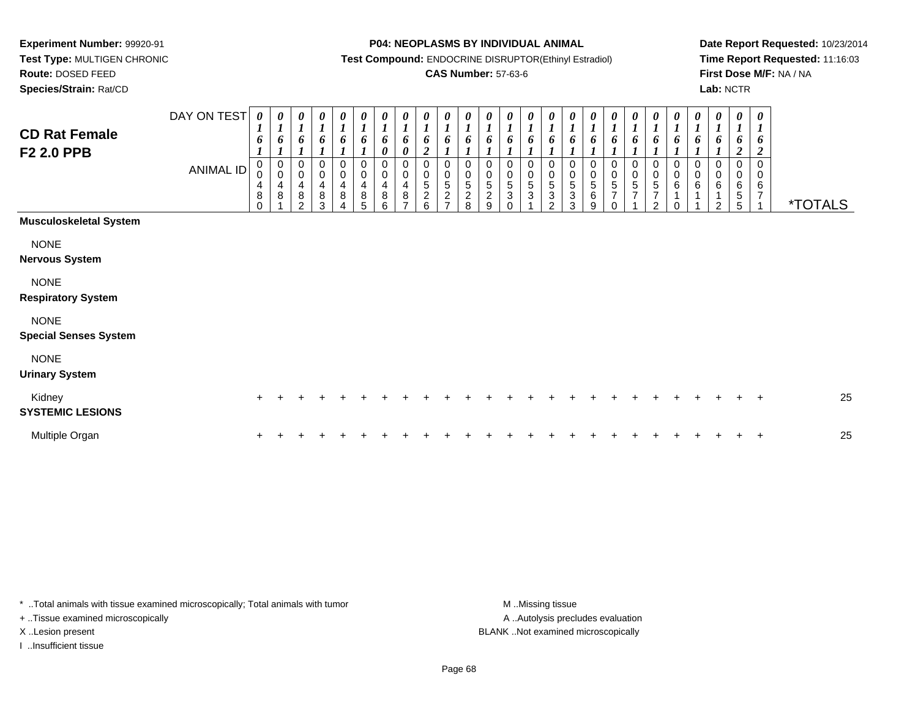**Route:** DOSED FEED

**Species/Strain:** Rat/CD

#### **P04: NEOPLASMS BY INDIVIDUAL ANIMAL**

**Test Compound:** ENDOCRINE DISRUPTOR(Ethinyl Estradiol)

### **CAS Number:** 57-63-6

**Date Report Requested:** 10/23/2014**Time Report Requested:** 11:16:03**First Dose M/F:** NA / NA**Lab:** NCTR

| <b>CD Rat Female</b><br><b>F2 2.0 PPB</b>   | DAY ON TEST<br><b>ANIMAL ID</b> | 0<br>$\mathbf{I}$<br>6<br>0<br>0<br>4<br>$\bf8$<br>$\Omega$ | 0<br>$\boldsymbol{l}$<br>6<br>$\boldsymbol{l}$<br>$_{\rm 0}^{\rm 0}$<br>4<br>8 | $\boldsymbol{\theta}$<br>$\boldsymbol{l}$<br>6<br>$\boldsymbol{0}$<br>$\pmb{0}$<br>4<br>8<br>C | 0<br>$\boldsymbol{l}$<br>6<br>0<br>$\pmb{0}$<br>4<br>$\,8\,$<br>3 | 0<br>6<br>0<br>0<br>4<br>8 | 0<br>$\boldsymbol{l}$<br>6<br>$\pmb{0}$<br>0<br>$\overline{\mathbf{4}}$<br>$\bf 8$<br>5 | $\boldsymbol{\theta}$<br>$\boldsymbol{l}$<br>6<br>0<br>0<br>$\pmb{0}$<br>$\overline{\mathbf{4}}$<br>$\, 8$<br>6 | $\frac{\boldsymbol{\theta}}{\boldsymbol{I}}$<br>6<br>$\boldsymbol{\theta}$<br>$\pmb{0}$<br>$\pmb{0}$<br>$\overline{4}$<br>$\bf8$<br>$\overline{ }$ | $\boldsymbol{\theta}$<br>$\overline{\mathbf{I}}$<br>6<br>$\boldsymbol{2}$<br>$\,0\,$<br>$\pmb{0}$<br>$\sqrt{5}$<br>$\sqrt{2}$<br>6 | 0<br>$\boldsymbol{l}$<br>6<br>0<br>5<br>$\overline{c}$ | $\boldsymbol{\theta}$<br>o<br>0<br>0<br>$\sqrt{5}$<br>$\overline{c}$<br>8 | 0<br>$\mathbf{I}$<br>6<br>0<br>0<br>5<br>$\overline{a}$<br>9 | 0<br>$\boldsymbol{l}$<br>6<br>0<br>0<br>5<br>3<br>0 | 0<br>$\boldsymbol{l}$<br>6<br>0<br>$\mathbf 0$<br>$\sqrt{5}$<br>3 | 0<br>6<br>0<br>$\pmb{0}$<br>$\,$ 5 $\,$<br>$\ensuremath{\mathsf{3}}$<br>$\overline{2}$ | 0<br>6<br>0<br>$\pmb{0}$<br>$\sqrt{5}$<br>$\sqrt{3}$<br>3 | 0<br>$\boldsymbol{l}$<br>6<br>0<br>$\pmb{0}$<br>$\,$ 5 $\,$<br>6<br>9 | 0<br>$\boldsymbol{l}$<br>6<br>$\mathbf 0$<br>$\pmb{0}$<br>5<br>$\overline{7}$<br>$\sqrt{2}$ | 0<br>$\boldsymbol{l}$<br>6<br>$\mathbf 0$<br>$\begin{smallmatrix}0\\5\end{smallmatrix}$<br>$\overline{7}$ | 0<br>6<br>0<br>0<br>5<br>$\overline{7}$<br>C. | $\boldsymbol{\theta}$<br>$\boldsymbol{l}$<br>6<br>0<br>0<br>$\,6$ | $\boldsymbol{\theta}$<br>$\boldsymbol{l}$<br>6<br>0<br>$\pmb{0}$<br>$\,6$<br>1 | 0<br>$\boldsymbol{l}$<br>6<br>$\,0\,$<br>$\,0\,$<br>6<br>$\mathfrak{p}$ | $\boldsymbol{\theta}$<br>$\boldsymbol{l}$<br>6<br>$\boldsymbol{2}$<br>$\mathbf 0$<br>0<br>6<br>$\sqrt{5}$<br>5 | 0<br>$\boldsymbol{l}$<br>6<br>$\boldsymbol{2}$<br>0<br>0<br>6<br>$\overline{7}$ | <i><b>*TOTALS</b></i> |
|---------------------------------------------|---------------------------------|-------------------------------------------------------------|--------------------------------------------------------------------------------|------------------------------------------------------------------------------------------------|-------------------------------------------------------------------|----------------------------|-----------------------------------------------------------------------------------------|-----------------------------------------------------------------------------------------------------------------|----------------------------------------------------------------------------------------------------------------------------------------------------|------------------------------------------------------------------------------------------------------------------------------------|--------------------------------------------------------|---------------------------------------------------------------------------|--------------------------------------------------------------|-----------------------------------------------------|-------------------------------------------------------------------|----------------------------------------------------------------------------------------|-----------------------------------------------------------|-----------------------------------------------------------------------|---------------------------------------------------------------------------------------------|-----------------------------------------------------------------------------------------------------------|-----------------------------------------------|-------------------------------------------------------------------|--------------------------------------------------------------------------------|-------------------------------------------------------------------------|----------------------------------------------------------------------------------------------------------------|---------------------------------------------------------------------------------|-----------------------|
| <b>Musculoskeletal System</b>               |                                 |                                                             |                                                                                |                                                                                                |                                                                   |                            |                                                                                         |                                                                                                                 |                                                                                                                                                    |                                                                                                                                    |                                                        |                                                                           |                                                              |                                                     |                                                                   |                                                                                        |                                                           |                                                                       |                                                                                             |                                                                                                           |                                               |                                                                   |                                                                                |                                                                         |                                                                                                                |                                                                                 |                       |
| <b>NONE</b><br><b>Nervous System</b>        |                                 |                                                             |                                                                                |                                                                                                |                                                                   |                            |                                                                                         |                                                                                                                 |                                                                                                                                                    |                                                                                                                                    |                                                        |                                                                           |                                                              |                                                     |                                                                   |                                                                                        |                                                           |                                                                       |                                                                                             |                                                                                                           |                                               |                                                                   |                                                                                |                                                                         |                                                                                                                |                                                                                 |                       |
| <b>NONE</b><br><b>Respiratory System</b>    |                                 |                                                             |                                                                                |                                                                                                |                                                                   |                            |                                                                                         |                                                                                                                 |                                                                                                                                                    |                                                                                                                                    |                                                        |                                                                           |                                                              |                                                     |                                                                   |                                                                                        |                                                           |                                                                       |                                                                                             |                                                                                                           |                                               |                                                                   |                                                                                |                                                                         |                                                                                                                |                                                                                 |                       |
| <b>NONE</b><br><b>Special Senses System</b> |                                 |                                                             |                                                                                |                                                                                                |                                                                   |                            |                                                                                         |                                                                                                                 |                                                                                                                                                    |                                                                                                                                    |                                                        |                                                                           |                                                              |                                                     |                                                                   |                                                                                        |                                                           |                                                                       |                                                                                             |                                                                                                           |                                               |                                                                   |                                                                                |                                                                         |                                                                                                                |                                                                                 |                       |
| <b>NONE</b><br><b>Urinary System</b>        |                                 |                                                             |                                                                                |                                                                                                |                                                                   |                            |                                                                                         |                                                                                                                 |                                                                                                                                                    |                                                                                                                                    |                                                        |                                                                           |                                                              |                                                     |                                                                   |                                                                                        |                                                           |                                                                       |                                                                                             |                                                                                                           |                                               |                                                                   |                                                                                |                                                                         |                                                                                                                |                                                                                 |                       |
| Kidney<br><b>SYSTEMIC LESIONS</b>           |                                 | $\ddot{}$                                                   |                                                                                |                                                                                                |                                                                   |                            |                                                                                         |                                                                                                                 |                                                                                                                                                    |                                                                                                                                    |                                                        |                                                                           |                                                              |                                                     |                                                                   |                                                                                        |                                                           |                                                                       |                                                                                             |                                                                                                           |                                               |                                                                   |                                                                                |                                                                         |                                                                                                                | $\ddot{}$                                                                       | 25                    |
| Multiple Organ                              |                                 |                                                             |                                                                                |                                                                                                |                                                                   |                            |                                                                                         |                                                                                                                 |                                                                                                                                                    |                                                                                                                                    |                                                        |                                                                           |                                                              |                                                     |                                                                   |                                                                                        |                                                           |                                                                       |                                                                                             |                                                                                                           |                                               |                                                                   |                                                                                |                                                                         |                                                                                                                | ÷                                                                               | 25                    |

\* ..Total animals with tissue examined microscopically; Total animals with tumor **M** . Missing tissue M ..Missing tissue

+ ..Tissue examined microscopically

I ..Insufficient tissue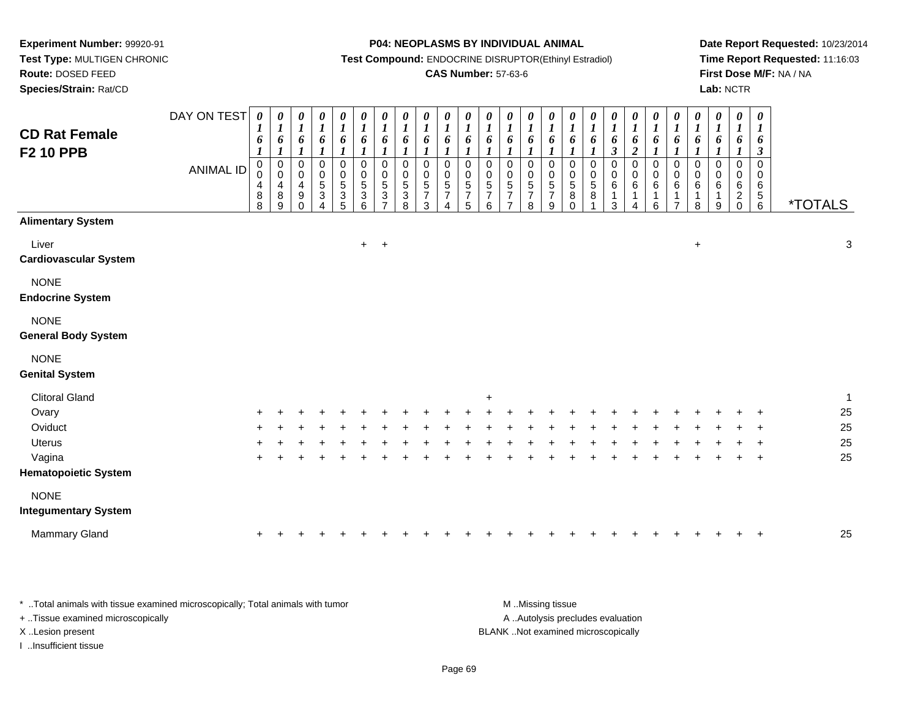**Test Type:** MULTIGEN CHRONIC**Route:** DOSED FEED

**Species/Strain:** Rat/CD

#### **P04: NEOPLASMS BY INDIVIDUAL ANIMAL**

**Test Compound:** ENDOCRINE DISRUPTOR(Ethinyl Estradiol)

### **CAS Number:** 57-63-6

**Date Report Requested:** 10/23/2014**Time Report Requested:** 11:16:03**First Dose M/F:** NA / NA**Lab:** NCTR

| <b>CD Rat Female</b><br><b>F2 10 PPB</b>  | DAY ON TEST<br><b>ANIMAL ID</b> | $\boldsymbol{\theta}$<br>$\boldsymbol{l}$<br>6<br>$\boldsymbol{\mathit{1}}$<br>0<br>$\mathbf 0$<br>4<br>8<br>8 | $\boldsymbol{l}$<br>6<br>$\boldsymbol{l}$<br>0<br>$\pmb{0}$<br>4<br>8<br>9 | 0<br>$\boldsymbol{l}$<br>$\pmb{6}$<br>$\boldsymbol{l}$<br>$\pmb{0}$<br>$\mathbf 0$<br>$\overline{4}$<br>9<br>$\Omega$ | 0<br>$\boldsymbol{l}$<br>6<br>$\boldsymbol{l}$<br>$\pmb{0}$<br>$\pmb{0}$<br>$\sqrt{5}$<br>$\ensuremath{\mathsf{3}}$<br>$\lambda$ | $\boldsymbol{\theta}$<br>$\boldsymbol{l}$<br>6<br>$\boldsymbol{l}$<br>$\pmb{0}$<br>$\pmb{0}$<br>$\sqrt{5}$<br>$\ensuremath{\mathsf{3}}$<br>5 | $\pmb{\theta}$<br>$\boldsymbol{l}$<br>6<br>$\boldsymbol{l}$<br>$\mathbf 0$<br>$\pmb{0}$<br>$\sqrt{5}$<br>3<br>6 | $\begin{matrix} 0 \\ 1 \end{matrix}$<br>6<br>$\boldsymbol{l}$<br>$\pmb{0}$<br>$\pmb{0}$<br>$\sqrt{5}$<br>$\sqrt{3}$<br>$\overline{ }$ | $\boldsymbol{\theta}$<br>$\boldsymbol{l}$<br>6<br>$\boldsymbol{l}$<br>$\mathbf 0$<br>$\mathbf 0$<br>5<br>3<br>8 | $\frac{\theta}{I}$<br>6<br>$\boldsymbol{l}$<br>$\mathbf 0$<br>$\mathbf 0$<br>5<br>$\overline{7}$<br>3 | $\frac{\theta}{I}$<br>6<br>$\boldsymbol{l}$<br>$\pmb{0}$<br>$\mathbf 0$<br>$\overline{5}$<br>$\overline{7}$ | $\begin{matrix} 0 \\ 1 \end{matrix}$<br>6<br>$\boldsymbol{l}$<br>$\pmb{0}$<br>$\begin{smallmatrix}0\0\5\end{smallmatrix}$<br>$\overline{7}$<br>5 | $\frac{\theta}{1}$<br>$\pmb{6}$<br>$\boldsymbol{l}$<br>0<br>$\pmb{0}$<br>$\sqrt{5}$<br>$\overline{7}$<br>6 | 0<br>$\boldsymbol{l}$<br>6<br>$\boldsymbol{l}$<br>0<br>$\pmb{0}$<br>$\sqrt{5}$<br>$\overline{7}$<br>$\overline{7}$ | 0<br>$\boldsymbol{l}$<br>$\boldsymbol{\delta}$<br>$\boldsymbol{l}$<br>$\mathbf 0$<br>$\pmb{0}$<br>$\sqrt{5}$<br>$\overline{7}$<br>8 | 0<br>$\boldsymbol{l}$<br>6<br>$\boldsymbol{l}$<br>$\mathbf 0$<br>$\mathbf 0$<br>5<br>$\overline{7}$<br>9 | $\boldsymbol{\theta}$<br>$\boldsymbol{l}$<br>$\pmb{6}$<br>$\boldsymbol{l}$<br>0<br>$\pmb{0}$<br>$\,$ 5 $\,$<br>8<br>$\Omega$ | 0<br>$\boldsymbol{I}$<br>6<br>$\boldsymbol{l}$<br>$\pmb{0}$<br>$\pmb{0}$<br>$\sqrt{5}$<br>8 | $\boldsymbol{\theta}$<br>$\boldsymbol{l}$<br>$\pmb{6}$<br>$\mathfrak{z}$<br>$\pmb{0}$<br>$\pmb{0}$<br>$\,6\,$<br>3 | 0<br>$\boldsymbol{l}$<br>6<br>$\overline{\mathbf{c}}$<br>$\mathbf 0$<br>$\mathsf 0$<br>6<br>$\lambda$ | 0<br>$\boldsymbol{l}$<br>6<br>$\boldsymbol{l}$<br>$\mathbf 0$<br>$\pmb{0}$<br>6<br>6 | $\frac{\theta}{I}$<br>$\pmb{6}$<br>$\boldsymbol{l}$<br>$\pmb{0}$<br>$\mathsf 0$<br>6<br>$\mathbf 1$<br>$\overline{7}$ | $\frac{\theta}{I}$<br>6<br>$\boldsymbol{l}$<br>$\pmb{0}$<br>$\pmb{0}$<br>$\,6\,$<br>$\mathbf{1}$<br>8 | $\boldsymbol{\theta}$<br>$\boldsymbol{l}$<br>$\boldsymbol{\theta}$<br>$\boldsymbol{l}$<br>$\mathbf 0$<br>0<br>6<br>1<br>9 | 0<br>$\boldsymbol{l}$<br>6<br>$\boldsymbol{I}$<br>$\mathbf 0$<br>0<br>6<br>$\overline{c}$<br>$\mathbf 0$ | $\boldsymbol{\theta}$<br>$\boldsymbol{l}$<br>6<br>$\boldsymbol{\beta}$<br>$\mathbf 0$<br>0<br>6<br>$\,$ 5 $\,$<br>$6\phantom{1}6$ | <i><b>*TOTALS</b></i> |              |
|-------------------------------------------|---------------------------------|----------------------------------------------------------------------------------------------------------------|----------------------------------------------------------------------------|-----------------------------------------------------------------------------------------------------------------------|----------------------------------------------------------------------------------------------------------------------------------|----------------------------------------------------------------------------------------------------------------------------------------------|-----------------------------------------------------------------------------------------------------------------|---------------------------------------------------------------------------------------------------------------------------------------|-----------------------------------------------------------------------------------------------------------------|-------------------------------------------------------------------------------------------------------|-------------------------------------------------------------------------------------------------------------|--------------------------------------------------------------------------------------------------------------------------------------------------|------------------------------------------------------------------------------------------------------------|--------------------------------------------------------------------------------------------------------------------|-------------------------------------------------------------------------------------------------------------------------------------|----------------------------------------------------------------------------------------------------------|------------------------------------------------------------------------------------------------------------------------------|---------------------------------------------------------------------------------------------|--------------------------------------------------------------------------------------------------------------------|-------------------------------------------------------------------------------------------------------|--------------------------------------------------------------------------------------|-----------------------------------------------------------------------------------------------------------------------|-------------------------------------------------------------------------------------------------------|---------------------------------------------------------------------------------------------------------------------------|----------------------------------------------------------------------------------------------------------|-----------------------------------------------------------------------------------------------------------------------------------|-----------------------|--------------|
| <b>Alimentary System</b>                  |                                 |                                                                                                                |                                                                            |                                                                                                                       |                                                                                                                                  |                                                                                                                                              |                                                                                                                 |                                                                                                                                       |                                                                                                                 |                                                                                                       |                                                                                                             |                                                                                                                                                  |                                                                                                            |                                                                                                                    |                                                                                                                                     |                                                                                                          |                                                                                                                              |                                                                                             |                                                                                                                    |                                                                                                       |                                                                                      |                                                                                                                       |                                                                                                       |                                                                                                                           |                                                                                                          |                                                                                                                                   |                       |              |
| Liver<br><b>Cardiovascular System</b>     |                                 |                                                                                                                |                                                                            |                                                                                                                       |                                                                                                                                  |                                                                                                                                              | $+$                                                                                                             | $+$                                                                                                                                   |                                                                                                                 |                                                                                                       |                                                                                                             |                                                                                                                                                  |                                                                                                            |                                                                                                                    |                                                                                                                                     |                                                                                                          |                                                                                                                              |                                                                                             |                                                                                                                    |                                                                                                       |                                                                                      |                                                                                                                       | $\ddot{}$                                                                                             |                                                                                                                           |                                                                                                          |                                                                                                                                   |                       | $\sqrt{3}$   |
| <b>NONE</b><br><b>Endocrine System</b>    |                                 |                                                                                                                |                                                                            |                                                                                                                       |                                                                                                                                  |                                                                                                                                              |                                                                                                                 |                                                                                                                                       |                                                                                                                 |                                                                                                       |                                                                                                             |                                                                                                                                                  |                                                                                                            |                                                                                                                    |                                                                                                                                     |                                                                                                          |                                                                                                                              |                                                                                             |                                                                                                                    |                                                                                                       |                                                                                      |                                                                                                                       |                                                                                                       |                                                                                                                           |                                                                                                          |                                                                                                                                   |                       |              |
| <b>NONE</b><br><b>General Body System</b> |                                 |                                                                                                                |                                                                            |                                                                                                                       |                                                                                                                                  |                                                                                                                                              |                                                                                                                 |                                                                                                                                       |                                                                                                                 |                                                                                                       |                                                                                                             |                                                                                                                                                  |                                                                                                            |                                                                                                                    |                                                                                                                                     |                                                                                                          |                                                                                                                              |                                                                                             |                                                                                                                    |                                                                                                       |                                                                                      |                                                                                                                       |                                                                                                       |                                                                                                                           |                                                                                                          |                                                                                                                                   |                       |              |
| <b>NONE</b><br><b>Genital System</b>      |                                 |                                                                                                                |                                                                            |                                                                                                                       |                                                                                                                                  |                                                                                                                                              |                                                                                                                 |                                                                                                                                       |                                                                                                                 |                                                                                                       |                                                                                                             |                                                                                                                                                  |                                                                                                            |                                                                                                                    |                                                                                                                                     |                                                                                                          |                                                                                                                              |                                                                                             |                                                                                                                    |                                                                                                       |                                                                                      |                                                                                                                       |                                                                                                       |                                                                                                                           |                                                                                                          |                                                                                                                                   |                       |              |
| <b>Clitoral Gland</b>                     |                                 |                                                                                                                |                                                                            |                                                                                                                       |                                                                                                                                  |                                                                                                                                              |                                                                                                                 |                                                                                                                                       |                                                                                                                 |                                                                                                       |                                                                                                             |                                                                                                                                                  | $\ddot{}$                                                                                                  |                                                                                                                    |                                                                                                                                     |                                                                                                          |                                                                                                                              |                                                                                             |                                                                                                                    |                                                                                                       |                                                                                      |                                                                                                                       |                                                                                                       |                                                                                                                           |                                                                                                          |                                                                                                                                   |                       | $\mathbf{1}$ |
| Ovary                                     |                                 |                                                                                                                |                                                                            |                                                                                                                       |                                                                                                                                  |                                                                                                                                              |                                                                                                                 |                                                                                                                                       |                                                                                                                 |                                                                                                       |                                                                                                             |                                                                                                                                                  |                                                                                                            |                                                                                                                    |                                                                                                                                     |                                                                                                          |                                                                                                                              |                                                                                             |                                                                                                                    |                                                                                                       |                                                                                      |                                                                                                                       |                                                                                                       |                                                                                                                           |                                                                                                          |                                                                                                                                   |                       | 25           |
| Oviduct                                   |                                 |                                                                                                                |                                                                            |                                                                                                                       |                                                                                                                                  |                                                                                                                                              |                                                                                                                 |                                                                                                                                       |                                                                                                                 |                                                                                                       |                                                                                                             |                                                                                                                                                  |                                                                                                            |                                                                                                                    |                                                                                                                                     |                                                                                                          |                                                                                                                              |                                                                                             |                                                                                                                    |                                                                                                       |                                                                                      |                                                                                                                       |                                                                                                       |                                                                                                                           |                                                                                                          |                                                                                                                                   |                       | 25           |
| <b>Uterus</b>                             |                                 |                                                                                                                |                                                                            |                                                                                                                       |                                                                                                                                  |                                                                                                                                              |                                                                                                                 |                                                                                                                                       |                                                                                                                 |                                                                                                       |                                                                                                             |                                                                                                                                                  |                                                                                                            |                                                                                                                    |                                                                                                                                     |                                                                                                          |                                                                                                                              |                                                                                             |                                                                                                                    |                                                                                                       |                                                                                      |                                                                                                                       |                                                                                                       |                                                                                                                           |                                                                                                          |                                                                                                                                   |                       | 25           |
| Vagina                                    |                                 | $\ddot{}$                                                                                                      |                                                                            |                                                                                                                       |                                                                                                                                  |                                                                                                                                              |                                                                                                                 |                                                                                                                                       |                                                                                                                 |                                                                                                       |                                                                                                             |                                                                                                                                                  |                                                                                                            |                                                                                                                    |                                                                                                                                     |                                                                                                          |                                                                                                                              |                                                                                             |                                                                                                                    |                                                                                                       |                                                                                      |                                                                                                                       |                                                                                                       |                                                                                                                           |                                                                                                          | $\ddot{}$                                                                                                                         |                       | 25           |
| <b>Hematopoietic System</b>               |                                 |                                                                                                                |                                                                            |                                                                                                                       |                                                                                                                                  |                                                                                                                                              |                                                                                                                 |                                                                                                                                       |                                                                                                                 |                                                                                                       |                                                                                                             |                                                                                                                                                  |                                                                                                            |                                                                                                                    |                                                                                                                                     |                                                                                                          |                                                                                                                              |                                                                                             |                                                                                                                    |                                                                                                       |                                                                                      |                                                                                                                       |                                                                                                       |                                                                                                                           |                                                                                                          |                                                                                                                                   |                       |              |
| <b>NONE</b>                               |                                 |                                                                                                                |                                                                            |                                                                                                                       |                                                                                                                                  |                                                                                                                                              |                                                                                                                 |                                                                                                                                       |                                                                                                                 |                                                                                                       |                                                                                                             |                                                                                                                                                  |                                                                                                            |                                                                                                                    |                                                                                                                                     |                                                                                                          |                                                                                                                              |                                                                                             |                                                                                                                    |                                                                                                       |                                                                                      |                                                                                                                       |                                                                                                       |                                                                                                                           |                                                                                                          |                                                                                                                                   |                       |              |
| <b>Integumentary System</b>               |                                 |                                                                                                                |                                                                            |                                                                                                                       |                                                                                                                                  |                                                                                                                                              |                                                                                                                 |                                                                                                                                       |                                                                                                                 |                                                                                                       |                                                                                                             |                                                                                                                                                  |                                                                                                            |                                                                                                                    |                                                                                                                                     |                                                                                                          |                                                                                                                              |                                                                                             |                                                                                                                    |                                                                                                       |                                                                                      |                                                                                                                       |                                                                                                       |                                                                                                                           |                                                                                                          |                                                                                                                                   |                       |              |
| Mammary Gland                             |                                 | +                                                                                                              |                                                                            |                                                                                                                       |                                                                                                                                  |                                                                                                                                              |                                                                                                                 |                                                                                                                                       |                                                                                                                 |                                                                                                       |                                                                                                             |                                                                                                                                                  |                                                                                                            |                                                                                                                    |                                                                                                                                     |                                                                                                          |                                                                                                                              |                                                                                             |                                                                                                                    |                                                                                                       |                                                                                      |                                                                                                                       |                                                                                                       |                                                                                                                           |                                                                                                          |                                                                                                                                   |                       | 25           |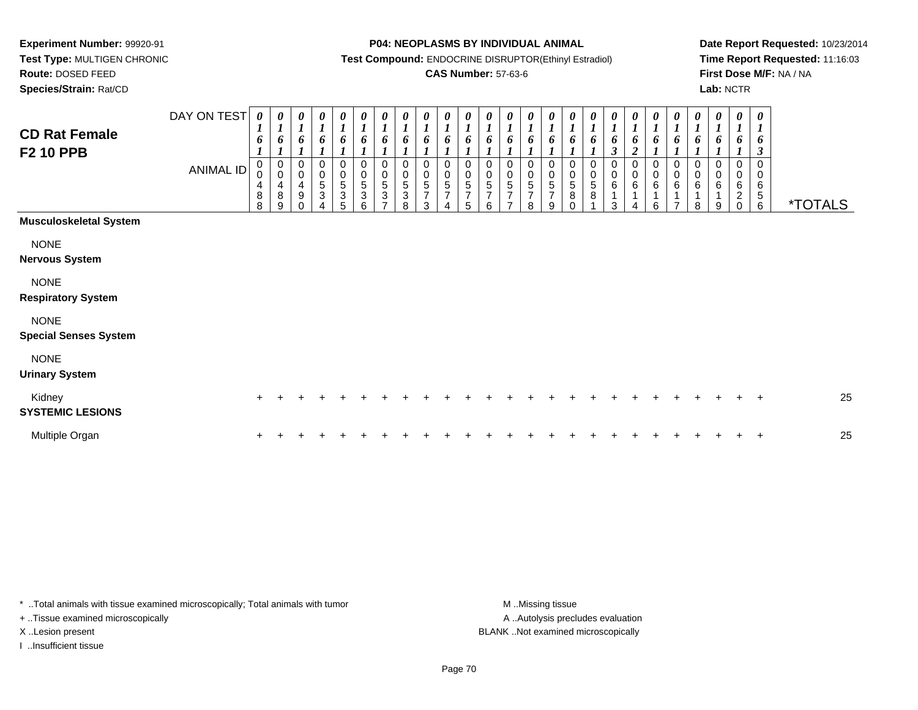**Test Type:** MULTIGEN CHRONIC**Route:** DOSED FEED

**Species/Strain:** Rat/CD

#### **P04: NEOPLASMS BY INDIVIDUAL ANIMAL**

**Test Compound:** ENDOCRINE DISRUPTOR(Ethinyl Estradiol)

### **CAS Number:** 57-63-6

**Date Report Requested:** 10/23/2014**Time Report Requested:** 11:16:03**First Dose M/F:** NA / NA**Lab:** NCTR

| <b>CD Rat Female</b><br><b>F2 10 PPB</b>    | DAY ON TEST<br><b>ANIMAL ID</b> | $\boldsymbol{\theta}$<br>1<br>6<br>0<br>$\pmb{0}$<br>4<br>8<br>8 | 0<br>$\overline{I}$<br>6<br>$\overline{ }$<br>0<br>$\pmb{0}$<br>4<br>8<br>9 | $\boldsymbol{l}$<br>6<br>0<br>$\mathbf 0$<br>4<br>9 | 0<br>6<br>$\pmb{0}$<br>$\mathbf 0$<br>$\,$ 5 $\,$<br>$\ensuremath{\mathsf{3}}$ | $\frac{\theta}{I}$<br>6<br>0<br>0<br>5<br>3<br>5 | 0<br>$\boldsymbol{l}$<br>6<br>0<br>0<br>$\sqrt{5}$<br>$\ensuremath{\mathsf{3}}$<br>6 | 0<br>$\boldsymbol{l}$<br>6<br>0<br>$\pmb{0}$<br>$\,$ 5 $\,$<br>3<br>⇁ | $\frac{\theta}{I}$<br>6<br>$\pmb{0}$<br>$\pmb{0}$<br>$\mathbf 5$<br>$\ensuremath{\mathsf{3}}$<br>8 | $\frac{\theta}{I}$<br>6<br>0<br>$\mathbf 0$<br>5<br>$\overline{7}$<br>3 | 0<br>$\boldsymbol{l}$<br>6<br>0<br>0<br>$\sqrt{5}$<br>$\overline{7}$ | $\boldsymbol{\theta}$<br>$\boldsymbol{l}$<br>6<br>0<br>0<br>5<br>$\overline{7}$<br>5 | 0<br>6<br>0<br>0<br>5<br>$\overline{7}$<br>6 | $\boldsymbol{\theta}$<br>$\boldsymbol{l}$<br>6<br>0<br>$\pmb{0}$<br>$\,$ 5 $\,$<br>$\overline{7}$ | 0<br>$\boldsymbol{l}$<br>6<br>0<br>$\pmb{0}$<br>5<br>$\overline{7}$<br>8 | 0<br>1<br>6<br>0<br>$\,0\,$<br>$\sqrt{5}$<br>$\overline{7}$<br>9 | 0<br>6<br>0<br>$\pmb{0}$<br>5<br>8<br>∩ | 0<br>$\boldsymbol{l}$<br>6<br>0<br>$\pmb{0}$<br>$\,$ 5 $\,$<br>8 | $\boldsymbol{\theta}$<br>$\boldsymbol{l}$<br>6<br>$\boldsymbol{\beta}$<br>0<br>6<br>3 | 0<br>6<br>$\boldsymbol{2}$<br>0<br>$\pmb{0}$<br>$\,6\,$<br>Δ | 0<br>6<br>0<br>0<br>6<br>6 | 0<br>$\boldsymbol{l}$<br>6<br>0<br>0<br>6<br>⇁ | $\boldsymbol{\theta}$<br>$\boldsymbol{l}$<br>6<br>0<br>$\pmb{0}$<br>$\,6\,$<br>1<br>8 | 0<br>$\boldsymbol{l}$<br>6<br>$\,0\,$<br>$\,0\,$<br>6<br>1<br>9 | $\boldsymbol{\theta}$<br>$\boldsymbol{l}$<br>6<br>0<br>$\pmb{0}$<br>6<br>$\sqrt{2}$<br>$\mathbf 0$ | 0<br>$\boldsymbol{l}$<br>6<br>$\boldsymbol{\beta}$<br>0<br>0<br>6<br>$\sqrt{5}$<br>$\,6\,$ | <i><b>*TOTALS</b></i> |
|---------------------------------------------|---------------------------------|------------------------------------------------------------------|-----------------------------------------------------------------------------|-----------------------------------------------------|--------------------------------------------------------------------------------|--------------------------------------------------|--------------------------------------------------------------------------------------|-----------------------------------------------------------------------|----------------------------------------------------------------------------------------------------|-------------------------------------------------------------------------|----------------------------------------------------------------------|--------------------------------------------------------------------------------------|----------------------------------------------|---------------------------------------------------------------------------------------------------|--------------------------------------------------------------------------|------------------------------------------------------------------|-----------------------------------------|------------------------------------------------------------------|---------------------------------------------------------------------------------------|--------------------------------------------------------------|----------------------------|------------------------------------------------|---------------------------------------------------------------------------------------|-----------------------------------------------------------------|----------------------------------------------------------------------------------------------------|--------------------------------------------------------------------------------------------|-----------------------|
| <b>Musculoskeletal System</b>               |                                 |                                                                  |                                                                             |                                                     |                                                                                |                                                  |                                                                                      |                                                                       |                                                                                                    |                                                                         |                                                                      |                                                                                      |                                              |                                                                                                   |                                                                          |                                                                  |                                         |                                                                  |                                                                                       |                                                              |                            |                                                |                                                                                       |                                                                 |                                                                                                    |                                                                                            |                       |
| <b>NONE</b><br><b>Nervous System</b>        |                                 |                                                                  |                                                                             |                                                     |                                                                                |                                                  |                                                                                      |                                                                       |                                                                                                    |                                                                         |                                                                      |                                                                                      |                                              |                                                                                                   |                                                                          |                                                                  |                                         |                                                                  |                                                                                       |                                                              |                            |                                                |                                                                                       |                                                                 |                                                                                                    |                                                                                            |                       |
| <b>NONE</b><br><b>Respiratory System</b>    |                                 |                                                                  |                                                                             |                                                     |                                                                                |                                                  |                                                                                      |                                                                       |                                                                                                    |                                                                         |                                                                      |                                                                                      |                                              |                                                                                                   |                                                                          |                                                                  |                                         |                                                                  |                                                                                       |                                                              |                            |                                                |                                                                                       |                                                                 |                                                                                                    |                                                                                            |                       |
| <b>NONE</b><br><b>Special Senses System</b> |                                 |                                                                  |                                                                             |                                                     |                                                                                |                                                  |                                                                                      |                                                                       |                                                                                                    |                                                                         |                                                                      |                                                                                      |                                              |                                                                                                   |                                                                          |                                                                  |                                         |                                                                  |                                                                                       |                                                              |                            |                                                |                                                                                       |                                                                 |                                                                                                    |                                                                                            |                       |
| <b>NONE</b><br><b>Urinary System</b>        |                                 |                                                                  |                                                                             |                                                     |                                                                                |                                                  |                                                                                      |                                                                       |                                                                                                    |                                                                         |                                                                      |                                                                                      |                                              |                                                                                                   |                                                                          |                                                                  |                                         |                                                                  |                                                                                       |                                                              |                            |                                                |                                                                                       |                                                                 |                                                                                                    |                                                                                            |                       |
| Kidney<br><b>SYSTEMIC LESIONS</b>           |                                 | $\ddot{}$                                                        |                                                                             |                                                     |                                                                                |                                                  |                                                                                      |                                                                       |                                                                                                    |                                                                         |                                                                      |                                                                                      |                                              |                                                                                                   |                                                                          |                                                                  |                                         |                                                                  |                                                                                       |                                                              |                            |                                                |                                                                                       |                                                                 |                                                                                                    | $\pm$                                                                                      | 25                    |
| Multiple Organ                              |                                 | $\ddot{}$                                                        |                                                                             |                                                     |                                                                                |                                                  |                                                                                      |                                                                       |                                                                                                    |                                                                         |                                                                      |                                                                                      |                                              |                                                                                                   |                                                                          |                                                                  |                                         |                                                                  |                                                                                       |                                                              |                            |                                                |                                                                                       |                                                                 |                                                                                                    | $\ddot{}$                                                                                  | 25                    |

\* ..Total animals with tissue examined microscopically; Total animals with tumor **M** . Missing tissue M ..Missing tissue

+ ..Tissue examined microscopically

I ..Insufficient tissue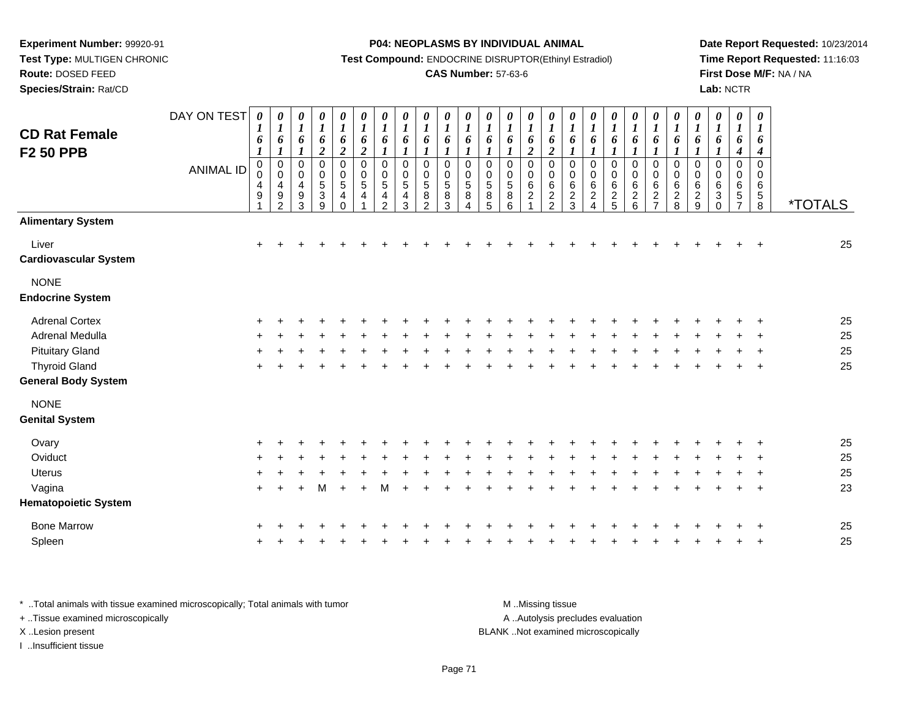**Test Type:** MULTIGEN CHRONIC**Route:** DOSED FEED

**Species/Strain:** Rat/CD

#### **P04: NEOPLASMS BY INDIVIDUAL ANIMAL**

**Test Compound:** ENDOCRINE DISRUPTOR(Ethinyl Estradiol)

### **CAS Number:** 57-63-6

**Date Report Requested:** 10/23/2014**Time Report Requested:** 11:16:03**First Dose M/F:** NA / NA**Lab:** NCTR

| <b>CD Rat Female</b><br><b>F2 50 PPB</b> | DAY ON TEST<br><b>ANIMAL ID</b> | $\boldsymbol{\theta}$<br>1<br>6<br>$\boldsymbol{l}$<br>0<br>0<br>4<br>9 | 0<br>$\boldsymbol{l}$<br>6<br>$\boldsymbol{l}$<br>$\pmb{0}$<br>$\mathsf 0$<br>4<br>9<br>$\overline{2}$ | $\pmb{\theta}$<br>$\boldsymbol{l}$<br>6<br>1<br>$\,0\,$<br>$\pmb{0}$<br>$\overline{4}$<br>$\boldsymbol{9}$<br>3 | $\boldsymbol{\theta}$<br>$\boldsymbol{l}$<br>6<br>$\overline{\mathbf{c}}$<br>$\pmb{0}$<br>$\pmb{0}$<br>$\,$ 5 $\,$<br>$\sqrt{3}$<br>9 | 0<br>$\boldsymbol{l}$<br>6<br>$\boldsymbol{2}$<br>$\pmb{0}$<br>$\pmb{0}$<br>$\sqrt{5}$<br>$\overline{\mathbf{4}}$<br>$\Omega$ | 0<br>$\boldsymbol{l}$<br>6<br>$\boldsymbol{2}$<br>$\pmb{0}$<br>$\boldsymbol{0}$<br>$\sqrt{5}$<br>4<br>1 | $\pmb{\theta}$<br>$\boldsymbol{l}$<br>6<br>$\mathbf{I}$<br>$\pmb{0}$<br>$\pmb{0}$<br>$\,$ 5 $\,$<br>4<br>$\overline{2}$ | 0<br>$\boldsymbol{l}$<br>6<br>0<br>$\mathbf 0$<br>5<br>4<br>3 | $\pmb{\theta}$<br>$\boldsymbol{l}$<br>6<br>$\boldsymbol{l}$<br>0<br>$\pmb{0}$<br>5<br>8<br>2 | $\boldsymbol{\theta}$<br>$\boldsymbol{l}$<br>6<br>$\boldsymbol{l}$<br>0<br>$\mathbf 0$<br>5<br>8<br>3 | $\begin{matrix} 0 \\ 1 \end{matrix}$<br>6<br>$\mathbf{I}$<br>$\pmb{0}$<br>$\frac{0}{5}$<br>8<br>$\overline{4}$ | $\pmb{\theta}$<br>$\boldsymbol{l}$<br>6<br>$\boldsymbol{l}$<br>$\pmb{0}$<br>$\mathsf{O}\xspace$<br>$\,$ 5 $\,$<br>8<br>5 | 0<br>$\boldsymbol{l}$<br>6<br>$\boldsymbol{l}$<br>0<br>0<br>$\,$ 5 $\,$<br>$\bf 8$<br>6 | 0<br>$\boldsymbol{l}$<br>6<br>$\boldsymbol{2}$<br>$\mathbf 0$<br>$\mathbf 0$<br>$\,6\,$<br>$\sqrt{2}$ | 0<br>$\boldsymbol{l}$<br>6<br>$\boldsymbol{2}$<br>0<br>$\pmb{0}$<br>$\,6\,$<br>$\boldsymbol{2}$<br>$\overline{2}$ | 0<br>$\boldsymbol{l}$<br>6<br>$\boldsymbol{l}$<br>0<br>$\mathbf 0$<br>$\,6\,$<br>$\sqrt{2}$<br>3 | 0<br>$\boldsymbol{l}$<br>6<br>$\boldsymbol{l}$<br>$\pmb{0}$<br>0<br>6<br>$\overline{c}$<br>$\overline{4}$ | $\pmb{\theta}$<br>$\boldsymbol{l}$<br>6<br>1<br>$\pmb{0}$<br>$\pmb{0}$<br>$\,6$<br>$\sqrt{2}$<br>5 | 0<br>$\boldsymbol{l}$<br>6<br>$\boldsymbol{l}$<br>$\boldsymbol{0}$<br>$\pmb{0}$<br>$\,6\,$<br>$\overline{2}$<br>$6\phantom{a}$ | $\pmb{\theta}$<br>$\boldsymbol{l}$<br>6<br>1<br>$\pmb{0}$<br>$\pmb{0}$<br>$\,6$<br>$\sqrt{2}$<br>$\overline{7}$ | $\boldsymbol{\theta}$<br>$\boldsymbol{l}$<br>6<br>$\boldsymbol{l}$<br>$\pmb{0}$<br>$\mathbf 0$<br>$\,6$<br>$\boldsymbol{2}$<br>8 | $\boldsymbol{\theta}$<br>$\boldsymbol{l}$<br>6<br>$\pmb{0}$<br>$\pmb{0}$<br>$\,6\,$<br>$\sqrt{2}$<br>9 | $\boldsymbol{\theta}$<br>$\boldsymbol{l}$<br>6<br>0<br>0<br>6<br>3<br>$\Omega$ | $\pmb{\theta}$<br>$\boldsymbol{l}$<br>6<br>$\boldsymbol{4}$<br>$\mathbf 0$<br>0<br>6<br>$\sqrt{5}$ | $\boldsymbol{\theta}$<br>$\boldsymbol{l}$<br>6<br>$\boldsymbol{4}$<br>$\mathbf 0$<br>$\mathbf 0$<br>6<br>$\sqrt{5}$<br>$\bf8$ | <i><b>*TOTALS</b></i> |
|------------------------------------------|---------------------------------|-------------------------------------------------------------------------|--------------------------------------------------------------------------------------------------------|-----------------------------------------------------------------------------------------------------------------|---------------------------------------------------------------------------------------------------------------------------------------|-------------------------------------------------------------------------------------------------------------------------------|---------------------------------------------------------------------------------------------------------|-------------------------------------------------------------------------------------------------------------------------|---------------------------------------------------------------|----------------------------------------------------------------------------------------------|-------------------------------------------------------------------------------------------------------|----------------------------------------------------------------------------------------------------------------|--------------------------------------------------------------------------------------------------------------------------|-----------------------------------------------------------------------------------------|-------------------------------------------------------------------------------------------------------|-------------------------------------------------------------------------------------------------------------------|--------------------------------------------------------------------------------------------------|-----------------------------------------------------------------------------------------------------------|----------------------------------------------------------------------------------------------------|--------------------------------------------------------------------------------------------------------------------------------|-----------------------------------------------------------------------------------------------------------------|----------------------------------------------------------------------------------------------------------------------------------|--------------------------------------------------------------------------------------------------------|--------------------------------------------------------------------------------|----------------------------------------------------------------------------------------------------|-------------------------------------------------------------------------------------------------------------------------------|-----------------------|
| <b>Alimentary System</b>                 |                                 |                                                                         |                                                                                                        |                                                                                                                 |                                                                                                                                       |                                                                                                                               |                                                                                                         |                                                                                                                         |                                                               |                                                                                              |                                                                                                       |                                                                                                                |                                                                                                                          |                                                                                         |                                                                                                       |                                                                                                                   |                                                                                                  |                                                                                                           |                                                                                                    |                                                                                                                                |                                                                                                                 |                                                                                                                                  |                                                                                                        |                                                                                |                                                                                                    |                                                                                                                               |                       |
| Liver<br><b>Cardiovascular System</b>    |                                 | $\ddot{}$                                                               |                                                                                                        |                                                                                                                 |                                                                                                                                       |                                                                                                                               |                                                                                                         |                                                                                                                         |                                                               |                                                                                              |                                                                                                       |                                                                                                                |                                                                                                                          |                                                                                         |                                                                                                       |                                                                                                                   |                                                                                                  |                                                                                                           |                                                                                                    |                                                                                                                                |                                                                                                                 |                                                                                                                                  |                                                                                                        |                                                                                |                                                                                                    |                                                                                                                               | 25                    |
| <b>NONE</b><br><b>Endocrine System</b>   |                                 |                                                                         |                                                                                                        |                                                                                                                 |                                                                                                                                       |                                                                                                                               |                                                                                                         |                                                                                                                         |                                                               |                                                                                              |                                                                                                       |                                                                                                                |                                                                                                                          |                                                                                         |                                                                                                       |                                                                                                                   |                                                                                                  |                                                                                                           |                                                                                                    |                                                                                                                                |                                                                                                                 |                                                                                                                                  |                                                                                                        |                                                                                |                                                                                                    |                                                                                                                               |                       |
| <b>Adrenal Cortex</b>                    |                                 |                                                                         |                                                                                                        |                                                                                                                 |                                                                                                                                       |                                                                                                                               |                                                                                                         |                                                                                                                         |                                                               |                                                                                              |                                                                                                       |                                                                                                                |                                                                                                                          |                                                                                         |                                                                                                       |                                                                                                                   |                                                                                                  |                                                                                                           |                                                                                                    |                                                                                                                                |                                                                                                                 |                                                                                                                                  |                                                                                                        |                                                                                |                                                                                                    |                                                                                                                               | 25                    |
| Adrenal Medulla                          |                                 |                                                                         |                                                                                                        |                                                                                                                 |                                                                                                                                       |                                                                                                                               |                                                                                                         |                                                                                                                         |                                                               |                                                                                              |                                                                                                       |                                                                                                                |                                                                                                                          |                                                                                         |                                                                                                       |                                                                                                                   |                                                                                                  |                                                                                                           |                                                                                                    |                                                                                                                                |                                                                                                                 |                                                                                                                                  |                                                                                                        |                                                                                |                                                                                                    |                                                                                                                               | 25                    |
| <b>Pituitary Gland</b>                   |                                 |                                                                         |                                                                                                        |                                                                                                                 |                                                                                                                                       |                                                                                                                               |                                                                                                         |                                                                                                                         |                                                               |                                                                                              |                                                                                                       |                                                                                                                |                                                                                                                          |                                                                                         |                                                                                                       |                                                                                                                   |                                                                                                  |                                                                                                           |                                                                                                    |                                                                                                                                |                                                                                                                 |                                                                                                                                  |                                                                                                        |                                                                                |                                                                                                    |                                                                                                                               | 25                    |
| <b>Thyroid Gland</b>                     |                                 | $\div$                                                                  |                                                                                                        |                                                                                                                 |                                                                                                                                       |                                                                                                                               |                                                                                                         |                                                                                                                         |                                                               |                                                                                              |                                                                                                       |                                                                                                                |                                                                                                                          |                                                                                         |                                                                                                       |                                                                                                                   |                                                                                                  |                                                                                                           |                                                                                                    |                                                                                                                                |                                                                                                                 |                                                                                                                                  |                                                                                                        |                                                                                |                                                                                                    | $\overline{+}$                                                                                                                | 25                    |
| <b>General Body System</b>               |                                 |                                                                         |                                                                                                        |                                                                                                                 |                                                                                                                                       |                                                                                                                               |                                                                                                         |                                                                                                                         |                                                               |                                                                                              |                                                                                                       |                                                                                                                |                                                                                                                          |                                                                                         |                                                                                                       |                                                                                                                   |                                                                                                  |                                                                                                           |                                                                                                    |                                                                                                                                |                                                                                                                 |                                                                                                                                  |                                                                                                        |                                                                                |                                                                                                    |                                                                                                                               |                       |
| <b>NONE</b>                              |                                 |                                                                         |                                                                                                        |                                                                                                                 |                                                                                                                                       |                                                                                                                               |                                                                                                         |                                                                                                                         |                                                               |                                                                                              |                                                                                                       |                                                                                                                |                                                                                                                          |                                                                                         |                                                                                                       |                                                                                                                   |                                                                                                  |                                                                                                           |                                                                                                    |                                                                                                                                |                                                                                                                 |                                                                                                                                  |                                                                                                        |                                                                                |                                                                                                    |                                                                                                                               |                       |
| <b>Genital System</b>                    |                                 |                                                                         |                                                                                                        |                                                                                                                 |                                                                                                                                       |                                                                                                                               |                                                                                                         |                                                                                                                         |                                                               |                                                                                              |                                                                                                       |                                                                                                                |                                                                                                                          |                                                                                         |                                                                                                       |                                                                                                                   |                                                                                                  |                                                                                                           |                                                                                                    |                                                                                                                                |                                                                                                                 |                                                                                                                                  |                                                                                                        |                                                                                |                                                                                                    |                                                                                                                               |                       |
| Ovary                                    |                                 |                                                                         |                                                                                                        |                                                                                                                 |                                                                                                                                       |                                                                                                                               |                                                                                                         |                                                                                                                         |                                                               |                                                                                              |                                                                                                       |                                                                                                                |                                                                                                                          |                                                                                         |                                                                                                       |                                                                                                                   |                                                                                                  |                                                                                                           |                                                                                                    |                                                                                                                                |                                                                                                                 |                                                                                                                                  |                                                                                                        |                                                                                |                                                                                                    |                                                                                                                               | 25                    |
| Oviduct                                  |                                 | ÷                                                                       |                                                                                                        |                                                                                                                 |                                                                                                                                       |                                                                                                                               |                                                                                                         |                                                                                                                         |                                                               |                                                                                              |                                                                                                       |                                                                                                                |                                                                                                                          |                                                                                         |                                                                                                       |                                                                                                                   |                                                                                                  |                                                                                                           |                                                                                                    |                                                                                                                                |                                                                                                                 |                                                                                                                                  |                                                                                                        |                                                                                |                                                                                                    |                                                                                                                               | 25                    |
| <b>Uterus</b>                            |                                 |                                                                         |                                                                                                        |                                                                                                                 |                                                                                                                                       |                                                                                                                               |                                                                                                         |                                                                                                                         |                                                               |                                                                                              |                                                                                                       |                                                                                                                |                                                                                                                          |                                                                                         |                                                                                                       |                                                                                                                   |                                                                                                  |                                                                                                           |                                                                                                    |                                                                                                                                |                                                                                                                 |                                                                                                                                  |                                                                                                        |                                                                                |                                                                                                    |                                                                                                                               | 25                    |
| Vagina                                   |                                 | $\ddot{}$                                                               |                                                                                                        |                                                                                                                 | м                                                                                                                                     |                                                                                                                               |                                                                                                         | м                                                                                                                       |                                                               |                                                                                              |                                                                                                       |                                                                                                                |                                                                                                                          |                                                                                         |                                                                                                       |                                                                                                                   |                                                                                                  |                                                                                                           |                                                                                                    |                                                                                                                                |                                                                                                                 |                                                                                                                                  |                                                                                                        |                                                                                |                                                                                                    | $\ddot{}$                                                                                                                     | 23                    |
| <b>Hematopoietic System</b>              |                                 |                                                                         |                                                                                                        |                                                                                                                 |                                                                                                                                       |                                                                                                                               |                                                                                                         |                                                                                                                         |                                                               |                                                                                              |                                                                                                       |                                                                                                                |                                                                                                                          |                                                                                         |                                                                                                       |                                                                                                                   |                                                                                                  |                                                                                                           |                                                                                                    |                                                                                                                                |                                                                                                                 |                                                                                                                                  |                                                                                                        |                                                                                |                                                                                                    |                                                                                                                               |                       |
| <b>Bone Marrow</b>                       |                                 |                                                                         |                                                                                                        |                                                                                                                 |                                                                                                                                       |                                                                                                                               |                                                                                                         |                                                                                                                         |                                                               |                                                                                              |                                                                                                       |                                                                                                                |                                                                                                                          |                                                                                         |                                                                                                       |                                                                                                                   |                                                                                                  |                                                                                                           |                                                                                                    |                                                                                                                                |                                                                                                                 |                                                                                                                                  |                                                                                                        |                                                                                |                                                                                                    |                                                                                                                               | 25                    |
| Spleen                                   |                                 |                                                                         |                                                                                                        |                                                                                                                 |                                                                                                                                       |                                                                                                                               |                                                                                                         |                                                                                                                         |                                                               |                                                                                              |                                                                                                       |                                                                                                                |                                                                                                                          |                                                                                         |                                                                                                       |                                                                                                                   |                                                                                                  |                                                                                                           |                                                                                                    |                                                                                                                                |                                                                                                                 |                                                                                                                                  |                                                                                                        |                                                                                |                                                                                                    |                                                                                                                               | 25                    |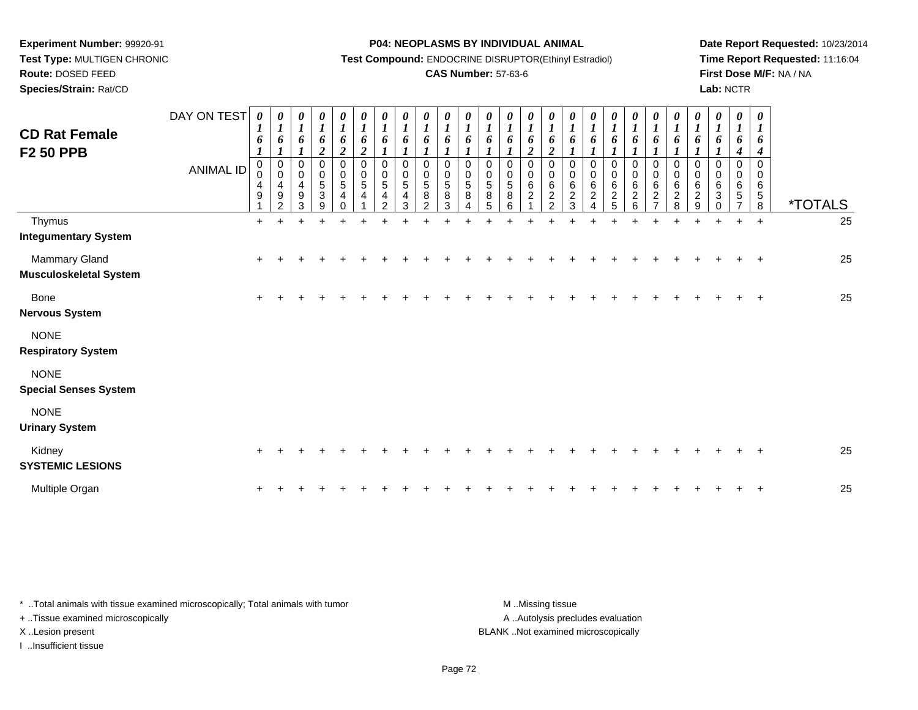**Test Type:** MULTIGEN CHRONIC**Route:** DOSED FEED

**Species/Strain:** Rat/CD

#### **P04: NEOPLASMS BY INDIVIDUAL ANIMAL**

**Test Compound:** ENDOCRINE DISRUPTOR(Ethinyl Estradiol)

### **CAS Number:** 57-63-6

**Date Report Requested:** 10/23/2014**Time Report Requested:** 11:16:04**First Dose M/F:** NA / NA**Lab:** NCTR

| <b>CD Rat Female</b><br><b>F2 50 PPB</b>       | DAY ON TEST<br><b>ANIMAL ID</b> | $\boldsymbol{l}$<br>6<br>$\boldsymbol{l}$<br>$\mathbf 0$<br>0<br>$\overline{4}$<br>9 | $\boldsymbol{l}$<br>6<br>$\boldsymbol{l}$<br>$\mathbf 0$<br>$\mathbf 0$<br>4<br>$\boldsymbol{9}$<br>$\mathfrak{p}$ | U<br>$\boldsymbol{l}$<br>6<br>0<br>$\mathbf 0$<br>4<br>9<br>3 | $\frac{\theta}{I}$<br>6<br>$\overline{2}$<br>0<br>$\mathbf 0$<br>5<br>$\sqrt{3}$<br>9 | 0<br>$\boldsymbol{l}$<br>6<br>$\overline{c}$<br>0<br>$\pmb{0}$<br>$\overline{5}$<br>$\overline{4}$<br>$\Omega$ | 0<br>$\boldsymbol{I}$<br>6<br>$\overline{2}$<br>$\boldsymbol{0}$<br>$\mathbf 0$<br>$\,$ 5 $\,$<br>$\overline{4}$ | $\frac{\theta}{I}$<br>6<br>$\pmb{0}$<br>$\mathbf 0$<br>$\sqrt{5}$<br>$\overline{4}$<br>$\mathfrak{p}$ | $\frac{\theta}{I}$<br>6<br>0<br>$\mathbf 0$<br>5<br>4<br>3 | $\frac{\boldsymbol{\theta}}{\boldsymbol{I}}$<br>6<br>$\Omega$<br>0<br>$\sqrt{5}$<br>8<br>$\mathcal{P}$ | $\boldsymbol{\mathit{U}}$<br>$\boldsymbol{l}$<br>6<br>$\Omega$<br>$\mathbf 0$<br>$\overline{5}$<br>8<br>3 | $\boldsymbol{\theta}$<br>$\boldsymbol{l}$<br>6<br>$\Omega$<br>0<br>5<br>$\bf 8$ | 0<br>$\boldsymbol{l}$<br>6<br>0<br>0<br>$\,$ 5 $\,$<br>$\bf 8$<br>5 | 0<br>$\boldsymbol{l}$<br>6<br>$\Omega$<br>0<br>5<br>8<br>6 | 0<br>$\boldsymbol{I}$<br>6<br>$\overline{c}$<br>$\mathbf 0$<br>$\mathbf 0$<br>6<br>$\overline{c}$ | 0<br>$\boldsymbol{l}$<br>6<br>$\overline{\mathbf{c}}$<br>$\Omega$<br>0<br>6<br>$\overline{c}$<br>$\mathcal{P}$ | 0<br>$\boldsymbol{l}$<br>6<br>0<br>$\pmb{0}$<br>6<br>$\boldsymbol{2}$<br>3 | $\boldsymbol{\theta}$<br>$\boldsymbol{l}$<br>6<br>$\boldsymbol{l}$<br>$\mathbf 0$<br>$\mathbf 0$<br>$\,6$<br>$\sqrt{2}$<br>$\Delta$ | 0<br>$\boldsymbol{l}$<br>6<br>$\mathbf 0$<br>$\mathbf 0$<br>6<br>$\frac{2}{5}$ | $\frac{\boldsymbol{\theta}}{\boldsymbol{I}}$<br>6<br>0<br>0<br>6<br>$\overline{2}$<br>6 | $\frac{\boldsymbol{\theta}}{\boldsymbol{I}}$<br>6<br>$\mathbf{I}$<br>0<br>$\pmb{0}$<br>6<br>$\boldsymbol{2}$ | $\boldsymbol{\theta}$<br>$\boldsymbol{l}$<br>6<br>$\pmb{0}$<br>$\pmb{0}$<br>$\,6\,$<br>$\overline{2}$<br>8 | 0<br>$\boldsymbol{l}$<br>6<br>$\Omega$<br>0<br>$\,6\,$<br>$\overline{c}$<br>9 | $\boldsymbol{\theta}$<br>$\boldsymbol{l}$<br>6<br>$\Omega$<br>0<br>6<br>$\mathbf{3}$<br>$\Omega$ | 0<br>$\boldsymbol{l}$<br>6<br>4<br>$\Omega$<br>0<br>6<br>5 | $\boldsymbol{\theta}$<br>6<br>4<br>$\Omega$<br>$\mathbf 0$<br>6<br>5<br>8 | <i><b>*TOTALS</b></i> |
|------------------------------------------------|---------------------------------|--------------------------------------------------------------------------------------|--------------------------------------------------------------------------------------------------------------------|---------------------------------------------------------------|---------------------------------------------------------------------------------------|----------------------------------------------------------------------------------------------------------------|------------------------------------------------------------------------------------------------------------------|-------------------------------------------------------------------------------------------------------|------------------------------------------------------------|--------------------------------------------------------------------------------------------------------|-----------------------------------------------------------------------------------------------------------|---------------------------------------------------------------------------------|---------------------------------------------------------------------|------------------------------------------------------------|---------------------------------------------------------------------------------------------------|----------------------------------------------------------------------------------------------------------------|----------------------------------------------------------------------------|-------------------------------------------------------------------------------------------------------------------------------------|--------------------------------------------------------------------------------|-----------------------------------------------------------------------------------------|--------------------------------------------------------------------------------------------------------------|------------------------------------------------------------------------------------------------------------|-------------------------------------------------------------------------------|--------------------------------------------------------------------------------------------------|------------------------------------------------------------|---------------------------------------------------------------------------|-----------------------|
| Thymus                                         |                                 | $+$                                                                                  |                                                                                                                    |                                                               |                                                                                       |                                                                                                                |                                                                                                                  |                                                                                                       |                                                            |                                                                                                        |                                                                                                           |                                                                                 |                                                                     |                                                            |                                                                                                   |                                                                                                                |                                                                            |                                                                                                                                     |                                                                                |                                                                                         |                                                                                                              |                                                                                                            | $\ddot{}$                                                                     |                                                                                                  |                                                            | $\ddot{}$                                                                 | 25                    |
| <b>Integumentary System</b>                    |                                 |                                                                                      |                                                                                                                    |                                                               |                                                                                       |                                                                                                                |                                                                                                                  |                                                                                                       |                                                            |                                                                                                        |                                                                                                           |                                                                                 |                                                                     |                                                            |                                                                                                   |                                                                                                                |                                                                            |                                                                                                                                     |                                                                                |                                                                                         |                                                                                                              |                                                                                                            |                                                                               |                                                                                                  |                                                            |                                                                           |                       |
| Mammary Gland<br><b>Musculoskeletal System</b> |                                 | $\ddot{}$                                                                            |                                                                                                                    |                                                               |                                                                                       |                                                                                                                |                                                                                                                  |                                                                                                       |                                                            |                                                                                                        |                                                                                                           |                                                                                 |                                                                     |                                                            |                                                                                                   |                                                                                                                |                                                                            |                                                                                                                                     |                                                                                |                                                                                         |                                                                                                              |                                                                                                            |                                                                               |                                                                                                  |                                                            |                                                                           | 25                    |
| <b>Bone</b><br><b>Nervous System</b>           |                                 | $\pm$                                                                                |                                                                                                                    |                                                               |                                                                                       |                                                                                                                |                                                                                                                  |                                                                                                       |                                                            |                                                                                                        |                                                                                                           |                                                                                 |                                                                     |                                                            |                                                                                                   |                                                                                                                |                                                                            |                                                                                                                                     |                                                                                |                                                                                         |                                                                                                              |                                                                                                            |                                                                               |                                                                                                  |                                                            | $\overline{ }$                                                            | 25                    |
| <b>NONE</b><br><b>Respiratory System</b>       |                                 |                                                                                      |                                                                                                                    |                                                               |                                                                                       |                                                                                                                |                                                                                                                  |                                                                                                       |                                                            |                                                                                                        |                                                                                                           |                                                                                 |                                                                     |                                                            |                                                                                                   |                                                                                                                |                                                                            |                                                                                                                                     |                                                                                |                                                                                         |                                                                                                              |                                                                                                            |                                                                               |                                                                                                  |                                                            |                                                                           |                       |
| <b>NONE</b><br><b>Special Senses System</b>    |                                 |                                                                                      |                                                                                                                    |                                                               |                                                                                       |                                                                                                                |                                                                                                                  |                                                                                                       |                                                            |                                                                                                        |                                                                                                           |                                                                                 |                                                                     |                                                            |                                                                                                   |                                                                                                                |                                                                            |                                                                                                                                     |                                                                                |                                                                                         |                                                                                                              |                                                                                                            |                                                                               |                                                                                                  |                                                            |                                                                           |                       |
| <b>NONE</b><br><b>Urinary System</b>           |                                 |                                                                                      |                                                                                                                    |                                                               |                                                                                       |                                                                                                                |                                                                                                                  |                                                                                                       |                                                            |                                                                                                        |                                                                                                           |                                                                                 |                                                                     |                                                            |                                                                                                   |                                                                                                                |                                                                            |                                                                                                                                     |                                                                                |                                                                                         |                                                                                                              |                                                                                                            |                                                                               |                                                                                                  |                                                            |                                                                           |                       |
| Kidney<br><b>SYSTEMIC LESIONS</b>              |                                 | ÷                                                                                    |                                                                                                                    |                                                               |                                                                                       |                                                                                                                |                                                                                                                  |                                                                                                       |                                                            |                                                                                                        |                                                                                                           |                                                                                 |                                                                     |                                                            |                                                                                                   |                                                                                                                |                                                                            |                                                                                                                                     |                                                                                |                                                                                         |                                                                                                              |                                                                                                            |                                                                               |                                                                                                  |                                                            |                                                                           | 25                    |
| Multiple Organ                                 |                                 |                                                                                      |                                                                                                                    |                                                               |                                                                                       |                                                                                                                |                                                                                                                  |                                                                                                       |                                                            |                                                                                                        |                                                                                                           |                                                                                 |                                                                     |                                                            |                                                                                                   |                                                                                                                |                                                                            |                                                                                                                                     |                                                                                |                                                                                         |                                                                                                              |                                                                                                            |                                                                               |                                                                                                  |                                                            |                                                                           | 25                    |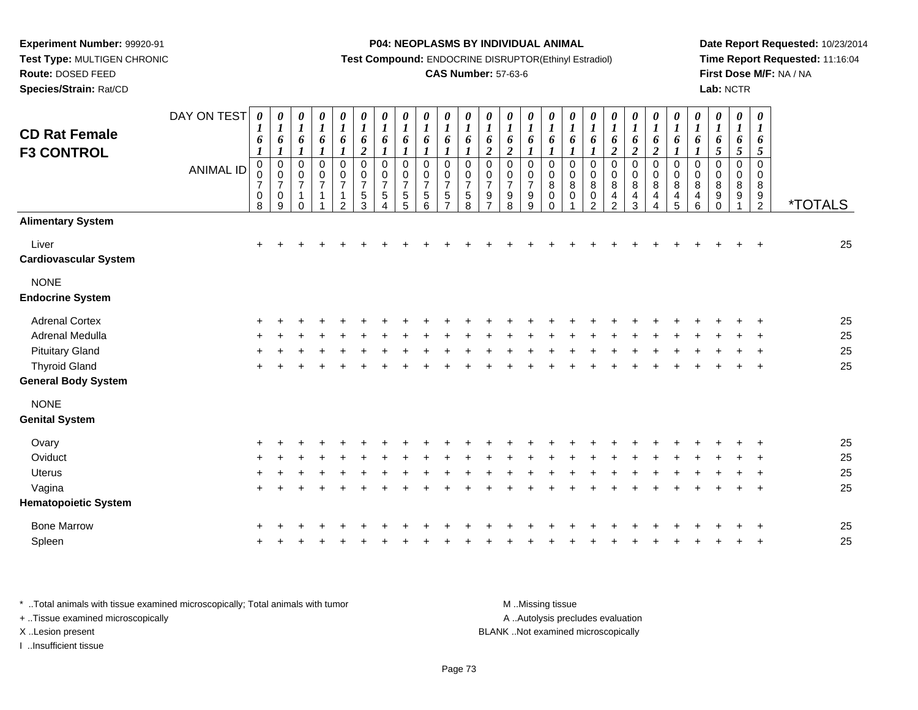**Route:** DOSED FEED

**Species/Strain:** Rat/CD

#### **P04: NEOPLASMS BY INDIVIDUAL ANIMAL**

**Test Compound:** ENDOCRINE DISRUPTOR(Ethinyl Estradiol)

### **CAS Number:** 57-63-6

**Date Report Requested:** 10/23/2014**Time Report Requested:** 11:16:04**First Dose M/F:** NA / NA**Lab:** NCTR

| <b>CD Rat Female</b><br><b>F3 CONTROL</b> | DAY ON TEST<br><b>ANIMAL ID</b> | 0<br>$\boldsymbol{l}$<br>6<br>$\boldsymbol{l}$<br>$\mathbf 0$<br>0<br>$\overline{7}$<br>0<br>8 | 0<br>$\boldsymbol{l}$<br>6<br>$\boldsymbol{l}$<br>$\pmb{0}$<br>$\pmb{0}$<br>$\overline{7}$<br>$\pmb{0}$<br>$9\,$ | 0<br>$\boldsymbol{l}$<br>$\pmb{6}$<br>$\boldsymbol{l}$<br>$\pmb{0}$<br>$\mathbf 0$<br>$\overline{7}$<br>1<br>$\Omega$ | 0<br>$\boldsymbol{l}$<br>6<br>$\boldsymbol{l}$<br>$\pmb{0}$<br>$\frac{0}{7}$<br>$\mathbf{1}$ | $\boldsymbol{\theta}$<br>$\boldsymbol{l}$<br>$\pmb{6}$<br>$\boldsymbol{l}$<br>0<br>$\begin{array}{c} 0 \\ 7 \end{array}$<br>1<br>$\overline{c}$ | 0<br>$\boldsymbol{l}$<br>6<br>$\overline{2}$<br>$\mathbf 0$<br>$\mathsf 0$<br>$\boldsymbol{7}$<br>5<br>$\overline{3}$ | $\pmb{\theta}$<br>$\boldsymbol{l}$<br>6<br>$\boldsymbol{l}$<br>$\mathbf 0$<br>$\mathbf 0$<br>$\overline{7}$<br>$\sqrt{5}$<br>4 | 0<br>$\boldsymbol{l}$<br>6<br>0<br>0<br>$\overline{7}$<br>5<br>5 | 0<br>$\boldsymbol{l}$<br>6<br>$\boldsymbol{l}$<br>0<br>$\mathbf 0$<br>$\overline{7}$<br>$\begin{array}{c} 5 \\ 6 \end{array}$ | $\boldsymbol{\theta}$<br>$\boldsymbol{l}$<br>6<br>$\boldsymbol{l}$<br>$\mathbf 0$<br>$\mathbf 0$<br>$\overline{7}$<br>$\,$ 5 $\,$<br>$\overline{7}$ | $\pmb{\theta}$<br>$\boldsymbol{l}$<br>6<br>1<br>$\pmb{0}$<br>0<br>$\overline{7}$<br>$\overline{5}$<br>8 | 0<br>$\boldsymbol{l}$<br>6<br>$\overline{2}$<br>0<br>0<br>$\overline{7}$<br>$\boldsymbol{9}$<br>$\overline{7}$ | 0<br>$\boldsymbol{l}$<br>6<br>$\overline{2}$<br>0<br>$\frac{0}{7}$<br>$\boldsymbol{9}$<br>$\overline{8}$ | $\boldsymbol{\theta}$<br>$\boldsymbol{I}$<br>6<br>$\boldsymbol{l}$<br>$\pmb{0}$<br>$\pmb{0}$<br>$\boldsymbol{7}$<br>$\boldsymbol{9}$<br>$\boldsymbol{9}$ | 0<br>$\boldsymbol{l}$<br>6<br>$\boldsymbol{l}$<br>$\,0\,$<br>$\pmb{0}$<br>$\bf 8$<br>$\,0\,$<br>$\Omega$ | $\boldsymbol{\theta}$<br>$\boldsymbol{l}$<br>$\pmb{6}$<br>$\boldsymbol{l}$<br>$\mathbf 0$<br>$\pmb{0}$<br>8<br>$\mathbf 0$ | 0<br>$\boldsymbol{l}$<br>6<br>$\boldsymbol{l}$<br>$\pmb{0}$<br>0<br>8<br>$\mathbf 0$<br>$\overline{2}$ | $\boldsymbol{\theta}$<br>$\boldsymbol{l}$<br>6<br>$\boldsymbol{2}$<br>$\pmb{0}$<br>$\mathbf 0$<br>8<br>4<br>$\overline{2}$ | 0<br>$\boldsymbol{l}$<br>6<br>$\overline{2}$<br>$\boldsymbol{0}$<br>$\pmb{0}$<br>8<br>$\overline{\mathbf{4}}$<br>3 | 0<br>$\boldsymbol{l}$<br>6<br>$\overline{2}$<br>$\pmb{0}$<br>$\pmb{0}$<br>8<br>$\overline{\mathbf{4}}$<br>4 | $\pmb{\theta}$<br>$\boldsymbol{l}$<br>6<br>$\boldsymbol{l}$<br>$\mathbf 0$<br>$\mathbf 0$<br>8<br>4<br>$\overline{5}$ | $\pmb{\theta}$<br>$\boldsymbol{l}$<br>6<br>$\mathbf{I}$<br>$\mathbf 0$<br>0<br>8<br>$\overline{\mathbf{4}}$<br>$\,6\,$ | $\pmb{\theta}$<br>$\boldsymbol{l}$<br>6<br>5<br>0<br>0<br>8<br>9<br>$\mathbf 0$ | $\pmb{\theta}$<br>$\boldsymbol{l}$<br>6<br>$5\overline{)}$<br>0<br>0<br>8<br>9 | $\boldsymbol{\theta}$<br>$\boldsymbol{l}$<br>6<br>5<br>0<br>$\mathbf 0$<br>8<br>9<br>$\overline{2}$ | <i><b>*TOTALS</b></i> |
|-------------------------------------------|---------------------------------|------------------------------------------------------------------------------------------------|------------------------------------------------------------------------------------------------------------------|-----------------------------------------------------------------------------------------------------------------------|----------------------------------------------------------------------------------------------|-------------------------------------------------------------------------------------------------------------------------------------------------|-----------------------------------------------------------------------------------------------------------------------|--------------------------------------------------------------------------------------------------------------------------------|------------------------------------------------------------------|-------------------------------------------------------------------------------------------------------------------------------|-----------------------------------------------------------------------------------------------------------------------------------------------------|---------------------------------------------------------------------------------------------------------|----------------------------------------------------------------------------------------------------------------|----------------------------------------------------------------------------------------------------------|----------------------------------------------------------------------------------------------------------------------------------------------------------|----------------------------------------------------------------------------------------------------------|----------------------------------------------------------------------------------------------------------------------------|--------------------------------------------------------------------------------------------------------|----------------------------------------------------------------------------------------------------------------------------|--------------------------------------------------------------------------------------------------------------------|-------------------------------------------------------------------------------------------------------------|-----------------------------------------------------------------------------------------------------------------------|------------------------------------------------------------------------------------------------------------------------|---------------------------------------------------------------------------------|--------------------------------------------------------------------------------|-----------------------------------------------------------------------------------------------------|-----------------------|
| <b>Alimentary System</b>                  |                                 |                                                                                                |                                                                                                                  |                                                                                                                       |                                                                                              |                                                                                                                                                 |                                                                                                                       |                                                                                                                                |                                                                  |                                                                                                                               |                                                                                                                                                     |                                                                                                         |                                                                                                                |                                                                                                          |                                                                                                                                                          |                                                                                                          |                                                                                                                            |                                                                                                        |                                                                                                                            |                                                                                                                    |                                                                                                             |                                                                                                                       |                                                                                                                        |                                                                                 |                                                                                |                                                                                                     |                       |
| Liver<br><b>Cardiovascular System</b>     |                                 | $\ddot{}$                                                                                      |                                                                                                                  |                                                                                                                       |                                                                                              |                                                                                                                                                 |                                                                                                                       |                                                                                                                                |                                                                  |                                                                                                                               |                                                                                                                                                     |                                                                                                         |                                                                                                                |                                                                                                          |                                                                                                                                                          |                                                                                                          |                                                                                                                            |                                                                                                        |                                                                                                                            |                                                                                                                    |                                                                                                             |                                                                                                                       |                                                                                                                        |                                                                                 |                                                                                | $\ddot{}$                                                                                           | 25                    |
| <b>NONE</b><br><b>Endocrine System</b>    |                                 |                                                                                                |                                                                                                                  |                                                                                                                       |                                                                                              |                                                                                                                                                 |                                                                                                                       |                                                                                                                                |                                                                  |                                                                                                                               |                                                                                                                                                     |                                                                                                         |                                                                                                                |                                                                                                          |                                                                                                                                                          |                                                                                                          |                                                                                                                            |                                                                                                        |                                                                                                                            |                                                                                                                    |                                                                                                             |                                                                                                                       |                                                                                                                        |                                                                                 |                                                                                |                                                                                                     |                       |
| <b>Adrenal Cortex</b>                     |                                 |                                                                                                |                                                                                                                  |                                                                                                                       |                                                                                              |                                                                                                                                                 |                                                                                                                       |                                                                                                                                |                                                                  |                                                                                                                               |                                                                                                                                                     |                                                                                                         |                                                                                                                |                                                                                                          |                                                                                                                                                          |                                                                                                          |                                                                                                                            |                                                                                                        |                                                                                                                            |                                                                                                                    |                                                                                                             |                                                                                                                       |                                                                                                                        |                                                                                 |                                                                                |                                                                                                     | 25                    |
| Adrenal Medulla                           |                                 |                                                                                                |                                                                                                                  |                                                                                                                       |                                                                                              |                                                                                                                                                 |                                                                                                                       |                                                                                                                                |                                                                  |                                                                                                                               |                                                                                                                                                     |                                                                                                         |                                                                                                                |                                                                                                          |                                                                                                                                                          |                                                                                                          |                                                                                                                            |                                                                                                        |                                                                                                                            |                                                                                                                    |                                                                                                             |                                                                                                                       |                                                                                                                        |                                                                                 |                                                                                |                                                                                                     | 25                    |
| <b>Pituitary Gland</b>                    |                                 |                                                                                                |                                                                                                                  |                                                                                                                       |                                                                                              |                                                                                                                                                 |                                                                                                                       |                                                                                                                                |                                                                  |                                                                                                                               |                                                                                                                                                     |                                                                                                         |                                                                                                                |                                                                                                          |                                                                                                                                                          |                                                                                                          |                                                                                                                            |                                                                                                        |                                                                                                                            |                                                                                                                    |                                                                                                             |                                                                                                                       |                                                                                                                        |                                                                                 |                                                                                |                                                                                                     | 25                    |
| <b>Thyroid Gland</b>                      |                                 | $\ddot{}$                                                                                      |                                                                                                                  |                                                                                                                       |                                                                                              |                                                                                                                                                 |                                                                                                                       |                                                                                                                                |                                                                  |                                                                                                                               |                                                                                                                                                     |                                                                                                         |                                                                                                                |                                                                                                          |                                                                                                                                                          |                                                                                                          |                                                                                                                            |                                                                                                        |                                                                                                                            |                                                                                                                    |                                                                                                             |                                                                                                                       |                                                                                                                        |                                                                                 |                                                                                | $\overline{+}$                                                                                      | 25                    |
| <b>General Body System</b>                |                                 |                                                                                                |                                                                                                                  |                                                                                                                       |                                                                                              |                                                                                                                                                 |                                                                                                                       |                                                                                                                                |                                                                  |                                                                                                                               |                                                                                                                                                     |                                                                                                         |                                                                                                                |                                                                                                          |                                                                                                                                                          |                                                                                                          |                                                                                                                            |                                                                                                        |                                                                                                                            |                                                                                                                    |                                                                                                             |                                                                                                                       |                                                                                                                        |                                                                                 |                                                                                |                                                                                                     |                       |
| <b>NONE</b>                               |                                 |                                                                                                |                                                                                                                  |                                                                                                                       |                                                                                              |                                                                                                                                                 |                                                                                                                       |                                                                                                                                |                                                                  |                                                                                                                               |                                                                                                                                                     |                                                                                                         |                                                                                                                |                                                                                                          |                                                                                                                                                          |                                                                                                          |                                                                                                                            |                                                                                                        |                                                                                                                            |                                                                                                                    |                                                                                                             |                                                                                                                       |                                                                                                                        |                                                                                 |                                                                                |                                                                                                     |                       |
| <b>Genital System</b>                     |                                 |                                                                                                |                                                                                                                  |                                                                                                                       |                                                                                              |                                                                                                                                                 |                                                                                                                       |                                                                                                                                |                                                                  |                                                                                                                               |                                                                                                                                                     |                                                                                                         |                                                                                                                |                                                                                                          |                                                                                                                                                          |                                                                                                          |                                                                                                                            |                                                                                                        |                                                                                                                            |                                                                                                                    |                                                                                                             |                                                                                                                       |                                                                                                                        |                                                                                 |                                                                                |                                                                                                     |                       |
| Ovary                                     |                                 |                                                                                                |                                                                                                                  |                                                                                                                       |                                                                                              |                                                                                                                                                 |                                                                                                                       |                                                                                                                                |                                                                  |                                                                                                                               |                                                                                                                                                     |                                                                                                         |                                                                                                                |                                                                                                          |                                                                                                                                                          |                                                                                                          |                                                                                                                            |                                                                                                        |                                                                                                                            |                                                                                                                    |                                                                                                             |                                                                                                                       |                                                                                                                        |                                                                                 |                                                                                |                                                                                                     | 25                    |
| Oviduct                                   |                                 | +                                                                                              |                                                                                                                  |                                                                                                                       |                                                                                              |                                                                                                                                                 |                                                                                                                       |                                                                                                                                |                                                                  |                                                                                                                               |                                                                                                                                                     |                                                                                                         |                                                                                                                |                                                                                                          |                                                                                                                                                          |                                                                                                          |                                                                                                                            |                                                                                                        |                                                                                                                            |                                                                                                                    |                                                                                                             |                                                                                                                       |                                                                                                                        |                                                                                 |                                                                                |                                                                                                     | 25                    |
| <b>Uterus</b>                             |                                 |                                                                                                |                                                                                                                  |                                                                                                                       |                                                                                              |                                                                                                                                                 |                                                                                                                       |                                                                                                                                |                                                                  |                                                                                                                               |                                                                                                                                                     |                                                                                                         |                                                                                                                |                                                                                                          |                                                                                                                                                          |                                                                                                          |                                                                                                                            |                                                                                                        |                                                                                                                            |                                                                                                                    |                                                                                                             |                                                                                                                       |                                                                                                                        |                                                                                 |                                                                                |                                                                                                     | 25                    |
| Vagina                                    |                                 | $\ddot{}$                                                                                      |                                                                                                                  |                                                                                                                       |                                                                                              |                                                                                                                                                 |                                                                                                                       |                                                                                                                                |                                                                  |                                                                                                                               |                                                                                                                                                     |                                                                                                         |                                                                                                                |                                                                                                          |                                                                                                                                                          |                                                                                                          |                                                                                                                            |                                                                                                        |                                                                                                                            |                                                                                                                    |                                                                                                             |                                                                                                                       |                                                                                                                        |                                                                                 |                                                                                | $\ddot{}$                                                                                           | 25                    |
| <b>Hematopoietic System</b>               |                                 |                                                                                                |                                                                                                                  |                                                                                                                       |                                                                                              |                                                                                                                                                 |                                                                                                                       |                                                                                                                                |                                                                  |                                                                                                                               |                                                                                                                                                     |                                                                                                         |                                                                                                                |                                                                                                          |                                                                                                                                                          |                                                                                                          |                                                                                                                            |                                                                                                        |                                                                                                                            |                                                                                                                    |                                                                                                             |                                                                                                                       |                                                                                                                        |                                                                                 |                                                                                |                                                                                                     |                       |
| <b>Bone Marrow</b>                        |                                 |                                                                                                |                                                                                                                  |                                                                                                                       |                                                                                              |                                                                                                                                                 |                                                                                                                       |                                                                                                                                |                                                                  |                                                                                                                               |                                                                                                                                                     |                                                                                                         |                                                                                                                |                                                                                                          |                                                                                                                                                          |                                                                                                          |                                                                                                                            |                                                                                                        |                                                                                                                            |                                                                                                                    |                                                                                                             |                                                                                                                       |                                                                                                                        |                                                                                 |                                                                                |                                                                                                     | 25                    |
| Spleen                                    |                                 |                                                                                                |                                                                                                                  |                                                                                                                       |                                                                                              |                                                                                                                                                 |                                                                                                                       |                                                                                                                                |                                                                  |                                                                                                                               |                                                                                                                                                     |                                                                                                         |                                                                                                                |                                                                                                          |                                                                                                                                                          |                                                                                                          |                                                                                                                            |                                                                                                        |                                                                                                                            |                                                                                                                    |                                                                                                             |                                                                                                                       |                                                                                                                        |                                                                                 |                                                                                |                                                                                                     | 25                    |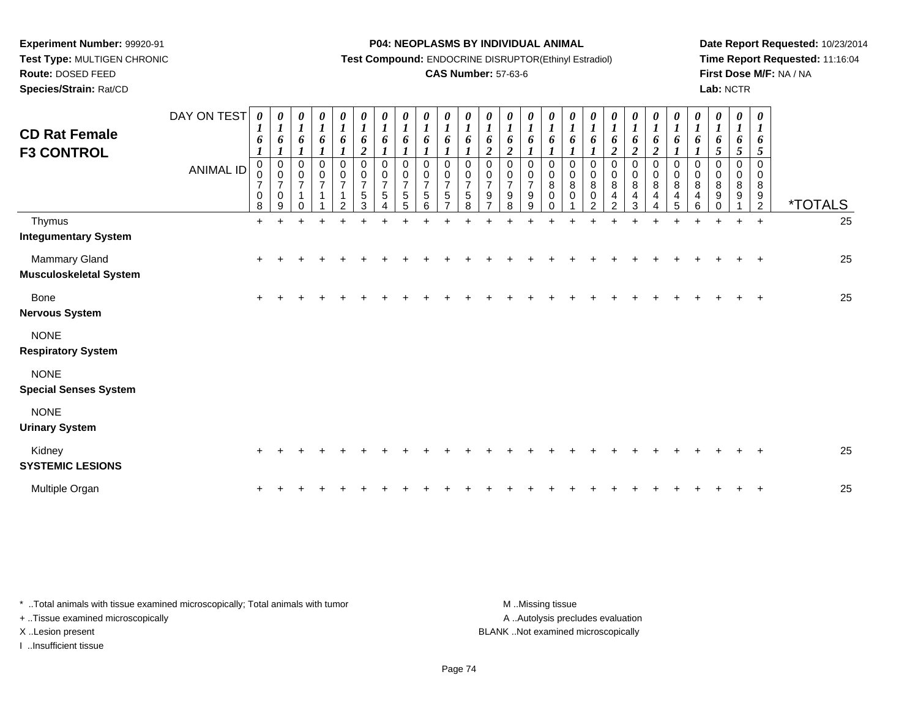**Experiment Number:** 99920-91 **Test Type:** MULTIGEN CHRONIC**Route:** DOSED FEED

**Species/Strain:** Rat/CD

#### **P04: NEOPLASMS BY INDIVIDUAL ANIMAL**

**Test Compound:** ENDOCRINE DISRUPTOR(Ethinyl Estradiol)

### **CAS Number:** 57-63-6

**Date Report Requested:** 10/23/2014**Time Report Requested:** 11:16:04**First Dose M/F:** NA / NA**Lab:** NCTR

| <b>CD Rat Female</b><br><b>F3 CONTROL</b>   | DAY ON TEST<br><b>ANIMAL ID</b> | $\boldsymbol{\theta}$<br>1<br>6<br>$\mathbf 0$<br>0<br>$\overline{7}$<br>0<br>8 | 0<br>$\boldsymbol{l}$<br>6<br>$\pmb{0}$<br>$\pmb{0}$<br>$\overline{7}$<br>$\mathbf 0$<br>9 | $\frac{\theta}{I}$<br>6<br>0<br>$\mathbf 0$<br>$\overline{7}$<br>1<br>0 | $\begin{matrix} 0 \\ 1 \end{matrix}$<br>6<br>0<br>$\pmb{0}$<br>$\overline{7}$<br>$\overline{A}$ | 0<br>$\boldsymbol{l}$<br>6<br>$\mathbf 0$<br>$\pmb{0}$<br>$\boldsymbol{7}$<br>$\mathbf{1}$<br>$\mathcal{P}$ | 0<br>$\boldsymbol{l}$<br>6<br>$\boldsymbol{2}$<br>$\mathbf 0$<br>$\,0\,$<br>$\boldsymbol{7}$<br>$\sqrt{5}$<br>3 | $\boldsymbol{\theta}$<br>$\boldsymbol{l}$<br>6<br>0<br>0<br>$\overline{7}$<br>5 | $\boldsymbol{\theta}$<br>$\boldsymbol{l}$<br>6<br>0<br>0<br>$\overline{7}$<br>5<br>5 | $\boldsymbol{\theta}$<br>$\boldsymbol{l}$<br>6<br>0<br>0<br>$\overline{7}$<br>$\sqrt{5}$<br>6 | $\boldsymbol{\theta}$<br>$\boldsymbol{l}$<br>6<br>0<br>$\overline{7}$<br>5 | $\boldsymbol{\theta}$<br>$\boldsymbol{l}$<br>6<br>0<br>0<br>$\overline{7}$<br>5<br>8 | 0<br>$\boldsymbol{l}$<br>6<br>$\boldsymbol{2}$<br>0<br>0<br>$\overline{7}$<br>9 | 0<br>$\boldsymbol{l}$<br>6<br>$\boldsymbol{2}$<br>$\Omega$<br>0<br>$\overline{7}$<br>9<br>8 | 0<br>$\boldsymbol{l}$<br>6<br>0<br>0<br>$\overline{7}$<br>9<br>9 | 0<br>$\boldsymbol{l}$<br>6<br>$\Omega$<br>0<br>8<br>0<br>$\Omega$ | $\boldsymbol{l}$<br>6<br>1<br>$\Omega$<br>0<br>8<br>0 | 0<br>1<br>6<br>0<br>0<br>$\bf 8$<br>0<br>$\mathcal{P}$ | 0<br>$\boldsymbol{l}$<br>6<br>$\boldsymbol{2}$<br>0<br>$\pmb{0}$<br>8<br>4<br>$\mathcal{P}$ | 0<br>$\boldsymbol{l}$<br>6<br>$\overline{\mathbf{c}}$<br>0<br>0<br>$\bf 8$<br>4<br>$\mathbf{3}$ | 0<br>$\boldsymbol{l}$<br>6<br>$\boldsymbol{2}$<br>0<br>0<br>8<br>4 | 0<br>$\boldsymbol{l}$<br>6<br>0<br>0<br>8<br>4<br>5 | 0<br>$\boldsymbol{l}$<br>6<br>0<br>0<br>8<br>4<br>6 | 0<br>$\boldsymbol{l}$<br>6<br>5<br>$\Omega$<br>0<br>8<br>9<br>$\Omega$ | 0<br>$\boldsymbol{l}$<br>6<br>5<br>0<br>8<br>9 | 0<br>6<br>5<br>0<br>0<br>8<br>9<br>$\overline{2}$ | *TOTALS |  |
|---------------------------------------------|---------------------------------|---------------------------------------------------------------------------------|--------------------------------------------------------------------------------------------|-------------------------------------------------------------------------|-------------------------------------------------------------------------------------------------|-------------------------------------------------------------------------------------------------------------|-----------------------------------------------------------------------------------------------------------------|---------------------------------------------------------------------------------|--------------------------------------------------------------------------------------|-----------------------------------------------------------------------------------------------|----------------------------------------------------------------------------|--------------------------------------------------------------------------------------|---------------------------------------------------------------------------------|---------------------------------------------------------------------------------------------|------------------------------------------------------------------|-------------------------------------------------------------------|-------------------------------------------------------|--------------------------------------------------------|---------------------------------------------------------------------------------------------|-------------------------------------------------------------------------------------------------|--------------------------------------------------------------------|-----------------------------------------------------|-----------------------------------------------------|------------------------------------------------------------------------|------------------------------------------------|---------------------------------------------------|---------|--|
| Thymus<br><b>Integumentary System</b>       |                                 | $+$                                                                             | $\ddot{}$                                                                                  | $\ddot{}$                                                               | $\ddot{}$                                                                                       | $\ddot{}$                                                                                                   | $\ddot{}$                                                                                                       | $+$                                                                             | ÷                                                                                    |                                                                                               | $\overline{ }$                                                             | ÷.                                                                                   | ÷                                                                               | ÷                                                                                           | $\ddot{}$                                                        | ∔                                                                 |                                                       |                                                        | ÷                                                                                           | ÷                                                                                               | $\div$                                                             | $\ddot{}$                                           | $\ddot{}$                                           | $+$                                                                    | $+$                                            | $\ddot{}$                                         | 25      |  |
| Mammary Gland<br>Musculoskeletal System     |                                 | $+$                                                                             |                                                                                            |                                                                         |                                                                                                 |                                                                                                             |                                                                                                                 |                                                                                 |                                                                                      |                                                                                               |                                                                            |                                                                                      |                                                                                 |                                                                                             |                                                                  |                                                                   |                                                       |                                                        |                                                                                             |                                                                                                 |                                                                    |                                                     |                                                     |                                                                        |                                                | $\div$                                            | 25      |  |
| Bone<br>Nervous System                      |                                 | $+$                                                                             |                                                                                            |                                                                         |                                                                                                 |                                                                                                             |                                                                                                                 |                                                                                 |                                                                                      |                                                                                               |                                                                            |                                                                                      |                                                                                 |                                                                                             |                                                                  |                                                                   |                                                       |                                                        |                                                                                             |                                                                                                 |                                                                    |                                                     |                                                     |                                                                        |                                                |                                                   | 25      |  |
| <b>NONE</b><br><b>Respiratory System</b>    |                                 |                                                                                 |                                                                                            |                                                                         |                                                                                                 |                                                                                                             |                                                                                                                 |                                                                                 |                                                                                      |                                                                                               |                                                                            |                                                                                      |                                                                                 |                                                                                             |                                                                  |                                                                   |                                                       |                                                        |                                                                                             |                                                                                                 |                                                                    |                                                     |                                                     |                                                                        |                                                |                                                   |         |  |
| <b>NONE</b><br><b>Special Senses System</b> |                                 |                                                                                 |                                                                                            |                                                                         |                                                                                                 |                                                                                                             |                                                                                                                 |                                                                                 |                                                                                      |                                                                                               |                                                                            |                                                                                      |                                                                                 |                                                                                             |                                                                  |                                                                   |                                                       |                                                        |                                                                                             |                                                                                                 |                                                                    |                                                     |                                                     |                                                                        |                                                |                                                   |         |  |
| <b>NONE</b><br><b>Urinary System</b>        |                                 |                                                                                 |                                                                                            |                                                                         |                                                                                                 |                                                                                                             |                                                                                                                 |                                                                                 |                                                                                      |                                                                                               |                                                                            |                                                                                      |                                                                                 |                                                                                             |                                                                  |                                                                   |                                                       |                                                        |                                                                                             |                                                                                                 |                                                                    |                                                     |                                                     |                                                                        |                                                |                                                   |         |  |
| Kidney<br><b>SYSTEMIC LESIONS</b>           |                                 |                                                                                 |                                                                                            |                                                                         |                                                                                                 |                                                                                                             |                                                                                                                 |                                                                                 |                                                                                      |                                                                                               |                                                                            |                                                                                      |                                                                                 |                                                                                             |                                                                  |                                                                   |                                                       |                                                        |                                                                                             |                                                                                                 |                                                                    |                                                     |                                                     |                                                                        |                                                |                                                   | 25      |  |
| Multiple Organ                              |                                 |                                                                                 |                                                                                            |                                                                         |                                                                                                 |                                                                                                             |                                                                                                                 |                                                                                 |                                                                                      |                                                                                               |                                                                            |                                                                                      |                                                                                 |                                                                                             |                                                                  |                                                                   |                                                       |                                                        |                                                                                             |                                                                                                 |                                                                    |                                                     |                                                     |                                                                        |                                                |                                                   | 25      |  |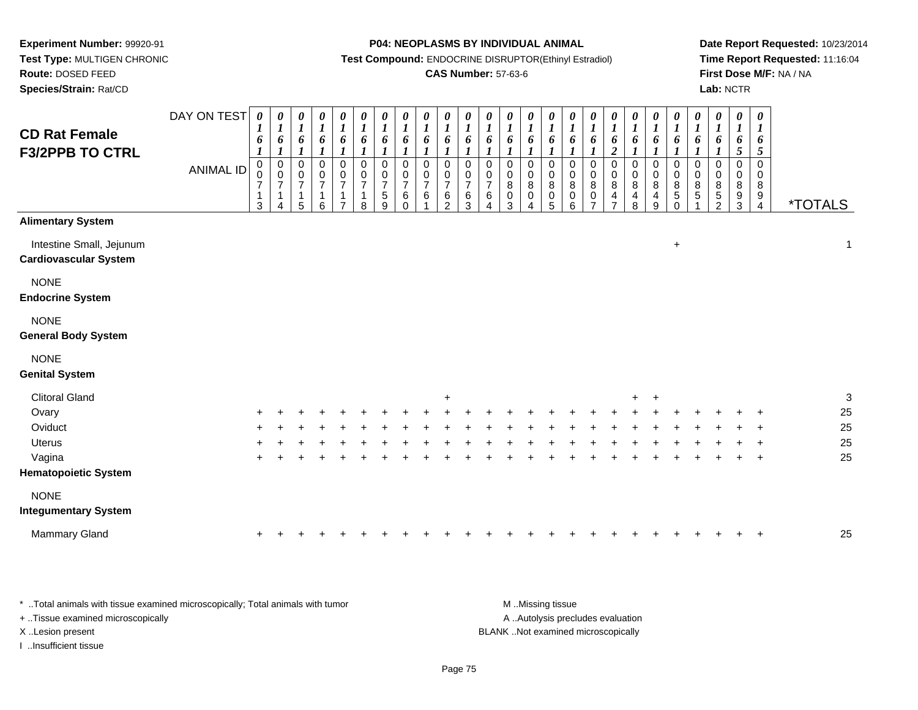**Route:** DOSED FEED

**Species/Strain:** Rat/CD

#### **P04: NEOPLASMS BY INDIVIDUAL ANIMAL**

**Test Compound:** ENDOCRINE DISRUPTOR(Ethinyl Estradiol)

### **CAS Number:** 57-63-6

**Date Report Requested:** 10/23/2014**Time Report Requested:** 11:16:04**First Dose M/F:** NA / NA**Lab:** NCTR

| <b>CD Rat Female</b><br><b>F3/2PPB TO CTRL</b>           | DAY ON TEST<br><b>ANIMAL ID</b> | 0<br>$\boldsymbol{l}$<br>6<br>$\pmb{0}$<br>0<br>$\boldsymbol{7}$<br>1<br>$\mathbf{3}$ | $\boldsymbol{\theta}$<br>$\boldsymbol{l}$<br>6<br>$\boldsymbol{l}$<br>$\pmb{0}$<br>$\pmb{0}$<br>$\boldsymbol{7}$<br>$\overline{1}$<br>$\overline{4}$ | $\boldsymbol{\theta}$<br>$\boldsymbol{l}$<br>6<br>1<br>$\pmb{0}$<br>$\,0\,$<br>$\boldsymbol{7}$<br>$\mathbf{1}$<br>5 | $\begin{matrix} 0 \\ 1 \end{matrix}$<br>6<br>$\boldsymbol{l}$<br>$\mathbf 0$<br>$\frac{0}{7}$<br>$\mathbf{1}$<br>6 | $\boldsymbol{\theta}$<br>$\boldsymbol{l}$<br>6<br>1<br>0<br>$\frac{0}{7}$<br>$\mathbf{1}$<br>$\overline{7}$ | 0<br>$\boldsymbol{l}$<br>6<br>0<br>$\boldsymbol{0}$<br>$\overline{7}$<br>1<br>8 | $\boldsymbol{\theta}$<br>$\boldsymbol{l}$<br>6<br>$\pmb{0}$<br>$\pmb{0}$<br>$\overline{7}$<br>$\mathbf 5$<br>9 | $\boldsymbol{\theta}$<br>$\boldsymbol{l}$<br>6<br>$\mathbf 0$<br>0<br>$\overline{7}$<br>6<br>$\Omega$ | $\pmb{\theta}$<br>$\boldsymbol{l}$<br>6<br>$\Omega$<br>0<br>$\overline{7}$<br>6 | $\boldsymbol{\theta}$<br>$\boldsymbol{l}$<br>6<br>1<br>$\mathbf 0$<br>0<br>$\boldsymbol{7}$<br>6<br>$\mathcal{P}$ | $\boldsymbol{\theta}$<br>$\boldsymbol{l}$<br>6<br>$\Omega$<br>0<br>$\overline{7}$<br>6<br>3 | $\boldsymbol{\theta}$<br>$\boldsymbol{l}$<br>6<br>$\mathbf 0$<br>0<br>$\overline{7}$<br>$\,6\,$<br>4 | 0<br>$\boldsymbol{l}$<br>6<br>$\mathbf 0$<br>0<br>8<br>0<br>3 | $\boldsymbol{\theta}$<br>$\boldsymbol{l}$<br>6<br>$\mathbf 0$<br>$\mathbf 0$<br>$\bf 8$<br>$\,0\,$<br>4 | 0<br>$\boldsymbol{l}$<br>6<br>$\mathbf 0$<br>0<br>$\bf 8$<br>$\pmb{0}$<br>5 | 0<br>$\boldsymbol{l}$<br>6<br>$\mathbf 0$<br>0<br>$\bf 8$<br>$\pmb{0}$<br>6 | $\boldsymbol{\theta}$<br>$\boldsymbol{l}$<br>6<br>$\pmb{0}$<br>0<br>$\, 8$<br>$\pmb{0}$<br>$\overline{7}$ | $\boldsymbol{\theta}$<br>$\boldsymbol{l}$<br>6<br>$\overline{c}$<br>0<br>0<br>$\bf 8$<br>$\overline{\mathbf{4}}$<br>$\overline{ }$ | 0<br>$\boldsymbol{l}$<br>6<br>0<br>0<br>$\bf 8$<br>4<br>8 | $\pmb{\theta}$<br>$\boldsymbol{l}$<br>6<br>$\boldsymbol{\eta}$<br>$\pmb{0}$<br>$\pmb{0}$<br>8<br>4<br>9 | $\boldsymbol{\theta}$<br>$\boldsymbol{l}$<br>6<br>$\pmb{0}$<br>$\mathbf 0$<br>$\bf 8$<br>$\sqrt{5}$<br>$\Omega$ | 0<br>$\boldsymbol{l}$<br>6<br>$\mathbf 0$<br>0<br>8<br>5 | 0<br>$\boldsymbol{l}$<br>6<br>0<br>0<br>8<br>$\,$ 5 $\,$<br>$\overline{2}$ | $\boldsymbol{\theta}$<br>$\boldsymbol{l}$<br>6<br>$\overline{5}$<br>$\Omega$<br>$\mathbf 0$<br>8<br>$9\,$<br>3 | 0<br>1<br>6<br>$\sqrt{5}$<br>0<br>$\mathbf 0$<br>8<br>$\boldsymbol{9}$<br>$\overline{4}$ | <i><b>*TOTALS</b></i> |
|----------------------------------------------------------|---------------------------------|---------------------------------------------------------------------------------------|------------------------------------------------------------------------------------------------------------------------------------------------------|----------------------------------------------------------------------------------------------------------------------|--------------------------------------------------------------------------------------------------------------------|-------------------------------------------------------------------------------------------------------------|---------------------------------------------------------------------------------|----------------------------------------------------------------------------------------------------------------|-------------------------------------------------------------------------------------------------------|---------------------------------------------------------------------------------|-------------------------------------------------------------------------------------------------------------------|---------------------------------------------------------------------------------------------|------------------------------------------------------------------------------------------------------|---------------------------------------------------------------|---------------------------------------------------------------------------------------------------------|-----------------------------------------------------------------------------|-----------------------------------------------------------------------------|-----------------------------------------------------------------------------------------------------------|------------------------------------------------------------------------------------------------------------------------------------|-----------------------------------------------------------|---------------------------------------------------------------------------------------------------------|-----------------------------------------------------------------------------------------------------------------|----------------------------------------------------------|----------------------------------------------------------------------------|----------------------------------------------------------------------------------------------------------------|------------------------------------------------------------------------------------------|-----------------------|
| <b>Alimentary System</b>                                 |                                 |                                                                                       |                                                                                                                                                      |                                                                                                                      |                                                                                                                    |                                                                                                             |                                                                                 |                                                                                                                |                                                                                                       |                                                                                 |                                                                                                                   |                                                                                             |                                                                                                      |                                                               |                                                                                                         |                                                                             |                                                                             |                                                                                                           |                                                                                                                                    |                                                           |                                                                                                         |                                                                                                                 |                                                          |                                                                            |                                                                                                                |                                                                                          |                       |
| Intestine Small, Jejunum<br><b>Cardiovascular System</b> |                                 |                                                                                       |                                                                                                                                                      |                                                                                                                      |                                                                                                                    |                                                                                                             |                                                                                 |                                                                                                                |                                                                                                       |                                                                                 |                                                                                                                   |                                                                                             |                                                                                                      |                                                               |                                                                                                         |                                                                             |                                                                             |                                                                                                           |                                                                                                                                    |                                                           |                                                                                                         | $\ddot{}$                                                                                                       |                                                          |                                                                            |                                                                                                                |                                                                                          | $\mathbf{1}$          |
| <b>NONE</b><br><b>Endocrine System</b>                   |                                 |                                                                                       |                                                                                                                                                      |                                                                                                                      |                                                                                                                    |                                                                                                             |                                                                                 |                                                                                                                |                                                                                                       |                                                                                 |                                                                                                                   |                                                                                             |                                                                                                      |                                                               |                                                                                                         |                                                                             |                                                                             |                                                                                                           |                                                                                                                                    |                                                           |                                                                                                         |                                                                                                                 |                                                          |                                                                            |                                                                                                                |                                                                                          |                       |
| <b>NONE</b><br><b>General Body System</b>                |                                 |                                                                                       |                                                                                                                                                      |                                                                                                                      |                                                                                                                    |                                                                                                             |                                                                                 |                                                                                                                |                                                                                                       |                                                                                 |                                                                                                                   |                                                                                             |                                                                                                      |                                                               |                                                                                                         |                                                                             |                                                                             |                                                                                                           |                                                                                                                                    |                                                           |                                                                                                         |                                                                                                                 |                                                          |                                                                            |                                                                                                                |                                                                                          |                       |
| <b>NONE</b><br><b>Genital System</b>                     |                                 |                                                                                       |                                                                                                                                                      |                                                                                                                      |                                                                                                                    |                                                                                                             |                                                                                 |                                                                                                                |                                                                                                       |                                                                                 |                                                                                                                   |                                                                                             |                                                                                                      |                                                               |                                                                                                         |                                                                             |                                                                             |                                                                                                           |                                                                                                                                    |                                                           |                                                                                                         |                                                                                                                 |                                                          |                                                                            |                                                                                                                |                                                                                          |                       |
| <b>Clitoral Gland</b>                                    |                                 |                                                                                       |                                                                                                                                                      |                                                                                                                      |                                                                                                                    |                                                                                                             |                                                                                 |                                                                                                                |                                                                                                       |                                                                                 | $\ddot{}$                                                                                                         |                                                                                             |                                                                                                      |                                                               |                                                                                                         |                                                                             |                                                                             |                                                                                                           |                                                                                                                                    | $+$                                                       | $\ddot{}$                                                                                               |                                                                                                                 |                                                          |                                                                            |                                                                                                                |                                                                                          | $\sqrt{3}$            |
| Ovary                                                    |                                 |                                                                                       |                                                                                                                                                      |                                                                                                                      |                                                                                                                    |                                                                                                             |                                                                                 |                                                                                                                |                                                                                                       |                                                                                 |                                                                                                                   |                                                                                             |                                                                                                      |                                                               |                                                                                                         |                                                                             |                                                                             |                                                                                                           |                                                                                                                                    |                                                           |                                                                                                         |                                                                                                                 |                                                          |                                                                            |                                                                                                                |                                                                                          | 25                    |
| Oviduct                                                  |                                 |                                                                                       |                                                                                                                                                      |                                                                                                                      |                                                                                                                    |                                                                                                             |                                                                                 |                                                                                                                |                                                                                                       |                                                                                 |                                                                                                                   |                                                                                             |                                                                                                      |                                                               |                                                                                                         |                                                                             |                                                                             |                                                                                                           |                                                                                                                                    |                                                           |                                                                                                         |                                                                                                                 |                                                          |                                                                            |                                                                                                                |                                                                                          | 25                    |
| <b>Uterus</b>                                            |                                 |                                                                                       |                                                                                                                                                      |                                                                                                                      |                                                                                                                    |                                                                                                             |                                                                                 |                                                                                                                |                                                                                                       |                                                                                 |                                                                                                                   |                                                                                             |                                                                                                      |                                                               |                                                                                                         |                                                                             |                                                                             |                                                                                                           |                                                                                                                                    |                                                           |                                                                                                         |                                                                                                                 |                                                          |                                                                            |                                                                                                                |                                                                                          | 25                    |
| Vagina                                                   |                                 |                                                                                       |                                                                                                                                                      |                                                                                                                      |                                                                                                                    |                                                                                                             |                                                                                 |                                                                                                                |                                                                                                       |                                                                                 |                                                                                                                   |                                                                                             |                                                                                                      |                                                               |                                                                                                         |                                                                             |                                                                             |                                                                                                           |                                                                                                                                    |                                                           |                                                                                                         |                                                                                                                 |                                                          |                                                                            |                                                                                                                | $\ddot{}$                                                                                | 25                    |
| <b>Hematopoietic System</b>                              |                                 |                                                                                       |                                                                                                                                                      |                                                                                                                      |                                                                                                                    |                                                                                                             |                                                                                 |                                                                                                                |                                                                                                       |                                                                                 |                                                                                                                   |                                                                                             |                                                                                                      |                                                               |                                                                                                         |                                                                             |                                                                             |                                                                                                           |                                                                                                                                    |                                                           |                                                                                                         |                                                                                                                 |                                                          |                                                                            |                                                                                                                |                                                                                          |                       |
| <b>NONE</b>                                              |                                 |                                                                                       |                                                                                                                                                      |                                                                                                                      |                                                                                                                    |                                                                                                             |                                                                                 |                                                                                                                |                                                                                                       |                                                                                 |                                                                                                                   |                                                                                             |                                                                                                      |                                                               |                                                                                                         |                                                                             |                                                                             |                                                                                                           |                                                                                                                                    |                                                           |                                                                                                         |                                                                                                                 |                                                          |                                                                            |                                                                                                                |                                                                                          |                       |
| <b>Integumentary System</b>                              |                                 |                                                                                       |                                                                                                                                                      |                                                                                                                      |                                                                                                                    |                                                                                                             |                                                                                 |                                                                                                                |                                                                                                       |                                                                                 |                                                                                                                   |                                                                                             |                                                                                                      |                                                               |                                                                                                         |                                                                             |                                                                             |                                                                                                           |                                                                                                                                    |                                                           |                                                                                                         |                                                                                                                 |                                                          |                                                                            |                                                                                                                |                                                                                          |                       |
| <b>Mammary Gland</b>                                     |                                 | ÷                                                                                     |                                                                                                                                                      |                                                                                                                      |                                                                                                                    |                                                                                                             |                                                                                 |                                                                                                                |                                                                                                       |                                                                                 |                                                                                                                   |                                                                                             |                                                                                                      |                                                               |                                                                                                         |                                                                             |                                                                             |                                                                                                           |                                                                                                                                    |                                                           |                                                                                                         |                                                                                                                 |                                                          |                                                                            |                                                                                                                |                                                                                          | 25                    |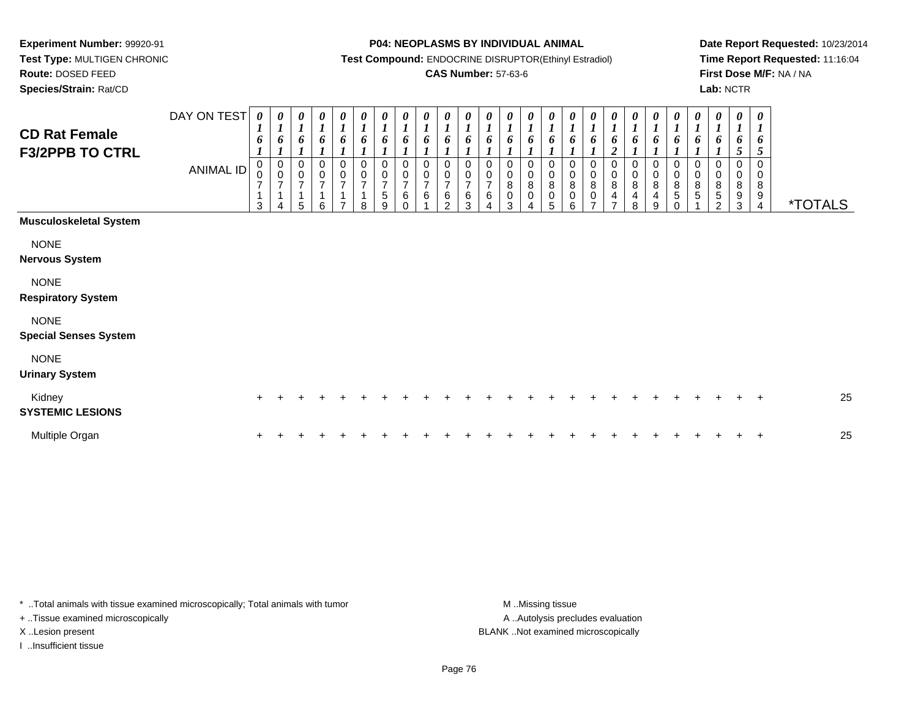**Test Type:** MULTIGEN CHRONIC**Route:** DOSED FEED

**Species/Strain:** Rat/CD

#### **P04: NEOPLASMS BY INDIVIDUAL ANIMAL**

**Test Compound:** ENDOCRINE DISRUPTOR(Ethinyl Estradiol)

### **CAS Number:** 57-63-6

**Date Report Requested:** 10/23/2014**Time Report Requested:** 11:16:04**First Dose M/F:** NA / NA**Lab:** NCTR

| <b>CD Rat Female</b><br><b>F3/2PPB TO CTRL</b> | DAY ON TEST<br>ANIMAL ID | 0<br>$\boldsymbol{l}$<br>6<br>$\pmb{0}$<br>$\pmb{0}$<br>$\overline{7}$<br>$\mathbf{1}$<br>3 | 0<br>$\boldsymbol{l}$<br>6<br>$\begin{smallmatrix}0\\0\end{smallmatrix}$<br>$\overline{7}$<br>$\mathbf{1}$<br>4 | 0<br>$\boldsymbol{l}$<br>6<br>0<br>$\pmb{0}$<br>$\overline{7}$<br>1<br>5 | $\boldsymbol{l}$<br>6<br>0<br>$\mathbf 0$<br>$\overline{7}$<br>$\overline{1}$ | 0<br>6<br>$\,0\,$<br>$\,0\,$<br>$\overline{7}$ | 0<br>6<br>0<br>$\mathbf 0$<br>$\overline{7}$<br>8 | 0<br>$\boldsymbol{l}$<br>6<br>0<br>$\frac{0}{7}$<br>$\sqrt{5}$<br>9 | $\boldsymbol{\theta}$<br>$\boldsymbol{l}$<br>6<br>$\pmb{0}$<br>$\pmb{0}$<br>$\overline{7}$<br>$\,6$<br>$\Omega$ | 0<br>$\boldsymbol{l}$<br>6<br>0<br>0<br>$\overline{7}$<br>6 | 0<br>6<br>$\mathbf 0$<br>0<br>$\overline{7}$<br>6<br>$\mathfrak{p}$ | $\boldsymbol{\theta}$<br>$\boldsymbol{l}$<br>6<br>0<br>$\overline{7}$<br>6<br>3 | $\frac{\theta}{I}$<br>6<br>0<br>$\pmb{0}$<br>$\overline{7}$<br>6 | $\frac{\theta}{I}$<br>6<br>0<br>0<br>8<br>0<br>3 | 0<br>$\boldsymbol{l}$<br>6<br>0<br>$\bf 8$<br>$\mathsf 0$ | 0<br>$\boldsymbol{l}$<br>6<br>0<br>0<br>$\bf 8$<br>$\pmb{0}$<br>5 | 0<br>6<br>0<br>$\pmb{0}$<br>8<br>$\pmb{0}$<br>6 | 0<br>$\boldsymbol{l}$<br>6<br>0<br>$\mathbf 0$<br>$\bf 8$<br>0 | $\boldsymbol{\theta}$<br>$\boldsymbol{I}$<br>6<br>$\boldsymbol{2}$<br>$\mathbf 0$<br>$\pmb{0}$<br>$\bf 8$<br>4<br>⇁ | $\frac{\boldsymbol{\theta}}{\boldsymbol{I}}$<br>6<br>$\pmb{0}$<br>$\begin{matrix} 0 \\ 8 \end{matrix}$<br>$\overline{\mathbf{4}}$<br>8 | 0<br>$\boldsymbol{l}$<br>6<br>0<br>$_{\rm 8}^{\rm 0}$<br>$\overline{\mathbf{4}}$<br>$\boldsymbol{9}$ | $\boldsymbol{\theta}$<br>$\boldsymbol{l}$<br>6<br>0<br>$\mathbf 0$<br>$\bf 8$<br>5<br>$\Omega$ | 0<br>$\boldsymbol{l}$<br>6<br>0<br>$\pmb{0}$<br>8<br>$\sqrt{5}$ | 0<br>$\boldsymbol{l}$<br>6<br>$\mathbf 0$<br>$\mathbf 0$<br>8<br>5<br>2 | 0<br>$\boldsymbol{l}$<br>6<br>5<br>0<br>8<br>9<br>3 | $\boldsymbol{\theta}$<br>$\boldsymbol{l}$<br>6<br>5<br>$\mathbf 0$<br>0<br>8<br>9<br>$\overline{4}$ | <i><b>*TOTALS</b></i> |
|------------------------------------------------|--------------------------|---------------------------------------------------------------------------------------------|-----------------------------------------------------------------------------------------------------------------|--------------------------------------------------------------------------|-------------------------------------------------------------------------------|------------------------------------------------|---------------------------------------------------|---------------------------------------------------------------------|-----------------------------------------------------------------------------------------------------------------|-------------------------------------------------------------|---------------------------------------------------------------------|---------------------------------------------------------------------------------|------------------------------------------------------------------|--------------------------------------------------|-----------------------------------------------------------|-------------------------------------------------------------------|-------------------------------------------------|----------------------------------------------------------------|---------------------------------------------------------------------------------------------------------------------|----------------------------------------------------------------------------------------------------------------------------------------|------------------------------------------------------------------------------------------------------|------------------------------------------------------------------------------------------------|-----------------------------------------------------------------|-------------------------------------------------------------------------|-----------------------------------------------------|-----------------------------------------------------------------------------------------------------|-----------------------|
| <b>Musculoskeletal System</b>                  |                          |                                                                                             |                                                                                                                 |                                                                          |                                                                               |                                                |                                                   |                                                                     |                                                                                                                 |                                                             |                                                                     |                                                                                 |                                                                  |                                                  |                                                           |                                                                   |                                                 |                                                                |                                                                                                                     |                                                                                                                                        |                                                                                                      |                                                                                                |                                                                 |                                                                         |                                                     |                                                                                                     |                       |
| <b>NONE</b><br><b>Nervous System</b>           |                          |                                                                                             |                                                                                                                 |                                                                          |                                                                               |                                                |                                                   |                                                                     |                                                                                                                 |                                                             |                                                                     |                                                                                 |                                                                  |                                                  |                                                           |                                                                   |                                                 |                                                                |                                                                                                                     |                                                                                                                                        |                                                                                                      |                                                                                                |                                                                 |                                                                         |                                                     |                                                                                                     |                       |
| <b>NONE</b><br><b>Respiratory System</b>       |                          |                                                                                             |                                                                                                                 |                                                                          |                                                                               |                                                |                                                   |                                                                     |                                                                                                                 |                                                             |                                                                     |                                                                                 |                                                                  |                                                  |                                                           |                                                                   |                                                 |                                                                |                                                                                                                     |                                                                                                                                        |                                                                                                      |                                                                                                |                                                                 |                                                                         |                                                     |                                                                                                     |                       |
| <b>NONE</b><br><b>Special Senses System</b>    |                          |                                                                                             |                                                                                                                 |                                                                          |                                                                               |                                                |                                                   |                                                                     |                                                                                                                 |                                                             |                                                                     |                                                                                 |                                                                  |                                                  |                                                           |                                                                   |                                                 |                                                                |                                                                                                                     |                                                                                                                                        |                                                                                                      |                                                                                                |                                                                 |                                                                         |                                                     |                                                                                                     |                       |
| <b>NONE</b><br><b>Urinary System</b>           |                          |                                                                                             |                                                                                                                 |                                                                          |                                                                               |                                                |                                                   |                                                                     |                                                                                                                 |                                                             |                                                                     |                                                                                 |                                                                  |                                                  |                                                           |                                                                   |                                                 |                                                                |                                                                                                                     |                                                                                                                                        |                                                                                                      |                                                                                                |                                                                 |                                                                         |                                                     |                                                                                                     |                       |
| Kidney<br><b>SYSTEMIC LESIONS</b>              |                          |                                                                                             |                                                                                                                 |                                                                          |                                                                               |                                                |                                                   |                                                                     |                                                                                                                 |                                                             |                                                                     |                                                                                 |                                                                  |                                                  |                                                           |                                                                   |                                                 |                                                                |                                                                                                                     |                                                                                                                                        |                                                                                                      |                                                                                                |                                                                 |                                                                         |                                                     | $\pm$                                                                                               | 25                    |
| Multiple Organ                                 |                          |                                                                                             |                                                                                                                 |                                                                          |                                                                               |                                                |                                                   |                                                                     |                                                                                                                 |                                                             |                                                                     |                                                                                 |                                                                  |                                                  |                                                           |                                                                   |                                                 |                                                                |                                                                                                                     |                                                                                                                                        |                                                                                                      |                                                                                                |                                                                 |                                                                         |                                                     | $\overline{+}$                                                                                      | 25                    |

\* ..Total animals with tissue examined microscopically; Total animals with tumor **M** . Missing tissue M ..Missing tissue

+ ..Tissue examined microscopically

I ..Insufficient tissue

A ..Autolysis precludes evaluation X ..Lesion present BLANK ..Not examined microscopically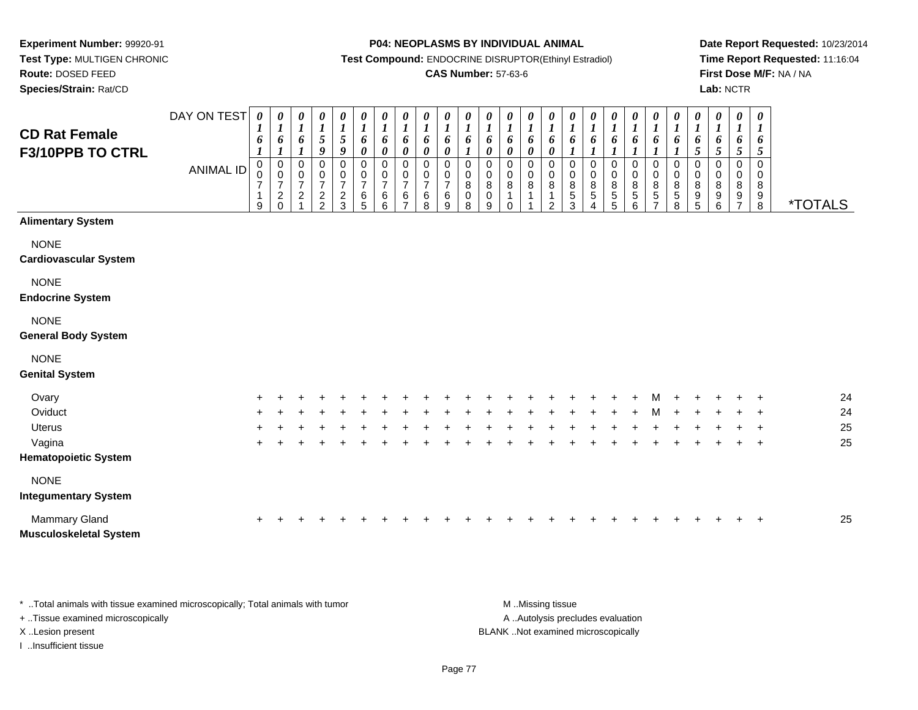**Test Type:** MULTIGEN CHRONIC**Route:** DOSED FEED

**Species/Strain:** Rat/CD

#### **P04: NEOPLASMS BY INDIVIDUAL ANIMAL**

**Test Compound:** ENDOCRINE DISRUPTOR(Ethinyl Estradiol)

### **CAS Number:** 57-63-6

**Date Report Requested:** 10/23/2014**Time Report Requested:** 11:16:04**First Dose M/F:** NA / NA**Lab:** NCTR

| <b>CD Rat Female</b><br><b>F3/10PPB TO CTRL</b> | DAY ON TEST<br><b>ANIMAL ID</b> | 0<br>$\boldsymbol{l}$<br>6<br>$\boldsymbol{l}$<br>$\mathbf 0$<br>0<br>$\boldsymbol{7}$<br>1<br>9 | $\boldsymbol{\theta}$<br>$\boldsymbol{l}$<br>6<br>$\boldsymbol{l}$<br>$\boldsymbol{0}$<br>$\mathsf 0$<br>$\boldsymbol{7}$<br>$\sqrt{2}$<br>$\Omega$ | $\boldsymbol{\theta}$<br>$\boldsymbol{l}$<br>6<br>$\boldsymbol{l}$<br>0<br>$\pmb{0}$<br>$\boldsymbol{7}$<br>$\sqrt{2}$ | $\frac{\theta}{I}$<br>$\mathfrak{s}$<br>9<br>$\,0\,$<br>$\pmb{0}$<br>$\overline{7}$<br>$\frac{2}{2}$ | $\boldsymbol{\theta}$<br>$\frac{1}{5}$<br>$\boldsymbol{g}$<br>$\pmb{0}$<br>$\mathbf 0$<br>$\overline{7}$<br>$\frac{2}{3}$ | 0<br>$\boldsymbol{l}$<br>6<br>0<br>0<br>$\mathbf 0$<br>$\boldsymbol{7}$<br>$\,6\,$<br>5 | 0<br>$\boldsymbol{l}$<br>6<br>$\boldsymbol{\theta}$<br>0<br>$\mathbf 0$<br>$\overline{7}$<br>6<br>6 | $\frac{\theta}{I}$<br>6<br>0<br>0<br>$\mathbf 0$<br>$\overline{7}$<br>6 | $\boldsymbol{\theta}$<br>$\boldsymbol{l}$<br>6<br>$\boldsymbol{\theta}$<br>$\mathbf 0$<br>$\mathbf 0$<br>$\overline{7}$<br>6<br>8 | $\boldsymbol{\theta}$<br>$\boldsymbol{l}$<br>6<br>$\boldsymbol{\theta}$<br>$\mathbf 0$<br>$\mathbf 0$<br>$\overline{7}$<br>6<br>9 | $\frac{\theta}{I}$<br>6<br>0<br>$\pmb{0}$<br>8<br>0<br>8 | $\boldsymbol{\theta}$<br>$\boldsymbol{l}$<br>6<br>$\pmb{\theta}$<br>0<br>0<br>$\bf 8$<br>$\mathbf 0$<br>9 | 0<br>$\boldsymbol{l}$<br>6<br>0<br>0<br>0<br>$\bf 8$<br>$\mathbf{1}$<br>$\mathbf 0$ | 0<br>$\boldsymbol{l}$<br>6<br>$\boldsymbol{\theta}$<br>0<br>$\mathbf 0$<br>8<br>1 | 0<br>$\boldsymbol{l}$<br>6<br>$\pmb{\theta}$<br>0<br>$\mathbf 0$<br>8<br>1<br>$\overline{2}$ | $\boldsymbol{\theta}$<br>$\boldsymbol{l}$<br>6<br>$\boldsymbol{l}$<br>0<br>0<br>8<br>$\,$ 5 $\,$<br>3 | $\boldsymbol{\theta}$<br>$\boldsymbol{l}$<br>6<br>$\boldsymbol{l}$<br>$\mathbf 0$<br>$\mathbf 0$<br>8<br>$\sqrt{5}$<br>$\Delta$ | $\frac{\theta}{I}$<br>6<br>$\pmb{0}$<br>$\pmb{0}$<br>$\frac{8}{5}$<br>5 | $\begin{matrix} 0 \\ 1 \end{matrix}$<br>6<br>$\mathbf{I}$<br>0<br>$\pmb{0}$<br>$^8_5$<br>6 | 0<br>$\boldsymbol{l}$<br>6<br>0<br>0<br>$\frac{8}{5}$<br>$\overline{7}$ | 0<br>$\boldsymbol{l}$<br>6<br>0<br>$\mathbf 0$<br>8<br>5<br>8 | 0<br>$\boldsymbol{l}$<br>6<br>5<br>0<br>$\mathbf 0$<br>8<br>9<br>5 | 0<br>$\boldsymbol{l}$<br>6<br>5<br>$\mathbf 0$<br>0<br>8<br>9<br>6 | $\boldsymbol{\theta}$<br>$\boldsymbol{l}$<br>6<br>5<br>$\mathbf 0$<br>$\mathbf 0$<br>8<br>9<br>$\overline{7}$ | $\pmb{\theta}$<br>$\boldsymbol{l}$<br>6<br>5<br>$\mathbf 0$<br>0<br>8<br>9<br>8 | <i><b>*TOTALS</b></i> |
|-------------------------------------------------|---------------------------------|--------------------------------------------------------------------------------------------------|-----------------------------------------------------------------------------------------------------------------------------------------------------|------------------------------------------------------------------------------------------------------------------------|------------------------------------------------------------------------------------------------------|---------------------------------------------------------------------------------------------------------------------------|-----------------------------------------------------------------------------------------|-----------------------------------------------------------------------------------------------------|-------------------------------------------------------------------------|-----------------------------------------------------------------------------------------------------------------------------------|-----------------------------------------------------------------------------------------------------------------------------------|----------------------------------------------------------|-----------------------------------------------------------------------------------------------------------|-------------------------------------------------------------------------------------|-----------------------------------------------------------------------------------|----------------------------------------------------------------------------------------------|-------------------------------------------------------------------------------------------------------|---------------------------------------------------------------------------------------------------------------------------------|-------------------------------------------------------------------------|--------------------------------------------------------------------------------------------|-------------------------------------------------------------------------|---------------------------------------------------------------|--------------------------------------------------------------------|--------------------------------------------------------------------|---------------------------------------------------------------------------------------------------------------|---------------------------------------------------------------------------------|-----------------------|
| <b>Alimentary System</b>                        |                                 |                                                                                                  |                                                                                                                                                     |                                                                                                                        |                                                                                                      |                                                                                                                           |                                                                                         |                                                                                                     |                                                                         |                                                                                                                                   |                                                                                                                                   |                                                          |                                                                                                           |                                                                                     |                                                                                   |                                                                                              |                                                                                                       |                                                                                                                                 |                                                                         |                                                                                            |                                                                         |                                                               |                                                                    |                                                                    |                                                                                                               |                                                                                 |                       |
| <b>NONE</b><br><b>Cardiovascular System</b>     |                                 |                                                                                                  |                                                                                                                                                     |                                                                                                                        |                                                                                                      |                                                                                                                           |                                                                                         |                                                                                                     |                                                                         |                                                                                                                                   |                                                                                                                                   |                                                          |                                                                                                           |                                                                                     |                                                                                   |                                                                                              |                                                                                                       |                                                                                                                                 |                                                                         |                                                                                            |                                                                         |                                                               |                                                                    |                                                                    |                                                                                                               |                                                                                 |                       |
| <b>NONE</b><br><b>Endocrine System</b>          |                                 |                                                                                                  |                                                                                                                                                     |                                                                                                                        |                                                                                                      |                                                                                                                           |                                                                                         |                                                                                                     |                                                                         |                                                                                                                                   |                                                                                                                                   |                                                          |                                                                                                           |                                                                                     |                                                                                   |                                                                                              |                                                                                                       |                                                                                                                                 |                                                                         |                                                                                            |                                                                         |                                                               |                                                                    |                                                                    |                                                                                                               |                                                                                 |                       |
| <b>NONE</b><br><b>General Body System</b>       |                                 |                                                                                                  |                                                                                                                                                     |                                                                                                                        |                                                                                                      |                                                                                                                           |                                                                                         |                                                                                                     |                                                                         |                                                                                                                                   |                                                                                                                                   |                                                          |                                                                                                           |                                                                                     |                                                                                   |                                                                                              |                                                                                                       |                                                                                                                                 |                                                                         |                                                                                            |                                                                         |                                                               |                                                                    |                                                                    |                                                                                                               |                                                                                 |                       |
| <b>NONE</b><br><b>Genital System</b>            |                                 |                                                                                                  |                                                                                                                                                     |                                                                                                                        |                                                                                                      |                                                                                                                           |                                                                                         |                                                                                                     |                                                                         |                                                                                                                                   |                                                                                                                                   |                                                          |                                                                                                           |                                                                                     |                                                                                   |                                                                                              |                                                                                                       |                                                                                                                                 |                                                                         |                                                                                            |                                                                         |                                                               |                                                                    |                                                                    |                                                                                                               |                                                                                 |                       |
| Ovary                                           |                                 |                                                                                                  |                                                                                                                                                     |                                                                                                                        |                                                                                                      |                                                                                                                           |                                                                                         |                                                                                                     |                                                                         |                                                                                                                                   |                                                                                                                                   |                                                          |                                                                                                           |                                                                                     |                                                                                   |                                                                                              |                                                                                                       |                                                                                                                                 |                                                                         |                                                                                            |                                                                         |                                                               |                                                                    |                                                                    |                                                                                                               |                                                                                 | 24                    |
| Oviduct                                         |                                 |                                                                                                  |                                                                                                                                                     |                                                                                                                        |                                                                                                      |                                                                                                                           |                                                                                         |                                                                                                     |                                                                         |                                                                                                                                   |                                                                                                                                   |                                                          |                                                                                                           |                                                                                     |                                                                                   |                                                                                              |                                                                                                       |                                                                                                                                 |                                                                         |                                                                                            |                                                                         |                                                               |                                                                    |                                                                    |                                                                                                               |                                                                                 | 24                    |
| <b>Uterus</b>                                   |                                 |                                                                                                  |                                                                                                                                                     |                                                                                                                        |                                                                                                      |                                                                                                                           |                                                                                         |                                                                                                     |                                                                         |                                                                                                                                   |                                                                                                                                   |                                                          |                                                                                                           |                                                                                     |                                                                                   |                                                                                              |                                                                                                       |                                                                                                                                 |                                                                         |                                                                                            |                                                                         |                                                               |                                                                    |                                                                    |                                                                                                               |                                                                                 | 25                    |
| Vagina                                          |                                 |                                                                                                  |                                                                                                                                                     |                                                                                                                        |                                                                                                      |                                                                                                                           |                                                                                         |                                                                                                     |                                                                         |                                                                                                                                   |                                                                                                                                   |                                                          |                                                                                                           |                                                                                     |                                                                                   |                                                                                              |                                                                                                       |                                                                                                                                 |                                                                         |                                                                                            |                                                                         |                                                               |                                                                    |                                                                    |                                                                                                               | $\ddot{}$                                                                       | 25                    |
| <b>Hematopoietic System</b>                     |                                 |                                                                                                  |                                                                                                                                                     |                                                                                                                        |                                                                                                      |                                                                                                                           |                                                                                         |                                                                                                     |                                                                         |                                                                                                                                   |                                                                                                                                   |                                                          |                                                                                                           |                                                                                     |                                                                                   |                                                                                              |                                                                                                       |                                                                                                                                 |                                                                         |                                                                                            |                                                                         |                                                               |                                                                    |                                                                    |                                                                                                               |                                                                                 |                       |
| <b>NONE</b><br><b>Integumentary System</b>      |                                 |                                                                                                  |                                                                                                                                                     |                                                                                                                        |                                                                                                      |                                                                                                                           |                                                                                         |                                                                                                     |                                                                         |                                                                                                                                   |                                                                                                                                   |                                                          |                                                                                                           |                                                                                     |                                                                                   |                                                                                              |                                                                                                       |                                                                                                                                 |                                                                         |                                                                                            |                                                                         |                                                               |                                                                    |                                                                    |                                                                                                               |                                                                                 |                       |
| Mammary Gland<br><b>Musculoskeletal System</b>  |                                 |                                                                                                  |                                                                                                                                                     |                                                                                                                        |                                                                                                      |                                                                                                                           |                                                                                         |                                                                                                     |                                                                         |                                                                                                                                   |                                                                                                                                   |                                                          |                                                                                                           |                                                                                     |                                                                                   |                                                                                              |                                                                                                       |                                                                                                                                 |                                                                         |                                                                                            |                                                                         |                                                               |                                                                    |                                                                    |                                                                                                               | $\div$                                                                          | 25                    |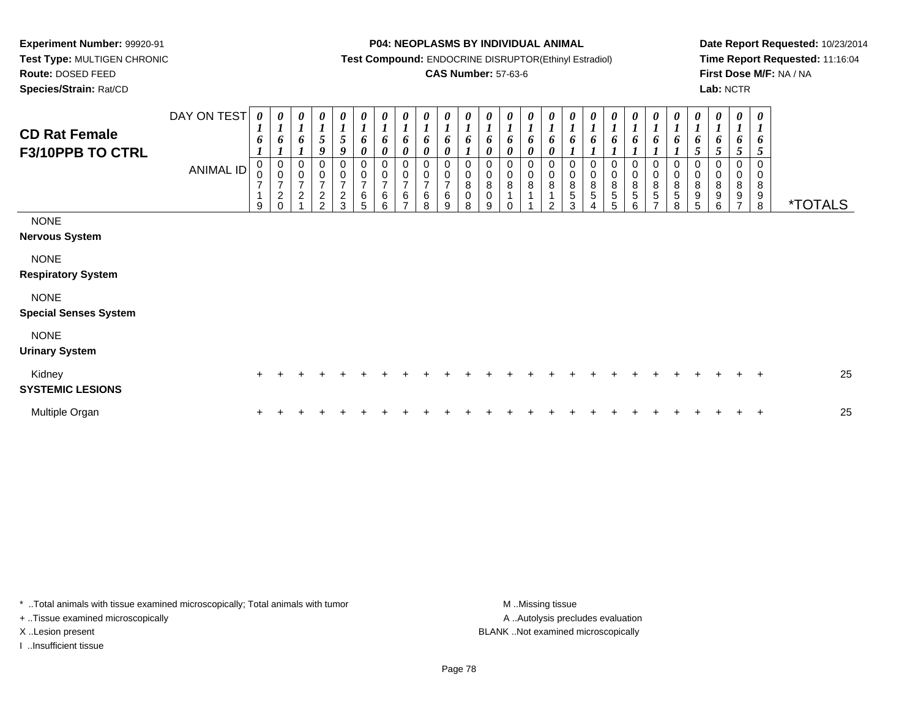**Test Type:** MULTIGEN CHRONIC**Route:** DOSED FEED

**Species/Strain:** Rat/CD

#### **P04: NEOPLASMS BY INDIVIDUAL ANIMAL**

**Test Compound:** ENDOCRINE DISRUPTOR(Ethinyl Estradiol)

### **CAS Number:** 57-63-6

**Date Report Requested:** 10/23/2014**Time Report Requested:** 11:16:04**First Dose M/F:** NA / NA**Lab:** NCTR

| <b>CD Rat Female</b><br>F3/10PPB TO CTRL    | DAY ON TEST<br><b>ANIMAL ID</b> | $\boldsymbol{\theta}$<br>$\mathbf{I}$<br>6<br>0<br>$\mathsf 0$<br>$\overline{7}$<br>1<br>9 | 0<br>$\boldsymbol{I}$<br>6<br>0<br>$\mathsf 0$<br>7<br>$\frac{2}{0}$ | 0<br>$\boldsymbol{l}$<br>6<br>0<br>$\frac{0}{7}$<br>$\sqrt{2}$ | $\boldsymbol{\theta}$<br>$\boldsymbol{l}$<br>$\sqrt{5}$<br>9<br>0<br>$\begin{array}{c} 0 \\ 7 \end{array}$<br>$\frac{2}{2}$ | $\begin{matrix} 0 \\ 1 \end{matrix}$<br>$\sqrt{5}$<br>9<br>0<br>$\frac{0}{7}$<br>$\frac{2}{3}$ | 0<br>$\boldsymbol{l}$<br>6<br>$\pmb{\theta}$<br>0<br>$\begin{smallmatrix} 0\\7 \end{smallmatrix}$<br>$6\over 5$ | 0<br>$\boldsymbol{l}$<br>6<br>$\boldsymbol{\theta}$<br>0<br>$\pmb{0}$<br>$\overline{7}$<br>6<br>6 | 0<br>$\boldsymbol{l}$<br>6<br>$\boldsymbol{\theta}$<br>0<br>$\frac{0}{7}$<br>6<br>⇁ | $\boldsymbol{\theta}$<br>6<br>$\boldsymbol{\theta}$<br>0<br>$\mathbf 0$<br>$\overline{7}$<br>$\,6$<br>8 | $\boldsymbol{l}$<br>6<br>$\boldsymbol{\theta}$<br>0<br>$\overline{z}$<br>6<br>9 | $\boldsymbol{l}$<br>6<br>0<br>$\bf 8$<br>0<br>8 | 0<br>6<br>0<br>0<br>0<br>8<br>0<br>9 | 0<br>1<br>6<br>0<br>0<br>0<br>8<br>$\Omega$ | $\boldsymbol{\theta}$<br>$\boldsymbol{l}$<br>6<br>$\boldsymbol{\theta}$<br>$\pmb{0}$<br>8<br>1 | 0<br>$\boldsymbol{l}$<br>6<br>$\boldsymbol{\theta}$<br>0<br>$\pmb{0}$<br>$\,8\,$<br>$\mathcal{P}$ | 0<br>$\boldsymbol{l}$<br>6<br>0<br>$\,0\,$<br>$\bf8$<br>5<br>3 | 1<br>6<br>0<br>8<br>5 | 6<br>0<br>$\mathbf 0$<br>$\, 8$<br>$\sqrt{5}$<br>5 | 0<br>$\boldsymbol{l}$<br>6<br>0<br>$\pmb{0}$<br>8<br>5<br>6 | 0<br>$\boldsymbol{l}$<br>6<br>0<br>0<br>$\frac{8}{5}$<br>$\overline{ }$ | 0<br>$\boldsymbol{l}$<br>6<br>0<br>0<br>$\bf 8$<br>$\sqrt{5}$<br>8 | 0<br>$\boldsymbol{l}$<br>6<br>0<br>$\,0\,$<br>$\bf8$<br>9<br>5 | 0<br>$\boldsymbol{l}$<br>6<br>5<br>0<br>$\pmb{0}$<br>$\, 8$<br>9<br>6 | 0<br>$\boldsymbol{l}$<br>5<br>0<br>8<br>9<br>$\overline{ }$ | 0<br>6<br>5<br>0<br>0<br>$\bf8$<br>9<br>8 | <i><b>*TOTALS</b></i> |
|---------------------------------------------|---------------------------------|--------------------------------------------------------------------------------------------|----------------------------------------------------------------------|----------------------------------------------------------------|-----------------------------------------------------------------------------------------------------------------------------|------------------------------------------------------------------------------------------------|-----------------------------------------------------------------------------------------------------------------|---------------------------------------------------------------------------------------------------|-------------------------------------------------------------------------------------|---------------------------------------------------------------------------------------------------------|---------------------------------------------------------------------------------|-------------------------------------------------|--------------------------------------|---------------------------------------------|------------------------------------------------------------------------------------------------|---------------------------------------------------------------------------------------------------|----------------------------------------------------------------|-----------------------|----------------------------------------------------|-------------------------------------------------------------|-------------------------------------------------------------------------|--------------------------------------------------------------------|----------------------------------------------------------------|-----------------------------------------------------------------------|-------------------------------------------------------------|-------------------------------------------|-----------------------|
| <b>NONE</b><br><b>Nervous System</b>        |                                 |                                                                                            |                                                                      |                                                                |                                                                                                                             |                                                                                                |                                                                                                                 |                                                                                                   |                                                                                     |                                                                                                         |                                                                                 |                                                 |                                      |                                             |                                                                                                |                                                                                                   |                                                                |                       |                                                    |                                                             |                                                                         |                                                                    |                                                                |                                                                       |                                                             |                                           |                       |
| <b>NONE</b><br><b>Respiratory System</b>    |                                 |                                                                                            |                                                                      |                                                                |                                                                                                                             |                                                                                                |                                                                                                                 |                                                                                                   |                                                                                     |                                                                                                         |                                                                                 |                                                 |                                      |                                             |                                                                                                |                                                                                                   |                                                                |                       |                                                    |                                                             |                                                                         |                                                                    |                                                                |                                                                       |                                                             |                                           |                       |
| <b>NONE</b><br><b>Special Senses System</b> |                                 |                                                                                            |                                                                      |                                                                |                                                                                                                             |                                                                                                |                                                                                                                 |                                                                                                   |                                                                                     |                                                                                                         |                                                                                 |                                                 |                                      |                                             |                                                                                                |                                                                                                   |                                                                |                       |                                                    |                                                             |                                                                         |                                                                    |                                                                |                                                                       |                                                             |                                           |                       |
| <b>NONE</b><br><b>Urinary System</b>        |                                 |                                                                                            |                                                                      |                                                                |                                                                                                                             |                                                                                                |                                                                                                                 |                                                                                                   |                                                                                     |                                                                                                         |                                                                                 |                                                 |                                      |                                             |                                                                                                |                                                                                                   |                                                                |                       |                                                    |                                                             |                                                                         |                                                                    |                                                                |                                                                       |                                                             |                                           |                       |
| Kidney<br><b>SYSTEMIC LESIONS</b>           |                                 | $\pm$                                                                                      |                                                                      |                                                                |                                                                                                                             |                                                                                                |                                                                                                                 |                                                                                                   |                                                                                     |                                                                                                         |                                                                                 |                                                 |                                      |                                             |                                                                                                |                                                                                                   |                                                                |                       |                                                    |                                                             |                                                                         |                                                                    |                                                                |                                                                       |                                                             | $\pm$                                     | 25                    |
| Multiple Organ                              |                                 |                                                                                            |                                                                      |                                                                |                                                                                                                             |                                                                                                |                                                                                                                 |                                                                                                   |                                                                                     |                                                                                                         |                                                                                 |                                                 |                                      |                                             |                                                                                                |                                                                                                   |                                                                |                       |                                                    |                                                             |                                                                         |                                                                    |                                                                |                                                                       |                                                             | $\ddot{}$                                 | 25                    |

\* ..Total animals with tissue examined microscopically; Total animals with tumor **M** . Missing tissue M ..Missing tissue

+ ..Tissue examined microscopically

I ..Insufficient tissue

A ..Autolysis precludes evaluation X ..Lesion present BLANK ..Not examined microscopically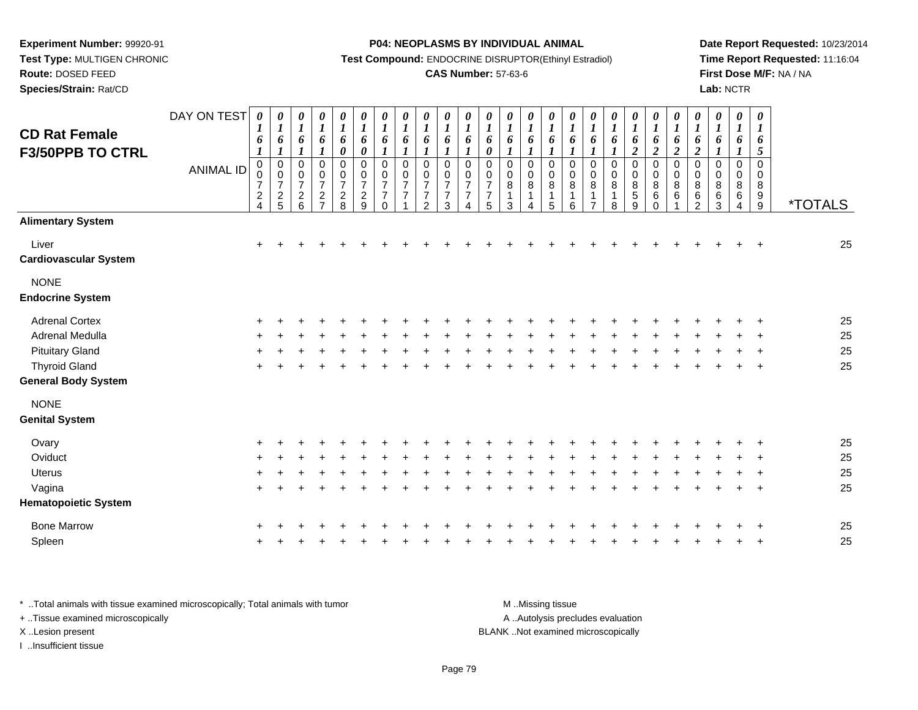**Test Type:** MULTIGEN CHRONIC

**Route:** DOSED FEED

**Species/Strain:** Rat/CD

**P04: NEOPLASMS BY INDIVIDUAL ANIMAL**

**Test Compound:** ENDOCRINE DISRUPTOR(Ethinyl Estradiol)

## **CAS Number:** 57-63-6

**Date Report Requested:** 10/23/2014**Time Report Requested:** 11:16:04**First Dose M/F:** NA / NA**Lab:** NCTR

|                              | DAY ON TEST      | 0                | 0                        | 0                     | 0                     | 0                     | $\pmb{\theta}$             | 0                          | $\pmb{\theta}$             | 0                                | 0                     | $\boldsymbol{\theta}$ | 0                        | $\boldsymbol{\theta}$      | $\pmb{\theta}$         | $\boldsymbol{\theta}$    | $\pmb{\theta}$         | $\boldsymbol{\theta}$    | $\pmb{\theta}$         | 0                       | 0                              | $\pmb{\theta}$           | 0                         | $\boldsymbol{\theta}$ | $\pmb{\theta}$            | $\boldsymbol{\theta}$      |                       |
|------------------------------|------------------|------------------|--------------------------|-----------------------|-----------------------|-----------------------|----------------------------|----------------------------|----------------------------|----------------------------------|-----------------------|-----------------------|--------------------------|----------------------------|------------------------|--------------------------|------------------------|--------------------------|------------------------|-------------------------|--------------------------------|--------------------------|---------------------------|-----------------------|---------------------------|----------------------------|-----------------------|
| <b>CD Rat Female</b>         |                  | $\bm{l}$<br>6    | $\boldsymbol{l}$<br>6    | $\boldsymbol{l}$<br>6 | $\boldsymbol{l}$<br>6 | $\boldsymbol{l}$<br>6 | $\boldsymbol{l}$<br>6      | $\boldsymbol{l}$<br>6      | $\boldsymbol{l}$<br>6      | $\boldsymbol{l}$<br>6            | $\boldsymbol{l}$<br>6 | $\boldsymbol{l}$<br>6 | $\boldsymbol{l}$<br>6    | $\boldsymbol{l}$<br>6      | $\boldsymbol{l}$<br>6  | $\boldsymbol{l}$<br>6    | $\boldsymbol{l}$<br>6  | $\boldsymbol{l}$<br>6    | $\boldsymbol{l}$<br>6  | $\boldsymbol{l}$<br>6   | $\boldsymbol{\mathit{1}}$<br>6 | $\boldsymbol{I}$<br>6    | $\boldsymbol{l}$<br>6     | $\boldsymbol{l}$<br>6 | $\boldsymbol{l}$<br>6     | $\boldsymbol{l}$<br>6      |                       |
| <b>F3/50PPB TO CTRL</b>      |                  | $\boldsymbol{l}$ | $\boldsymbol{l}$         | $\boldsymbol{l}$      | $\boldsymbol{l}$      | $\boldsymbol{\theta}$ | $\pmb{\theta}$             | 1                          | $\boldsymbol{l}$           | $\boldsymbol{l}$                 | 1                     | $\boldsymbol{l}$      | $\pmb{\theta}$           | $\boldsymbol{l}$           | $\boldsymbol{l}$       | $\boldsymbol{l}$         | $\boldsymbol{l}$       | $\boldsymbol{l}$         | $\boldsymbol{l}$       | $\overline{\mathbf{c}}$ | $\boldsymbol{2}$               | $\overline{2}$           | $\overline{2}$            | $\boldsymbol{l}$      | $\boldsymbol{l}$          | 5                          |                       |
|                              | <b>ANIMAL ID</b> | $\mathbf 0$<br>0 | $\pmb{0}$<br>$\mathbf 0$ | 0<br>0                | 0<br>0                | $\mathbf 0$<br>0      | $\mathbf 0$<br>$\mathbf 0$ | $\pmb{0}$<br>0             | $\mathbf 0$<br>$\mathbf 0$ | $\mathbf 0$<br>$\Omega$          | 0<br>0                | 0<br>0                | $\pmb{0}$<br>$\mathbf 0$ | $\mathbf 0$<br>$\mathbf 0$ | $\pmb{0}$<br>$\pmb{0}$ | $\pmb{0}$<br>$\mathbf 0$ | $\pmb{0}$<br>$\pmb{0}$ | $\pmb{0}$<br>$\mathbf 0$ | $\pmb{0}$<br>$\pmb{0}$ | 0<br>0                  | $\pmb{0}$<br>$\pmb{0}$         | $\pmb{0}$<br>$\mathbf 0$ | $\,0\,$<br>$\pmb{0}$      | 0<br>0                | 0<br>0                    | $\mathbf 0$<br>$\mathbf 0$ |                       |
|                              |                  | $\overline{7}$   | $\overline{7}$           | $\overline{7}$        | $\overline{7}$        | $\overline{7}$        | $\overline{7}$             | 7                          | $\overline{7}$             | $\overline{7}$                   | $\overline{7}$        | $\overline{7}$        | $\overline{7}$           | 8                          | $\,8\,$                | 8                        | $\bf 8$                | 8                        | $\overline{8}$         | $\bf 8$                 | $\bf 8$                        | $\, 8$                   | $\bf 8$                   | 8                     | 8                         | 8                          |                       |
|                              |                  | $\frac{2}{4}$    | $\frac{2}{5}$            | $\frac{2}{6}$         | $\frac{2}{7}$         | $_{8}^2$              | $\frac{2}{9}$              | $\overline{7}$<br>$\Omega$ | $\overline{7}$             | $\overline{7}$<br>$\overline{2}$ | $\overline{7}$<br>3   | $\overline{7}$<br>4   | $\overline{7}$<br>5      | 1<br>3                     | 1<br>4                 | 1<br>5                   | $\mathbf 1$<br>6       | 1<br>$\overline{7}$      | $\mathbf{1}$<br>8      | $\overline{5}$<br>9     | $\,6\,$<br>$\mathbf 0$         | $\,6$                    | $\,6\,$<br>$\overline{2}$ | $\,6\,$<br>3          | $\,6\,$<br>$\overline{4}$ | 9<br>9                     | <i><b>*TOTALS</b></i> |
| <b>Alimentary System</b>     |                  |                  |                          |                       |                       |                       |                            |                            |                            |                                  |                       |                       |                          |                            |                        |                          |                        |                          |                        |                         |                                |                          |                           |                       |                           |                            |                       |
| Liver                        |                  | $\ddot{}$        |                          |                       |                       |                       |                            |                            |                            |                                  |                       |                       |                          |                            |                        |                          |                        |                          |                        |                         |                                |                          |                           |                       |                           | $\div$                     | 25                    |
| <b>Cardiovascular System</b> |                  |                  |                          |                       |                       |                       |                            |                            |                            |                                  |                       |                       |                          |                            |                        |                          |                        |                          |                        |                         |                                |                          |                           |                       |                           |                            |                       |
| <b>NONE</b>                  |                  |                  |                          |                       |                       |                       |                            |                            |                            |                                  |                       |                       |                          |                            |                        |                          |                        |                          |                        |                         |                                |                          |                           |                       |                           |                            |                       |
| <b>Endocrine System</b>      |                  |                  |                          |                       |                       |                       |                            |                            |                            |                                  |                       |                       |                          |                            |                        |                          |                        |                          |                        |                         |                                |                          |                           |                       |                           |                            |                       |
| <b>Adrenal Cortex</b>        |                  |                  |                          |                       |                       |                       |                            |                            |                            |                                  |                       |                       |                          |                            |                        |                          |                        |                          |                        |                         |                                |                          |                           |                       |                           |                            | 25                    |
| Adrenal Medulla              |                  |                  |                          |                       |                       |                       |                            |                            |                            |                                  |                       |                       |                          |                            |                        |                          |                        |                          |                        |                         |                                |                          |                           |                       |                           |                            | 25                    |
| <b>Pituitary Gland</b>       |                  |                  |                          |                       |                       |                       |                            |                            |                            |                                  |                       |                       |                          |                            |                        |                          |                        |                          |                        |                         |                                |                          |                           |                       |                           |                            | 25                    |
| <b>Thyroid Gland</b>         |                  | $\div$           |                          |                       |                       |                       |                            |                            |                            |                                  |                       |                       |                          |                            |                        |                          |                        |                          |                        |                         |                                |                          |                           |                       |                           | $\ddot{}$                  | 25                    |
| <b>General Body System</b>   |                  |                  |                          |                       |                       |                       |                            |                            |                            |                                  |                       |                       |                          |                            |                        |                          |                        |                          |                        |                         |                                |                          |                           |                       |                           |                            |                       |
| <b>NONE</b>                  |                  |                  |                          |                       |                       |                       |                            |                            |                            |                                  |                       |                       |                          |                            |                        |                          |                        |                          |                        |                         |                                |                          |                           |                       |                           |                            |                       |
| <b>Genital System</b>        |                  |                  |                          |                       |                       |                       |                            |                            |                            |                                  |                       |                       |                          |                            |                        |                          |                        |                          |                        |                         |                                |                          |                           |                       |                           |                            |                       |
| Ovary                        |                  |                  |                          |                       |                       |                       |                            |                            |                            |                                  |                       |                       |                          |                            |                        |                          |                        |                          |                        |                         |                                |                          |                           |                       |                           |                            | 25                    |
| Oviduct                      |                  |                  |                          |                       |                       |                       |                            |                            |                            |                                  |                       |                       |                          |                            |                        |                          |                        |                          |                        |                         |                                |                          |                           |                       |                           |                            | 25                    |
| Uterus                       |                  |                  |                          |                       |                       |                       |                            |                            |                            |                                  |                       |                       |                          |                            |                        |                          |                        |                          |                        |                         |                                |                          |                           |                       |                           |                            | 25                    |
| Vagina                       |                  | $\ddot{}$        |                          |                       |                       |                       |                            |                            |                            |                                  |                       |                       |                          |                            |                        |                          |                        |                          |                        |                         |                                |                          |                           |                       |                           | $\ddot{}$                  | 25                    |
| <b>Hematopoietic System</b>  |                  |                  |                          |                       |                       |                       |                            |                            |                            |                                  |                       |                       |                          |                            |                        |                          |                        |                          |                        |                         |                                |                          |                           |                       |                           |                            |                       |
| <b>Bone Marrow</b>           |                  |                  |                          |                       |                       |                       |                            |                            |                            |                                  |                       |                       |                          |                            |                        |                          |                        |                          |                        |                         |                                |                          |                           |                       |                           |                            | 25                    |
| Spleen                       |                  |                  |                          |                       |                       |                       |                            |                            |                            |                                  |                       |                       |                          |                            |                        |                          |                        |                          |                        |                         |                                |                          |                           |                       |                           |                            | 25                    |
|                              |                  |                  |                          |                       |                       |                       |                            |                            |                            |                                  |                       |                       |                          |                            |                        |                          |                        |                          |                        |                         |                                |                          |                           |                       |                           |                            |                       |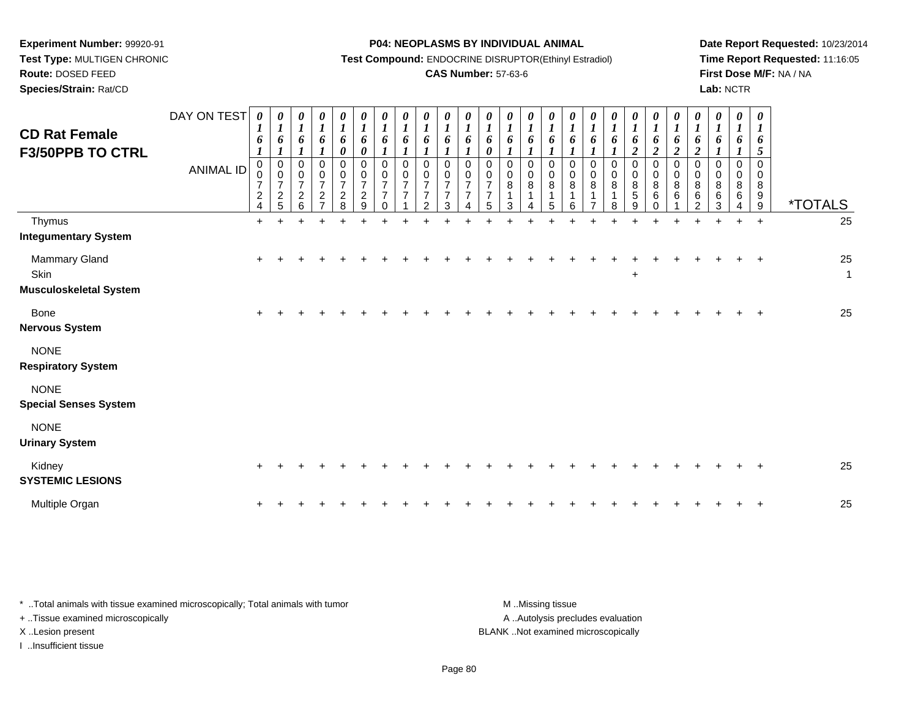**Test Type:** MULTIGEN CHRONIC

**Route:** DOSED FEED

**Species/Strain:** Rat/CD

#### **P04: NEOPLASMS BY INDIVIDUAL ANIMAL**

**Test Compound:** ENDOCRINE DISRUPTOR(Ethinyl Estradiol)

## **CAS Number:** 57-63-6

**Date Report Requested:** 10/23/2014**Time Report Requested:** 11:16:05**First Dose M/F:** NA / NA**Lab:** NCTR

| <b>CD Rat Female</b><br><b>F3/50PPB TO CTRL</b>        | DAY ON TEST<br><b>ANIMAL ID</b> | $\theta$<br>$\boldsymbol{l}$<br>6<br>$\boldsymbol{\mathit{1}}$<br>$\mathbf 0$<br>0<br>$\overline{7}$<br>$\sqrt{2}$<br>$\overline{4}$ | $\boldsymbol{l}$<br>6<br>$\boldsymbol{l}$<br>$\pmb{0}$<br>$\,0\,$<br>$\boldsymbol{7}$<br>$\frac{2}{5}$ | 0<br>$\boldsymbol{l}$<br>6<br>1<br>0<br>0<br>$\overline{7}$<br>$\begin{array}{c} 2 \\ 6 \end{array}$ | 0<br>$\boldsymbol{l}$<br>6<br>1<br>0<br>0<br>$\overline{7}$<br>$\boldsymbol{2}$<br>$\overline{7}$ | $\pmb{\theta}$<br>$\boldsymbol{l}$<br>6<br>0<br>0<br>$\pmb{0}$<br>$\boldsymbol{7}$<br>$\frac{2}{8}$ | $\boldsymbol{\theta}$<br>$\boldsymbol{l}$<br>6<br>$\boldsymbol{\theta}$<br>$\mathbf 0$<br>$\pmb{0}$<br>$\overline{\mathbf{7}}$<br>$\frac{2}{9}$ | 0<br>$\boldsymbol{l}$<br>6<br>$\boldsymbol{l}$<br>$\pmb{0}$<br>$\pmb{0}$<br>$\boldsymbol{7}$<br>$\overline{7}$<br>$\Omega$ | 0<br>$\boldsymbol{l}$<br>6<br>$\boldsymbol{l}$<br>$\mathbf 0$<br>0<br>$\overline{7}$<br>$\overline{7}$ | $\pmb{\theta}$<br>$\boldsymbol{l}$<br>6<br>1<br>$\mathbf 0$<br>0<br>$\overline{7}$<br>$\overline{7}$<br>$\mathcal{P}$ | $\boldsymbol{\theta}$<br>$\boldsymbol{l}$<br>6<br>$\boldsymbol{l}$<br>$\mathbf 0$<br>0<br>$\overline{7}$<br>$\overline{7}$<br>3 | 0<br>$\boldsymbol{l}$<br>6<br>$\Omega$<br>0<br>$\overline{7}$<br>$\overline{7}$ | 0<br>$\boldsymbol{l}$<br>6<br>0<br>$\Omega$<br>0<br>$\overline{7}$<br>$\overline{7}$<br>5 | 0<br>$\boldsymbol{l}$<br>6<br>1<br>0<br>0<br>8<br>1<br>3 | 0<br>$\boldsymbol{l}$<br>6<br>$\boldsymbol{l}$<br>0<br>0<br>$\bf8$<br>1<br>4 | 0<br>$\boldsymbol{l}$<br>6<br>0<br>0<br>8<br>1<br>5 | 0<br>$\boldsymbol{l}$<br>6<br>$\boldsymbol{l}$<br>$\mathbf 0$<br>0<br>8<br>$\mathbf 1$<br>6 | 0<br>$\boldsymbol{l}$<br>6<br>$\boldsymbol{l}$<br>$\boldsymbol{0}$<br>0<br>8<br>1<br>$\overline{7}$ | $\boldsymbol{\theta}$<br>$\boldsymbol{l}$<br>6<br>$\mathbf 0$<br>$_{\rm 8}^{\rm 0}$<br>8 | 0<br>$\boldsymbol{l}$<br>6<br>$\overline{2}$<br>0<br>$_{8}^{\rm 0}$<br>5<br>9 | 0<br>$\boldsymbol{l}$<br>6<br>$\overline{2}$<br>0<br>$\pmb{0}$<br>8<br>6<br>$\Omega$ | $\boldsymbol{\theta}$<br>$\boldsymbol{l}$<br>6<br>$\overline{\mathbf{c}}$<br>$\mathbf 0$<br>0<br>$\bf 8$<br>$\,6$ | 0<br>$\boldsymbol{l}$<br>6<br>$\boldsymbol{2}$<br>$\mathbf 0$<br>0<br>$\bf 8$<br>6<br>$\overline{2}$ | 0<br>$\boldsymbol{l}$<br>6<br>$\mathbf 0$<br>0<br>8<br>$\,6\,$<br>3 | 0<br>$\boldsymbol{l}$<br>6<br>1<br>$\mathbf 0$<br>0<br>8<br>6<br>$\boldsymbol{\Lambda}$ | $\boldsymbol{\theta}$<br>$\boldsymbol{I}$<br>6<br>5<br>$\Omega$<br>0<br>8<br>9<br>$9\,$ | <i><b>*TOTALS</b></i> |
|--------------------------------------------------------|---------------------------------|--------------------------------------------------------------------------------------------------------------------------------------|--------------------------------------------------------------------------------------------------------|------------------------------------------------------------------------------------------------------|---------------------------------------------------------------------------------------------------|-----------------------------------------------------------------------------------------------------|-------------------------------------------------------------------------------------------------------------------------------------------------|----------------------------------------------------------------------------------------------------------------------------|--------------------------------------------------------------------------------------------------------|-----------------------------------------------------------------------------------------------------------------------|---------------------------------------------------------------------------------------------------------------------------------|---------------------------------------------------------------------------------|-------------------------------------------------------------------------------------------|----------------------------------------------------------|------------------------------------------------------------------------------|-----------------------------------------------------|---------------------------------------------------------------------------------------------|-----------------------------------------------------------------------------------------------------|------------------------------------------------------------------------------------------|-------------------------------------------------------------------------------|--------------------------------------------------------------------------------------|-------------------------------------------------------------------------------------------------------------------|------------------------------------------------------------------------------------------------------|---------------------------------------------------------------------|-----------------------------------------------------------------------------------------|-----------------------------------------------------------------------------------------|-----------------------|
| Thymus<br><b>Integumentary System</b>                  |                                 | $\ddot{}$                                                                                                                            |                                                                                                        |                                                                                                      |                                                                                                   |                                                                                                     |                                                                                                                                                 |                                                                                                                            |                                                                                                        |                                                                                                                       |                                                                                                                                 |                                                                                 |                                                                                           |                                                          |                                                                              |                                                     |                                                                                             |                                                                                                     |                                                                                          |                                                                               |                                                                                      |                                                                                                                   |                                                                                                      |                                                                     |                                                                                         | $\ddot{}$                                                                               | 25                    |
| Mammary Gland<br>Skin<br><b>Musculoskeletal System</b> |                                 | $\ddot{}$                                                                                                                            |                                                                                                        |                                                                                                      |                                                                                                   |                                                                                                     |                                                                                                                                                 |                                                                                                                            |                                                                                                        |                                                                                                                       |                                                                                                                                 |                                                                                 |                                                                                           |                                                          |                                                                              |                                                     |                                                                                             |                                                                                                     |                                                                                          | +                                                                             |                                                                                      |                                                                                                                   |                                                                                                      |                                                                     |                                                                                         |                                                                                         | 25<br>$\mathbf{1}$    |
| Bone<br><b>Nervous System</b>                          |                                 |                                                                                                                                      |                                                                                                        |                                                                                                      |                                                                                                   |                                                                                                     |                                                                                                                                                 |                                                                                                                            |                                                                                                        |                                                                                                                       |                                                                                                                                 |                                                                                 |                                                                                           |                                                          |                                                                              |                                                     |                                                                                             |                                                                                                     |                                                                                          |                                                                               |                                                                                      |                                                                                                                   |                                                                                                      |                                                                     |                                                                                         |                                                                                         | 25                    |
| <b>NONE</b><br><b>Respiratory System</b>               |                                 |                                                                                                                                      |                                                                                                        |                                                                                                      |                                                                                                   |                                                                                                     |                                                                                                                                                 |                                                                                                                            |                                                                                                        |                                                                                                                       |                                                                                                                                 |                                                                                 |                                                                                           |                                                          |                                                                              |                                                     |                                                                                             |                                                                                                     |                                                                                          |                                                                               |                                                                                      |                                                                                                                   |                                                                                                      |                                                                     |                                                                                         |                                                                                         |                       |
| <b>NONE</b><br><b>Special Senses System</b>            |                                 |                                                                                                                                      |                                                                                                        |                                                                                                      |                                                                                                   |                                                                                                     |                                                                                                                                                 |                                                                                                                            |                                                                                                        |                                                                                                                       |                                                                                                                                 |                                                                                 |                                                                                           |                                                          |                                                                              |                                                     |                                                                                             |                                                                                                     |                                                                                          |                                                                               |                                                                                      |                                                                                                                   |                                                                                                      |                                                                     |                                                                                         |                                                                                         |                       |
| <b>NONE</b><br><b>Urinary System</b>                   |                                 |                                                                                                                                      |                                                                                                        |                                                                                                      |                                                                                                   |                                                                                                     |                                                                                                                                                 |                                                                                                                            |                                                                                                        |                                                                                                                       |                                                                                                                                 |                                                                                 |                                                                                           |                                                          |                                                                              |                                                     |                                                                                             |                                                                                                     |                                                                                          |                                                                               |                                                                                      |                                                                                                                   |                                                                                                      |                                                                     |                                                                                         |                                                                                         |                       |
| Kidney<br><b>SYSTEMIC LESIONS</b>                      |                                 | ÷                                                                                                                                    |                                                                                                        |                                                                                                      |                                                                                                   |                                                                                                     |                                                                                                                                                 |                                                                                                                            |                                                                                                        |                                                                                                                       |                                                                                                                                 |                                                                                 |                                                                                           |                                                          |                                                                              |                                                     |                                                                                             |                                                                                                     |                                                                                          |                                                                               |                                                                                      |                                                                                                                   |                                                                                                      |                                                                     |                                                                                         |                                                                                         | 25                    |
| Multiple Organ                                         |                                 | $\ddot{}$                                                                                                                            |                                                                                                        |                                                                                                      |                                                                                                   |                                                                                                     |                                                                                                                                                 |                                                                                                                            |                                                                                                        |                                                                                                                       |                                                                                                                                 |                                                                                 |                                                                                           |                                                          |                                                                              |                                                     |                                                                                             |                                                                                                     |                                                                                          |                                                                               |                                                                                      |                                                                                                                   |                                                                                                      |                                                                     |                                                                                         |                                                                                         | 25                    |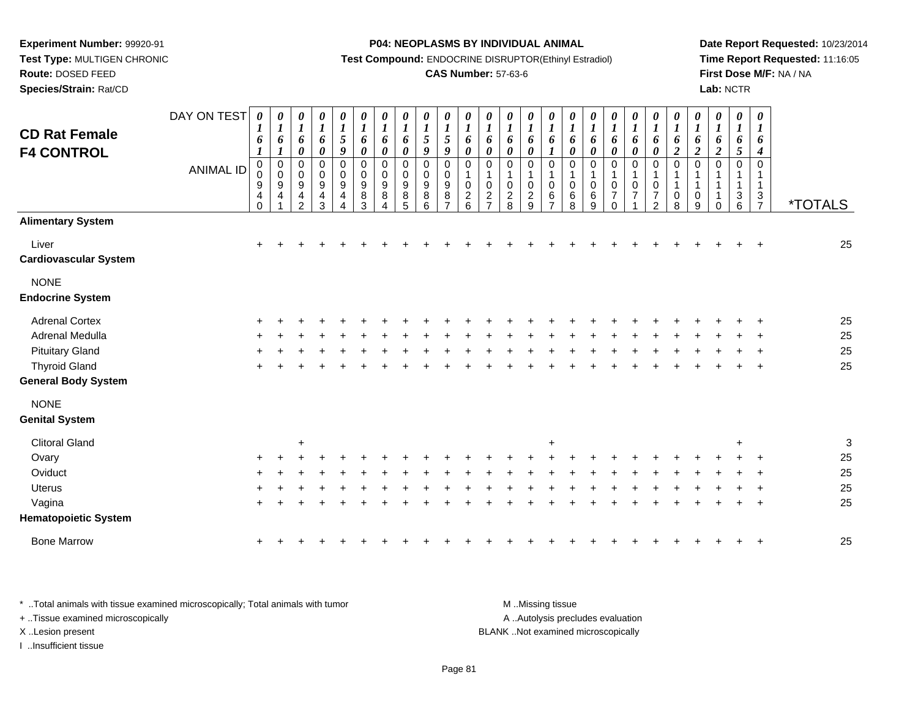**Route:** DOSED FEED

**Species/Strain:** Rat/CD

#### **P04: NEOPLASMS BY INDIVIDUAL ANIMAL**

**Test Compound:** ENDOCRINE DISRUPTOR(Ethinyl Estradiol)

### **CAS Number:** 57-63-6

**Date Report Requested:** 10/23/2014**Time Report Requested:** 11:16:05**First Dose M/F:** NA / NA**Lab:** NCTR

| <b>CD Rat Female</b><br><b>F4 CONTROL</b> | DAY ON TEST<br><b>ANIMAL ID</b> | $\pmb{\theta}$<br>$\boldsymbol{l}$<br>6<br>$\boldsymbol{l}$<br>$\pmb{0}$<br>0<br>$\boldsymbol{9}$<br>4<br>$\Omega$ | 0<br>$\boldsymbol{l}$<br>6<br>$\boldsymbol{l}$<br>0<br>0<br>9<br>4 | 0<br>$\boldsymbol{l}$<br>6<br>$\boldsymbol{\theta}$<br>$\mathbf 0$<br>0<br>9<br>4<br>$\mathfrak{p}$ | 0<br>$\boldsymbol{l}$<br>6<br>$\boldsymbol{\theta}$<br>$\mathbf 0$<br>0<br>$\boldsymbol{9}$<br>$\overline{4}$<br>3 | 0<br>$\boldsymbol{l}$<br>$\sqrt{5}$<br>9<br>$\pmb{0}$<br>$\pmb{0}$<br>$9\,$<br>4<br>4 | $\pmb{\theta}$<br>$\boldsymbol{l}$<br>6<br>$\boldsymbol{\theta}$<br>$\mathbf 0$<br>$\pmb{0}$<br>$\boldsymbol{9}$<br>8<br>3 | $\pmb{\theta}$<br>$\boldsymbol{l}$<br>6<br>$\boldsymbol{\theta}$<br>$\pmb{0}$<br>0<br>$\boldsymbol{9}$<br>8<br>4 | 0<br>$\boldsymbol{I}$<br>6<br>$\boldsymbol{\theta}$<br>$\mathbf 0$<br>0<br>9<br>8<br>5 | $\pmb{\theta}$<br>$\boldsymbol{l}$<br>$\sqrt{5}$<br>$\boldsymbol{9}$<br>$\mathbf 0$<br>$\pmb{0}$<br>$\boldsymbol{9}$<br>8<br>6 | $\boldsymbol{\theta}$<br>$\boldsymbol{l}$<br>$\overline{5}$<br>$\boldsymbol{9}$<br>$\mathbf 0$<br>0<br>$9\,$<br>8<br>$\overline{7}$ | 0<br>$\boldsymbol{l}$<br>6<br>$\pmb{\theta}$<br>$\mathbf 0$<br>$\mathsf 0$<br>$\overline{c}$<br>$6\phantom{a}$ | $\boldsymbol{\theta}$<br>$\boldsymbol{l}$<br>6<br>$\boldsymbol{\theta}$<br>$\mathbf 0$<br>$\mathbf{1}$<br>$\mathbf 0$<br>$\sqrt{2}$<br>$\overline{7}$ | 0<br>$\boldsymbol{l}$<br>6<br>$\pmb{\theta}$<br>$\mathbf 0$<br>$\mathbf 1$<br>$\pmb{0}$<br>$\overline{c}$<br>8 | $\boldsymbol{\theta}$<br>$\boldsymbol{l}$<br>6<br>$\boldsymbol{\theta}$<br>$\mathbf 0$<br>$\mathbf{1}$<br>$\mathbf 0$<br>$\overline{2}$<br>9 | 0<br>$\boldsymbol{l}$<br>6<br>1<br>$\mathbf 0$<br>1<br>0<br>$\,6$<br>$\overline{ }$ | $\boldsymbol{\theta}$<br>$\boldsymbol{l}$<br>6<br>$\boldsymbol{\theta}$<br>$\mathbf 0$<br>$\overline{1}$<br>$\mathbf 0$<br>6<br>8 | 0<br>$\boldsymbol{l}$<br>6<br>$\boldsymbol{\theta}$<br>$\mathbf 0$<br>1<br>$\mathbf 0$<br>6<br>9 | $\boldsymbol{\theta}$<br>$\boldsymbol{l}$<br>6<br>$\boldsymbol{\theta}$<br>$\mathbf 0$<br>$\mathbf 0$<br>$\overline{7}$<br>0 | $\pmb{\theta}$<br>$\boldsymbol{l}$<br>6<br>$\pmb{\theta}$<br>$\pmb{0}$<br>$\mathbf{1}$<br>0<br>$\overline{7}$ | $\pmb{\theta}$<br>$\boldsymbol{l}$<br>6<br>$\pmb{\theta}$<br>$\pmb{0}$<br>$\mathbf{1}$<br>$\pmb{0}$<br>$\overline{7}$<br>2 | $\pmb{\theta}$<br>$\boldsymbol{l}$<br>6<br>$\boldsymbol{2}$<br>$\boldsymbol{0}$<br>1<br>$\mathbf{1}$<br>$\mathbf 0$<br>8 | 0<br>$\boldsymbol{l}$<br>6<br>$\boldsymbol{2}$<br>$\mathbf 0$<br>$\mathbf{1}$<br>0<br>9 | 0<br>$\boldsymbol{l}$<br>6<br>$\overline{2}$<br>$\mathbf 0$<br>-1<br>$\Omega$ | 0<br>$\boldsymbol{l}$<br>6<br>5<br>0<br>3<br>$6\phantom{a}$ | $\boldsymbol{\theta}$<br>$\boldsymbol{l}$<br>6<br>$\boldsymbol{4}$<br>$\mathbf 0$<br>$\mathbf{1}$<br>$\mathbf{1}$<br>3<br>$\overline{7}$ | <i><b>*TOTALS</b></i> |
|-------------------------------------------|---------------------------------|--------------------------------------------------------------------------------------------------------------------|--------------------------------------------------------------------|-----------------------------------------------------------------------------------------------------|--------------------------------------------------------------------------------------------------------------------|---------------------------------------------------------------------------------------|----------------------------------------------------------------------------------------------------------------------------|------------------------------------------------------------------------------------------------------------------|----------------------------------------------------------------------------------------|--------------------------------------------------------------------------------------------------------------------------------|-------------------------------------------------------------------------------------------------------------------------------------|----------------------------------------------------------------------------------------------------------------|-------------------------------------------------------------------------------------------------------------------------------------------------------|----------------------------------------------------------------------------------------------------------------|----------------------------------------------------------------------------------------------------------------------------------------------|-------------------------------------------------------------------------------------|-----------------------------------------------------------------------------------------------------------------------------------|--------------------------------------------------------------------------------------------------|------------------------------------------------------------------------------------------------------------------------------|---------------------------------------------------------------------------------------------------------------|----------------------------------------------------------------------------------------------------------------------------|--------------------------------------------------------------------------------------------------------------------------|-----------------------------------------------------------------------------------------|-------------------------------------------------------------------------------|-------------------------------------------------------------|------------------------------------------------------------------------------------------------------------------------------------------|-----------------------|
| <b>Alimentary System</b>                  |                                 |                                                                                                                    |                                                                    |                                                                                                     |                                                                                                                    |                                                                                       |                                                                                                                            |                                                                                                                  |                                                                                        |                                                                                                                                |                                                                                                                                     |                                                                                                                |                                                                                                                                                       |                                                                                                                |                                                                                                                                              |                                                                                     |                                                                                                                                   |                                                                                                  |                                                                                                                              |                                                                                                               |                                                                                                                            |                                                                                                                          |                                                                                         |                                                                               |                                                             |                                                                                                                                          |                       |
| Liver<br><b>Cardiovascular System</b>     |                                 | $\ddot{}$                                                                                                          |                                                                    |                                                                                                     |                                                                                                                    |                                                                                       |                                                                                                                            |                                                                                                                  |                                                                                        |                                                                                                                                |                                                                                                                                     |                                                                                                                |                                                                                                                                                       |                                                                                                                |                                                                                                                                              |                                                                                     |                                                                                                                                   |                                                                                                  |                                                                                                                              |                                                                                                               |                                                                                                                            |                                                                                                                          |                                                                                         |                                                                               |                                                             |                                                                                                                                          | 25                    |
| <b>NONE</b><br><b>Endocrine System</b>    |                                 |                                                                                                                    |                                                                    |                                                                                                     |                                                                                                                    |                                                                                       |                                                                                                                            |                                                                                                                  |                                                                                        |                                                                                                                                |                                                                                                                                     |                                                                                                                |                                                                                                                                                       |                                                                                                                |                                                                                                                                              |                                                                                     |                                                                                                                                   |                                                                                                  |                                                                                                                              |                                                                                                               |                                                                                                                            |                                                                                                                          |                                                                                         |                                                                               |                                                             |                                                                                                                                          |                       |
| <b>Adrenal Cortex</b>                     |                                 |                                                                                                                    |                                                                    |                                                                                                     |                                                                                                                    |                                                                                       |                                                                                                                            |                                                                                                                  |                                                                                        |                                                                                                                                |                                                                                                                                     |                                                                                                                |                                                                                                                                                       |                                                                                                                |                                                                                                                                              |                                                                                     |                                                                                                                                   |                                                                                                  |                                                                                                                              |                                                                                                               |                                                                                                                            |                                                                                                                          |                                                                                         |                                                                               |                                                             |                                                                                                                                          | 25                    |
| Adrenal Medulla                           |                                 |                                                                                                                    |                                                                    |                                                                                                     |                                                                                                                    |                                                                                       |                                                                                                                            |                                                                                                                  |                                                                                        |                                                                                                                                |                                                                                                                                     |                                                                                                                |                                                                                                                                                       |                                                                                                                |                                                                                                                                              |                                                                                     |                                                                                                                                   |                                                                                                  |                                                                                                                              |                                                                                                               |                                                                                                                            |                                                                                                                          |                                                                                         |                                                                               |                                                             |                                                                                                                                          | 25                    |
| <b>Pituitary Gland</b>                    |                                 |                                                                                                                    |                                                                    |                                                                                                     |                                                                                                                    |                                                                                       |                                                                                                                            |                                                                                                                  |                                                                                        |                                                                                                                                |                                                                                                                                     |                                                                                                                |                                                                                                                                                       |                                                                                                                |                                                                                                                                              |                                                                                     |                                                                                                                                   |                                                                                                  |                                                                                                                              |                                                                                                               |                                                                                                                            |                                                                                                                          |                                                                                         |                                                                               |                                                             |                                                                                                                                          | 25                    |
| <b>Thyroid Gland</b>                      |                                 | $\ddot{}$                                                                                                          |                                                                    |                                                                                                     |                                                                                                                    |                                                                                       |                                                                                                                            |                                                                                                                  |                                                                                        |                                                                                                                                |                                                                                                                                     |                                                                                                                |                                                                                                                                                       |                                                                                                                |                                                                                                                                              |                                                                                     |                                                                                                                                   |                                                                                                  |                                                                                                                              |                                                                                                               |                                                                                                                            |                                                                                                                          |                                                                                         |                                                                               |                                                             | $\ddot{}$                                                                                                                                | 25                    |
| <b>General Body System</b>                |                                 |                                                                                                                    |                                                                    |                                                                                                     |                                                                                                                    |                                                                                       |                                                                                                                            |                                                                                                                  |                                                                                        |                                                                                                                                |                                                                                                                                     |                                                                                                                |                                                                                                                                                       |                                                                                                                |                                                                                                                                              |                                                                                     |                                                                                                                                   |                                                                                                  |                                                                                                                              |                                                                                                               |                                                                                                                            |                                                                                                                          |                                                                                         |                                                                               |                                                             |                                                                                                                                          |                       |
| <b>NONE</b>                               |                                 |                                                                                                                    |                                                                    |                                                                                                     |                                                                                                                    |                                                                                       |                                                                                                                            |                                                                                                                  |                                                                                        |                                                                                                                                |                                                                                                                                     |                                                                                                                |                                                                                                                                                       |                                                                                                                |                                                                                                                                              |                                                                                     |                                                                                                                                   |                                                                                                  |                                                                                                                              |                                                                                                               |                                                                                                                            |                                                                                                                          |                                                                                         |                                                                               |                                                             |                                                                                                                                          |                       |
| <b>Genital System</b>                     |                                 |                                                                                                                    |                                                                    |                                                                                                     |                                                                                                                    |                                                                                       |                                                                                                                            |                                                                                                                  |                                                                                        |                                                                                                                                |                                                                                                                                     |                                                                                                                |                                                                                                                                                       |                                                                                                                |                                                                                                                                              |                                                                                     |                                                                                                                                   |                                                                                                  |                                                                                                                              |                                                                                                               |                                                                                                                            |                                                                                                                          |                                                                                         |                                                                               |                                                             |                                                                                                                                          |                       |
| <b>Clitoral Gland</b>                     |                                 |                                                                                                                    |                                                                    | $\ddot{}$                                                                                           |                                                                                                                    |                                                                                       |                                                                                                                            |                                                                                                                  |                                                                                        |                                                                                                                                |                                                                                                                                     |                                                                                                                |                                                                                                                                                       |                                                                                                                |                                                                                                                                              | $\ddot{}$                                                                           |                                                                                                                                   |                                                                                                  |                                                                                                                              |                                                                                                               |                                                                                                                            |                                                                                                                          |                                                                                         |                                                                               | $\ddot{}$                                                   |                                                                                                                                          | 3                     |
| Ovary                                     |                                 |                                                                                                                    |                                                                    |                                                                                                     |                                                                                                                    |                                                                                       |                                                                                                                            |                                                                                                                  |                                                                                        |                                                                                                                                |                                                                                                                                     |                                                                                                                |                                                                                                                                                       |                                                                                                                |                                                                                                                                              |                                                                                     |                                                                                                                                   |                                                                                                  |                                                                                                                              |                                                                                                               |                                                                                                                            |                                                                                                                          |                                                                                         |                                                                               |                                                             |                                                                                                                                          | 25                    |
| Oviduct                                   |                                 |                                                                                                                    |                                                                    |                                                                                                     |                                                                                                                    |                                                                                       |                                                                                                                            |                                                                                                                  |                                                                                        |                                                                                                                                |                                                                                                                                     |                                                                                                                |                                                                                                                                                       |                                                                                                                |                                                                                                                                              |                                                                                     |                                                                                                                                   |                                                                                                  |                                                                                                                              |                                                                                                               |                                                                                                                            |                                                                                                                          |                                                                                         |                                                                               |                                                             |                                                                                                                                          | 25                    |
| Uterus                                    |                                 |                                                                                                                    |                                                                    |                                                                                                     |                                                                                                                    |                                                                                       |                                                                                                                            |                                                                                                                  |                                                                                        |                                                                                                                                |                                                                                                                                     |                                                                                                                |                                                                                                                                                       |                                                                                                                |                                                                                                                                              |                                                                                     |                                                                                                                                   |                                                                                                  |                                                                                                                              |                                                                                                               |                                                                                                                            |                                                                                                                          |                                                                                         |                                                                               |                                                             |                                                                                                                                          | 25                    |
| Vagina                                    |                                 |                                                                                                                    |                                                                    |                                                                                                     |                                                                                                                    |                                                                                       |                                                                                                                            |                                                                                                                  |                                                                                        |                                                                                                                                |                                                                                                                                     |                                                                                                                |                                                                                                                                                       |                                                                                                                |                                                                                                                                              |                                                                                     |                                                                                                                                   |                                                                                                  |                                                                                                                              |                                                                                                               |                                                                                                                            |                                                                                                                          |                                                                                         |                                                                               |                                                             |                                                                                                                                          | 25                    |
| <b>Hematopoietic System</b>               |                                 |                                                                                                                    |                                                                    |                                                                                                     |                                                                                                                    |                                                                                       |                                                                                                                            |                                                                                                                  |                                                                                        |                                                                                                                                |                                                                                                                                     |                                                                                                                |                                                                                                                                                       |                                                                                                                |                                                                                                                                              |                                                                                     |                                                                                                                                   |                                                                                                  |                                                                                                                              |                                                                                                               |                                                                                                                            |                                                                                                                          |                                                                                         |                                                                               |                                                             |                                                                                                                                          |                       |
| <b>Bone Marrow</b>                        |                                 |                                                                                                                    |                                                                    |                                                                                                     |                                                                                                                    |                                                                                       |                                                                                                                            |                                                                                                                  |                                                                                        |                                                                                                                                |                                                                                                                                     |                                                                                                                |                                                                                                                                                       |                                                                                                                |                                                                                                                                              |                                                                                     |                                                                                                                                   |                                                                                                  |                                                                                                                              |                                                                                                               |                                                                                                                            |                                                                                                                          |                                                                                         |                                                                               |                                                             |                                                                                                                                          | 25                    |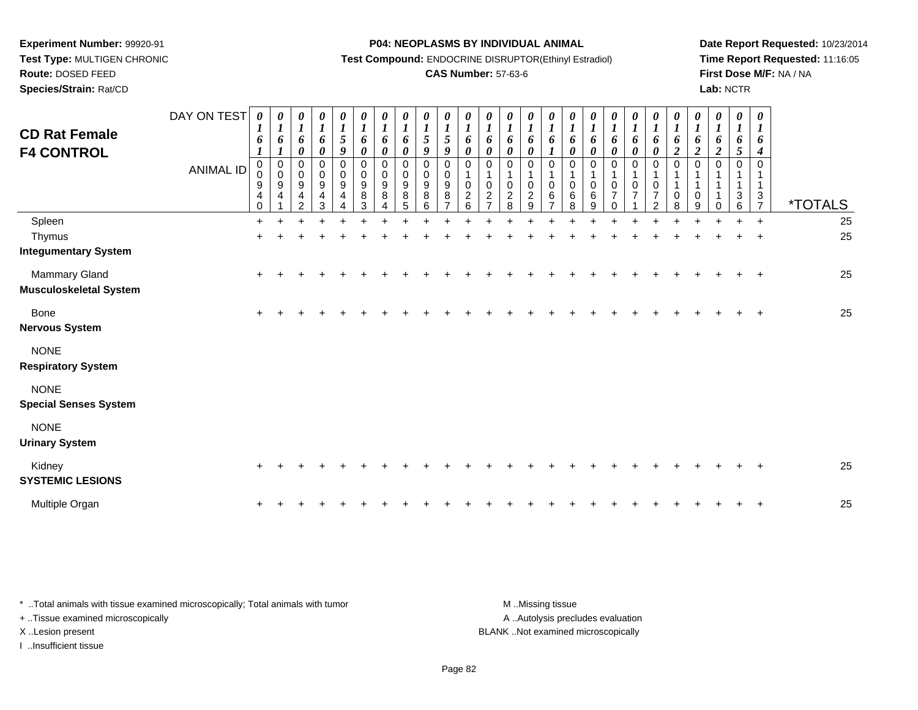# **Route:** DOSED FEED

**Species/Strain:** Rat/CD

#### **P04: NEOPLASMS BY INDIVIDUAL ANIMAL**

**Test Compound:** ENDOCRINE DISRUPTOR(Ethinyl Estradiol)

# **CAS Number:** 57-63-6

**Date Report Requested:** 10/23/2014**Time Report Requested:** 11:16:05**First Dose M/F:** NA / NA**Lab:** NCTR

| <b>CD Rat Female</b><br><b>F4 CONTROL</b>      | DAY ON TEST<br><b>ANIMAL ID</b> | 0<br>$\boldsymbol{l}$<br>$\boldsymbol{6}$<br>$\boldsymbol{l}$<br>$\mathbf 0$<br>0<br>$\boldsymbol{9}$<br>$\overline{4}$<br>$\mathbf 0$ | $\boldsymbol{\mathit{U}}$<br>$\boldsymbol{l}$<br>6<br>$\boldsymbol{l}$<br>$\pmb{0}$<br>$\pmb{0}$<br>$\boldsymbol{9}$<br>4 | 0<br>$\boldsymbol{l}$<br>6<br>$\boldsymbol{\theta}$<br>$\mathbf 0$<br>$\pmb{0}$<br>$\boldsymbol{9}$<br>$\overline{\mathbf{4}}$<br>$\mathcal{P}$ | $\frac{\theta}{I}$<br>$\boldsymbol{6}$<br>$\boldsymbol{\theta}$<br>0<br>0<br>$\boldsymbol{9}$<br>$\overline{4}$<br>3 | 0<br>$\frac{1}{5}$<br>9<br>0<br>0<br>$\boldsymbol{9}$<br>4 | 0<br>$\boldsymbol{l}$<br>6<br>0<br>0<br>0<br>$\boldsymbol{9}$<br>8<br>3 | 0<br>$\boldsymbol{l}$<br>6<br>$\boldsymbol{\theta}$<br>$\mathbf 0$<br>0<br>$\boldsymbol{9}$<br>8 | 0<br>$\boldsymbol{l}$<br>6<br>0<br>$\mathbf 0$<br>0<br>$\boldsymbol{9}$<br>8<br>5 | $\boldsymbol{\theta}$<br>$\boldsymbol{l}$<br>$\mathfrak{s}$<br>9<br>$\Omega$<br>$\Omega$<br>9<br>8<br>6 | 0<br>$\boldsymbol{l}$<br>5<br>9<br>$\mathbf 0$<br>0<br>$\frac{9}{8}$ | 0<br>$\boldsymbol{l}$<br>6<br>$\pmb{\theta}$<br>$\Omega$<br>$\pmb{0}$<br>$\overline{c}$<br>6 | 0<br>$\boldsymbol{l}$<br>6<br>$\pmb{\theta}$<br>$\Omega$<br>$\pmb{0}$<br>$\overline{2}$<br>$\overline{z}$ | 0<br>$\boldsymbol{l}$<br>6<br>$\boldsymbol{\theta}$<br>$\mathbf 0$<br>$\mathbf 1$<br>$\pmb{0}$<br>$\boldsymbol{2}$<br>8 | 0<br>$\boldsymbol{l}$<br>6<br>0<br>$\Omega$<br>1<br>0<br>$\overline{\mathbf{c}}$<br>9 | 0<br>$\boldsymbol{l}$<br>6<br>$\boldsymbol{l}$<br>$\Omega$<br>$\mathbf 0$<br>6<br>$\overline{z}$ | 0<br>$\boldsymbol{l}$<br>6<br>0<br>$\Omega$<br>0<br>6<br>8 | 0<br>$\boldsymbol{l}$<br>6<br>$\boldsymbol{\theta}$<br>$\mathbf 0$<br>$\pmb{0}$<br>6<br>9 | 0<br>$\boldsymbol{l}$<br>6<br>$\boldsymbol{\theta}$<br>0<br>1<br>0<br>$\overline{7}$<br>$\Omega$ | 0<br>$\boldsymbol{l}$<br>6<br>0<br>$\mathbf 0$<br>$\pmb{0}$<br>$\overline{7}$ | 0<br>$\boldsymbol{l}$<br>6<br>$\pmb{\theta}$<br>$\pmb{0}$<br>1<br>$\pmb{0}$<br>$\boldsymbol{7}$<br>$\overline{2}$ | 0<br>$\boldsymbol{l}$<br>6<br>$\boldsymbol{2}$<br>$\mathbf 0$<br>$\mathbf{1}$<br>0<br>8 | $\boldsymbol{\theta}$<br>$\boldsymbol{l}$<br>$\pmb{6}$<br>$\overline{2}$<br>$\mathbf{0}$<br>0<br>9 | 0<br>$\boldsymbol{l}$<br>6<br>$\overline{c}$<br>$\Omega$<br>0 | 0<br>$\boldsymbol{l}$<br>6<br>5<br>$\Omega$<br>3<br>6 | 0<br>1<br>6<br>4<br>$\Omega$<br>3<br>$\overline{7}$ | <i><b>*TOTALS</b></i> |
|------------------------------------------------|---------------------------------|----------------------------------------------------------------------------------------------------------------------------------------|---------------------------------------------------------------------------------------------------------------------------|-------------------------------------------------------------------------------------------------------------------------------------------------|----------------------------------------------------------------------------------------------------------------------|------------------------------------------------------------|-------------------------------------------------------------------------|--------------------------------------------------------------------------------------------------|-----------------------------------------------------------------------------------|---------------------------------------------------------------------------------------------------------|----------------------------------------------------------------------|----------------------------------------------------------------------------------------------|-----------------------------------------------------------------------------------------------------------|-------------------------------------------------------------------------------------------------------------------------|---------------------------------------------------------------------------------------|--------------------------------------------------------------------------------------------------|------------------------------------------------------------|-------------------------------------------------------------------------------------------|--------------------------------------------------------------------------------------------------|-------------------------------------------------------------------------------|-------------------------------------------------------------------------------------------------------------------|-----------------------------------------------------------------------------------------|----------------------------------------------------------------------------------------------------|---------------------------------------------------------------|-------------------------------------------------------|-----------------------------------------------------|-----------------------|
| Spleen                                         |                                 | $+$                                                                                                                                    |                                                                                                                           |                                                                                                                                                 |                                                                                                                      |                                                            |                                                                         |                                                                                                  |                                                                                   |                                                                                                         |                                                                      |                                                                                              |                                                                                                           |                                                                                                                         |                                                                                       |                                                                                                  |                                                            |                                                                                           |                                                                                                  |                                                                               |                                                                                                                   |                                                                                         |                                                                                                    |                                                               |                                                       | $\ddot{}$                                           | 25                    |
| Thymus<br><b>Integumentary System</b>          |                                 | $\ddot{}$                                                                                                                              |                                                                                                                           |                                                                                                                                                 |                                                                                                                      |                                                            |                                                                         |                                                                                                  |                                                                                   |                                                                                                         |                                                                      |                                                                                              |                                                                                                           |                                                                                                                         |                                                                                       |                                                                                                  |                                                            |                                                                                           |                                                                                                  |                                                                               |                                                                                                                   |                                                                                         |                                                                                                    |                                                               |                                                       | $\ddot{}$                                           | 25                    |
| Mammary Gland<br><b>Musculoskeletal System</b> |                                 | $\ddot{}$                                                                                                                              |                                                                                                                           |                                                                                                                                                 |                                                                                                                      |                                                            |                                                                         |                                                                                                  |                                                                                   |                                                                                                         |                                                                      |                                                                                              |                                                                                                           |                                                                                                                         |                                                                                       |                                                                                                  |                                                            |                                                                                           |                                                                                                  |                                                                               |                                                                                                                   |                                                                                         |                                                                                                    |                                                               |                                                       | $\overline{+}$                                      | 25                    |
| <b>Bone</b><br><b>Nervous System</b>           |                                 | $\ddot{}$                                                                                                                              |                                                                                                                           |                                                                                                                                                 |                                                                                                                      |                                                            |                                                                         |                                                                                                  |                                                                                   |                                                                                                         |                                                                      |                                                                                              |                                                                                                           |                                                                                                                         |                                                                                       |                                                                                                  |                                                            |                                                                                           |                                                                                                  |                                                                               |                                                                                                                   |                                                                                         |                                                                                                    |                                                               |                                                       | $\overline{+}$                                      | 25                    |
| <b>NONE</b><br><b>Respiratory System</b>       |                                 |                                                                                                                                        |                                                                                                                           |                                                                                                                                                 |                                                                                                                      |                                                            |                                                                         |                                                                                                  |                                                                                   |                                                                                                         |                                                                      |                                                                                              |                                                                                                           |                                                                                                                         |                                                                                       |                                                                                                  |                                                            |                                                                                           |                                                                                                  |                                                                               |                                                                                                                   |                                                                                         |                                                                                                    |                                                               |                                                       |                                                     |                       |
| <b>NONE</b><br><b>Special Senses System</b>    |                                 |                                                                                                                                        |                                                                                                                           |                                                                                                                                                 |                                                                                                                      |                                                            |                                                                         |                                                                                                  |                                                                                   |                                                                                                         |                                                                      |                                                                                              |                                                                                                           |                                                                                                                         |                                                                                       |                                                                                                  |                                                            |                                                                                           |                                                                                                  |                                                                               |                                                                                                                   |                                                                                         |                                                                                                    |                                                               |                                                       |                                                     |                       |
| <b>NONE</b><br><b>Urinary System</b>           |                                 |                                                                                                                                        |                                                                                                                           |                                                                                                                                                 |                                                                                                                      |                                                            |                                                                         |                                                                                                  |                                                                                   |                                                                                                         |                                                                      |                                                                                              |                                                                                                           |                                                                                                                         |                                                                                       |                                                                                                  |                                                            |                                                                                           |                                                                                                  |                                                                               |                                                                                                                   |                                                                                         |                                                                                                    |                                                               |                                                       |                                                     |                       |
| Kidney<br><b>SYSTEMIC LESIONS</b>              |                                 | $\ddot{}$                                                                                                                              |                                                                                                                           |                                                                                                                                                 |                                                                                                                      |                                                            |                                                                         |                                                                                                  |                                                                                   |                                                                                                         |                                                                      |                                                                                              |                                                                                                           |                                                                                                                         |                                                                                       |                                                                                                  |                                                            |                                                                                           |                                                                                                  |                                                                               |                                                                                                                   |                                                                                         |                                                                                                    |                                                               |                                                       |                                                     | 25                    |
| Multiple Organ                                 |                                 |                                                                                                                                        |                                                                                                                           |                                                                                                                                                 |                                                                                                                      |                                                            |                                                                         |                                                                                                  |                                                                                   |                                                                                                         |                                                                      |                                                                                              |                                                                                                           |                                                                                                                         |                                                                                       |                                                                                                  |                                                            |                                                                                           |                                                                                                  |                                                                               |                                                                                                                   |                                                                                         |                                                                                                    |                                                               |                                                       | $\overline{ }$                                      | 25                    |

| * Total animals with tissue examined microscopically; Total animals with tumor | M Missing tissue                   |
|--------------------------------------------------------------------------------|------------------------------------|
| + Tissue examined microscopically                                              | A Autolysis precludes evaluation   |
| X Lesion present                                                               | BLANK Not examined microscopically |
| Insufficient tissue                                                            |                                    |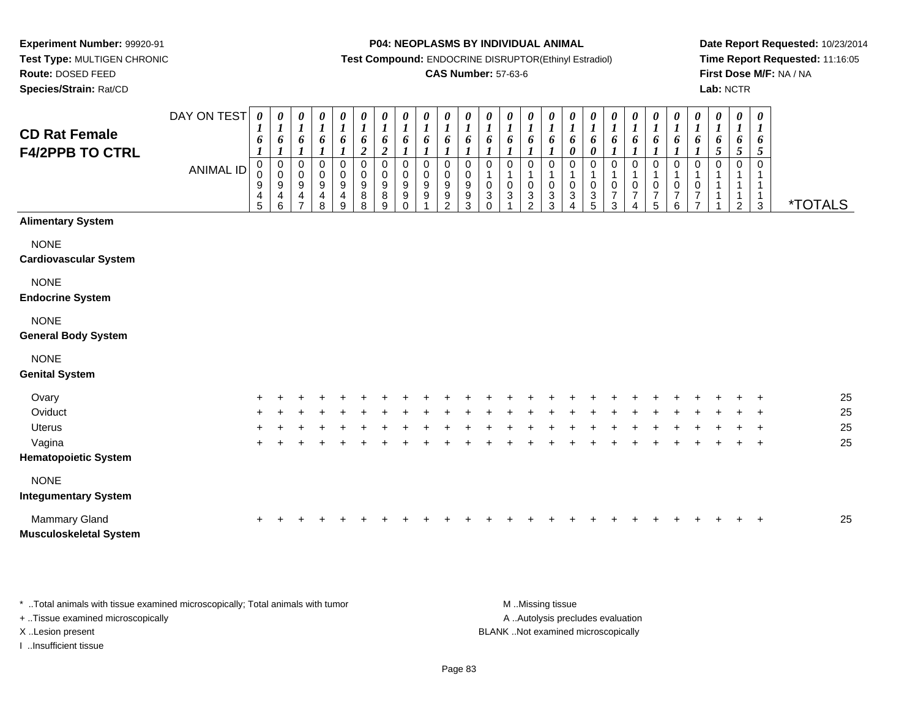**Test Type:** MULTIGEN CHRONIC**Route:** DOSED FEED

**Species/Strain:** Rat/CD

#### **P04: NEOPLASMS BY INDIVIDUAL ANIMAL**

**Test Compound:** ENDOCRINE DISRUPTOR(Ethinyl Estradiol)

### **CAS Number:** 57-63-6

**Date Report Requested:** 10/23/2014**Time Report Requested:** 11:16:05**First Dose M/F:** NA / NA**Lab:** NCTR

| <b>CD Rat Female</b><br><b>F4/2PPB TO CTRL</b> | DAY ON TEST<br><b>ANIMAL ID</b> | $\pmb{\theta}$<br>$\bm{l}$<br>6<br>$\boldsymbol{l}$<br>0<br>0<br>$\boldsymbol{9}$<br>$\overline{4}$<br>5 | $\pmb{\theta}$<br>$\boldsymbol{l}$<br>6<br>1<br>0<br>$\pmb{0}$<br>9<br>4<br>6 | 0<br>$\boldsymbol{l}$<br>6<br>$\boldsymbol{l}$<br>0<br>$\mathbf 0$<br>9<br>4 | 0<br>$\boldsymbol{l}$<br>6<br>$\boldsymbol{l}$<br>0<br>$\mathbf 0$<br>$\frac{9}{4}$<br>8 | $\boldsymbol{\theta}$<br>$\boldsymbol{l}$<br>6<br>0<br>$\pmb{0}$<br>9<br>$\overline{\mathbf{4}}$<br>$\boldsymbol{9}$ | 0<br>$\boldsymbol{l}$<br>6<br>$\boldsymbol{2}$<br>$\mathbf 0$<br>$\mathbf 0$<br>$\boldsymbol{9}$<br>8<br>8 | $\pmb{\theta}$<br>$\boldsymbol{l}$<br>6<br>$\boldsymbol{2}$<br>$\mathbf 0$<br>$\,0\,$<br>9<br>8<br>9 | $\boldsymbol{\theta}$<br>$\boldsymbol{l}$<br>6<br>$\mathbf 0$<br>$\mathbf 0$<br>$9\,$<br>$\boldsymbol{9}$<br>$\Omega$ | 0<br>$\boldsymbol{l}$<br>6<br>1<br>$\mathbf 0$<br>$\mathbf 0$<br>9<br>$\boldsymbol{9}$ | 0<br>$\boldsymbol{l}$<br>6<br>$\Omega$<br>$\mathbf 0$<br>$9\,$<br>9<br>$\mathcal{P}$ | 0<br>$\boldsymbol{l}$<br>6<br>0<br>$\mathbf 0$<br>9<br>9<br>3 | 0<br>$\boldsymbol{l}$<br>6<br>0<br>$\mathbf{1}$<br>$\pmb{0}$<br>$\ensuremath{\mathsf{3}}$<br>$\Omega$ | 0<br>$\boldsymbol{l}$<br>6<br>$\mathbf 0$<br>$\mathbf{1}$<br>$\pmb{0}$<br>3 | 0<br>$\boldsymbol{l}$<br>6<br>0<br>$\mathbf{1}$<br>$\,0\,$<br>$\ensuremath{\mathsf{3}}$<br>$\overline{2}$ | $\boldsymbol{\theta}$<br>$\boldsymbol{l}$<br>6<br>$\boldsymbol{l}$<br>0<br>$\mathbf{1}$<br>$\pmb{0}$<br>$\mathbf 3$<br>3 | 0<br>$\boldsymbol{l}$<br>6<br>0<br>0<br>$\mathbf{1}$<br>0<br>$\ensuremath{\mathsf{3}}$ | 0<br>$\boldsymbol{l}$<br>6<br>$\boldsymbol{\theta}$<br>$\mathbf 0$<br>$\mathbf{1}$<br>$\pmb{0}$<br>$\sqrt{3}$<br>5 | 0<br>$\boldsymbol{l}$<br>6<br>0<br>$\mathbf{1}$<br>$\pmb{0}$<br>$\overline{7}$<br>3 | 0<br>$\boldsymbol{l}$<br>6<br>$\boldsymbol{l}$<br>0<br>$\mathbf{1}$<br>$\pmb{0}$<br>$\boldsymbol{7}$<br>4 | $\pmb{\theta}$<br>$\boldsymbol{l}$<br>6<br>$\boldsymbol{l}$<br>$\mathbf 0$<br>$\mathbf{1}$<br>$\pmb{0}$<br>$\overline{7}$<br>5 | 0<br>$\boldsymbol{l}$<br>6<br>$\mathbf{I}$<br>$\pmb{0}$<br>1<br>$\pmb{0}$<br>$\boldsymbol{7}$<br>$6\phantom{a}$ | $\boldsymbol{\theta}$<br>$\boldsymbol{l}$<br>6<br>0<br>$\mathbf{1}$<br>0<br>7<br>$\overline{ }$ | $\boldsymbol{l}$<br>6<br>$\mathfrak{s}$<br>0 | 0 | 0<br>$\boldsymbol{l}$<br>6<br>$\sqrt{5}$<br>$\Omega$<br>1<br>2 | 0<br>1<br>6<br>5<br>$\Omega$<br>1<br>$\mathbf{3}$ | <i><b>*TOTALS</b></i> |
|------------------------------------------------|---------------------------------|----------------------------------------------------------------------------------------------------------|-------------------------------------------------------------------------------|------------------------------------------------------------------------------|------------------------------------------------------------------------------------------|----------------------------------------------------------------------------------------------------------------------|------------------------------------------------------------------------------------------------------------|------------------------------------------------------------------------------------------------------|-----------------------------------------------------------------------------------------------------------------------|----------------------------------------------------------------------------------------|--------------------------------------------------------------------------------------|---------------------------------------------------------------|-------------------------------------------------------------------------------------------------------|-----------------------------------------------------------------------------|-----------------------------------------------------------------------------------------------------------|--------------------------------------------------------------------------------------------------------------------------|----------------------------------------------------------------------------------------|--------------------------------------------------------------------------------------------------------------------|-------------------------------------------------------------------------------------|-----------------------------------------------------------------------------------------------------------|--------------------------------------------------------------------------------------------------------------------------------|-----------------------------------------------------------------------------------------------------------------|-------------------------------------------------------------------------------------------------|----------------------------------------------|---|----------------------------------------------------------------|---------------------------------------------------|-----------------------|
| <b>Alimentary System</b>                       |                                 |                                                                                                          |                                                                               |                                                                              |                                                                                          |                                                                                                                      |                                                                                                            |                                                                                                      |                                                                                                                       |                                                                                        |                                                                                      |                                                               |                                                                                                       |                                                                             |                                                                                                           |                                                                                                                          |                                                                                        |                                                                                                                    |                                                                                     |                                                                                                           |                                                                                                                                |                                                                                                                 |                                                                                                 |                                              |   |                                                                |                                                   |                       |
| <b>NONE</b><br><b>Cardiovascular System</b>    |                                 |                                                                                                          |                                                                               |                                                                              |                                                                                          |                                                                                                                      |                                                                                                            |                                                                                                      |                                                                                                                       |                                                                                        |                                                                                      |                                                               |                                                                                                       |                                                                             |                                                                                                           |                                                                                                                          |                                                                                        |                                                                                                                    |                                                                                     |                                                                                                           |                                                                                                                                |                                                                                                                 |                                                                                                 |                                              |   |                                                                |                                                   |                       |
| <b>NONE</b><br><b>Endocrine System</b>         |                                 |                                                                                                          |                                                                               |                                                                              |                                                                                          |                                                                                                                      |                                                                                                            |                                                                                                      |                                                                                                                       |                                                                                        |                                                                                      |                                                               |                                                                                                       |                                                                             |                                                                                                           |                                                                                                                          |                                                                                        |                                                                                                                    |                                                                                     |                                                                                                           |                                                                                                                                |                                                                                                                 |                                                                                                 |                                              |   |                                                                |                                                   |                       |
| <b>NONE</b><br><b>General Body System</b>      |                                 |                                                                                                          |                                                                               |                                                                              |                                                                                          |                                                                                                                      |                                                                                                            |                                                                                                      |                                                                                                                       |                                                                                        |                                                                                      |                                                               |                                                                                                       |                                                                             |                                                                                                           |                                                                                                                          |                                                                                        |                                                                                                                    |                                                                                     |                                                                                                           |                                                                                                                                |                                                                                                                 |                                                                                                 |                                              |   |                                                                |                                                   |                       |
| <b>NONE</b><br><b>Genital System</b>           |                                 |                                                                                                          |                                                                               |                                                                              |                                                                                          |                                                                                                                      |                                                                                                            |                                                                                                      |                                                                                                                       |                                                                                        |                                                                                      |                                                               |                                                                                                       |                                                                             |                                                                                                           |                                                                                                                          |                                                                                        |                                                                                                                    |                                                                                     |                                                                                                           |                                                                                                                                |                                                                                                                 |                                                                                                 |                                              |   |                                                                |                                                   |                       |
| Ovary                                          |                                 |                                                                                                          |                                                                               |                                                                              |                                                                                          |                                                                                                                      |                                                                                                            |                                                                                                      |                                                                                                                       |                                                                                        |                                                                                      |                                                               |                                                                                                       |                                                                             |                                                                                                           |                                                                                                                          |                                                                                        |                                                                                                                    |                                                                                     |                                                                                                           |                                                                                                                                |                                                                                                                 |                                                                                                 |                                              |   |                                                                |                                                   | 25                    |
| Oviduct                                        |                                 |                                                                                                          |                                                                               |                                                                              |                                                                                          |                                                                                                                      |                                                                                                            |                                                                                                      |                                                                                                                       |                                                                                        |                                                                                      |                                                               |                                                                                                       |                                                                             |                                                                                                           |                                                                                                                          |                                                                                        |                                                                                                                    |                                                                                     |                                                                                                           |                                                                                                                                |                                                                                                                 |                                                                                                 |                                              |   |                                                                |                                                   | 25                    |
| <b>Uterus</b>                                  |                                 |                                                                                                          |                                                                               |                                                                              |                                                                                          |                                                                                                                      |                                                                                                            |                                                                                                      |                                                                                                                       |                                                                                        |                                                                                      |                                                               |                                                                                                       |                                                                             |                                                                                                           |                                                                                                                          |                                                                                        |                                                                                                                    |                                                                                     |                                                                                                           |                                                                                                                                |                                                                                                                 |                                                                                                 |                                              |   |                                                                | $\overline{ }$                                    | 25                    |
| Vagina                                         |                                 |                                                                                                          |                                                                               |                                                                              |                                                                                          |                                                                                                                      |                                                                                                            |                                                                                                      |                                                                                                                       |                                                                                        |                                                                                      |                                                               |                                                                                                       |                                                                             |                                                                                                           |                                                                                                                          |                                                                                        |                                                                                                                    |                                                                                     |                                                                                                           |                                                                                                                                |                                                                                                                 |                                                                                                 |                                              |   |                                                                | $\ddot{}$                                         | 25                    |
| <b>Hematopoietic System</b>                    |                                 |                                                                                                          |                                                                               |                                                                              |                                                                                          |                                                                                                                      |                                                                                                            |                                                                                                      |                                                                                                                       |                                                                                        |                                                                                      |                                                               |                                                                                                       |                                                                             |                                                                                                           |                                                                                                                          |                                                                                        |                                                                                                                    |                                                                                     |                                                                                                           |                                                                                                                                |                                                                                                                 |                                                                                                 |                                              |   |                                                                |                                                   |                       |
| <b>NONE</b><br><b>Integumentary System</b>     |                                 |                                                                                                          |                                                                               |                                                                              |                                                                                          |                                                                                                                      |                                                                                                            |                                                                                                      |                                                                                                                       |                                                                                        |                                                                                      |                                                               |                                                                                                       |                                                                             |                                                                                                           |                                                                                                                          |                                                                                        |                                                                                                                    |                                                                                     |                                                                                                           |                                                                                                                                |                                                                                                                 |                                                                                                 |                                              |   |                                                                |                                                   |                       |
| Mammary Gland<br><b>Musculoskeletal System</b> |                                 |                                                                                                          |                                                                               |                                                                              |                                                                                          |                                                                                                                      |                                                                                                            |                                                                                                      |                                                                                                                       |                                                                                        |                                                                                      |                                                               |                                                                                                       |                                                                             |                                                                                                           |                                                                                                                          |                                                                                        |                                                                                                                    |                                                                                     |                                                                                                           |                                                                                                                                |                                                                                                                 |                                                                                                 |                                              |   |                                                                | +                                                 | 25                    |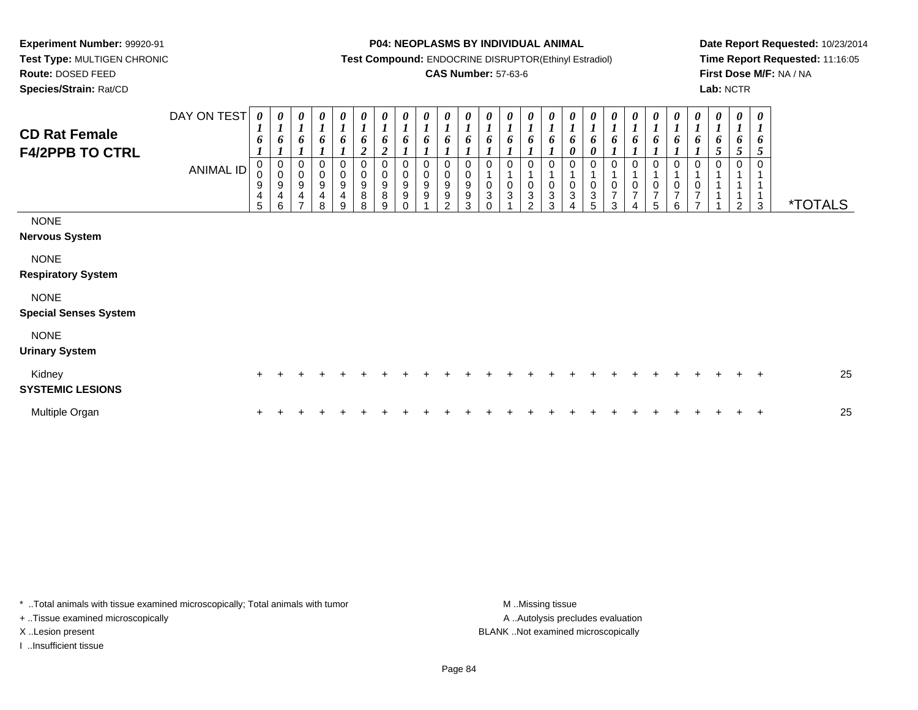**Test Type:** MULTIGEN CHRONIC**Route:** DOSED FEED

**Species/Strain:** Rat/CD

#### **P04: NEOPLASMS BY INDIVIDUAL ANIMAL**

**Test Compound:** ENDOCRINE DISRUPTOR(Ethinyl Estradiol)

### **CAS Number:** 57-63-6

**Date Report Requested:** 10/23/2014**Time Report Requested:** 11:16:05**First Dose M/F:** NA / NA**Lab:** NCTR

| <b>CD Rat Female</b><br><b>F4/2PPB TO CTRL</b> | DAY ON TEST<br><b>ANIMAL ID</b> | $\boldsymbol{\theta}$<br>$\mathbf{I}$<br>6<br>0<br>$\pmb{0}$<br>9<br>4<br>5 | 0<br>$\mathbf{I}$<br>6<br>$_{\rm 0}^{\rm 0}$<br>$\boldsymbol{9}$<br>4<br>6 | 0<br>$\mathbf{I}$<br>6<br>0<br>$\pmb{0}$<br>9<br>4<br>$\overline{\phantom{a}}$ | 0<br>$\boldsymbol{l}$<br>6<br>0<br>9<br>$\overline{\mathbf{4}}$<br>8 | 0<br>$\boldsymbol{l}$<br>6<br>0<br>$\pmb{0}$<br>$\boldsymbol{9}$<br>$\overline{\mathbf{4}}$<br>9 | 0<br>$\boldsymbol{l}$<br>6<br>$\overline{\mathbf{c}}$<br>0<br>$\mathbf 0$<br>$\boldsymbol{9}$<br>8<br>8 | 0<br>$\boldsymbol{l}$<br>6<br>$\boldsymbol{2}$<br>0<br>0<br>$\boldsymbol{9}$<br>$\bf 8$<br>9 | $\boldsymbol{\theta}$<br>$\boldsymbol{l}$<br>6<br>0<br>$\pmb{0}$<br>$\boldsymbol{9}$<br>$\boldsymbol{9}$<br>$\Omega$ | 0<br>$\mathbf{I}$<br>6<br>0<br>$\mathbf 0$<br>$9\,$<br>9 | 0<br>$\mathbf{I}$<br>6<br>0<br>$\pmb{0}$<br>9<br>$\boldsymbol{9}$<br>$\mathfrak{p}$ | 0<br>$\boldsymbol{l}$<br>6<br>$\boldsymbol{0}$<br>9<br>$\boldsymbol{9}$<br>3 | $\frac{\boldsymbol{\theta}}{\boldsymbol{I}}$<br>6<br>0<br>$\pmb{0}$<br>$\ensuremath{\mathsf{3}}$<br>$\Omega$ | $\boldsymbol{\theta}$<br>$\boldsymbol{l}$<br>6<br>0<br>0<br>$\sqrt{3}$ | 0<br>$\boldsymbol{l}$<br>6<br>$\Omega$<br>$\pmb{0}$<br>3<br>$\mathcal{P}$ | 0<br>6<br>0<br>$\pmb{0}$<br>3<br>3 | 0<br>$\mathbf I$<br>6<br>$\pmb{\theta}$<br>0<br>0<br>3 | $\boldsymbol{l}$<br>6<br>0<br>$\ensuremath{\mathsf{3}}$<br>5 | 0<br>$\boldsymbol{l}$<br>6<br>$\mathbf 0$<br>$\overline{7}$<br>3 | 0<br>$\boldsymbol{l}$<br>6<br>0<br>0<br>$\overline{7}$<br>4 | 0<br>$\boldsymbol{l}$<br>6<br>0<br>$\begin{smallmatrix}0\\7\end{smallmatrix}$<br>5 | 0<br>$\boldsymbol{l}$<br>6<br>0<br>$\mathbf 1$<br>$\begin{array}{c} 0 \\ 7 \end{array}$<br>6 | 0<br>$\mathbf{r}$<br>6<br>0<br>0<br>$\overline{7}$ | 0<br>$\mathbf{I}$<br>0<br>5<br>0 | $\boldsymbol{\theta}$<br>$\boldsymbol{l}$<br>5<br>$\mathfrak{p}$ | $\boldsymbol{\theta}$<br>$\boldsymbol{l}$<br>6<br>5<br>$\mathbf 0$<br>3 | <i><b>*TOTALS</b></i> |
|------------------------------------------------|---------------------------------|-----------------------------------------------------------------------------|----------------------------------------------------------------------------|--------------------------------------------------------------------------------|----------------------------------------------------------------------|--------------------------------------------------------------------------------------------------|---------------------------------------------------------------------------------------------------------|----------------------------------------------------------------------------------------------|----------------------------------------------------------------------------------------------------------------------|----------------------------------------------------------|-------------------------------------------------------------------------------------|------------------------------------------------------------------------------|--------------------------------------------------------------------------------------------------------------|------------------------------------------------------------------------|---------------------------------------------------------------------------|------------------------------------|--------------------------------------------------------|--------------------------------------------------------------|------------------------------------------------------------------|-------------------------------------------------------------|------------------------------------------------------------------------------------|----------------------------------------------------------------------------------------------|----------------------------------------------------|----------------------------------|------------------------------------------------------------------|-------------------------------------------------------------------------|-----------------------|
| <b>NONE</b><br><b>Nervous System</b>           |                                 |                                                                             |                                                                            |                                                                                |                                                                      |                                                                                                  |                                                                                                         |                                                                                              |                                                                                                                      |                                                          |                                                                                     |                                                                              |                                                                                                              |                                                                        |                                                                           |                                    |                                                        |                                                              |                                                                  |                                                             |                                                                                    |                                                                                              |                                                    |                                  |                                                                  |                                                                         |                       |
| <b>NONE</b><br><b>Respiratory System</b>       |                                 |                                                                             |                                                                            |                                                                                |                                                                      |                                                                                                  |                                                                                                         |                                                                                              |                                                                                                                      |                                                          |                                                                                     |                                                                              |                                                                                                              |                                                                        |                                                                           |                                    |                                                        |                                                              |                                                                  |                                                             |                                                                                    |                                                                                              |                                                    |                                  |                                                                  |                                                                         |                       |
| <b>NONE</b><br><b>Special Senses System</b>    |                                 |                                                                             |                                                                            |                                                                                |                                                                      |                                                                                                  |                                                                                                         |                                                                                              |                                                                                                                      |                                                          |                                                                                     |                                                                              |                                                                                                              |                                                                        |                                                                           |                                    |                                                        |                                                              |                                                                  |                                                             |                                                                                    |                                                                                              |                                                    |                                  |                                                                  |                                                                         |                       |
| <b>NONE</b><br><b>Urinary System</b>           |                                 |                                                                             |                                                                            |                                                                                |                                                                      |                                                                                                  |                                                                                                         |                                                                                              |                                                                                                                      |                                                          |                                                                                     |                                                                              |                                                                                                              |                                                                        |                                                                           |                                    |                                                        |                                                              |                                                                  |                                                             |                                                                                    |                                                                                              |                                                    |                                  |                                                                  |                                                                         |                       |
| Kidney<br><b>SYSTEMIC LESIONS</b>              |                                 |                                                                             |                                                                            |                                                                                |                                                                      |                                                                                                  |                                                                                                         |                                                                                              |                                                                                                                      |                                                          |                                                                                     |                                                                              |                                                                                                              |                                                                        |                                                                           |                                    |                                                        |                                                              |                                                                  |                                                             |                                                                                    |                                                                                              |                                                    |                                  |                                                                  | $+$                                                                     | 25                    |
| Multiple Organ                                 |                                 |                                                                             |                                                                            |                                                                                |                                                                      |                                                                                                  |                                                                                                         |                                                                                              |                                                                                                                      |                                                          |                                                                                     |                                                                              |                                                                                                              |                                                                        |                                                                           |                                    |                                                        |                                                              |                                                                  |                                                             |                                                                                    |                                                                                              |                                                    |                                  |                                                                  | $\overline{+}$                                                          | 25                    |

\* ..Total animals with tissue examined microscopically; Total animals with tumor **M** . Missing tissue M ..Missing tissue

+ ..Tissue examined microscopically

I ..Insufficient tissue

A ..Autolysis precludes evaluation X ..Lesion present BLANK ..Not examined microscopically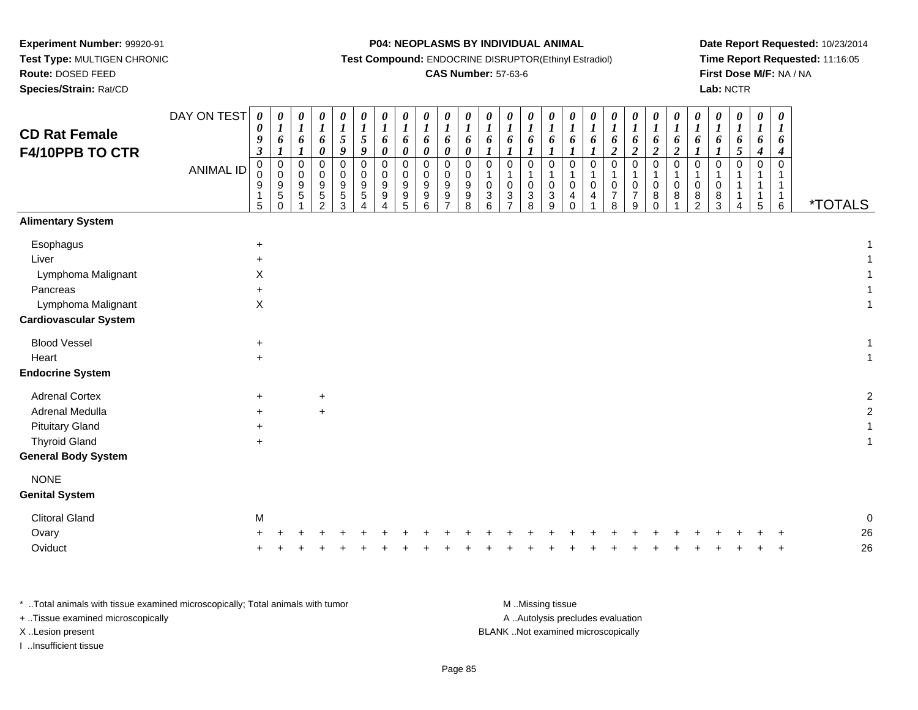**Test Type:** MULTIGEN CHRONIC**Route:** DOSED FEED

**Species/Strain:** Rat/CD

**P04: NEOPLASMS BY INDIVIDUAL ANIMAL**

**Test Compound:** ENDOCRINE DISRUPTOR(Ethinyl Estradiol)

# **CAS Number:** 57-63-6

**Date Report Requested:** 10/23/2014**Time Report Requested:** 11:16:05**First Dose M/F:** NA / NA**Lab:** NCTR

| <b>CD Rat Female</b><br>F4/10PPB TO CTR                                                                                  | DAY ON TEST<br><b>ANIMAL ID</b> | $\boldsymbol{\theta}$<br>0<br>9<br>3<br>$\mathbf 0$<br>$\mathbf 0$<br>9<br>5 | $\pmb{\theta}$<br>$\boldsymbol{I}$<br>6<br>$\mathbf{I}$<br>0<br>$\pmb{0}$<br>$\begin{array}{c} 9 \\ 5 \end{array}$<br>$\Omega$ | 0<br>$\boldsymbol{I}$<br>6<br>$\mathbf 0$<br>$\mathbf 0$<br>9<br>$\mathbf 5$ | $\pmb{\theta}$<br>$\boldsymbol{l}$<br>6<br>$\pmb{\theta}$<br>$\mathbf 0$<br>0<br>9<br>$\,$ 5 $\,$<br>2 | $\boldsymbol{\theta}$<br>$\boldsymbol{l}$<br>$\sqrt{5}$<br>9<br>$\mathbf 0$<br>$\Omega$<br>9<br>$\sqrt{5}$<br>3 | $\boldsymbol{\theta}$<br>$\boldsymbol{l}$<br>$5\overline{)}$<br>9<br>$\mathbf 0$<br>$\Omega$<br>9<br>5 | $\pmb{\theta}$<br>$\boldsymbol{l}$<br>6<br>$\pmb{\theta}$<br>$\mathbf 0$<br>$\mathbf 0$<br>9<br>$\boldsymbol{9}$<br>Δ | $\boldsymbol{\theta}$<br>$\boldsymbol{l}$<br>6<br>$\boldsymbol{\theta}$<br>0<br>0<br>$9\,$<br>$\boldsymbol{9}$<br>5 | $\pmb{\theta}$<br>$\boldsymbol{l}$<br>6<br>$\boldsymbol{\theta}$<br>$\mathbf 0$<br>$\mathbf 0$<br>$9\,$<br>9<br>6 | 0<br>$\boldsymbol{l}$<br>6<br>0<br>$\mathbf 0$<br>0<br>9<br>9<br>$\overline{7}$ | 0<br>$\boldsymbol{l}$<br>6<br>$\boldsymbol{\theta}$<br>0<br>0<br>9<br>$_{8}^{\rm 9}$ | $\boldsymbol{\theta}$<br>$\boldsymbol{l}$<br>6<br>$\boldsymbol{l}$<br>$\mathbf 0$<br>$\mathbf 1$<br>0<br>$\ensuremath{\mathsf{3}}$<br>6 | 0<br>$\boldsymbol{l}$<br>6<br>$\mathbf 0$<br>$\pmb{0}$<br>$\ensuremath{\mathsf{3}}$<br>$\overline{ }$ | $\boldsymbol{\theta}$<br>$\boldsymbol{l}$<br>6<br>$\pmb{0}$<br>$\mathbf 0$<br>$\ensuremath{\mathsf{3}}$<br>8 | $\boldsymbol{\theta}$<br>$\boldsymbol{l}$<br>6<br>$\boldsymbol{l}$<br>$\pmb{0}$<br>$\overline{1}$<br>$\mathbf 0$<br>$\sqrt{3}$<br>9 | $\pmb{\theta}$<br>$\boldsymbol{l}$<br>6<br>$\mathbf 0$<br>1<br>0<br>4<br>$\Omega$ | 0<br>$\boldsymbol{l}$<br>6<br>$\mathbf 0$<br>0<br>4 | 0<br>6<br>$\boldsymbol{2}$<br>$\mathbf 0$<br>0<br>$\overline{7}$<br>$\mathsf{R}$ | $\boldsymbol{\theta}$<br>$\boldsymbol{l}$<br>6<br>$\overline{c}$<br>$\mathbf 0$<br>$\mathbf 0$<br>$\overline{7}$<br>9 | 0<br>$\boldsymbol{l}$<br>6<br>$\boldsymbol{2}$<br>0<br>1<br>0<br>8<br>$\Omega$ | $\boldsymbol{\theta}$<br>$\boldsymbol{l}$<br>6<br>$\boldsymbol{2}$<br>$\pmb{0}$<br>$\mathbf 1$<br>0<br>$\,8\,$ | 0<br>$\boldsymbol{l}$<br>6<br>$\mathbf 0$<br>1<br>0<br>8<br>$\overline{2}$ | 0<br>$\boldsymbol{l}$<br>6<br>$\mathbf 0$<br>0<br>8<br>3 | $\pmb{\theta}$<br>$\boldsymbol{l}$<br>6<br>$\sqrt{5}$<br>$\mathbf 0$ | $\boldsymbol{\theta}$<br>$\boldsymbol{l}$<br>6<br>$\boldsymbol{4}$<br>$\mathbf 0$<br>1<br>1<br>$\mathbf{1}$<br>5 | 0<br>$\boldsymbol{l}$<br>6<br>$\boldsymbol{4}$<br>$\mathbf 0$<br>1<br>$\mathbf{1}$<br>$\mathbf{1}$<br>6 | <i><b>*TOTALS</b></i> |          |
|--------------------------------------------------------------------------------------------------------------------------|---------------------------------|------------------------------------------------------------------------------|--------------------------------------------------------------------------------------------------------------------------------|------------------------------------------------------------------------------|--------------------------------------------------------------------------------------------------------|-----------------------------------------------------------------------------------------------------------------|--------------------------------------------------------------------------------------------------------|-----------------------------------------------------------------------------------------------------------------------|---------------------------------------------------------------------------------------------------------------------|-------------------------------------------------------------------------------------------------------------------|---------------------------------------------------------------------------------|--------------------------------------------------------------------------------------|-----------------------------------------------------------------------------------------------------------------------------------------|-------------------------------------------------------------------------------------------------------|--------------------------------------------------------------------------------------------------------------|-------------------------------------------------------------------------------------------------------------------------------------|-----------------------------------------------------------------------------------|-----------------------------------------------------|----------------------------------------------------------------------------------|-----------------------------------------------------------------------------------------------------------------------|--------------------------------------------------------------------------------|----------------------------------------------------------------------------------------------------------------|----------------------------------------------------------------------------|----------------------------------------------------------|----------------------------------------------------------------------|------------------------------------------------------------------------------------------------------------------|---------------------------------------------------------------------------------------------------------|-----------------------|----------|
| <b>Alimentary System</b>                                                                                                 |                                 |                                                                              |                                                                                                                                |                                                                              |                                                                                                        |                                                                                                                 |                                                                                                        |                                                                                                                       |                                                                                                                     |                                                                                                                   |                                                                                 |                                                                                      |                                                                                                                                         |                                                                                                       |                                                                                                              |                                                                                                                                     |                                                                                   |                                                     |                                                                                  |                                                                                                                       |                                                                                |                                                                                                                |                                                                            |                                                          |                                                                      |                                                                                                                  |                                                                                                         |                       |          |
| Esophagus<br>Liver<br>Lymphoma Malignant<br>Pancreas<br>Lymphoma Malignant<br><b>Cardiovascular System</b>               |                                 | $\ddot{}$<br>Χ<br>$\ddot{}$<br>$\mathsf X$                                   |                                                                                                                                |                                                                              |                                                                                                        |                                                                                                                 |                                                                                                        |                                                                                                                       |                                                                                                                     |                                                                                                                   |                                                                                 |                                                                                      |                                                                                                                                         |                                                                                                       |                                                                                                              |                                                                                                                                     |                                                                                   |                                                     |                                                                                  |                                                                                                                       |                                                                                |                                                                                                                |                                                                            |                                                          |                                                                      |                                                                                                                  |                                                                                                         |                       |          |
| <b>Blood Vessel</b>                                                                                                      |                                 | $\ddot{}$                                                                    |                                                                                                                                |                                                                              |                                                                                                        |                                                                                                                 |                                                                                                        |                                                                                                                       |                                                                                                                     |                                                                                                                   |                                                                                 |                                                                                      |                                                                                                                                         |                                                                                                       |                                                                                                              |                                                                                                                                     |                                                                                   |                                                     |                                                                                  |                                                                                                                       |                                                                                |                                                                                                                |                                                                            |                                                          |                                                                      |                                                                                                                  |                                                                                                         |                       |          |
| Heart                                                                                                                    |                                 | $\ddot{}$                                                                    |                                                                                                                                |                                                                              |                                                                                                        |                                                                                                                 |                                                                                                        |                                                                                                                       |                                                                                                                     |                                                                                                                   |                                                                                 |                                                                                      |                                                                                                                                         |                                                                                                       |                                                                                                              |                                                                                                                                     |                                                                                   |                                                     |                                                                                  |                                                                                                                       |                                                                                |                                                                                                                |                                                                            |                                                          |                                                                      |                                                                                                                  |                                                                                                         |                       |          |
| <b>Endocrine System</b>                                                                                                  |                                 |                                                                              |                                                                                                                                |                                                                              |                                                                                                        |                                                                                                                 |                                                                                                        |                                                                                                                       |                                                                                                                     |                                                                                                                   |                                                                                 |                                                                                      |                                                                                                                                         |                                                                                                       |                                                                                                              |                                                                                                                                     |                                                                                   |                                                     |                                                                                  |                                                                                                                       |                                                                                |                                                                                                                |                                                                            |                                                          |                                                                      |                                                                                                                  |                                                                                                         |                       |          |
| <b>Adrenal Cortex</b><br>Adrenal Medulla<br><b>Pituitary Gland</b><br><b>Thyroid Gland</b><br><b>General Body System</b> |                                 | $\ddot{}$<br>$\ddot{}$<br>$\ddot{}$                                          |                                                                                                                                |                                                                              | $\ddot{}$<br>$+$                                                                                       |                                                                                                                 |                                                                                                        |                                                                                                                       |                                                                                                                     |                                                                                                                   |                                                                                 |                                                                                      |                                                                                                                                         |                                                                                                       |                                                                                                              |                                                                                                                                     |                                                                                   |                                                     |                                                                                  |                                                                                                                       |                                                                                |                                                                                                                |                                                                            |                                                          |                                                                      |                                                                                                                  |                                                                                                         |                       |          |
| <b>NONE</b>                                                                                                              |                                 |                                                                              |                                                                                                                                |                                                                              |                                                                                                        |                                                                                                                 |                                                                                                        |                                                                                                                       |                                                                                                                     |                                                                                                                   |                                                                                 |                                                                                      |                                                                                                                                         |                                                                                                       |                                                                                                              |                                                                                                                                     |                                                                                   |                                                     |                                                                                  |                                                                                                                       |                                                                                |                                                                                                                |                                                                            |                                                          |                                                                      |                                                                                                                  |                                                                                                         |                       |          |
| <b>Genital System</b>                                                                                                    |                                 |                                                                              |                                                                                                                                |                                                                              |                                                                                                        |                                                                                                                 |                                                                                                        |                                                                                                                       |                                                                                                                     |                                                                                                                   |                                                                                 |                                                                                      |                                                                                                                                         |                                                                                                       |                                                                                                              |                                                                                                                                     |                                                                                   |                                                     |                                                                                  |                                                                                                                       |                                                                                |                                                                                                                |                                                                            |                                                          |                                                                      |                                                                                                                  |                                                                                                         |                       |          |
| <b>Clitoral Gland</b>                                                                                                    |                                 | M                                                                            |                                                                                                                                |                                                                              |                                                                                                        |                                                                                                                 |                                                                                                        |                                                                                                                       |                                                                                                                     |                                                                                                                   |                                                                                 |                                                                                      |                                                                                                                                         |                                                                                                       |                                                                                                              |                                                                                                                                     |                                                                                   |                                                     |                                                                                  |                                                                                                                       |                                                                                |                                                                                                                |                                                                            |                                                          |                                                                      |                                                                                                                  |                                                                                                         |                       |          |
| Ovary<br>Oviduct                                                                                                         |                                 |                                                                              |                                                                                                                                |                                                                              |                                                                                                        |                                                                                                                 |                                                                                                        |                                                                                                                       |                                                                                                                     |                                                                                                                   |                                                                                 |                                                                                      |                                                                                                                                         |                                                                                                       |                                                                                                              |                                                                                                                                     |                                                                                   |                                                     |                                                                                  |                                                                                                                       |                                                                                |                                                                                                                |                                                                            |                                                          |                                                                      |                                                                                                                  |                                                                                                         |                       | 26<br>26 |

| Total animals with tissue examined microscopically; Total animals with tumor | M Missing tissue                   |
|------------------------------------------------------------------------------|------------------------------------|
| + . Tissue examined microscopically                                          | A Autolysis precludes evaluation   |
| X Lesion present                                                             | BLANK Not examined microscopically |
| Insufficient tissue                                                          |                                    |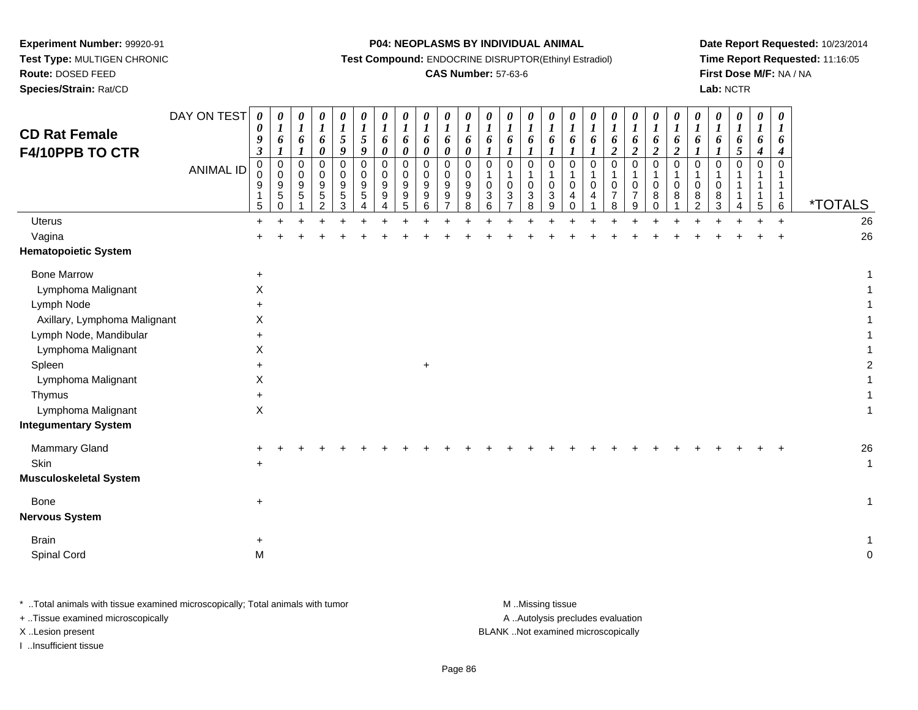**Test Type:** MULTIGEN CHRONIC

**Route:** DOSED FEED

**Species/Strain:** Rat/CD

#### **P04: NEOPLASMS BY INDIVIDUAL ANIMAL**

**Test Compound:** ENDOCRINE DISRUPTOR(Ethinyl Estradiol)

### **CAS Number:** 57-63-6

**Date Report Requested:** 10/23/2014**Time Report Requested:** 11:16:05**First Dose M/F:** NA / NA**Lab:** NCTR

| <b>CD Rat Female</b><br>F4/10PPB TO CTR      | DAY ON TEST<br><b>ANIMAL ID</b> | 0<br>0<br>$\boldsymbol{9}$<br>$\boldsymbol{\beta}$<br>0<br>0<br>9<br>1<br>5 | 0<br>$\boldsymbol{I}$<br>6<br>$\pmb{0}$<br>$\mathbf 0$<br>$\boldsymbol{9}$<br>5<br>0 | 0<br>$\boldsymbol{l}$<br>6<br>$\pmb{0}$<br>$\Omega$<br>9<br>5 | $\boldsymbol{\theta}$<br>$\boldsymbol{l}$<br>6<br>$\boldsymbol{\theta}$<br>$\mathbf 0$<br>$\mathbf 0$<br>9<br>$\mathbf 5$<br>$\overline{2}$ | 0<br>$\boldsymbol{l}$<br>$\sqrt{5}$<br>9<br>$\mathbf 0$<br>$\Omega$<br>9<br>$\sqrt{5}$<br>3 | 0<br>$\boldsymbol{l}$<br>5<br>9<br>$\pmb{0}$<br>$\Omega$<br>$\boldsymbol{9}$<br>$\sqrt{5}$<br>4 | $\boldsymbol{\theta}$<br>$\boldsymbol{l}$<br>6<br>$\pmb{\theta}$<br>0<br>$\mathbf 0$<br>$\boldsymbol{9}$<br>$\boldsymbol{9}$<br>4 | 0<br>$\boldsymbol{l}$<br>6<br>0<br>0<br>$\mathbf 0$<br>9<br>9<br>5 | 0<br>$\boldsymbol{l}$<br>6<br>0<br>$\pmb{0}$<br>$\mathbf 0$<br>9<br>9<br>$\,6\,$ | $\boldsymbol{\theta}$<br>$\boldsymbol{l}$<br>6<br>$\pmb{\theta}$<br>0<br>$\mathbf 0$<br>9<br>$\boldsymbol{9}$<br>$\overline{7}$ | 0<br>$\boldsymbol{l}$<br>6<br>0<br>$\mathbf 0$<br>$\Omega$<br>9<br>$\boldsymbol{9}$<br>8 | 0<br>$\boldsymbol{l}$<br>6<br>1<br>$\pmb{0}$<br>0<br>$\sqrt{3}$<br>6 | $\boldsymbol{\theta}$<br>$\boldsymbol{\mathit{1}}$<br>6<br>$\boldsymbol{l}$<br>$\mathsf{O}$<br>$\mathbf{1}$<br>$\pmb{0}$<br>$\frac{3}{7}$ | 0<br>$\boldsymbol{l}$<br>6<br>1<br>$\mathbf 0$<br>$\mathbf{1}$<br>0<br>$\ensuremath{\mathsf{3}}$<br>$\overline{8}$ | 0<br>$\boldsymbol{l}$<br>6<br>$\pmb{0}$<br>0<br>3<br>$\mathsf g$ | 0<br>$\boldsymbol{l}$<br>6<br>$\mathbf 0$<br>0<br>$\overline{4}$<br>$\mathbf 0$ | $\boldsymbol{\theta}$<br>$\boldsymbol{l}$<br>6<br>$\Omega$<br>$\Omega$<br>4 | 0<br>$\boldsymbol{l}$<br>6<br>$\overline{2}$<br>$\mathbf 0$<br>0<br>$\overline{7}$<br>8 | $\boldsymbol{\theta}$<br>$\boldsymbol{l}$<br>6<br>$\boldsymbol{2}$<br>$\mathbf 0$<br>0<br>$\overline{7}$<br>9 | 0<br>$\boldsymbol{l}$<br>6<br>$\boldsymbol{2}$<br>$\pmb{0}$<br>$\mathbf{1}$<br>$\mathbf 0$<br>8<br>$\mathbf 0$ | 0<br>$\boldsymbol{l}$<br>6<br>$\boldsymbol{2}$<br>$\mathbf 0$<br>-1<br>0<br>8<br>1 | $\boldsymbol{\theta}$<br>$\boldsymbol{l}$<br>6<br>$\Omega$<br>0<br>8<br>$\overline{2}$ | $\boldsymbol{\theta}$<br>$\boldsymbol{l}$<br>6<br>$\boldsymbol{l}$<br>$\mathbf 0$<br>-1<br>0<br>8<br>3 | 0<br>$\boldsymbol{l}$<br>6<br>5<br>$\pmb{0}$<br>1<br>1<br>1<br>$\overline{4}$ | $\pmb{\theta}$<br>$\boldsymbol{l}$<br>6<br>4<br>$\mathbf 0$<br>5 | 0<br>$\boldsymbol{l}$<br>6<br>4<br>$\mathbf 0$<br>1<br>$\mathbf{1}$<br>$\mathbf{1}$<br>$\,6\,$ | <i><b>*TOTALS</b></i> |
|----------------------------------------------|---------------------------------|-----------------------------------------------------------------------------|--------------------------------------------------------------------------------------|---------------------------------------------------------------|---------------------------------------------------------------------------------------------------------------------------------------------|---------------------------------------------------------------------------------------------|-------------------------------------------------------------------------------------------------|-----------------------------------------------------------------------------------------------------------------------------------|--------------------------------------------------------------------|----------------------------------------------------------------------------------|---------------------------------------------------------------------------------------------------------------------------------|------------------------------------------------------------------------------------------|----------------------------------------------------------------------|-------------------------------------------------------------------------------------------------------------------------------------------|--------------------------------------------------------------------------------------------------------------------|------------------------------------------------------------------|---------------------------------------------------------------------------------|-----------------------------------------------------------------------------|-----------------------------------------------------------------------------------------|---------------------------------------------------------------------------------------------------------------|----------------------------------------------------------------------------------------------------------------|------------------------------------------------------------------------------------|----------------------------------------------------------------------------------------|--------------------------------------------------------------------------------------------------------|-------------------------------------------------------------------------------|------------------------------------------------------------------|------------------------------------------------------------------------------------------------|-----------------------|
| <b>Uterus</b>                                |                                 | $+$                                                                         |                                                                                      |                                                               |                                                                                                                                             |                                                                                             |                                                                                                 |                                                                                                                                   |                                                                    |                                                                                  |                                                                                                                                 |                                                                                          |                                                                      |                                                                                                                                           |                                                                                                                    |                                                                  |                                                                                 |                                                                             |                                                                                         |                                                                                                               |                                                                                                                |                                                                                    |                                                                                        |                                                                                                        |                                                                               |                                                                  | $+$                                                                                            | 26                    |
| Vagina                                       |                                 |                                                                             |                                                                                      |                                                               |                                                                                                                                             |                                                                                             |                                                                                                 |                                                                                                                                   |                                                                    |                                                                                  |                                                                                                                                 |                                                                                          |                                                                      |                                                                                                                                           |                                                                                                                    |                                                                  |                                                                                 |                                                                             |                                                                                         |                                                                                                               |                                                                                                                |                                                                                    |                                                                                        |                                                                                                        |                                                                               |                                                                  |                                                                                                | 26                    |
| <b>Hematopoietic System</b>                  |                                 |                                                                             |                                                                                      |                                                               |                                                                                                                                             |                                                                                             |                                                                                                 |                                                                                                                                   |                                                                    |                                                                                  |                                                                                                                                 |                                                                                          |                                                                      |                                                                                                                                           |                                                                                                                    |                                                                  |                                                                                 |                                                                             |                                                                                         |                                                                                                               |                                                                                                                |                                                                                    |                                                                                        |                                                                                                        |                                                                               |                                                                  |                                                                                                |                       |
| <b>Bone Marrow</b>                           |                                 | $\ddot{}$                                                                   |                                                                                      |                                                               |                                                                                                                                             |                                                                                             |                                                                                                 |                                                                                                                                   |                                                                    |                                                                                  |                                                                                                                                 |                                                                                          |                                                                      |                                                                                                                                           |                                                                                                                    |                                                                  |                                                                                 |                                                                             |                                                                                         |                                                                                                               |                                                                                                                |                                                                                    |                                                                                        |                                                                                                        |                                                                               |                                                                  |                                                                                                |                       |
| Lymphoma Malignant                           |                                 | X                                                                           |                                                                                      |                                                               |                                                                                                                                             |                                                                                             |                                                                                                 |                                                                                                                                   |                                                                    |                                                                                  |                                                                                                                                 |                                                                                          |                                                                      |                                                                                                                                           |                                                                                                                    |                                                                  |                                                                                 |                                                                             |                                                                                         |                                                                                                               |                                                                                                                |                                                                                    |                                                                                        |                                                                                                        |                                                                               |                                                                  |                                                                                                |                       |
| Lymph Node                                   |                                 |                                                                             |                                                                                      |                                                               |                                                                                                                                             |                                                                                             |                                                                                                 |                                                                                                                                   |                                                                    |                                                                                  |                                                                                                                                 |                                                                                          |                                                                      |                                                                                                                                           |                                                                                                                    |                                                                  |                                                                                 |                                                                             |                                                                                         |                                                                                                               |                                                                                                                |                                                                                    |                                                                                        |                                                                                                        |                                                                               |                                                                  |                                                                                                |                       |
| Axillary, Lymphoma Malignant                 |                                 | X                                                                           |                                                                                      |                                                               |                                                                                                                                             |                                                                                             |                                                                                                 |                                                                                                                                   |                                                                    |                                                                                  |                                                                                                                                 |                                                                                          |                                                                      |                                                                                                                                           |                                                                                                                    |                                                                  |                                                                                 |                                                                             |                                                                                         |                                                                                                               |                                                                                                                |                                                                                    |                                                                                        |                                                                                                        |                                                                               |                                                                  |                                                                                                |                       |
| Lymph Node, Mandibular<br>Lymphoma Malignant |                                 | $\ddot{}$<br>X                                                              |                                                                                      |                                                               |                                                                                                                                             |                                                                                             |                                                                                                 |                                                                                                                                   |                                                                    |                                                                                  |                                                                                                                                 |                                                                                          |                                                                      |                                                                                                                                           |                                                                                                                    |                                                                  |                                                                                 |                                                                             |                                                                                         |                                                                                                               |                                                                                                                |                                                                                    |                                                                                        |                                                                                                        |                                                                               |                                                                  |                                                                                                |                       |
| Spleen                                       |                                 | $\ddot{}$                                                                   |                                                                                      |                                                               |                                                                                                                                             |                                                                                             |                                                                                                 |                                                                                                                                   |                                                                    | $\ddot{}$                                                                        |                                                                                                                                 |                                                                                          |                                                                      |                                                                                                                                           |                                                                                                                    |                                                                  |                                                                                 |                                                                             |                                                                                         |                                                                                                               |                                                                                                                |                                                                                    |                                                                                        |                                                                                                        |                                                                               |                                                                  |                                                                                                |                       |
| Lymphoma Malignant                           |                                 | X                                                                           |                                                                                      |                                                               |                                                                                                                                             |                                                                                             |                                                                                                 |                                                                                                                                   |                                                                    |                                                                                  |                                                                                                                                 |                                                                                          |                                                                      |                                                                                                                                           |                                                                                                                    |                                                                  |                                                                                 |                                                                             |                                                                                         |                                                                                                               |                                                                                                                |                                                                                    |                                                                                        |                                                                                                        |                                                                               |                                                                  |                                                                                                |                       |
| Thymus                                       |                                 | $\ddot{}$                                                                   |                                                                                      |                                                               |                                                                                                                                             |                                                                                             |                                                                                                 |                                                                                                                                   |                                                                    |                                                                                  |                                                                                                                                 |                                                                                          |                                                                      |                                                                                                                                           |                                                                                                                    |                                                                  |                                                                                 |                                                                             |                                                                                         |                                                                                                               |                                                                                                                |                                                                                    |                                                                                        |                                                                                                        |                                                                               |                                                                  |                                                                                                |                       |
| Lymphoma Malignant                           |                                 | X                                                                           |                                                                                      |                                                               |                                                                                                                                             |                                                                                             |                                                                                                 |                                                                                                                                   |                                                                    |                                                                                  |                                                                                                                                 |                                                                                          |                                                                      |                                                                                                                                           |                                                                                                                    |                                                                  |                                                                                 |                                                                             |                                                                                         |                                                                                                               |                                                                                                                |                                                                                    |                                                                                        |                                                                                                        |                                                                               |                                                                  |                                                                                                |                       |
| <b>Integumentary System</b>                  |                                 |                                                                             |                                                                                      |                                                               |                                                                                                                                             |                                                                                             |                                                                                                 |                                                                                                                                   |                                                                    |                                                                                  |                                                                                                                                 |                                                                                          |                                                                      |                                                                                                                                           |                                                                                                                    |                                                                  |                                                                                 |                                                                             |                                                                                         |                                                                                                               |                                                                                                                |                                                                                    |                                                                                        |                                                                                                        |                                                                               |                                                                  |                                                                                                |                       |
| Mammary Gland                                |                                 |                                                                             |                                                                                      |                                                               |                                                                                                                                             |                                                                                             |                                                                                                 |                                                                                                                                   |                                                                    |                                                                                  |                                                                                                                                 |                                                                                          |                                                                      |                                                                                                                                           |                                                                                                                    |                                                                  |                                                                                 |                                                                             |                                                                                         |                                                                                                               |                                                                                                                |                                                                                    |                                                                                        |                                                                                                        |                                                                               |                                                                  |                                                                                                | 26                    |
| Skin                                         |                                 | $\ddot{}$                                                                   |                                                                                      |                                                               |                                                                                                                                             |                                                                                             |                                                                                                 |                                                                                                                                   |                                                                    |                                                                                  |                                                                                                                                 |                                                                                          |                                                                      |                                                                                                                                           |                                                                                                                    |                                                                  |                                                                                 |                                                                             |                                                                                         |                                                                                                               |                                                                                                                |                                                                                    |                                                                                        |                                                                                                        |                                                                               |                                                                  |                                                                                                | 1                     |
| <b>Musculoskeletal System</b>                |                                 |                                                                             |                                                                                      |                                                               |                                                                                                                                             |                                                                                             |                                                                                                 |                                                                                                                                   |                                                                    |                                                                                  |                                                                                                                                 |                                                                                          |                                                                      |                                                                                                                                           |                                                                                                                    |                                                                  |                                                                                 |                                                                             |                                                                                         |                                                                                                               |                                                                                                                |                                                                                    |                                                                                        |                                                                                                        |                                                                               |                                                                  |                                                                                                |                       |
| Bone                                         |                                 | $\ddot{}$                                                                   |                                                                                      |                                                               |                                                                                                                                             |                                                                                             |                                                                                                 |                                                                                                                                   |                                                                    |                                                                                  |                                                                                                                                 |                                                                                          |                                                                      |                                                                                                                                           |                                                                                                                    |                                                                  |                                                                                 |                                                                             |                                                                                         |                                                                                                               |                                                                                                                |                                                                                    |                                                                                        |                                                                                                        |                                                                               |                                                                  |                                                                                                | 1                     |
| <b>Nervous System</b>                        |                                 |                                                                             |                                                                                      |                                                               |                                                                                                                                             |                                                                                             |                                                                                                 |                                                                                                                                   |                                                                    |                                                                                  |                                                                                                                                 |                                                                                          |                                                                      |                                                                                                                                           |                                                                                                                    |                                                                  |                                                                                 |                                                                             |                                                                                         |                                                                                                               |                                                                                                                |                                                                                    |                                                                                        |                                                                                                        |                                                                               |                                                                  |                                                                                                |                       |
| <b>Brain</b>                                 |                                 | $\ddot{}$                                                                   |                                                                                      |                                                               |                                                                                                                                             |                                                                                             |                                                                                                 |                                                                                                                                   |                                                                    |                                                                                  |                                                                                                                                 |                                                                                          |                                                                      |                                                                                                                                           |                                                                                                                    |                                                                  |                                                                                 |                                                                             |                                                                                         |                                                                                                               |                                                                                                                |                                                                                    |                                                                                        |                                                                                                        |                                                                               |                                                                  |                                                                                                |                       |
| Spinal Cord                                  |                                 | M                                                                           |                                                                                      |                                                               |                                                                                                                                             |                                                                                             |                                                                                                 |                                                                                                                                   |                                                                    |                                                                                  |                                                                                                                                 |                                                                                          |                                                                      |                                                                                                                                           |                                                                                                                    |                                                                  |                                                                                 |                                                                             |                                                                                         |                                                                                                               |                                                                                                                |                                                                                    |                                                                                        |                                                                                                        |                                                                               |                                                                  |                                                                                                |                       |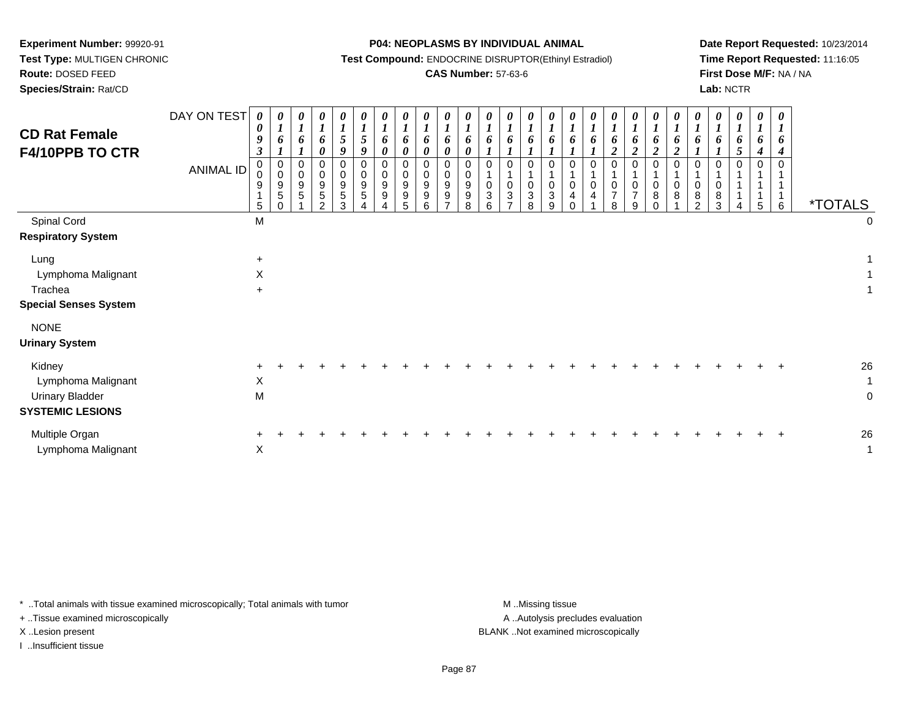**Test Type:** MULTIGEN CHRONIC

# **Route:** DOSED FEED

**Species/Strain:** Rat/CD

#### **P04: NEOPLASMS BY INDIVIDUAL ANIMAL**

**Test Compound:** ENDOCRINE DISRUPTOR(Ethinyl Estradiol)

## **CAS Number:** 57-63-6

**Date Report Requested:** 10/23/2014**Time Report Requested:** 11:16:05**First Dose M/F:** NA / NA**Lab:** NCTR

| <b>CD Rat Female</b><br>F4/10PPB TO CTR                                           | DAY ON TEST<br><b>ANIMAL ID</b> | 0<br>$\boldsymbol{\theta}$<br>9<br>$\boldsymbol{\beta}$<br>0<br>$\Omega$<br>9<br>5 | 0<br>6<br>$\pmb{0}$<br>$\pmb{0}$<br>$\boldsymbol{9}$<br>$\sqrt{5}$<br>$\Omega$ | 0<br>$\boldsymbol{l}$<br>6<br>$\pmb{0}$<br>$\mathbf 0$<br>$9\,$<br>5 | $\boldsymbol{\theta}$<br>$\boldsymbol{l}$<br>6<br>$\boldsymbol{\theta}$<br>0<br>$\mathbf 0$<br>9<br>5<br>$\overline{2}$ | $\boldsymbol{l}$<br>5<br>9<br>0<br>0<br>9<br>5<br>3 | 0<br>$\boldsymbol{l}$<br>$5\overline{)}$<br>9<br>0<br>0<br>9<br>$\sqrt{5}$ | 0<br>$\boldsymbol{l}$<br>6<br>0<br>$\mathbf 0$<br>$\mathbf 0$<br>9<br>$9\,$ | 0<br>$\boldsymbol{l}$<br>6<br>$\boldsymbol{\theta}$<br>$\mathbf 0$<br>$\mathbf 0$<br>$9\,$<br>$\boldsymbol{9}$<br>5 | 0<br>$\boldsymbol{l}$<br>6<br>0<br>$\mathbf 0$<br>0<br>9<br>9<br>6 | U<br>6<br>$\boldsymbol{\theta}$<br>0<br>0<br>9<br>9<br>$\overline{ }$ | $\boldsymbol{\theta}$<br>$\boldsymbol{l}$<br>6<br>$\boldsymbol{\theta}$<br>0<br>$\mathbf 0$<br>9<br>9<br>8 | 0<br>6<br>$\mathbf 0$<br>$\mathbf 0$<br>3<br>6 | 0<br>$\boldsymbol{l}$<br>6<br>0<br>$\mathbf{1}$<br>0<br>$\mathbf{3}$<br>$\overline{ }$ | 0<br>6<br>0<br>$\mathbf 0$<br>$\ensuremath{\mathsf{3}}$<br>8 | 0<br>$\boldsymbol{l}$<br>6<br>0<br>$\mathbf{1}$<br>$\pmb{0}$<br>$\sqrt{3}$<br>9 | $\boldsymbol{l}$<br>$\boldsymbol{l}$<br>$\Omega$<br>0<br>4 | 0<br>$\boldsymbol{l}$<br>6<br>0<br>0<br>$\overline{4}$ | 0<br>6<br>$\overline{c}$<br>0<br>0<br>$\overline{7}$<br>8 | $\boldsymbol{\theta}$<br>$\boldsymbol{l}$<br>6<br>$\overline{\mathbf{c}}$<br>0<br>1<br>$\mathbf 0$<br>$\overline{7}$<br>9 | 0<br>6<br>$\boldsymbol{2}$<br>0<br>0<br>8<br>$\Omega$ | 6<br>$\boldsymbol{2}$<br>0<br>8 | 0<br>6<br>$\mathbf 0$<br>0<br>8<br>$\mathfrak{p}$ | $\boldsymbol{\theta}$<br>6<br>$\mathbf 0$<br>0<br>8<br>3 | 0<br>$\boldsymbol{l}$<br>6<br>5<br>$\mathbf 0$ | 0<br>6<br>4<br>0<br>5 | $\boldsymbol{\theta}$<br>$\boldsymbol{l}$<br>6<br>$\boldsymbol{4}$<br>$\Omega$<br>6 | <i><b>*TOTALS</b></i> |                                  |
|-----------------------------------------------------------------------------------|---------------------------------|------------------------------------------------------------------------------------|--------------------------------------------------------------------------------|----------------------------------------------------------------------|-------------------------------------------------------------------------------------------------------------------------|-----------------------------------------------------|----------------------------------------------------------------------------|-----------------------------------------------------------------------------|---------------------------------------------------------------------------------------------------------------------|--------------------------------------------------------------------|-----------------------------------------------------------------------|------------------------------------------------------------------------------------------------------------|------------------------------------------------|----------------------------------------------------------------------------------------|--------------------------------------------------------------|---------------------------------------------------------------------------------|------------------------------------------------------------|--------------------------------------------------------|-----------------------------------------------------------|---------------------------------------------------------------------------------------------------------------------------|-------------------------------------------------------|---------------------------------|---------------------------------------------------|----------------------------------------------------------|------------------------------------------------|-----------------------|-------------------------------------------------------------------------------------|-----------------------|----------------------------------|
| Spinal Cord<br><b>Respiratory System</b>                                          |                                 | M                                                                                  |                                                                                |                                                                      |                                                                                                                         |                                                     |                                                                            |                                                                             |                                                                                                                     |                                                                    |                                                                       |                                                                                                            |                                                |                                                                                        |                                                              |                                                                                 |                                                            |                                                        |                                                           |                                                                                                                           |                                                       |                                 |                                                   |                                                          |                                                |                       |                                                                                     |                       | 0                                |
| Lung<br>Lymphoma Malignant<br>Trachea<br><b>Special Senses System</b>             |                                 | $\ddot{}$<br>X<br>$\ddot{}$                                                        |                                                                                |                                                                      |                                                                                                                         |                                                     |                                                                            |                                                                             |                                                                                                                     |                                                                    |                                                                       |                                                                                                            |                                                |                                                                                        |                                                              |                                                                                 |                                                            |                                                        |                                                           |                                                                                                                           |                                                       |                                 |                                                   |                                                          |                                                |                       |                                                                                     |                       |                                  |
| <b>NONE</b><br><b>Urinary System</b>                                              |                                 |                                                                                    |                                                                                |                                                                      |                                                                                                                         |                                                     |                                                                            |                                                                             |                                                                                                                     |                                                                    |                                                                       |                                                                                                            |                                                |                                                                                        |                                                              |                                                                                 |                                                            |                                                        |                                                           |                                                                                                                           |                                                       |                                 |                                                   |                                                          |                                                |                       |                                                                                     |                       |                                  |
| Kidney<br>Lymphoma Malignant<br><b>Urinary Bladder</b><br><b>SYSTEMIC LESIONS</b> |                                 | X<br>M                                                                             |                                                                                |                                                                      |                                                                                                                         |                                                     |                                                                            |                                                                             |                                                                                                                     |                                                                    |                                                                       |                                                                                                            |                                                |                                                                                        |                                                              |                                                                                 |                                                            |                                                        |                                                           |                                                                                                                           |                                                       |                                 |                                                   |                                                          |                                                |                       |                                                                                     |                       | 26<br>$\mathbf 1$<br>$\mathbf 0$ |
| Multiple Organ<br>Lymphoma Malignant                                              |                                 | X                                                                                  |                                                                                |                                                                      |                                                                                                                         |                                                     |                                                                            |                                                                             |                                                                                                                     |                                                                    |                                                                       |                                                                                                            |                                                |                                                                                        |                                                              |                                                                                 |                                                            |                                                        |                                                           |                                                                                                                           |                                                       |                                 |                                                   |                                                          |                                                |                       |                                                                                     |                       | 26<br>1                          |

\* ..Total animals with tissue examined microscopically; Total animals with tumor **M** . Missing tissue M ..Missing tissue

+ ..Tissue examined microscopically

I ..Insufficient tissue

A ..Autolysis precludes evaluation

X ..Lesion present BLANK ..Not examined microscopically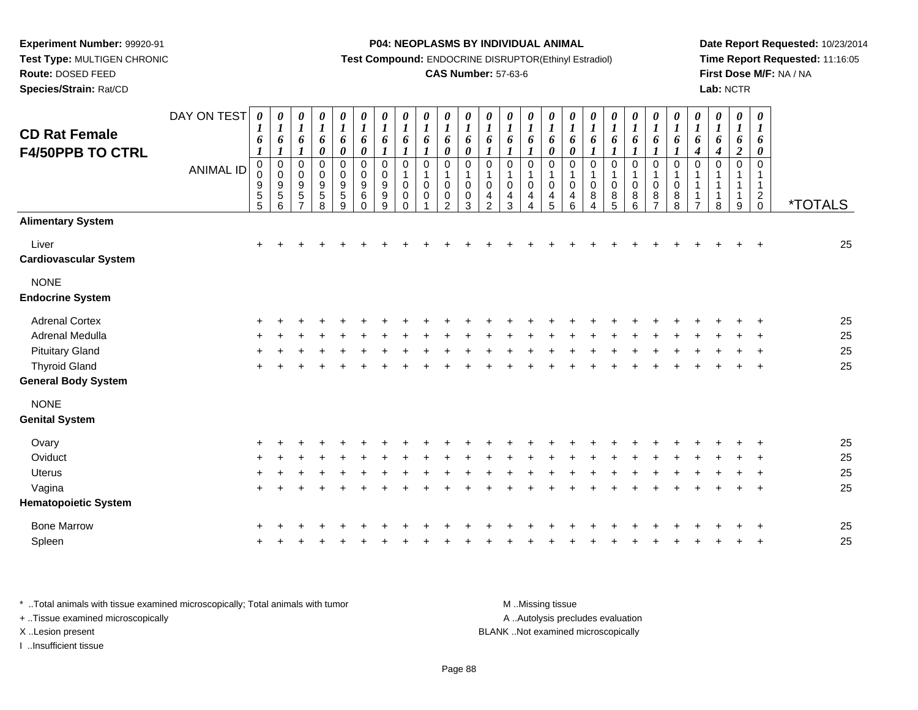**Test Type:** MULTIGEN CHRONIC

# **Route:** DOSED FEED

**Species/Strain:** Rat/CD

#### **P04: NEOPLASMS BY INDIVIDUAL ANIMAL**

**Test Compound:** ENDOCRINE DISRUPTOR(Ethinyl Estradiol)

### **CAS Number:** 57-63-6

**Date Report Requested:** 10/23/2014**Time Report Requested:** 11:16:05**First Dose M/F:** NA / NA**Lab:** NCTR

| <b>CD Rat Female</b>                   | DAY ON TEST      | $\boldsymbol{\theta}$<br>$\boldsymbol{l}$<br>6                                             | 0<br>$\boldsymbol{l}$<br>6                                                        | 0<br>$\boldsymbol{l}$<br>6                                                            | 0<br>$\boldsymbol{l}$<br>6                                     | 0<br>$\boldsymbol{l}$<br>6                               | 0<br>$\boldsymbol{l}$<br>6                                                             | 0<br>$\boldsymbol{l}$<br>6                                                              | 0<br>$\boldsymbol{l}$<br>6                                                      | $\pmb{\theta}$<br>$\boldsymbol{l}$<br>6                                       | $\boldsymbol{\theta}$<br>$\boldsymbol{l}$<br>6                                  | 0<br>$\boldsymbol{l}$<br>6                                           | 0<br>$\boldsymbol{l}$<br>6                                           | 0<br>$\boldsymbol{l}$<br>6                                                               | $\boldsymbol{\theta}$<br>$\boldsymbol{l}$<br>6                       | 0<br>$\boldsymbol{l}$<br>6           | 0<br>$\boldsymbol{l}$<br>6                                                  | 0<br>$\boldsymbol{l}$<br>6                                                          | $\pmb{\theta}$<br>$\boldsymbol{l}$<br>6      | 0<br>$\boldsymbol{l}$<br>6                                  | 0<br>$\boldsymbol{l}$<br>6                                    | 0<br>$\boldsymbol{l}$<br>6                                           | $\boldsymbol{\theta}$<br>$\boldsymbol{l}$<br>6              | 0<br>$\boldsymbol{l}$<br>6           | $\boldsymbol{\theta}$<br>$\boldsymbol{l}$<br>6   | $\boldsymbol{\theta}$<br>$\boldsymbol{l}$<br>6                         |                       |
|----------------------------------------|------------------|--------------------------------------------------------------------------------------------|-----------------------------------------------------------------------------------|---------------------------------------------------------------------------------------|----------------------------------------------------------------|----------------------------------------------------------|----------------------------------------------------------------------------------------|-----------------------------------------------------------------------------------------|---------------------------------------------------------------------------------|-------------------------------------------------------------------------------|---------------------------------------------------------------------------------|----------------------------------------------------------------------|----------------------------------------------------------------------|------------------------------------------------------------------------------------------|----------------------------------------------------------------------|--------------------------------------|-----------------------------------------------------------------------------|-------------------------------------------------------------------------------------|----------------------------------------------|-------------------------------------------------------------|---------------------------------------------------------------|----------------------------------------------------------------------|-------------------------------------------------------------|--------------------------------------|--------------------------------------------------|------------------------------------------------------------------------|-----------------------|
| <b>F4/50PPB TO CTRL</b>                | <b>ANIMAL ID</b> | $\boldsymbol{l}$<br>$\mathbf 0$<br>$\pmb{0}$<br>$\begin{array}{c} 9 \\ 5 \end{array}$<br>5 | $\boldsymbol{l}$<br>$\pmb{0}$<br>$\pmb{0}$<br>$\boldsymbol{9}$<br>$\sqrt{5}$<br>6 | $\boldsymbol{l}$<br>$\pmb{0}$<br>$\mathbf 0$<br>$9\,$<br>$\sqrt{5}$<br>$\overline{ }$ | $\pmb{\theta}$<br>0<br>$\pmb{0}$<br>$\boldsymbol{9}$<br>5<br>8 | $\pmb{\theta}$<br>0<br>$\pmb{0}$<br>9<br>$\sqrt{5}$<br>9 | $\boldsymbol{\theta}$<br>$\,0\,$<br>$\pmb{0}$<br>$\boldsymbol{9}$<br>$\,6$<br>$\Omega$ | $\boldsymbol{l}$<br>$\pmb{0}$<br>$\pmb{0}$<br>$\boldsymbol{9}$<br>$\boldsymbol{9}$<br>9 | $\boldsymbol{l}$<br>0<br>$\mathbf{1}$<br>$\mathbf 0$<br>$\mathbf 0$<br>$\Omega$ | $\boldsymbol{l}$<br>$\mathbf 0$<br>$\mathbf{1}$<br>$\mathbf 0$<br>$\mathbf 0$ | $\boldsymbol{\theta}$<br>$\mathbf 0$<br>1<br>$\mathbf 0$<br>0<br>$\mathfrak{p}$ | $\pmb{\theta}$<br>$\pmb{0}$<br>$\mathbf{1}$<br>$\mathbf 0$<br>0<br>3 | 1<br>$\pmb{0}$<br>$\mathbf{1}$<br>$\mathbf 0$<br>$\overline{4}$<br>2 | $\boldsymbol{l}$<br>$\,0\,$<br>$\mathbf{1}$<br>$\pmb{0}$<br>$\overline{\mathbf{4}}$<br>3 | $\boldsymbol{l}$<br>$\pmb{0}$<br>$\mathbf{1}$<br>$\pmb{0}$<br>4<br>4 | 0<br>0<br>1<br>$\mathbf 0$<br>4<br>5 | $\boldsymbol{\theta}$<br>$\pmb{0}$<br>$\mathbf{1}$<br>$\mathbf 0$<br>4<br>6 | $\boldsymbol{l}$<br>$\mathbf 0$<br>$\mathbf{1}$<br>0<br>8<br>$\boldsymbol{\Lambda}$ | 1<br>$\pmb{0}$<br>1<br>$\mathbf 0$<br>8<br>5 | $\boldsymbol{l}$<br>0<br>$\mathbf 1$<br>$\pmb{0}$<br>8<br>6 | 1<br>$\pmb{0}$<br>1<br>$\pmb{0}$<br>$\bf 8$<br>$\overline{7}$ | $\boldsymbol{l}$<br>$\pmb{0}$<br>$\mathbf{1}$<br>$\pmb{0}$<br>8<br>8 | $\boldsymbol{4}$<br>$\mathbf 0$<br>1<br>1<br>$\overline{ }$ | $\boldsymbol{4}$<br>0<br>1<br>1<br>8 | $\boldsymbol{2}$<br>$\Omega$<br>$\mathbf 1$<br>9 | 0<br>$\mathbf 0$<br>1<br>$\mathbf{1}$<br>$\overline{c}$<br>$\mathbf 0$ | <i><b>*TOTALS</b></i> |
| <b>Alimentary System</b>               |                  |                                                                                            |                                                                                   |                                                                                       |                                                                |                                                          |                                                                                        |                                                                                         |                                                                                 |                                                                               |                                                                                 |                                                                      |                                                                      |                                                                                          |                                                                      |                                      |                                                                             |                                                                                     |                                              |                                                             |                                                               |                                                                      |                                                             |                                      |                                                  |                                                                        |                       |
| Liver<br><b>Cardiovascular System</b>  |                  | $\ddot{}$                                                                                  |                                                                                   |                                                                                       |                                                                |                                                          |                                                                                        |                                                                                         |                                                                                 |                                                                               |                                                                                 |                                                                      |                                                                      |                                                                                          |                                                                      |                                      |                                                                             |                                                                                     |                                              |                                                             |                                                               |                                                                      |                                                             |                                      |                                                  | $\ddot{}$                                                              | 25                    |
| <b>NONE</b><br><b>Endocrine System</b> |                  |                                                                                            |                                                                                   |                                                                                       |                                                                |                                                          |                                                                                        |                                                                                         |                                                                                 |                                                                               |                                                                                 |                                                                      |                                                                      |                                                                                          |                                                                      |                                      |                                                                             |                                                                                     |                                              |                                                             |                                                               |                                                                      |                                                             |                                      |                                                  |                                                                        |                       |
| <b>Adrenal Cortex</b>                  |                  |                                                                                            |                                                                                   |                                                                                       |                                                                |                                                          |                                                                                        |                                                                                         |                                                                                 |                                                                               |                                                                                 |                                                                      |                                                                      |                                                                                          |                                                                      |                                      |                                                                             |                                                                                     |                                              |                                                             |                                                               |                                                                      |                                                             |                                      |                                                  |                                                                        | 25                    |
| Adrenal Medulla                        |                  |                                                                                            |                                                                                   |                                                                                       |                                                                |                                                          |                                                                                        |                                                                                         |                                                                                 |                                                                               |                                                                                 |                                                                      |                                                                      |                                                                                          |                                                                      |                                      |                                                                             |                                                                                     |                                              |                                                             |                                                               |                                                                      |                                                             |                                      |                                                  |                                                                        | 25                    |
| <b>Pituitary Gland</b>                 |                  |                                                                                            |                                                                                   |                                                                                       |                                                                |                                                          |                                                                                        |                                                                                         |                                                                                 |                                                                               |                                                                                 |                                                                      |                                                                      |                                                                                          |                                                                      |                                      |                                                                             |                                                                                     |                                              |                                                             |                                                               |                                                                      |                                                             |                                      |                                                  |                                                                        | 25                    |
| <b>Thyroid Gland</b>                   |                  | ÷                                                                                          |                                                                                   |                                                                                       |                                                                |                                                          |                                                                                        |                                                                                         |                                                                                 |                                                                               |                                                                                 |                                                                      |                                                                      |                                                                                          |                                                                      |                                      |                                                                             |                                                                                     |                                              |                                                             |                                                               |                                                                      |                                                             |                                      |                                                  | $\overline{+}$                                                         | 25                    |
| <b>General Body System</b>             |                  |                                                                                            |                                                                                   |                                                                                       |                                                                |                                                          |                                                                                        |                                                                                         |                                                                                 |                                                                               |                                                                                 |                                                                      |                                                                      |                                                                                          |                                                                      |                                      |                                                                             |                                                                                     |                                              |                                                             |                                                               |                                                                      |                                                             |                                      |                                                  |                                                                        |                       |
| <b>NONE</b><br><b>Genital System</b>   |                  |                                                                                            |                                                                                   |                                                                                       |                                                                |                                                          |                                                                                        |                                                                                         |                                                                                 |                                                                               |                                                                                 |                                                                      |                                                                      |                                                                                          |                                                                      |                                      |                                                                             |                                                                                     |                                              |                                                             |                                                               |                                                                      |                                                             |                                      |                                                  |                                                                        |                       |
| Ovary                                  |                  |                                                                                            |                                                                                   |                                                                                       |                                                                |                                                          |                                                                                        |                                                                                         |                                                                                 |                                                                               |                                                                                 |                                                                      |                                                                      |                                                                                          |                                                                      |                                      |                                                                             |                                                                                     |                                              |                                                             |                                                               |                                                                      |                                                             |                                      |                                                  |                                                                        | 25                    |
| Oviduct                                |                  | ÷                                                                                          |                                                                                   |                                                                                       |                                                                |                                                          |                                                                                        |                                                                                         |                                                                                 |                                                                               |                                                                                 |                                                                      |                                                                      |                                                                                          |                                                                      |                                      |                                                                             |                                                                                     |                                              |                                                             |                                                               |                                                                      |                                                             |                                      |                                                  |                                                                        | 25                    |
| Uterus                                 |                  |                                                                                            |                                                                                   |                                                                                       |                                                                |                                                          |                                                                                        |                                                                                         |                                                                                 |                                                                               |                                                                                 |                                                                      |                                                                      |                                                                                          |                                                                      |                                      |                                                                             |                                                                                     |                                              |                                                             |                                                               |                                                                      |                                                             |                                      |                                                  |                                                                        | 25                    |
| Vagina                                 |                  | $\ddot{}$                                                                                  |                                                                                   |                                                                                       |                                                                |                                                          |                                                                                        |                                                                                         |                                                                                 |                                                                               |                                                                                 |                                                                      |                                                                      |                                                                                          |                                                                      |                                      |                                                                             |                                                                                     |                                              |                                                             |                                                               |                                                                      |                                                             |                                      |                                                  | $\ddot{}$                                                              | 25                    |
| <b>Hematopoietic System</b>            |                  |                                                                                            |                                                                                   |                                                                                       |                                                                |                                                          |                                                                                        |                                                                                         |                                                                                 |                                                                               |                                                                                 |                                                                      |                                                                      |                                                                                          |                                                                      |                                      |                                                                             |                                                                                     |                                              |                                                             |                                                               |                                                                      |                                                             |                                      |                                                  |                                                                        |                       |
| <b>Bone Marrow</b>                     |                  |                                                                                            |                                                                                   |                                                                                       |                                                                |                                                          |                                                                                        |                                                                                         |                                                                                 |                                                                               |                                                                                 |                                                                      |                                                                      |                                                                                          |                                                                      |                                      |                                                                             |                                                                                     |                                              |                                                             |                                                               |                                                                      |                                                             |                                      |                                                  |                                                                        | 25                    |
| Spleen                                 |                  |                                                                                            |                                                                                   |                                                                                       |                                                                |                                                          |                                                                                        |                                                                                         |                                                                                 |                                                                               |                                                                                 |                                                                      |                                                                      |                                                                                          |                                                                      |                                      |                                                                             |                                                                                     |                                              |                                                             |                                                               |                                                                      |                                                             |                                      |                                                  |                                                                        | 25                    |